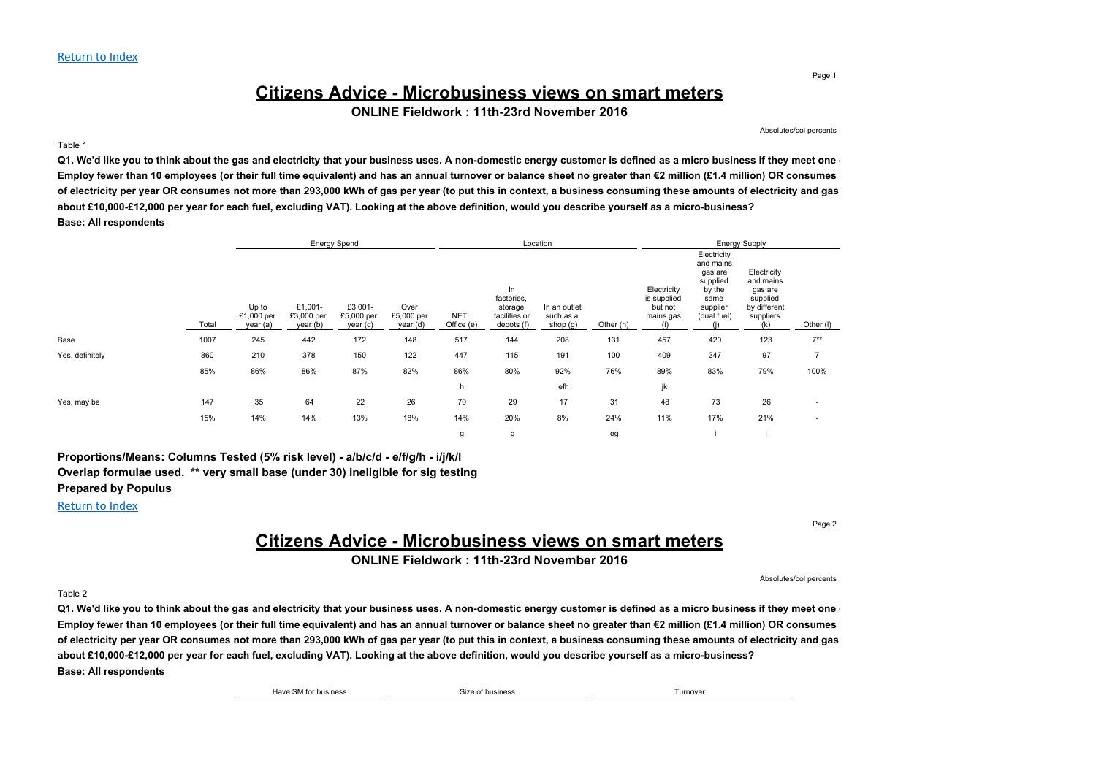# **Citizens Advice - Microbusiness views on smart meters**

**ONLINE Fieldwork : 11th-23rd November 2016**

Absolutes/col percents

#### Table 1

Q1. We'd like you to think about the gas and electricity that your business uses. A non-domestic energy customer is defined as a micro business if they meet one Employ fewer than 10 employees (or their full time equivalent) and has an annual turnover or balance sheet no greater than €2 million (£1.4 million) OR consumes of electricity per year OR consumes not more than 293,000 kWh of gas per year (to put this in context, a business consuming these amounts of electricity and gas **about £10,000-£12,000 per year for each fuel, excluding VAT). Looking at the above definition, would you describe yourself as a micro-business? Base: All respondents**

|                 |       |                                 | <b>Energy Spend</b>               |                                   |                                |                    | Location                                                   |                                       |           |                                                    | <b>Energy Supply</b>                                                                         |                                                                                     |                          |  |
|-----------------|-------|---------------------------------|-----------------------------------|-----------------------------------|--------------------------------|--------------------|------------------------------------------------------------|---------------------------------------|-----------|----------------------------------------------------|----------------------------------------------------------------------------------------------|-------------------------------------------------------------------------------------|--------------------------|--|
|                 | Total | Up to<br>£1,000 per<br>year (a) | £1,001-<br>£3,000 per<br>year (b) | £3,001-<br>£5,000 per<br>year (c) | Over<br>£5,000 per<br>year (d) | NET:<br>Office (e) | In<br>factories,<br>storage<br>facilities or<br>depots (f) | In an outlet<br>such as a<br>shop (g) | Other (h) | Electricity<br>is supplied<br>but not<br>mains gas | Electricity<br>and mains<br>gas are<br>supplied<br>by the<br>same<br>supplier<br>(dual fuel) | Electricity<br>and mains<br>gas are<br>supplied<br>by different<br>suppliers<br>(k) | Other (I)                |  |
| Base            | 1007  | 245                             | 442                               | 172                               | 148                            | 517                | 144                                                        | 208                                   | 131       | 457                                                | 420                                                                                          | 123                                                                                 | $7***$                   |  |
| Yes, definitely | 860   | 210                             | 378                               | 150                               | 122                            | 447                | 115                                                        | 191                                   | 100       | 409                                                | 347                                                                                          | 97                                                                                  | $\overline{7}$           |  |
|                 | 85%   | 86%                             | 86%                               | 87%                               | 82%                            | 86%                | 80%                                                        | 92%                                   | 76%       | 89%                                                | 83%                                                                                          | 79%                                                                                 | 100%                     |  |
|                 |       |                                 |                                   |                                   |                                | h                  |                                                            | efh                                   |           | jk                                                 |                                                                                              |                                                                                     |                          |  |
| Yes, may be     | 147   | 35                              | 64                                | 22                                | 26                             | 70                 | 29                                                         | 17                                    | 31        | 48                                                 | 73                                                                                           | 26                                                                                  | $\overline{\phantom{a}}$ |  |
|                 | 15%   | 14%                             | 14%                               | 13%                               | 18%                            | 14%                | 20%                                                        | 8%                                    | 24%       | 11%                                                | 17%                                                                                          | 21%                                                                                 | $\overline{\phantom{a}}$ |  |
|                 |       |                                 |                                   |                                   |                                | g                  | g                                                          |                                       | eg        |                                                    |                                                                                              |                                                                                     |                          |  |

**Proportions/Means: Columns Tested (5% risk level) - a/b/c/d - e/f/g/h - i/j/k/l Overlap formulae used. \*\* very small base (under 30) ineligible for sig testing Prepared by Populus**

#### Return to Index

Page 2

## **Citizens Advice - Microbusiness views on smart meters**

**ONLINE Fieldwork : 11th-23rd November 2016**

Absolutes/col percents

#### Table 2

Q1. We'd like you to think about the gas and electricity that your business uses. A non-domestic energy customer is defined as a micro business if they meet one Employ fewer than 10 employees (or their full time equivalent) and has an annual turnover or balance sheet no greater than €2 million (£1.4 million) OR consumes of electricity per year OR consumes not more than 293,000 kWh of gas per year (to put this in context, a business consuming these amounts of electricity and gas **about £10,000-£12,000 per year for each fuel, excluding VAT). Looking at the above definition, would you describe yourself as a micro-business? Base: All respondents**

| Have SM for business | Size of business | Turnover |
|----------------------|------------------|----------|
|                      |                  |          |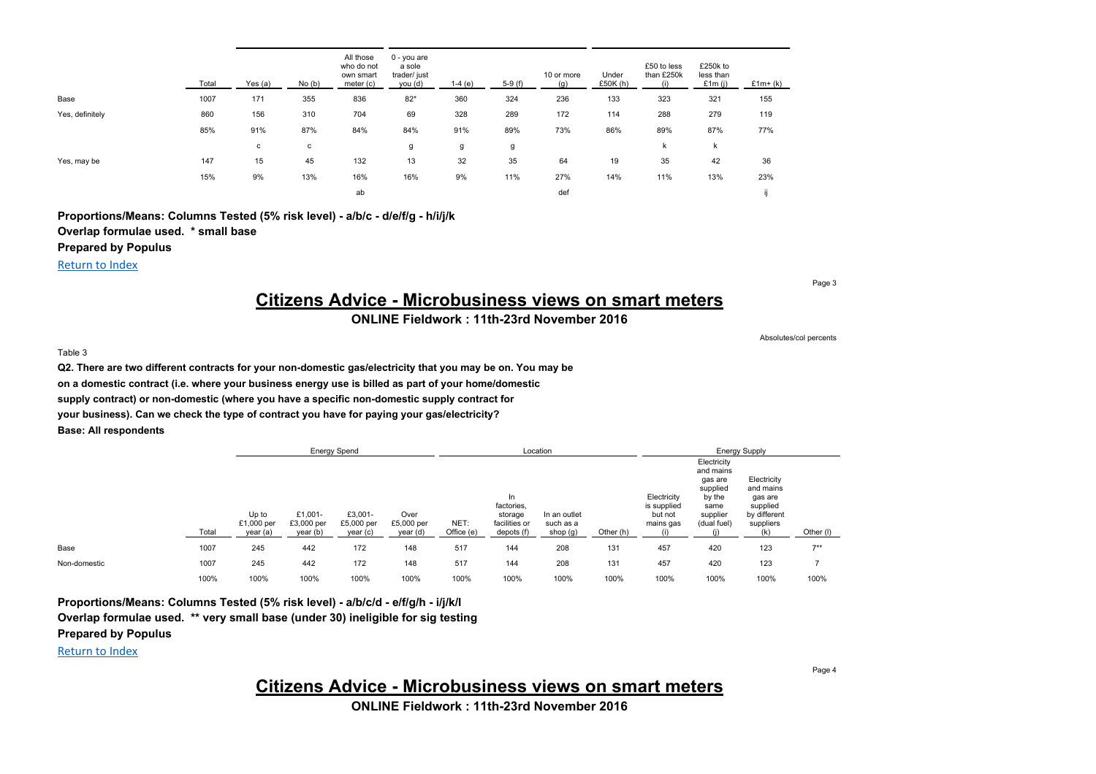|                 | Total | Yes (a) | No(b) | All those<br>who do not<br>own smart<br>meter (c) | $0 - you$ are<br>a sole<br>trader/ just<br>you (d) | $1-4(e)$ | $5-9(f)$ | 10 or more<br>(g) | Under<br>£50 $K(h)$ | £50 to less<br>than £250k<br>(i) | £250k to<br>less than<br>£1 $m(i)$ | $£1m+(k)$ |
|-----------------|-------|---------|-------|---------------------------------------------------|----------------------------------------------------|----------|----------|-------------------|---------------------|----------------------------------|------------------------------------|-----------|
| Base            | 1007  | 171     | 355   | 836                                               | $82*$                                              | 360      | 324      | 236               | 133                 | 323                              | 321                                | 155       |
| Yes, definitely | 860   | 156     | 310   | 704                                               | 69                                                 | 328      | 289      | 172               | 114                 | 288                              | 279                                | 119       |
|                 | 85%   | 91%     | 87%   | 84%                                               | 84%                                                | 91%      | 89%      | 73%               | 86%                 | 89%                              | 87%                                | 77%       |
|                 |       | с       | с     |                                                   | g                                                  | g        | g        |                   |                     | k                                | k                                  |           |
| Yes, may be     | 147   | 15      | 45    | 132                                               | 13                                                 | 32       | 35       | 64                | 19                  | 35                               | 42                                 | 36        |
|                 | 15%   | 9%      | 13%   | 16%                                               | 16%                                                | 9%       | 11%      | 27%               | 14%                 | 11%                              | 13%                                | 23%       |
|                 |       |         |       | ab                                                |                                                    |          |          | def               |                     |                                  |                                    |           |

**Proportions/Means: Columns Tested (5% risk level) - a/b/c - d/e/f/g - h/i/j/k Overlap formulae used. \* small base Prepared by Populus**

Return to Index

# **Citizens Advice - Microbusiness views on smart meters**

## **ONLINE Fieldwork : 11th-23rd November 2016**

Absolutes/col percents

Page 3

#### Table 3

**Q2. There are two different contracts for your non-domestic gas/electricity that you may be on. You may be on a domestic contract (i.e. where your business energy use is billed as part of your home/domestic supply contract) or non-domestic (where you have a specific non-domestic supply contract for your business). Can we check the type of contract you have for paying your gas/electricity? Base: All respondents**

|              |       |                                 | <b>Energy Spend</b>               |                                   |                                |                    | Location                                                   |                                       |           |                                                    | <b>Energy Supply</b>                                                                         |                                                                              |           |  |
|--------------|-------|---------------------------------|-----------------------------------|-----------------------------------|--------------------------------|--------------------|------------------------------------------------------------|---------------------------------------|-----------|----------------------------------------------------|----------------------------------------------------------------------------------------------|------------------------------------------------------------------------------|-----------|--|
|              | Total | Up to<br>£1,000 per<br>year (a) | £1,001-<br>£3,000 per<br>year (b) | £3,001-<br>£5,000 per<br>year (c) | Over<br>£5,000 per<br>year (d) | NET:<br>Office (e) | In<br>factories,<br>storage<br>facilities or<br>depots (f) | In an outlet<br>such as a<br>shop (g) | Other (h) | Electricity<br>is supplied<br>but not<br>mains gas | Electricity<br>and mains<br>gas are<br>supplied<br>by the<br>same<br>supplier<br>(dual fuel) | Electricity<br>and mains<br>gas are<br>supplied<br>by different<br>suppliers | Other (I) |  |
| Base         | 1007  | 245                             | 442                               | 172                               | 148                            | 517                | 144                                                        | 208                                   | 131       | 457                                                | 420                                                                                          | 123                                                                          | $7***$    |  |
| Non-domestic | 1007  | 245                             | 442                               | 172                               | 148                            | 517                | 144                                                        | 208                                   | 131       | 457                                                | 420                                                                                          | 123                                                                          |           |  |
|              | 100%  | 100%                            | 100%                              | 100%                              | 100%                           | 100%               | 100%                                                       | 100%                                  | 100%      | 100%                                               | 100%                                                                                         | 100%                                                                         | 100%      |  |

**Proportions/Means: Columns Tested (5% risk level) - a/b/c/d - e/f/g/h - i/j/k/l Overlap formulae used. \*\* very small base (under 30) ineligible for sig testing**

**Prepared by Populus**

Return to Index

**Citizens Advice - Microbusiness views on smart meters**

**ONLINE Fieldwork : 11th-23rd November 2016**

Page 4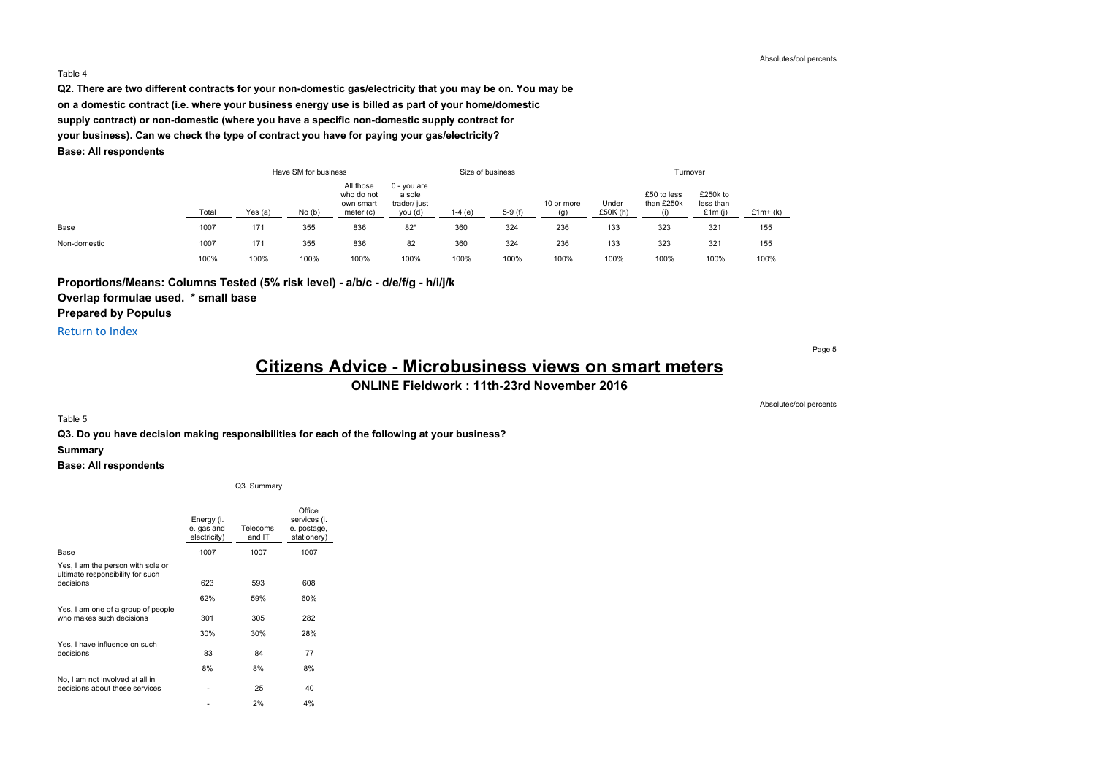#### Table 4

**Q2. There are two different contracts for your non-domestic gas/electricity that you may be on. You may be on a domestic contract (i.e. where your business energy use is billed as part of your home/domestic supply contract) or non-domestic (where you have a specific non-domestic supply contract for your business). Can we check the type of contract you have for paying your gas/electricity? Base: All respondents**

|              |       |         | Have SM for business |                                                     |                                                    |         | Size of business |            | Turnover         |                           |                                 |           |
|--------------|-------|---------|----------------------|-----------------------------------------------------|----------------------------------------------------|---------|------------------|------------|------------------|---------------------------|---------------------------------|-----------|
|              | Total | Yes (a) | No(b)                | All those<br>who do not<br>own smart<br>meter $(c)$ | $0 - you are$<br>a sole<br>trader/ just<br>you (d) | 1-4 (e) | $5-9(f)$         | 10 or more | Under<br>£50K(h) | £50 to less<br>than £250k | £250k to<br>less than<br>£1m(i) | $£1m+(k)$ |
| Base         | 1007  | 171     | 355                  | 836                                                 | $82*$                                              | 360     | 324              | 236        | 133              | 323                       | 321                             | 155       |
| Non-domestic | 1007  | 171     | 355                  | 836                                                 | 82                                                 | 360     | 324              | 236        | 133              | 323                       | 321                             | 155       |
|              | 100%  | 100%    | 100%                 | 100%                                                | 100%                                               | 100%    | 100%             | 100%       | 100%             | 100%                      | 100%                            | 100%      |

**Proportions/Means: Columns Tested (5% risk level) - a/b/c - d/e/f/g - h/i/j/k Overlap formulae used. \* small base**

**Prepared by Populus**

Return to Index

Page 5

# **Citizens Advice - Microbusiness views on smart meters**

**ONLINE Fieldwork : 11th-23rd November 2016**

#### Table 5

**Q3. Do you have decision making responsibilities for each of the following at your business?**

#### **Summary**

**Base: All respondents**

|                                                                                    |                                          | Q3. Summary        |                                                      |
|------------------------------------------------------------------------------------|------------------------------------------|--------------------|------------------------------------------------------|
|                                                                                    | Energy (i.<br>e. gas and<br>electricity) | Telecoms<br>and IT | Office<br>services (i.<br>e. postage,<br>stationery) |
| Base                                                                               | 1007                                     | 1007               | 1007                                                 |
| Yes, I am the person with sole or<br>ultimate responsibility for such<br>decisions | 623                                      | 593                | 608                                                  |
| Yes, I am one of a group of people<br>who makes such decisions                     | 62%<br>301                               | 59%<br>305         | 60%<br>282                                           |
|                                                                                    | 30%                                      | 30%                | 28%                                                  |
| Yes, I have influence on such<br>decisions                                         | 83                                       | 84                 | 77                                                   |
|                                                                                    | 8%                                       | 8%                 | 8%                                                   |
| No, I am not involved at all in<br>decisions about these services                  |                                          | 25                 | 40                                                   |
|                                                                                    |                                          | 2%                 | 4%                                                   |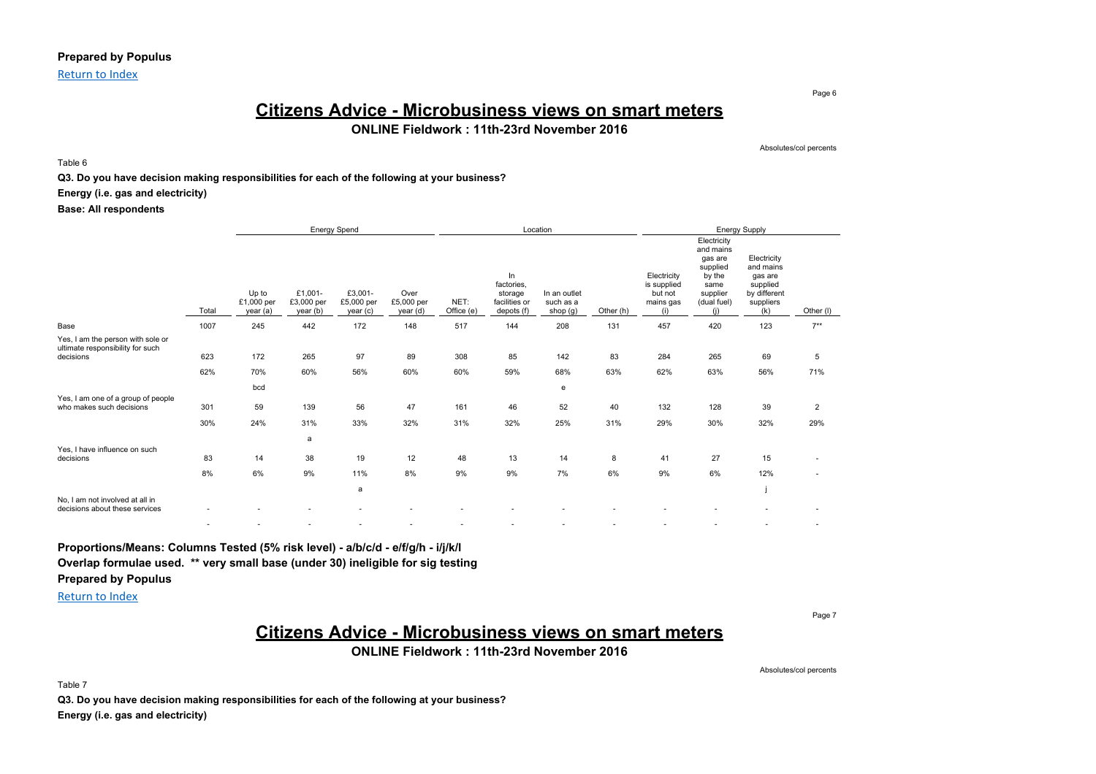### **Prepared by Populus**

Return to Index

## **Citizens Advice - Microbusiness views on smart meters ONLINE Fieldwork : 11th-23rd November 2016**

Table 6

#### **Q3. Do you have decision making responsibilities for each of the following at your business?**

**Energy (i.e. gas and electricity)**

**Base: All respondents**

|                                                                                    |            |                                 | <b>Energy Spend</b>               |                                   |                                |                    | Location                                                   |                                       |           |                                                           | Energy Supply                                                                                |                                                                                     |                       |  |
|------------------------------------------------------------------------------------|------------|---------------------------------|-----------------------------------|-----------------------------------|--------------------------------|--------------------|------------------------------------------------------------|---------------------------------------|-----------|-----------------------------------------------------------|----------------------------------------------------------------------------------------------|-------------------------------------------------------------------------------------|-----------------------|--|
|                                                                                    | Total      | Up to<br>£1,000 per<br>year (a) | £1,001-<br>£3,000 per<br>year (b) | £3,001-<br>£5,000 per<br>year (c) | Over<br>£5,000 per<br>year (d) | NET:<br>Office (e) | In<br>factories,<br>storage<br>facilities or<br>depots (f) | In an outlet<br>such as a<br>shop (g) | Other (h) | Electricity<br>is supplied<br>but not<br>mains gas<br>(i) | Electricity<br>and mains<br>gas are<br>supplied<br>by the<br>same<br>supplier<br>(dual fuel) | Electricity<br>and mains<br>gas are<br>supplied<br>by different<br>suppliers<br>(k) | Other (I)             |  |
| Base                                                                               | 1007       | 245                             | 442                               | 172                               | 148                            | 517                | 144                                                        | 208                                   | 131       | 457                                                       | 420                                                                                          | 123                                                                                 | $7**$                 |  |
| Yes, I am the person with sole or<br>ultimate responsibility for such<br>decisions | 623<br>62% | 172<br>70%                      | 265<br>60%                        | 97<br>56%                         | 89<br>60%                      | 308<br>60%         | 85<br>59%                                                  | 142<br>68%                            | 83<br>63% | 284<br>62%                                                | 265<br>63%                                                                                   | 69<br>56%                                                                           | 5<br>71%              |  |
|                                                                                    |            | bcd                             |                                   |                                   |                                |                    |                                                            | e                                     |           |                                                           |                                                                                              |                                                                                     |                       |  |
| Yes, I am one of a group of people<br>who makes such decisions                     | 301<br>30% | 59<br>24%                       | 139<br>31%                        | 56<br>33%                         | 47<br>32%                      | 161<br>31%         | 46<br>32%                                                  | 52<br>25%                             | 40<br>31% | 132<br>29%                                                | 128<br>30%                                                                                   | 39<br>32%                                                                           | $\overline{2}$<br>29% |  |
|                                                                                    |            |                                 | a                                 |                                   |                                |                    |                                                            |                                       |           |                                                           |                                                                                              |                                                                                     |                       |  |
| Yes, I have influence on such<br>decisions                                         | 83<br>8%   | 14<br>6%                        | 38<br>9%                          | 19<br>11%                         | 12<br>8%                       | 48<br>9%           | 13<br>9%                                                   | 14<br>7%                              | 8<br>6%   | 41<br>9%                                                  | 27<br>6%                                                                                     | 15<br>12%                                                                           |                       |  |
|                                                                                    |            |                                 |                                   | a                                 |                                |                    |                                                            |                                       |           |                                                           |                                                                                              |                                                                                     |                       |  |
| No, I am not involved at all in<br>decisions about these services                  |            |                                 |                                   |                                   |                                |                    |                                                            |                                       |           |                                                           |                                                                                              |                                                                                     |                       |  |
|                                                                                    | ٠          |                                 |                                   |                                   |                                |                    |                                                            |                                       |           |                                                           |                                                                                              |                                                                                     |                       |  |

# **Proportions/Means: Columns Tested (5% risk level) - a/b/c/d - e/f/g/h - i/j/k/l**

**Overlap formulae used. \*\* very small base (under 30) ineligible for sig testing**

**Prepared by Populus**

Return to Index

Page 7

# **Citizens Advice - Microbusiness views on smart meters**

**ONLINE Fieldwork : 11th-23rd November 2016**

Absolutes/col percents

Table 7

**Q3. Do you have decision making responsibilities for each of the following at your business? Energy (i.e. gas and electricity)**

Page 6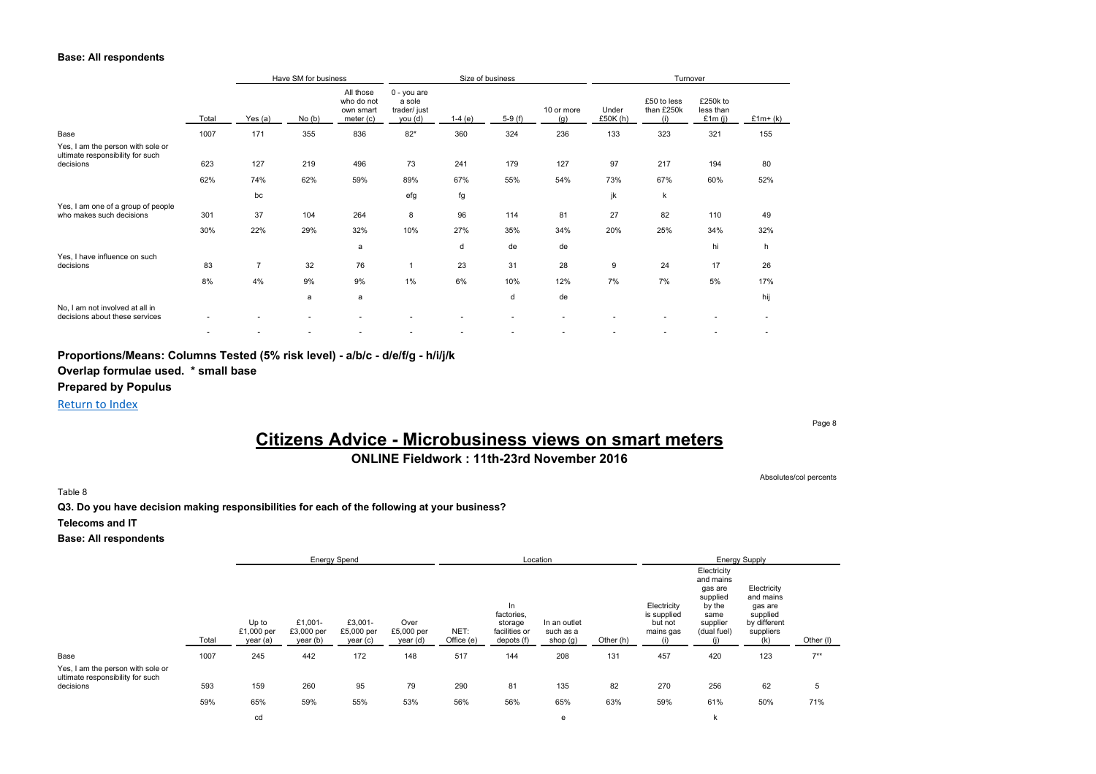#### **Base: All respondents**

|                                                                                    |       | Have SM for business |       |                                                     |                                                  |           | Size of business |                   | Turnover            |                                  |                                    |           |
|------------------------------------------------------------------------------------|-------|----------------------|-------|-----------------------------------------------------|--------------------------------------------------|-----------|------------------|-------------------|---------------------|----------------------------------|------------------------------------|-----------|
|                                                                                    | Total | Yes (a)              | No(b) | All those<br>who do not<br>own smart<br>meter $(c)$ | 0 - you are<br>a sole<br>trader/ just<br>you (d) | 1-4 $(e)$ | $5-9(f)$         | 10 or more<br>(g) | Under<br>£50 $K(h)$ | £50 to less<br>than £250k<br>(i) | £250k to<br>less than<br>£1 $m(j)$ | $£1m+(k)$ |
| Base                                                                               | 1007  | 171                  | 355   | 836                                                 | $82*$                                            | 360       | 324              | 236               | 133                 | 323                              | 321                                | 155       |
| Yes, I am the person with sole or<br>ultimate responsibility for such<br>decisions | 623   | 127                  | 219   | 496                                                 | 73                                               | 241       | 179              | 127               | 97                  | 217                              | 194                                | 80        |
|                                                                                    | 62%   | 74%                  | 62%   | 59%                                                 | 89%                                              | 67%       | 55%              | 54%               | 73%                 | 67%                              | 60%                                | 52%       |
| Yes, I am one of a group of people                                                 |       | bc                   |       |                                                     | efg                                              | fg        |                  |                   | jk                  | k                                |                                    |           |
| who makes such decisions                                                           | 301   | 37                   | 104   | 264                                                 | 8                                                | 96        | 114              | 81                | 27                  | 82                               | 110                                | 49        |
|                                                                                    | 30%   | 22%                  | 29%   | 32%                                                 | 10%                                              | 27%       | 35%              | 34%               | 20%                 | 25%                              | 34%                                | 32%       |
| Yes, I have influence on such                                                      |       |                      |       | a                                                   |                                                  | d         | de               | de                |                     |                                  | hi                                 | h         |
| decisions                                                                          | 83    | $\overline{7}$       | 32    | 76                                                  | $\mathbf{1}$                                     | 23        | 31               | 28                | 9                   | 24                               | 17                                 | 26        |
|                                                                                    | 8%    | 4%                   | 9%    | 9%                                                  | 1%                                               | 6%        | 10%              | 12%               | 7%                  | 7%                               | 5%                                 | 17%       |
| No, I am not involved at all in                                                    |       |                      | a     | a                                                   |                                                  |           | d                | de                |                     |                                  |                                    | hij       |
| decisions about these services                                                     |       |                      |       |                                                     | ٠                                                |           |                  |                   |                     |                                  |                                    |           |
|                                                                                    |       |                      |       |                                                     | ٠                                                |           |                  |                   |                     | ٠                                |                                    |           |

**Proportions/Means: Columns Tested (5% risk level) - a/b/c - d/e/f/g - h/i/j/k**

**Overlap formulae used. \* small base**

**Prepared by Populus**

Return to Index

### Page 8

# **Citizens Advice - Microbusiness views on smart meters**

## **ONLINE Fieldwork : 11th-23rd November 2016**

Absolutes/col percents

Table 8

**Q3. Do you have decision making responsibilities for each of the following at your business?**

**Telecoms and IT**

|                                                                                    |       | <b>Energy Spend</b>             |                                   |                                   | Location                       |                    |                                                             |                                       | <b>Energy Supply</b> |                                                           |                                                                                              |                                                                                     |           |
|------------------------------------------------------------------------------------|-------|---------------------------------|-----------------------------------|-----------------------------------|--------------------------------|--------------------|-------------------------------------------------------------|---------------------------------------|----------------------|-----------------------------------------------------------|----------------------------------------------------------------------------------------------|-------------------------------------------------------------------------------------|-----------|
|                                                                                    | Total | Up to<br>£1,000 per<br>year (a) | £1,001-<br>£3,000 per<br>year (b) | £3,001-<br>£5,000 per<br>year (c) | Over<br>£5,000 per<br>year (d) | NET:<br>Office (e) | In.<br>factories.<br>storage<br>facilities or<br>depots (f) | In an outlet<br>such as a<br>shop (g) | Other (h)            | Electricity<br>is supplied<br>but not<br>mains gas<br>(1) | Electricity<br>and mains<br>gas are<br>supplied<br>by the<br>same<br>supplier<br>(dual fuel) | Electricity<br>and mains<br>gas are<br>supplied<br>by different<br>suppliers<br>(k) | Other (I) |
| Base                                                                               | 1007  | 245                             | 442                               | 172                               | 148                            | 517                | 144                                                         | 208                                   | 131                  | 457                                                       | 420                                                                                          | 123                                                                                 | $7**$     |
| Yes, I am the person with sole or<br>ultimate responsibility for such<br>decisions | 593   | 159                             | 260                               | 95                                | 79                             | 290                | 81                                                          | 135                                   | 82<br>63%            | 270<br>59%                                                | 256<br>61%                                                                                   | 62                                                                                  | 5<br>71%  |
|                                                                                    | 59%   | 65%                             | 59%                               | 55%                               | 53%                            | 56%                | 56%                                                         | 65%                                   |                      |                                                           |                                                                                              | 50%                                                                                 |           |
|                                                                                    |       | cd                              |                                   |                                   |                                |                    |                                                             | e                                     |                      | k                                                         |                                                                                              |                                                                                     |           |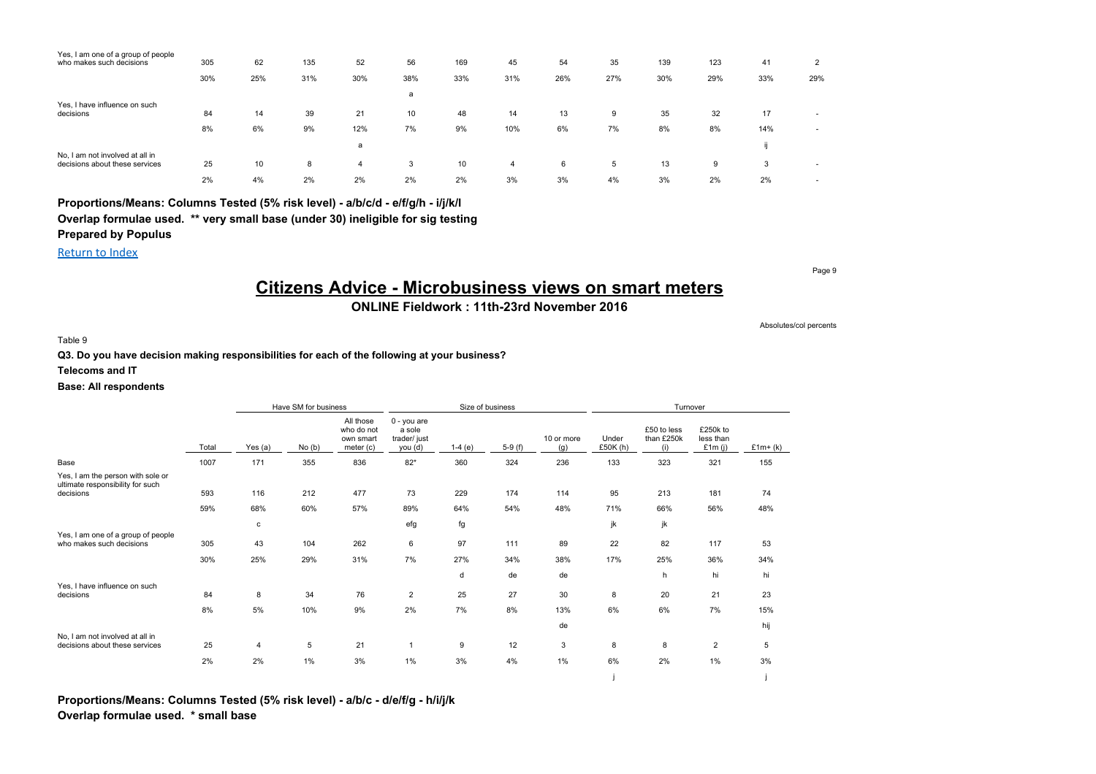| Yes, I am one of a group of people |     |     |     |     |     |     |     |     |     |     |     |     |                          |
|------------------------------------|-----|-----|-----|-----|-----|-----|-----|-----|-----|-----|-----|-----|--------------------------|
| who makes such decisions           | 305 | 62  | 135 | 52  | 56  | 169 | 45  | 54  | 35  | 139 | 123 | 41  | 2                        |
|                                    | 30% | 25% | 31% | 30% | 38% | 33% | 31% | 26% | 27% | 30% | 29% | 33% | 29%                      |
|                                    |     |     |     |     | a   |     |     |     |     |     |     |     |                          |
| Yes, I have influence on such      |     |     |     |     |     |     |     |     |     |     |     |     |                          |
| decisions                          | 84  | 14  | 39  | 21  | 10  | 48  | 14  | 13  | 9   | 35  | 32  | 17  |                          |
|                                    | 8%  | 6%  | 9%  | 12% | 7%  | 9%  | 10% | 6%  | 7%  | 8%  | 8%  | 14% | $\overline{\phantom{a}}$ |
|                                    |     |     |     | a   |     |     |     |     |     |     |     |     |                          |
| No, I am not involved at all in    |     |     |     |     |     |     |     |     |     |     |     |     |                          |
| decisions about these services     | 25  | 10  | 8   | 4   | 3   | 10  | 4   | 6   | 5   | 13  | 9   | 3   |                          |
|                                    | 2%  | 4%  | 2%  | 2%  | 2%  | 2%  | 3%  | 3%  | 4%  | 3%  | 2%  | 2%  |                          |

Return to Index

# **Citizens Advice - Microbusiness views on smart meters**

**ONLINE Fieldwork : 11th-23rd November 2016**

Table 9

**Q3. Do you have decision making responsibilities for each of the following at your business?**

#### **Telecoms and IT**

#### **Base: All respondents**

|                                                                                    |       | Have SM for business<br>Size of business |       |                                                   |                                                   |          |          |                   | Turnover          |                                  |                                    |            |  |
|------------------------------------------------------------------------------------|-------|------------------------------------------|-------|---------------------------------------------------|---------------------------------------------------|----------|----------|-------------------|-------------------|----------------------------------|------------------------------------|------------|--|
|                                                                                    | Total | Yes (a)                                  | No(b) | All those<br>who do not<br>own smart<br>meter (c) | $0 - you are$<br>a sole<br>trader/just<br>you (d) | $1-4(e)$ | $5-9(f)$ | 10 or more<br>(g) | Under<br>£50K (h) | £50 to less<br>than £250k<br>(i) | £250k to<br>less than<br>£1 $m(i)$ | £1 $m+(k)$ |  |
| Base                                                                               | 1007  | 171                                      | 355   | 836                                               | $82*$                                             | 360      | 324      | 236               | 133               | 323                              | 321                                | 155        |  |
| Yes, I am the person with sole or<br>ultimate responsibility for such<br>decisions | 593   | 116                                      | 212   | 477                                               | 73                                                | 229      | 174      | 114               | 95                | 213                              | 181                                | 74         |  |
|                                                                                    | 59%   | 68%                                      | 60%   | 57%                                               | 89%                                               | 64%      | 54%      | 48%               | 71%               | 66%                              | 56%                                | 48%        |  |
|                                                                                    |       |                                          |       |                                                   |                                                   |          |          |                   |                   |                                  |                                    |            |  |
| Yes, I am one of a group of people                                                 |       | c                                        |       |                                                   | efg                                               | fg       |          |                   | jk                | jk                               |                                    |            |  |
| who makes such decisions                                                           | 305   | 43                                       | 104   | 262                                               | 6                                                 | 97       | 111      | 89                | 22                | 82                               | 117                                | 53         |  |
|                                                                                    | 30%   | 25%                                      | 29%   | 31%                                               | 7%                                                | 27%      | 34%      | 38%               | 17%               | 25%                              | 36%                                | 34%        |  |
|                                                                                    |       |                                          |       |                                                   |                                                   | d        | de       | de                |                   | h                                | hi                                 | hi         |  |
| Yes, I have influence on such<br>decisions                                         | 84    | 8                                        | 34    | 76                                                | $\overline{2}$                                    | 25       | 27       | 30                | 8                 | 20                               | 21                                 | 23         |  |
|                                                                                    | 8%    | 5%                                       | 10%   | 9%                                                | 2%                                                | 7%       | 8%       | 13%               | 6%                | 6%                               | 7%                                 | 15%        |  |
|                                                                                    |       |                                          |       |                                                   |                                                   |          |          |                   |                   |                                  |                                    |            |  |
| No. I am not involved at all in                                                    |       |                                          |       |                                                   |                                                   |          |          | de                |                   |                                  |                                    | hij        |  |
| decisions about these services                                                     | 25    | 4                                        | 5     | 21                                                | 1                                                 | 9        | 12       | 3                 | 8                 | 8                                | $\overline{2}$                     | 5          |  |
|                                                                                    | 2%    | 2%                                       | 1%    | 3%                                                | 1%                                                | 3%       | 4%       | 1%                | 6%                | 2%                               | 1%                                 | 3%         |  |
|                                                                                    |       |                                          |       |                                                   |                                                   |          |          |                   |                   |                                  |                                    |            |  |

**Proportions/Means: Columns Tested (5% risk level) - a/b/c - d/e/f/g - h/i/j/k Overlap formulae used. \* small base**

Page 9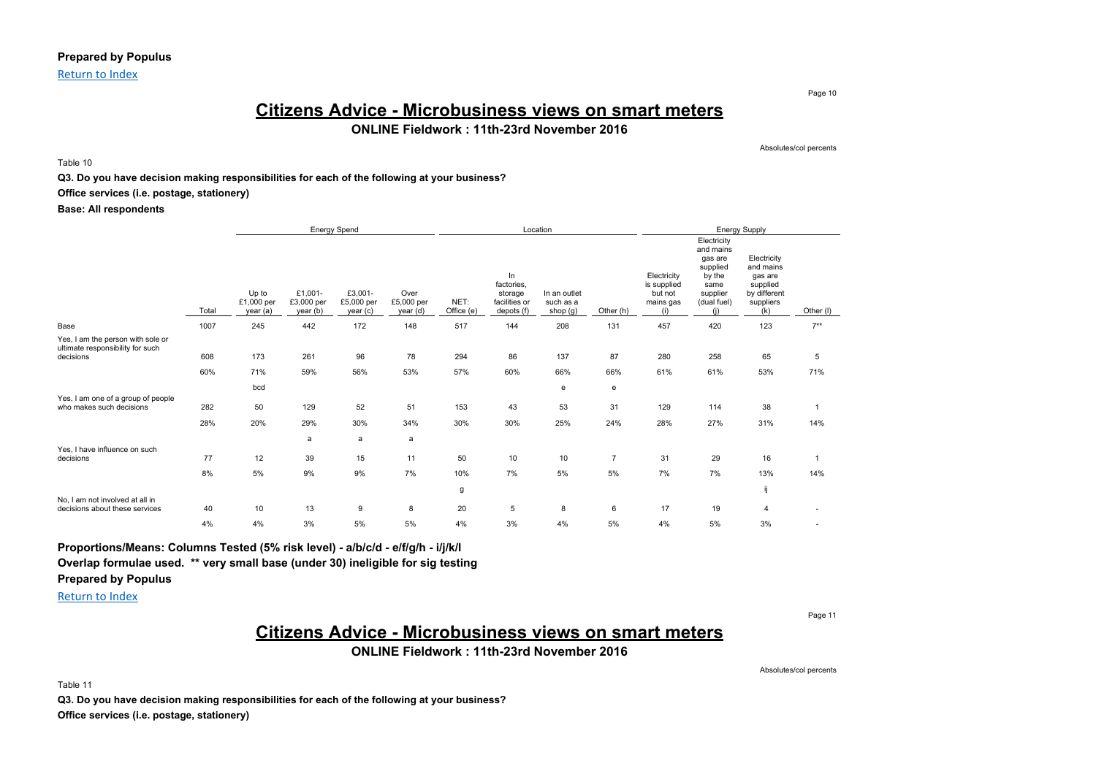### **Prepared by Populus**

Return to Index

## **Citizens Advice - Microbusiness views on smart meters ONLINE Fieldwork : 11th-23rd November 2016**

Table 10

**Q3. Do you have decision making responsibilities for each of the following at your business?**

#### **Office services (i.e. postage, stationery)**

**Base: All respondents**

|                                                                                    |            |                                 | Energy Spend                      |                                  |                                |                    | Location                                                   |                                       |                      |                                                           | Energy Supply                                                                                       |                                                                                     |                       |  |
|------------------------------------------------------------------------------------|------------|---------------------------------|-----------------------------------|----------------------------------|--------------------------------|--------------------|------------------------------------------------------------|---------------------------------------|----------------------|-----------------------------------------------------------|-----------------------------------------------------------------------------------------------------|-------------------------------------------------------------------------------------|-----------------------|--|
|                                                                                    | Total      | Up to<br>£1,000 per<br>year (a) | £1,001-<br>£3,000 per<br>year (b) | £3,001-<br>£5,000 per<br>year(c) | Over<br>£5,000 per<br>year (d) | NET:<br>Office (e) | In<br>factories.<br>storage<br>facilities or<br>depots (f) | In an outlet<br>such as a<br>shop (g) | Other (h)            | Electricity<br>is supplied<br>but not<br>mains gas<br>(i) | Electricity<br>and mains<br>gas are<br>supplied<br>by the<br>same<br>supplier<br>(dual fuel)<br>(i) | Electricity<br>and mains<br>gas are<br>supplied<br>by different<br>suppliers<br>(k) | Other (I)             |  |
| Base                                                                               | 1007       | 245                             | 442                               | 172                              | 148                            | 517                | 144                                                        | 208                                   | 131                  | 457                                                       | 420                                                                                                 | 123                                                                                 | $7***$                |  |
| Yes, I am the person with sole or<br>ultimate responsibility for such<br>decisions | 608<br>60% | 173<br>71%                      | 261<br>59%                        | 96<br>56%                        | 78<br>53%                      | 294<br>57%         | 86<br>60%                                                  | 137<br>66%                            | 87<br>66%            | 280<br>61%                                                | 258<br>61%                                                                                          | 65<br>53%                                                                           | 5<br>71%              |  |
|                                                                                    |            | bcd                             |                                   |                                  |                                |                    |                                                            | e                                     | e                    |                                                           |                                                                                                     |                                                                                     |                       |  |
| Yes, I am one of a group of people<br>who makes such decisions                     | 282<br>28% | 50<br>20%                       | 129<br>29%                        | 52<br>30%                        | 51<br>34%                      | 153<br>30%         | 43<br>30%                                                  | 53<br>25%                             | 31<br>24%            | 129<br>28%                                                | 114<br>27%                                                                                          | 38<br>31%                                                                           | $\mathbf{1}$<br>14%   |  |
|                                                                                    |            |                                 | a                                 | a                                | a                              |                    |                                                            |                                       |                      |                                                           |                                                                                                     |                                                                                     |                       |  |
| Yes, I have influence on such<br>decisions                                         | 77<br>8%   | 12<br>5%                        | 39<br>9%                          | 15<br>9%                         | 11<br>7%                       | 50<br>10%          | 10<br>7%                                                   | 10<br>5%                              | $\overline{7}$<br>5% | 31<br>7%                                                  | 29<br>7%                                                                                            | 16<br>13%                                                                           | $\overline{1}$<br>14% |  |
|                                                                                    |            |                                 |                                   |                                  |                                | g                  |                                                            |                                       |                      |                                                           |                                                                                                     | ij                                                                                  |                       |  |
| No. I am not involved at all in<br>decisions about these services                  | 40<br>4%   | 10<br>4%                        | 13<br>3%                          | 9<br>5%                          | 8<br>5%                        | 20<br>4%           | 5<br>3%                                                    | 8<br>4%                               | 6<br>5%              | 17<br>4%                                                  | 19                                                                                                  | $\overline{4}$<br>3%                                                                |                       |  |
|                                                                                    |            |                                 |                                   |                                  |                                |                    |                                                            |                                       |                      |                                                           | 5%                                                                                                  |                                                                                     |                       |  |

### **Proportions/Means: Columns Tested (5% risk level) - a/b/c/d - e/f/g/h - i/j/k/l**

**Overlap formulae used. \*\* very small base (under 30) ineligible for sig testing**

**Prepared by Populus**

Return to Index

Page 11

# **Citizens Advice - Microbusiness views on smart meters**

**ONLINE Fieldwork : 11th-23rd November 2016**

Absolutes/col percents

Table 11

**Q3. Do you have decision making responsibilities for each of the following at your business? Office services (i.e. postage, stationery)**

Page 10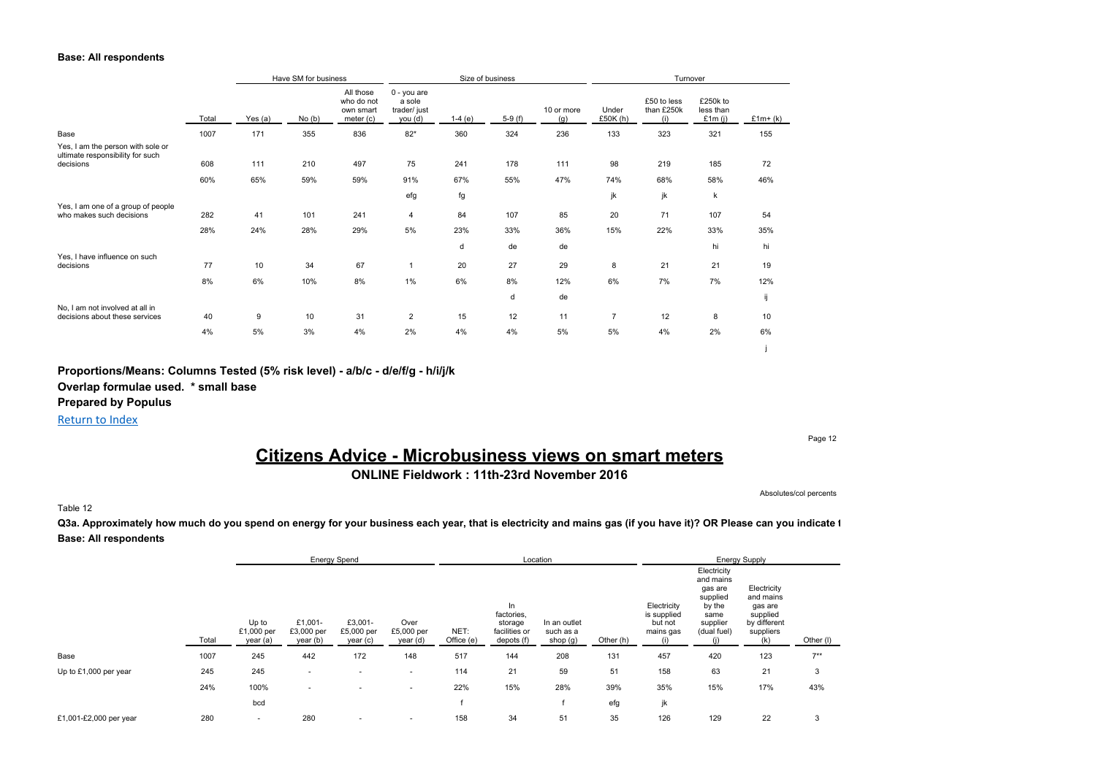#### **Base: All respondents**

|                                                                       |       |           | Have SM for business |                                                   | Size of business                                |          |          |                   |                     | Turnover                         |                                    |           |
|-----------------------------------------------------------------------|-------|-----------|----------------------|---------------------------------------------------|-------------------------------------------------|----------|----------|-------------------|---------------------|----------------------------------|------------------------------------|-----------|
|                                                                       | Total | Yes $(a)$ | No(b)                | All those<br>who do not<br>own smart<br>meter (c) | 0 - you are<br>a sole<br>trader/just<br>you (d) | $1-4(e)$ | $5-9(f)$ | 10 or more<br>(g) | Under<br>£50 $K(h)$ | £50 to less<br>than £250k<br>(i) | £250k to<br>less than<br>£1m $(i)$ | $£1m+(k)$ |
| Base                                                                  | 1007  | 171       | 355                  | 836                                               | $82*$                                           | 360      | 324      | 236               | 133                 | 323                              | 321                                | 155       |
| Yes, I am the person with sole or<br>ultimate responsibility for such |       |           |                      |                                                   |                                                 |          |          |                   |                     |                                  |                                    |           |
| decisions                                                             | 608   | 111       | 210                  | 497                                               | 75                                              | 241      | 178      | 111               | 98                  | 219                              | 185                                | 72        |
|                                                                       | 60%   | 65%       | 59%                  | 59%                                               | 91%                                             | 67%      | 55%      | 47%               | 74%                 | 68%                              | 58%                                | 46%       |
|                                                                       |       |           |                      |                                                   | efg                                             | fg       |          |                   | jk                  | jk                               | $\sf k$                            |           |
| Yes, I am one of a group of people<br>who makes such decisions        | 282   | 41        | 101                  | 241                                               | $\overline{4}$                                  | 84       | 107      | 85                | 20                  | 71                               | 107                                | 54        |
|                                                                       | 28%   | 24%       | 28%                  | 29%                                               | 5%                                              | 23%      | 33%      | 36%               | 15%                 | 22%                              | 33%                                | 35%       |
|                                                                       |       |           |                      |                                                   |                                                 | d        | de       | de                |                     |                                  | hi                                 | hi        |
| Yes, I have influence on such<br>decisions                            | 77    | 10        | 34                   | 67                                                | $\mathbf{1}$                                    | 20       | 27       | 29                | 8                   | 21                               | 21                                 | 19        |
|                                                                       | 8%    | 6%        | 10%                  | 8%                                                | 1%                                              | 6%       | 8%       | 12%               | 6%                  | 7%                               | 7%                                 | 12%       |
|                                                                       |       |           |                      |                                                   |                                                 |          | d        | de                |                     |                                  |                                    | ij        |
| No, I am not involved at all in<br>decisions about these services     | 40    | 9         | 10                   | 31                                                | $\overline{c}$                                  | 15       | 12       | 11                | $\overline{7}$      | 12                               | 8                                  | 10        |
|                                                                       | 4%    | 5%        | 3%                   | 4%                                                | 2%                                              | 4%       | 4%       | 5%                | 5%                  | 4%                               | 2%                                 | 6%        |
|                                                                       |       |           |                      |                                                   |                                                 |          |          |                   |                     |                                  |                                    |           |

### **Proportions/Means: Columns Tested (5% risk level) - a/b/c - d/e/f/g - h/i/j/k**

**Overlap formulae used. \* small base**

**Prepared by Populus**

Return to Index

Page 12

# **Citizens Advice - Microbusiness views on smart meters**

**ONLINE Fieldwork : 11th-23rd November 2016**

Absolutes/col percents

#### Table 12

Q3a. Approximately how much do you spend on energy for your business each year, that is electricity and mains gas (if you have it)? OR Please can you indicate 1 **Base: All respondents**

|                        |       |                                 | <b>Energy Spend</b>               |                                   |                                |                    |                                                            | Location                              |           |                                                    |                                                                                              | <b>Energy Supply</b>                                                                |           |
|------------------------|-------|---------------------------------|-----------------------------------|-----------------------------------|--------------------------------|--------------------|------------------------------------------------------------|---------------------------------------|-----------|----------------------------------------------------|----------------------------------------------------------------------------------------------|-------------------------------------------------------------------------------------|-----------|
|                        | Total | Up to<br>£1,000 per<br>year (a) | £1,001-<br>£3,000 per<br>year (b) | £3,001-<br>£5,000 per<br>year (c) | Over<br>£5,000 per<br>year (d) | NET:<br>Office (e) | In<br>factories,<br>storage<br>facilities or<br>depots (f) | In an outlet<br>such as a<br>shop (g) | Other (h) | Electricity<br>is supplied<br>but not<br>mains gas | Electricity<br>and mains<br>gas are<br>supplied<br>by the<br>same<br>supplier<br>(dual fuel) | Electricity<br>and mains<br>gas are<br>supplied<br>by different<br>suppliers<br>(k) | Other (I) |
| Base                   | 1007  | 245                             | 442                               | 172                               | 148                            | 517                | 144                                                        | 208                                   | 131       | 457                                                | 420                                                                                          | 123                                                                                 | $7***$    |
| Up to £1,000 per year  | 245   | 245                             | ٠                                 | ۰                                 | $\sim$                         | 114                | 21                                                         | 59                                    | 51        | 158                                                | 63                                                                                           | 21                                                                                  | 3         |
|                        | 24%   | 100%                            | $\overline{\phantom{a}}$          | ۰                                 | $\sim$                         | 22%                | 15%                                                        | 28%                                   | 39%       | 35%                                                | 15%                                                                                          | 17%                                                                                 | 43%       |
|                        |       | bcd                             |                                   |                                   |                                |                    |                                                            |                                       | efg       | jk                                                 |                                                                                              |                                                                                     |           |
| £1,001-£2,000 per year | 280   | $\overline{\phantom{a}}$        | 280                               | ۰                                 |                                | 158                | 34                                                         | 51                                    | 35        | 126                                                | 129                                                                                          | 22                                                                                  | 3         |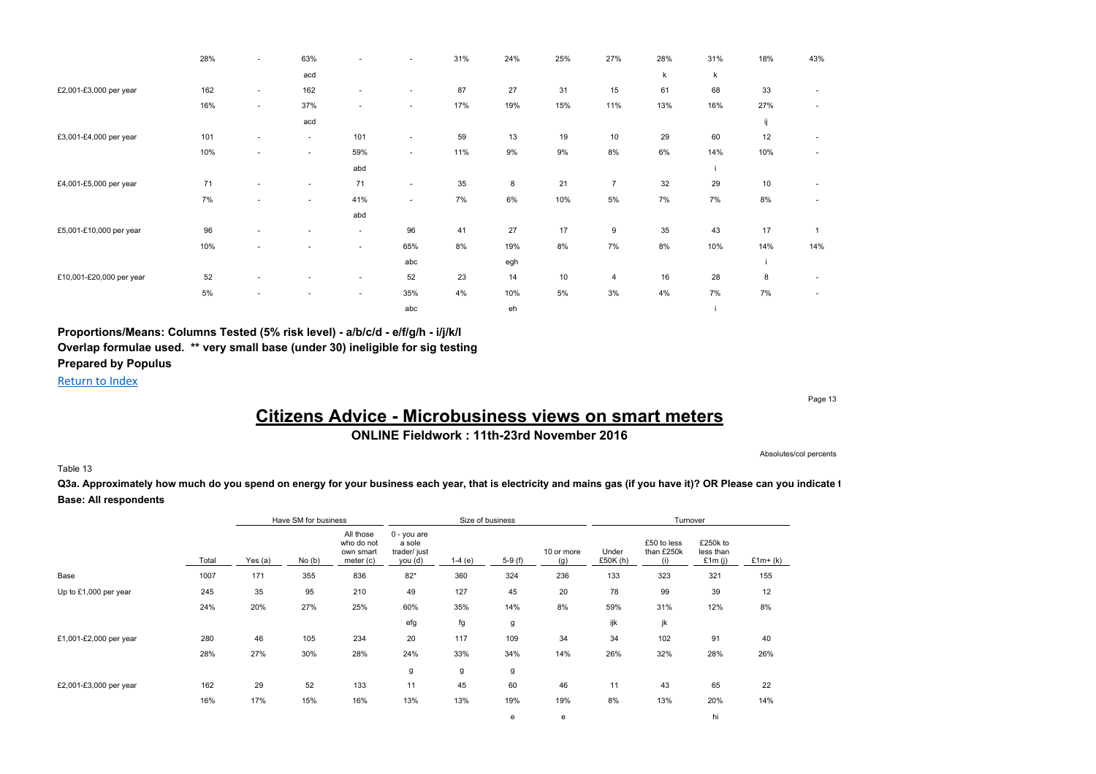|                          | 28% | $\sim$ | 63%                      | ٠                        | ٠      | 31% | 24% | 25% | 27%            | 28% | 31% | 18% | 43%          |
|--------------------------|-----|--------|--------------------------|--------------------------|--------|-----|-----|-----|----------------|-----|-----|-----|--------------|
|                          |     |        | acd                      |                          |        |     |     |     |                | k   | k   |     |              |
| £2,001-£3,000 per year   | 162 | $\sim$ | 162                      | $\sim$                   | $\sim$ | 87  | 27  | 31  | 15             | 61  | 68  | 33  |              |
|                          | 16% | $\sim$ | 37%                      | $\sim$                   | $\sim$ | 17% | 19% | 15% | 11%            | 13% | 16% | 27% |              |
|                          |     |        | acd                      |                          |        |     |     |     |                |     |     | ij  |              |
| £3,001-£4,000 per year   | 101 |        | ۰.                       | 101                      | ٠      | 59  | 13  | 19  | 10             | 29  | 60  | 12  |              |
|                          | 10% | $\sim$ | $\sim$                   | 59%                      | $\sim$ | 11% | 9%  | 9%  | 8%             | 6%  | 14% | 10% |              |
|                          |     |        |                          | abd                      |        |     |     |     |                |     |     |     |              |
| £4,001-£5,000 per year   | 71  | $\sim$ | $\sim$                   | 71                       | $\sim$ | 35  | 8   | 21  | $\overline{7}$ | 32  | 29  | 10  |              |
|                          | 7%  | $\sim$ | $\sim$                   | 41%                      | $\sim$ | 7%  | 6%  | 10% | $5\%$          | 7%  | 7%  | 8%  |              |
|                          |     |        |                          | abd                      |        |     |     |     |                |     |     |     |              |
| £5,001-£10,000 per year  | 96  | $\sim$ | $\overline{\phantom{a}}$ | $\overline{\phantom{a}}$ | 96     | 41  | 27  | 17  | 9              | 35  | 43  | 17  | $\mathbf{1}$ |
|                          | 10% | ÷      |                          | $\sim$                   | 65%    | 8%  | 19% | 8%  | 7%             | 8%  | 10% | 14% | 14%          |
|                          |     |        |                          |                          | abc    |     | egh |     |                |     |     |     |              |
| £10,001-£20,000 per year | 52  |        |                          | $\sim$                   | 52     | 23  | 14  | 10  | 4              | 16  | 28  | 8   |              |
|                          | 5%  |        |                          | $\sim$                   | 35%    | 4%  | 10% | 5%  | 3%             | 4%  | 7%  | 7%  |              |
|                          |     |        |                          |                          | abc    |     | eh  |     |                |     |     |     |              |

Return to Index

Page 13

Absolutes/col percents

# **Citizens Advice - Microbusiness views on smart meters**

**ONLINE Fieldwork : 11th-23rd November 2016**

#### Table 13

Q3a. Approximately how much do you spend on energy for your business each year, that is electricity and mains gas (if you have it)? OR Please can you indicate 1 **Base: All respondents**

|                        |       |           | Have SM for business |                                                   | Size of business                                 |          |          |                   |                     | Turnover                         |                                    |             |
|------------------------|-------|-----------|----------------------|---------------------------------------------------|--------------------------------------------------|----------|----------|-------------------|---------------------|----------------------------------|------------------------------------|-------------|
|                        | Total | Yes $(a)$ | No(b)                | All those<br>who do not<br>own smart<br>meter (c) | 0 - you are<br>a sole<br>trader/ just<br>you (d) | $1-4(e)$ | $5-9(f)$ | 10 or more<br>(g) | Under<br>£50 $K(h)$ | £50 to less<br>than £250k<br>(i) | £250k to<br>less than<br>£1 $m(i)$ | £ $1m+ (k)$ |
| Base                   | 1007  | 171       | 355                  | 836                                               | $82*$                                            | 360      | 324      | 236               | 133                 | 323                              | 321                                | 155         |
| Up to £1,000 per year  | 245   | 35        | 95                   | 210                                               | 49                                               | 127      | 45       | 20                | 78                  | 99                               | 39                                 | 12          |
|                        | 24%   | 20%       | 27%                  | 25%                                               | 60%                                              | 35%      | 14%      | 8%                | 59%                 | 31%                              | 12%                                | 8%          |
|                        |       |           |                      |                                                   | efg                                              | fg       | g        |                   | ijk                 | jk                               |                                    |             |
| £1,001-£2,000 per year | 280   | 46        | 105                  | 234                                               | 20                                               | 117      | 109      | 34                | 34                  | 102                              | 91                                 | 40          |
|                        | 28%   | 27%       | 30%                  | 28%                                               | 24%                                              | 33%      | 34%      | 14%               | 26%                 | 32%                              | 28%                                | 26%         |
|                        |       |           |                      |                                                   | g                                                | g        | g        |                   |                     |                                  |                                    |             |
| £2,001-£3,000 per year | 162   | 29        | 52                   | 133                                               | 11                                               | 45       | 60       | 46                | 11                  | 43                               | 65                                 | 22          |
|                        | 16%   | 17%       | 15%                  | 16%                                               | 13%                                              | 13%      | 19%      | 19%               | 8%                  | 13%                              | 20%                                | 14%         |
|                        |       |           |                      |                                                   |                                                  |          | е        | е                 |                     |                                  | hi                                 |             |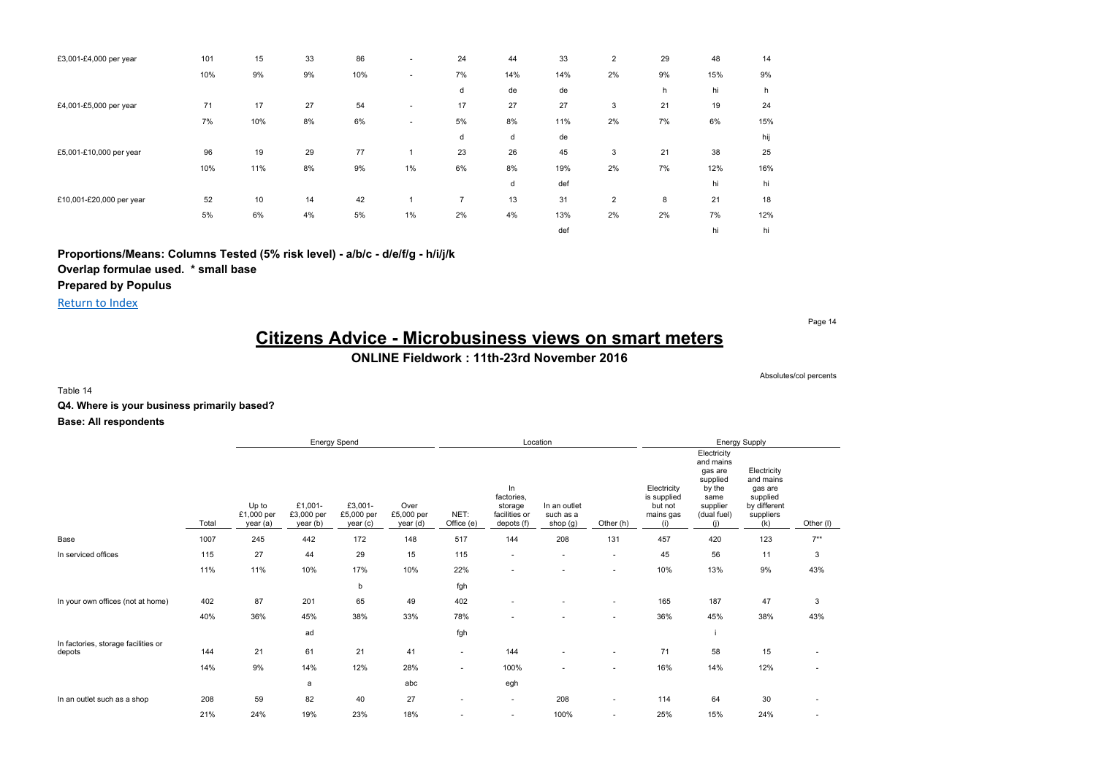| £3,001-£4,000 per year   | 101 | 15  | 33 | 86  | ٠                        | 24 | 44  | 33  | 2              | 29 | 48  | 14  |
|--------------------------|-----|-----|----|-----|--------------------------|----|-----|-----|----------------|----|-----|-----|
|                          | 10% | 9%  | 9% | 10% | $\sim$                   | 7% | 14% | 14% | 2%             | 9% | 15% | 9%  |
|                          |     |     |    |     |                          | d  | de  | de  |                | h  | hi  | h   |
| £4,001-£5,000 per year   | 71  | 17  | 27 | 54  | $\overline{\phantom{a}}$ | 17 | 27  | 27  | 3              | 21 | 19  | 24  |
|                          | 7%  | 10% | 8% | 6%  | $\overline{\phantom{a}}$ | 5% | 8%  | 11% | 2%             | 7% | 6%  | 15% |
|                          |     |     |    |     |                          | d  | d   | de  |                |    |     | hij |
| £5,001-£10,000 per year  | 96  | 19  | 29 | 77  |                          | 23 | 26  | 45  | 3              | 21 | 38  | 25  |
|                          | 10% | 11% | 8% | 9%  | 1%                       | 6% | 8%  | 19% | 2%             | 7% | 12% | 16% |
|                          |     |     |    |     |                          |    | d   | def |                |    | hi  | hi  |
| £10,001-£20,000 per year | 52  | 10  | 14 | 42  |                          | 7  | 13  | 31  | $\overline{2}$ | 8  | 21  | 18  |
|                          | 5%  | 6%  | 4% | 5%  | $1\%$                    | 2% | 4%  | 13% | 2%             | 2% | 7%  | 12% |
|                          |     |     |    |     |                          |    |     | def |                |    | hi  | hi  |

**Proportions/Means: Columns Tested (5% risk level) - a/b/c - d/e/f/g - h/i/j/k**

**Overlap formulae used. \* small base**

**Prepared by Populus**

Return to Index

Page 14

# **Citizens Advice - Microbusiness views on smart meters**

## **ONLINE Fieldwork : 11th-23rd November 2016**

Absolutes/col percents

Table 14

**Q4. Where is your business primarily based?**

|                                               |       |                                 | Energy Spend                      |                                   |                                |                    |                                                            | Location                              |                          |                                                           |                                                                                                     | Energy Supply                                                                       |                          |
|-----------------------------------------------|-------|---------------------------------|-----------------------------------|-----------------------------------|--------------------------------|--------------------|------------------------------------------------------------|---------------------------------------|--------------------------|-----------------------------------------------------------|-----------------------------------------------------------------------------------------------------|-------------------------------------------------------------------------------------|--------------------------|
|                                               | Total | Up to<br>£1,000 per<br>year (a) | £1,001-<br>£3,000 per<br>year (b) | £3,001-<br>£5,000 per<br>year (c) | Over<br>£5,000 per<br>year (d) | NET:<br>Office (e) | In<br>factories,<br>storage<br>facilities or<br>depots (f) | In an outlet<br>such as a<br>shop (g) | Other (h)                | Electricity<br>is supplied<br>but not<br>mains gas<br>(i) | Electricity<br>and mains<br>gas are<br>supplied<br>by the<br>same<br>supplier<br>(dual fuel)<br>(i) | Electricity<br>and mains<br>gas are<br>supplied<br>by different<br>suppliers<br>(k) | Other (I)                |
| Base                                          | 1007  | 245                             | 442                               | 172                               | 148                            | 517                | 144                                                        | 208                                   | 131                      | 457                                                       | 420                                                                                                 | 123                                                                                 | $7**$                    |
| In serviced offices                           | 115   | 27                              | 44                                | 29                                | 15                             | 115                | $\sim$                                                     | ٠                                     | $\sim$                   | 45                                                        | 56                                                                                                  | 11                                                                                  | 3                        |
|                                               | 11%   | 11%                             | 10%                               | 17%                               | 10%                            | 22%                | $\overline{\phantom{a}}$                                   | ۰                                     | ٠                        | 10%                                                       | 13%                                                                                                 | 9%                                                                                  | 43%                      |
|                                               |       |                                 |                                   | b                                 |                                | fgh                |                                                            |                                       |                          |                                                           |                                                                                                     |                                                                                     |                          |
| In your own offices (not at home)             | 402   | 87                              | 201                               | 65                                | 49                             | 402                |                                                            |                                       | $\overline{\phantom{a}}$ | 165                                                       | 187                                                                                                 | 47                                                                                  | 3                        |
|                                               | 40%   | 36%                             | 45%                               | 38%                               | 33%                            | 78%                |                                                            |                                       | ٠                        | 36%                                                       | 45%                                                                                                 | 38%                                                                                 | 43%                      |
|                                               |       |                                 | ad                                |                                   |                                | fgh                |                                                            |                                       |                          |                                                           |                                                                                                     |                                                                                     |                          |
| In factories, storage facilities or<br>depots | 144   | 21                              | 61                                | 21                                | 41                             | $\sim$             | 144                                                        | $\overline{\phantom{a}}$              | ٠                        | 71                                                        | 58                                                                                                  | 15                                                                                  | ٠                        |
|                                               | 14%   | 9%                              | 14%                               | 12%                               | 28%                            | $\sim$             | 100%                                                       | ٠                                     | $\overline{\phantom{a}}$ | 16%                                                       | 14%                                                                                                 | 12%                                                                                 | $\overline{\phantom{a}}$ |
|                                               |       |                                 | a                                 |                                   | abc                            |                    | egh                                                        |                                       |                          |                                                           |                                                                                                     |                                                                                     |                          |
| In an outlet such as a shop                   | 208   | 59                              | 82                                | 40                                | 27                             | $\sim$             | $\sim$                                                     | 208                                   | $\overline{\phantom{a}}$ | 114                                                       | 64                                                                                                  | 30                                                                                  |                          |
|                                               | 21%   | 24%                             | 19%                               | 23%                               | 18%                            | $\sim$             |                                                            | 100%                                  | ٠                        | 25%                                                       | 15%                                                                                                 | 24%                                                                                 |                          |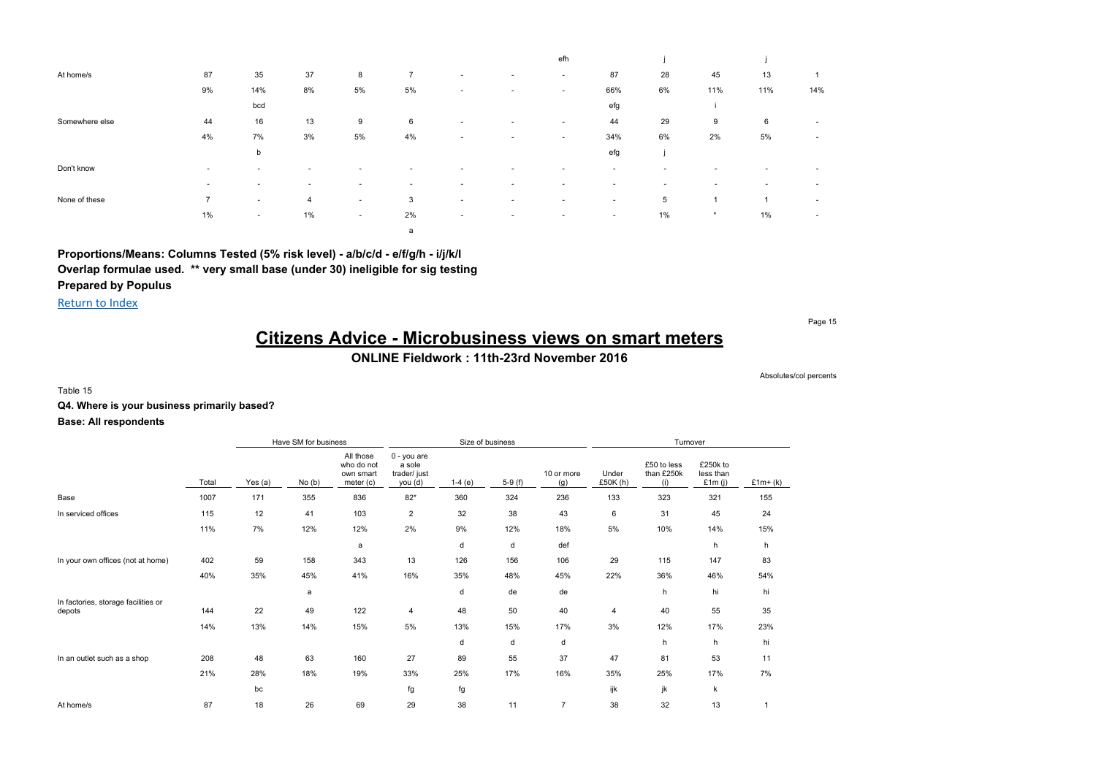|                |                          |                          |                          |                          |                          |                          |                          | efh                      |                          |                          |                          |                          |                          |
|----------------|--------------------------|--------------------------|--------------------------|--------------------------|--------------------------|--------------------------|--------------------------|--------------------------|--------------------------|--------------------------|--------------------------|--------------------------|--------------------------|
| At home/s      | 87                       | 35                       | 37                       | 8                        | 7                        | $\overline{\phantom{a}}$ | $\sim$                   | $\sim$                   | 87                       | 28                       | 45                       | 13                       |                          |
|                | 9%                       | 14%                      | 8%                       | 5%                       | 5%                       | $\overline{\phantom{a}}$ | $\overline{\phantom{a}}$ | $\overline{\phantom{a}}$ | 66%                      | 6%                       | 11%                      | 11%                      | 14%                      |
|                |                          | bcd                      |                          |                          |                          |                          |                          |                          | efg                      |                          |                          |                          |                          |
| Somewhere else | 44                       | 16                       | 13                       | 9                        | 6                        | ۰                        | $\sim$                   | $\overline{\phantom{a}}$ | 44                       | 29                       | 9                        | 6                        | $\overline{\phantom{a}}$ |
|                | 4%                       | 7%                       | 3%                       | 5%                       | 4%                       | $\sim$                   | $\sim$                   | $\overline{\phantom{a}}$ | 34%                      | 6%                       | 2%                       | 5%                       | $\overline{\phantom{a}}$ |
|                |                          | b                        |                          |                          |                          |                          |                          |                          | efg                      |                          |                          |                          |                          |
| Don't know     | . .                      | . .                      | $\overline{\phantom{a}}$ | . .                      | $\overline{\phantom{a}}$ | ۰                        |                          | $\overline{\phantom{a}}$ | $\sim$                   | $\overline{\phantom{a}}$ |                          |                          | $\sim$                   |
|                | $\overline{\phantom{a}}$ | $\overline{\phantom{a}}$ | $\overline{\phantom{a}}$ | $\overline{\phantom{a}}$ | $\sim$                   | $\overline{\phantom{a}}$ | $\sim$                   | $\overline{\phantom{a}}$ | $\overline{\phantom{a}}$ | ۰                        | $\overline{\phantom{a}}$ | $\overline{\phantom{a}}$ | $\overline{\phantom{a}}$ |
| None of these  | $\overline{7}$           | $\sim$                   | $\overline{4}$           | $\sim$                   | 3                        | $\overline{\phantom{a}}$ | $\sim$                   | $\overline{\phantom{a}}$ | $\overline{\phantom{a}}$ | 5                        |                          |                          | $\overline{\phantom{a}}$ |
|                | 1%                       | $\sim$                   | 1%                       | $\sim$                   | 2%                       | $\overline{\phantom{a}}$ | $\overline{\phantom{a}}$ | $\sim$                   | $\overline{\phantom{a}}$ | 1%                       | $\star$                  | 1%                       | $\overline{\phantom{a}}$ |
|                |                          |                          |                          |                          | a                        |                          |                          |                          |                          |                          |                          |                          |                          |

Return to Index

Page 15

# **Citizens Advice - Microbusiness views on smart meters**

## **ONLINE Fieldwork : 11th-23rd November 2016**

Absolutes/col percents

Table 15

## **Q4. Where is your business primarily based?**

|                                               |       |         | Have SM for business |                                                     | Size of business                                 |          |          |                   |                   | Turnover                         |                                  |           |
|-----------------------------------------------|-------|---------|----------------------|-----------------------------------------------------|--------------------------------------------------|----------|----------|-------------------|-------------------|----------------------------------|----------------------------------|-----------|
|                                               | Total | Yes (a) | No(b)                | All those<br>who do not<br>own smart<br>meter $(c)$ | 0 - you are<br>a sole<br>trader/ just<br>you (d) | $1-4(e)$ | $5-9(f)$ | 10 or more<br>(g) | Under<br>£50K (h) | £50 to less<br>than £250k<br>(i) | £250k to<br>less than<br>£1m (i) | $£1m+(k)$ |
| Base                                          | 1007  | 171     | 355                  | 836                                                 | $82*$                                            | 360      | 324      | 236               | 133               | 323                              | 321                              | 155       |
| In serviced offices                           | 115   | 12      | 41                   | 103                                                 | $\overline{\mathbf{c}}$                          | 32       | 38       | 43                | 6                 | 31                               | 45                               | 24        |
|                                               | 11%   | 7%      | 12%                  | 12%                                                 | 2%                                               | 9%       | 12%      | 18%               | 5%                | 10%                              | 14%                              | 15%       |
|                                               |       |         |                      | a                                                   |                                                  | d        | d        | def               |                   |                                  | h                                | h         |
| In your own offices (not at home)             | 402   | 59      | 158                  | 343                                                 | 13                                               | 126      | 156      | 106               | 29                | 115                              | 147                              | 83        |
|                                               | 40%   | 35%     | 45%                  | 41%                                                 | 16%                                              | 35%      | 48%      | 45%               | 22%               | 36%                              | 46%                              | 54%       |
|                                               |       |         | a                    |                                                     |                                                  | d        | de       | de                |                   | h                                | hi                               | hi        |
| In factories, storage facilities or<br>depots | 144   | 22      | 49                   | 122                                                 | 4                                                | 48       | 50       | 40                | $\overline{4}$    | 40                               | 55                               | 35        |
|                                               | 14%   | 13%     | 14%                  | 15%                                                 | 5%                                               | 13%      | 15%      | 17%               | 3%                | 12%                              | 17%                              | 23%       |
|                                               |       |         |                      |                                                     |                                                  | d        | d        | d                 |                   | h                                | h                                | hi        |
| In an outlet such as a shop                   | 208   | 48      | 63                   | 160                                                 | 27                                               | 89       | 55       | 37                | 47                | 81                               | 53                               | 11        |
|                                               | 21%   | 28%     | 18%                  | 19%                                                 | 33%                                              | 25%      | 17%      | 16%               | 35%               | 25%                              | 17%                              | 7%        |
|                                               |       | bc      |                      |                                                     | fg                                               | fg       |          |                   | ijk               | jk                               | k                                |           |
| At home/s                                     | 87    | 18      | 26                   | 69                                                  | 29                                               | 38       | 11       | $\overline{7}$    | 38                | 32                               | 13                               | 1         |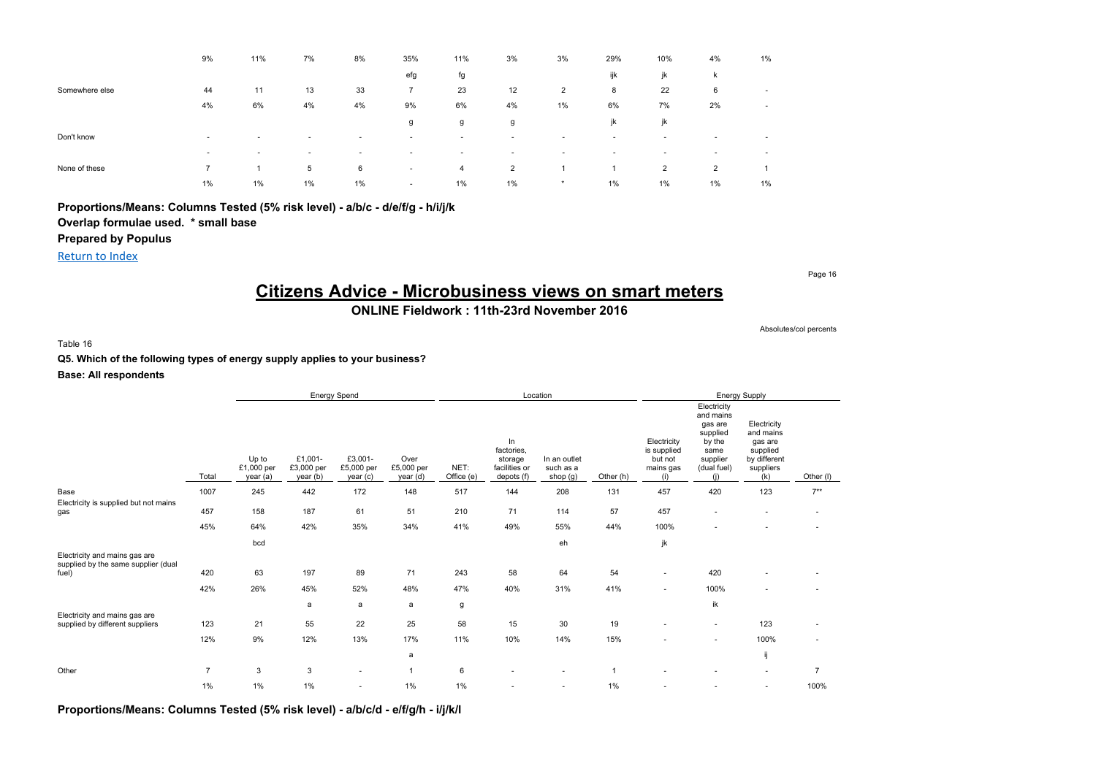|                | 9%             | 11%                      | 7%                       | 8%     | 35%                      | 11%                      | 3%                       | 3%                       | 29%                      | 10%                      | 4%                       | 1%                       |
|----------------|----------------|--------------------------|--------------------------|--------|--------------------------|--------------------------|--------------------------|--------------------------|--------------------------|--------------------------|--------------------------|--------------------------|
|                |                |                          |                          |        | efg                      | fg                       |                          |                          | ijk                      | jk                       | ĸ                        |                          |
| Somewhere else | 44             | 11                       | 13                       | 33     | 7                        | 23                       | 12                       | 2                        | 8                        | 22                       | 6                        | $\overline{\phantom{a}}$ |
|                | 4%             | 6%                       | 4%                       | 4%     | 9%                       | 6%                       | 4%                       | 1%                       | 6%                       | 7%                       | 2%                       | $\overline{\phantom{a}}$ |
|                |                |                          |                          |        | g                        | g                        | g                        |                          | jk                       | jk                       |                          |                          |
| Don't know     | $\sim$         | $\sim$                   | $\sim$                   | $\sim$ | $\sim$                   | ۰                        |                          | $\overline{\phantom{a}}$ | $\overline{\phantom{a}}$ | $\overline{\phantom{a}}$ | $\overline{\phantom{a}}$ | $\sim$                   |
|                | $\sim$         | $\overline{\phantom{a}}$ | $\overline{\phantom{a}}$ | ۰      | $\overline{\phantom{a}}$ | $\overline{\phantom{a}}$ | $\overline{\phantom{a}}$ | $\overline{\phantom{a}}$ |                          | $\overline{\phantom{a}}$ | $\sim$                   | $\sim$                   |
| None of these  | $\overline{7}$ | и                        | 5                        | 6      | $\overline{\phantom{a}}$ | 4                        | $\overline{2}$           |                          |                          | $\overline{2}$           | $\overline{2}$           |                          |
|                | 1%             | $1\%$                    | 1%                       | $1\%$  | $\sim$                   | $1\%$                    | $1\%$                    | $\star$                  | $1\%$                    | 1%                       | $1\%$                    | 1%                       |

**Proportions/Means: Columns Tested (5% risk level) - a/b/c - d/e/f/g - h/i/j/k**

# **Overlap formulae used. \* small base**

## **Prepared by Populus**

Return to Index

# **Citizens Advice - Microbusiness views on smart meters**

**ONLINE Fieldwork : 11th-23rd November 2016**

Table 16

**Q5. Which of the following types of energy supply applies to your business?**

**Base: All respondents**

|                                                                               |                |                                 | Energy Spend                      |                                  |                                |                    |                                                            | Location                              |           |                                                           |                                                                                                     | <b>Energy Supply</b>                                                                |                |
|-------------------------------------------------------------------------------|----------------|---------------------------------|-----------------------------------|----------------------------------|--------------------------------|--------------------|------------------------------------------------------------|---------------------------------------|-----------|-----------------------------------------------------------|-----------------------------------------------------------------------------------------------------|-------------------------------------------------------------------------------------|----------------|
|                                                                               | Total          | Up to<br>£1,000 per<br>year (a) | £1,001-<br>£3,000 per<br>year (b) | £3,001-<br>£5,000 per<br>year(c) | Over<br>£5,000 per<br>year (d) | NET:<br>Office (e) | In<br>factories,<br>storage<br>facilities or<br>depots (f) | In an outlet<br>such as a<br>shop (g) | Other (h) | Electricity<br>is supplied<br>but not<br>mains gas<br>(i) | Electricity<br>and mains<br>gas are<br>supplied<br>by the<br>same<br>supplier<br>(dual fuel)<br>(i) | Electricity<br>and mains<br>gas are<br>supplied<br>by different<br>suppliers<br>(k) | Other (I)      |
| Base                                                                          | 1007           | 245                             | 442                               | 172                              | 148                            | 517                | 144                                                        | 208                                   | 131       | 457                                                       | 420                                                                                                 | 123                                                                                 | $7**$          |
| Electricity is supplied but not mains<br>gas                                  | 457            | 158                             | 187                               | 61                               | 51                             | 210                | 71                                                         | 114                                   | 57        | 457                                                       | $\sim$                                                                                              | $\overline{\phantom{a}}$                                                            | ٠              |
|                                                                               | 45%            | 64%                             | 42%                               | 35%                              | 34%                            | 41%                | 49%                                                        | 55%                                   | 44%       | 100%                                                      | $\overline{\phantom{a}}$                                                                            |                                                                                     |                |
|                                                                               |                | bcd                             |                                   |                                  |                                |                    |                                                            | eh                                    |           | jk                                                        |                                                                                                     |                                                                                     |                |
| Electricity and mains gas are<br>supplied by the same supplier (dual<br>fuel) | 420            | 63                              | 197                               | 89                               | 71                             | 243                | 58                                                         | 64                                    | 54        | ٠                                                         | 420                                                                                                 |                                                                                     |                |
|                                                                               | 42%            | 26%                             | 45%                               | 52%                              | 48%                            | 47%                | 40%                                                        | 31%                                   | 41%       | $\sim$                                                    | 100%                                                                                                | $\sim$                                                                              |                |
| Electricity and mains gas are                                                 |                |                                 | a                                 | a                                | a                              | g                  |                                                            |                                       |           |                                                           | ik                                                                                                  |                                                                                     |                |
| supplied by different suppliers                                               | 123            | 21                              | 55                                | 22                               | 25                             | 58                 | 15                                                         | 30                                    | 19        | $\overline{\phantom{a}}$                                  | $\sim$                                                                                              | 123                                                                                 |                |
|                                                                               | 12%            | 9%                              | 12%                               | 13%                              | 17%                            | 11%                | 10%                                                        | 14%                                   | 15%       |                                                           | $\sim$                                                                                              | 100%                                                                                | ٠              |
|                                                                               |                |                                 |                                   |                                  | a                              |                    |                                                            |                                       |           |                                                           |                                                                                                     | ij                                                                                  |                |
| Other                                                                         | $\overline{7}$ | 3                               | 3                                 | $\sim$                           | $\overline{1}$                 | 6                  |                                                            |                                       |           |                                                           |                                                                                                     | $\overline{\phantom{a}}$                                                            | $\overline{7}$ |
|                                                                               | 1%             | $1\%$                           | 1%                                | ٠                                | 1%                             | 1%                 |                                                            |                                       | 1%        |                                                           |                                                                                                     | $\sim$                                                                              | 100%           |

**Proportions/Means: Columns Tested (5% risk level) - a/b/c/d - e/f/g/h - i/j/k/l**

Page 16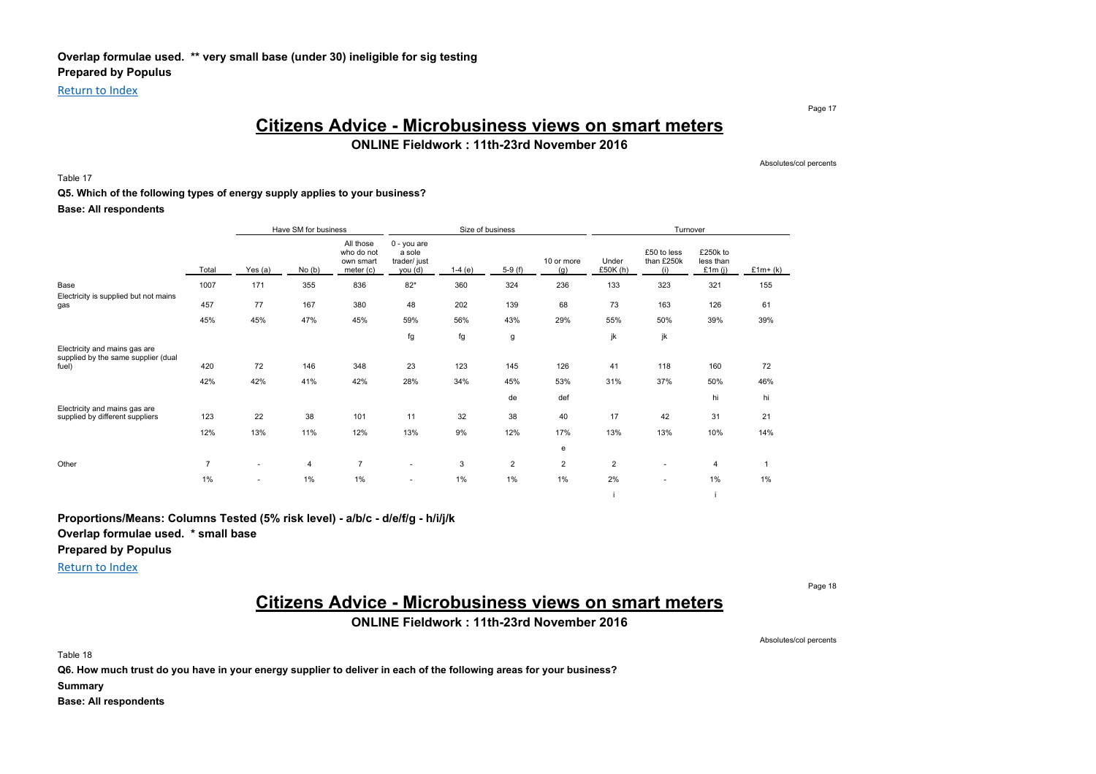Return to Index

Page 17

## **Citizens Advice - Microbusiness views on smart meters**

**ONLINE Fieldwork : 11th-23rd November 2016**

Absolutes/col percents

### Table 17

#### **Q5. Which of the following types of energy supply applies to your business?**

**Base: All respondents**

|                                                                      |                |         | Have SM for business |                                                     |                                                  |          | Size of business |                   |                   | Turnover                         |                                  |           |
|----------------------------------------------------------------------|----------------|---------|----------------------|-----------------------------------------------------|--------------------------------------------------|----------|------------------|-------------------|-------------------|----------------------------------|----------------------------------|-----------|
|                                                                      | Total          | Yes (a) | No(b)                | All those<br>who do not<br>own smart<br>meter $(c)$ | 0 - you are<br>a sole<br>trader/ just<br>you (d) | $1-4(e)$ | $5-9(f)$         | 10 or more<br>(g) | Under<br>£50K (h) | £50 to less<br>than £250k<br>(i) | £250k to<br>less than<br>£1m (i) | $£1m+(k)$ |
| Base                                                                 | 1007           | 171     | 355                  | 836                                                 | $82*$                                            | 360      | 324              | 236               | 133               | 323                              | 321                              | 155       |
| Electricity is supplied but not mains<br>gas                         | 457            | 77      | 167                  | 380                                                 | 48                                               | 202      | 139              | 68                | 73                | 163                              | 126                              | 61        |
|                                                                      | 45%            | 45%     | 47%                  | 45%                                                 | 59%                                              | 56%      | 43%              | 29%               | 55%               | 50%                              | 39%                              | 39%       |
|                                                                      |                |         |                      |                                                     | fg                                               | fg       | g                |                   | jk                | jk                               |                                  |           |
| Electricity and mains gas are<br>supplied by the same supplier (dual |                |         |                      |                                                     |                                                  |          |                  |                   |                   |                                  |                                  |           |
| fuel)                                                                | 420            | 72      | 146                  | 348                                                 | 23                                               | 123      | 145              | 126               | 41                | 118                              | 160                              | 72        |
|                                                                      | 42%            | 42%     | 41%                  | 42%                                                 | 28%                                              | 34%      | 45%              | 53%               | 31%               | 37%                              | 50%                              | 46%       |
| Electricity and mains gas are                                        |                |         |                      |                                                     |                                                  |          | de               | def               |                   |                                  | hi                               | hi        |
| supplied by different suppliers                                      | 123            | 22      | 38                   | 101                                                 | 11                                               | 32       | 38               | 40                | 17                | 42                               | 31                               | 21        |
|                                                                      | 12%            | 13%     | 11%                  | 12%                                                 | 13%                                              | 9%       | 12%              | 17%               | 13%               | 13%                              | 10%                              | 14%       |
|                                                                      |                |         |                      |                                                     |                                                  |          |                  | e                 |                   |                                  |                                  |           |
| Other                                                                | $\overline{7}$ | ٠       | $\overline{4}$       | $\overline{7}$                                      | $\overline{\phantom{a}}$                         | 3        | $\overline{2}$   | $\overline{2}$    | $\overline{2}$    | ۰                                | $\overline{4}$                   |           |
|                                                                      | 1%             | ٠       | 1%                   | 1%                                                  |                                                  | 1%       | 1%               | 1%                | 2%                | ٠                                | 1%                               | 1%        |

**Proportions/Means: Columns Tested (5% risk level) - a/b/c - d/e/f/g - h/i/j/k**

**Overlap formulae used. \* small base**

**Prepared by Populus**

Return to Index

Page 18

# **Citizens Advice - Microbusiness views on smart meters**

**ONLINE Fieldwork : 11th-23rd November 2016**

Absolutes/col percents

i i

Table 18

**Q6. How much trust do you have in your energy supplier to deliver in each of the following areas for your business?**

**Summary**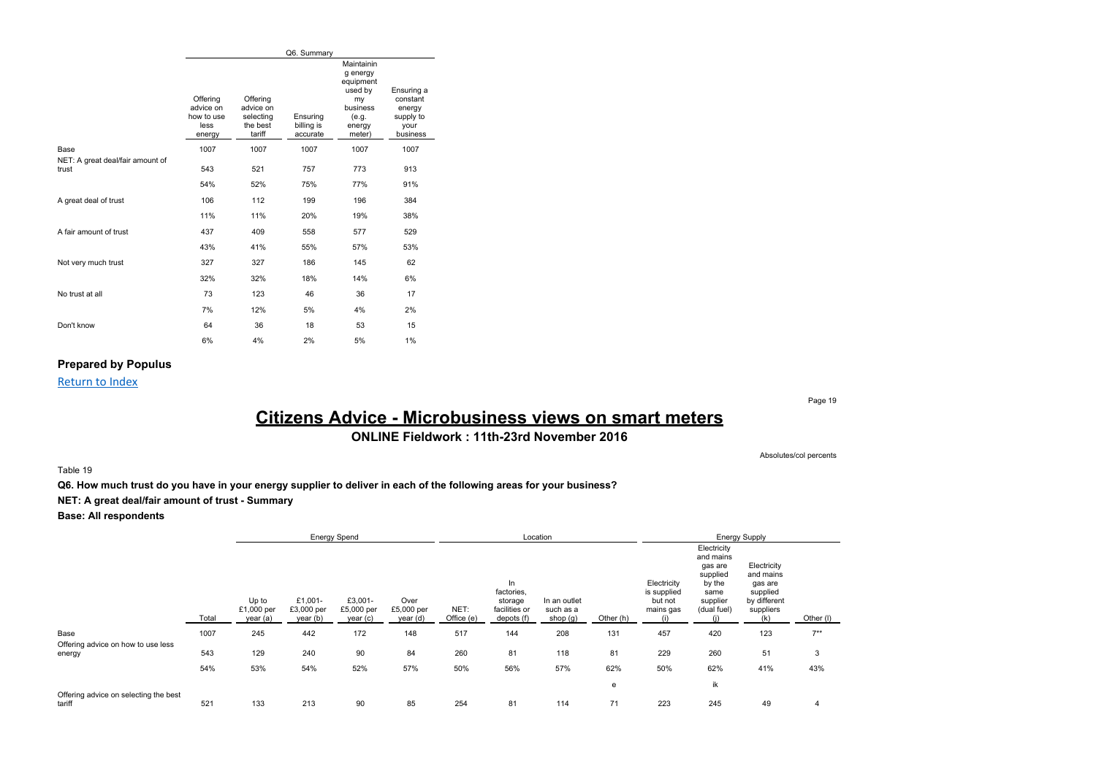|                                           |                                                       |                                                          | Q6. Summary                        |                                                                                               |                                                                   |
|-------------------------------------------|-------------------------------------------------------|----------------------------------------------------------|------------------------------------|-----------------------------------------------------------------------------------------------|-------------------------------------------------------------------|
|                                           | Offering<br>advice on<br>how to use<br>less<br>energy | Offering<br>advice on<br>selecting<br>the best<br>tariff | Ensuring<br>billing is<br>accurate | Maintainin<br>g energy<br>equipment<br>used by<br>my<br>business<br>(e.g.<br>energy<br>meter) | Ensuring a<br>constant<br>energy<br>supply to<br>your<br>business |
| Base                                      | 1007                                                  | 1007                                                     | 1007                               | 1007                                                                                          | 1007                                                              |
| NET: A great deal/fair amount of<br>trust | 543                                                   | 521                                                      | 757                                | 773                                                                                           | 913                                                               |
|                                           | 54%                                                   | 52%                                                      | 75%                                | 77%                                                                                           | 91%                                                               |
| A great deal of trust                     | 106                                                   | 112                                                      | 199                                | 196                                                                                           | 384                                                               |
|                                           | 11%                                                   | 11%                                                      | 20%                                | 19%                                                                                           | 38%                                                               |
| A fair amount of trust                    | 437                                                   | 409                                                      | 558                                | 577                                                                                           | 529                                                               |
|                                           | 43%                                                   | 41%                                                      | 55%                                | 57%                                                                                           | 53%                                                               |
| Not very much trust                       | 327                                                   | 327                                                      | 186                                | 145                                                                                           | 62                                                                |
|                                           | 32%                                                   | 32%                                                      | 18%                                | 14%                                                                                           | 6%                                                                |
| No trust at all                           | 73                                                    | 123                                                      | 46                                 | 36                                                                                            | 17                                                                |
|                                           | 7%                                                    | 12%                                                      | 5%                                 | 4%                                                                                            | 2%                                                                |
| Don't know                                | 64                                                    | 36                                                       | 18                                 | 53                                                                                            | 15                                                                |
|                                           | 6%                                                    | 4%                                                       | 2%                                 | 5%                                                                                            | 1%                                                                |

### **Prepared by Populus**

Return to Index

Page 19

Absolutes/col percents

# **Citizens Advice - Microbusiness views on smart meters**

**ONLINE Fieldwork : 11th-23rd November 2016**

Table 19

**Q6. How much trust do you have in your energy supplier to deliver in each of the following areas for your business?**

**NET: A great deal/fair amount of trust - Summary**

|                                                 |       |                                 |                                   | <b>Energy Spend</b>              |                                |                    |                                                             | Location                              |           |                                                           |                                                                                              | <b>Energy Supply</b>                                                                |           |
|-------------------------------------------------|-------|---------------------------------|-----------------------------------|----------------------------------|--------------------------------|--------------------|-------------------------------------------------------------|---------------------------------------|-----------|-----------------------------------------------------------|----------------------------------------------------------------------------------------------|-------------------------------------------------------------------------------------|-----------|
|                                                 | Total | Up to<br>£1,000 per<br>year (a) | £1,001-<br>£3,000 per<br>year (b) | £3,001-<br>£5,000 per<br>year(c) | Over<br>£5,000 per<br>year (d) | NET:<br>Office (e) | In.<br>factories,<br>storage<br>facilities or<br>depots (f) | In an outlet<br>such as a<br>shop (g) | Other (h) | Electricity<br>is supplied<br>but not<br>mains gas<br>(i) | Electricity<br>and mains<br>gas are<br>supplied<br>by the<br>same<br>supplier<br>(dual fuel) | Electricity<br>and mains<br>gas are<br>supplied<br>by different<br>suppliers<br>(k) | Other (I) |
| Base                                            | 1007  | 245                             | 442                               | 172                              | 148                            | 517                | 144                                                         | 208                                   | 131       | 457                                                       | 420                                                                                          | 123                                                                                 | $7***$    |
| Offering advice on how to use less              |       |                                 |                                   |                                  |                                |                    |                                                             |                                       |           |                                                           |                                                                                              |                                                                                     |           |
| energy                                          | 543   | 129                             | 240                               | 90                               | 84                             | 260                | 81                                                          | 118                                   | 81        | 229                                                       | 260                                                                                          | 51                                                                                  | 3         |
|                                                 | 54%   | 53%                             | 54%                               | 52%                              | 57%                            | 50%                | 56%                                                         | 57%                                   | 62%       | 50%                                                       | 62%                                                                                          | 41%                                                                                 | 43%       |
|                                                 |       |                                 |                                   |                                  |                                |                    |                                                             |                                       | е         |                                                           | ik                                                                                           |                                                                                     |           |
| Offering advice on selecting the best<br>tariff | 521   | 133                             | 213                               | 90                               | 85                             | 254                | 81                                                          | 114                                   | 71        | 223                                                       | 245                                                                                          | 49                                                                                  | 4         |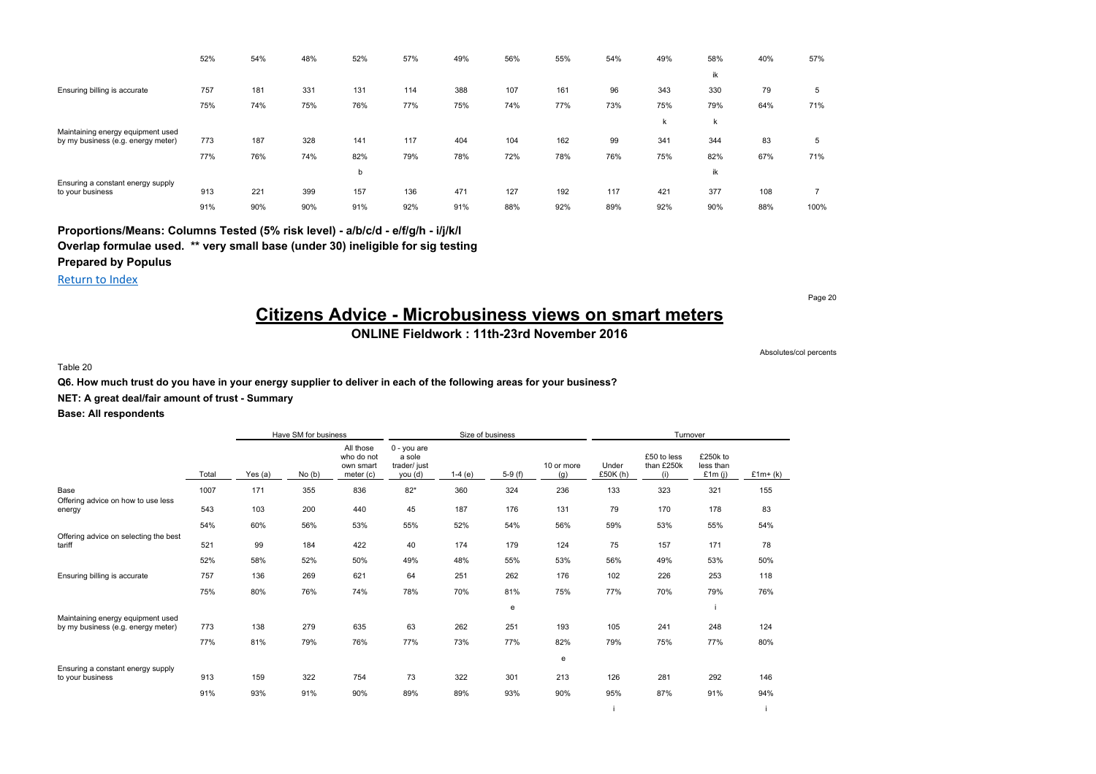|                                    | 52% | 54% | 48% | 52% | 57% | 49% | 56% | 55% | 54% | 49% | 58% | 40% | 57%  |
|------------------------------------|-----|-----|-----|-----|-----|-----|-----|-----|-----|-----|-----|-----|------|
|                                    |     |     |     |     |     |     |     |     |     |     | ik  |     |      |
| Ensuring billing is accurate       | 757 | 181 | 331 | 131 | 114 | 388 | 107 | 161 | 96  | 343 | 330 | 79  | 5    |
|                                    | 75% | 74% | 75% | 76% | 77% | 75% | 74% | 77% | 73% | 75% | 79% | 64% | 71%  |
|                                    |     |     |     |     |     |     |     |     |     | k   | k   |     |      |
| Maintaining energy equipment used  |     |     |     |     |     |     |     |     |     |     |     |     |      |
| by my business (e.g. energy meter) | 773 | 187 | 328 | 141 | 117 | 404 | 104 | 162 | 99  | 341 | 344 | 83  | 5    |
|                                    | 77% | 76% | 74% | 82% | 79% | 78% | 72% | 78% | 76% | 75% | 82% | 67% | 71%  |
|                                    |     |     |     | b   |     |     |     |     |     |     | ik  |     |      |
| Ensuring a constant energy supply  |     |     |     |     |     |     |     |     |     |     |     |     |      |
| to your business                   | 913 | 221 | 399 | 157 | 136 | 471 | 127 | 192 | 117 | 421 | 377 | 108 |      |
|                                    | 91% | 90% | 90% | 91% | 92% | 91% | 88% | 92% | 89% | 92% | 90% | 88% | 100% |

Return to Index

Page 20

# **Citizens Advice - Microbusiness views on smart meters**

## **ONLINE Fieldwork : 11th-23rd November 2016**

Table 20

Absolutes/col percents

i i

### **Q6. How much trust do you have in your energy supplier to deliver in each of the following areas for your business?**

**NET: A great deal/fair amount of trust - Summary**

|                                                       |       |           | Have SM for business |                                                     |                                                  |          | Size of business |                   |                   | Turnover                         |                                  |           |
|-------------------------------------------------------|-------|-----------|----------------------|-----------------------------------------------------|--------------------------------------------------|----------|------------------|-------------------|-------------------|----------------------------------|----------------------------------|-----------|
|                                                       | Total | Yes $(a)$ | No(b)                | All those<br>who do not<br>own smart<br>meter $(c)$ | 0 - you are<br>a sole<br>trader/ just<br>you (d) | $1-4(e)$ | $5-9(f)$         | 10 or more<br>(g) | Under<br>£50K (h) | £50 to less<br>than £250k<br>(i) | £250k to<br>less than<br>£1m (i) | $£1m+(k)$ |
| Base                                                  | 1007  | 171       | 355                  | 836                                                 | $82*$                                            | 360      | 324              | 236               | 133               | 323                              | 321                              | 155       |
| Offering advice on how to use less<br>energy          | 543   | 103       | 200                  | 440                                                 | 45                                               | 187      | 176              | 131               | 79                | 170                              | 178                              | 83        |
|                                                       | 54%   | 60%       | 56%                  | 53%                                                 | 55%                                              | 52%      | 54%              | 56%               | 59%               | 53%                              | 55%                              | 54%       |
| Offering advice on selecting the best<br>tariff       | 521   | 99        | 184                  | 422                                                 | 40                                               | 174      | 179              | 124               | 75                | 157                              | 171                              | 78        |
|                                                       | 52%   | 58%       | 52%                  | 50%                                                 | 49%                                              | 48%      | 55%              | 53%               | 56%               | 49%                              | 53%                              | 50%       |
| Ensuring billing is accurate                          | 757   | 136       | 269                  | 621                                                 | 64                                               | 251      | 262              | 176               | 102               | 226                              | 253                              | 118       |
|                                                       | 75%   | 80%       | 76%                  | 74%                                                 | 78%                                              | 70%      | 81%              | 75%               | 77%               | 70%                              | 79%                              | 76%       |
| Maintaining energy equipment used                     |       |           |                      |                                                     |                                                  |          | e                |                   |                   |                                  |                                  |           |
| by my business (e.g. energy meter)                    | 773   | 138       | 279                  | 635                                                 | 63                                               | 262      | 251              | 193               | 105               | 241                              | 248                              | 124       |
|                                                       | 77%   | 81%       | 79%                  | 76%                                                 | 77%                                              | 73%      | 77%              | 82%               | 79%               | 75%                              | 77%                              | 80%       |
|                                                       |       |           |                      |                                                     |                                                  |          |                  | е                 |                   |                                  |                                  |           |
| Ensuring a constant energy supply<br>to your business | 913   | 159       | 322                  | 754                                                 | 73                                               | 322      | 301              | 213               | 126               | 281                              | 292                              | 146       |
|                                                       | 91%   | 93%       | 91%                  | 90%                                                 | 89%                                              | 89%      | 93%              | 90%               | 95%               | 87%                              | 91%                              | 94%       |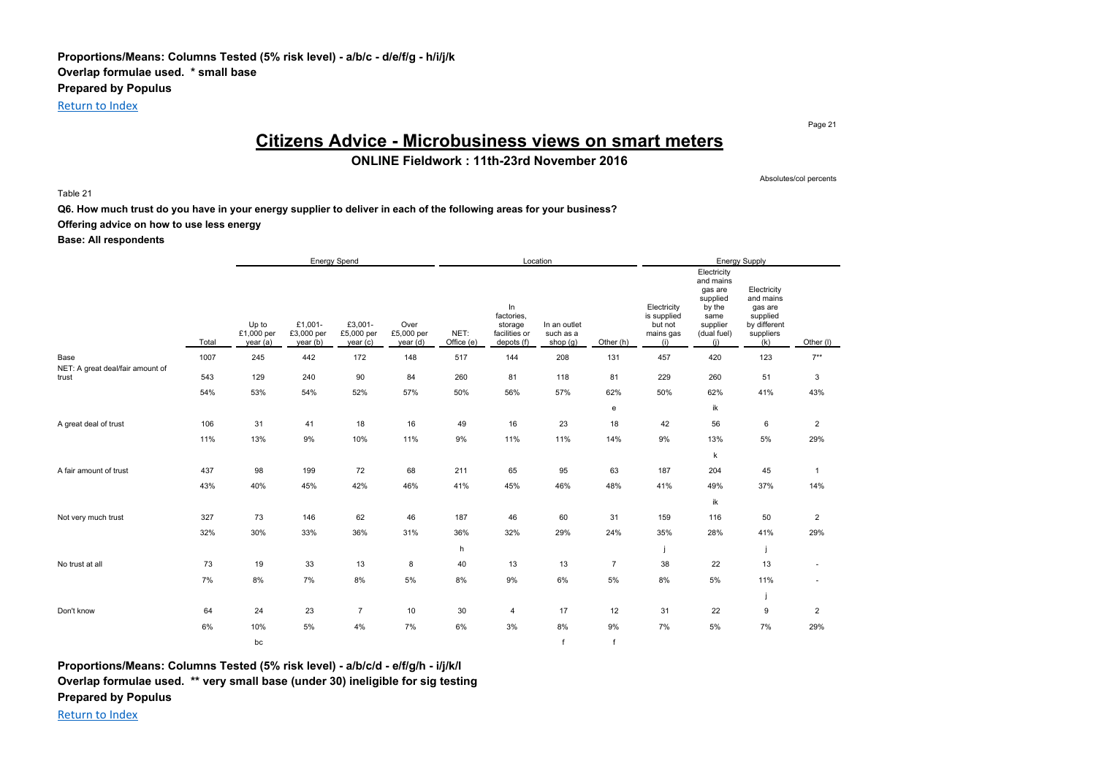Page 21

# **Citizens Advice - Microbusiness views on smart meters**

**ONLINE Fieldwork : 11th-23rd November 2016**

Table 21

Absolutes/col percents

**Q6. How much trust do you have in your energy supplier to deliver in each of the following areas for your business?**

## **Offering advice on how to use less energy**

### **Base: All respondents**

|                                           |       |                                 |                                   | <b>Energy Spend</b>               |                                |                    |                                                            | Location                              |                |                                                           |                                                                                                     | <b>Energy Supply</b>                                                                |                |
|-------------------------------------------|-------|---------------------------------|-----------------------------------|-----------------------------------|--------------------------------|--------------------|------------------------------------------------------------|---------------------------------------|----------------|-----------------------------------------------------------|-----------------------------------------------------------------------------------------------------|-------------------------------------------------------------------------------------|----------------|
|                                           | Total | Up to<br>£1,000 per<br>year (a) | £1,001-<br>£3,000 per<br>year (b) | £3,001-<br>£5,000 per<br>year (c) | Over<br>£5,000 per<br>year (d) | NET:<br>Office (e) | In<br>factories,<br>storage<br>facilities or<br>depots (f) | In an outlet<br>such as a<br>shop (g) | Other (h)      | Electricity<br>is supplied<br>but not<br>mains gas<br>(i) | Electricity<br>and mains<br>gas are<br>supplied<br>by the<br>same<br>supplier<br>(dual fuel)<br>(i) | Electricity<br>and mains<br>gas are<br>supplied<br>by different<br>suppliers<br>(k) | Other (I)      |
| Base                                      | 1007  | 245                             | 442                               | 172                               | 148                            | 517                | 144                                                        | 208                                   | 131            | 457                                                       | 420                                                                                                 | 123                                                                                 | $7***$         |
| NET: A great deal/fair amount of<br>trust | 543   | 129                             | 240                               | 90                                | 84                             | 260                | 81                                                         | 118                                   | 81             | 229                                                       | 260                                                                                                 | 51                                                                                  | $\mathbf{3}$   |
|                                           | 54%   | 53%                             | 54%                               | 52%                               | 57%                            | 50%                | 56%                                                        | 57%                                   | 62%            | 50%                                                       | 62%                                                                                                 | 41%                                                                                 | 43%            |
|                                           |       |                                 |                                   |                                   |                                |                    |                                                            |                                       | e              |                                                           | ik                                                                                                  |                                                                                     |                |
| A great deal of trust                     | 106   | 31                              | 41                                | 18                                | 16                             | 49                 | 16                                                         | 23                                    | 18             | 42                                                        | 56                                                                                                  | 6                                                                                   | $\overline{2}$ |
|                                           | 11%   | 13%                             | 9%                                | 10%                               | 11%                            | 9%                 | 11%                                                        | 11%                                   | 14%            | 9%                                                        | 13%                                                                                                 | 5%                                                                                  | 29%            |
|                                           |       |                                 |                                   |                                   |                                |                    |                                                            |                                       |                |                                                           | k                                                                                                   |                                                                                     |                |
| A fair amount of trust                    | 437   | 98                              | 199                               | 72                                | 68                             | 211                | 65                                                         | 95                                    | 63             | 187                                                       | 204                                                                                                 | 45                                                                                  | $\mathbf{1}$   |
|                                           | 43%   | 40%                             | 45%                               | 42%                               | 46%                            | 41%                | 45%                                                        | 46%                                   | 48%            | 41%                                                       | 49%                                                                                                 | 37%                                                                                 | 14%            |
|                                           |       |                                 |                                   |                                   |                                |                    |                                                            |                                       |                |                                                           | ik                                                                                                  |                                                                                     |                |
| Not very much trust                       | 327   | 73                              | 146                               | 62                                | 46                             | 187                | 46                                                         | 60                                    | 31             | 159                                                       | 116                                                                                                 | 50                                                                                  | $\overline{2}$ |
|                                           | 32%   | 30%                             | 33%                               | 36%                               | 31%                            | 36%                | 32%                                                        | 29%                                   | 24%            | 35%                                                       | 28%                                                                                                 | 41%                                                                                 | 29%            |
|                                           |       |                                 |                                   |                                   |                                | h                  |                                                            |                                       |                |                                                           |                                                                                                     |                                                                                     |                |
| No trust at all                           | 73    | 19                              | 33                                | 13                                | 8                              | 40                 | 13                                                         | 13                                    | $\overline{7}$ | 38                                                        | 22                                                                                                  | 13                                                                                  | ä,             |
|                                           | 7%    | 8%                              | 7%                                | 8%                                | 5%                             | 8%                 | 9%                                                         | 6%                                    | 5%             | 8%                                                        | 5%                                                                                                  | 11%                                                                                 |                |
|                                           |       |                                 |                                   |                                   |                                |                    |                                                            |                                       |                |                                                           |                                                                                                     |                                                                                     |                |
| Don't know                                | 64    | 24                              | 23                                | $\overline{7}$                    | 10                             | 30                 | $\overline{4}$                                             | 17                                    | 12             | 31                                                        | 22                                                                                                  | 9                                                                                   | $\overline{2}$ |
|                                           | 6%    | 10%                             | 5%                                | 4%                                | 7%                             | 6%                 | 3%                                                         | 8%                                    | 9%             | 7%                                                        | 5%                                                                                                  | 7%                                                                                  | 29%            |
|                                           |       | bc                              |                                   |                                   |                                |                    |                                                            | $\epsilon$                            | f              |                                                           |                                                                                                     |                                                                                     |                |

**Proportions/Means: Columns Tested (5% risk level) - a/b/c/d - e/f/g/h - i/j/k/l Overlap formulae used. \*\* very small base (under 30) ineligible for sig testing Prepared by Populus**

Return to Index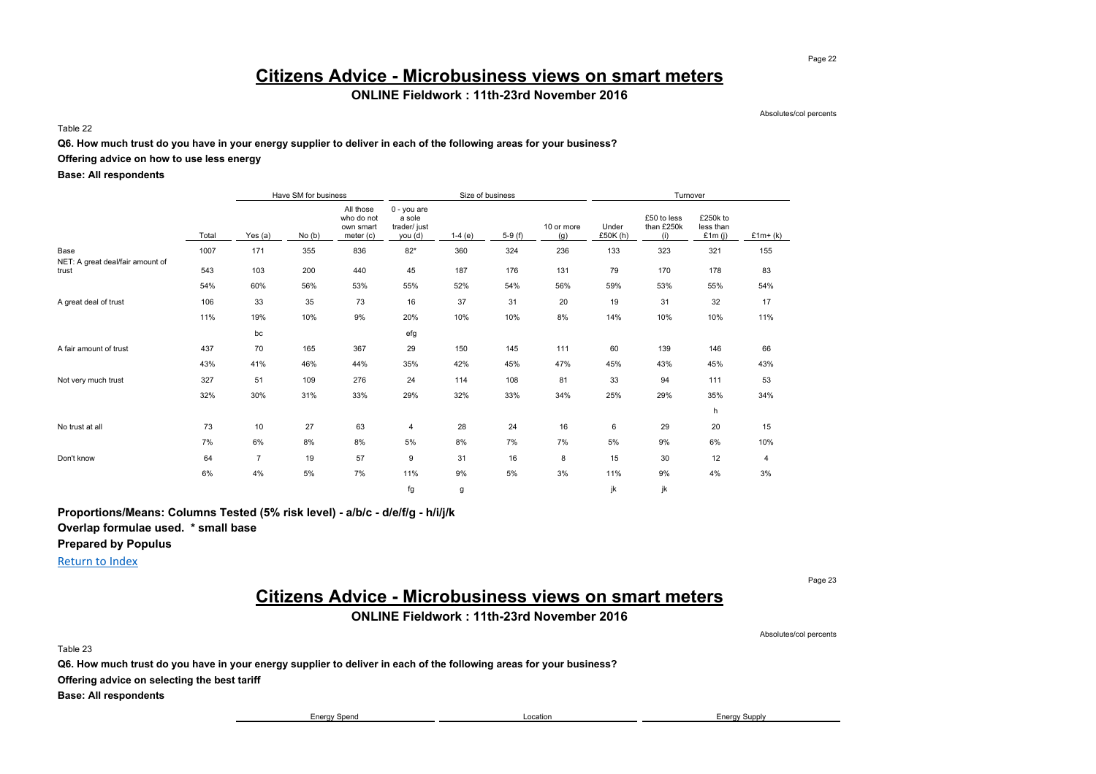## **Citizens Advice - Microbusiness views on smart meters**

### **ONLINE Fieldwork : 11th-23rd November 2016**

Absolutes/col percents

Table 22

#### **Q6. How much trust do you have in your energy supplier to deliver in each of the following areas for your business?**

### **Offering advice on how to use less energy**

### **Base: All respondents**

|                                           |       |                | Have SM for business |                                                   |                                                    |          | Size of business |                   |                     | Turnover                         |                                 |           |
|-------------------------------------------|-------|----------------|----------------------|---------------------------------------------------|----------------------------------------------------|----------|------------------|-------------------|---------------------|----------------------------------|---------------------------------|-----------|
|                                           | Total | Yes (a)        | No(b)                | All those<br>who do not<br>own smart<br>meter (c) | $0 - you are$<br>a sole<br>trader/ just<br>you (d) | $1-4(e)$ | $5-9(f)$         | 10 or more<br>(g) | Under<br>£50 $K(h)$ | £50 to less<br>than £250k<br>(i) | £250k to<br>less than<br>£1m(i) | $£1m+(k)$ |
| Base                                      | 1007  | 171            | 355                  | 836                                               | $82*$                                              | 360      | 324              | 236               | 133                 | 323                              | 321                             | 155       |
| NET: A great deal/fair amount of<br>trust | 543   | 103            | 200                  | 440                                               | 45                                                 | 187      | 176              | 131               | 79                  | 170                              | 178                             | 83        |
|                                           | 54%   | 60%            | 56%                  | 53%                                               | 55%                                                | 52%      | 54%              | 56%               | 59%                 | 53%                              | 55%                             | 54%       |
| A great deal of trust                     | 106   | 33             | 35                   | 73                                                | 16                                                 | 37       | 31               | 20                | 19                  | 31                               | 32                              | 17        |
|                                           | 11%   | 19%            | 10%                  | 9%                                                | 20%                                                | 10%      | 10%              | 8%                | 14%                 | 10%                              | 10%                             | 11%       |
|                                           |       | bc             |                      |                                                   | efg                                                |          |                  |                   |                     |                                  |                                 |           |
| A fair amount of trust                    | 437   | 70             | 165                  | 367                                               | 29                                                 | 150      | 145              | 111               | 60                  | 139                              | 146                             | 66        |
|                                           | 43%   | 41%            | 46%                  | 44%                                               | 35%                                                | 42%      | 45%              | 47%               | 45%                 | 43%                              | 45%                             | 43%       |
| Not very much trust                       | 327   | 51             | 109                  | 276                                               | 24                                                 | 114      | 108              | 81                | 33                  | 94                               | 111                             | 53        |
|                                           | 32%   | 30%            | 31%                  | 33%                                               | 29%                                                | 32%      | 33%              | 34%               | 25%                 | 29%                              | 35%                             | 34%       |
|                                           |       |                |                      |                                                   |                                                    |          |                  |                   |                     |                                  | h                               |           |
| No trust at all                           | 73    | 10             | 27                   | 63                                                | 4                                                  | 28       | 24               | 16                | 6                   | 29                               | 20                              | 15        |
|                                           | 7%    | 6%             | 8%                   | 8%                                                | 5%                                                 | 8%       | 7%               | 7%                | 5%                  | 9%                               | 6%                              | 10%       |
| Don't know                                | 64    | $\overline{7}$ | 19                   | 57                                                | 9                                                  | 31       | 16               | 8                 | 15                  | 30                               | 12                              | 4         |
|                                           | 6%    | 4%             | 5%                   | 7%                                                | 11%                                                | 9%       | 5%               | 3%                | 11%                 | 9%                               | 4%                              | 3%        |
|                                           |       |                |                      |                                                   | fg                                                 | g        |                  |                   | ik                  | jk                               |                                 |           |

**Proportions/Means: Columns Tested (5% risk level) - a/b/c - d/e/f/g - h/i/j/k**

**Overlap formulae used. \* small base**

**Prepared by Populus**

Return to Index

Page 23

# **Citizens Advice - Microbusiness views on smart meters**

### **ONLINE Fieldwork : 11th-23rd November 2016**

Absolutes/col percents

Table 23

**Q6. How much trust do you have in your energy supplier to deliver in each of the following areas for your business?**

**Offering advice on selecting the best tariff**

**Base: All respondents**

Energy Spend **Energy Spend** Energy Supply **Energy Supply Energy Supply Energy Supply** 

Page 22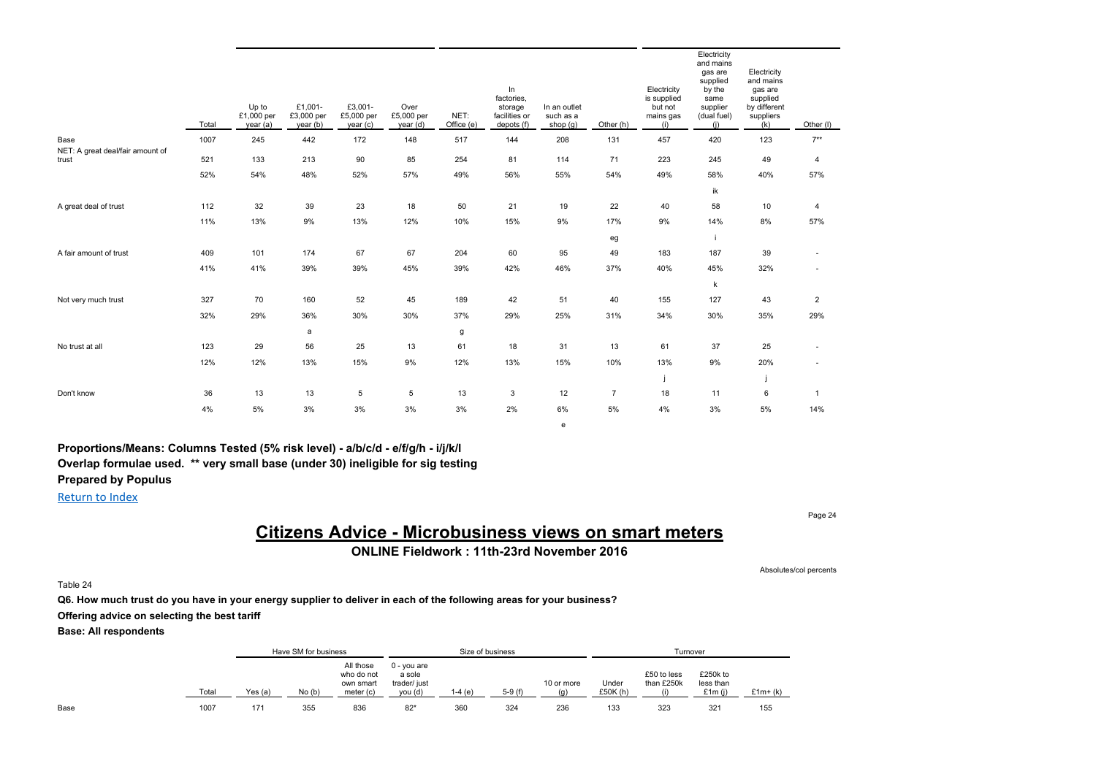|                                           | Total | Up to<br>£1,000 per<br>year (a) | £1,001-<br>£3,000 per<br>year(b) | £3,001-<br>£5,000 per<br>year(c) | Over<br>£5,000 per<br>year (d) | NET:<br>Office (e) | In<br>factories,<br>storage<br>facilities or<br>depots (f) | In an outlet<br>such as a<br>shop $(g)$ | Other (h)      | Electricity<br>is supplied<br>but not<br>mains gas<br>(i) | Electricity<br>and mains<br>gas are<br>supplied<br>by the<br>same<br>supplier<br>(dual fuel)<br>(i) | Electricity<br>and mains<br>gas are<br>supplied<br>by different<br>suppliers<br>(k) | Other (I)      |
|-------------------------------------------|-------|---------------------------------|----------------------------------|----------------------------------|--------------------------------|--------------------|------------------------------------------------------------|-----------------------------------------|----------------|-----------------------------------------------------------|-----------------------------------------------------------------------------------------------------|-------------------------------------------------------------------------------------|----------------|
| Base                                      | 1007  | 245                             | 442                              | 172                              | 148                            | 517                | 144                                                        | 208                                     | 131            | 457                                                       | 420                                                                                                 | 123                                                                                 | $7**$          |
| NET: A great deal/fair amount of<br>trust | 521   | 133                             | 213                              | 90                               | 85                             | 254                | 81                                                         | 114                                     | 71             | 223                                                       | 245                                                                                                 | 49                                                                                  | 4              |
|                                           | 52%   | 54%                             | 48%                              | 52%                              | 57%                            | 49%                | 56%                                                        | 55%                                     | 54%            | 49%                                                       | 58%                                                                                                 | 40%                                                                                 | 57%            |
|                                           |       |                                 |                                  |                                  |                                |                    |                                                            |                                         |                |                                                           | ik                                                                                                  |                                                                                     |                |
| A great deal of trust                     | 112   | 32                              | 39                               | 23                               | 18                             | 50                 | 21                                                         | 19                                      | 22             | 40                                                        | 58                                                                                                  | 10                                                                                  | $\overline{4}$ |
|                                           | 11%   | 13%                             | 9%                               | 13%                              | 12%                            | 10%                | 15%                                                        | 9%                                      | 17%            | 9%                                                        | 14%                                                                                                 | 8%                                                                                  | 57%            |
|                                           |       |                                 |                                  |                                  |                                |                    |                                                            |                                         | eg             |                                                           |                                                                                                     |                                                                                     |                |
| A fair amount of trust                    | 409   | 101                             | 174                              | 67                               | 67                             | 204                | 60                                                         | 95                                      | 49             | 183                                                       | 187                                                                                                 | 39                                                                                  |                |
|                                           | 41%   | 41%                             | 39%                              | 39%                              | 45%                            | 39%                | 42%                                                        | 46%                                     | 37%            | 40%                                                       | 45%                                                                                                 | 32%                                                                                 |                |
|                                           |       |                                 |                                  |                                  |                                |                    |                                                            |                                         |                |                                                           | k                                                                                                   |                                                                                     |                |
| Not very much trust                       | 327   | 70                              | 160                              | 52                               | 45                             | 189                | 42                                                         | 51                                      | 40             | 155                                                       | 127                                                                                                 | 43                                                                                  | $\overline{2}$ |
|                                           | 32%   | 29%                             | 36%                              | 30%                              | 30%                            | 37%                | 29%                                                        | 25%                                     | 31%            | 34%                                                       | 30%                                                                                                 | 35%                                                                                 | 29%            |
|                                           |       |                                 | a                                |                                  |                                | g                  |                                                            |                                         |                |                                                           |                                                                                                     |                                                                                     |                |
| No trust at all                           | 123   | 29                              | 56                               | 25                               | 13                             | 61                 | 18                                                         | 31                                      | 13             | 61                                                        | 37                                                                                                  | 25                                                                                  |                |
|                                           | 12%   | 12%                             | 13%                              | 15%                              | 9%                             | 12%                | 13%                                                        | 15%                                     | 10%            | 13%                                                       | 9%                                                                                                  | 20%                                                                                 |                |
|                                           |       |                                 |                                  |                                  |                                |                    |                                                            |                                         |                |                                                           |                                                                                                     |                                                                                     |                |
| Don't know                                | 36    | 13                              | 13                               | 5                                | 5                              | 13                 | 3                                                          | 12                                      | $\overline{7}$ | 18                                                        | 11                                                                                                  | 6                                                                                   | $\overline{1}$ |
|                                           | 4%    | 5%                              | 3%                               | 3%                               | 3%                             | 3%                 | 2%                                                         | 6%                                      | 5%             | 4%                                                        | 3%                                                                                                  | 5%                                                                                  | 14%            |
|                                           |       |                                 |                                  |                                  |                                |                    |                                                            | e                                       |                |                                                           |                                                                                                     |                                                                                     |                |

Return to Index

## **Citizens Advice - Microbusiness views on smart meters ONLINE Fieldwork : 11th-23rd November 2016**

Absolutes/col percents

Page 24

Table 24

**Q6. How much trust do you have in your energy supplier to deliver in each of the following areas for your business? Offering advice on selecting the best tariff**

|      |       |         | Have SM for business |                                                   |                                                  | Size of business |          |                   |                   |                                  | Turnover                           |           |
|------|-------|---------|----------------------|---------------------------------------------------|--------------------------------------------------|------------------|----------|-------------------|-------------------|----------------------------------|------------------------------------|-----------|
|      | Total | Yes (a) | No(b)                | All those<br>who do not<br>own smart<br>meter (c) | 0 - you are<br>a sole<br>trader/ just<br>you (d) | .-4 (e`          | $5-9(f)$ | 10 or more<br>(n) | Under<br>£50K (h) | £50 to less<br>than £250k<br>(i) | £250k to<br>less than<br>£1 $m(i)$ | $£1m+(k)$ |
| Base | 1007  | 171     | 355                  | 836                                               | $82*$                                            | 360              | 324      | 236               | 133               | 323                              | 321                                | 155       |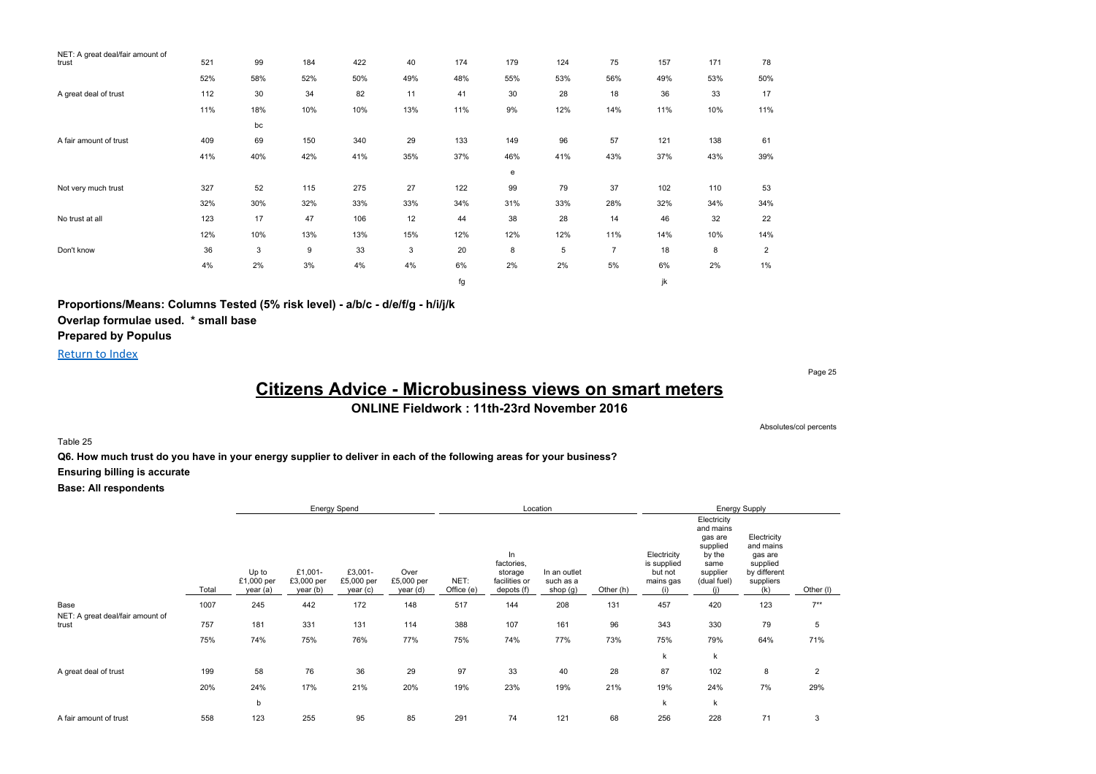| NET: A great deal/fair amount of |     |              |     |     |     |     |     |     |     |     |     |                |
|----------------------------------|-----|--------------|-----|-----|-----|-----|-----|-----|-----|-----|-----|----------------|
| trust                            | 521 | 99           | 184 | 422 | 40  | 174 | 179 | 124 | 75  | 157 | 171 | 78             |
|                                  | 52% | 58%          | 52% | 50% | 49% | 48% | 55% | 53% | 56% | 49% | 53% | 50%            |
| A great deal of trust            | 112 | 30           | 34  | 82  | 11  | 41  | 30  | 28  | 18  | 36  | 33  | 17             |
|                                  | 11% | 18%          | 10% | 10% | 13% | 11% | 9%  | 12% | 14% | 11% | 10% | 11%            |
|                                  |     | bc           |     |     |     |     |     |     |     |     |     |                |
| A fair amount of trust           | 409 | 69           | 150 | 340 | 29  | 133 | 149 | 96  | 57  | 121 | 138 | 61             |
|                                  | 41% | 40%          | 42% | 41% | 35% | 37% | 46% | 41% | 43% | 37% | 43% | 39%            |
|                                  |     |              |     |     |     |     | e   |     |     |     |     |                |
| Not very much trust              | 327 | 52           | 115 | 275 | 27  | 122 | 99  | 79  | 37  | 102 | 110 | 53             |
|                                  | 32% | 30%          | 32% | 33% | 33% | 34% | 31% | 33% | 28% | 32% | 34% | 34%            |
| No trust at all                  | 123 | 17           | 47  | 106 | 12  | 44  | 38  | 28  | 14  | 46  | 32  | 22             |
|                                  | 12% | 10%          | 13% | 13% | 15% | 12% | 12% | 12% | 11% | 14% | 10% | 14%            |
| Don't know                       | 36  | $\mathbf{3}$ | 9   | 33  | 3   | 20  | 8   | 5   | 7   | 18  | 8   | $\overline{2}$ |
|                                  | 4%  | 2%           | 3%  | 4%  | 4%  | 6%  | 2%  | 2%  | 5%  | 6%  | 2%  | 1%             |
|                                  |     |              |     |     |     | fg  |     |     |     | jk  |     |                |

**Proportions/Means: Columns Tested (5% risk level) - a/b/c - d/e/f/g - h/i/j/k Overlap formulae used. \* small base Prepared by Populus**

Return to Index

Page 25

# **Citizens Advice - Microbusiness views on smart meters**

**ONLINE Fieldwork : 11th-23rd November 2016**

Absolutes/col percents

Table 25

**Q6. How much trust do you have in your energy supplier to deliver in each of the following areas for your business?**

**Ensuring billing is accurate**

|                                           |       |                                 |                                   | <b>Energy Spend</b>               |                                |                    |                                                            | Location                              |           |                                                           |                                                                                              | <b>Energy Supply</b>                                                                |                |
|-------------------------------------------|-------|---------------------------------|-----------------------------------|-----------------------------------|--------------------------------|--------------------|------------------------------------------------------------|---------------------------------------|-----------|-----------------------------------------------------------|----------------------------------------------------------------------------------------------|-------------------------------------------------------------------------------------|----------------|
|                                           | Total | Up to<br>£1,000 per<br>year (a) | £1,001-<br>£3,000 per<br>year (b) | £3,001-<br>£5,000 per<br>year (c) | Over<br>£5,000 per<br>year (d) | NET:<br>Office (e) | In<br>factories,<br>storage<br>facilities or<br>depots (f) | In an outlet<br>such as a<br>shop (g) | Other (h) | Electricity<br>is supplied<br>but not<br>mains gas<br>(i) | Electricity<br>and mains<br>gas are<br>supplied<br>by the<br>same<br>supplier<br>(dual fuel) | Electricity<br>and mains<br>gas are<br>supplied<br>by different<br>suppliers<br>(k) | Other (I)      |
| Base                                      | 1007  | 245                             | 442                               | 172                               | 148                            | 517                | 144                                                        | 208                                   | 131       | 457                                                       | 420                                                                                          | 123                                                                                 | $7***$         |
| NET: A great deal/fair amount of<br>trust | 757   | 181                             | 331                               | 131                               | 114                            | 388                | 107                                                        | 161                                   | 96        | 343                                                       | 330                                                                                          | 79                                                                                  | 5              |
|                                           | 75%   | 74%                             | 75%                               | 76%                               | 77%                            | 75%                | 74%                                                        | 77%                                   | 73%       | 75%                                                       | 79%                                                                                          | 64%                                                                                 | 71%            |
|                                           |       |                                 |                                   |                                   |                                |                    |                                                            |                                       |           | k                                                         | $\mathsf k$                                                                                  |                                                                                     |                |
| A great deal of trust                     | 199   | 58                              | 76                                | 36                                | 29                             | 97                 | 33                                                         | 40                                    | 28        | 87                                                        | 102                                                                                          | 8                                                                                   | $\overline{2}$ |
|                                           | 20%   | 24%                             | 17%                               | 21%                               | 20%                            | 19%                | 23%                                                        | 19%                                   | 21%       | 19%                                                       | 24%                                                                                          | 7%                                                                                  | 29%            |
|                                           |       | b                               |                                   |                                   |                                |                    |                                                            |                                       |           | k                                                         | k                                                                                            |                                                                                     |                |
| A fair amount of trust                    | 558   | 123                             | 255                               | 95                                | 85                             | 291                | 74                                                         | 121                                   | 68        | 256                                                       | 228                                                                                          | 71                                                                                  | 3              |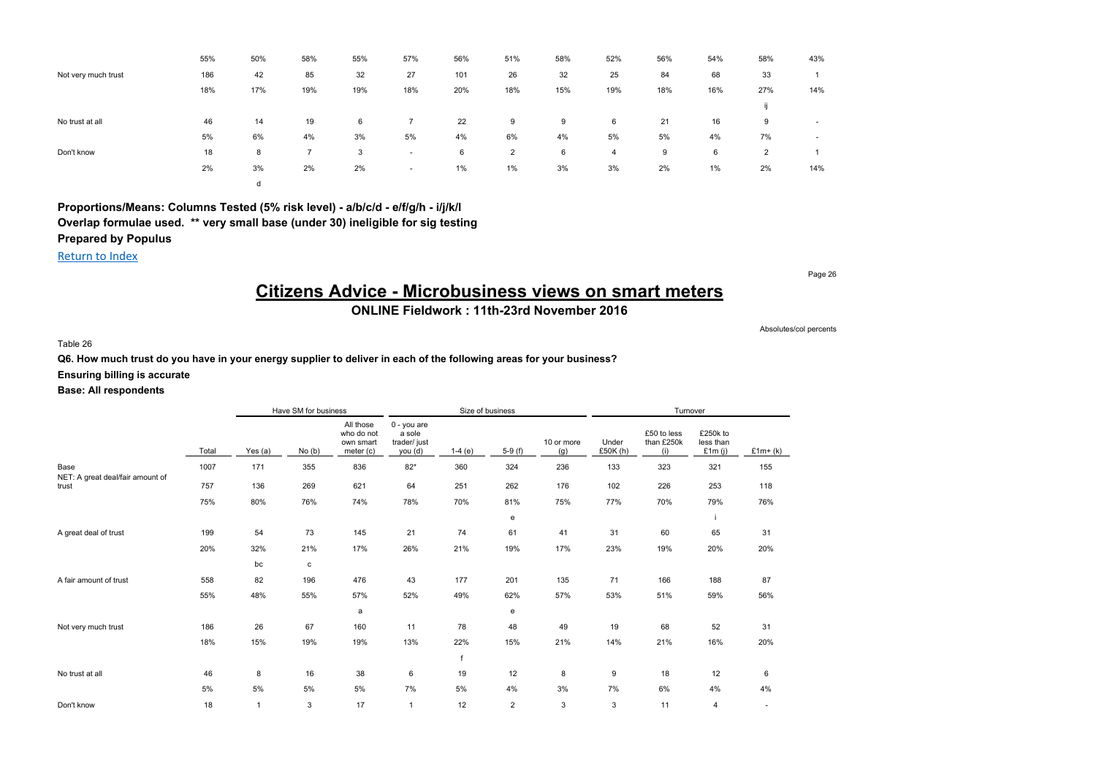|                     | 55% | 50% | 58% | 55% | 57%                      | 56% | 51% | 58% | 52% | 56% | 54%   | 58% | 43%                      |
|---------------------|-----|-----|-----|-----|--------------------------|-----|-----|-----|-----|-----|-------|-----|--------------------------|
| Not very much trust | 186 | 42  | 85  | 32  | 27                       | 101 | 26  | 32  | 25  | 84  | 68    | 33  |                          |
|                     | 18% | 17% | 19% | 19% | 18%                      | 20% | 18% | 15% | 19% | 18% | 16%   | 27% | 14%                      |
|                     |     |     |     |     |                          |     |     |     |     |     |       |     |                          |
| No trust at all     | 46  | 14  | 19  | 6   |                          | 22  | 9   | 9   | 6   | 21  | 16    | 9   | $\overline{\phantom{a}}$ |
|                     | 5%  | 6%  | 4%  | 3%  | 5%                       | 4%  | 6%  | 4%  | 5%  | 5%  | 4%    | 7%  | $\overline{\phantom{a}}$ |
| Don't know          | 18  | 8   |     | 3   | $\overline{\phantom{a}}$ | 6   | 2   | 6   | 4   | 9   | 6     | 2   |                          |
|                     | 2%  | 3%  | 2%  | 2%  | $\overline{\phantom{a}}$ | 1%  | 1%  | 3%  | 3%  | 2%  | $1\%$ | 2%  | 14%                      |
|                     |     | d   |     |     |                          |     |     |     |     |     |       |     |                          |

Return to Index

# **Citizens Advice - Microbusiness views on smart meters**

**ONLINE Fieldwork : 11th-23rd November 2016**

Table 26

**Q6. How much trust do you have in your energy supplier to deliver in each of the following areas for your business?**

### **Ensuring billing is accurate**

### **Base: All respondents**

|                                  |       |                | Have SM for business |                                                   |                                                  | Size of business |                |                   |                   | Turnover                         |                                    |           |
|----------------------------------|-------|----------------|----------------------|---------------------------------------------------|--------------------------------------------------|------------------|----------------|-------------------|-------------------|----------------------------------|------------------------------------|-----------|
|                                  | Total | Yes (a)        | No(b)                | All those<br>who do not<br>own smart<br>meter (c) | 0 - you are<br>a sole<br>trader/ just<br>you (d) | $1-4(e)$         | $5-9(f)$       | 10 or more<br>(g) | Under<br>£50K (h) | £50 to less<br>than £250k<br>(i) | £250k to<br>less than<br>£1 $m(i)$ | $£1m+(k)$ |
| Base                             | 1007  | 171            | 355                  | 836                                               | $82*$                                            | 360              | 324            | 236               | 133               | 323                              | 321                                | 155       |
| NET: A great deal/fair amount of | 757   | 136            | 269                  | 621                                               | 64                                               | 251              | 262            | 176               | 102               | 226                              | 253                                | 118       |
| trust                            |       |                |                      |                                                   |                                                  |                  |                |                   |                   |                                  |                                    |           |
|                                  | 75%   | 80%            | 76%                  | 74%                                               | 78%                                              | 70%              | 81%            | 75%               | 77%               | 70%                              | 79%                                | 76%       |
|                                  |       |                |                      |                                                   |                                                  |                  | e              |                   |                   |                                  |                                    |           |
| A great deal of trust            | 199   | 54             | 73                   | 145                                               | 21                                               | 74               | 61             | 41                | 31                | 60                               | 65                                 | 31        |
|                                  | 20%   | 32%            | 21%                  | 17%                                               | 26%                                              | 21%              | 19%            | 17%               | 23%               | 19%                              | 20%                                | 20%       |
|                                  |       | bc             | c                    |                                                   |                                                  |                  |                |                   |                   |                                  |                                    |           |
| A fair amount of trust           | 558   | 82             | 196                  | 476                                               | 43                                               | 177              | 201            | 135               | 71                | 166                              | 188                                | 87        |
|                                  | 55%   | 48%            | 55%                  | 57%                                               | 52%                                              | 49%              | 62%            | 57%               | 53%               | 51%                              | 59%                                | 56%       |
|                                  |       |                |                      | a                                                 |                                                  |                  | e              |                   |                   |                                  |                                    |           |
| Not very much trust              | 186   | 26             | 67                   | 160                                               | 11                                               | 78               | 48             | 49                | 19                | 68                               | 52                                 | 31        |
|                                  | 18%   | 15%            | 19%                  | 19%                                               | 13%                                              | 22%              | 15%            | 21%               | 14%               | 21%                              | 16%                                | 20%       |
|                                  |       |                |                      |                                                   |                                                  | f                |                |                   |                   |                                  |                                    |           |
| No trust at all                  | 46    | 8              | 16                   | 38                                                | 6                                                | 19               | 12             | 8                 | $\boldsymbol{9}$  | 18                               | 12                                 | 6         |
|                                  | 5%    | 5%             | 5%                   | 5%                                                | 7%                                               | 5%               | 4%             | 3%                | 7%                | 6%                               | 4%                                 | 4%        |
| Don't know                       | 18    | $\overline{1}$ | 3                    | 17                                                | $\overline{1}$                                   | 12               | $\overline{2}$ | 3                 | 3                 | 11                               | 4                                  |           |

Page 26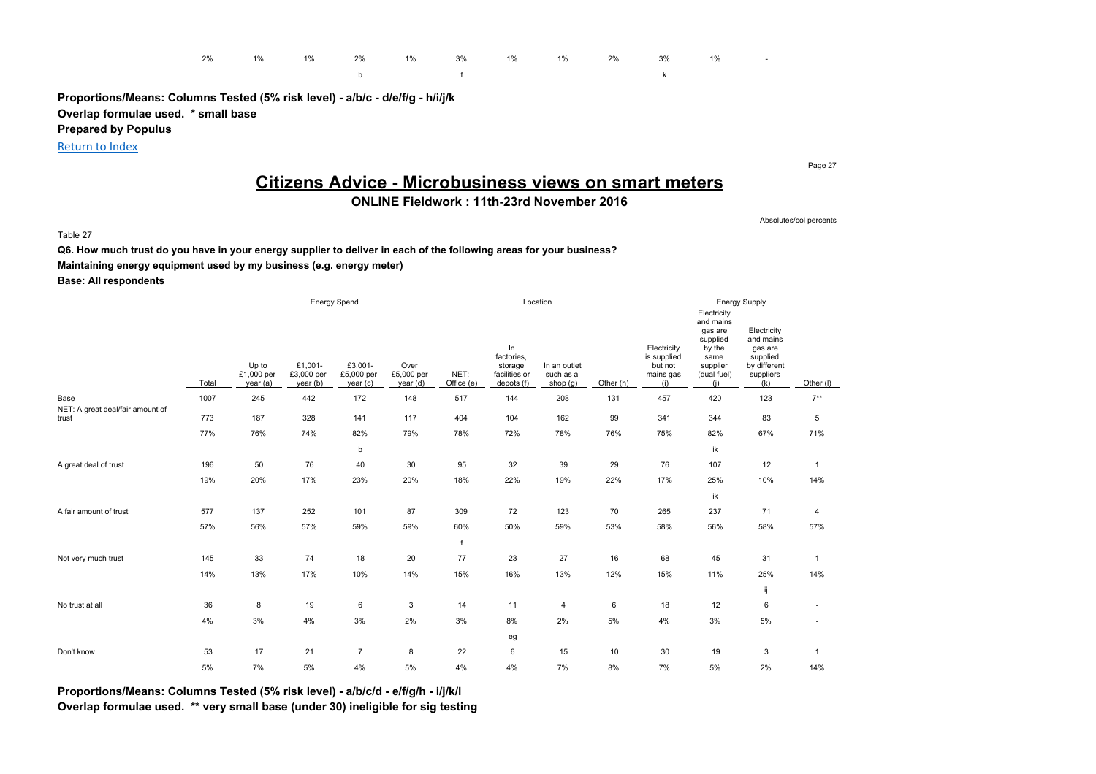

b f k

**Proportions/Means: Columns Tested (5% risk level) - a/b/c - d/e/f/g - h/i/j/k Overlap formulae used. \* small base Prepared by Populus**

Return to Index

Page 27

# **Citizens Advice - Microbusiness views on smart meters**

## **ONLINE Fieldwork : 11th-23rd November 2016**

Absolutes/col percents

Table 27

**Q6. How much trust do you have in your energy supplier to deliver in each of the following areas for your business?**

**Maintaining energy equipment used by my business (e.g. energy meter)**

**Base: All respondents**

|                                          |       | <b>Energy Spend</b>             |                                   |                                  |                                |                    |                                                            | Location                              |           |                                                           |                                                                                                     | <b>Energy Supply</b>                                                                |              |
|------------------------------------------|-------|---------------------------------|-----------------------------------|----------------------------------|--------------------------------|--------------------|------------------------------------------------------------|---------------------------------------|-----------|-----------------------------------------------------------|-----------------------------------------------------------------------------------------------------|-------------------------------------------------------------------------------------|--------------|
|                                          | Total | Up to<br>£1,000 per<br>year (a) | £1,001-<br>£3,000 per<br>year (b) | £3,001-<br>£5,000 per<br>year(c) | Over<br>£5,000 per<br>year (d) | NET:<br>Office (e) | In<br>factories,<br>storage<br>facilities or<br>depots (f) | In an outlet<br>such as a<br>shop (g) | Other (h) | Electricity<br>is supplied<br>but not<br>mains gas<br>(i) | Electricity<br>and mains<br>gas are<br>supplied<br>by the<br>same<br>supplier<br>(dual fuel)<br>(i) | Electricity<br>and mains<br>gas are<br>supplied<br>by different<br>suppliers<br>(k) | Other (I)    |
| Base<br>NET: A great deal/fair amount of | 1007  | 245                             | 442                               | 172                              | 148                            | 517                | 144                                                        | 208                                   | 131       | 457                                                       | 420                                                                                                 | 123                                                                                 | $7**$        |
| trust                                    | 773   | 187                             | 328                               | 141                              | 117                            | 404                | 104                                                        | 162                                   | 99        | 341                                                       | 344                                                                                                 | 83                                                                                  | 5            |
|                                          | 77%   | 76%                             | 74%                               | 82%                              | 79%                            | 78%                | 72%                                                        | 78%                                   | 76%       | 75%                                                       | 82%                                                                                                 | 67%                                                                                 | 71%          |
|                                          |       |                                 |                                   | b                                |                                |                    |                                                            |                                       |           |                                                           | ik                                                                                                  |                                                                                     |              |
| A great deal of trust                    | 196   | 50                              | 76                                | 40                               | 30                             | 95                 | 32                                                         | 39                                    | 29        | 76                                                        | 107                                                                                                 | 12                                                                                  | $\mathbf{1}$ |
|                                          | 19%   | 20%                             | 17%                               | 23%                              | 20%                            | 18%                | 22%                                                        | 19%                                   | 22%       | 17%                                                       | 25%                                                                                                 | 10%                                                                                 | 14%          |
|                                          |       |                                 |                                   |                                  |                                |                    |                                                            |                                       |           |                                                           | ik                                                                                                  |                                                                                     |              |
| A fair amount of trust                   | 577   | 137                             | 252                               | 101                              | 87                             | 309                | 72                                                         | 123                                   | 70        | 265                                                       | 237                                                                                                 | 71                                                                                  | 4            |
|                                          | 57%   | 56%                             | 57%                               | 59%                              | 59%                            | 60%                | 50%                                                        | 59%                                   | 53%       | 58%                                                       | 56%                                                                                                 | 58%                                                                                 | 57%          |
|                                          |       |                                 |                                   |                                  |                                | f                  |                                                            |                                       |           |                                                           |                                                                                                     |                                                                                     |              |
| Not very much trust                      | 145   | 33                              | 74                                | 18                               | 20                             | 77                 | 23                                                         | 27                                    | 16        | 68                                                        | 45                                                                                                  | 31                                                                                  | $\mathbf{1}$ |
|                                          | 14%   | 13%                             | 17%                               | 10%                              | 14%                            | 15%                | 16%                                                        | 13%                                   | 12%       | 15%                                                       | 11%                                                                                                 | 25%                                                                                 | 14%          |
|                                          |       |                                 |                                   |                                  |                                |                    |                                                            |                                       |           |                                                           |                                                                                                     | ij                                                                                  |              |
| No trust at all                          | 36    | 8                               | 19                                | 6                                | 3                              | 14                 | 11                                                         | 4                                     | 6         | 18                                                        | 12                                                                                                  | 6                                                                                   | ٠            |
|                                          | 4%    | 3%                              | $4\%$                             | 3%                               | 2%                             | 3%                 | 8%                                                         | 2%                                    | 5%        | $4\%$                                                     | 3%                                                                                                  | $5\%$                                                                               |              |
|                                          |       |                                 |                                   |                                  |                                |                    | eg                                                         |                                       |           |                                                           |                                                                                                     |                                                                                     |              |
| Don't know                               | 53    | 17                              | 21                                | $\overline{7}$                   | 8                              | 22                 | 6                                                          | 15                                    | 10        | 30                                                        | 19                                                                                                  | 3                                                                                   | $\mathbf{1}$ |
|                                          | 5%    | 7%                              | 5%                                | 4%                               | 5%                             | 4%                 | 4%                                                         | 7%                                    | 8%        | 7%                                                        | 5%                                                                                                  | 2%                                                                                  | 14%          |

**Proportions/Means: Columns Tested (5% risk level) - a/b/c/d - e/f/g/h - i/j/k/l**

**Overlap formulae used. \*\* very small base (under 30) ineligible for sig testing**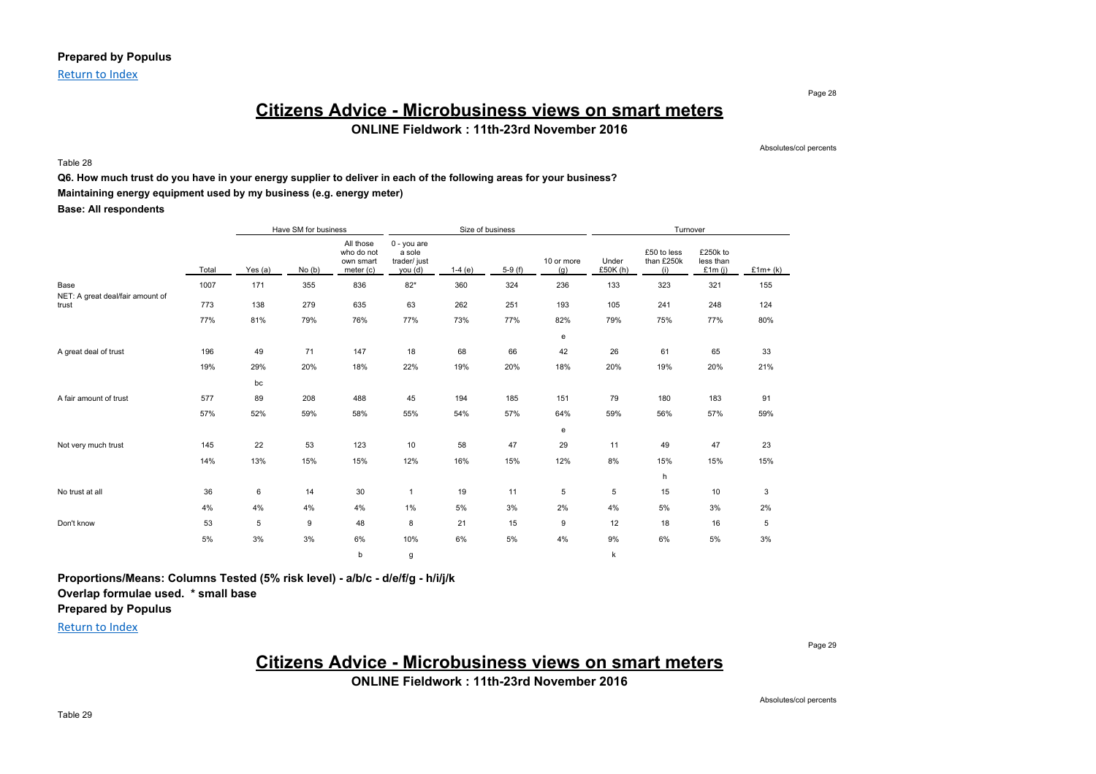Return to Index

## **Citizens Advice - Microbusiness views on smart meters ONLINE Fieldwork : 11th-23rd November 2016**

Table 28

Absolutes/col percents

Page 28

#### **Q6. How much trust do you have in your energy supplier to deliver in each of the following areas for your business?**

### **Maintaining energy equipment used by my business (e.g. energy meter)**

**Base: All respondents**

|                                          |       | Have SM for business |       |                                                   |                                                    |          | Size of business |                   |                   | Turnover                         |                                    |           |
|------------------------------------------|-------|----------------------|-------|---------------------------------------------------|----------------------------------------------------|----------|------------------|-------------------|-------------------|----------------------------------|------------------------------------|-----------|
|                                          | Total | Yes $(a)$            | No(b) | All those<br>who do not<br>own smart<br>meter (c) | $0 - you are$<br>a sole<br>trader/ just<br>you (d) | $1-4(e)$ | $5-9(f)$         | 10 or more<br>(g) | Under<br>£50K (h) | £50 to less<br>than £250k<br>(i) | £250k to<br>less than<br>£1 $m(i)$ | $£1m+(k)$ |
| Base<br>NET: A great deal/fair amount of | 1007  | 171                  | 355   | 836                                               | $82*$                                              | 360      | 324              | 236               | 133               | 323                              | 321                                | 155       |
| trust                                    | 773   | 138                  | 279   | 635                                               | 63                                                 | 262      | 251              | 193               | 105               | 241                              | 248                                | 124       |
|                                          | 77%   | 81%                  | 79%   | 76%                                               | 77%                                                | 73%      | 77%              | 82%               | 79%               | 75%                              | 77%                                | 80%       |
|                                          |       |                      |       |                                                   |                                                    |          |                  | e                 |                   |                                  |                                    |           |
| A great deal of trust                    | 196   | 49                   | 71    | 147                                               | 18                                                 | 68       | 66               | 42                | 26                | 61                               | 65                                 | 33        |
|                                          | 19%   | 29%                  | 20%   | 18%                                               | 22%                                                | 19%      | 20%              | 18%               | 20%               | 19%                              | 20%                                | 21%       |
|                                          |       | bc                   |       |                                                   |                                                    |          |                  |                   |                   |                                  |                                    |           |
| A fair amount of trust                   | 577   | 89                   | 208   | 488                                               | 45                                                 | 194      | 185              | 151               | 79                | 180                              | 183                                | 91        |
|                                          | 57%   | 52%                  | 59%   | 58%                                               | 55%                                                | 54%      | 57%              | 64%               | 59%               | 56%                              | 57%                                | 59%       |
|                                          |       |                      |       |                                                   |                                                    |          |                  | e                 |                   |                                  |                                    |           |
| Not very much trust                      | 145   | 22                   | 53    | 123                                               | 10                                                 | 58       | 47               | 29                | 11                | 49                               | 47                                 | 23        |
|                                          | 14%   | 13%                  | 15%   | 15%                                               | 12%                                                | 16%      | 15%              | 12%               | 8%                | 15%                              | 15%                                | 15%       |
|                                          |       |                      |       |                                                   |                                                    |          |                  |                   |                   | h                                |                                    |           |
| No trust at all                          | 36    | 6                    | 14    | 30                                                | $\mathbf{1}$                                       | 19       | 11               | 5                 | 5                 | 15                               | 10                                 | 3         |
|                                          | 4%    | 4%                   | 4%    | 4%                                                | 1%                                                 | 5%       | 3%               | 2%                | 4%                | 5%                               | 3%                                 | 2%        |
| Don't know                               | 53    | 5                    | 9     | 48                                                | 8                                                  | 21       | 15               | 9                 | 12                | 18                               | 16                                 | 5         |
|                                          | $5\%$ | 3%                   | 3%    | 6%                                                | 10%                                                | 6%       | 5%               | 4%                | 9%                | 6%                               | 5%                                 | 3%        |
|                                          |       |                      |       | b                                                 | g                                                  |          |                  |                   | k                 |                                  |                                    |           |

**Proportions/Means: Columns Tested (5% risk level) - a/b/c - d/e/f/g - h/i/j/k**

**Overlap formulae used. \* small base**

## **Prepared by Populus**

Return to Index

Page 29

# **Citizens Advice - Microbusiness views on smart meters**

**ONLINE Fieldwork : 11th-23rd November 2016**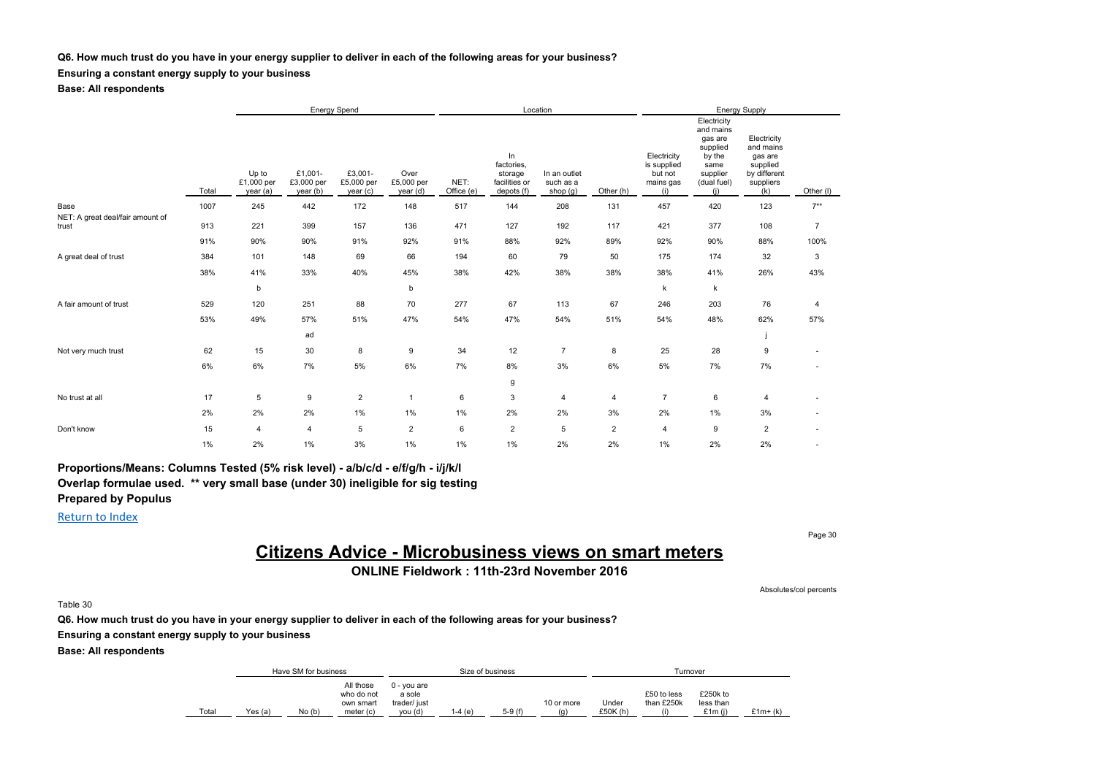#### **Q6. How much trust do you have in your energy supplier to deliver in each of the following areas for your business?**

### **Ensuring a constant energy supply to your business**

**Base: All respondents**

|                                           |       |                                 |                                  | <b>Energy Spend</b>              |                                |                    |                                                            | Location                                |                |                                                           |                                                                                                     | Energy Supply                                                                       |                |
|-------------------------------------------|-------|---------------------------------|----------------------------------|----------------------------------|--------------------------------|--------------------|------------------------------------------------------------|-----------------------------------------|----------------|-----------------------------------------------------------|-----------------------------------------------------------------------------------------------------|-------------------------------------------------------------------------------------|----------------|
|                                           | Total | Up to<br>£1,000 per<br>year (a) | £1.001-<br>£3,000 per<br>year(b) | £3,001-<br>£5,000 per<br>year(c) | Over<br>£5,000 per<br>year (d) | NET:<br>Office (e) | In<br>factories,<br>storage<br>facilities or<br>depots (f) | In an outlet<br>such as a<br>shop $(g)$ | Other (h)      | Electricity<br>is supplied<br>but not<br>mains gas<br>(i) | Electricity<br>and mains<br>gas are<br>supplied<br>by the<br>same<br>supplier<br>(dual fuel)<br>(i) | Electricity<br>and mains<br>gas are<br>supplied<br>by different<br>suppliers<br>(k) | Other (I)      |
| Base                                      | 1007  | 245                             | 442                              | 172                              | 148                            | 517                | 144                                                        | 208                                     | 131            | 457                                                       | 420                                                                                                 | 123                                                                                 | $7***$         |
| NET: A great deal/fair amount of<br>trust | 913   | 221                             | 399                              | 157                              | 136                            | 471                | 127                                                        | 192                                     | 117            | 421                                                       | 377                                                                                                 | 108                                                                                 | $\overline{7}$ |
|                                           | 91%   | 90%                             | 90%                              | 91%                              | 92%                            | 91%                | 88%                                                        | 92%                                     | 89%            | 92%                                                       | 90%                                                                                                 | 88%                                                                                 | 100%           |
| A great deal of trust                     | 384   | 101                             | 148                              | 69                               | 66                             | 194                | 60                                                         | 79                                      | 50             | 175                                                       | 174                                                                                                 | 32                                                                                  | 3              |
|                                           | 38%   | 41%                             | 33%                              | 40%                              | 45%                            | 38%                | 42%                                                        | 38%                                     | 38%            | 38%                                                       | 41%                                                                                                 | 26%                                                                                 | 43%            |
|                                           |       | b                               |                                  |                                  | b                              |                    |                                                            |                                         |                | k                                                         | k                                                                                                   |                                                                                     |                |
| A fair amount of trust                    | 529   | 120                             | 251                              | 88                               | 70                             | 277                | 67                                                         | 113                                     | 67             | 246                                                       | 203                                                                                                 | 76                                                                                  | $\overline{4}$ |
|                                           | 53%   | 49%                             | 57%                              | 51%                              | 47%                            | 54%                | 47%                                                        | 54%                                     | 51%            | 54%                                                       | 48%                                                                                                 | 62%                                                                                 | 57%            |
|                                           |       |                                 | ad                               |                                  |                                |                    |                                                            |                                         |                |                                                           |                                                                                                     |                                                                                     |                |
| Not very much trust                       | 62    | 15                              | 30                               | 8                                | 9                              | 34                 | 12                                                         | $\overline{7}$                          | 8              | 25                                                        | 28                                                                                                  | 9                                                                                   |                |
|                                           | 6%    | 6%                              | 7%                               | 5%                               | 6%                             | 7%                 | 8%                                                         | 3%                                      | 6%             | 5%                                                        | 7%                                                                                                  | 7%                                                                                  |                |
|                                           |       |                                 |                                  |                                  |                                |                    | g                                                          |                                         |                |                                                           |                                                                                                     |                                                                                     |                |
| No trust at all                           | 17    | 5                               | 9                                | $\overline{2}$                   | $\mathbf{1}$                   | 6                  | 3                                                          | 4                                       | 4              | $\overline{7}$                                            | 6                                                                                                   | 4                                                                                   |                |
|                                           | 2%    | 2%                              | 2%                               | $1\%$                            | 1%                             | $1\%$              | 2%                                                         | 2%                                      | 3%             | 2%                                                        | $1\%$                                                                                               | $3\%$                                                                               |                |
| Don't know                                | 15    | $\overline{4}$                  | $\overline{4}$                   | 5                                | $\overline{2}$                 | 6                  | $\overline{c}$                                             | 5                                       | $\overline{2}$ | 4                                                         | 9                                                                                                   | $\overline{2}$                                                                      |                |
|                                           | 1%    | 2%                              | $1\%$                            | 3%                               | 1%                             | 1%                 | 1%                                                         | 2%                                      | 2%             | 1%                                                        | 2%                                                                                                  | 2%                                                                                  |                |

**Proportions/Means: Columns Tested (5% risk level) - a/b/c/d - e/f/g/h - i/j/k/l Overlap formulae used. \*\* very small base (under 30) ineligible for sig testing Prepared by Populus**

Return to Index

# **Citizens Advice - Microbusiness views on smart meters**

**ONLINE Fieldwork : 11th-23rd November 2016**

Table 30

**Q6. How much trust do you have in your energy supplier to deliver in each of the following areas for your business?**

**Ensuring a constant energy supply to your business**

**Base: All respondents**

|       |         | Have SM for business |                                                   |                                                  |         | Size of business |                   |                  |                           | Turnover                        |            |
|-------|---------|----------------------|---------------------------------------------------|--------------------------------------------------|---------|------------------|-------------------|------------------|---------------------------|---------------------------------|------------|
| Total | Yes (a) | No(b)                | All those<br>who do not<br>own smart<br>meter (c) | 0 - vou are<br>a sole<br>trader/ just<br>vou (d) | l-4 (e) | $5-9(f)$         | 10 or more<br>(a) | Under<br>£50K(h) | £50 to less<br>than £250k | £250k to<br>less than<br>£1m(i) | $£1m+$ (k) |

Page 30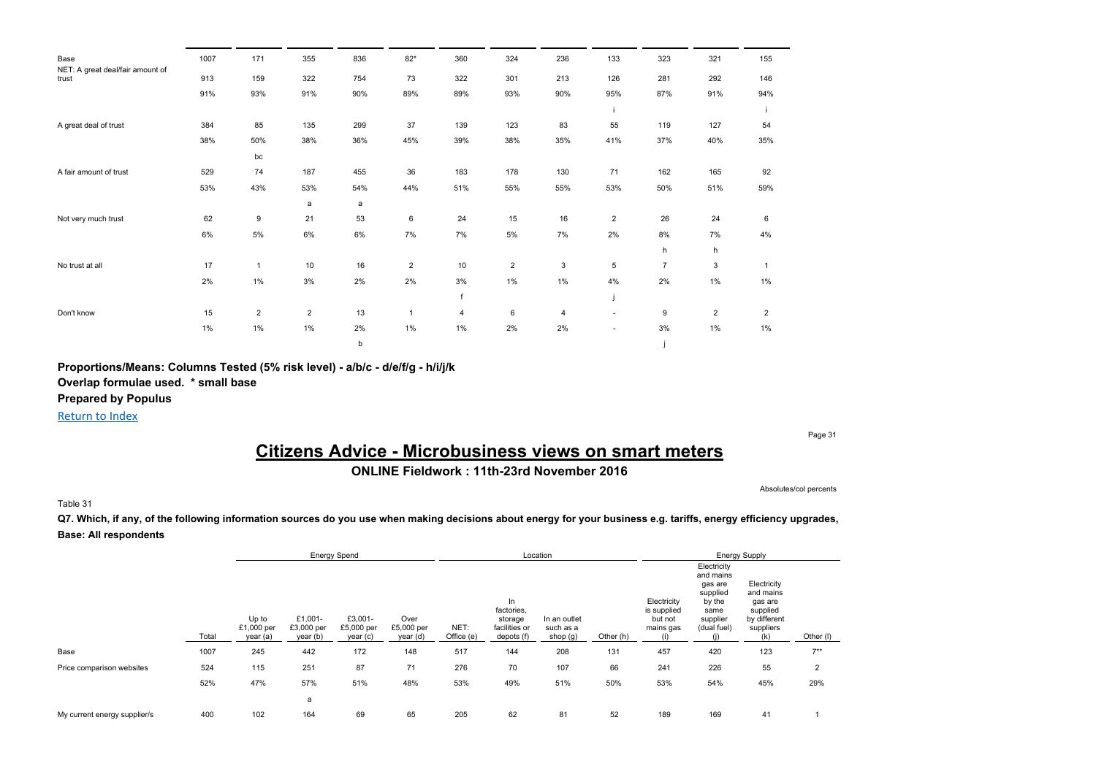| Base                                      | 1007  | 171            | 355            | 836 | $82*$          | 360            | 324            | 236 | 133            | 323            | 321            | 155            |
|-------------------------------------------|-------|----------------|----------------|-----|----------------|----------------|----------------|-----|----------------|----------------|----------------|----------------|
| NET: A great deal/fair amount of<br>trust | 913   | 159            | 322            | 754 | 73             | 322            | 301            | 213 | 126            | 281            | 292            | 146            |
|                                           | 91%   | 93%            | 91%            | 90% | 89%            | 89%            | 93%            | 90% | 95%            | 87%            | 91%            | 94%            |
|                                           |       |                |                |     |                |                |                |     |                |                |                |                |
| A great deal of trust                     | 384   | 85             | 135            | 299 | 37             | 139            | 123            | 83  | 55             | 119            | 127            | 54             |
|                                           | 38%   | 50%            | 38%            | 36% | 45%            | 39%            | 38%            | 35% | 41%            | 37%            | 40%            | 35%            |
|                                           |       | bc             |                |     |                |                |                |     |                |                |                |                |
| A fair amount of trust                    | 529   | 74             | 187            | 455 | 36             | 183            | 178            | 130 | 71             | 162            | 165            | 92             |
|                                           | 53%   | 43%            | 53%            | 54% | 44%            | 51%            | 55%            | 55% | 53%            | 50%            | 51%            | 59%            |
|                                           |       |                | a              | a   |                |                |                |     |                |                |                |                |
| Not very much trust                       | 62    | 9              | 21             | 53  | 6              | 24             | 15             | 16  | $\overline{2}$ | 26             | 24             | 6              |
|                                           | 6%    | 5%             | 6%             | 6%  | 7%             | 7%             | $5\%$          | 7%  | 2%             | 8%             | 7%             | 4%             |
|                                           |       |                |                |     |                |                |                |     |                | h              | h              |                |
| No trust at all                           | 17    | -1             | 10             | 16  | $\overline{2}$ | 10             | $\overline{2}$ | 3   | 5              | $\overline{7}$ | 3              | $\mathbf{1}$   |
|                                           | 2%    | $1\%$          | 3%             | 2%  | 2%             | 3%             | $1\%$          | 1%  | 4%             | 2%             | $1\%$          | $1\%$          |
|                                           |       |                |                |     |                | $\mathbf{f}$   |                |     |                |                |                |                |
| Don't know                                | 15    | $\overline{2}$ | $\overline{2}$ | 13  | $\overline{1}$ | $\overline{4}$ | 6              | 4   | ٠              | 9              | $\overline{2}$ | $\overline{2}$ |
|                                           | $1\%$ | $1\%$          | $1\%$          | 2%  | $1\%$          | 1%             | 2%             | 2%  | $\sim$         | 3%             | $1\%$          | 1%             |
|                                           |       |                |                | b   |                |                |                |     |                |                |                |                |

**Proportions/Means: Columns Tested (5% risk level) - a/b/c - d/e/f/g - h/i/j/k**

**Overlap formulae used. \* small base**

**Prepared by Populus**

Return to Index

Page 31

## **Citizens Advice - Microbusiness views on smart meters ONLINE Fieldwork : 11th-23rd November 2016**

Absolutes/col percents

#### Table 31

Q7. Which, if any, of the following information sources do you use when making decisions about energy for your business e.g. tariffs, energy efficiency upgrades, **Base: All respondents**

|                              |       |                                 | <b>Energy Spend</b>               |                                   |                                |                    | Location                                                   |                                       |           |                                                    |                                                                                              | <b>Energy Supply</b>                                                                |                |
|------------------------------|-------|---------------------------------|-----------------------------------|-----------------------------------|--------------------------------|--------------------|------------------------------------------------------------|---------------------------------------|-----------|----------------------------------------------------|----------------------------------------------------------------------------------------------|-------------------------------------------------------------------------------------|----------------|
|                              | Total | Up to<br>£1,000 per<br>year (a) | £1,001-<br>£3,000 per<br>year (b) | £3,001-<br>£5,000 per<br>year (c) | Over<br>£5,000 per<br>year (d) | NET:<br>Office (e) | In<br>factories,<br>storage<br>facilities or<br>depots (f) | In an outlet<br>such as a<br>shop (g) | Other (h) | Electricity<br>is supplied<br>but not<br>mains gas | Electricity<br>and mains<br>gas are<br>supplied<br>by the<br>same<br>supplier<br>(dual fuel) | Electricity<br>and mains<br>gas are<br>supplied<br>by different<br>suppliers<br>(k) | Other (I)      |
| Base                         | 1007  | 245                             | 442                               | 172                               | 148                            | 517                | 144                                                        | 208                                   | 131       | 457                                                | 420                                                                                          | 123                                                                                 | $7***$         |
| Price comparison websites    | 524   | 115                             | 251                               | 87                                | 71                             | 276                | 70                                                         | 107                                   | 66        | 241                                                | 226                                                                                          | 55                                                                                  | $\overline{2}$ |
|                              | 52%   | 47%                             | 57%                               | 51%                               | 48%                            | 53%                | 49%                                                        | 51%                                   | 50%       | 53%                                                | 54%                                                                                          | 45%                                                                                 | 29%            |
|                              |       |                                 | a                                 |                                   |                                |                    |                                                            |                                       |           |                                                    |                                                                                              |                                                                                     |                |
| My current energy supplier/s | 400   | 102                             | 164                               | 69                                | 65                             | 205                | 62                                                         | 81                                    | 52        | 189                                                | 169                                                                                          | 41                                                                                  |                |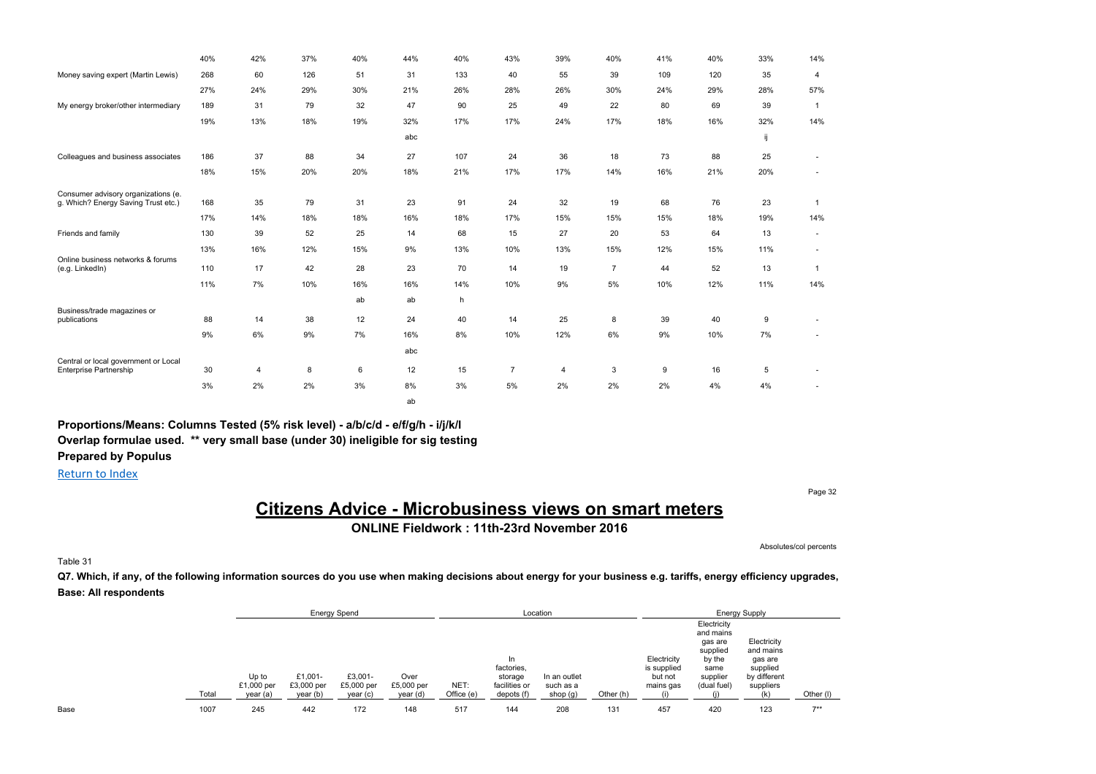|                                                                       | 40% | 42% | 37% | 40% | 44% | 40% | 43% | 39%            | 40%            | 41% | 40% | 33% | 14%                      |
|-----------------------------------------------------------------------|-----|-----|-----|-----|-----|-----|-----|----------------|----------------|-----|-----|-----|--------------------------|
| Money saving expert (Martin Lewis)                                    | 268 | 60  | 126 | 51  | 31  | 133 | 40  | 55             | 39             | 109 | 120 | 35  | $\overline{4}$           |
|                                                                       | 27% | 24% | 29% | 30% | 21% | 26% | 28% | 26%            | 30%            | 24% | 29% | 28% | 57%                      |
| My energy broker/other intermediary                                   | 189 | 31  | 79  | 32  | 47  | 90  | 25  | 49             | 22             | 80  | 69  | 39  | $\overline{1}$           |
|                                                                       | 19% | 13% | 18% | 19% | 32% | 17% | 17% | 24%            | 17%            | 18% | 16% | 32% | 14%                      |
|                                                                       |     |     |     |     | abc |     |     |                |                |     |     | ij  |                          |
| Colleagues and business associates                                    | 186 | 37  | 88  | 34  | 27  | 107 | 24  | 36             | 18             | 73  | 88  | 25  |                          |
|                                                                       | 18% | 15% | 20% | 20% | 18% | 21% | 17% | 17%            | 14%            | 16% | 21% | 20% | $\overline{\phantom{a}}$ |
| Consumer advisory organizations (e.                                   |     |     |     |     |     |     |     |                |                |     |     |     |                          |
| g. Which? Energy Saving Trust etc.)                                   | 168 | 35  | 79  | 31  | 23  | 91  | 24  | 32             | 19             | 68  | 76  | 23  | $\overline{1}$           |
|                                                                       | 17% | 14% | 18% | 18% | 16% | 18% | 17% | 15%            | 15%            | 15% | 18% | 19% | 14%                      |
| Friends and family                                                    | 130 | 39  | 52  | 25  | 14  | 68  | 15  | 27             | 20             | 53  | 64  | 13  | $\overline{\phantom{a}}$ |
|                                                                       | 13% | 16% | 12% | 15% | 9%  | 13% | 10% | 13%            | 15%            | 12% | 15% | 11% | $\mathbf{r}$             |
| Online business networks & forums<br>(e.g. LinkedIn)                  | 110 | 17  | 42  | 28  | 23  | 70  | 14  | 19             | $\overline{7}$ | 44  | 52  | 13  | $\overline{1}$           |
|                                                                       | 11% | 7%  | 10% | 16% | 16% | 14% | 10% | 9%             | 5%             | 10% | 12% | 11% | 14%                      |
|                                                                       |     |     |     | ab  | ab  | h   |     |                |                |     |     |     |                          |
| Business/trade magazines or<br>publications                           | 88  | 14  | 38  | 12  | 24  | 40  | 14  | 25             | 8              | 39  | 40  | 9   |                          |
|                                                                       | 9%  | 6%  | 9%  | 7%  | 16% | 8%  | 10% | 12%            | 6%             | 9%  | 10% | 7%  |                          |
|                                                                       |     |     |     |     | abc |     |     |                |                |     |     |     |                          |
| Central or local government or Local<br><b>Enterprise Partnership</b> | 30  | 4   | 8   | 6   | 12  | 15  | 7   | $\overline{4}$ | 3              | 9   | 16  | 5   |                          |
|                                                                       | 3%  | 2%  | 2%  | 3%  | 8%  | 3%  | 5%  | 2%             | 2%             | 2%  | 4%  | 4%  |                          |
|                                                                       |     |     |     |     | ab  |     |     |                |                |     |     |     |                          |

Return to Index

Page 32

# **Citizens Advice - Microbusiness views on smart meters**

**ONLINE Fieldwork : 11th-23rd November 2016**

Absolutes/col percents

Table 31

Q7. Which, if any, of the following information sources do you use when making decisions about energy for your business e.g. tariffs, energy efficiency upgrades, **Base: All respondents**

|      |       |                                 |                                   | <b>Energy Spend</b>              |                                |                    |                                                             | Location                              |           |                                                    |                                                                                              | <b>Energy Supply</b>                                                               |           |  |
|------|-------|---------------------------------|-----------------------------------|----------------------------------|--------------------------------|--------------------|-------------------------------------------------------------|---------------------------------------|-----------|----------------------------------------------------|----------------------------------------------------------------------------------------------|------------------------------------------------------------------------------------|-----------|--|
|      | Total | Up to<br>£1,000 per<br>year (a) | £1,001-<br>£3,000 per<br>year (b) | £3,001-<br>£5,000 per<br>year(c) | Over<br>£5,000 per<br>year (d) | NET:<br>Office (e) | In.<br>factories,<br>storage<br>facilities or<br>depots (f) | In an outlet<br>such as a<br>shop (g) | Other (h) | Electricity<br>is supplied<br>but not<br>mains gas | Electricity<br>and mains<br>gas are<br>supplied<br>by the<br>same<br>supplier<br>(dual fuel) | Electricity<br>and mains<br>gas are<br>supplied<br>by different<br>suppliers<br>ルト | Other (I) |  |
| Base | 1007  | 245                             | 442                               | 172                              | 148                            | 517                | 144                                                         | 208                                   | 131       | 457                                                | 420                                                                                          | 123                                                                                | $7**$     |  |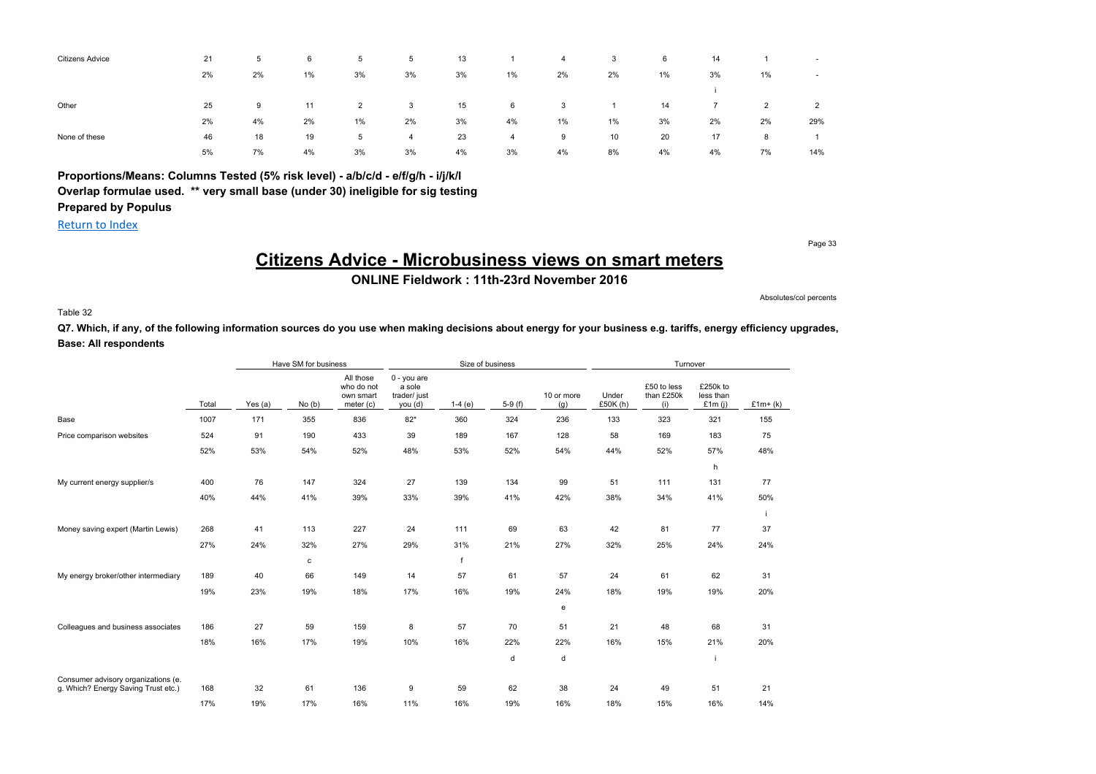| <b>Citizens Advice</b> | 21 | 5  | 6  | 5              | 5  | 13 |       | 4  | 3     | 6     | 14 |                | $\sim$         |
|------------------------|----|----|----|----------------|----|----|-------|----|-------|-------|----|----------------|----------------|
|                        | 2% | 2% | 1% | 3%             | 3% | 3% | $1\%$ | 2% | 2%    | $1\%$ | 3% | 1%             | $\sim$         |
|                        |    |    |    |                |    |    |       |    |       |       |    |                |                |
| Other                  | 25 | 9  | 11 | $\overline{2}$ | 3  | 15 | 6     | 3  |       | 14    |    | $\overline{2}$ | $\overline{2}$ |
|                        | 2% | 4% | 2% | 1%             | 2% | 3% | 4%    | 1% | $1\%$ | 3%    | 2% | 2%             | 29%            |
| None of these          | 46 | 18 | 19 | 5              | 4  | 23 | 4     | 9  | 10    | 20    | 17 | 8              |                |
|                        | 5% | 7% | 4% | 3%             | 3% | 4% | 3%    | 4% | 8%    | 4%    | 4% | 7%             | 14%            |

Return to Index

Page 33

# **Citizens Advice - Microbusiness views on smart meters**

**ONLINE Fieldwork : 11th-23rd November 2016**

Absolutes/col percents

Table 32

Q7. Which, if any, of the following information sources do you use when making decisions about energy for your business e.g. tariffs, energy efficiency upgrades, **Base: All respondents**

|                                     |       | Have SM for business |       |                                                   | Size of business                                 |          |          |                   | Turnover          |                                  |                                    |           |
|-------------------------------------|-------|----------------------|-------|---------------------------------------------------|--------------------------------------------------|----------|----------|-------------------|-------------------|----------------------------------|------------------------------------|-----------|
|                                     | Total | Yes $(a)$            | No(b) | All those<br>who do not<br>own smart<br>meter (c) | 0 - you are<br>a sole<br>trader/ just<br>you (d) | $1-4(e)$ | $5-9(f)$ | 10 or more<br>(g) | Under<br>£50K (h) | £50 to less<br>than £250k<br>(i) | £250k to<br>less than<br>£1 $m(i)$ | $£1m+(k)$ |
| Base                                | 1007  | 171                  | 355   | 836                                               | $82*$                                            | 360      | 324      | 236               | 133               | 323                              | 321                                | 155       |
| Price comparison websites           | 524   | 91                   | 190   | 433                                               | 39                                               | 189      | 167      | 128               | 58                | 169                              | 183                                | 75        |
|                                     | 52%   | 53%                  | 54%   | 52%                                               | 48%                                              | 53%      | 52%      | 54%               | 44%               | 52%                              | 57%                                | 48%       |
|                                     |       |                      |       |                                                   |                                                  |          |          |                   |                   |                                  | h                                  |           |
| My current energy supplier/s        | 400   | 76                   | 147   | 324                                               | 27                                               | 139      | 134      | 99                | 51                | 111                              | 131                                | 77        |
|                                     | 40%   | 44%                  | 41%   | 39%                                               | 33%                                              | 39%      | 41%      | 42%               | 38%               | 34%                              | 41%                                | 50%       |
|                                     |       |                      |       |                                                   |                                                  |          |          |                   |                   |                                  |                                    |           |
| Money saving expert (Martin Lewis)  | 268   | 41                   | 113   | 227                                               | 24                                               | 111      | 69       | 63                | 42                | 81                               | 77                                 | 37        |
|                                     | 27%   | 24%                  | 32%   | 27%                                               | 29%                                              | 31%      | 21%      | 27%               | 32%               | 25%                              | 24%                                | 24%       |
|                                     |       |                      | с     |                                                   |                                                  | f        |          |                   |                   |                                  |                                    |           |
| My energy broker/other intermediary | 189   | 40                   | 66    | 149                                               | 14                                               | 57       | 61       | 57                | 24                | 61                               | 62                                 | 31        |
|                                     | 19%   | 23%                  | 19%   | 18%                                               | 17%                                              | 16%      | 19%      | 24%               | 18%               | 19%                              | 19%                                | 20%       |
|                                     |       |                      |       |                                                   |                                                  |          |          | e                 |                   |                                  |                                    |           |
| Colleagues and business associates  | 186   | 27                   | 59    | 159                                               | 8                                                | 57       | 70       | 51                | 21                | 48                               | 68                                 | 31        |
|                                     | 18%   | 16%                  | 17%   | 19%                                               | 10%                                              | 16%      | 22%      | 22%               | 16%               | 15%                              | 21%                                | 20%       |
|                                     |       |                      |       |                                                   |                                                  |          | d        | d                 |                   |                                  |                                    |           |
| Consumer advisory organizations (e. |       |                      |       |                                                   |                                                  |          |          |                   |                   |                                  |                                    |           |
| g. Which? Energy Saving Trust etc.) | 168   | 32                   | 61    | 136                                               | 9                                                | 59       | 62       | 38                | 24                | 49                               | 51                                 | 21        |
|                                     | 17%   | 19%                  | 17%   | 16%                                               | 11%                                              | 16%      | 19%      | 16%               | 18%               | 15%                              | 16%                                | 14%       |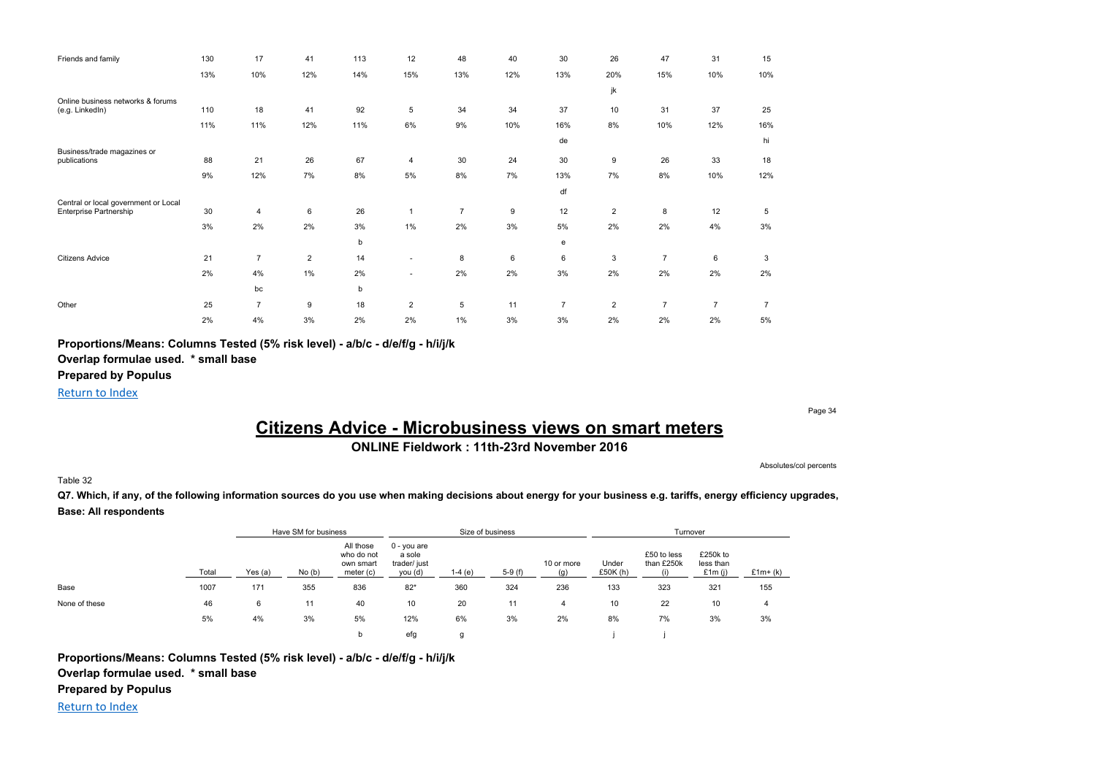| Friends and family                                   | 130 | 17             | 41             | 113 | 12             | 48             | 40  | 30             | 26             | 47             | 31             | 15             |
|------------------------------------------------------|-----|----------------|----------------|-----|----------------|----------------|-----|----------------|----------------|----------------|----------------|----------------|
|                                                      | 13% | 10%            | 12%            | 14% | 15%            | 13%            | 12% | 13%            | 20%            | 15%            | 10%            | 10%            |
|                                                      |     |                |                |     |                |                |     |                | jk             |                |                |                |
| Online business networks & forums<br>(e.g. LinkedIn) | 110 | 18             | 41             | 92  | 5              | 34             | 34  | 37             | 10             | 31             | 37             | 25             |
|                                                      | 11% | 11%            | 12%            | 11% | 6%             | 9%             | 10% | 16%            | 8%             | 10%            | 12%            | 16%            |
|                                                      |     |                |                |     |                |                |     | de             |                |                |                | hi             |
| Business/trade magazines or<br>publications          | 88  | 21             | 26             | 67  | 4              | 30             | 24  | 30             | 9              | 26             | 33             | 18             |
|                                                      | 9%  | 12%            | 7%             | 8%  | 5%             | 8%             | 7%  | 13%            | 7%             | 8%             | 10%            | 12%            |
|                                                      |     |                |                |     |                |                |     |                |                |                |                |                |
| Central or local government or Local                 |     |                |                |     |                |                |     | df             |                |                |                |                |
| Enterprise Partnership                               | 30  | 4              | 6              | 26  | $\mathbf{1}$   | $\overline{7}$ | 9   | 12             | $\overline{2}$ | 8              | 12             | 5              |
|                                                      | 3%  | 2%             | 2%             | 3%  | 1%             | 2%             | 3%  | 5%             | 2%             | 2%             | 4%             | 3%             |
|                                                      |     |                |                | b   |                |                |     | е              |                |                |                |                |
| <b>Citizens Advice</b>                               | 21  | $\overline{7}$ | $\overline{2}$ | 14  | ٠              | 8              | 6   | 6              | 3              | $\overline{7}$ | 6              | 3              |
|                                                      | 2%  | 4%             | $1\%$          | 2%  | ۰.             | 2%             | 2%  | 3%             | 2%             | 2%             | 2%             | 2%             |
|                                                      |     | bc             |                | b   |                |                |     |                |                |                |                |                |
| Other                                                | 25  | $\overline{7}$ | 9              | 18  | $\overline{2}$ | 5              | 11  | $\overline{7}$ | $\overline{2}$ | $\overline{7}$ | $\overline{7}$ | $\overline{7}$ |
|                                                      | 2%  | 4%             | 3%             | 2%  | 2%             | 1%             | 3%  | 3%             | 2%             | 2%             | 2%             | 5%             |

**Proportions/Means: Columns Tested (5% risk level) - a/b/c - d/e/f/g - h/i/j/k**

**Overlap formulae used. \* small base**

**Prepared by Populus**

Return to Index

## Page 34

# **Citizens Advice - Microbusiness views on smart meters**

## **ONLINE Fieldwork : 11th-23rd November 2016**

Absolutes/col percents

### Table 32

Q7. Which, if any, of the following information sources do you use when making decisions about energy for your business e.g. tariffs, energy efficiency upgrades, **Base: All respondents**

|               |       |           | Have SM for business |                                                   |                                                    |          | Size of business |                   |                     | Turnover                         |                                    |           |
|---------------|-------|-----------|----------------------|---------------------------------------------------|----------------------------------------------------|----------|------------------|-------------------|---------------------|----------------------------------|------------------------------------|-----------|
|               | Total | Yes $(a)$ | No(b)                | All those<br>who do not<br>own smart<br>meter (c) | $0 - you are$<br>a sole<br>trader/ just<br>you (d) | $1-4(e)$ | $5-9(f)$         | 10 or more<br>(a) | Under<br>£50 $K(h)$ | £50 to less<br>than £250k<br>(i) | £250k to<br>less than<br>£1 $m(i)$ | $£1m+(k)$ |
| Base          | 1007  | 171       | 355                  | 836                                               | $82*$                                              | 360      | 324              | 236               | 133                 | 323                              | 321                                | 155       |
| None of these | 46    | 6         | 11                   | 40                                                | 10                                                 | 20       | 11               | 4                 | 10                  | 22                               | 10                                 | 4         |
|               | 5%    | 4%        | 3%                   | 5%                                                | 12%                                                | 6%       | 3%               | 2%                | 8%                  | 7%                               | 3%                                 | 3%        |
|               |       |           |                      | b                                                 | efg                                                | g        |                  |                   |                     |                                  |                                    |           |

**Proportions/Means: Columns Tested (5% risk level) - a/b/c - d/e/f/g - h/i/j/k Overlap formulae used. \* small base**

**Prepared by Populus**

Return to Index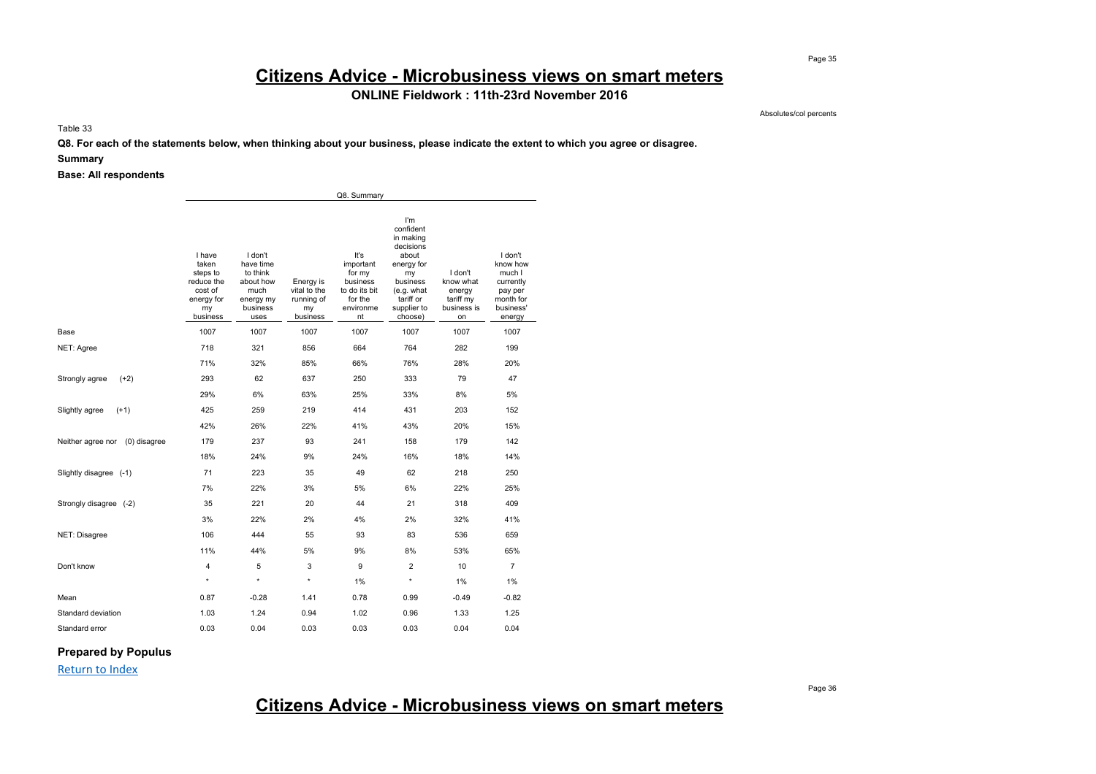# **Citizens Advice - Microbusiness views on smart meters**

## **ONLINE Fieldwork : 11th-23rd November 2016**

Absolutes/col percents

Table 33

**Q8. For each of the statements below, when thinking about your business, please indicate the extent to which you agree or disagree.**

#### **Summary**

**Base: All respondents**

|                                |                                                                                      |                                                                                        |                                                           | Q8. Summary                                                                            |                                                                                                                                          |                                                                  |                                                                                           |
|--------------------------------|--------------------------------------------------------------------------------------|----------------------------------------------------------------------------------------|-----------------------------------------------------------|----------------------------------------------------------------------------------------|------------------------------------------------------------------------------------------------------------------------------------------|------------------------------------------------------------------|-------------------------------------------------------------------------------------------|
|                                | I have<br>taken<br>steps to<br>reduce the<br>cost of<br>energy for<br>my<br>business | I don't<br>have time<br>to think<br>about how<br>much<br>energy my<br>business<br>uses | Energy is<br>vital to the<br>running of<br>my<br>business | It's<br>important<br>for my<br>business<br>to do its bit<br>for the<br>environme<br>nt | I'm<br>confident<br>in making<br>decisions<br>about<br>energy for<br>my<br>business<br>(e.g. what<br>tariff or<br>supplier to<br>choose) | I don't<br>know what<br>energy<br>tariff my<br>business is<br>on | I don't<br>know how<br>much I<br>currently<br>pay per<br>month for<br>business'<br>energy |
| Base                           | 1007                                                                                 | 1007                                                                                   | 1007                                                      | 1007                                                                                   | 1007                                                                                                                                     | 1007                                                             | 1007                                                                                      |
| NET: Agree                     | 718                                                                                  | 321                                                                                    | 856                                                       | 664                                                                                    | 764                                                                                                                                      | 282                                                              | 199                                                                                       |
|                                | 71%                                                                                  | 32%                                                                                    | 85%                                                       | 66%                                                                                    | 76%                                                                                                                                      | 28%                                                              | 20%                                                                                       |
| Strongly agree<br>$(+2)$       | 293                                                                                  | 62                                                                                     | 637                                                       | 250                                                                                    | 333                                                                                                                                      | 79                                                               | 47                                                                                        |
|                                | 29%                                                                                  | 6%                                                                                     | 63%                                                       | 25%                                                                                    | 33%                                                                                                                                      | 8%                                                               | 5%                                                                                        |
| Slightly agree<br>$(+1)$       | 425                                                                                  | 259                                                                                    | 219                                                       | 414                                                                                    | 431                                                                                                                                      | 203                                                              | 152                                                                                       |
|                                | 42%                                                                                  | 26%                                                                                    | 22%                                                       | 41%                                                                                    | 43%                                                                                                                                      | 20%                                                              | 15%                                                                                       |
| Neither agree nor (0) disagree | 179                                                                                  | 237                                                                                    | 93                                                        | 241                                                                                    | 158                                                                                                                                      | 179                                                              | 142                                                                                       |
|                                | 18%                                                                                  | 24%                                                                                    | 9%                                                        | 24%                                                                                    | 16%                                                                                                                                      | 18%                                                              | 14%                                                                                       |
| Slightly disagree (-1)         | 71                                                                                   | 223                                                                                    | 35                                                        | 49                                                                                     | 62                                                                                                                                       | 218                                                              | 250                                                                                       |
|                                | 7%                                                                                   | 22%                                                                                    | 3%                                                        | 5%                                                                                     | 6%                                                                                                                                       | 22%                                                              | 25%                                                                                       |
| Strongly disagree (-2)         | 35                                                                                   | 221                                                                                    | 20                                                        | 44                                                                                     | 21                                                                                                                                       | 318                                                              | 409                                                                                       |
|                                | 3%                                                                                   | 22%                                                                                    | 2%                                                        | 4%                                                                                     | 2%                                                                                                                                       | 32%                                                              | 41%                                                                                       |
| NET: Disagree                  | 106                                                                                  | 444                                                                                    | 55                                                        | 93                                                                                     | 83                                                                                                                                       | 536                                                              | 659                                                                                       |
|                                | 11%                                                                                  | 44%                                                                                    | 5%                                                        | 9%                                                                                     | 8%                                                                                                                                       | 53%                                                              | 65%                                                                                       |
| Don't know                     | 4                                                                                    | 5                                                                                      | 3                                                         | 9                                                                                      | $\overline{\mathbf{c}}$                                                                                                                  | 10                                                               | $\overline{7}$                                                                            |
|                                | $\star$                                                                              | $\star$                                                                                | $\star$                                                   | 1%                                                                                     | $\star$                                                                                                                                  | 1%                                                               | 1%                                                                                        |
| Mean                           | 0.87                                                                                 | $-0.28$                                                                                | 1.41                                                      | 0.78                                                                                   | 0.99                                                                                                                                     | -0.49                                                            | $-0.82$                                                                                   |
| Standard deviation             | 1.03                                                                                 | 1.24                                                                                   | 0.94                                                      | 1.02                                                                                   | 0.96                                                                                                                                     | 1.33                                                             | 1.25                                                                                      |
| Standard error                 | 0.03                                                                                 | 0.04                                                                                   | 0.03                                                      | 0.03                                                                                   | 0.03                                                                                                                                     | 0.04                                                             | 0.04                                                                                      |

### **Prepared by Populus**

Return to Index

# **Citizens Advice - Microbusiness views on smart meters**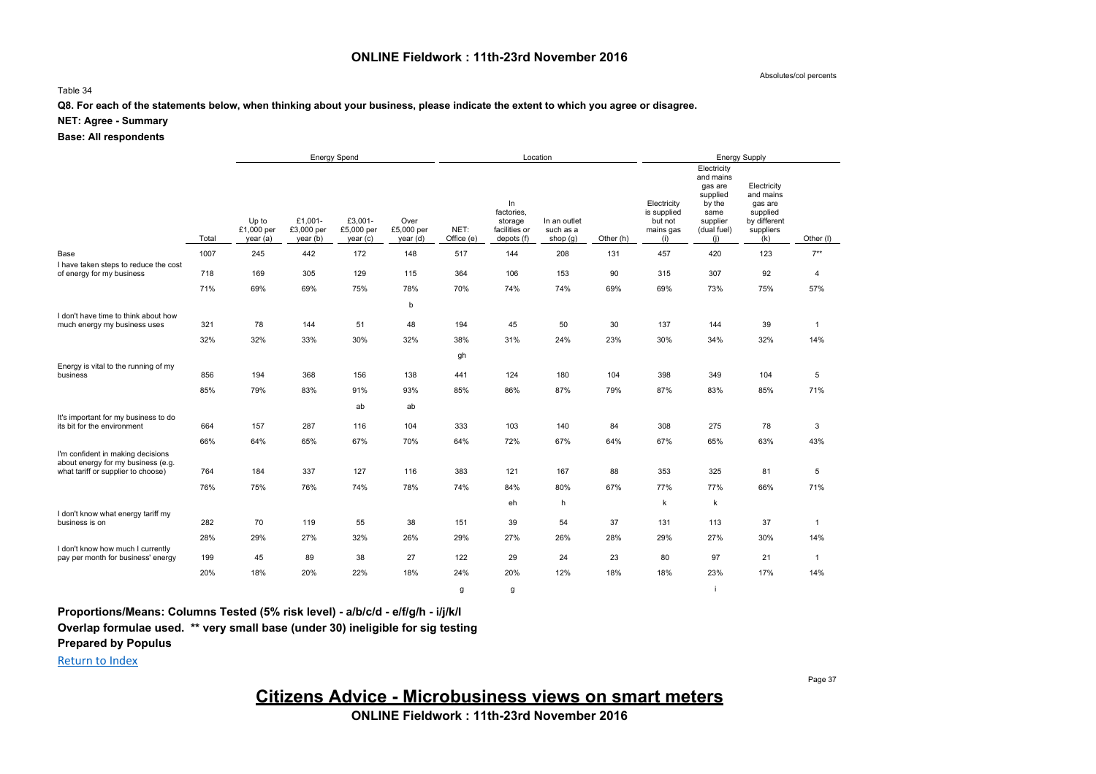### **ONLINE Fieldwork : 11th-23rd November 2016**

Absolutes/col percents

#### Table 34

### **Q8. For each of the statements below, when thinking about your business, please indicate the extent to which you agree or disagree.**

#### **NET: Agree - Summary**

**Base: All respondents**

|                                                                          |       | <b>Energy Spend</b>             |                                   |                                  |                                |                    |                                                            | Location                                |           | <b>Energy Supply</b>                                      |                                                                                                     |                                                                                     |              |  |
|--------------------------------------------------------------------------|-------|---------------------------------|-----------------------------------|----------------------------------|--------------------------------|--------------------|------------------------------------------------------------|-----------------------------------------|-----------|-----------------------------------------------------------|-----------------------------------------------------------------------------------------------------|-------------------------------------------------------------------------------------|--------------|--|
|                                                                          | Total | Up to<br>£1,000 per<br>year (a) | £1,001-<br>£3,000 per<br>year (b) | £3,001-<br>£5,000 per<br>year(c) | Over<br>£5,000 per<br>year (d) | NET:<br>Office (e) | In<br>factories,<br>storage<br>facilities or<br>depots (f) | In an outlet<br>such as a<br>shop $(g)$ | Other (h) | Electricity<br>is supplied<br>but not<br>mains gas<br>(i) | Electricity<br>and mains<br>gas are<br>supplied<br>by the<br>same<br>supplier<br>(dual fuel)<br>(i) | Electricity<br>and mains<br>gas are<br>supplied<br>by different<br>suppliers<br>(k) | Other (I)    |  |
| Base                                                                     | 1007  | 245                             | 442                               | 172                              | 148                            | 517                | 144                                                        | 208                                     | 131       | 457                                                       | 420                                                                                                 | 123                                                                                 | $7**$        |  |
| I have taken steps to reduce the cost                                    |       |                                 |                                   |                                  |                                |                    |                                                            |                                         |           |                                                           |                                                                                                     |                                                                                     |              |  |
| of energy for my business                                                | 718   | 169                             | 305                               | 129                              | 115                            | 364                | 106                                                        | 153                                     | 90        | 315                                                       | 307                                                                                                 | 92                                                                                  | 4            |  |
|                                                                          | 71%   | 69%                             | 69%                               | 75%                              | 78%                            | 70%                | 74%                                                        | 74%                                     | 69%       | 69%                                                       | 73%                                                                                                 | 75%                                                                                 | 57%          |  |
|                                                                          |       |                                 |                                   |                                  | b                              |                    |                                                            |                                         |           |                                                           |                                                                                                     |                                                                                     |              |  |
| I don't have time to think about how<br>much energy my business uses     | 321   | 78                              | 144                               | 51                               | 48                             | 194                | 45                                                         | 50                                      | 30        | 137                                                       | 144                                                                                                 | 39                                                                                  | $\mathbf{1}$ |  |
|                                                                          | 32%   | 32%                             | 33%                               | 30%                              | 32%                            | 38%                | 31%                                                        | 24%                                     | 23%       | 30%                                                       | 34%                                                                                                 | 32%                                                                                 | 14%          |  |
|                                                                          |       |                                 |                                   |                                  |                                | gh                 |                                                            |                                         |           |                                                           |                                                                                                     |                                                                                     |              |  |
| Energy is vital to the running of my<br>business                         | 856   | 194                             | 368                               | 156                              | 138                            | 441                | 124                                                        | 180                                     | 104       | 398                                                       | 349                                                                                                 | 104                                                                                 | 5            |  |
|                                                                          |       |                                 |                                   |                                  |                                |                    |                                                            |                                         |           |                                                           |                                                                                                     |                                                                                     |              |  |
|                                                                          | 85%   | 79%                             | 83%                               | 91%                              | 93%                            | 85%                | 86%                                                        | 87%                                     | 79%       | 87%                                                       | 83%                                                                                                 | 85%                                                                                 | 71%          |  |
|                                                                          |       |                                 |                                   | ab                               | ab                             |                    |                                                            |                                         |           |                                                           |                                                                                                     |                                                                                     |              |  |
| It's important for my business to do<br>its bit for the environment      | 664   | 157                             | 287                               | 116                              | 104                            | 333                | 103                                                        | 140                                     | 84        | 308                                                       | 275                                                                                                 | 78                                                                                  | 3            |  |
|                                                                          | 66%   | 64%                             | 65%                               | 67%                              | 70%                            | 64%                | 72%                                                        | 67%                                     | 64%       | 67%                                                       | 65%                                                                                                 | 63%                                                                                 | 43%          |  |
| I'm confident in making decisions                                        |       |                                 |                                   |                                  |                                |                    |                                                            |                                         |           |                                                           |                                                                                                     |                                                                                     |              |  |
| about energy for my business (e.g.<br>what tariff or supplier to choose) | 764   | 184                             | 337                               | 127                              | 116                            | 383                | 121                                                        | 167                                     | 88        | 353                                                       | 325                                                                                                 | 81                                                                                  | 5            |  |
|                                                                          | 76%   | 75%                             | 76%                               | 74%                              | 78%                            | 74%                | 84%                                                        | 80%                                     | 67%       | 77%                                                       | 77%                                                                                                 | 66%                                                                                 | 71%          |  |
|                                                                          |       |                                 |                                   |                                  |                                |                    | eh                                                         | h                                       |           | k                                                         | k                                                                                                   |                                                                                     |              |  |
| I don't know what energy tariff my<br>business is on                     | 282   | 70                              | 119                               | 55                               | 38                             | 151                | 39                                                         | 54                                      | 37        | 131                                                       | 113                                                                                                 | 37                                                                                  | $\mathbf{1}$ |  |
|                                                                          |       |                                 |                                   |                                  |                                |                    |                                                            |                                         |           |                                                           |                                                                                                     |                                                                                     |              |  |
| I don't know how much I currently                                        | 28%   | 29%                             | 27%                               | 32%                              | 26%                            | 29%                | 27%                                                        | 26%                                     | 28%       | 29%                                                       | 27%                                                                                                 | 30%                                                                                 | 14%          |  |
| pay per month for business' energy                                       | 199   | 45                              | 89                                | 38                               | 27                             | 122                | 29                                                         | 24                                      | 23        | 80                                                        | 97                                                                                                  | 21                                                                                  | $\mathbf{1}$ |  |
|                                                                          | 20%   | 18%                             | 20%                               | 22%                              | 18%                            | 24%                | 20%                                                        | 12%                                     | 18%       | 18%                                                       | 23%                                                                                                 | 17%                                                                                 | 14%          |  |
|                                                                          |       |                                 |                                   |                                  |                                | g                  | g                                                          |                                         |           |                                                           |                                                                                                     |                                                                                     |              |  |

**Proportions/Means: Columns Tested (5% risk level) - a/b/c/d - e/f/g/h - i/j/k/l**

**Overlap formulae used. \*\* very small base (under 30) ineligible for sig testing**

**Prepared by Populus**

Return to Index

**Citizens Advice - Microbusiness views on smart meters**

Page 37

**ONLINE Fieldwork : 11th-23rd November 2016**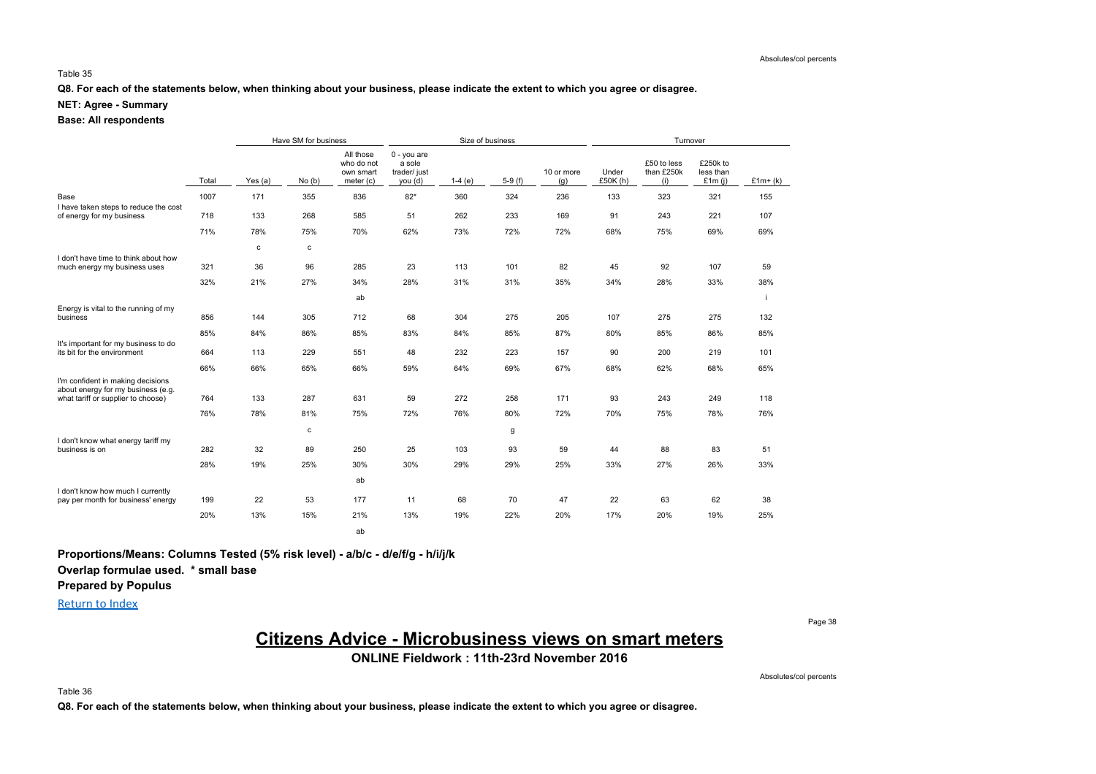#### Table 35

**Q8. For each of the statements below, when thinking about your business, please indicate the extent to which you agree or disagree.**

### **NET: Agree - Summary**

### **Base: All respondents**

|                                                                         |       |           | Have SM for business |                                                   |                                                    | Size of business<br>Turnover |          |                   |                  |                                  |                                    |           |
|-------------------------------------------------------------------------|-------|-----------|----------------------|---------------------------------------------------|----------------------------------------------------|------------------------------|----------|-------------------|------------------|----------------------------------|------------------------------------|-----------|
|                                                                         | Total | Yes $(a)$ | No(b)                | All those<br>who do not<br>own smart<br>meter (c) | $0 - you are$<br>a sole<br>trader/ just<br>you (d) | $1-4(e)$                     | $5-9(f)$ | 10 or more<br>(g) | Under<br>£50K(h) | £50 to less<br>than £250k<br>(i) | £250k to<br>less than<br>£1m $(i)$ | $£1m+(k)$ |
| Base                                                                    | 1007  | 171       | 355                  | 836                                               | $82*$                                              | 360                          | 324      | 236               | 133              | 323                              | 321                                | 155       |
| I have taken steps to reduce the cost<br>of energy for my business      | 718   | 133       | 268                  | 585                                               | 51                                                 | 262                          | 233      | 169               | 91               | 243                              | 221                                | 107       |
|                                                                         | 71%   | 78%       | 75%                  | 70%                                               | 62%                                                | 73%                          | 72%      | 72%               | 68%              | 75%                              | 69%                                | 69%       |
| I don't have time to think about how                                    |       | c         | c                    |                                                   |                                                    |                              |          |                   |                  |                                  |                                    |           |
| much energy my business uses                                            | 321   | 36        | 96                   | 285                                               | 23                                                 | 113                          | 101      | 82                | 45               | 92                               | 107                                | 59        |
|                                                                         | 32%   | 21%       | 27%                  | 34%                                               | 28%                                                | 31%                          | 31%      | 35%               | 34%              | 28%                              | 33%                                | 38%       |
|                                                                         |       |           |                      | ab                                                |                                                    |                              |          |                   |                  |                                  |                                    |           |
| Energy is vital to the running of my<br>business                        | 856   | 144       | 305                  | 712                                               | 68                                                 | 304                          | 275      | 205               | 107              | 275                              | 275                                | 132       |
|                                                                         | 85%   | 84%       | 86%                  | 85%                                               | 83%                                                | 84%                          | 85%      | 87%               | 80%              | 85%                              | 86%                                | 85%       |
| It's important for my business to do<br>its bit for the environment     | 664   | 113       | 229                  | 551                                               | 48                                                 | 232                          | 223      | 157               | 90               | 200                              | 219                                | 101       |
|                                                                         | 66%   | 66%       | 65%                  | 66%                                               | 59%                                                | 64%                          | 69%      | 67%               | 68%              | 62%                              | 68%                                | 65%       |
| I'm confident in making decisions<br>about energy for my business (e.g. |       |           |                      |                                                   |                                                    |                              |          |                   |                  |                                  |                                    |           |
| what tariff or supplier to choose)                                      | 764   | 133       | 287                  | 631                                               | 59                                                 | 272                          | 258      | 171               | 93               | 243                              | 249                                | 118       |
|                                                                         | 76%   | 78%       | 81%                  | 75%                                               | 72%                                                | 76%                          | 80%      | 72%               | 70%              | 75%                              | 78%                                | 76%       |
|                                                                         |       |           | c                    |                                                   |                                                    |                              | g        |                   |                  |                                  |                                    |           |
| I don't know what energy tariff my<br>business is on                    | 282   | 32        | 89                   | 250                                               | 25                                                 | 103                          | 93       | 59                | 44               | 88                               | 83                                 | 51        |
|                                                                         | 28%   | 19%       | 25%                  | 30%                                               | 30%                                                | 29%                          | 29%      | 25%               | 33%              | 27%                              | 26%                                | 33%       |
|                                                                         |       |           |                      | ab                                                |                                                    |                              |          |                   |                  |                                  |                                    |           |
| I don't know how much I currently<br>pay per month for business' energy | 199   | 22        | 53                   | 177                                               | 11                                                 | 68                           | 70       | 47                | 22               | 63                               | 62                                 | 38        |
|                                                                         | 20%   | 13%       | 15%                  | 21%                                               | 13%                                                | 19%                          | 22%      | 20%               | 17%              | 20%                              | 19%                                | 25%       |
|                                                                         |       |           |                      | ab                                                |                                                    |                              |          |                   |                  |                                  |                                    |           |

**Proportions/Means: Columns Tested (5% risk level) - a/b/c - d/e/f/g - h/i/j/k**

**Overlap formulae used. \* small base**

**Prepared by Populus**

Return to Index

Page 38

# **Citizens Advice - Microbusiness views on smart meters**

**ONLINE Fieldwork : 11th-23rd November 2016**

Absolutes/col percents

Table 36

**Q8. For each of the statements below, when thinking about your business, please indicate the extent to which you agree or disagree.**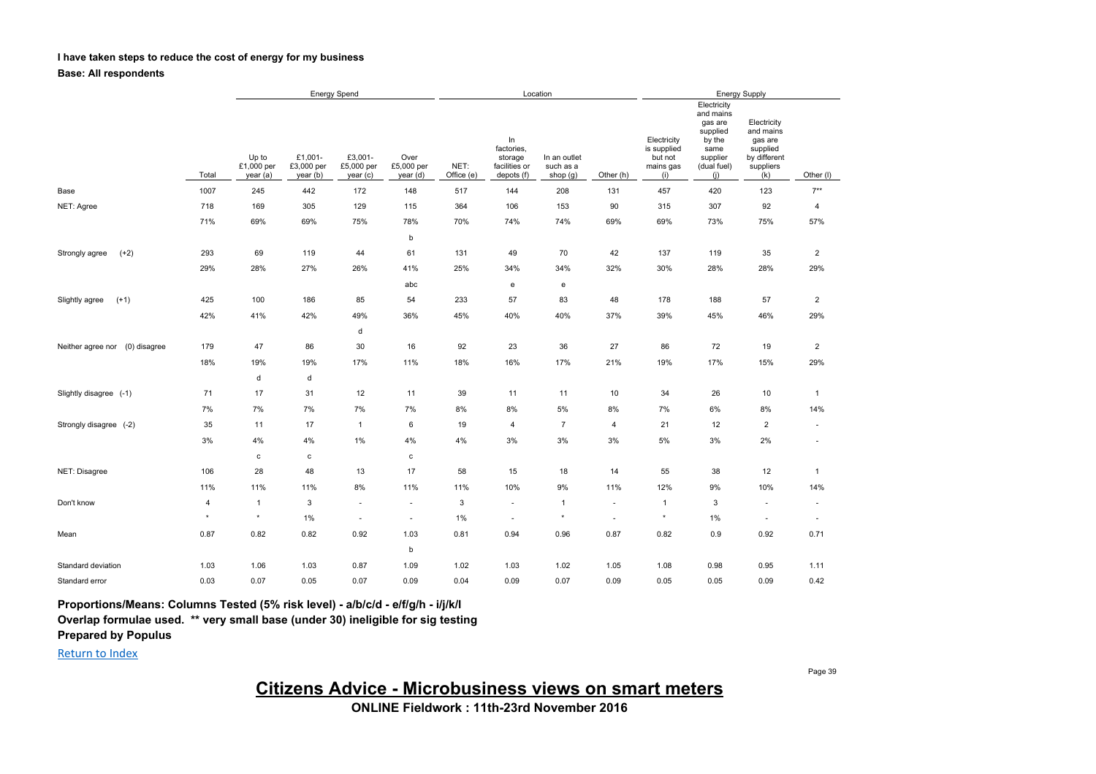### **I have taken steps to reduce the cost of energy for my business**

**Base: All respondents**

|                                   |         | <b>Energy Spend</b>             |                                   |                                   |                                |                    | Location                                                   |                                         | <b>Energy Supply</b>     |                                                           |                                                                                                     |                                                                                     |                          |
|-----------------------------------|---------|---------------------------------|-----------------------------------|-----------------------------------|--------------------------------|--------------------|------------------------------------------------------------|-----------------------------------------|--------------------------|-----------------------------------------------------------|-----------------------------------------------------------------------------------------------------|-------------------------------------------------------------------------------------|--------------------------|
|                                   | Total   | Up to<br>£1,000 per<br>year (a) | £1,001-<br>£3,000 per<br>year (b) | £3,001-<br>£5,000 per<br>year (c) | Over<br>£5,000 per<br>year (d) | NET:<br>Office (e) | In<br>factories,<br>storage<br>facilities or<br>depots (f) | In an outlet<br>such as a<br>shop $(g)$ | Other (h)                | Electricity<br>is supplied<br>but not<br>mains gas<br>(i) | Electricity<br>and mains<br>gas are<br>supplied<br>by the<br>same<br>supplier<br>(dual fuel)<br>(i) | Electricity<br>and mains<br>gas are<br>supplied<br>by different<br>suppliers<br>(k) | Other (I)                |
| Base                              | 1007    | 245                             | 442                               | 172                               | 148                            | 517                | 144                                                        | 208                                     | 131                      | 457                                                       | 420                                                                                                 | 123                                                                                 | $7^{**}$                 |
| NET: Agree                        | 718     | 169                             | 305                               | 129                               | 115                            | 364                | 106                                                        | 153                                     | 90                       | 315                                                       | 307                                                                                                 | 92                                                                                  | 4                        |
|                                   | 71%     | 69%                             | 69%                               | 75%                               | 78%                            | 70%                | 74%                                                        | 74%                                     | 69%                      | 69%                                                       | 73%                                                                                                 | 75%                                                                                 | 57%                      |
|                                   |         |                                 |                                   |                                   | b                              |                    |                                                            |                                         |                          |                                                           |                                                                                                     |                                                                                     |                          |
| $(+2)$<br>Strongly agree          | 293     | 69                              | 119                               | 44                                | 61                             | 131                | 49                                                         | 70                                      | 42                       | 137                                                       | 119                                                                                                 | 35                                                                                  | $\overline{c}$           |
|                                   | 29%     | 28%                             | 27%                               | 26%                               | 41%                            | 25%                | 34%                                                        | 34%                                     | 32%                      | 30%                                                       | 28%                                                                                                 | 28%                                                                                 | 29%                      |
|                                   |         |                                 |                                   |                                   | abc                            |                    | $\mathsf{e}% _{\mathsf{H}}\left( \mathsf{e}\right)$        | e                                       |                          |                                                           |                                                                                                     |                                                                                     |                          |
| $(+1)$<br>Slightly agree          | 425     | 100                             | 186                               | 85                                | 54                             | 233                | 57                                                         | 83                                      | 48                       | 178                                                       | 188                                                                                                 | 57                                                                                  | $\overline{2}$           |
|                                   | 42%     | 41%                             | 42%                               | 49%                               | 36%                            | 45%                | 40%                                                        | 40%                                     | 37%                      | 39%                                                       | 45%                                                                                                 | 46%                                                                                 | 29%                      |
|                                   |         |                                 |                                   | d                                 |                                |                    |                                                            |                                         |                          |                                                           |                                                                                                     |                                                                                     |                          |
| (0) disagree<br>Neither agree nor | 179     | 47                              | 86                                | 30                                | 16                             | 92                 | 23                                                         | 36                                      | 27                       | 86                                                        | 72                                                                                                  | 19                                                                                  | $\overline{2}$           |
|                                   | 18%     | 19%                             | 19%                               | 17%                               | 11%                            | 18%                | 16%                                                        | 17%                                     | 21%                      | 19%                                                       | 17%                                                                                                 | 15%                                                                                 | 29%                      |
|                                   |         | $\sf d$                         | d                                 |                                   |                                |                    |                                                            |                                         |                          |                                                           |                                                                                                     |                                                                                     |                          |
| Slightly disagree (-1)            | 71      | 17                              | 31                                | 12                                | 11                             | 39                 | 11                                                         | 11                                      | 10                       | 34                                                        | 26                                                                                                  | 10                                                                                  | $\mathbf{1}$             |
|                                   | 7%      | 7%                              | 7%                                | 7%                                | 7%                             | 8%                 | 8%                                                         | 5%                                      | 8%                       | 7%                                                        | 6%                                                                                                  | $8\%$                                                                               | 14%                      |
| Strongly disagree (-2)            | 35      | 11                              | 17                                | $\mathbf{1}$                      | 6                              | 19                 | 4                                                          | $\overline{7}$                          | 4                        | 21                                                        | 12                                                                                                  | $\overline{2}$                                                                      | $\overline{\phantom{a}}$ |
|                                   | 3%      | 4%                              | $4\%$                             | $1\%$                             | 4%                             | 4%                 | 3%                                                         | 3%                                      | 3%                       | 5%                                                        | 3%                                                                                                  | $2\%$                                                                               | $\overline{\phantom{a}}$ |
|                                   |         | $\mathtt{c}$                    | $\mathbf{c}$                      |                                   | $\mathbf c$                    |                    |                                                            |                                         |                          |                                                           |                                                                                                     |                                                                                     |                          |
| NET: Disagree                     | 106     | 28                              | 48                                | 13                                | 17                             | 58                 | 15                                                         | 18                                      | 14                       | 55                                                        | 38                                                                                                  | 12                                                                                  | $\mathbf{1}$             |
|                                   | 11%     | 11%                             | 11%                               | 8%                                | 11%                            | 11%                | 10%                                                        | 9%                                      | 11%                      | 12%                                                       | 9%                                                                                                  | 10%                                                                                 | 14%                      |
| Don't know                        | 4       | $\mathbf{1}$                    | 3                                 | ٠                                 | $\sim$                         | 3                  | $\overline{\phantom{a}}$                                   | $\overline{1}$                          | $\overline{\phantom{a}}$ | 1                                                         | 3                                                                                                   | $\overline{\phantom{a}}$                                                            | $\overline{\phantom{a}}$ |
|                                   | $\star$ | $\star$                         | 1%                                | ٠                                 | $\sim$                         | 1%                 | $\sim$                                                     | $\star$                                 | $\sim$                   | $\star$                                                   | 1%                                                                                                  | $\overline{\phantom{a}}$                                                            | $\overline{\phantom{a}}$ |
| Mean                              | 0.87    | 0.82                            | 0.82                              | 0.92                              | 1.03                           | 0.81               | 0.94                                                       | 0.96                                    | 0.87                     | 0.82                                                      | 0.9                                                                                                 | 0.92                                                                                | 0.71                     |
|                                   |         |                                 |                                   |                                   | b                              |                    |                                                            |                                         |                          |                                                           |                                                                                                     |                                                                                     |                          |
| Standard deviation                | 1.03    | 1.06                            | 1.03                              | 0.87                              | 1.09                           | 1.02               | 1.03                                                       | 1.02                                    | 1.05                     | 1.08                                                      | 0.98                                                                                                | 0.95                                                                                | 1.11                     |
| Standard error                    | 0.03    | 0.07                            | 0.05                              | 0.07                              | 0.09                           | 0.04               | 0.09                                                       | 0.07                                    | 0.09                     | 0.05                                                      | 0.05                                                                                                | 0.09                                                                                | 0.42                     |

**Proportions/Means: Columns Tested (5% risk level) - a/b/c/d - e/f/g/h - i/j/k/l**

**Overlap formulae used. \*\* very small base (under 30) ineligible for sig testing**

**Prepared by Populus**

Return to Index

**Citizens Advice - Microbusiness views on smart meters**

**ONLINE Fieldwork : 11th-23rd November 2016**

Page 39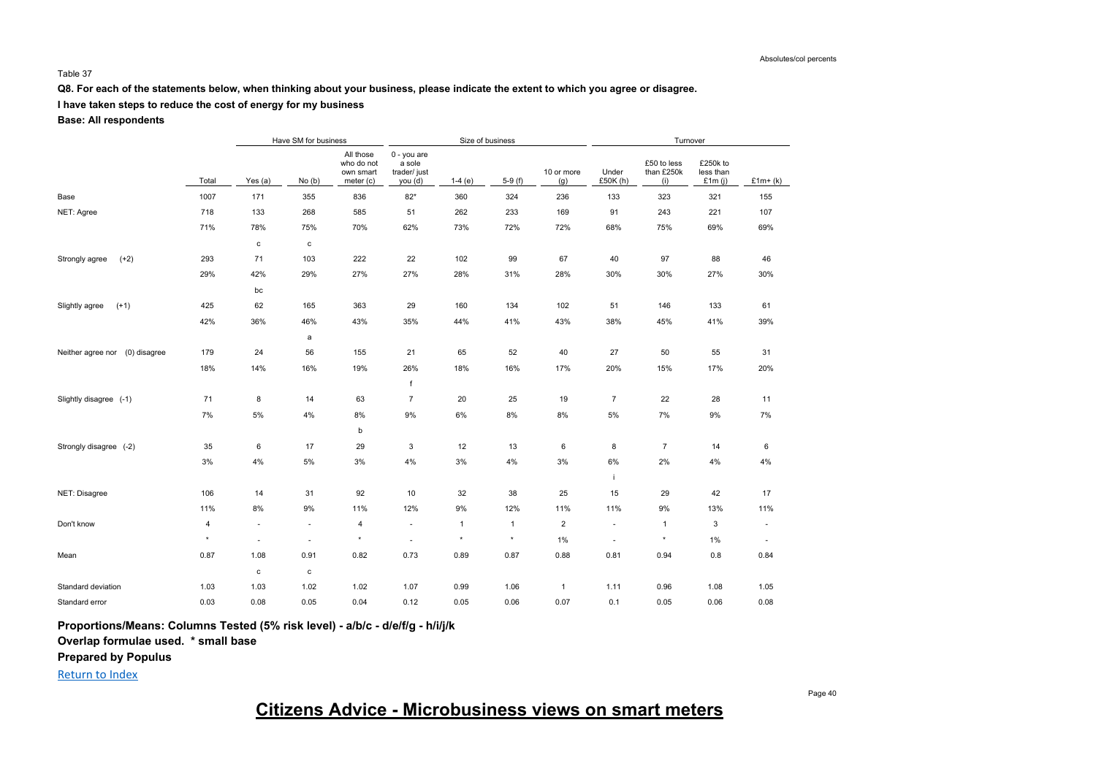#### Table 37

**Q8. For each of the statements below, when thinking about your business, please indicate the extent to which you agree or disagree.**

## **I have taken steps to reduce the cost of energy for my business**

### **Base: All respondents**

|                                   |         |                          | Have SM for business |                                                   |                                                 | Size of business |              |                   |                          |                                  |                                    |                          |
|-----------------------------------|---------|--------------------------|----------------------|---------------------------------------------------|-------------------------------------------------|------------------|--------------|-------------------|--------------------------|----------------------------------|------------------------------------|--------------------------|
|                                   | Total   | Yes (a)                  | No(b)                | All those<br>who do not<br>own smart<br>meter (c) | 0 - you are<br>a sole<br>trader/just<br>you (d) | $1-4(e)$         | $5-9(f)$     | 10 or more<br>(g) | Under<br>£50K (h)        | £50 to less<br>than £250k<br>(i) | £250k to<br>less than<br>£1 $m(i)$ | $£1m+(k)$                |
| Base                              | 1007    | 171                      | 355                  | 836                                               | $82*$                                           | 360              | 324          | 236               | 133                      | 323                              | 321                                | 155                      |
| NET: Agree                        | 718     | 133                      | 268                  | 585                                               | 51                                              | 262              | 233          | 169               | 91                       | 243                              | 221                                | 107                      |
|                                   | 71%     | 78%                      | 75%                  | 70%                                               | 62%                                             | 73%              | 72%          | 72%               | 68%                      | 75%                              | 69%                                | 69%                      |
|                                   |         | $\mathtt{C}$             | с                    |                                                   |                                                 |                  |              |                   |                          |                                  |                                    |                          |
| $(+2)$<br>Strongly agree          | 293     | 71                       | 103                  | 222                                               | 22                                              | 102              | 99           | 67                | 40                       | 97                               | 88                                 | 46                       |
|                                   | 29%     | 42%                      | 29%                  | 27%                                               | 27%                                             | 28%              | 31%          | 28%               | 30%                      | 30%                              | 27%                                | 30%                      |
|                                   |         | bc                       |                      |                                                   |                                                 |                  |              |                   |                          |                                  |                                    |                          |
| $(+1)$<br>Slightly agree          | 425     | 62                       | 165                  | 363                                               | 29                                              | 160              | 134          | 102               | 51                       | 146                              | 133                                | 61                       |
|                                   | 42%     | 36%                      | 46%                  | 43%                                               | 35%                                             | 44%              | 41%          | 43%               | 38%                      | 45%                              | 41%                                | 39%                      |
|                                   |         |                          | a                    |                                                   |                                                 |                  |              |                   |                          |                                  |                                    |                          |
| (0) disagree<br>Neither agree nor | 179     | 24                       | 56                   | 155                                               | 21                                              | 65               | 52           | 40                | 27                       | 50                               | 55                                 | 31                       |
|                                   | 18%     | 14%                      | 16%                  | 19%                                               | 26%                                             | 18%              | 16%          | 17%               | 20%                      | 15%                              | 17%                                | 20%                      |
|                                   |         |                          |                      |                                                   | f                                               |                  |              |                   |                          |                                  |                                    |                          |
| Slightly disagree (-1)            | 71      | 8                        | 14                   | 63                                                | $\overline{7}$                                  | 20               | 25           | 19                | $\overline{7}$           | 22                               | 28                                 | 11                       |
|                                   | 7%      | 5%                       | 4%                   | 8%                                                | 9%                                              | 6%               | 8%           | 8%                | 5%                       | 7%                               | 9%                                 | 7%                       |
|                                   |         |                          |                      | b                                                 |                                                 |                  |              |                   |                          |                                  |                                    |                          |
| Strongly disagree (-2)            | 35      | 6                        | 17                   | 29                                                | 3                                               | 12               | 13           | 6                 | 8                        | 7                                | 14                                 | 6                        |
|                                   | 3%      | 4%                       | $5\%$                | $3\%$                                             | 4%                                              | 3%               | 4%           | $3\%$             | $6\%$                    | 2%                               | $4\%$                              | 4%                       |
|                                   |         |                          |                      |                                                   |                                                 |                  |              |                   | i.                       |                                  |                                    |                          |
| NET: Disagree                     | 106     | 14                       | 31                   | 92                                                | 10                                              | 32               | 38           | 25                | 15                       | 29                               | 42                                 | 17                       |
|                                   | 11%     | 8%                       | 9%                   | 11%                                               | 12%                                             | 9%               | 12%          | 11%               | 11%                      | 9%                               | 13%                                | 11%                      |
| Don't know                        | 4       | ÷,                       | $\sim$               | $\overline{4}$                                    | $\sim$                                          | $\mathbf{1}$     | $\mathbf{1}$ | $\overline{2}$    | $\overline{\phantom{a}}$ | $\mathbf{1}$                     | 3                                  | $\overline{\phantom{a}}$ |
|                                   | $\star$ | $\overline{\phantom{a}}$ | ٠                    | $\star$                                           |                                                 | $\star$          | $\star$      | $1\%$             | $\overline{\phantom{a}}$ | $\star$                          | $1\%$                              | $\sim$                   |
| Mean                              | 0.87    | 1.08                     | 0.91                 | 0.82                                              | 0.73                                            | 0.89             | 0.87         | 0.88              | 0.81                     | 0.94                             | 0.8                                | 0.84                     |
|                                   |         | $\mathtt{C}$             | с                    |                                                   |                                                 |                  |              |                   |                          |                                  |                                    |                          |
| Standard deviation                | 1.03    | 1.03                     | 1.02                 | 1.02                                              | 1.07                                            | 0.99             | 1.06         | $\mathbf{1}$      | 1.11                     | 0.96                             | 1.08                               | 1.05                     |
| Standard error                    | 0.03    | 0.08                     | 0.05                 | 0.04                                              | 0.12                                            | 0.05             | 0.06         | 0.07              | 0.1                      | 0.05                             | 0.06                               | 0.08                     |

**Proportions/Means: Columns Tested (5% risk level) - a/b/c - d/e/f/g - h/i/j/k**

**Overlap formulae used. \* small base**

**Prepared by Populus**

Return to Index

# **Citizens Advice - Microbusiness views on smart meters**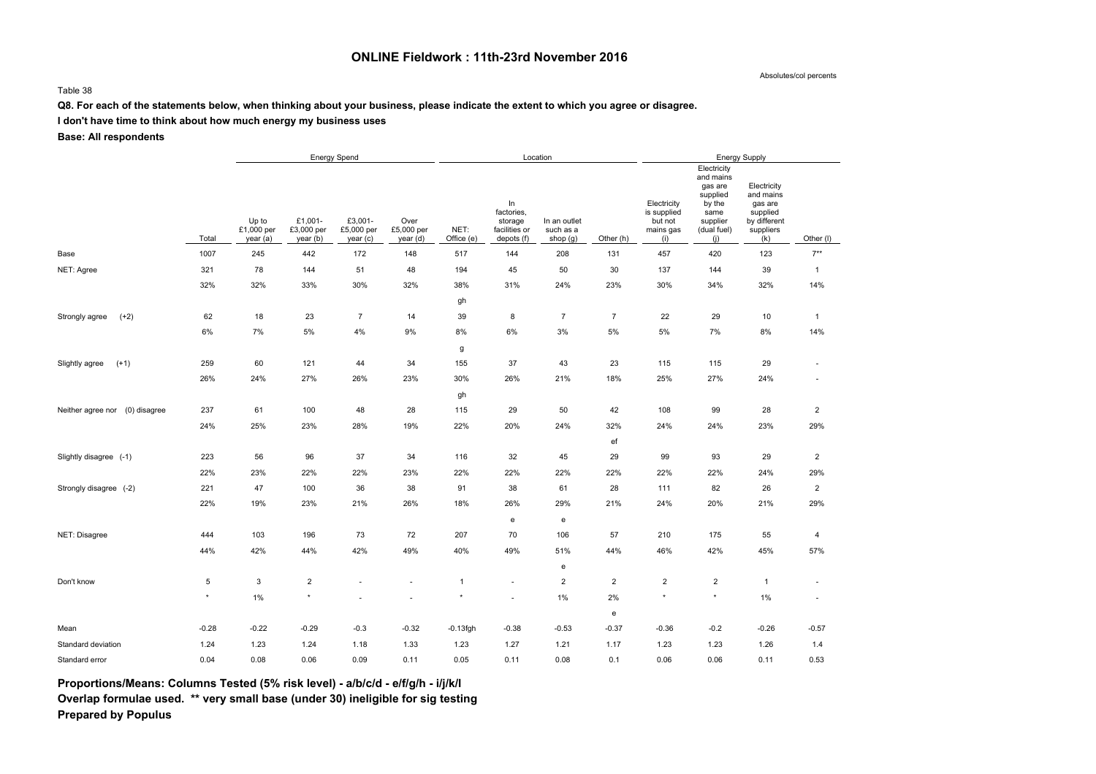## **ONLINE Fieldwork : 11th-23rd November 2016**

Absolutes/col percents

#### Table 38

## **Q8. For each of the statements below, when thinking about your business, please indicate the extent to which you agree or disagree.**

**I don't have time to think about how much energy my business uses**

**Base: All respondents**

|                                   |             | Energy Spend                    |                                   |                                   |                                |                    |                                                            | Location                              |                         | <b>Energy Supply</b>                                      |                                                                                                     |                                                                                     |                         |  |
|-----------------------------------|-------------|---------------------------------|-----------------------------------|-----------------------------------|--------------------------------|--------------------|------------------------------------------------------------|---------------------------------------|-------------------------|-----------------------------------------------------------|-----------------------------------------------------------------------------------------------------|-------------------------------------------------------------------------------------|-------------------------|--|
|                                   | Total       | Up to<br>£1,000 per<br>year (a) | £1,001-<br>£3,000 per<br>year (b) | £3,001-<br>£5,000 per<br>year (c) | Over<br>£5,000 per<br>year (d) | NET:<br>Office (e) | ln<br>factories,<br>storage<br>facilities or<br>depots (f) | In an outlet<br>such as a<br>shop (g) | Other (h)               | Electricity<br>is supplied<br>but not<br>mains gas<br>(i) | Electricity<br>and mains<br>gas are<br>supplied<br>by the<br>same<br>supplier<br>(dual fuel)<br>(i) | Electricity<br>and mains<br>gas are<br>supplied<br>by different<br>suppliers<br>(k) | Other (I)               |  |
| Base                              | 1007        | 245                             | 442                               | 172                               | 148                            | 517                | 144                                                        | 208                                   | 131                     | 457                                                       | 420                                                                                                 | 123                                                                                 | $7**$                   |  |
| NET: Agree                        | 321         | 78                              | 144                               | 51                                | 48                             | 194                | 45                                                         | 50                                    | 30                      | 137                                                       | 144                                                                                                 | 39                                                                                  | $\mathbf{1}$            |  |
|                                   | 32%         | 32%                             | 33%                               | 30%                               | 32%                            | 38%                | 31%                                                        | 24%                                   | 23%                     | 30%                                                       | 34%                                                                                                 | 32%                                                                                 | 14%                     |  |
|                                   |             |                                 |                                   |                                   |                                | gh                 |                                                            |                                       |                         |                                                           |                                                                                                     |                                                                                     |                         |  |
| Strongly agree<br>$(+2)$          | 62          | 18                              | 23                                | $\overline{7}$                    | 14                             | 39                 | 8                                                          | $\overline{7}$                        | $\overline{7}$          | 22                                                        | 29                                                                                                  | 10                                                                                  | $\mathbf{1}$            |  |
|                                   | 6%          | 7%                              | 5%                                | 4%                                | $9\%$                          | 8%                 | 6%                                                         | 3%                                    | 5%                      | $5\%$                                                     | 7%                                                                                                  | $8\%$                                                                               | 14%                     |  |
|                                   |             |                                 |                                   |                                   |                                | g                  |                                                            |                                       |                         |                                                           |                                                                                                     |                                                                                     |                         |  |
| $(+1)$<br>Slightly agree          | 259         | 60                              | 121                               | 44                                | 34                             | 155                | 37                                                         | 43                                    | 23                      | 115                                                       | 115                                                                                                 | 29                                                                                  | $\sim$                  |  |
|                                   | 26%         | 24%                             | 27%                               | 26%                               | 23%                            | 30%                | 26%                                                        | 21%                                   | 18%                     | 25%                                                       | 27%                                                                                                 | 24%                                                                                 | $\sim$                  |  |
|                                   |             |                                 |                                   |                                   |                                | gh                 |                                                            |                                       |                         |                                                           |                                                                                                     |                                                                                     |                         |  |
| Neither agree nor<br>(0) disagree | 237         | 61                              | 100                               | 48                                | 28                             | 115                | 29                                                         | 50                                    | 42                      | 108                                                       | 99                                                                                                  | 28                                                                                  | $\overline{\mathbf{c}}$ |  |
|                                   | 24%         | 25%                             | 23%                               | 28%                               | 19%                            | 22%                | 20%                                                        | 24%                                   | 32%                     | 24%                                                       | 24%                                                                                                 | 23%                                                                                 | 29%                     |  |
|                                   |             |                                 |                                   |                                   |                                |                    |                                                            |                                       | ef                      |                                                           |                                                                                                     |                                                                                     |                         |  |
| Slightly disagree (-1)            | 223         | 56                              | 96                                | 37                                | 34                             | 116                | 32                                                         | 45                                    | 29                      | 99                                                        | 93                                                                                                  | 29                                                                                  | $\overline{2}$          |  |
|                                   | 22%         | 23%                             | 22%                               | 22%                               | 23%                            | 22%                | 22%                                                        | 22%                                   | 22%                     | 22%                                                       | 22%                                                                                                 | 24%                                                                                 | 29%                     |  |
| Strongly disagree (-2)            | 221         | 47                              | 100                               | 36                                | 38                             | 91                 | 38                                                         | 61                                    | 28                      | 111                                                       | 82                                                                                                  | 26                                                                                  | $\overline{2}$          |  |
|                                   | 22%         | 19%                             | 23%                               | 21%                               | 26%                            | 18%                | 26%                                                        | 29%                                   | 21%                     | 24%                                                       | 20%                                                                                                 | 21%                                                                                 | 29%                     |  |
|                                   |             |                                 |                                   |                                   |                                |                    | $\mathbf{e}% _{t}\left( t\right)$                          | ${\bf e}$                             |                         |                                                           |                                                                                                     |                                                                                     |                         |  |
| NET: Disagree                     | 444         | 103                             | 196                               | 73                                | 72                             | 207                | 70                                                         | 106                                   | 57                      | 210                                                       | 175                                                                                                 | 55                                                                                  | 4                       |  |
|                                   | 44%         | 42%                             | 44%                               | 42%                               | 49%                            | 40%                | 49%                                                        | 51%                                   | 44%                     | 46%                                                       | 42%                                                                                                 | 45%                                                                                 | 57%                     |  |
|                                   |             |                                 |                                   |                                   |                                |                    |                                                            | ${\bf e}$                             |                         |                                                           |                                                                                                     |                                                                                     |                         |  |
| Don't know                        | $\,$ 5 $\,$ | 3                               | $\overline{\mathbf{c}}$           | ×.                                | ÷.                             | $\overline{1}$     | $\sim$                                                     | $\overline{2}$                        | $\overline{\mathbf{c}}$ | $\sqrt{2}$                                                | $\overline{2}$                                                                                      | $\overline{1}$                                                                      | $\sim$                  |  |
|                                   | $\star$     | 1%                              | $\star$                           |                                   |                                | $\star$            |                                                            | 1%                                    | 2%                      | $\star$                                                   | $\star$                                                                                             | $1\%$                                                                               | $\sim$                  |  |
|                                   |             |                                 |                                   |                                   |                                |                    |                                                            |                                       | e                       |                                                           |                                                                                                     |                                                                                     |                         |  |
| Mean                              | $-0.28$     | $-0.22$                         | $-0.29$                           | $-0.3$                            | $-0.32$                        | $-0.13$ fgh        | $-0.38$                                                    | $-0.53$                               | $-0.37$                 | $-0.36$                                                   | $-0.2$                                                                                              | $-0.26$                                                                             | $-0.57$                 |  |
| Standard deviation                | 1.24        | 1.23                            | 1.24                              | 1.18                              | 1.33                           | 1.23               | 1.27                                                       | 1.21                                  | 1.17                    | 1.23                                                      | 1.23                                                                                                | 1.26                                                                                | 1.4                     |  |
| Standard error                    | 0.04        | 0.08                            | 0.06                              | 0.09                              | 0.11                           | 0.05               | 0.11                                                       | 0.08                                  | 0.1                     | 0.06                                                      | 0.06                                                                                                | 0.11                                                                                | 0.53                    |  |

**Proportions/Means: Columns Tested (5% risk level) - a/b/c/d - e/f/g/h - i/j/k/l Overlap formulae used. \*\* very small base (under 30) ineligible for sig testing**

**Prepared by Populus**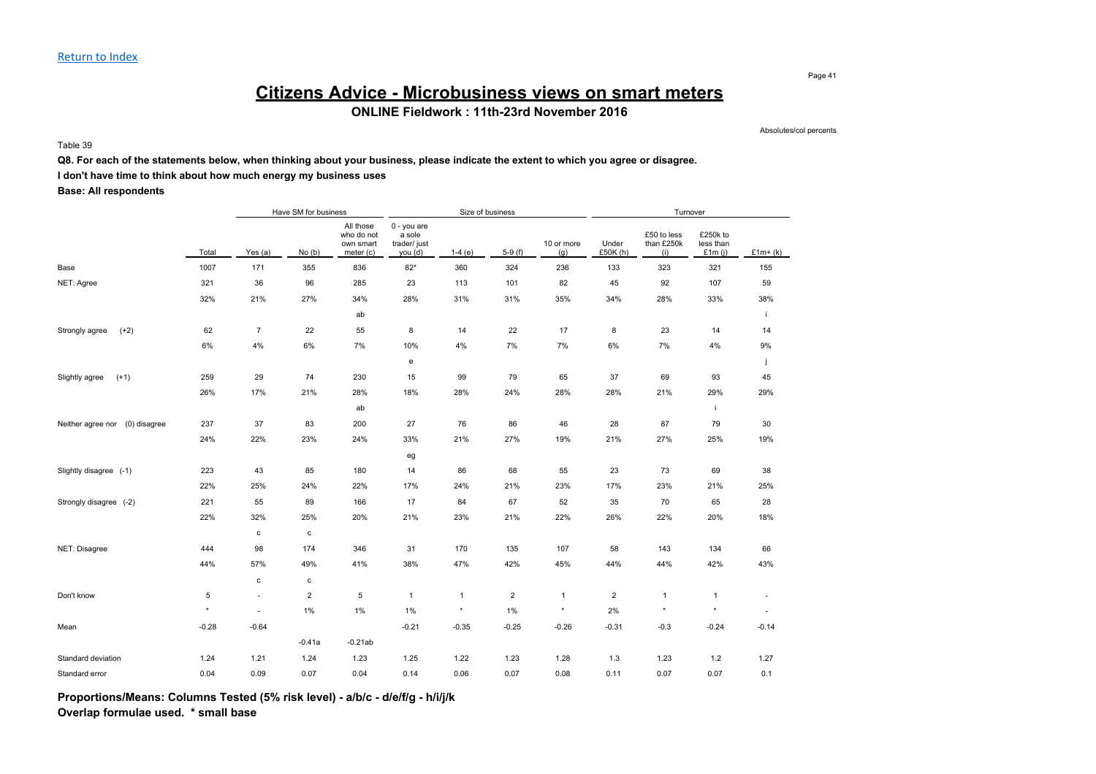#### Page 41

# **Citizens Advice - Microbusiness views on smart meters**

**ONLINE Fieldwork : 11th-23rd November 2016**

Absolutes/col percents

Table 39

### **Q8. For each of the statements below, when thinking about your business, please indicate the extent to which you agree or disagree.**

### **I don't have time to think about how much energy my business uses**

**Base: All respondents**

|                                   |         |                | Have SM for business    |                                                   |                                                  | Size of business |                         |                   |                   |                                  |                                    |                          |
|-----------------------------------|---------|----------------|-------------------------|---------------------------------------------------|--------------------------------------------------|------------------|-------------------------|-------------------|-------------------|----------------------------------|------------------------------------|--------------------------|
|                                   | Total   | Yes (a)        | No(b)                   | All those<br>who do not<br>own smart<br>meter (c) | 0 - you are<br>a sole<br>trader/ just<br>you (d) | $1-4(e)$         | $5-9(f)$                | 10 or more<br>(g) | Under<br>£50K (h) | £50 to less<br>than £250k<br>(i) | £250k to<br>less than<br>£1 $m(i)$ | $£1m+(k)$                |
| Base                              | 1007    | 171            | 355                     | 836                                               | $82*$                                            | 360              | 324                     | 236               | 133               | 323                              | 321                                | 155                      |
| NET: Agree                        | 321     | 36             | 96                      | 285                                               | 23                                               | 113              | 101                     | 82                | 45                | 92                               | 107                                | 59                       |
|                                   | 32%     | 21%            | 27%                     | 34%                                               | 28%                                              | 31%              | 31%                     | 35%               | 34%               | 28%                              | 33%                                | 38%                      |
|                                   |         |                |                         | ab                                                |                                                  |                  |                         |                   |                   |                                  |                                    |                          |
| Strongly agree<br>$(+2)$          | 62      | $\overline{7}$ | 22                      | 55                                                | 8                                                | 14               | 22                      | 17                | 8                 | 23                               | 14                                 | 14                       |
|                                   | 6%      | 4%             | 6%                      | 7%                                                | 10%                                              | 4%               | 7%                      | 7%                | 6%                | 7%                               | 4%                                 | $9\%$                    |
|                                   |         |                |                         |                                                   | e                                                |                  |                         |                   |                   |                                  |                                    |                          |
| $(+1)$<br>Slightly agree          | 259     | 29             | 74                      | 230                                               | 15                                               | 99               | 79                      | 65                | 37                | 69                               | 93                                 | 45                       |
|                                   | 26%     | 17%            | 21%                     | 28%                                               | 18%                                              | 28%              | 24%                     | 28%               | 28%               | 21%                              | 29%                                | 29%                      |
|                                   |         |                |                         | ab                                                |                                                  |                  |                         |                   |                   |                                  | j.                                 |                          |
| (0) disagree<br>Neither agree nor | 237     | 37             | 83                      | 200                                               | 27                                               | 76               | 86                      | 46                | 28                | 87                               | 79                                 | 30                       |
|                                   | 24%     | 22%            | 23%                     | 24%                                               | 33%                                              | 21%              | 27%                     | 19%               | 21%               | 27%                              | 25%                                | 19%                      |
|                                   |         |                |                         |                                                   | eg                                               |                  |                         |                   |                   |                                  |                                    |                          |
| Slightly disagree (-1)            | 223     | 43             | 85                      | 180                                               | 14                                               | 86               | 68                      | 55                | 23                | 73                               | 69                                 | 38                       |
|                                   | 22%     | 25%            | 24%                     | 22%                                               | 17%                                              | 24%              | 21%                     | 23%               | 17%               | 23%                              | 21%                                | 25%                      |
| Strongly disagree (-2)            | 221     | 55             | 89                      | 166                                               | 17                                               | 84               | 67                      | 52                | 35                | 70                               | 65                                 | 28                       |
|                                   | 22%     | 32%            | 25%                     | 20%                                               | 21%                                              | 23%              | 21%                     | 22%               | 26%               | 22%                              | 20%                                | 18%                      |
|                                   |         | $\mathbf c$    | $\mathtt{c}$            |                                                   |                                                  |                  |                         |                   |                   |                                  |                                    |                          |
| NET: Disagree                     | 444     | 98             | 174                     | 346                                               | 31                                               | 170              | 135                     | 107               | 58                | 143                              | 134                                | 66                       |
|                                   | 44%     | 57%            | 49%                     | 41%                                               | 38%                                              | 47%              | 42%                     | 45%               | 44%               | 44%                              | 42%                                | 43%                      |
|                                   |         | $\mathbf c$    | $\mathbf{c}$            |                                                   |                                                  |                  |                         |                   |                   |                                  |                                    |                          |
| Don't know                        | 5       | $\sim$         | $\overline{\mathbf{c}}$ | 5                                                 | $\mathbf{1}$                                     | $\mathbf{1}$     | $\overline{\mathbf{c}}$ | $\mathbf{1}$      | $\sqrt{2}$        | $\mathbf{1}$                     | $\mathbf{1}$                       | ä,                       |
|                                   | $\star$ | $\sim$         | 1%                      | 1%                                                | $1\%$                                            | $\star$          | 1%                      | $\star$           | 2%                | $\star$                          | $\star$                            | $\overline{\phantom{a}}$ |
| Mean                              | $-0.28$ | $-0.64$        |                         |                                                   | $-0.21$                                          | $-0.35$          | $-0.25$                 | $-0.26$           | $-0.31$           | $-0.3$                           | $-0.24$                            | $-0.14$                  |
|                                   |         |                | $-0.41a$                | $-0.21ab$                                         |                                                  |                  |                         |                   |                   |                                  |                                    |                          |
| Standard deviation                | 1.24    | 1.21           | 1.24                    | 1.23                                              | 1.25                                             | 1.22             | 1.23                    | 1.28              | 1.3               | 1.23                             | $1.2$                              | 1.27                     |
| Standard error                    | 0.04    | 0.09           | 0.07                    | 0.04                                              | 0.14                                             | 0.06             | 0.07                    | 0.08              | 0.11              | 0.07                             | 0.07                               | 0.1                      |

**Proportions/Means: Columns Tested (5% risk level) - a/b/c - d/e/f/g - h/i/j/k Overlap formulae used. \* small base**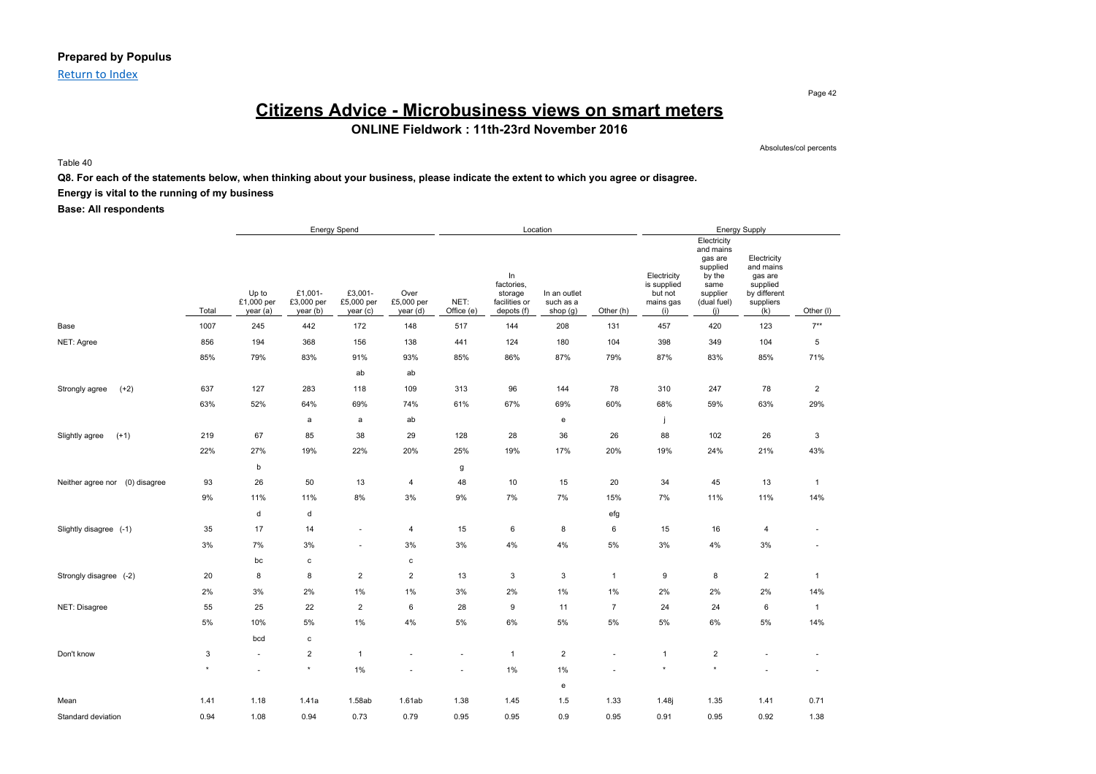### **Prepared by Populus**

Return to Index

## **Citizens Advice - Microbusiness views on smart meters ONLINE Fieldwork : 11th-23rd November 2016**

Absolutes/col percents

Page 42

Table 40

### **Q8. For each of the statements below, when thinking about your business, please indicate the extent to which you agree or disagree.**

### **Energy is vital to the running of my business**

|                                   |         | <b>Energy Spend</b><br>Location |                                   |                                   |                                |                    |                                                            | <b>Energy Supply</b>                  |                          |                                                           |                                                                                                     |                                                                                     |                          |
|-----------------------------------|---------|---------------------------------|-----------------------------------|-----------------------------------|--------------------------------|--------------------|------------------------------------------------------------|---------------------------------------|--------------------------|-----------------------------------------------------------|-----------------------------------------------------------------------------------------------------|-------------------------------------------------------------------------------------|--------------------------|
|                                   | Total   | Up to<br>£1,000 per<br>year (a) | £1,001-<br>£3,000 per<br>year (b) | £3,001-<br>£5,000 per<br>year (c) | Over<br>£5,000 per<br>year (d) | NET:<br>Office (e) | In<br>factories,<br>storage<br>facilities or<br>depots (f) | In an outlet<br>such as a<br>shop (g) | Other (h)                | Electricity<br>is supplied<br>but not<br>mains gas<br>(i) | Electricity<br>and mains<br>gas are<br>supplied<br>by the<br>same<br>supplier<br>(dual fuel)<br>(i) | Electricity<br>and mains<br>gas are<br>supplied<br>by different<br>suppliers<br>(k) | Other (I)                |
| Base                              | 1007    | 245                             | 442                               | 172                               | 148                            | 517                | 144                                                        | 208                                   | 131                      | 457                                                       | 420                                                                                                 | 123                                                                                 | $7**$                    |
| NET: Agree                        | 856     | 194                             | 368                               | 156                               | 138                            | 441                | 124                                                        | 180                                   | 104                      | 398                                                       | 349                                                                                                 | 104                                                                                 | 5                        |
|                                   | 85%     | 79%                             | 83%                               | 91%                               | 93%                            | 85%                | 86%                                                        | 87%                                   | 79%                      | 87%                                                       | 83%                                                                                                 | 85%                                                                                 | 71%                      |
|                                   |         |                                 |                                   | ab                                | ab                             |                    |                                                            |                                       |                          |                                                           |                                                                                                     |                                                                                     |                          |
| $(+2)$<br>Strongly agree          | 637     | 127                             | 283                               | 118                               | 109                            | 313                | 96                                                         | 144                                   | 78                       | 310                                                       | 247                                                                                                 | 78                                                                                  | $\overline{2}$           |
|                                   | 63%     | 52%                             | 64%                               | 69%                               | 74%                            | 61%                | 67%                                                        | 69%                                   | 60%                      | 68%                                                       | 59%                                                                                                 | 63%                                                                                 | 29%                      |
|                                   |         |                                 | a                                 | a                                 | ab                             |                    |                                                            | e                                     |                          | j                                                         |                                                                                                     |                                                                                     |                          |
| $(+1)$<br>Slightly agree          | 219     | 67                              | 85                                | 38                                | 29                             | 128                | 28                                                         | 36                                    | 26                       | 88                                                        | 102                                                                                                 | 26                                                                                  | $\mathbf{3}$             |
|                                   | 22%     | 27%                             | 19%                               | 22%                               | 20%                            | 25%                | 19%                                                        | 17%                                   | 20%                      | 19%                                                       | 24%                                                                                                 | 21%                                                                                 | 43%                      |
|                                   |         | b                               |                                   |                                   |                                | g                  |                                                            |                                       |                          |                                                           |                                                                                                     |                                                                                     |                          |
| Neither agree nor<br>(0) disagree | 93      | 26                              | 50                                | 13                                | $\overline{4}$                 | 48                 | $10$                                                       | 15                                    | 20                       | 34                                                        | 45                                                                                                  | 13                                                                                  | $\overline{1}$           |
|                                   | 9%      | 11%                             | 11%                               | 8%                                | 3%                             | 9%                 | 7%                                                         | 7%                                    | 15%                      | 7%                                                        | 11%                                                                                                 | 11%                                                                                 | 14%                      |
|                                   |         | d                               | d                                 |                                   |                                |                    |                                                            |                                       | efg                      |                                                           |                                                                                                     |                                                                                     |                          |
| Slightly disagree (-1)            | 35      | 17                              | 14                                | ÷,                                | 4                              | 15                 | 6                                                          | 8                                     | 6                        | 15                                                        | 16                                                                                                  | 4                                                                                   | $\sim$                   |
|                                   | 3%      | 7%                              | 3%                                | $\sim$                            | 3%                             | 3%                 | 4%                                                         | 4%                                    | 5%                       | $3\%$                                                     | 4%                                                                                                  | 3%                                                                                  | $\overline{\phantom{a}}$ |
|                                   |         | bc                              | c                                 |                                   | $\mathtt{c}$                   |                    |                                                            |                                       |                          |                                                           |                                                                                                     |                                                                                     |                          |
| Strongly disagree (-2)            | 20      | 8                               | 8                                 | $\overline{2}$                    | $\overline{2}$                 | 13                 | $\mathbf{3}$                                               | 3                                     | $\mathbf{1}$             | 9                                                         | 8                                                                                                   | $\overline{2}$                                                                      | $\overline{1}$           |
|                                   | 2%      | 3%                              | 2%                                | 1%                                | $1\%$                          | 3%                 | 2%                                                         | 1%                                    | 1%                       | 2%                                                        | 2%                                                                                                  | 2%                                                                                  | 14%                      |
| NET: Disagree                     | 55      | 25                              | 22                                | $\overline{2}$                    | 6                              | 28                 | 9                                                          | 11                                    | $\overline{7}$           | 24                                                        | 24                                                                                                  | 6                                                                                   | $\overline{1}$           |
|                                   | $5\%$   | 10%                             | 5%                                | $1\%$                             | 4%                             | 5%                 | 6%                                                         | 5%                                    | 5%                       | $5\%$                                                     | 6%                                                                                                  | 5%                                                                                  | 14%                      |
|                                   |         | bcd                             | c                                 |                                   |                                |                    |                                                            |                                       |                          |                                                           |                                                                                                     |                                                                                     |                          |
| Don't know                        | 3       | $\overline{\phantom{a}}$        | $\overline{2}$                    | $\mathbf{1}$                      |                                | ٠                  | $\overline{1}$                                             | $\overline{\mathbf{c}}$               | $\overline{\phantom{a}}$ | $\mathbf{1}$                                              | $\overline{2}$                                                                                      |                                                                                     | $\sim$                   |
|                                   | $\star$ |                                 | $\star$                           | 1%                                |                                |                    | 1%                                                         | 1%                                    |                          | $\star$                                                   | $\star$                                                                                             |                                                                                     | ٠                        |
|                                   |         |                                 |                                   |                                   |                                |                    |                                                            | e                                     |                          |                                                           |                                                                                                     |                                                                                     |                          |
| Mean                              | 1.41    | 1.18                            | 1.41a                             | 1.58ab                            | 1.61ab                         | 1.38               | 1.45                                                       | 1.5                                   | 1.33                     | 1.48j                                                     | 1.35                                                                                                | 1.41                                                                                | 0.71                     |
| Standard deviation                | 0.94    | 1.08                            | 0.94                              | 0.73                              | 0.79                           | 0.95               | 0.95                                                       | 0.9                                   | 0.95                     | 0.91                                                      | 0.95                                                                                                | 0.92                                                                                | 1.38                     |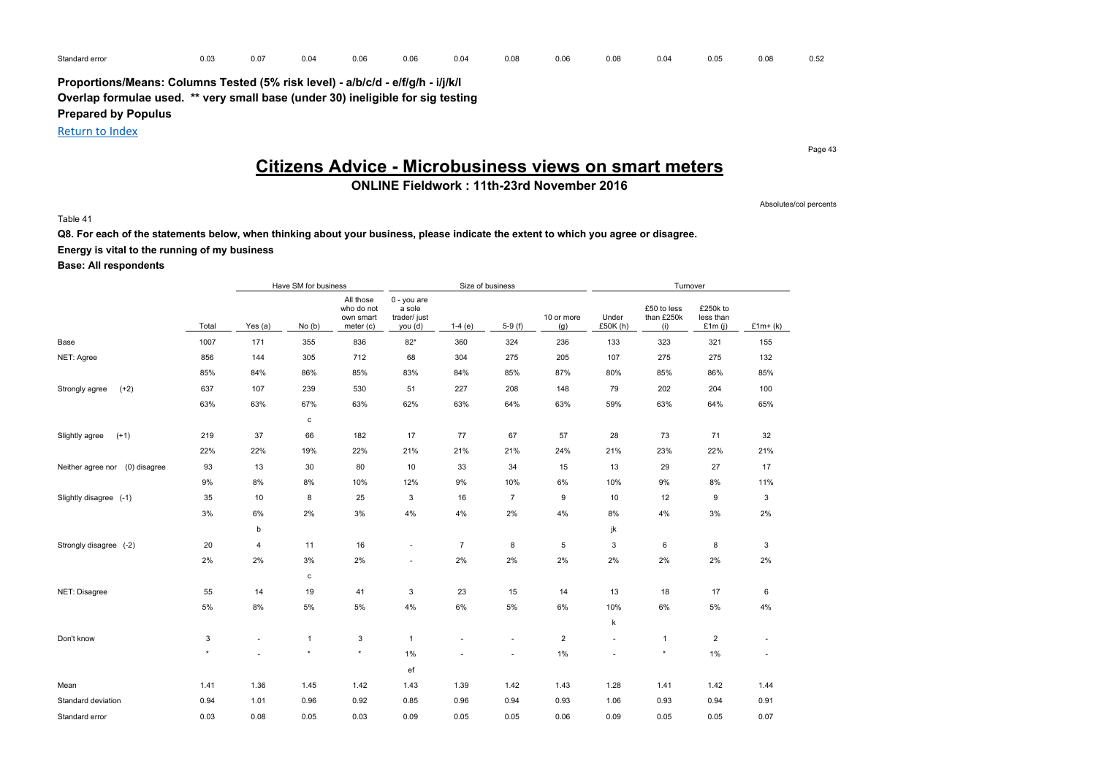| Standard error | 0.03 | .<br><u>.</u> | 0.0< | 0.06 | 0.06 | 0.04 | 0.0 | 0.06 | 0.08 | 0.04 | 0.05 | 0.08 | 0.52 |
|----------------|------|---------------|------|------|------|------|-----|------|------|------|------|------|------|
|                |      |               |      |      |      |      |     |      |      |      |      |      |      |

Return to Index

# **Citizens Advice - Microbusiness views on smart meters**

## **ONLINE Fieldwork : 11th-23rd November 2016**

Table 41

## **Q8. For each of the statements below, when thinking about your business, please indicate the extent to which you agree or disagree. Energy is vital to the running of my business**

### **Base: All respondents**

|                                   |         |         | Have SM for business |                                                   |                                                  | Size of business |                          |                   | Turnover         |                                  |                                    |           |
|-----------------------------------|---------|---------|----------------------|---------------------------------------------------|--------------------------------------------------|------------------|--------------------------|-------------------|------------------|----------------------------------|------------------------------------|-----------|
|                                   | Total   | Yes (a) | No(b)                | All those<br>who do not<br>own smart<br>meter (c) | 0 - you are<br>a sole<br>trader/ just<br>you (d) | $1-4(e)$         | $5-9(f)$                 | 10 or more<br>(g) | Under<br>£50K(h) | £50 to less<br>than £250k<br>(i) | £250k to<br>less than<br>£1 $m(i)$ | $£1m+(k)$ |
| Base                              | 1007    | 171     | 355                  | 836                                               | $82*$                                            | 360              | 324                      | 236               | 133              | 323                              | 321                                | 155       |
| NET: Agree                        | 856     | 144     | 305                  | 712                                               | 68                                               | 304              | 275                      | 205               | 107              | 275                              | 275                                | 132       |
|                                   | 85%     | 84%     | 86%                  | 85%                                               | 83%                                              | 84%              | 85%                      | 87%               | 80%              | 85%                              | 86%                                | 85%       |
| $(+2)$<br>Strongly agree          | 637     | 107     | 239                  | 530                                               | 51                                               | 227              | 208                      | 148               | 79               | 202                              | 204                                | 100       |
|                                   | 63%     | 63%     | 67%                  | 63%                                               | 62%                                              | 63%              | 64%                      | 63%               | 59%              | 63%                              | 64%                                | 65%       |
|                                   |         |         | c                    |                                                   |                                                  |                  |                          |                   |                  |                                  |                                    |           |
| Slightly agree<br>$(+1)$          | 219     | 37      | 66                   | 182                                               | 17                                               | 77               | 67                       | 57                | 28               | 73                               | 71                                 | 32        |
|                                   | 22%     | 22%     | 19%                  | 22%                                               | 21%                                              | 21%              | 21%                      | 24%               | 21%              | 23%                              | 22%                                | 21%       |
| (0) disagree<br>Neither agree nor | 93      | 13      | 30                   | 80                                                | 10                                               | 33               | 34                       | 15                | 13               | 29                               | 27                                 | 17        |
|                                   | $9\%$   | 8%      | 8%                   | 10%                                               | 12%                                              | 9%               | 10%                      | $6\%$             | 10%              | 9%                               | 8%                                 | 11%       |
| Slightly disagree (-1)            | 35      | 10      | 8                    | 25                                                | 3                                                | 16               | $\overline{7}$           | 9                 | 10               | 12                               | 9                                  | 3         |
|                                   | 3%      | 6%      | 2%                   | 3%                                                | 4%                                               | 4%               | 2%                       | 4%                | 8%               | $4\%$                            | 3%                                 | 2%        |
|                                   |         | b       |                      |                                                   |                                                  |                  |                          |                   | jk               |                                  |                                    |           |
| Strongly disagree (-2)            | 20      | 4       | 11                   | 16                                                | $\sim$                                           | $\overline{7}$   | 8                        | 5                 | 3                | 6                                | 8                                  | 3         |
|                                   | 2%      | 2%      | 3%                   | 2%                                                | ٠                                                | 2%               | 2%                       | 2%                | 2%               | 2%                               | 2%                                 | 2%        |
|                                   |         |         | c                    |                                                   |                                                  |                  |                          |                   |                  |                                  |                                    |           |
| NET: Disagree                     | 55      | 14      | 19                   | 41                                                | 3                                                | 23               | 15                       | 14                | 13               | 18                               | 17                                 | 6         |
|                                   | 5%      | 8%      | 5%                   | 5%                                                | 4%                                               | 6%               | 5%                       | 6%                | 10%              | 6%                               | 5%                                 | 4%        |
|                                   |         |         |                      |                                                   |                                                  |                  |                          |                   | k                |                                  |                                    |           |
| Don't know                        | 3       | $\sim$  | $\mathbf{1}$         | 3                                                 | $\overline{1}$                                   | ٠                | $\overline{\phantom{a}}$ | $\overline{2}$    | $\sim$           | $\mathbf{1}$                     | $\overline{c}$                     | ٠         |
|                                   | $\star$ |         | $\star$              | $\star$                                           | 1%                                               |                  | ×.                       | $1\%$             |                  | $\star$                          | 1%                                 | ä,        |
|                                   |         |         |                      |                                                   | ef                                               |                  |                          |                   |                  |                                  |                                    |           |
| Mean                              | 1.41    | 1.36    | 1.45                 | 1.42                                              | 1.43                                             | 1.39             | 1.42                     | 1.43              | 1.28             | 1.41                             | 1.42                               | 1.44      |
| Standard deviation                | 0.94    | 1.01    | 0.96                 | 0.92                                              | 0.85                                             | 0.96             | 0.94                     | 0.93              | 1.06             | 0.93                             | 0.94                               | 0.91      |
| Standard error                    | 0.03    | 0.08    | 0.05                 | 0.03                                              | 0.09                                             | 0.05             | 0.05                     | 0.06              | 0.09             | 0.05                             | 0.05                               | 0.07      |

Page 43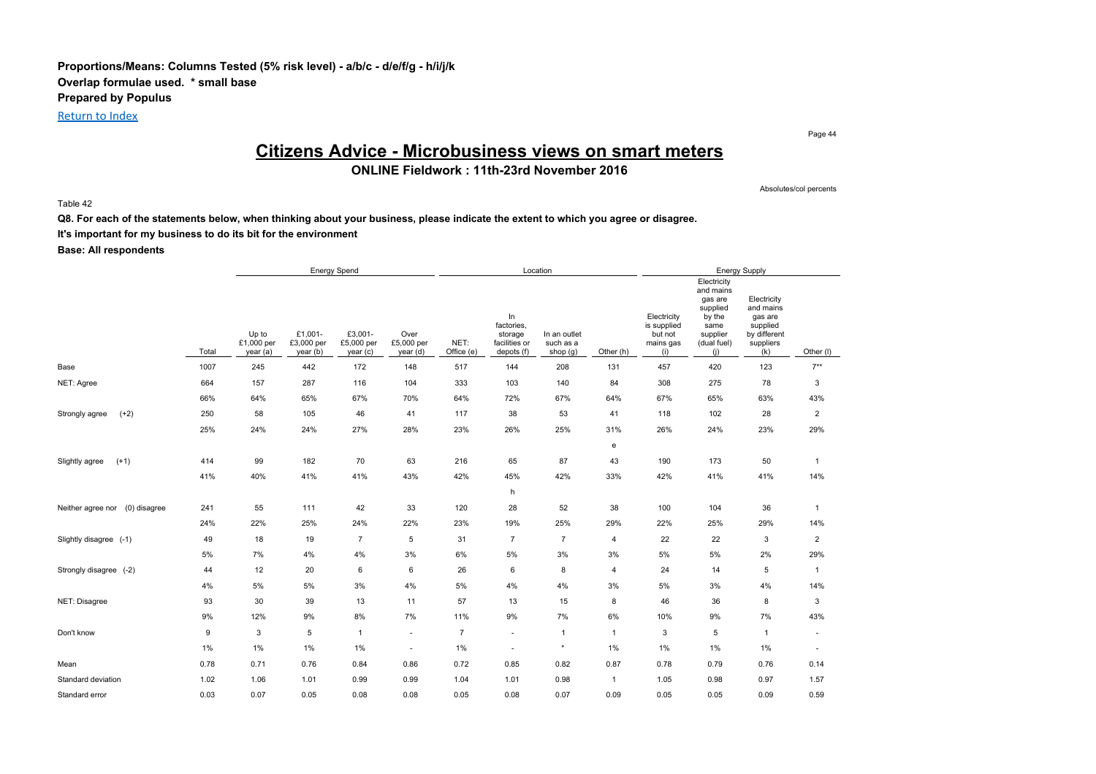### **Proportions/Means: Columns Tested (5% risk level) - a/b/c - d/e/f/g - h/i/j/k Overlap formulae used. \* small base Prepared by Populus** Return to Index

Page 44

Absolutes/col percents

## **Citizens Advice - Microbusiness views on smart meters**

**ONLINE Fieldwork : 11th-23rd November 2016**

Table 42

**Q8. For each of the statements below, when thinking about your business, please indicate the extent to which you agree or disagree. It's important for my business to do its bit for the environment**

|                                   |       |                                 |                                   | <b>Energy Spend</b>               |                                |                    |                                                            | Location                              |                |                                                           |                                                                                                     | <b>Energy Supply</b>                                                                |                          |
|-----------------------------------|-------|---------------------------------|-----------------------------------|-----------------------------------|--------------------------------|--------------------|------------------------------------------------------------|---------------------------------------|----------------|-----------------------------------------------------------|-----------------------------------------------------------------------------------------------------|-------------------------------------------------------------------------------------|--------------------------|
|                                   | Total | Up to<br>£1,000 per<br>year (a) | £1,001-<br>£3,000 per<br>year (b) | £3,001-<br>£5,000 per<br>year (c) | Over<br>£5,000 per<br>year (d) | NET:<br>Office (e) | In<br>factories,<br>storage<br>facilities or<br>depots (f) | In an outlet<br>such as a<br>shop (g) | Other (h)      | Electricity<br>is supplied<br>but not<br>mains gas<br>(i) | Electricity<br>and mains<br>gas are<br>supplied<br>by the<br>same<br>supplier<br>(dual fuel)<br>(i) | Electricity<br>and mains<br>gas are<br>supplied<br>by different<br>suppliers<br>(k) | Other (I)                |
| Base                              | 1007  | 245                             | 442                               | 172                               | 148                            | 517                | 144                                                        | 208                                   | 131            | 457                                                       | 420                                                                                                 | 123                                                                                 | $7**$                    |
| NET: Agree                        | 664   | 157                             | 287                               | 116                               | 104                            | 333                | 103                                                        | 140                                   | 84             | 308                                                       | 275                                                                                                 | 78                                                                                  | 3                        |
|                                   | 66%   | 64%                             | 65%                               | 67%                               | 70%                            | 64%                | 72%                                                        | 67%                                   | 64%            | 67%                                                       | 65%                                                                                                 | 63%                                                                                 | 43%                      |
| $(+2)$<br>Strongly agree          | 250   | 58                              | 105                               | 46                                | 41                             | 117                | 38                                                         | 53                                    | 41             | 118                                                       | 102                                                                                                 | 28                                                                                  | $\overline{c}$           |
|                                   | 25%   | 24%                             | 24%                               | 27%                               | 28%                            | 23%                | 26%                                                        | 25%                                   | 31%            | 26%                                                       | 24%                                                                                                 | 23%                                                                                 | 29%                      |
|                                   |       |                                 |                                   |                                   |                                |                    |                                                            |                                       | e              |                                                           |                                                                                                     |                                                                                     |                          |
| $(+1)$<br>Slightly agree          | 414   | 99                              | 182                               | 70                                | 63                             | 216                | 65                                                         | 87                                    | 43             | 190                                                       | 173                                                                                                 | 50                                                                                  | $\mathbf{1}$             |
|                                   | 41%   | 40%                             | 41%                               | 41%                               | 43%                            | 42%                | 45%                                                        | 42%                                   | 33%            | 42%                                                       | 41%                                                                                                 | 41%                                                                                 | 14%                      |
|                                   |       |                                 |                                   |                                   |                                |                    | h                                                          |                                       |                |                                                           |                                                                                                     |                                                                                     |                          |
| (0) disagree<br>Neither agree nor | 241   | 55                              | 111                               | 42                                | 33                             | 120                | 28                                                         | 52                                    | 38             | 100                                                       | 104                                                                                                 | 36                                                                                  | $\mathbf{1}$             |
|                                   | 24%   | 22%                             | 25%                               | 24%                               | 22%                            | 23%                | 19%                                                        | 25%                                   | 29%            | 22%                                                       | 25%                                                                                                 | 29%                                                                                 | 14%                      |
| Slightly disagree (-1)            | 49    | 18                              | 19                                | $\overline{7}$                    | 5                              | 31                 | $\overline{7}$                                             | $\overline{7}$                        | 4              | 22                                                        | 22                                                                                                  | 3                                                                                   | $\overline{2}$           |
|                                   | 5%    | 7%                              | 4%                                | 4%                                | 3%                             | $6\%$              | 5%                                                         | 3%                                    | 3%             | 5%                                                        | 5%                                                                                                  | 2%                                                                                  | 29%                      |
| Strongly disagree (-2)            | 44    | 12                              | 20                                | 6                                 | 6                              | 26                 | 6                                                          | 8                                     | $\overline{4}$ | 24                                                        | 14                                                                                                  | 5                                                                                   | $\mathbf{1}$             |
|                                   | 4%    | 5%                              | $5\%$                             | 3%                                | 4%                             | $5\%$              | 4%                                                         | 4%                                    | 3%             | 5%                                                        | 3%                                                                                                  | 4%                                                                                  | 14%                      |
| NET: Disagree                     | 93    | 30                              | 39                                | 13                                | 11                             | 57                 | 13                                                         | 15                                    | 8              | 46                                                        | 36                                                                                                  | 8                                                                                   | 3                        |
|                                   | 9%    | 12%                             | $9\%$                             | 8%                                | 7%                             | 11%                | 9%                                                         | 7%                                    | 6%             | 10%                                                       | 9%                                                                                                  | 7%                                                                                  | 43%                      |
| Don't know                        | 9     | 3                               | 5                                 | $\mathbf{1}$                      | ٠                              | $\overline{7}$     | $\sim$                                                     | $\mathbf{1}$                          | $\mathbf{1}$   | 3                                                         | 5                                                                                                   | $\mathbf{1}$                                                                        | $\sim$                   |
|                                   | $1\%$ | 1%                              | $1\%$                             | 1%                                | ٠                              | 1%                 | $\sim$                                                     | $\star$                               | 1%             | 1%                                                        | $1\%$                                                                                               | 1%                                                                                  | $\overline{\phantom{a}}$ |
| Mean                              | 0.78  | 0.71                            | 0.76                              | 0.84                              | 0.86                           | 0.72               | 0.85                                                       | 0.82                                  | 0.87           | 0.78                                                      | 0.79                                                                                                | 0.76                                                                                | 0.14                     |
| Standard deviation                | 1.02  | 1.06                            | 1.01                              | 0.99                              | 0.99                           | 1.04               | 1.01                                                       | 0.98                                  | $\mathbf{1}$   | 1.05                                                      | 0.98                                                                                                | 0.97                                                                                | 1.57                     |
| Standard error                    | 0.03  | 0.07                            | 0.05                              | 0.08                              | 0.08                           | 0.05               | 0.08                                                       | 0.07                                  | 0.09           | 0.05                                                      | 0.05                                                                                                | 0.09                                                                                | 0.59                     |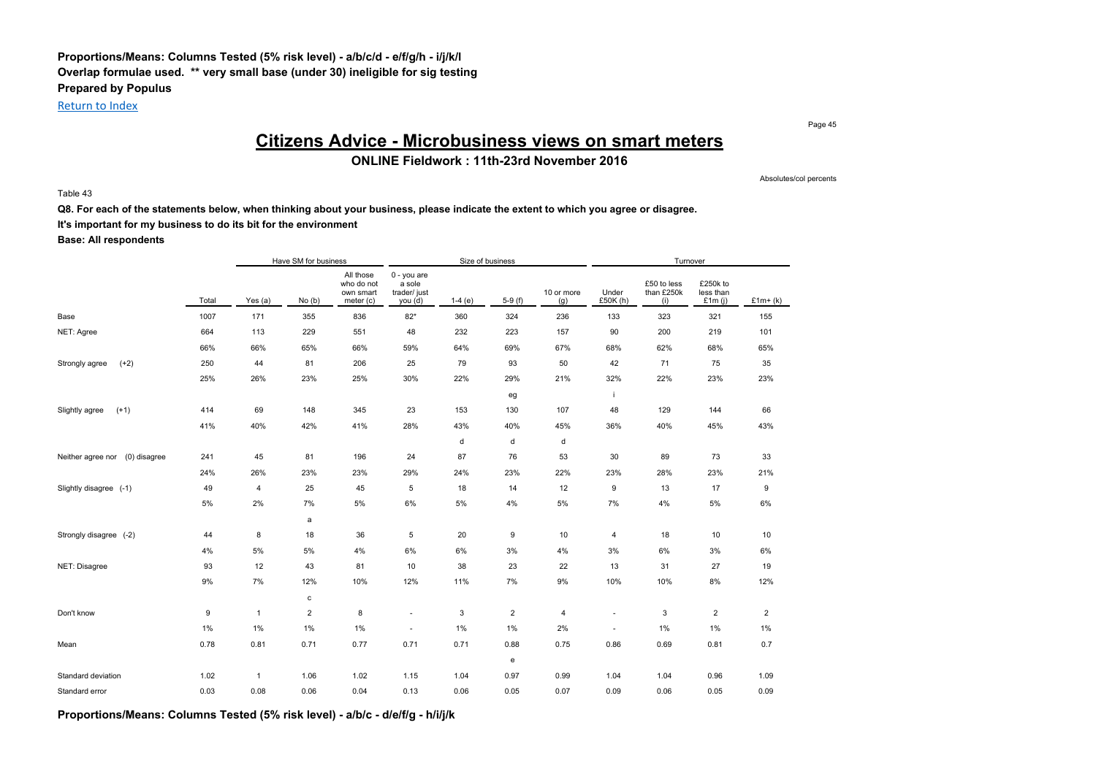### **Proportions/Means: Columns Tested (5% risk level) - a/b/c/d - e/f/g/h - i/j/k/l Overlap formulae used. \*\* very small base (under 30) ineligible for sig testing Prepared by Populus**

Return to Index

Page 45

## **Citizens Advice - Microbusiness views on smart meters**

**ONLINE Fieldwork : 11th-23rd November 2016**

Table 43

Absolutes/col percents

**Q8. For each of the statements below, when thinking about your business, please indicate the extent to which you agree or disagree.**

**It's important for my business to do its bit for the environment**

**Base: All respondents**

|                                   |       |                | Have SM for business |                                                   |                                                  |          | Size of business |                   |                          | Turnover                         |                                    |                |
|-----------------------------------|-------|----------------|----------------------|---------------------------------------------------|--------------------------------------------------|----------|------------------|-------------------|--------------------------|----------------------------------|------------------------------------|----------------|
|                                   | Total | Yes (a)        | No(b)                | All those<br>who do not<br>own smart<br>meter (c) | 0 - you are<br>a sole<br>trader/ just<br>you (d) | $1-4(e)$ | $5-9(f)$         | 10 or more<br>(g) | Under<br>£50K (h)        | £50 to less<br>than £250k<br>(i) | £250k to<br>less than<br>£1 $m(i)$ | $£1m+(k)$      |
| Base                              | 1007  | 171            | 355                  | 836                                               | $82*$                                            | 360      | 324              | 236               | 133                      | 323                              | 321                                | 155            |
| NET: Agree                        | 664   | 113            | 229                  | 551                                               | 48                                               | 232      | 223              | 157               | 90                       | 200                              | 219                                | 101            |
|                                   | 66%   | 66%            | 65%                  | 66%                                               | 59%                                              | 64%      | 69%              | 67%               | 68%                      | 62%                              | 68%                                | 65%            |
| $(+2)$<br>Strongly agree          | 250   | 44             | 81                   | 206                                               | 25                                               | 79       | 93               | 50                | 42                       | 71                               | 75                                 | 35             |
|                                   | 25%   | 26%            | 23%                  | 25%                                               | 30%                                              | 22%      | 29%              | 21%               | 32%                      | 22%                              | 23%                                | 23%            |
|                                   |       |                |                      |                                                   |                                                  |          | eg               |                   | j.                       |                                  |                                    |                |
| Slightly agree<br>$(+1)$          | 414   | 69             | 148                  | 345                                               | 23                                               | 153      | 130              | 107               | 48                       | 129                              | 144                                | 66             |
|                                   | 41%   | 40%            | 42%                  | 41%                                               | 28%                                              | 43%      | 40%              | 45%               | 36%                      | 40%                              | 45%                                | 43%            |
|                                   |       |                |                      |                                                   |                                                  | d        | d                | d                 |                          |                                  |                                    |                |
| Neither agree nor<br>(0) disagree | 241   | 45             | 81                   | 196                                               | 24                                               | 87       | 76               | 53                | 30                       | 89                               | 73                                 | 33             |
|                                   | 24%   | 26%            | 23%                  | 23%                                               | 29%                                              | 24%      | 23%              | 22%               | 23%                      | 28%                              | 23%                                | 21%            |
| Slightly disagree (-1)            | 49    | 4              | 25                   | 45                                                | 5                                                | 18       | 14               | 12                | 9                        | 13                               | 17                                 | 9              |
|                                   | 5%    | 2%             | 7%                   | 5%                                                | 6%                                               | 5%       | 4%               | 5%                | 7%                       | 4%                               | 5%                                 | 6%             |
|                                   |       |                | a                    |                                                   |                                                  |          |                  |                   |                          |                                  |                                    |                |
| Strongly disagree (-2)            | 44    | 8              | 18                   | 36                                                | $\,$ 5 $\,$                                      | 20       | 9                | 10                | $\overline{4}$           | 18                               | 10                                 | 10             |
|                                   | 4%    | 5%             | 5%                   | 4%                                                | 6%                                               | 6%       | 3%               | 4%                | 3%                       | 6%                               | 3%                                 | 6%             |
| NET: Disagree                     | 93    | 12             | 43                   | 81                                                | 10                                               | 38       | 23               | 22                | 13                       | 31                               | 27                                 | 19             |
|                                   | 9%    | 7%             | 12%                  | 10%                                               | 12%                                              | 11%      | 7%               | 9%                | 10%                      | 10%                              | 8%                                 | 12%            |
|                                   |       |                | c                    |                                                   |                                                  |          |                  |                   |                          |                                  |                                    |                |
| Don't know                        | 9     | $\mathbf{1}$   | $\overline{2}$       | 8                                                 | $\overline{\phantom{m}}$                         | 3        | $\overline{2}$   | 4                 | $\overline{\phantom{a}}$ | 3                                | $\overline{2}$                     | $\overline{2}$ |
|                                   | 1%    | $1\%$          | 1%                   | 1%                                                | $\overline{\phantom{a}}$                         | 1%       | 1%               | 2%                | $\overline{\phantom{a}}$ | 1%                               | 1%                                 | 1%             |
| Mean                              | 0.78  | 0.81           | 0.71                 | 0.77                                              | 0.71                                             | 0.71     | 0.88             | 0.75              | 0.86                     | 0.69                             | 0.81                               | 0.7            |
|                                   |       |                |                      |                                                   |                                                  |          | e                |                   |                          |                                  |                                    |                |
| Standard deviation                | 1.02  | $\overline{1}$ | 1.06                 | 1.02                                              | 1.15                                             | 1.04     | 0.97             | 0.99              | 1.04                     | 1.04                             | 0.96                               | 1.09           |
| Standard error                    | 0.03  | 0.08           | 0.06                 | 0.04                                              | 0.13                                             | 0.06     | 0.05             | 0.07              | 0.09                     | 0.06                             | 0.05                               | 0.09           |

**Proportions/Means: Columns Tested (5% risk level) - a/b/c - d/e/f/g - h/i/j/k**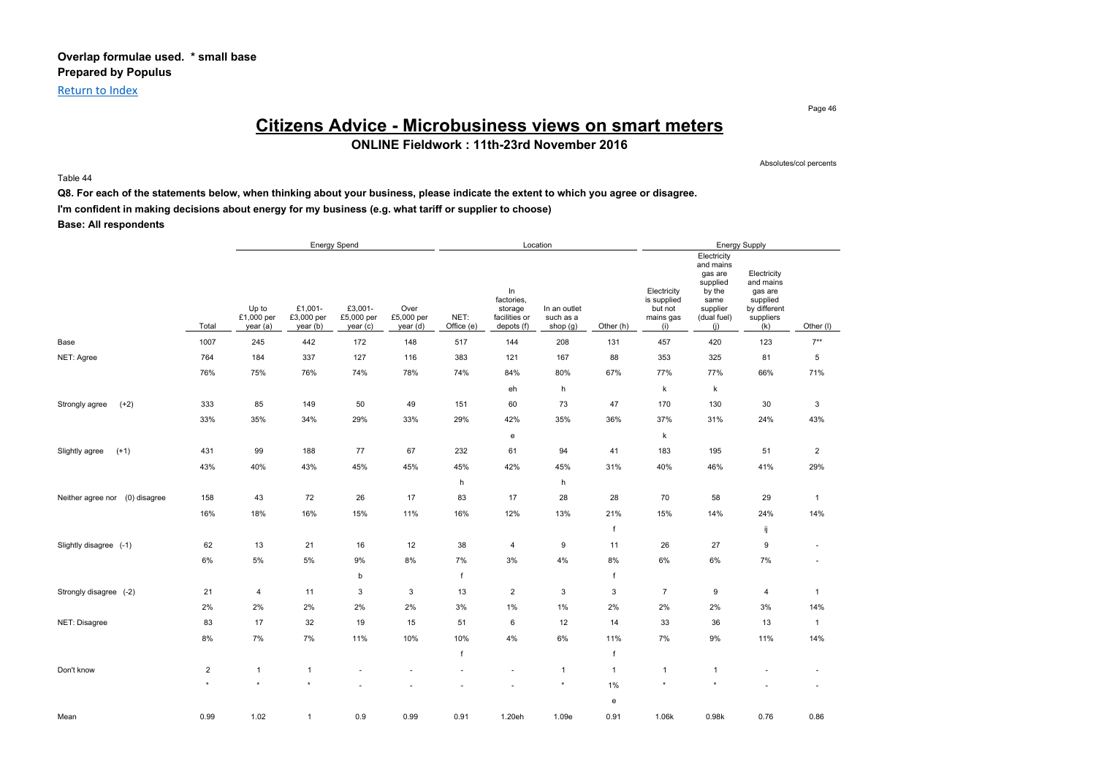Return to Index

Page 46

## **Citizens Advice - Microbusiness views on smart meters**

**ONLINE Fieldwork : 11th-23rd November 2016**

Absolutes/col percents

#### Table 44

**Q8. For each of the statements below, when thinking about your business, please indicate the extent to which you agree or disagree.**

**I'm confident in making decisions about energy for my business (e.g. what tariff or supplier to choose)**

|                                   |                |                                 |                                  | Energy Spend                     |                                |                    |                                                            | Location                                |              |                                                           |                                                                                                     | Energy Supply                                                                       |                |
|-----------------------------------|----------------|---------------------------------|----------------------------------|----------------------------------|--------------------------------|--------------------|------------------------------------------------------------|-----------------------------------------|--------------|-----------------------------------------------------------|-----------------------------------------------------------------------------------------------------|-------------------------------------------------------------------------------------|----------------|
|                                   | Total          | Up to<br>£1,000 per<br>year (a) | £1,001-<br>£3,000 per<br>year(b) | £3,001-<br>£5,000 per<br>year(c) | Over<br>£5,000 per<br>year (d) | NET:<br>Office (e) | In<br>factories,<br>storage<br>facilities or<br>depots (f) | In an outlet<br>such as a<br>shop $(g)$ | Other (h)    | Electricity<br>is supplied<br>but not<br>mains gas<br>(i) | Electricity<br>and mains<br>gas are<br>supplied<br>by the<br>same<br>supplier<br>(dual fuel)<br>(i) | Electricity<br>and mains<br>gas are<br>supplied<br>by different<br>suppliers<br>(k) | Other (I)      |
| Base                              | 1007           | 245                             | 442                              | 172                              | 148                            | 517                | 144                                                        | 208                                     | 131          | 457                                                       | 420                                                                                                 | 123                                                                                 | $7**$          |
| NET: Agree                        | 764            | 184                             | 337                              | 127                              | 116                            | 383                | 121                                                        | 167                                     | 88           | 353                                                       | 325                                                                                                 | 81                                                                                  | 5              |
|                                   | 76%            | 75%                             | 76%                              | 74%                              | 78%                            | 74%                | 84%                                                        | 80%                                     | 67%          | 77%                                                       | 77%                                                                                                 | 66%                                                                                 | 71%            |
|                                   |                |                                 |                                  |                                  |                                |                    | eh                                                         | h                                       |              | k                                                         | $\sf k$                                                                                             |                                                                                     |                |
| $(+2)$<br>Strongly agree          | 333            | 85                              | 149                              | 50                               | 49                             | 151                | 60                                                         | 73                                      | 47           | 170                                                       | 130                                                                                                 | 30                                                                                  | 3              |
|                                   | 33%            | 35%                             | 34%                              | 29%                              | 33%                            | 29%                | 42%                                                        | 35%                                     | 36%          | 37%                                                       | 31%                                                                                                 | 24%                                                                                 | 43%            |
|                                   |                |                                 |                                  |                                  |                                |                    | e                                                          |                                         |              | k                                                         |                                                                                                     |                                                                                     |                |
| $(+1)$<br>Slightly agree          | 431            | 99                              | 188                              | 77                               | 67                             | 232                | 61                                                         | 94                                      | 41           | 183                                                       | 195                                                                                                 | 51                                                                                  | $\overline{2}$ |
|                                   | 43%            | 40%                             | 43%                              | 45%                              | 45%                            | 45%                | 42%                                                        | 45%                                     | 31%          | 40%                                                       | 46%                                                                                                 | 41%                                                                                 | 29%            |
|                                   |                |                                 |                                  |                                  |                                | h                  |                                                            | h                                       |              |                                                           |                                                                                                     |                                                                                     |                |
| Neither agree nor<br>(0) disagree | 158            | 43                              | 72                               | 26                               | 17                             | 83                 | 17                                                         | 28                                      | 28           | 70                                                        | 58                                                                                                  | 29                                                                                  | $\mathbf{1}$   |
|                                   | 16%            | 18%                             | 16%                              | 15%                              | 11%                            | 16%                | 12%                                                        | 13%                                     | 21%          | 15%                                                       | 14%                                                                                                 | 24%                                                                                 | 14%            |
|                                   |                |                                 |                                  |                                  |                                |                    |                                                            |                                         | f            |                                                           |                                                                                                     | ij                                                                                  |                |
| Slightly disagree (-1)            | 62             | 13                              | 21                               | 16                               | 12                             | 38                 | 4                                                          | 9                                       | 11           | 26                                                        | 27                                                                                                  | 9                                                                                   | $\sim$         |
|                                   | $6\%$          | 5%                              | 5%                               | 9%                               | 8%                             | $7\%$              | 3%                                                         | 4%                                      | 8%           | 6%                                                        | 6%                                                                                                  | 7%                                                                                  |                |
|                                   |                |                                 |                                  | b                                |                                | $\mathsf{f}$       |                                                            |                                         | f            |                                                           |                                                                                                     |                                                                                     |                |
| Strongly disagree (-2)            | 21             | $\overline{4}$                  | 11                               | 3                                | 3                              | 13                 | $\overline{2}$                                             | 3                                       | 3            | $\overline{7}$                                            | 9                                                                                                   | 4                                                                                   | $\mathbf{1}$   |
|                                   | 2%             | 2%                              | 2%                               | 2%                               | 2%                             | 3%                 | 1%                                                         | 1%                                      | 2%           | 2%                                                        | 2%                                                                                                  | 3%                                                                                  | 14%            |
| NET: Disagree                     | 83             | 17                              | 32                               | 19                               | 15                             | 51                 | 6                                                          | 12                                      | 14           | 33                                                        | 36                                                                                                  | 13                                                                                  | $\mathbf{1}$   |
|                                   | 8%             | 7%                              | 7%                               | 11%                              | 10%                            | 10%                | 4%                                                         | 6%                                      | 11%          | 7%                                                        | 9%                                                                                                  | 11%                                                                                 | 14%            |
|                                   |                |                                 |                                  |                                  |                                |                    |                                                            |                                         | f            |                                                           |                                                                                                     |                                                                                     |                |
| Don't know                        | $\overline{2}$ | $\mathbf{1}$                    | $\mathbf{1}$                     |                                  |                                |                    |                                                            | $\mathbf{1}$                            | $\mathbf{1}$ | $\mathbf{1}$                                              | $\mathbf{1}$                                                                                        |                                                                                     |                |
|                                   | $\star$        | $\star$                         | $\star$                          |                                  |                                |                    |                                                            | $\star$                                 | $1\%$        | $\star$                                                   |                                                                                                     |                                                                                     |                |
|                                   |                |                                 |                                  |                                  |                                |                    |                                                            |                                         | e            |                                                           |                                                                                                     |                                                                                     |                |
| Mean                              | 0.99           | 1.02                            | $\mathbf{1}$                     | 0.9                              | 0.99                           | 0.91               | 1.20eh                                                     | 1.09e                                   | 0.91         | 1.06k                                                     | 0.98k                                                                                               | 0.76                                                                                | 0.86           |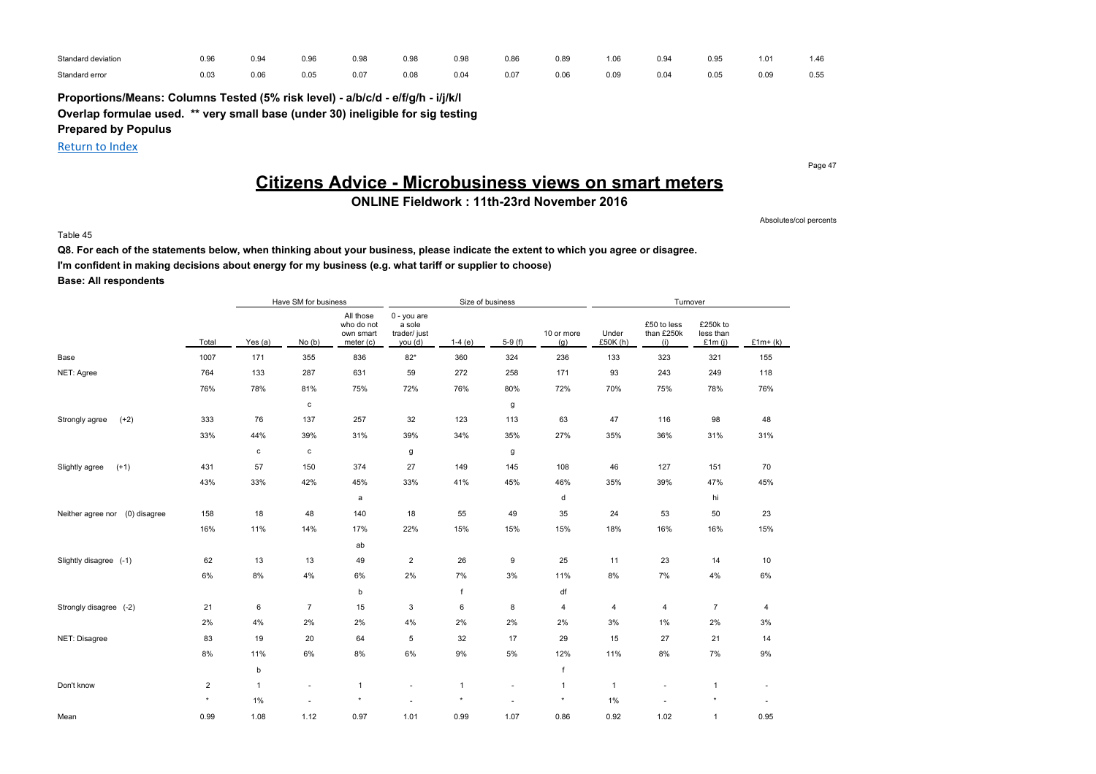| Standard deviation | 0.96 | 0.94 | 0.96 | 0.98 | 0.98 | 0.98 | 0.86 | 0.89 | 1.06 | 0.94 | 0.95 | 1.01 | .46  |
|--------------------|------|------|------|------|------|------|------|------|------|------|------|------|------|
| Standard error     | 0.03 | 0.06 | 0.05 | 0.07 | 0.08 | 0.04 | 0.07 | 0.06 | 0.09 | 0.04 | 0.05 | 0.09 | 0.55 |

**Proportions/Means: Columns Tested (5% risk level) - a/b/c/d - e/f/g/h - i/j/k/l Overlap formulae used. \*\* very small base (under 30) ineligible for sig testing Prepared by Populus**

Return to Index

Page 47

## **Citizens Advice - Microbusiness views on smart meters**

### **ONLINE Fieldwork : 11th-23rd November 2016**

Absolutes/col percents

#### Table 45

**Q8. For each of the statements below, when thinking about your business, please indicate the extent to which you agree or disagree. I'm confident in making decisions about energy for my business (e.g. what tariff or supplier to choose) Base: All respondents**

|                                   |                |              | Have SM for business |                                                   |                                                  | Size of business |          |                   |                  | Turnover                         |                                    |           |
|-----------------------------------|----------------|--------------|----------------------|---------------------------------------------------|--------------------------------------------------|------------------|----------|-------------------|------------------|----------------------------------|------------------------------------|-----------|
|                                   | Total          | Yes (a)      | No(b)                | All those<br>who do not<br>own smart<br>meter (c) | 0 - you are<br>a sole<br>trader/ just<br>you (d) | $1-4(e)$         | $5-9(f)$ | 10 or more<br>(g) | Under<br>£50K(h) | £50 to less<br>than £250k<br>(i) | £250k to<br>less than<br>£1 $m(i)$ | $£1m+(k)$ |
| Base                              | 1007           | 171          | 355                  | 836                                               | $82*$                                            | 360              | 324      | 236               | 133              | 323                              | 321                                | 155       |
| NET: Agree                        | 764            | 133          | 287                  | 631                                               | 59                                               | 272              | 258      | 171               | 93               | 243                              | 249                                | 118       |
|                                   | 76%            | 78%          | 81%                  | 75%                                               | 72%                                              | 76%              | 80%      | 72%               | 70%              | 75%                              | 78%                                | 76%       |
|                                   |                |              | c                    |                                                   |                                                  |                  | g        |                   |                  |                                  |                                    |           |
| $(+2)$<br>Strongly agree          | 333            | 76           | 137                  | 257                                               | 32                                               | 123              | 113      | 63                | 47               | 116                              | 98                                 | 48        |
|                                   | 33%            | 44%          | 39%                  | 31%                                               | 39%                                              | 34%              | 35%      | 27%               | 35%              | 36%                              | 31%                                | 31%       |
|                                   |                | $\mathbf c$  | c                    |                                                   | g                                                |                  | g        |                   |                  |                                  |                                    |           |
| $(+1)$<br>Slightly agree          | 431            | 57           | 150                  | 374                                               | 27                                               | 149              | 145      | 108               | 46               | 127                              | 151                                | 70        |
|                                   | 43%            | 33%          | 42%                  | 45%                                               | 33%                                              | 41%              | 45%      | 46%               | 35%              | 39%                              | 47%                                | 45%       |
|                                   |                |              |                      | a                                                 |                                                  |                  |          | d                 |                  |                                  | hi                                 |           |
| (0) disagree<br>Neither agree nor | 158            | 18           | 48                   | 140                                               | 18                                               | 55               | 49       | 35                | 24               | 53                               | 50                                 | 23        |
|                                   | 16%            | 11%          | 14%                  | 17%                                               | 22%                                              | 15%              | 15%      | 15%               | 18%              | 16%                              | 16%                                | 15%       |
|                                   |                |              |                      | ab                                                |                                                  |                  |          |                   |                  |                                  |                                    |           |
| Slightly disagree (-1)            | 62             | 13           | 13                   | 49                                                | $\overline{2}$                                   | 26               | 9        | 25                | 11               | 23                               | 14                                 | 10        |
|                                   | 6%             | 8%           | 4%                   | 6%                                                | 2%                                               | 7%               | 3%       | 11%               | 8%               | 7%                               | 4%                                 | $6\%$     |
|                                   |                |              |                      | b                                                 |                                                  | f                |          | df                |                  |                                  |                                    |           |
| Strongly disagree (-2)            | 21             | 6            | $\overline{7}$       | 15                                                | 3                                                | 6                | 8        | 4                 | 4                | 4                                | $\overline{7}$                     | 4         |
|                                   | 2%             | 4%           | 2%                   | 2%                                                | 4%                                               | 2%               | 2%       | 2%                | 3%               | 1%                               | 2%                                 | 3%        |
| NET: Disagree                     | 83             | 19           | 20                   | 64                                                | $\,$ 5 $\,$                                      | 32               | 17       | 29                | 15               | 27                               | 21                                 | 14        |
|                                   | 8%             | 11%          | 6%                   | 8%                                                | 6%                                               | 9%               | 5%       | 12%               | 11%              | 8%                               | 7%                                 | 9%        |
|                                   |                | b            |                      |                                                   |                                                  |                  |          | f                 |                  |                                  |                                    |           |
| Don't know                        | $\overline{2}$ | $\mathbf{1}$ | ä,                   | $\mathbf{1}$                                      | ٠                                                | $\mathbf{1}$     | ٠        | $\mathbf{1}$      | $\overline{1}$   |                                  | 1                                  | ٠         |
|                                   | $\star$        | 1%           | ٠                    | $\star$                                           | ÷.                                               | $\star$          | ÷.       | $\star$           | 1%               |                                  | $\star$                            | $\sim$    |
| Mean                              | 0.99           | 1.08         | 1.12                 | 0.97                                              | 1.01                                             | 0.99             | 1.07     | 0.86              | 0.92             | 1.02                             | $\mathbf{1}$                       | 0.95      |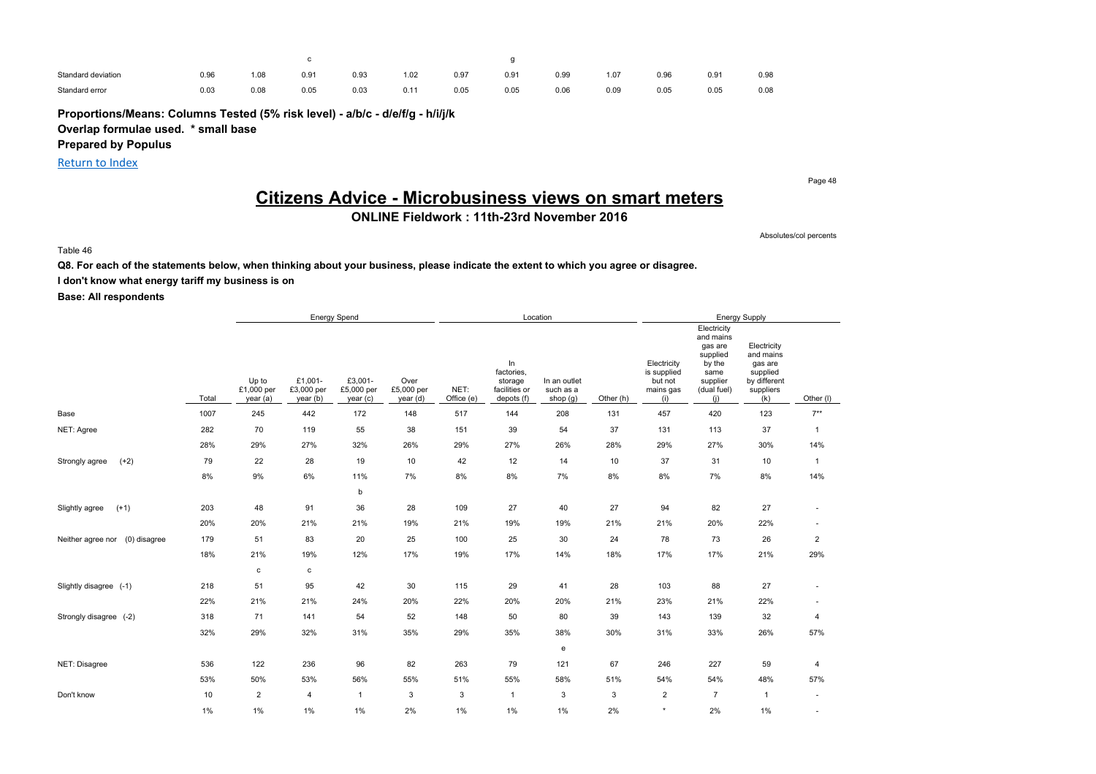| Standard deviation | 0.96<br>$  -$ | 90.1<br>$-$ | $0.9^{\circ}$<br>$\sim$ | 0.93<br>$\sim$ $\sim$ $\sim$ | .02  | 0.97<br>$\sim$               | $0.9^{\circ}$<br>$\sim$ | 0.99<br>$  -$ | 1.07         | 0.96<br>$\sim$ $\sim$ $\sim$ | $0.9^{\circ}$<br>$\sim$ | 0.98 |
|--------------------|---------------|-------------|-------------------------|------------------------------|------|------------------------------|-------------------------|---------------|--------------|------------------------------|-------------------------|------|
| Standard error     | 0.03<br>$  -$ | 0.08        | 0.05                    | 0.03                         | 0.11 | 0.05<br>$\sim$ $\sim$ $\sim$ | 0.05                    | 0.06          | 0.09<br>$ -$ | 0.05                         | 0.05                    | 0.08 |

**Proportions/Means: Columns Tested (5% risk level) - a/b/c - d/e/f/g - h/i/j/k**

**Overlap formulae used. \* small base**

**Prepared by Populus**

Return to Index

Page 48

## **Citizens Advice - Microbusiness views on smart meters**

**ONLINE Fieldwork : 11th-23rd November 2016**

Absolutes/col percents

Table 46

**Q8. For each of the statements below, when thinking about your business, please indicate the extent to which you agree or disagree.**

**I don't know what energy tariff my business is on**

|                                   |       |                                 |                                   | Energy Spend                      |                                |                    |                                                            | Location                              |           |                                                           |                                                                                                     | <b>Energy Supply</b>                                                                |                          |
|-----------------------------------|-------|---------------------------------|-----------------------------------|-----------------------------------|--------------------------------|--------------------|------------------------------------------------------------|---------------------------------------|-----------|-----------------------------------------------------------|-----------------------------------------------------------------------------------------------------|-------------------------------------------------------------------------------------|--------------------------|
|                                   | Total | Up to<br>£1,000 per<br>year (a) | £1,001-<br>£3,000 per<br>year (b) | £3,001-<br>£5,000 per<br>year (c) | Over<br>£5,000 per<br>year (d) | NET:<br>Office (e) | In<br>factories,<br>storage<br>facilities or<br>depots (f) | In an outlet<br>such as a<br>shop (g) | Other (h) | Electricity<br>is supplied<br>but not<br>mains gas<br>(i) | Electricity<br>and mains<br>gas are<br>supplied<br>by the<br>same<br>supplier<br>(dual fuel)<br>(i) | Electricity<br>and mains<br>gas are<br>supplied<br>by different<br>suppliers<br>(k) | Other (I)                |
| Base                              | 1007  | 245                             | 442                               | 172                               | 148                            | 517                | 144                                                        | 208                                   | 131       | 457                                                       | 420                                                                                                 | 123                                                                                 | $7***$                   |
| NET: Agree                        | 282   | 70                              | 119                               | 55                                | 38                             | 151                | 39                                                         | 54                                    | 37        | 131                                                       | 113                                                                                                 | 37                                                                                  | $\mathbf{1}$             |
|                                   | 28%   | 29%                             | 27%                               | 32%                               | 26%                            | 29%                | 27%                                                        | 26%                                   | 28%       | 29%                                                       | 27%                                                                                                 | 30%                                                                                 | 14%                      |
| $(+2)$<br>Strongly agree          | 79    | 22                              | 28                                | 19                                | 10                             | 42                 | 12                                                         | 14                                    | 10        | 37                                                        | 31                                                                                                  | 10                                                                                  | $\mathbf{1}$             |
|                                   | 8%    | $9\%$                           | 6%                                | 11%                               | 7%                             | $8\%$              | 8%                                                         | 7%                                    | 8%        | 8%                                                        | 7%                                                                                                  | 8%                                                                                  | 14%                      |
|                                   |       |                                 |                                   | b                                 |                                |                    |                                                            |                                       |           |                                                           |                                                                                                     |                                                                                     |                          |
| $(+1)$<br>Slightly agree          | 203   | 48                              | 91                                | 36                                | 28                             | 109                | 27                                                         | 40                                    | 27        | 94                                                        | 82                                                                                                  | 27                                                                                  |                          |
|                                   | 20%   | 20%                             | 21%                               | 21%                               | 19%                            | 21%                | 19%                                                        | 19%                                   | 21%       | 21%                                                       | 20%                                                                                                 | 22%                                                                                 |                          |
| (0) disagree<br>Neither agree nor | 179   | 51                              | 83                                | 20                                | 25                             | 100                | 25                                                         | 30                                    | 24        | 78                                                        | 73                                                                                                  | 26                                                                                  | $\overline{2}$           |
|                                   | 18%   | 21%                             | 19%                               | 12%                               | 17%                            | 19%                | 17%                                                        | 14%                                   | 18%       | 17%                                                       | 17%                                                                                                 | 21%                                                                                 | 29%                      |
|                                   |       | $\mathbf c$                     | c                                 |                                   |                                |                    |                                                            |                                       |           |                                                           |                                                                                                     |                                                                                     |                          |
| Slightly disagree (-1)            | 218   | 51                              | 95                                | 42                                | 30                             | 115                | 29                                                         | 41                                    | 28        | 103                                                       | 88                                                                                                  | 27                                                                                  |                          |
|                                   | 22%   | 21%                             | 21%                               | 24%                               | 20%                            | 22%                | 20%                                                        | 20%                                   | 21%       | 23%                                                       | 21%                                                                                                 | 22%                                                                                 |                          |
| Strongly disagree (-2)            | 318   | 71                              | 141                               | 54                                | 52                             | 148                | 50                                                         | 80                                    | 39        | 143                                                       | 139                                                                                                 | 32                                                                                  | 4                        |
|                                   | 32%   | 29%                             | 32%                               | 31%                               | 35%                            | 29%                | 35%                                                        | 38%                                   | 30%       | 31%                                                       | 33%                                                                                                 | 26%                                                                                 | 57%                      |
|                                   |       |                                 |                                   |                                   |                                |                    |                                                            | e                                     |           |                                                           |                                                                                                     |                                                                                     |                          |
| NET: Disagree                     | 536   | 122                             | 236                               | 96                                | 82                             | 263                | 79                                                         | 121                                   | 67        | 246                                                       | 227                                                                                                 | 59                                                                                  | 4                        |
|                                   | 53%   | 50%                             | 53%                               | 56%                               | 55%                            | 51%                | 55%                                                        | 58%                                   | 51%       | 54%                                                       | 54%                                                                                                 | 48%                                                                                 | 57%                      |
| Don't know                        | 10    | $\overline{2}$                  | 4                                 | $\mathbf{1}$                      | 3                              | 3                  | $\mathbf{1}$                                               | 3                                     | 3         | $\overline{2}$                                            | $\overline{7}$                                                                                      | $\mathbf{1}$                                                                        | ٠                        |
|                                   | 1%    | 1%                              | 1%                                | $1\%$                             | 2%                             | 1%                 | $1\%$                                                      | $1\%$                                 | 2%        | $\star$                                                   | 2%                                                                                                  | 1%                                                                                  | $\overline{\phantom{a}}$ |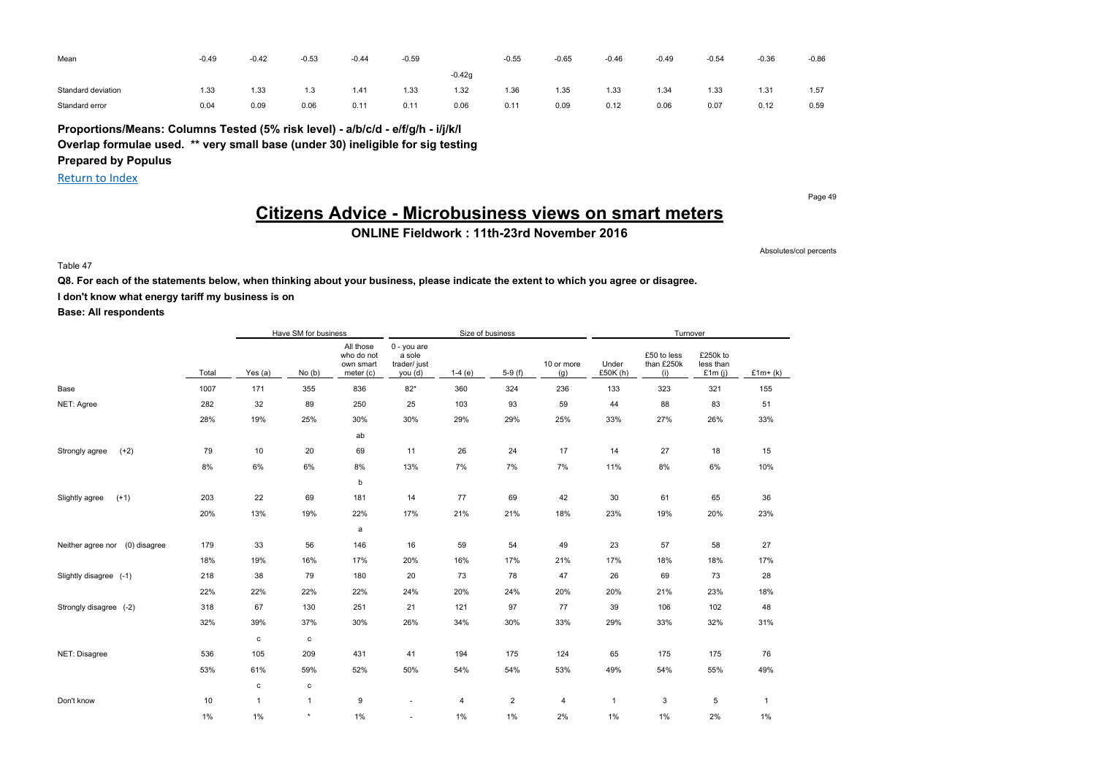| Mean               | $-0.49$ | $-0.42$ | $-0.53$    | $-0.44$ | $-0.59$ |          | $-0.55$ | $-0.65$ | $-0.46$ | $-0.49$ | $-0.54$ | $-0.36$ | $-0.86$ |
|--------------------|---------|---------|------------|---------|---------|----------|---------|---------|---------|---------|---------|---------|---------|
|                    |         |         |            |         |         | $-0.42q$ |         |         |         |         |         |         |         |
| Standard deviation | 1.33    | 1.33    | 12<br>ن. ا | 1.41    | 1.33    | 1.32     | 1.36    | 1.35    | 1.33    | 1.34    | 1.33    | 1.31    | 1.57    |
| Standard error     | 0.04    | 0.09    | 0.06       | 0.11    | 0.11    | 0.06     | 0.1     | 0.09    | 0.12    | 0.06    | 0.07    | 0.12    | 0.59    |

**Proportions/Means: Columns Tested (5% risk level) - a/b/c/d - e/f/g/h - i/j/k/l Overlap formulae used. \*\* very small base (under 30) ineligible for sig testing**

**Prepared by Populus**

Return to Index

Page 49

## **Citizens Advice - Microbusiness views on smart meters**

**ONLINE Fieldwork : 11th-23rd November 2016**

Absolutes/col percents

Table 47

**Q8. For each of the statements below, when thinking about your business, please indicate the extent to which you agree or disagree.**

**I don't know what energy tariff my business is on**

|                                   |       |              | Have SM for business |                                                   |                                                  | Size of business |                |                   |                   | Turnover                         |                                    |              |
|-----------------------------------|-------|--------------|----------------------|---------------------------------------------------|--------------------------------------------------|------------------|----------------|-------------------|-------------------|----------------------------------|------------------------------------|--------------|
|                                   | Total | Yes (a)      | No(b)                | All those<br>who do not<br>own smart<br>meter (c) | 0 - you are<br>a sole<br>trader/ just<br>you (d) | $1-4(e)$         | $5-9(f)$       | 10 or more<br>(g) | Under<br>£50K (h) | £50 to less<br>than £250k<br>(i) | £250k to<br>less than<br>£1 $m(i)$ | $£1m+(k)$    |
| Base                              | 1007  | 171          | 355                  | 836                                               | $82*$                                            | 360              | 324            | 236               | 133               | 323                              | 321                                | 155          |
| NET: Agree                        | 282   | 32           | 89                   | 250                                               | 25                                               | 103              | 93             | 59                | 44                | 88                               | 83                                 | 51           |
|                                   | 28%   | 19%          | 25%                  | 30%                                               | 30%                                              | 29%              | 29%            | 25%               | 33%               | 27%                              | 26%                                | 33%          |
|                                   |       |              |                      | ab                                                |                                                  |                  |                |                   |                   |                                  |                                    |              |
| $(+2)$<br>Strongly agree          | 79    | 10           | 20                   | 69                                                | 11                                               | 26               | 24             | 17                | 14                | 27                               | 18                                 | 15           |
|                                   | 8%    | 6%           | 6%                   | 8%                                                | 13%                                              | 7%               | 7%             | 7%                | 11%               | 8%                               | 6%                                 | 10%          |
|                                   |       |              |                      | b                                                 |                                                  |                  |                |                   |                   |                                  |                                    |              |
| $(+1)$<br>Slightly agree          | 203   | 22           | 69                   | 181                                               | 14                                               | 77               | 69             | 42                | 30                | 61                               | 65                                 | 36           |
|                                   | 20%   | 13%          | 19%                  | 22%                                               | 17%                                              | 21%              | 21%            | 18%               | 23%               | 19%                              | 20%                                | 23%          |
|                                   |       |              |                      | a                                                 |                                                  |                  |                |                   |                   |                                  |                                    |              |
| (0) disagree<br>Neither agree nor | 179   | 33           | 56                   | 146                                               | 16                                               | 59               | 54             | 49                | 23                | 57                               | 58                                 | 27           |
|                                   | 18%   | 19%          | 16%                  | 17%                                               | 20%                                              | 16%              | 17%            | 21%               | 17%               | 18%                              | 18%                                | 17%          |
| Slightly disagree (-1)            | 218   | 38           | 79                   | 180                                               | 20                                               | 73               | 78             | 47                | 26                | 69                               | 73                                 | 28           |
|                                   | 22%   | 22%          | 22%                  | 22%                                               | 24%                                              | 20%              | 24%            | 20%               | 20%               | 21%                              | 23%                                | 18%          |
| Strongly disagree (-2)            | 318   | 67           | 130                  | 251                                               | 21                                               | 121              | 97             | 77                | 39                | 106                              | 102                                | 48           |
|                                   | 32%   | 39%          | 37%                  | 30%                                               | 26%                                              | 34%              | 30%            | 33%               | 29%               | 33%                              | 32%                                | 31%          |
|                                   |       | $\mathbf c$  | c                    |                                                   |                                                  |                  |                |                   |                   |                                  |                                    |              |
| NET: Disagree                     | 536   | 105          | 209                  | 431                                               | 41                                               | 194              | 175            | 124               | 65                | 175                              | 175                                | 76           |
|                                   | 53%   | 61%          | 59%                  | 52%                                               | 50%                                              | 54%              | 54%            | 53%               | 49%               | 54%                              | 55%                                | 49%          |
|                                   |       | $\mathbf c$  | $\mathbf c$          |                                                   |                                                  |                  |                |                   |                   |                                  |                                    |              |
| Don't know                        | 10    | $\mathbf{1}$ | $\mathbf{1}$         | 9                                                 | $\overline{\phantom{a}}$                         | $\overline{4}$   | $\overline{2}$ | 4                 | $\mathbf{1}$      | 3                                | 5                                  | $\mathbf{1}$ |
|                                   | $1\%$ | 1%           | $\star$              | 1%                                                | ٠                                                | 1%               | 1%             | 2%                | 1%                | 1%                               | 2%                                 | $1\%$        |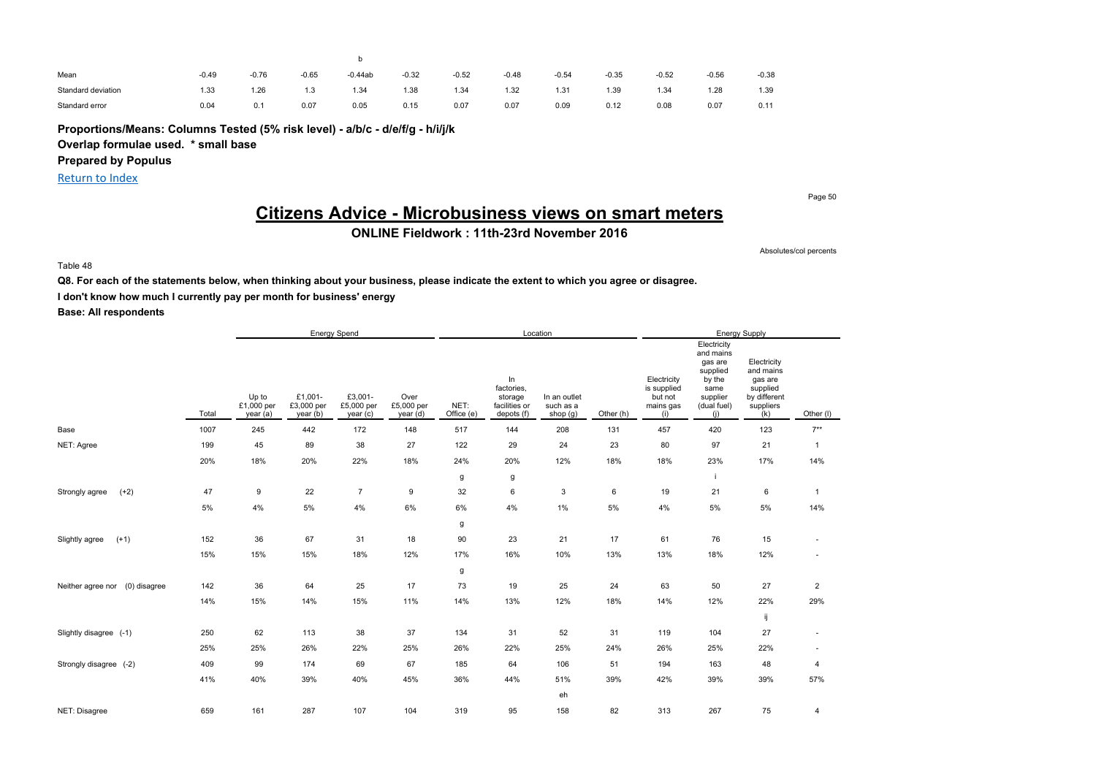| Mean               | $-0.49$ | -0.76 | $-0.65$ | $-0.44ab$ | $-0.32$    | $-0.52$ | $-0.48$ | $-0.54$ | $-0.35$ | $-0.52$ | $-0.56$ | $-0.38$ |
|--------------------|---------|-------|---------|-----------|------------|---------|---------|---------|---------|---------|---------|---------|
| Standard deviation | 1.33    | 1.26  | 1.3     | 1.34      | <b>.38</b> | 1.34    | 1.32    | 1.31    | 1.39    | 1.34    | 1.28    | 1.39    |
| Standard error     | 0.04    | 0.1   | 0.07    | 0.05      | 0.15       | 0.07    | 0.07    | 0.09    | 0.12    | 0.08    | 0.07    | 0.11    |

**Proportions/Means: Columns Tested (5% risk level) - a/b/c - d/e/f/g - h/i/j/k**

**Overlap formulae used. \* small base**

**Prepared by Populus**

Return to Index

Page 50

## **Citizens Advice - Microbusiness views on smart meters**

**ONLINE Fieldwork : 11th-23rd November 2016**

Absolutes/col percents

Table 48

**Q8. For each of the statements below, when thinking about your business, please indicate the extent to which you agree or disagree.**

**I don't know how much I currently pay per month for business' energy**

|                                   |       |                                 |                                   | <b>Energy Spend</b>              |                                |                    |                                                            | Location                              |           |                                                           |                                                                                                     | Energy Supply                                                                       |                          |
|-----------------------------------|-------|---------------------------------|-----------------------------------|----------------------------------|--------------------------------|--------------------|------------------------------------------------------------|---------------------------------------|-----------|-----------------------------------------------------------|-----------------------------------------------------------------------------------------------------|-------------------------------------------------------------------------------------|--------------------------|
|                                   | Total | Up to<br>£1,000 per<br>year (a) | £1,001-<br>£3,000 per<br>year (b) | £3,001-<br>£5,000 per<br>year(c) | Over<br>£5,000 per<br>year (d) | NET:<br>Office (e) | In<br>factories,<br>storage<br>facilities or<br>depots (f) | In an outlet<br>such as a<br>shop (g) | Other (h) | Electricity<br>is supplied<br>but not<br>mains gas<br>(i) | Electricity<br>and mains<br>gas are<br>supplied<br>by the<br>same<br>supplier<br>(dual fuel)<br>(i) | Electricity<br>and mains<br>gas are<br>supplied<br>by different<br>suppliers<br>(k) | Other (I)                |
| Base                              | 1007  | 245                             | 442                               | 172                              | 148                            | 517                | 144                                                        | 208                                   | 131       | 457                                                       | 420                                                                                                 | 123                                                                                 | $7**$                    |
| NET: Agree                        | 199   | 45                              | 89                                | 38                               | 27                             | 122                | 29                                                         | 24                                    | 23        | 80                                                        | 97                                                                                                  | 21                                                                                  | $\mathbf{1}$             |
|                                   | 20%   | 18%                             | 20%                               | 22%                              | 18%                            | 24%                | 20%                                                        | 12%                                   | 18%       | 18%                                                       | 23%                                                                                                 | 17%                                                                                 | 14%                      |
|                                   |       |                                 |                                   |                                  |                                | g                  | g                                                          |                                       |           |                                                           | -i                                                                                                  |                                                                                     |                          |
| $(+2)$<br>Strongly agree          | 47    | 9                               | 22                                | $\overline{7}$                   | 9                              | 32                 | 6                                                          | 3                                     | 6         | 19                                                        | 21                                                                                                  | 6                                                                                   | $\mathbf{1}$             |
|                                   | 5%    | 4%                              | $5\%$                             | 4%                               | 6%                             | $6\%$              | 4%                                                         | $1\%$                                 | 5%        | $4\%$                                                     | 5%                                                                                                  | $5\%$                                                                               | 14%                      |
|                                   |       |                                 |                                   |                                  |                                | g                  |                                                            |                                       |           |                                                           |                                                                                                     |                                                                                     |                          |
| $(+1)$<br>Slightly agree          | 152   | 36                              | 67                                | 31                               | 18                             | 90                 | 23                                                         | 21                                    | 17        | 61                                                        | 76                                                                                                  | 15                                                                                  | $\overline{\phantom{a}}$ |
|                                   | 15%   | 15%                             | 15%                               | 18%                              | 12%                            | 17%                | 16%                                                        | 10%                                   | 13%       | 13%                                                       | 18%                                                                                                 | 12%                                                                                 |                          |
|                                   |       |                                 |                                   |                                  |                                | g                  |                                                            |                                       |           |                                                           |                                                                                                     |                                                                                     |                          |
| (0) disagree<br>Neither agree nor | 142   | 36                              | 64                                | 25                               | 17                             | 73                 | 19                                                         | 25                                    | 24        | 63                                                        | 50                                                                                                  | 27                                                                                  | $\overline{\mathbf{c}}$  |
|                                   | 14%   | 15%                             | 14%                               | 15%                              | 11%                            | 14%                | 13%                                                        | 12%                                   | 18%       | 14%                                                       | 12%                                                                                                 | 22%                                                                                 | 29%                      |
|                                   |       |                                 |                                   |                                  |                                |                    |                                                            |                                       |           |                                                           |                                                                                                     | ij                                                                                  |                          |
| Slightly disagree (-1)            | 250   | 62                              | 113                               | 38                               | 37                             | 134                | 31                                                         | 52                                    | 31        | 119                                                       | 104                                                                                                 | 27                                                                                  | $\overline{\phantom{a}}$ |
|                                   | 25%   | 25%                             | 26%                               | 22%                              | 25%                            | 26%                | 22%                                                        | 25%                                   | 24%       | 26%                                                       | 25%                                                                                                 | 22%                                                                                 |                          |
| Strongly disagree (-2)            | 409   | 99                              | 174                               | 69                               | 67                             | 185                | 64                                                         | 106                                   | 51        | 194                                                       | 163                                                                                                 | 48                                                                                  | 4                        |
|                                   | 41%   | 40%                             | 39%                               | 40%                              | 45%                            | 36%                | 44%                                                        | 51%                                   | 39%       | 42%                                                       | 39%                                                                                                 | 39%                                                                                 | 57%                      |
|                                   |       |                                 |                                   |                                  |                                |                    |                                                            | eh                                    |           |                                                           |                                                                                                     |                                                                                     |                          |
| NET: Disagree                     | 659   | 161                             | 287                               | 107                              | 104                            | 319                | 95                                                         | 158                                   | 82        | 313                                                       | 267                                                                                                 | 75                                                                                  | 4                        |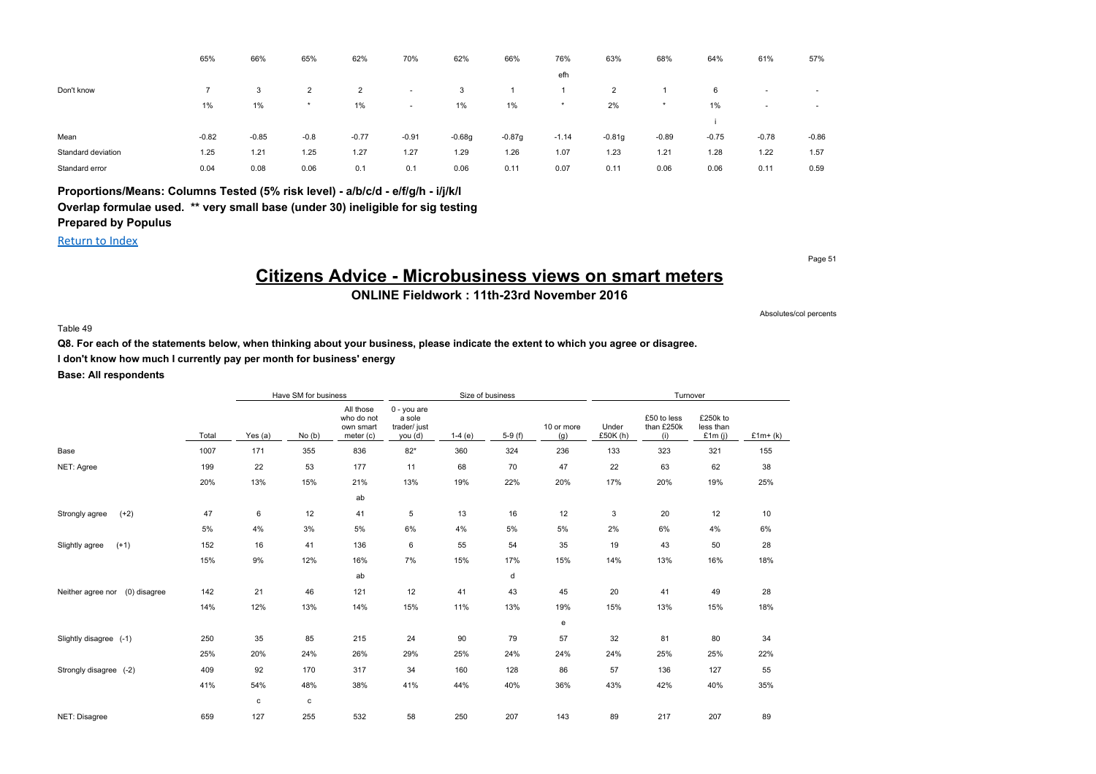|                    | 65%     | 66%     | 65%            | 62%            | 70%                      | 62%      | 66%      | 76%     | 63%      | 68%     | 64%     | 61%     | 57%                      |
|--------------------|---------|---------|----------------|----------------|--------------------------|----------|----------|---------|----------|---------|---------|---------|--------------------------|
|                    |         |         |                |                |                          |          |          | efh     |          |         |         |         |                          |
| Don't know         |         | 3       | $\overline{2}$ | $\overline{2}$ | $\overline{\phantom{a}}$ | 3        |          |         | 2        |         | 6       | $\sim$  | $\overline{\phantom{a}}$ |
|                    | 1%      | $1\%$   | $\star$        | 1%             | $\overline{\phantom{a}}$ | 1%       | 1%       | $\star$ | 2%       | $\star$ | 1%      |         | $\sim$                   |
|                    |         |         |                |                |                          |          |          |         |          |         |         |         |                          |
| Mean               | $-0.82$ | $-0.85$ | $-0.8$         | $-0.77$        | $-0.91$                  | $-0.68g$ | $-0.87g$ | $-1.14$ | $-0.81g$ | $-0.89$ | $-0.75$ | $-0.78$ | $-0.86$                  |
| Standard deviation | 1.25    | 1.21    | 1.25           | 1.27           | 1.27                     | 1.29     | 1.26     | 1.07    | 1.23     | 1.21    | 1.28    | 1.22    | 1.57                     |
| Standard error     | 0.04    | 0.08    | 0.06           | 0.1            | 0.1                      | 0.06     | 0.11     | 0.07    | 0.11     | 0.06    | 0.06    | 0.11    | 0.59                     |

### **Proportions/Means: Columns Tested (5% risk level) - a/b/c/d - e/f/g/h - i/j/k/l Overlap formulae used. \*\* very small base (under 30) ineligible for sig testing Prepared by Populus**

#### Return to Index

Page 51

## **Citizens Advice - Microbusiness views on smart meters**

**ONLINE Fieldwork : 11th-23rd November 2016**

#### Table 49

**Q8. For each of the statements below, when thinking about your business, please indicate the extent to which you agree or disagree.**

**I don't know how much I currently pay per month for business' energy**

**Base: All respondents**

|                                   |       |         | Have SM for business |                                                     |                                                    | Size of business |          |                   |                   | Turnover                         |                                    |           |
|-----------------------------------|-------|---------|----------------------|-----------------------------------------------------|----------------------------------------------------|------------------|----------|-------------------|-------------------|----------------------------------|------------------------------------|-----------|
|                                   | Total | Yes (a) | No(b)                | All those<br>who do not<br>own smart<br>meter $(c)$ | $0 - you are$<br>a sole<br>trader/ just<br>you (d) | $1-4(e)$         | $5-9(f)$ | 10 or more<br>(g) | Under<br>£50K (h) | £50 to less<br>than £250k<br>(i) | £250k to<br>less than<br>£1 $m(i)$ | $£1m+(k)$ |
| Base                              | 1007  | 171     | 355                  | 836                                                 | $82*$                                              | 360              | 324      | 236               | 133               | 323                              | 321                                | 155       |
| NET: Agree                        | 199   | 22      | 53                   | 177                                                 | 11                                                 | 68               | 70       | 47                | 22                | 63                               | 62                                 | 38        |
|                                   | 20%   | 13%     | 15%                  | 21%                                                 | 13%                                                | 19%              | 22%      | 20%               | 17%               | 20%                              | 19%                                | 25%       |
|                                   |       |         |                      | ab                                                  |                                                    |                  |          |                   |                   |                                  |                                    |           |
| $(+2)$<br>Strongly agree          | 47    | 6       | 12                   | 41                                                  | 5                                                  | 13               | 16       | 12                | 3                 | 20                               | 12                                 | 10        |
|                                   | 5%    | 4%      | 3%                   | 5%                                                  | 6%                                                 | 4%               | 5%       | 5%                | 2%                | 6%                               | 4%                                 | 6%        |
| $(+1)$<br>Slightly agree          | 152   | 16      | 41                   | 136                                                 | 6                                                  | 55               | 54       | 35                | 19                | 43                               | 50                                 | 28        |
|                                   | 15%   | 9%      | 12%                  | 16%                                                 | 7%                                                 | 15%              | 17%      | 15%               | 14%               | 13%                              | 16%                                | 18%       |
|                                   |       |         |                      | ab                                                  |                                                    |                  | d        |                   |                   |                                  |                                    |           |
| (0) disagree<br>Neither agree nor | 142   | 21      | 46                   | 121                                                 | 12                                                 | 41               | 43       | 45                | 20                | 41                               | 49                                 | 28        |
|                                   | 14%   | 12%     | 13%                  | 14%                                                 | 15%                                                | 11%              | 13%      | 19%               | 15%               | 13%                              | 15%                                | 18%       |
|                                   |       |         |                      |                                                     |                                                    |                  |          | e                 |                   |                                  |                                    |           |
| Slightly disagree (-1)            | 250   | 35      | 85                   | 215                                                 | 24                                                 | 90               | 79       | 57                | 32                | 81                               | 80                                 | 34        |
|                                   | 25%   | 20%     | 24%                  | 26%                                                 | 29%                                                | 25%              | 24%      | 24%               | 24%               | 25%                              | 25%                                | 22%       |
| Strongly disagree (-2)            | 409   | 92      | 170                  | 317                                                 | 34                                                 | 160              | 128      | 86                | 57                | 136                              | 127                                | 55        |
|                                   | 41%   | 54%     | 48%                  | 38%                                                 | 41%                                                | 44%              | 40%      | 36%               | 43%               | 42%                              | 40%                                | 35%       |
|                                   |       | c       | с                    |                                                     |                                                    |                  |          |                   |                   |                                  |                                    |           |
| NET: Disagree                     | 659   | 127     | 255                  | 532                                                 | 58                                                 | 250              | 207      | 143               | 89                | 217                              | 207                                | 89        |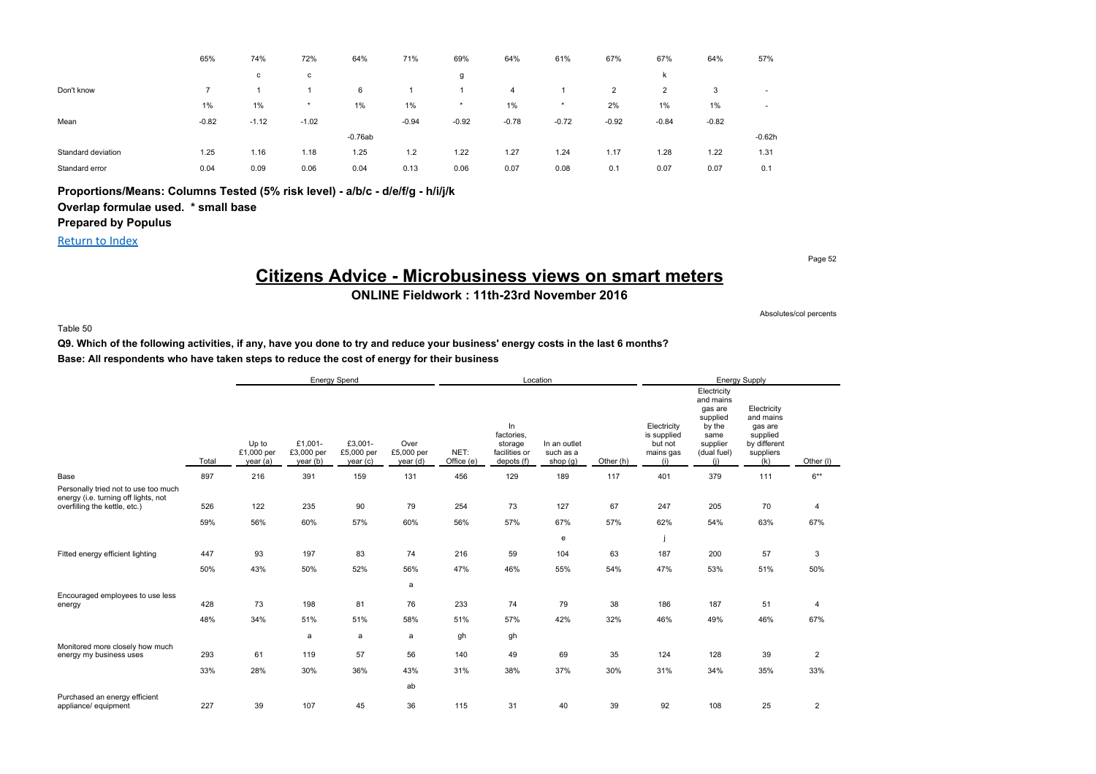|                    | 65%     | 74%     | 72%     | 64%       | 71%     | 69%     | 64%            | 61%     | 67%            | 67%     | 64%     | 57%      |
|--------------------|---------|---------|---------|-----------|---------|---------|----------------|---------|----------------|---------|---------|----------|
|                    |         | с       | с       |           |         | g       |                |         |                | k       |         |          |
| Don't know         |         |         |         | 6         |         |         | $\overline{4}$ |         | $\overline{2}$ | 2       | 3       | $\sim$   |
|                    | $1\%$   | 1%      | $\star$ | 1%        | 1%      | $\star$ | 1%             | $\star$ | 2%             | $1\%$   | 1%      | $\sim$   |
| Mean               | $-0.82$ | $-1.12$ | $-1.02$ |           | $-0.94$ | $-0.92$ | $-0.78$        | $-0.72$ | $-0.92$        | $-0.84$ | $-0.82$ |          |
|                    |         |         |         | $-0.76ab$ |         |         |                |         |                |         |         | $-0.62h$ |
| Standard deviation | 1.25    | 1.16    | 1.18    | 1.25      | 1.2     | 1.22    | 1.27           | 1.24    | 1.17           | 1.28    | 1.22    | 1.31     |
| Standard error     | 0.04    | 0.09    | 0.06    | 0.04      | 0.13    | 0.06    | 0.07           | 0.08    | 0.1            | 0.07    | 0.07    | 0.1      |

### **Proportions/Means: Columns Tested (5% risk level) - a/b/c - d/e/f/g - h/i/j/k**

### **Overlap formulae used. \* small base**

### **Prepared by Populus**

Return to Index

Page 52

Absolutes/col percents

## **Citizens Advice - Microbusiness views on smart meters**

**ONLINE Fieldwork : 11th-23rd November 2016**

Table 50

**Q9. Which of the following activities, if any, have you done to try and reduce your business' energy costs in the last 6 months? Base: All respondents who have taken steps to reduce the cost of energy for their business**

|                                                                                                               |            |                                 |                                   | Energy Spend                      |                                |                    |                                                            | Location                              |           |                                                           |                                                                                                     | Energy Supply                                                                       |                       |
|---------------------------------------------------------------------------------------------------------------|------------|---------------------------------|-----------------------------------|-----------------------------------|--------------------------------|--------------------|------------------------------------------------------------|---------------------------------------|-----------|-----------------------------------------------------------|-----------------------------------------------------------------------------------------------------|-------------------------------------------------------------------------------------|-----------------------|
|                                                                                                               | Total      | Up to<br>£1,000 per<br>year (a) | £1.001-<br>£3,000 per<br>year (b) | £3.001-<br>£5,000 per<br>year (c) | Over<br>£5,000 per<br>year (d) | NET:<br>Office (e) | ln<br>factories,<br>storage<br>facilities or<br>depots (f) | In an outlet<br>such as a<br>shop (g) | Other (h) | Electricity<br>is supplied<br>but not<br>mains gas<br>(i) | Electricity<br>and mains<br>gas are<br>supplied<br>by the<br>same<br>supplier<br>(dual fuel)<br>(i) | Electricity<br>and mains<br>gas are<br>supplied<br>by different<br>suppliers<br>(k) | Other (I)             |
| Base                                                                                                          | 897        | 216                             | 391                               | 159                               | 131                            | 456                | 129                                                        | 189                                   | 117       | 401                                                       | 379                                                                                                 | 111                                                                                 | $6***$                |
| Personally tried not to use too much<br>energy (i.e. turning off lights, not<br>overfilling the kettle, etc.) | 526<br>59% | 122<br>56%                      | 235<br>60%                        | 90<br>57%                         | 79<br>60%                      | 254<br>56%         | 73<br>57%                                                  | 127<br>67%<br>e                       | 67<br>57% | 247<br>62%                                                | 205<br>54%                                                                                          | 70<br>63%                                                                           | $\overline{4}$<br>67% |
| Fitted energy efficient lighting                                                                              | 447        | 93                              | 197                               | 83                                | 74                             | 216                | 59                                                         | 104                                   | 63        | 187                                                       | 200                                                                                                 | 57                                                                                  | 3                     |
|                                                                                                               | 50%        | 43%                             | 50%                               | 52%                               | 56%                            | 47%                | 46%                                                        | 55%                                   | 54%       | 47%                                                       | 53%                                                                                                 | 51%                                                                                 | 50%                   |
|                                                                                                               |            |                                 |                                   |                                   | a                              |                    |                                                            |                                       |           |                                                           |                                                                                                     |                                                                                     |                       |
| Encouraged employees to use less<br>energy                                                                    | 428        | 73                              | 198                               | 81                                | 76                             | 233                | 74                                                         | 79                                    | 38        | 186                                                       | 187                                                                                                 | 51                                                                                  | 4                     |
|                                                                                                               | 48%        | 34%                             | 51%                               | 51%                               | 58%                            | 51%                | 57%                                                        | 42%                                   | 32%       | 46%                                                       | 49%                                                                                                 | 46%                                                                                 | 67%                   |
|                                                                                                               |            |                                 | a                                 | a                                 | a                              | gh                 | gh                                                         |                                       |           |                                                           |                                                                                                     |                                                                                     |                       |
| Monitored more closely how much<br>energy my business uses                                                    | 293        | 61                              | 119                               | 57                                | 56                             | 140                | 49                                                         | 69                                    | 35        | 124                                                       | 128                                                                                                 | 39                                                                                  | $\overline{2}$        |
|                                                                                                               | 33%        | 28%                             | 30%                               | 36%                               | 43%                            | 31%                | 38%                                                        | 37%                                   | 30%       | 31%                                                       | 34%                                                                                                 | 35%                                                                                 | 33%                   |
|                                                                                                               |            |                                 |                                   |                                   | ab                             |                    |                                                            |                                       |           |                                                           |                                                                                                     |                                                                                     |                       |
| Purchased an energy efficient<br>appliance/ equipment                                                         | 227        | 39                              | 107                               | 45                                | 36                             | 115                | 31                                                         | 40                                    | 39        | 92                                                        | 108                                                                                                 | 25                                                                                  | $\overline{2}$        |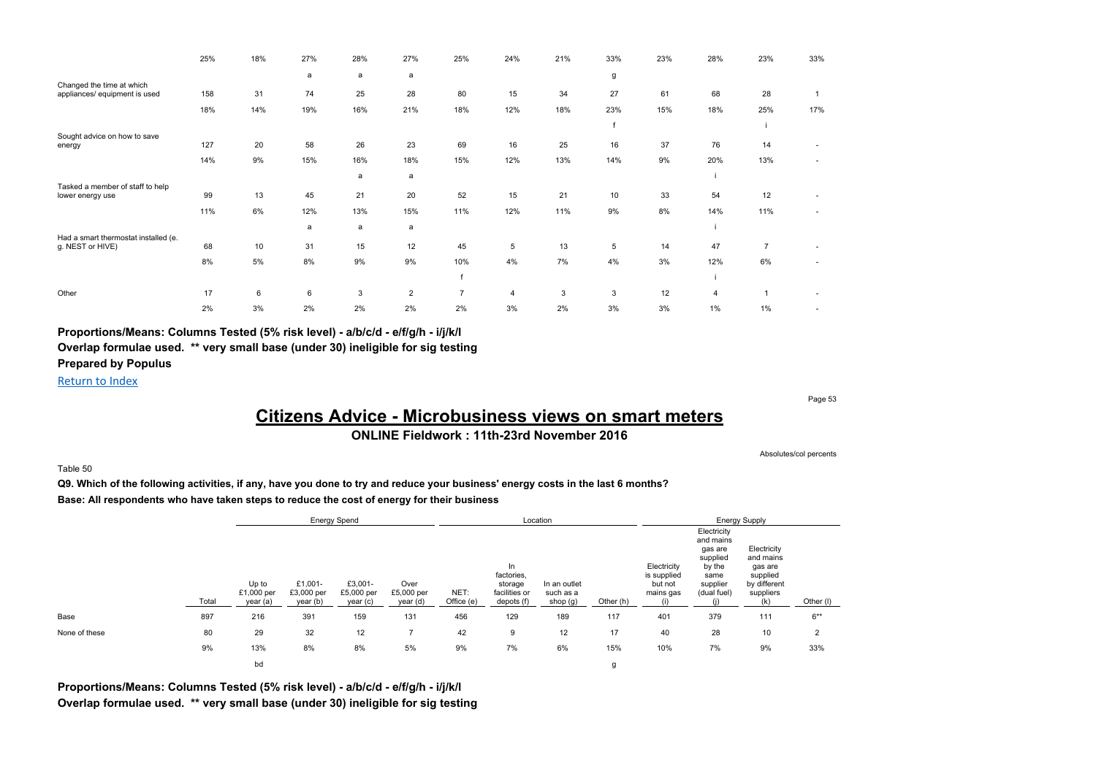|                                                            | 25% | 18% | 27% | 28% | 27%            | 25%            | 24%            | 21% | 33% | 23% | 28%            | 23%            | 33%                      |
|------------------------------------------------------------|-----|-----|-----|-----|----------------|----------------|----------------|-----|-----|-----|----------------|----------------|--------------------------|
|                                                            |     |     | a   | a   | a              |                |                |     | g   |     |                |                |                          |
| Changed the time at which<br>appliances/ equipment is used | 158 | 31  | 74  | 25  | 28             | 80             | 15             | 34  | 27  | 61  | 68             | 28             |                          |
|                                                            | 18% | 14% | 19% | 16% | 21%            | 18%            | 12%            | 18% | 23% | 15% | 18%            | 25%            | 17%                      |
|                                                            |     |     |     |     |                |                |                |     |     |     |                |                |                          |
| Sought advice on how to save<br>energy                     | 127 | 20  | 58  | 26  | 23             | 69             | 16             | 25  | 16  | 37  | 76             | 14             |                          |
|                                                            | 14% | 9%  | 15% | 16% | 18%            | 15%            | 12%            | 13% | 14% | 9%  | 20%            | 13%            | ٠                        |
|                                                            |     |     |     | a   | a              |                |                |     |     |     |                |                |                          |
| Tasked a member of staff to help<br>lower energy use       | 99  | 13  | 45  | 21  | 20             | 52             | 15             | 21  | 10  | 33  | 54             | 12             |                          |
|                                                            | 11% | 6%  | 12% | 13% | 15%            | 11%            | 12%            | 11% | 9%  | 8%  | 14%            | 11%            | $\overline{\phantom{a}}$ |
|                                                            |     |     | a   | a   | a              |                |                |     |     |     |                |                |                          |
| Had a smart thermostat installed (e.<br>g. NEST or HIVE)   | 68  | 10  | 31  | 15  | 12             | 45             | 5              | 13  | 5   | 14  | 47             | $\overline{7}$ |                          |
|                                                            | 8%  | 5%  | 8%  | 9%  | 9%             | 10%            | 4%             | 7%  | 4%  | 3%  | 12%            | 6%             |                          |
|                                                            |     |     |     |     |                |                |                |     |     |     |                |                |                          |
| Other                                                      | 17  | 6   | 6   | 3   | $\overline{2}$ | $\overline{7}$ | $\overline{4}$ | 3   | 3   | 12  | $\overline{4}$ |                |                          |
|                                                            | 2%  | 3%  | 2%  | 2%  | 2%             | 2%             | 3%             | 2%  | 3%  | 3%  | 1%             | 1%             |                          |

**Proportions/Means: Columns Tested (5% risk level) - a/b/c/d - e/f/g/h - i/j/k/l Overlap formulae used. \*\* very small base (under 30) ineligible for sig testing Prepared by Populus**

Return to Index

Page 53

## **Citizens Advice - Microbusiness views on smart meters**

**ONLINE Fieldwork : 11th-23rd November 2016**

Absolutes/col percents

#### Table 50

**Q9. Which of the following activities, if any, have you done to try and reduce your business' energy costs in the last 6 months? Base: All respondents who have taken steps to reduce the cost of energy for their business**

|               |       |                                 |                                   | <b>Energy Spend</b>               |                                |                    |                                                            | Location                              |           |                                                           |                                                                                              | <b>Energy Supply</b>                                                                |                |
|---------------|-------|---------------------------------|-----------------------------------|-----------------------------------|--------------------------------|--------------------|------------------------------------------------------------|---------------------------------------|-----------|-----------------------------------------------------------|----------------------------------------------------------------------------------------------|-------------------------------------------------------------------------------------|----------------|
|               | Total | Up to<br>£1,000 per<br>year (a) | £1,001-<br>£3,000 per<br>year (b) | £3,001-<br>£5,000 per<br>year (c) | Over<br>£5,000 per<br>year (d) | NET:<br>Office (e) | In<br>factories,<br>storage<br>facilities or<br>depots (f) | In an outlet<br>such as a<br>shop (g) | Other (h) | Electricity<br>is supplied<br>but not<br>mains gas<br>(i) | Electricity<br>and mains<br>gas are<br>supplied<br>by the<br>same<br>supplier<br>(dual fuel) | Electricity<br>and mains<br>gas are<br>supplied<br>by different<br>suppliers<br>(k) | Other (I)      |
| Base          | 897   | 216                             | 391                               | 159                               | 131                            | 456                | 129                                                        | 189                                   | 117       | 401                                                       | 379                                                                                          | 111                                                                                 | $6***$         |
| None of these | 80    | 29                              | 32                                | 12                                |                                | 42                 | 9                                                          | 12                                    | 17        | 40                                                        | 28                                                                                           | 10                                                                                  | $\overline{2}$ |
|               | 9%    | 13%                             | 8%                                | 8%                                | 5%                             | 9%                 | 7%                                                         | 6%                                    | 15%       | 10%                                                       | 7%                                                                                           | 9%                                                                                  | 33%            |
|               |       | bd                              |                                   |                                   |                                |                    |                                                            |                                       | g         |                                                           |                                                                                              |                                                                                     |                |

**Proportions/Means: Columns Tested (5% risk level) - a/b/c/d - e/f/g/h - i/j/k/l Overlap formulae used. \*\* very small base (under 30) ineligible for sig testing**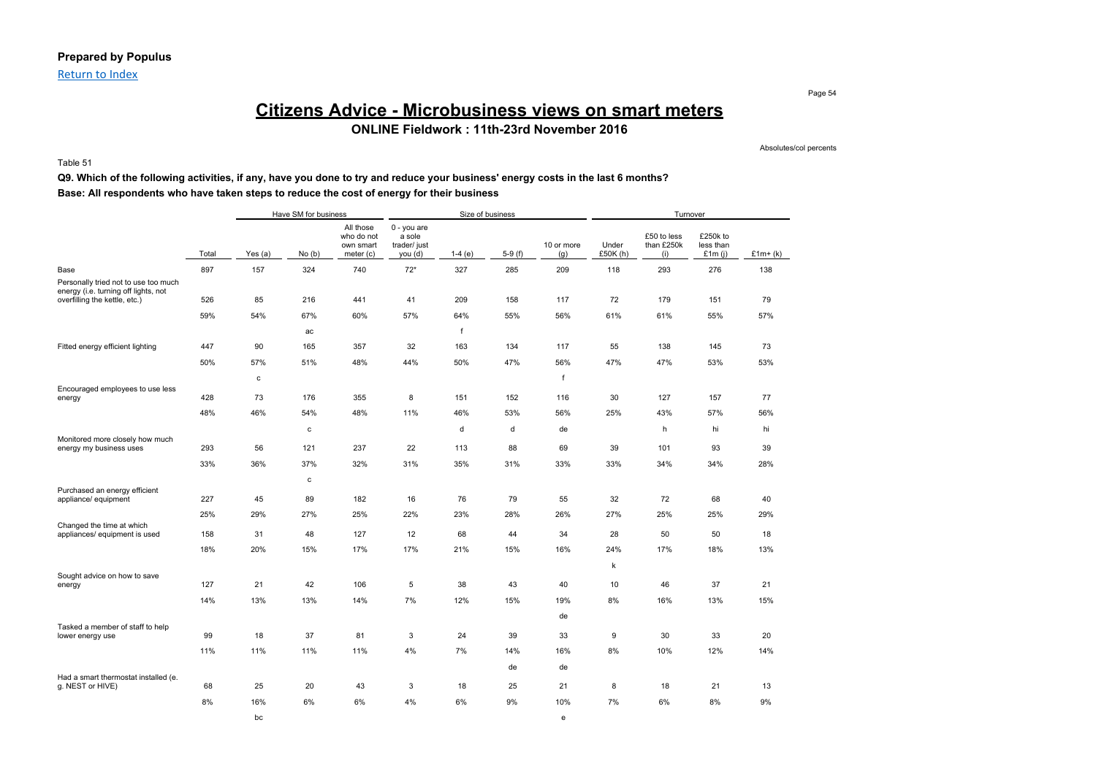Return to Index

## **Citizens Advice - Microbusiness views on smart meters ONLINE Fieldwork : 11th-23rd November 2016**

Table 51

#### **Q9. Which of the following activities, if any, have you done to try and reduce your business' energy costs in the last 6 months? Base: All respondents who have taken steps to reduce the cost of energy for their business**

|                                                                              |       |             | Have SM for business |                                                     |                                                  | Size of business |          |                   |                  | Turnover                         |                                    |           |
|------------------------------------------------------------------------------|-------|-------------|----------------------|-----------------------------------------------------|--------------------------------------------------|------------------|----------|-------------------|------------------|----------------------------------|------------------------------------|-----------|
|                                                                              | Total | Yes (a)     | No(b)                | All those<br>who do not<br>own smart<br>meter $(c)$ | 0 - you are<br>a sole<br>trader/ just<br>you (d) | $1-4(e)$         | $5-9(f)$ | 10 or more<br>(g) | Under<br>£50K(h) | £50 to less<br>than £250k<br>(i) | £250k to<br>less than<br>£1 $m(i)$ | $£1m+(k)$ |
| Base                                                                         | 897   | 157         | 324                  | 740                                                 | $72*$                                            | 327              | 285      | 209               | 118              | 293                              | 276                                | 138       |
| Personally tried not to use too much<br>energy (i.e. turning off lights, not |       |             |                      |                                                     |                                                  |                  |          |                   |                  |                                  |                                    |           |
| overfilling the kettle, etc.)                                                | 526   | 85          | 216                  | 441                                                 | 41                                               | 209              | 158      | 117               | 72               | 179                              | 151                                | 79        |
|                                                                              | 59%   | 54%         | 67%                  | 60%                                                 | 57%                                              | 64%              | 55%      | 56%               | 61%              | 61%                              | 55%                                | 57%       |
|                                                                              |       |             | ac                   |                                                     |                                                  | f                |          |                   |                  |                                  |                                    |           |
| Fitted energy efficient lighting                                             | 447   | 90          | 165                  | 357                                                 | 32                                               | 163              | 134      | 117               | 55               | 138                              | 145                                | 73        |
|                                                                              | 50%   | 57%         | 51%                  | 48%                                                 | 44%                                              | 50%              | 47%      | 56%               | 47%              | 47%                              | 53%                                | 53%       |
|                                                                              |       | $\mathbf c$ |                      |                                                     |                                                  |                  |          | f                 |                  |                                  |                                    |           |
| Encouraged employees to use less<br>energy                                   | 428   | 73          | 176                  | 355                                                 | 8                                                | 151              | 152      | 116               | 30               | 127                              | 157                                | 77        |
|                                                                              | 48%   | 46%         | 54%                  | 48%                                                 | 11%                                              | 46%              | 53%      | 56%               | 25%              | 43%                              | 57%                                | 56%       |
|                                                                              |       |             | $\mathbf c$          |                                                     |                                                  | d                | d        | de                |                  | h                                | hi                                 | hi        |
| Monitored more closely how much<br>energy my business uses                   | 293   | 56          | 121                  | 237                                                 | 22                                               | 113              | 88       | 69                | 39               | 101                              | 93                                 | 39        |
|                                                                              | 33%   | 36%         | 37%                  | 32%                                                 | 31%                                              | 35%              | 31%      | 33%               | 33%              | 34%                              | 34%                                | 28%       |
|                                                                              |       |             | $\mathbf c$          |                                                     |                                                  |                  |          |                   |                  |                                  |                                    |           |
| Purchased an energy efficient                                                |       |             |                      |                                                     |                                                  |                  |          |                   |                  |                                  |                                    |           |
| appliance/ equipment                                                         | 227   | 45          | 89                   | 182                                                 | 16                                               | 76               | 79       | 55                | 32               | 72                               | 68                                 | 40        |
|                                                                              | 25%   | 29%         | 27%                  | 25%                                                 | 22%                                              | 23%              | 28%      | 26%               | 27%              | 25%                              | 25%                                | 29%       |
| Changed the time at which<br>appliances/ equipment is used                   | 158   | 31          | 48                   | 127                                                 | 12                                               | 68               | 44       | 34                | 28               | 50                               | 50                                 | 18        |
|                                                                              | 18%   | 20%         | 15%                  | 17%                                                 | 17%                                              | 21%              | 15%      | 16%               | 24%              | 17%                              | 18%                                | 13%       |
|                                                                              |       |             |                      |                                                     |                                                  |                  |          |                   | k                |                                  |                                    |           |
| Sought advice on how to save<br>energy                                       | 127   | 21          | 42                   | 106                                                 | 5                                                | 38               | 43       | 40                | 10               | 46                               | 37                                 | 21        |
|                                                                              | 14%   | 13%         | 13%                  | 14%                                                 | 7%                                               | 12%              | 15%      | 19%               | 8%               | 16%                              | 13%                                | 15%       |
|                                                                              |       |             |                      |                                                     |                                                  |                  |          | de                |                  |                                  |                                    |           |
| Tasked a member of staff to help                                             |       |             |                      |                                                     |                                                  |                  |          |                   |                  |                                  |                                    |           |
| lower energy use                                                             | 99    | 18          | 37                   | 81                                                  | 3                                                | 24               | 39       | 33                | 9                | 30                               | 33                                 | 20        |
|                                                                              | 11%   | 11%         | 11%                  | 11%                                                 | 4%                                               | 7%               | 14%      | 16%               | 8%               | 10%                              | 12%                                | 14%       |
| Had a smart thermostat installed (e.                                         |       |             |                      |                                                     |                                                  |                  | de       | de                |                  |                                  |                                    |           |
| g. NEST or HIVE)                                                             | 68    | 25          | 20                   | 43                                                  | 3                                                | 18               | 25       | 21                | 8                | 18                               | 21                                 | 13        |
|                                                                              | 8%    | 16%         | 6%                   | 6%                                                  | 4%                                               | 6%               | 9%       | 10%               | 7%               | 6%                               | 8%                                 | 9%        |
|                                                                              |       | bc          |                      |                                                     |                                                  |                  |          | e                 |                  |                                  |                                    |           |

Page 54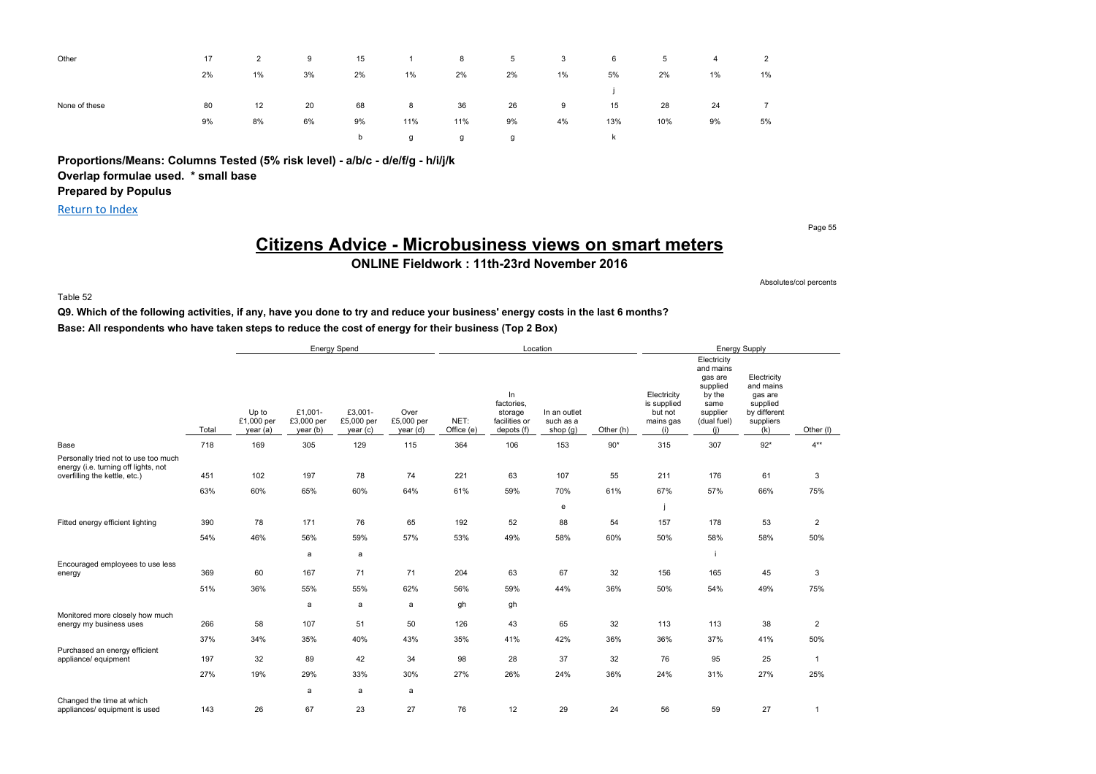| Other         | 17 | 2  | 9  | 15 | $\overline{1}$ | 8   | $5^{\circ}$ | $\overline{\mathbf{3}}$ | 6   | 5   | $\overline{4}$ | $\overline{2}$ |
|---------------|----|----|----|----|----------------|-----|-------------|-------------------------|-----|-----|----------------|----------------|
|               | 2% | 1% | 3% | 2% | 1%             | 2%  | 2%          | 1%                      | 5%  | 2%  | $1\%$          | 1%             |
|               |    |    |    |    |                |     |             |                         |     |     |                |                |
| None of these | 80 | 12 | 20 | 68 | 8              | 36  | 26          | 9                       | 15  | 28  | 24             | $\overline{7}$ |
|               | 9% | 8% | 6% | 9% | 11%            | 11% | 9%          | 4%                      | 13% | 10% | 9%             | 5%             |
|               |    |    |    | b  | g              | g   | g           |                         | k   |     |                |                |

**Proportions/Means: Columns Tested (5% risk level) - a/b/c - d/e/f/g - h/i/j/k**

**Overlap formulae used. \* small base**

**Prepared by Populus**

Return to Index

Page 55

### **Citizens Advice - Microbusiness views on smart meters ONLINE Fieldwork : 11th-23rd November 2016**

Absolutes/col percents

Table 52

**Q9. Which of the following activities, if any, have you done to try and reduce your business' energy costs in the last 6 months? Base: All respondents who have taken steps to reduce the cost of energy for their business (Top 2 Box)**

|                                                                              |       |                                |                                   | <b>Energy Spend</b>               |                                |                    |                                                            | Location                                |           |                                                           |                                                                                                     | Energy Supply                                                                       |                |
|------------------------------------------------------------------------------|-------|--------------------------------|-----------------------------------|-----------------------------------|--------------------------------|--------------------|------------------------------------------------------------|-----------------------------------------|-----------|-----------------------------------------------------------|-----------------------------------------------------------------------------------------------------|-------------------------------------------------------------------------------------|----------------|
|                                                                              | Total | Up to<br>£1,000 per<br>year(a) | £1,001-<br>£3,000 per<br>year (b) | £3,001-<br>£5,000 per<br>year (c) | Over<br>£5,000 per<br>year (d) | NET:<br>Office (e) | In<br>factories,<br>storage<br>facilities or<br>depots (f) | In an outlet<br>such as a<br>shop $(g)$ | Other (h) | Electricity<br>is supplied<br>but not<br>mains gas<br>(i) | Electricity<br>and mains<br>gas are<br>supplied<br>by the<br>same<br>supplier<br>(dual fuel)<br>(i) | Electricity<br>and mains<br>gas are<br>supplied<br>by different<br>suppliers<br>(k) | Other (I)      |
| Base                                                                         | 718   | 169                            | 305                               | 129                               | 115                            | 364                | 106                                                        | 153                                     | $90*$     | 315                                                       | 307                                                                                                 | $92*$                                                                               | $4**$          |
| Personally tried not to use too much<br>energy (i.e. turning off lights, not |       |                                |                                   |                                   |                                |                    |                                                            |                                         |           |                                                           |                                                                                                     |                                                                                     |                |
| overfilling the kettle, etc.)                                                | 451   | 102                            | 197                               | 78                                | 74                             | 221                | 63                                                         | 107                                     | 55        | 211                                                       | 176                                                                                                 | 61                                                                                  | 3              |
|                                                                              | 63%   | 60%                            | 65%                               | 60%                               | 64%                            | 61%                | 59%                                                        | 70%                                     | 61%       | 67%                                                       | 57%                                                                                                 | 66%                                                                                 | 75%            |
|                                                                              |       |                                |                                   |                                   |                                |                    |                                                            | ${\bf e}$                               |           |                                                           |                                                                                                     |                                                                                     |                |
| Fitted energy efficient lighting                                             | 390   | 78                             | 171                               | 76                                | 65                             | 192                | 52                                                         | 88                                      | 54        | 157                                                       | 178                                                                                                 | 53                                                                                  | $\overline{c}$ |
|                                                                              | 54%   | 46%                            | 56%                               | 59%                               | 57%                            | 53%                | 49%                                                        | 58%                                     | 60%       | 50%                                                       | 58%                                                                                                 | 58%                                                                                 | 50%            |
|                                                                              |       |                                | a                                 | a                                 |                                |                    |                                                            |                                         |           |                                                           |                                                                                                     |                                                                                     |                |
| Encouraged employees to use less<br>energy                                   | 369   | 60                             | 167                               | 71                                | 71                             | 204                | 63                                                         | 67                                      | 32        | 156                                                       | 165                                                                                                 | 45                                                                                  | 3              |
|                                                                              | 51%   | 36%                            | 55%                               | 55%                               | 62%                            | 56%                | 59%                                                        | 44%                                     | 36%       | 50%                                                       | 54%                                                                                                 | 49%                                                                                 | 75%            |
|                                                                              |       |                                | a                                 | a                                 | a                              | gh                 | gh                                                         |                                         |           |                                                           |                                                                                                     |                                                                                     |                |
| Monitored more closely how much<br>energy my business uses                   | 266   | 58                             | 107                               | 51                                | 50                             | 126                | 43                                                         | 65                                      | 32        | 113                                                       | 113                                                                                                 | 38                                                                                  | $\overline{2}$ |
|                                                                              | 37%   | 34%                            | 35%                               | 40%                               | 43%                            | 35%                | 41%                                                        | 42%                                     | 36%       | 36%                                                       | 37%                                                                                                 | 41%                                                                                 | 50%            |
| Purchased an energy efficient<br>appliance/ equipment                        | 197   | 32                             | 89                                | 42                                | 34                             | 98                 | 28                                                         | 37                                      | 32        | 76                                                        | 95                                                                                                  | 25                                                                                  | $\mathbf{1}$   |
|                                                                              | 27%   | 19%                            | 29%                               | 33%                               | 30%                            | 27%                | 26%                                                        | 24%                                     | 36%       | 24%                                                       | 31%                                                                                                 | 27%                                                                                 | 25%            |
|                                                                              |       |                                | a                                 | a                                 | a                              |                    |                                                            |                                         |           |                                                           |                                                                                                     |                                                                                     |                |
| Changed the time at which<br>appliances/ equipment is used                   | 143   | 26                             | 67                                | 23                                | 27                             | 76                 | 12                                                         | 29                                      | 24        | 56                                                        | 59                                                                                                  | 27                                                                                  | $\mathbf{1}$   |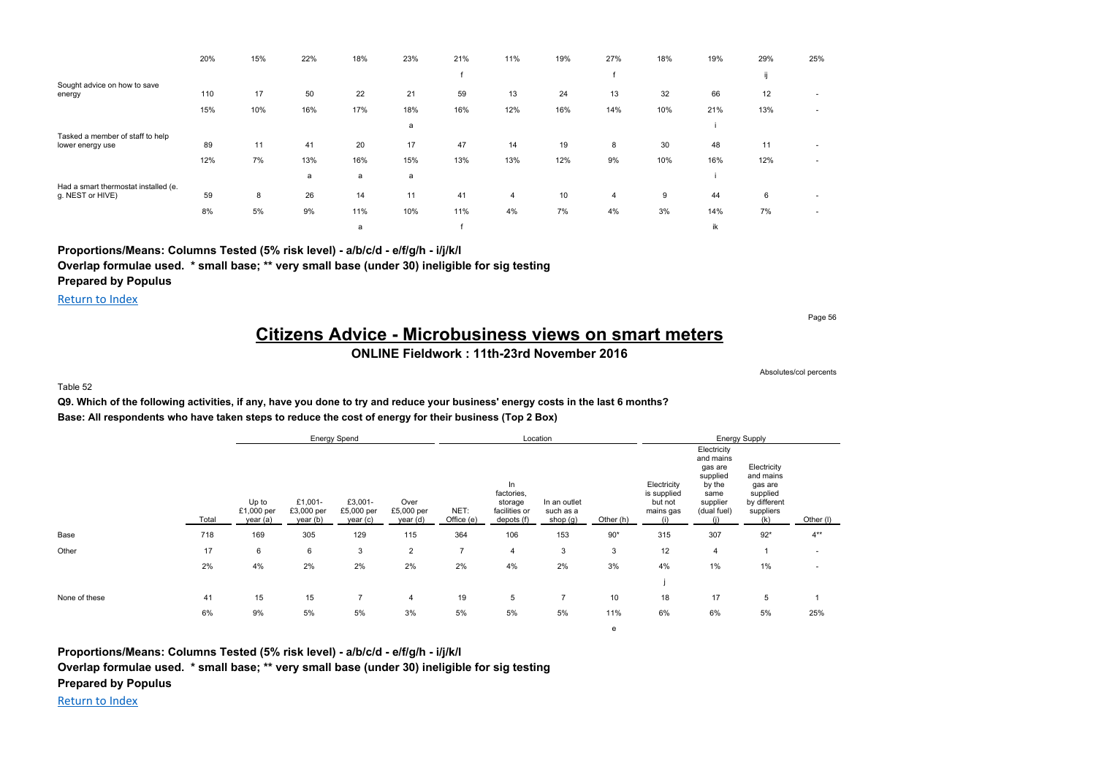|                                                      | 20% | 15% | 22% | 18% | 23% | 21% | 11% | 19% | 27% | 18% | 19% | 29% | 25%                      |
|------------------------------------------------------|-----|-----|-----|-----|-----|-----|-----|-----|-----|-----|-----|-----|--------------------------|
|                                                      |     |     |     |     |     |     |     |     |     |     |     |     |                          |
| Sought advice on how to save<br>energy               | 110 | 17  | 50  | 22  | 21  | 59  | 13  | 24  | 13  | 32  | 66  | 12  | $\overline{\phantom{a}}$ |
|                                                      | 15% | 10% | 16% | 17% | 18% | 16% | 12% | 16% | 14% | 10% | 21% | 13% |                          |
|                                                      |     |     |     |     | a   |     |     |     |     |     |     |     |                          |
| Tasked a member of staff to help<br>lower energy use | 89  | 11  | 41  | 20  | 17  | 47  | 14  | 19  | 8   | 30  | 48  | 11  | $\overline{\phantom{a}}$ |
|                                                      | 12% | 7%  | 13% | 16% | 15% | 13% | 13% | 12% | 9%  | 10% | 16% | 12% | $\overline{\phantom{a}}$ |
| Had a smart thermostat installed (e.                 |     |     | a   | a   | a   |     |     |     |     |     |     |     |                          |
| g. NEST or HIVE)                                     | 59  | 8   | 26  | 14  | 11  | 41  | 4   | 10  | 4   | 9   | 44  | 6   |                          |
|                                                      | 8%  | 5%  | 9%  | 11% | 10% | 11% | 4%  | 7%  | 4%  | 3%  | 14% | 7%  | $\overline{\phantom{a}}$ |
|                                                      |     |     |     | a   |     |     |     |     |     |     | ik  |     |                          |

**Proportions/Means: Columns Tested (5% risk level) - a/b/c/d - e/f/g/h - i/j/k/l**

**Overlap formulae used. \* small base; \*\* very small base (under 30) ineligible for sig testing**

**Prepared by Populus**

Return to Index

Page 56

## **Citizens Advice - Microbusiness views on smart meters**

### **ONLINE Fieldwork : 11th-23rd November 2016**

e

Absolutes/col percents

Table 52

**Q9. Which of the following activities, if any, have you done to try and reduce your business' energy costs in the last 6 months? Base: All respondents who have taken steps to reduce the cost of energy for their business (Top 2 Box)**

|               |       |                                 |                                   | <b>Energy Spend</b>               |                                |                    |                                                            | Location                              |           |                                                           |                                                                                              | <b>Energy Supply</b>                                                                |           |
|---------------|-------|---------------------------------|-----------------------------------|-----------------------------------|--------------------------------|--------------------|------------------------------------------------------------|---------------------------------------|-----------|-----------------------------------------------------------|----------------------------------------------------------------------------------------------|-------------------------------------------------------------------------------------|-----------|
|               | Total | Up to<br>£1,000 per<br>year (a) | £1,001-<br>£3,000 per<br>year (b) | £3,001-<br>£5,000 per<br>year (c) | Over<br>£5,000 per<br>year (d) | NET:<br>Office (e) | In<br>factories,<br>storage<br>facilities or<br>depots (f) | In an outlet<br>such as a<br>shop (g) | Other (h) | Electricity<br>is supplied<br>but not<br>mains gas<br>(i) | Electricity<br>and mains<br>gas are<br>supplied<br>by the<br>same<br>supplier<br>(dual fuel) | Electricity<br>and mains<br>gas are<br>supplied<br>by different<br>suppliers<br>(k) | Other (I) |
| Base          | 718   | 169                             | 305                               | 129                               | 115                            | 364                | 106                                                        | 153                                   | $90*$     | 315                                                       | 307                                                                                          | $92*$                                                                               | $4***$    |
| Other         | 17    | 6                               | 6                                 | 3                                 | $\overline{2}$                 | $\overline{ }$     | $\overline{4}$                                             | 3                                     | 3         | 12                                                        | $\overline{4}$                                                                               |                                                                                     | $\sim$    |
|               | 2%    | 4%                              | 2%                                | 2%                                | 2%                             | 2%                 | 4%                                                         | 2%                                    | 3%        | 4%                                                        | 1%                                                                                           | 1%                                                                                  |           |
|               |       |                                 |                                   |                                   |                                |                    |                                                            |                                       |           |                                                           |                                                                                              |                                                                                     |           |
| None of these | 41    | 15                              | 15                                |                                   | $\overline{4}$                 | 19                 | 5                                                          | 7                                     | 10        | 18                                                        | 17                                                                                           | 5                                                                                   |           |
|               | 6%    | 9%                              | 5%                                | 5%                                | 3%                             | 5%                 | 5%                                                         | 5%                                    | 11%       | 6%                                                        | 6%                                                                                           | 5%                                                                                  | 25%       |

**Proportions/Means: Columns Tested (5% risk level) - a/b/c/d - e/f/g/h - i/j/k/l Overlap formulae used. \* small base; \*\* very small base (under 30) ineligible for sig testing Prepared by Populus**

Return to Index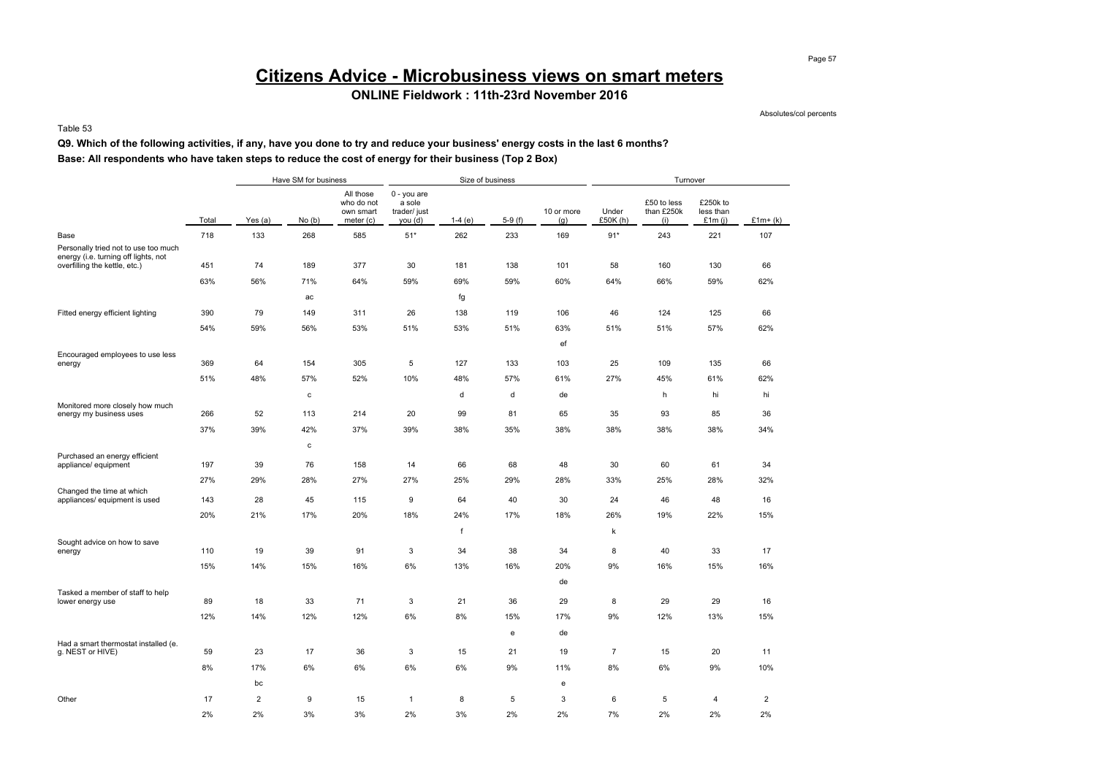# **Citizens Advice - Microbusiness views on smart meters**

### **ONLINE Fieldwork : 11th-23rd November 2016**

Absolutes/col percents

#### Table 53

### **Q9. Which of the following activities, if any, have you done to try and reduce your business' energy costs in the last 6 months? Base: All respondents who have taken steps to reduce the cost of energy for their business (Top 2 Box)**

|                                                                              |       |                | Have SM for business |                                                   |                                                  | Size of business |          |                   |                   | Turnover                         |                                 |                |
|------------------------------------------------------------------------------|-------|----------------|----------------------|---------------------------------------------------|--------------------------------------------------|------------------|----------|-------------------|-------------------|----------------------------------|---------------------------------|----------------|
|                                                                              | Total | Yes (a)        | No(b)                | All those<br>who do not<br>own smart<br>meter (c) | 0 - you are<br>a sole<br>trader/ just<br>you (d) | $1-4(e)$         | $5-9(f)$ | 10 or more<br>(g) | Under<br>£50K (h) | £50 to less<br>than £250k<br>(i) | £250k to<br>less than<br>£1m(i) | $£1m+(k)$      |
| Base                                                                         | 718   | 133            | 268                  | 585                                               | $51*$                                            | 262              | 233      | 169               | $91*$             | 243                              | 221                             | 107            |
| Personally tried not to use too much<br>energy (i.e. turning off lights, not |       |                |                      |                                                   |                                                  |                  |          |                   |                   |                                  |                                 |                |
| overfilling the kettle, etc.)                                                | 451   | 74             | 189                  | 377                                               | 30                                               | 181              | 138      | 101               | 58                | 160                              | 130                             | 66             |
|                                                                              | 63%   | 56%            | 71%                  | 64%                                               | 59%                                              | 69%              | 59%      | 60%               | 64%               | 66%                              | 59%                             | 62%            |
|                                                                              |       |                | ac                   |                                                   |                                                  | fg               |          |                   |                   |                                  |                                 |                |
| Fitted energy efficient lighting                                             | 390   | 79             | 149                  | 311                                               | 26                                               | 138              | 119      | 106               | 46                | 124                              | 125                             | 66             |
|                                                                              | 54%   | 59%            | 56%                  | 53%                                               | 51%                                              | 53%              | 51%      | 63%               | 51%               | 51%                              | 57%                             | 62%            |
|                                                                              |       |                |                      |                                                   |                                                  |                  |          | ef                |                   |                                  |                                 |                |
| Encouraged employees to use less<br>energy                                   | 369   | 64             | 154                  | 305                                               | 5                                                | 127              | 133      | 103               | 25                | 109                              | 135                             | 66             |
|                                                                              | 51%   | 48%            | 57%                  | 52%                                               | 10%                                              | 48%              | 57%      | 61%               | 27%               | 45%                              | 61%                             | 62%            |
|                                                                              |       |                | с                    |                                                   |                                                  | d                | d        | de                |                   | h                                | hi                              | hi             |
| Monitored more closely how much<br>energy my business uses                   | 266   | 52             | 113                  | 214                                               | 20                                               | 99               | 81       | 65                | 35                | 93                               | 85                              | 36             |
|                                                                              | 37%   | 39%            | 42%                  | 37%                                               | 39%                                              | 38%              | 35%      | 38%               | 38%               | 38%                              | 38%                             | 34%            |
|                                                                              |       |                | с                    |                                                   |                                                  |                  |          |                   |                   |                                  |                                 |                |
| Purchased an energy efficient                                                |       |                |                      |                                                   |                                                  |                  |          |                   |                   |                                  |                                 |                |
| appliance/ equipment                                                         | 197   | 39             | 76                   | 158                                               | 14                                               | 66               | 68       | 48                | 30                | 60                               | 61                              | 34             |
| Changed the time at which                                                    | 27%   | 29%            | 28%                  | 27%                                               | 27%                                              | 25%              | 29%      | 28%               | 33%               | 25%                              | 28%                             | 32%            |
| appliances/ equipment is used                                                | 143   | 28             | 45                   | 115                                               | $\boldsymbol{9}$                                 | 64               | 40       | 30                | 24                | 46                               | 48                              | 16             |
|                                                                              | 20%   | 21%            | 17%                  | 20%                                               | 18%                                              | 24%              | 17%      | 18%               | 26%               | 19%                              | 22%                             | 15%            |
|                                                                              |       |                |                      |                                                   |                                                  | f                |          |                   | k                 |                                  |                                 |                |
| Sought advice on how to save<br>energy                                       | 110   | 19             | 39                   | 91                                                | 3                                                | 34               | 38       | 34                | 8                 | 40                               | 33                              | 17             |
|                                                                              | 15%   | 14%            | 15%                  | 16%                                               | 6%                                               | 13%              | 16%      | 20%               | 9%                | 16%                              | 15%                             | 16%            |
|                                                                              |       |                |                      |                                                   |                                                  |                  |          | de                |                   |                                  |                                 |                |
| Tasked a member of staff to help                                             |       |                |                      |                                                   |                                                  |                  |          |                   |                   |                                  |                                 |                |
| lower energy use                                                             | 89    | 18             | 33                   | 71                                                | 3                                                | 21               | 36       | 29                | 8                 | 29                               | 29                              | 16             |
|                                                                              | 12%   | 14%            | 12%                  | 12%                                               | 6%                                               | 8%               | 15%      | 17%               | 9%                | 12%                              | 13%                             | 15%            |
|                                                                              |       |                |                      |                                                   |                                                  |                  | e        | de                |                   |                                  |                                 |                |
| Had a smart thermostat installed (e.<br>g. NEST or HIVE)                     | 59    | 23             | 17                   | 36                                                | 3                                                | 15               | 21       | 19                | $\overline{7}$    | 15                               | 20                              | 11             |
|                                                                              | 8%    | 17%            | 6%                   | 6%                                                | 6%                                               | 6%               | 9%       | 11%               | 8%                | 6%                               | 9%                              | 10%            |
|                                                                              |       | bc             |                      |                                                   |                                                  |                  |          | e                 |                   |                                  |                                 |                |
| Other                                                                        | 17    | $\overline{2}$ | 9                    | 15                                                | $\mathbf{1}$                                     | 8                | 5        | 3                 | 6                 | 5                                | 4                               | $\overline{2}$ |
|                                                                              | 2%    | 2%             | 3%                   | 3%                                                | 2%                                               | 3%               | 2%       | 2%                | 7%                | 2%                               | 2%                              | 2%             |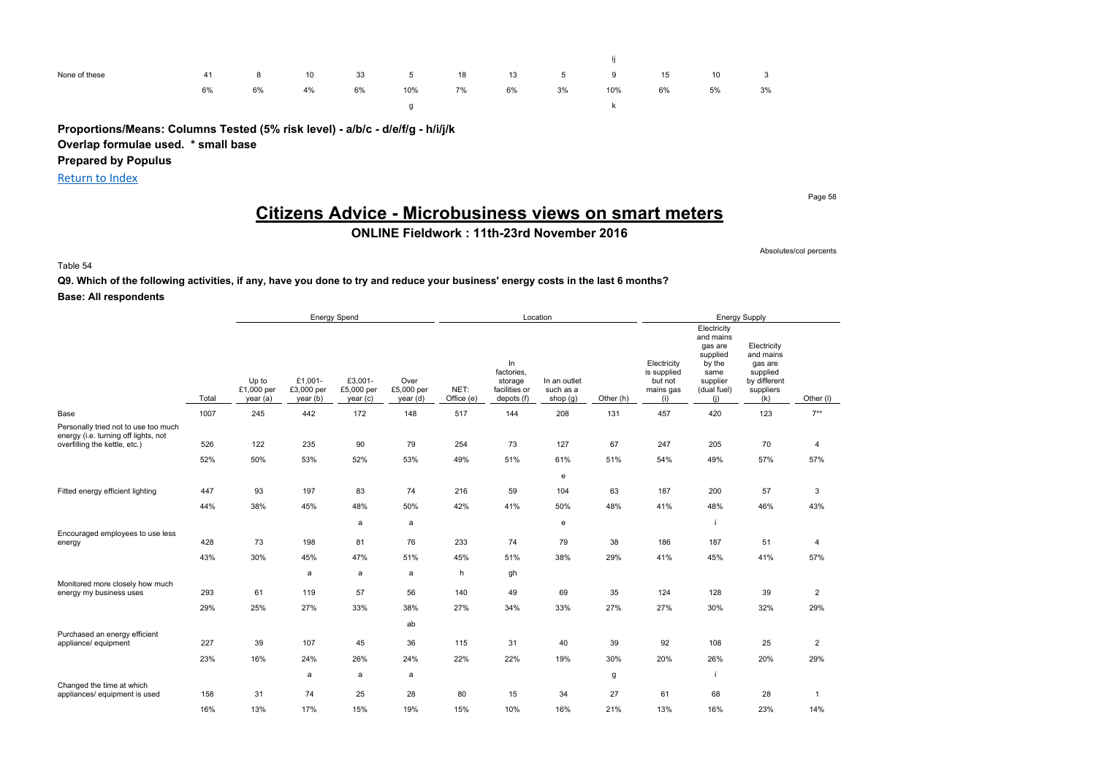| None of these | 41 | 8  | 10 | 33 3 | $5^{\circ}$ | 18 | 13 | $5 - 5$ | 9   | 15 | 10 | $\overline{\mathbf{3}}$ |
|---------------|----|----|----|------|-------------|----|----|---------|-----|----|----|-------------------------|
|               | 6% | 6% | 4% | 6%   | 10%         | 7% | 6% | 3%      | 10% | 6% | 5% | 3%                      |
|               |    |    |    |      |             |    |    |         |     |    |    |                         |

**Proportions/Means: Columns Tested (5% risk level) - a/b/c - d/e/f/g - h/i/j/k Overlap formulae used. \* small base**

**Prepared by Populus**

Return to Index

Page 58

## **Citizens Advice - Microbusiness views on smart meters**

**ONLINE Fieldwork : 11th-23rd November 2016**

Absolutes/col percents

Table 54

### **Q9. Which of the following activities, if any, have you done to try and reduce your business' energy costs in the last 6 months? Base: All respondents**

|                                                                              |       |                                 |                                   | <b>Energy Spend</b>              |                                |                    |                                                            | Location                              |           |                                                           | <b>Energy Supply</b>                                                                                |                                                                                     |                |  |
|------------------------------------------------------------------------------|-------|---------------------------------|-----------------------------------|----------------------------------|--------------------------------|--------------------|------------------------------------------------------------|---------------------------------------|-----------|-----------------------------------------------------------|-----------------------------------------------------------------------------------------------------|-------------------------------------------------------------------------------------|----------------|--|
|                                                                              | Total | Up to<br>£1,000 per<br>year (a) | £1,001-<br>£3,000 per<br>year (b) | £3,001-<br>£5,000 per<br>year(c) | Over<br>£5,000 per<br>year (d) | NET:<br>Office (e) | In<br>factories,<br>storage<br>facilities or<br>depots (f) | In an outlet<br>such as a<br>shop (g) | Other (h) | Electricity<br>is supplied<br>but not<br>mains gas<br>(i) | Electricity<br>and mains<br>gas are<br>supplied<br>by the<br>same<br>supplier<br>(dual fuel)<br>(i) | Electricity<br>and mains<br>gas are<br>supplied<br>by different<br>suppliers<br>(k) | Other (I)      |  |
| Base                                                                         | 1007  | 245                             | 442                               | 172                              | 148                            | 517                | 144                                                        | 208                                   | 131       | 457                                                       | 420                                                                                                 | 123                                                                                 | $7***$         |  |
| Personally tried not to use too much<br>energy (i.e. turning off lights, not | 526   | 122                             | 235                               | 90                               | 79                             | 254                | 73                                                         | 127                                   | 67        | 247                                                       | 205                                                                                                 | 70                                                                                  |                |  |
| overfilling the kettle, etc.)                                                |       |                                 |                                   |                                  |                                |                    |                                                            |                                       |           |                                                           |                                                                                                     |                                                                                     | 4              |  |
|                                                                              | 52%   | 50%                             | 53%                               | 52%                              | 53%                            | 49%                | 51%                                                        | 61%                                   | 51%       | 54%                                                       | 49%                                                                                                 | 57%                                                                                 | 57%            |  |
|                                                                              |       |                                 |                                   |                                  |                                |                    |                                                            | e                                     |           |                                                           |                                                                                                     |                                                                                     |                |  |
| Fitted energy efficient lighting                                             | 447   | 93                              | 197                               | 83                               | 74                             | 216                | 59                                                         | 104                                   | 63        | 187                                                       | 200                                                                                                 | 57                                                                                  | 3              |  |
|                                                                              | 44%   | 38%                             | 45%                               | 48%                              | 50%                            | 42%                | 41%                                                        | 50%                                   | 48%       | 41%                                                       | 48%                                                                                                 | 46%                                                                                 | 43%            |  |
|                                                                              |       |                                 |                                   | a                                | a                              |                    |                                                            | e                                     |           |                                                           |                                                                                                     |                                                                                     |                |  |
| Encouraged employees to use less<br>energy                                   | 428   | 73                              | 198                               | 81                               | 76                             | 233                | 74                                                         | 79                                    | 38        | 186                                                       | 187                                                                                                 | 51                                                                                  | 4              |  |
|                                                                              | 43%   | 30%                             | 45%                               | 47%                              | 51%                            | 45%                | 51%                                                        | 38%                                   | 29%       | 41%                                                       | 45%                                                                                                 | 41%                                                                                 | 57%            |  |
| Monitored more closely how much                                              |       |                                 | a                                 | a                                | a                              | h                  | gh                                                         |                                       |           |                                                           |                                                                                                     |                                                                                     |                |  |
| energy my business uses                                                      | 293   | 61                              | 119                               | 57                               | 56                             | 140                | 49                                                         | 69                                    | 35        | 124                                                       | 128                                                                                                 | 39                                                                                  | $\overline{2}$ |  |
|                                                                              | 29%   | 25%                             | 27%                               | 33%                              | 38%                            | 27%                | 34%                                                        | 33%                                   | 27%       | 27%                                                       | 30%                                                                                                 | 32%                                                                                 | 29%            |  |
|                                                                              |       |                                 |                                   |                                  | ab                             |                    |                                                            |                                       |           |                                                           |                                                                                                     |                                                                                     |                |  |
| Purchased an energy efficient<br>appliance/ equipment                        | 227   | 39                              | 107                               | 45                               | 36                             | 115                | 31                                                         | 40                                    | 39        | 92                                                        | 108                                                                                                 | 25                                                                                  | $\overline{2}$ |  |
|                                                                              | 23%   | 16%                             | 24%                               | 26%                              | 24%                            | 22%                | 22%                                                        | 19%                                   | 30%       | 20%                                                       | 26%                                                                                                 | 20%                                                                                 | 29%            |  |
| Changed the time at which                                                    |       |                                 | a                                 | a                                | a                              |                    |                                                            |                                       | g         |                                                           |                                                                                                     |                                                                                     |                |  |
| appliances/ equipment is used                                                | 158   | 31                              | 74                                | 25                               | 28                             | 80                 | 15                                                         | 34                                    | 27        | 61                                                        | 68                                                                                                  | 28                                                                                  | $\mathbf{1}$   |  |
|                                                                              | 16%   | 13%                             | 17%                               | 15%                              | 19%                            | 15%                | 10%                                                        | 16%                                   | 21%       | 13%                                                       | 16%                                                                                                 | 23%                                                                                 | 14%            |  |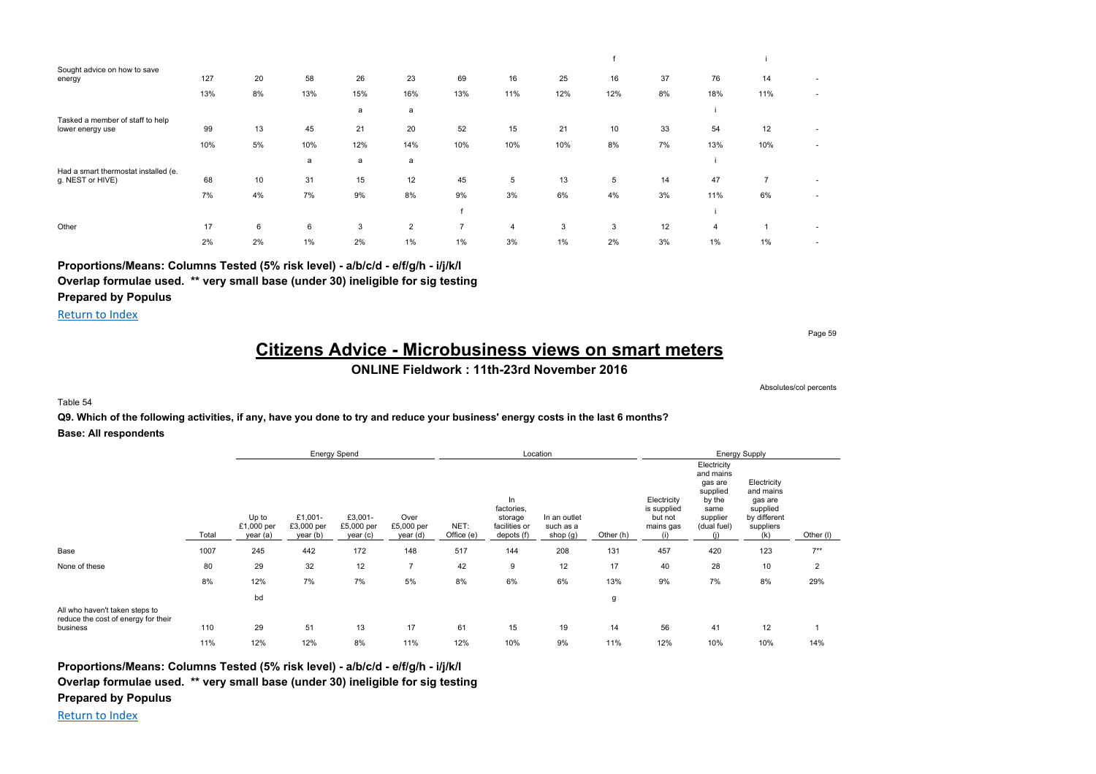| Sought advice on how to save<br>energy | 127 | 20 | 58  | 26  | 23             | 69             | 16  | 25    | 16  | 37 | 76             | 14             | ٠                        |
|----------------------------------------|-----|----|-----|-----|----------------|----------------|-----|-------|-----|----|----------------|----------------|--------------------------|
|                                        | 13% | 8% | 13% | 15% | 16%            | 13%            | 11% | 12%   | 12% | 8% | 18%            | 11%            | ٠                        |
|                                        |     |    |     | a   | a              |                |     |       |     |    |                |                |                          |
| Tasked a member of staff to help       |     |    |     |     |                |                |     |       |     |    |                |                |                          |
| lower energy use                       | 99  | 13 | 45  | 21  | 20             | 52             | 15  | 21    | 10  | 33 | 54             | 12             |                          |
|                                        | 10% | 5% | 10% | 12% | 14%            | 10%            | 10% | 10%   | 8%  | 7% | 13%            | 10%            | ٠                        |
|                                        |     |    | a   | a   | a              |                |     |       |     |    |                |                |                          |
| Had a smart thermostat installed (e.   |     |    |     |     |                |                |     |       |     |    |                |                |                          |
| g. NEST or HIVE)                       | 68  | 10 | 31  | 15  | 12             | 45             | 5   | 13    | 5   | 14 | 47             | $\overline{7}$ | ٠                        |
|                                        | 7%  | 4% | 7%  | 9%  | 8%             | 9%             | 3%  | 6%    | 4%  | 3% | 11%            | 6%             | ٠                        |
|                                        |     |    |     |     |                |                |     |       |     |    |                |                |                          |
| Other                                  | 17  | 6  | 6   | 3   | $\overline{2}$ | $\overline{7}$ | 4   | 3     | 3   | 12 | $\overline{4}$ |                | ٠                        |
|                                        | 2%  | 2% | 1%  | 2%  | 1%             | 1%             | 3%  | $1\%$ | 2%  | 3% | $1\%$          | 1%             | $\overline{\phantom{a}}$ |

**Proportions/Means: Columns Tested (5% risk level) - a/b/c/d - e/f/g/h - i/j/k/l**

**Overlap formulae used. \*\* very small base (under 30) ineligible for sig testing**

**Prepared by Populus**

Return to Index

Page 59

## **Citizens Advice - Microbusiness views on smart meters**

### **ONLINE Fieldwork : 11th-23rd November 2016**

Absolutes/col percents

#### Table 54

**Q9. Which of the following activities, if any, have you done to try and reduce your business' energy costs in the last 6 months? Base: All respondents**

|                                                                                   |       | <b>Energy Spend</b>             |                                   |                                   |                                |                    |                                                             | Location                              |           |                                                    |                                                                                              | <b>Energy Supply</b>                                                                |                |
|-----------------------------------------------------------------------------------|-------|---------------------------------|-----------------------------------|-----------------------------------|--------------------------------|--------------------|-------------------------------------------------------------|---------------------------------------|-----------|----------------------------------------------------|----------------------------------------------------------------------------------------------|-------------------------------------------------------------------------------------|----------------|
|                                                                                   | Total | Up to<br>£1,000 per<br>year (a) | £1,001-<br>£3,000 per<br>year (b) | £3,001-<br>£5,000 per<br>year (c) | Over<br>£5,000 per<br>year (d) | NET:<br>Office (e) | In.<br>factories,<br>storage<br>facilities or<br>depots (f) | In an outlet<br>such as a<br>shop (g) | Other (h) | Electricity<br>is supplied<br>but not<br>mains gas | Electricity<br>and mains<br>gas are<br>supplied<br>by the<br>same<br>supplier<br>(dual fuel) | Electricity<br>and mains<br>gas are<br>supplied<br>by different<br>suppliers<br>(k) | Other (I)      |
| Base                                                                              | 1007  | 245                             | 442                               | 172                               | 148                            | 517                | 144                                                         | 208                                   | 131       | 457                                                | 420                                                                                          | 123                                                                                 | $7***$         |
| None of these                                                                     | 80    | 29                              | 32                                | 12                                | $\overline{7}$                 | 42                 | 9                                                           | 12                                    | 17        | 40                                                 | 28                                                                                           | 10                                                                                  | $\overline{2}$ |
|                                                                                   | 8%    | 12%                             | 7%                                | 7%                                | 5%                             | 8%                 | 6%                                                          | 6%                                    | 13%       | 9%                                                 | 7%                                                                                           | 8%                                                                                  | 29%            |
|                                                                                   |       | bd                              |                                   |                                   |                                |                    |                                                             |                                       | g         |                                                    |                                                                                              |                                                                                     |                |
| All who haven't taken steps to<br>reduce the cost of energy for their<br>business | 110   | 29                              | 51                                | 13                                | 17                             | 61                 | 15                                                          | 19                                    | 14        | 56                                                 | 41                                                                                           | 12                                                                                  |                |
|                                                                                   | 11%   | 12%                             | 12%                               | 8%                                | 11%                            | 12%                | 10%                                                         | 9%                                    | 11%       | 12%                                                | 10%                                                                                          | 10%                                                                                 | 14%            |

**Proportions/Means: Columns Tested (5% risk level) - a/b/c/d - e/f/g/h - i/j/k/l**

**Overlap formulae used. \*\* very small base (under 30) ineligible for sig testing**

**Prepared by Populus**

Return to Index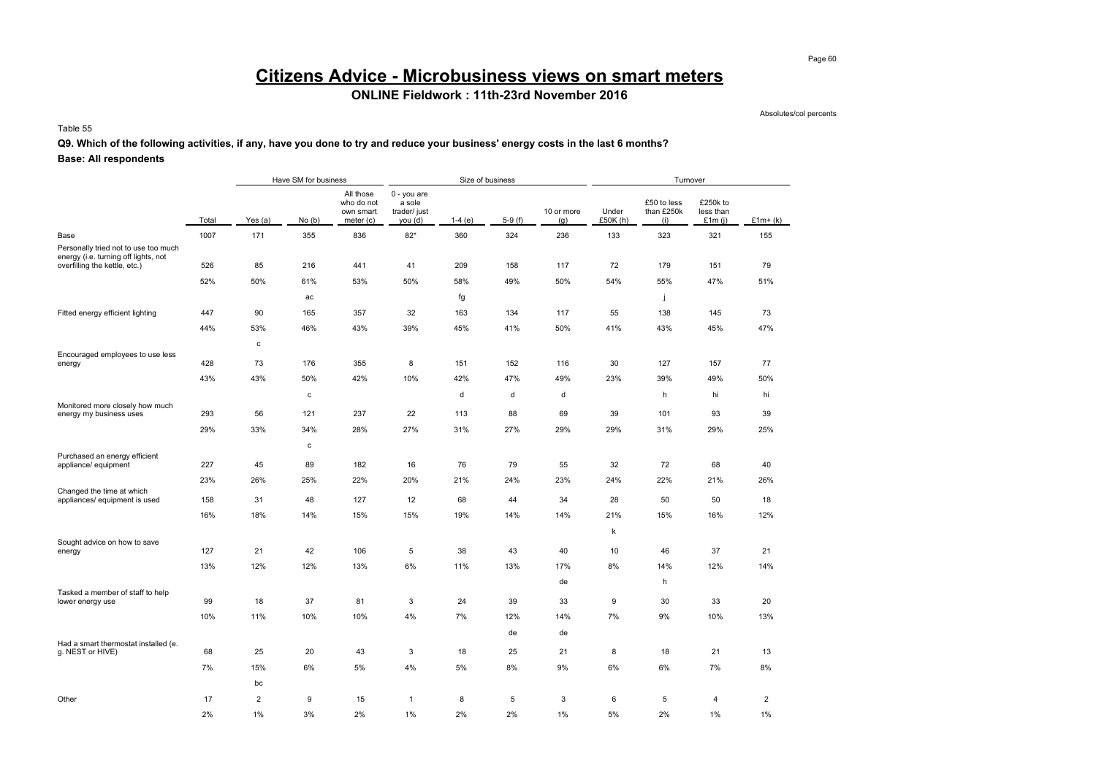# **Citizens Advice - Microbusiness views on smart meters**

## **ONLINE Fieldwork : 11th-23rd November 2016**

Absolutes/col percents

Table 55

### **Q9. Which of the following activities, if any, have you done to try and reduce your business' energy costs in the last 6 months?**

|                                                                              |       |                | Have SM for business |                                                   |                                                  | Size of business |          |                   |                   | Turnover                         |                                    |                |
|------------------------------------------------------------------------------|-------|----------------|----------------------|---------------------------------------------------|--------------------------------------------------|------------------|----------|-------------------|-------------------|----------------------------------|------------------------------------|----------------|
|                                                                              | Total | Yes $(a)$      | No(b)                | All those<br>who do not<br>own smart<br>meter (c) | 0 - you are<br>a sole<br>trader/ just<br>you (d) | $1-4(e)$         | $5-9(f)$ | 10 or more<br>(g) | Under<br>£50K (h) | £50 to less<br>than £250k<br>(i) | £250k to<br>less than<br>£1 $m(i)$ | $£1m+(k)$      |
| Base                                                                         | 1007  | 171            | 355                  | 836                                               | $82*$                                            | 360              | 324      | 236               | 133               | 323                              | 321                                | 155            |
| Personally tried not to use too much<br>energy (i.e. turning off lights, not | 526   | 85             | 216                  | 441                                               | 41                                               | 209              | 158      | 117               | 72                | 179                              | 151                                | 79             |
| overfilling the kettle, etc.)                                                |       |                |                      |                                                   |                                                  |                  |          |                   |                   |                                  |                                    |                |
|                                                                              | 52%   | 50%            | 61%                  | 53%                                               | 50%                                              | 58%              | 49%      | 50%               | 54%               | 55%                              | 47%                                | 51%            |
|                                                                              |       |                | ac                   |                                                   |                                                  | fg               |          |                   |                   | j                                |                                    |                |
| Fitted energy efficient lighting                                             | 447   | 90             | 165                  | 357                                               | 32                                               | 163              | 134      | 117               | 55                | 138                              | 145                                | 73             |
|                                                                              | 44%   | 53%            | 46%                  | 43%                                               | 39%                                              | 45%              | 41%      | 50%               | 41%               | 43%                              | 45%                                | 47%            |
|                                                                              |       | $\mathbf c$    |                      |                                                   |                                                  |                  |          |                   |                   |                                  |                                    |                |
| Encouraged employees to use less<br>energy                                   | 428   | 73             | 176                  | 355                                               | 8                                                | 151              | 152      | 116               | 30                | 127                              | 157                                | 77             |
|                                                                              | 43%   | 43%            | 50%                  | 42%                                               | 10%                                              | 42%              | 47%      | 49%               | 23%               | 39%                              | 49%                                | 50%            |
|                                                                              |       |                | с                    |                                                   |                                                  | d                | d        | d                 |                   | h                                | hi                                 | hi             |
| Monitored more closely how much<br>energy my business uses                   | 293   | 56             | 121                  | 237                                               | 22                                               | 113              | 88       | 69                | 39                | 101                              | 93                                 | 39             |
|                                                                              | 29%   | 33%            | 34%                  | 28%                                               | 27%                                              | 31%              | 27%      | 29%               | 29%               | 31%                              | 29%                                | 25%            |
|                                                                              |       |                | с                    |                                                   |                                                  |                  |          |                   |                   |                                  |                                    |                |
| Purchased an energy efficient                                                |       |                |                      |                                                   |                                                  |                  |          |                   |                   |                                  |                                    |                |
| appliance/ equipment                                                         | 227   | 45             | 89                   | 182                                               | 16                                               | 76               | 79       | 55                | 32                | 72                               | 68                                 | 40             |
| Changed the time at which                                                    | 23%   | 26%            | 25%                  | 22%                                               | 20%                                              | 21%              | 24%      | 23%               | 24%               | 22%                              | 21%                                | 26%            |
| appliances/ equipment is used                                                | 158   | 31             | 48                   | 127                                               | 12                                               | 68               | 44       | 34                | 28                | 50                               | 50                                 | 18             |
|                                                                              | 16%   | 18%            | 14%                  | 15%                                               | 15%                                              | 19%              | 14%      | 14%               | 21%               | 15%                              | 16%                                | 12%            |
|                                                                              |       |                |                      |                                                   |                                                  |                  |          |                   | k                 |                                  |                                    |                |
| Sought advice on how to save<br>energy                                       | 127   | 21             | 42                   | 106                                               | 5                                                | 38               | 43       | 40                | 10                | 46                               | 37                                 | 21             |
|                                                                              | 13%   | 12%            | 12%                  | 13%                                               | 6%                                               | 11%              | 13%      | 17%               | 8%                | 14%                              | 12%                                | 14%            |
|                                                                              |       |                |                      |                                                   |                                                  |                  |          | de                |                   | h                                |                                    |                |
| Tasked a member of staff to help                                             | 99    | 18             | 37                   | 81                                                | 3                                                | 24               | 39       | 33                | 9                 | 30                               | 33                                 | 20             |
| lower energy use                                                             |       |                |                      |                                                   |                                                  |                  |          |                   |                   |                                  |                                    |                |
|                                                                              | 10%   | 11%            | 10%                  | 10%                                               | 4%                                               | 7%               | 12%      | 14%               | 7%                | 9%                               | 10%                                | 13%            |
| Had a smart thermostat installed (e.                                         |       |                |                      |                                                   |                                                  |                  | de       | de                |                   |                                  |                                    |                |
| g. NEST or HIVE)                                                             | 68    | 25             | 20                   | 43                                                | 3                                                | 18               | 25       | 21                | 8                 | 18                               | 21                                 | 13             |
|                                                                              | 7%    | 15%            | 6%                   | 5%                                                | 4%                                               | 5%               | 8%       | 9%                | 6%                | 6%                               | 7%                                 | 8%             |
|                                                                              |       | bc             |                      |                                                   |                                                  |                  |          |                   |                   |                                  |                                    |                |
| Other                                                                        | 17    | $\overline{2}$ | 9                    | 15                                                | $\mathbf{1}$                                     | 8                | 5        | 3                 | 6                 | 5                                | 4                                  | $\overline{2}$ |
|                                                                              | 2%    | 1%             | 3%                   | 2%                                                | 1%                                               | 2%               | 2%       | 1%                | 5%                | 2%                               | 1%                                 | 1%             |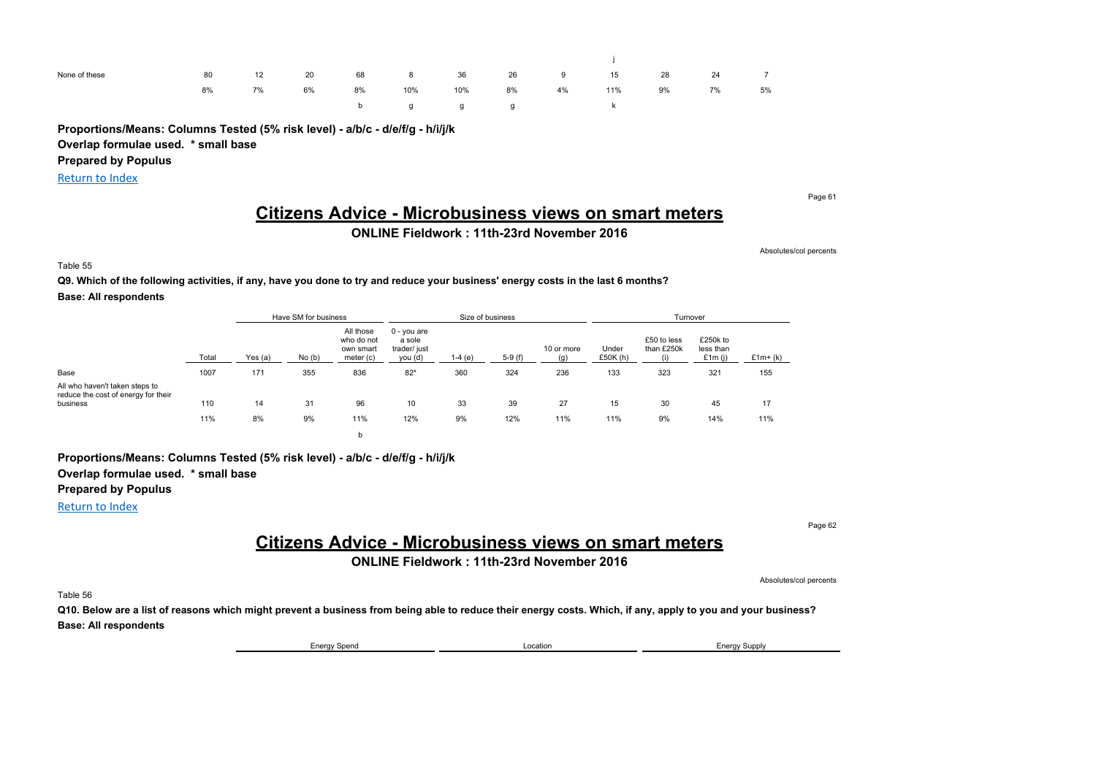| None of these | 80 | 12 | 20 | 68   | $8 -$ | 36                                                   | 26 | 9  | 15  | 28 | 24 | $\overline{7}$ |
|---------------|----|----|----|------|-------|------------------------------------------------------|----|----|-----|----|----|----------------|
|               | 8% | 7% | 6% | 8%   | 10%   | 10%                                                  | 8% | 4% | 11% | 9% | 7% | 5%             |
|               |    |    |    | b in |       | $\mathfrak{g}$ and $\mathfrak{g}$ and $\mathfrak{g}$ |    |    |     |    |    |                |

**Proportions/Means: Columns Tested (5% risk level) - a/b/c - d/e/f/g - h/i/j/k**

**Overlap formulae used. \* small base**

**Prepared by Populus**

Return to Index

Page 61

## **Citizens Advice - Microbusiness views on smart meters**

**ONLINE Fieldwork : 11th-23rd November 2016**

Absolutes/col percents

Table 55

### **Q9. Which of the following activities, if any, have you done to try and reduce your business' energy costs in the last 6 months? Base: All respondents**

|                                                                       |       |         | Have SM for business |                                                   |                                                    |          | Size of business |                   |                     | Turnover                  |                                 |           |
|-----------------------------------------------------------------------|-------|---------|----------------------|---------------------------------------------------|----------------------------------------------------|----------|------------------|-------------------|---------------------|---------------------------|---------------------------------|-----------|
|                                                                       | Total | Yes (a) | No(b)                | All those<br>who do not<br>own smart<br>meter (c) | $0 - you are$<br>a sole<br>trader/ just<br>you (d) | $1-4(e)$ | $5-9(f)$         | 10 or more<br>(q) | Under<br>£50 $K(h)$ | £50 to less<br>than £250k | £250k to<br>less than<br>£1m(i) | $£1m+(k)$ |
| Base                                                                  | 1007  | 171     | 355                  | 836                                               | $82*$                                              | 360      | 324              | 236               | 133                 | 323                       | 321                             | 155       |
| All who haven't taken steps to<br>reduce the cost of energy for their |       |         |                      |                                                   |                                                    |          |                  |                   |                     |                           |                                 |           |
| business                                                              | 110   | 14      | 31                   | 96                                                | 10                                                 | 33       | 39               | 27                | 15                  | 30                        | 45                              | 17        |
|                                                                       | 11%   | 8%      | 9%                   | 11%                                               | 12%                                                | 9%       | 12%              | 11%               | 11%                 | 9%                        | 14%                             | 11%       |
|                                                                       |       |         |                      |                                                   |                                                    |          |                  |                   |                     |                           |                                 |           |

### **Proportions/Means: Columns Tested (5% risk level) - a/b/c - d/e/f/g - h/i/j/k Overlap formulae used. \* small base Prepared by Populus**

Return to Index

Page 62

Absolutes/col percents

## **Citizens Advice - Microbusiness views on smart meters**

**ONLINE Fieldwork : 11th-23rd November 2016**

Table 56

**Q10. Below are a list of reasons which might prevent a business from being able to reduce their energy costs. Which, if any, apply to you and your business? Base: All respondents**

Energy Spend **Energy Supply Energy Supply Energy Supply Energy Supply**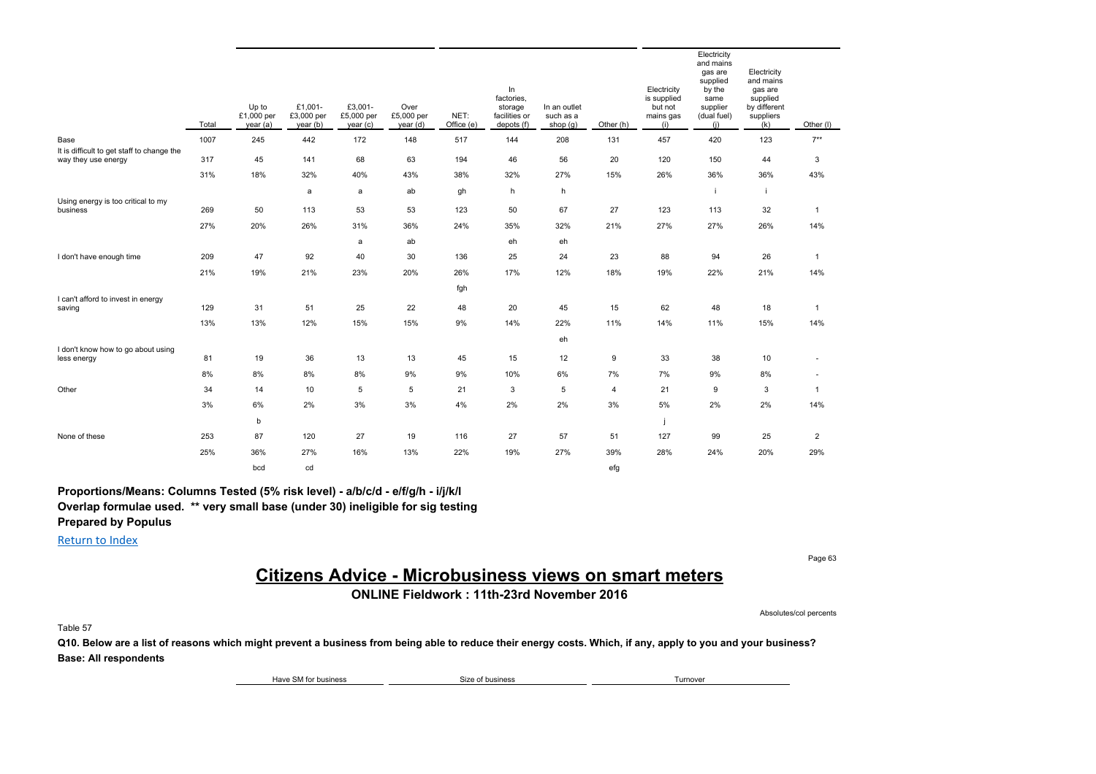|                                                   | Total | Up to<br>£1,000 per<br>year (a) | £1,001-<br>£3,000 per<br>year(b) | £3,001-<br>£5,000 per<br>year(c) | Over<br>£5,000 per<br>year (d) | NET:<br>Office (e) | In<br>factories,<br>storage<br>facilities or<br>depots (f) | In an outlet<br>such as a<br>shop $(g)$ | Other (h)        | Electricity<br>is supplied<br>but not<br>mains gas<br>(i) | Electricity<br>and mains<br>gas are<br>supplied<br>by the<br>same<br>supplier<br>(dual fuel)<br>(i) | Electricity<br>and mains<br>gas are<br>supplied<br>by different<br>suppliers<br>(k) | Other (I)      |
|---------------------------------------------------|-------|---------------------------------|----------------------------------|----------------------------------|--------------------------------|--------------------|------------------------------------------------------------|-----------------------------------------|------------------|-----------------------------------------------------------|-----------------------------------------------------------------------------------------------------|-------------------------------------------------------------------------------------|----------------|
| Base                                              | 1007  | 245                             | 442                              | 172                              | 148                            | 517                | 144                                                        | 208                                     | 131              | 457                                                       | 420                                                                                                 | 123                                                                                 | $7**$          |
| It is difficult to get staff to change the        |       |                                 |                                  |                                  |                                |                    |                                                            |                                         |                  |                                                           |                                                                                                     |                                                                                     |                |
| way they use energy                               | 317   | 45                              | 141                              | 68                               | 63                             | 194                | 46                                                         | 56                                      | 20               | 120                                                       | 150                                                                                                 | 44                                                                                  | 3              |
|                                                   | 31%   | 18%                             | 32%                              | 40%                              | 43%                            | 38%                | 32%                                                        | 27%                                     | 15%              | 26%                                                       | 36%                                                                                                 | 36%                                                                                 | 43%            |
|                                                   |       |                                 | a                                | a                                | ab                             | gh                 | h                                                          | h                                       |                  |                                                           | j.                                                                                                  | j.                                                                                  |                |
| Using energy is too critical to my<br>business    | 269   | 50                              | 113                              | 53                               | 53                             | 123                | 50                                                         | 67                                      | 27               | 123                                                       | 113                                                                                                 | 32                                                                                  | $\overline{1}$ |
|                                                   | 27%   | 20%                             | 26%                              | 31%                              | 36%                            | 24%                | 35%                                                        | 32%                                     | 21%              | 27%                                                       | 27%                                                                                                 | 26%                                                                                 | 14%            |
|                                                   |       |                                 |                                  | a                                | ab                             |                    | eh                                                         | eh                                      |                  |                                                           |                                                                                                     |                                                                                     |                |
| I don't have enough time                          | 209   | 47                              | 92                               | 40                               | 30                             | 136                | 25                                                         | 24                                      | 23               | 88                                                        | 94                                                                                                  | 26                                                                                  | $\overline{1}$ |
|                                                   | 21%   | 19%                             | 21%                              | 23%                              | 20%                            | 26%                | 17%                                                        | 12%                                     | 18%              | 19%                                                       | 22%                                                                                                 | 21%                                                                                 | 14%            |
|                                                   |       |                                 |                                  |                                  |                                | fgh                |                                                            |                                         |                  |                                                           |                                                                                                     |                                                                                     |                |
| I can't afford to invest in energy                |       |                                 |                                  |                                  |                                |                    |                                                            |                                         |                  |                                                           |                                                                                                     |                                                                                     |                |
| saving                                            | 129   | 31                              | 51                               | 25                               | 22                             | 48                 | 20                                                         | 45                                      | 15               | 62                                                        | 48                                                                                                  | 18                                                                                  | $\overline{1}$ |
|                                                   | 13%   | 13%                             | 12%                              | 15%                              | 15%                            | 9%                 | 14%                                                        | 22%                                     | 11%              | 14%                                                       | 11%                                                                                                 | 15%                                                                                 | 14%            |
|                                                   |       |                                 |                                  |                                  |                                |                    |                                                            | eh                                      |                  |                                                           |                                                                                                     |                                                                                     |                |
| I don't know how to go about using<br>less energy | 81    | 19                              | 36                               | 13                               | 13                             | 45                 | 15                                                         | 12                                      | $\boldsymbol{9}$ | 33                                                        | 38                                                                                                  | 10                                                                                  | $\blacksquare$ |
|                                                   | 8%    | 8%                              | 8%                               | 8%                               | 9%                             | 9%                 | 10%                                                        | 6%                                      | 7%               | 7%                                                        | 9%                                                                                                  | 8%                                                                                  | $\blacksquare$ |
| Other                                             | 34    | 14                              | 10                               | 5                                | 5                              | 21                 | 3                                                          | 5                                       | $\overline{4}$   | 21                                                        | 9                                                                                                   | 3                                                                                   | $\overline{1}$ |
|                                                   | 3%    | 6%                              | 2%                               | 3%                               | 3%                             | 4%                 | 2%                                                         | 2%                                      | 3%               | 5%                                                        | 2%                                                                                                  | 2%                                                                                  | 14%            |
|                                                   |       | b                               |                                  |                                  |                                |                    |                                                            |                                         |                  |                                                           |                                                                                                     |                                                                                     |                |
| None of these                                     | 253   | 87                              | 120                              | 27                               | 19                             | 116                | 27                                                         | 57                                      | 51               | 127                                                       | 99                                                                                                  | 25                                                                                  | $\overline{2}$ |
|                                                   | 25%   | 36%                             | 27%                              | 16%                              | 13%                            | 22%                | 19%                                                        | 27%                                     | 39%              | 28%                                                       | 24%                                                                                                 | 20%                                                                                 | 29%            |
|                                                   |       | bcd                             | cd                               |                                  |                                |                    |                                                            |                                         | efg              |                                                           |                                                                                                     |                                                                                     |                |

**Proportions/Means: Columns Tested (5% risk level) - a/b/c/d - e/f/g/h - i/j/k/l Overlap formulae used. \*\* very small base (under 30) ineligible for sig testing Prepared by Populus**

Return to Index

Page 63

## **Citizens Advice - Microbusiness views on smart meters**

**ONLINE Fieldwork : 11th-23rd November 2016**

Absolutes/col percents

Table 57

**Q10. Below are a list of reasons which might prevent a business from being able to reduce their energy costs. Which, if any, apply to you and your business? Base: All respondents**

Have SM for business Turnover Size of business Size of business Turnover Turnover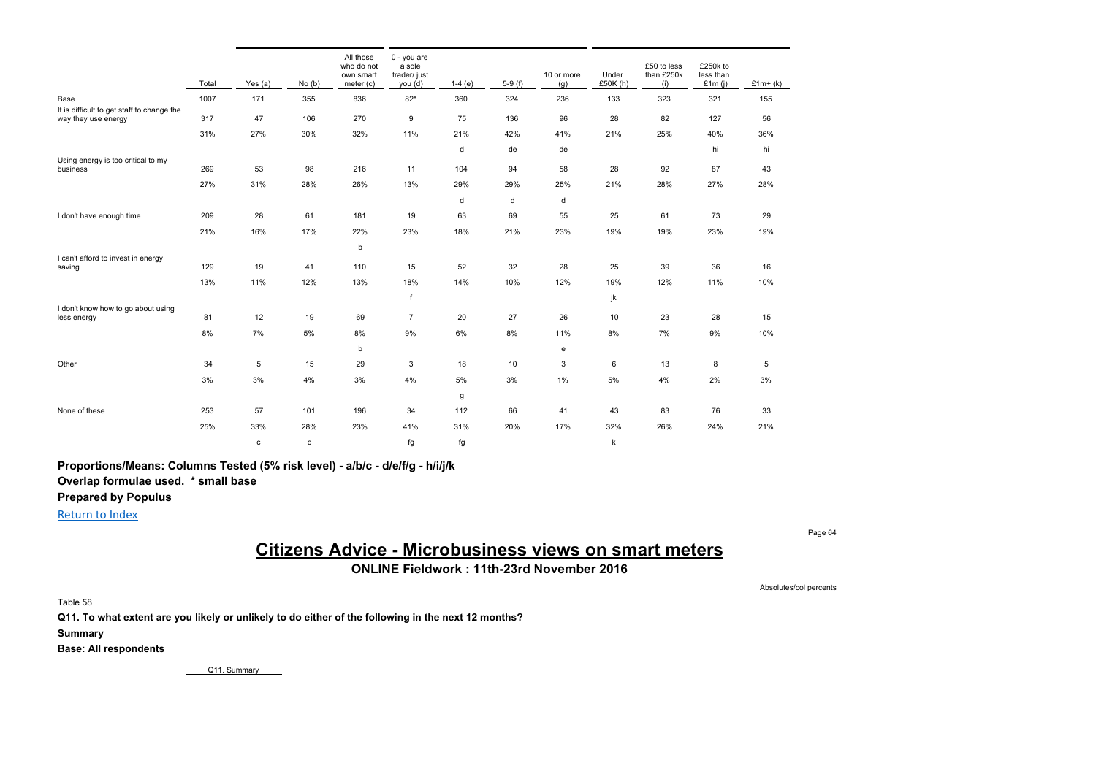|                                                    | Total | Yes (a) | No(b)       | All those<br>who do not<br>own smart<br>meter (c) | 0 - you are<br>a sole<br>trader/ just<br>you (d) | $1-4(e)$ | $5-9(f)$ | 10 or more<br>(g) | Under<br>£50K(h) | £50 to less<br>than £250k<br>(i) | £250k to<br>less than<br>£1 $m(j)$ | $£1m+(k)$ |
|----------------------------------------------------|-------|---------|-------------|---------------------------------------------------|--------------------------------------------------|----------|----------|-------------------|------------------|----------------------------------|------------------------------------|-----------|
| Base<br>It is difficult to get staff to change the | 1007  | 171     | 355         | 836                                               | $82*$                                            | 360      | 324      | 236               | 133              | 323                              | 321                                | 155       |
| way they use energy                                | 317   | 47      | 106         | 270                                               | 9                                                | 75       | 136      | 96                | 28               | 82                               | 127                                | 56        |
|                                                    | 31%   | 27%     | 30%         | 32%                                               | 11%                                              | 21%      | 42%      | 41%               | 21%              | 25%                              | 40%                                | 36%       |
|                                                    |       |         |             |                                                   |                                                  | d        | de       | de                |                  |                                  | hi                                 | hi        |
| Using energy is too critical to my<br>business     | 269   | 53      | 98          | 216                                               | 11                                               | 104      | 94       | 58                | 28               | 92                               | 87                                 | 43        |
|                                                    | 27%   | 31%     | 28%         | 26%                                               | 13%                                              | 29%      | 29%      | 25%               | 21%              | 28%                              | 27%                                | 28%       |
|                                                    |       |         |             |                                                   |                                                  | d        | d        | d                 |                  |                                  |                                    |           |
| I don't have enough time                           | 209   | 28      | 61          | 181                                               | 19                                               | 63       | 69       | 55                | 25               | 61                               | 73                                 | 29        |
|                                                    | 21%   | 16%     | 17%         | 22%                                               | 23%                                              | 18%      | 21%      | 23%               | 19%              | 19%                              | 23%                                | 19%       |
|                                                    |       |         |             | b                                                 |                                                  |          |          |                   |                  |                                  |                                    |           |
| I can't afford to invest in energy<br>saving       | 129   | 19      | 41          | 110                                               | 15                                               | 52       | 32       | 28                | 25               | 39                               | 36                                 | 16        |
|                                                    | 13%   | 11%     | 12%         | 13%                                               | 18%                                              | 14%      | 10%      | 12%               | 19%              | 12%                              | 11%                                | 10%       |
|                                                    |       |         |             |                                                   | $\mathsf{f}$                                     |          |          |                   | jk               |                                  |                                    |           |
| I don't know how to go about using<br>less energy  | 81    | 12      | 19          | 69                                                | $\overline{7}$                                   | 20       | 27       | 26                | 10               | 23                               | 28                                 | 15        |
|                                                    | 8%    | 7%      | $5\%$       | 8%                                                | 9%                                               | 6%       | 8%       | 11%               | 8%               | 7%                               | 9%                                 | 10%       |
|                                                    |       |         |             | b                                                 |                                                  |          |          | е                 |                  |                                  |                                    |           |
| Other                                              | 34    | 5       | 15          | 29                                                | 3                                                | 18       | 10       | 3                 | 6                | 13                               | 8                                  | 5         |
|                                                    | 3%    | 3%      | 4%          | 3%                                                | 4%                                               | 5%       | 3%       | 1%                | 5%               | 4%                               | 2%                                 | 3%        |
|                                                    |       |         |             |                                                   |                                                  | g        |          |                   |                  |                                  |                                    |           |
| None of these                                      | 253   | 57      | 101         | 196                                               | 34                                               | 112      | 66       | 41                | 43               | 83                               | 76                                 | 33        |
|                                                    | 25%   | 33%     | 28%         | 23%                                               | 41%                                              | 31%      | 20%      | 17%               | 32%              | 26%                              | 24%                                | 21%       |
|                                                    |       | c       | $\mathbf c$ |                                                   | fg                                               | fg       |          |                   | k                |                                  |                                    |           |

**Proportions/Means: Columns Tested (5% risk level) - a/b/c - d/e/f/g - h/i/j/k Overlap formulae used. \* small base**

**Prepared by Populus**

Return to Index

## **Citizens Advice - Microbusiness views on smart meters**

**ONLINE Fieldwork : 11th-23rd November 2016**

Absolutes/col percents

Page 64

Table 58

**Q11. To what extent are you likely or unlikely to do either of the following in the next 12 months?**

**Summary**

**Base: All respondents**

Q11. Summary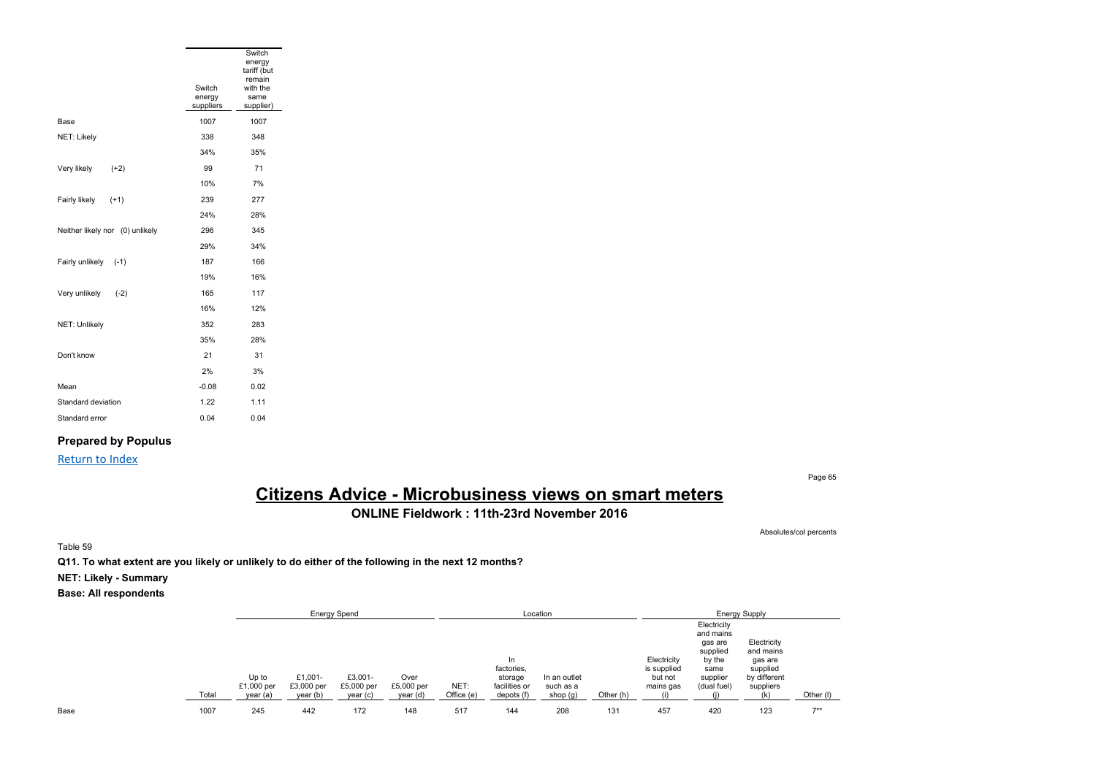|                                 |                               | Switch<br>energy<br>tariff (but<br>remain |
|---------------------------------|-------------------------------|-------------------------------------------|
|                                 | Switch<br>energy<br>suppliers | with the<br>same<br>supplier)             |
| Base                            | 1007                          | 1007                                      |
| NET: Likely                     | 338                           | 348                                       |
|                                 | 34%                           | 35%                                       |
| Very likely<br>$(+2)$           | 99                            | 71                                        |
|                                 | 10%                           | 7%                                        |
| Fairly likely<br>$(+1)$         | 239                           | 277                                       |
|                                 | 24%                           | 28%                                       |
| Neither likely nor (0) unlikely | 296                           | 345                                       |
|                                 | 29%                           | 34%                                       |
| Fairly unlikely<br>$(-1)$       | 187                           | 166                                       |
|                                 | 19%                           | 16%                                       |
| Very unlikely<br>$(-2)$         | 165                           | 117                                       |
|                                 | 16%                           | 12%                                       |
| NET: Unlikely                   | 352                           | 283                                       |
|                                 | 35%                           | 28%                                       |
| Don't know                      | 21                            | 31                                        |
|                                 | 2%                            | 3%                                        |
| Mean                            | $-0.08$                       | 0.02                                      |
| Standard deviation              | 1.22                          | 1.11                                      |
| Standard error                  | 0.04                          | 0.04                                      |

### **Prepared by Populus**

### Return to Index

Page 65

# **Citizens Advice - Microbusiness views on smart meters**

**ONLINE Fieldwork : 11th-23rd November 2016**

Absolutes/col percents

Table 59

**Q11. To what extent are you likely or unlikely to do either of the following in the next 12 months?**

**NET: Likely - Summary**

|      |       |                                 |                                   | <b>Energy Spend</b>              |                                |                    |                                                             | Location                              |           |                                                    | <b>Energy Supply</b>                                                                         |                                                                              |           |  |
|------|-------|---------------------------------|-----------------------------------|----------------------------------|--------------------------------|--------------------|-------------------------------------------------------------|---------------------------------------|-----------|----------------------------------------------------|----------------------------------------------------------------------------------------------|------------------------------------------------------------------------------|-----------|--|
|      | Total | Up to<br>£1,000 per<br>year (a) | £1.001-<br>£3,000 per<br>year (b) | £3,001-<br>£5,000 per<br>year(c) | Over<br>£5,000 per<br>year (d) | NET:<br>Office (e) | In.<br>factories,<br>storage<br>facilities or<br>depots (f) | In an outlet<br>such as a<br>shop (g) | Other (h) | Electricity<br>is supplied<br>but not<br>mains gas | Electricity<br>and mains<br>gas are<br>supplied<br>by the<br>same<br>supplier<br>(dual fuel) | Electricity<br>and mains<br>gas are<br>supplied<br>by different<br>suppliers | Other (I) |  |
| Base | 1007  | 245                             | 442                               | 172                              | 148                            | 517                | 144                                                         | 208                                   | 131       | 457                                                | 420                                                                                          | 123                                                                          | $7**$     |  |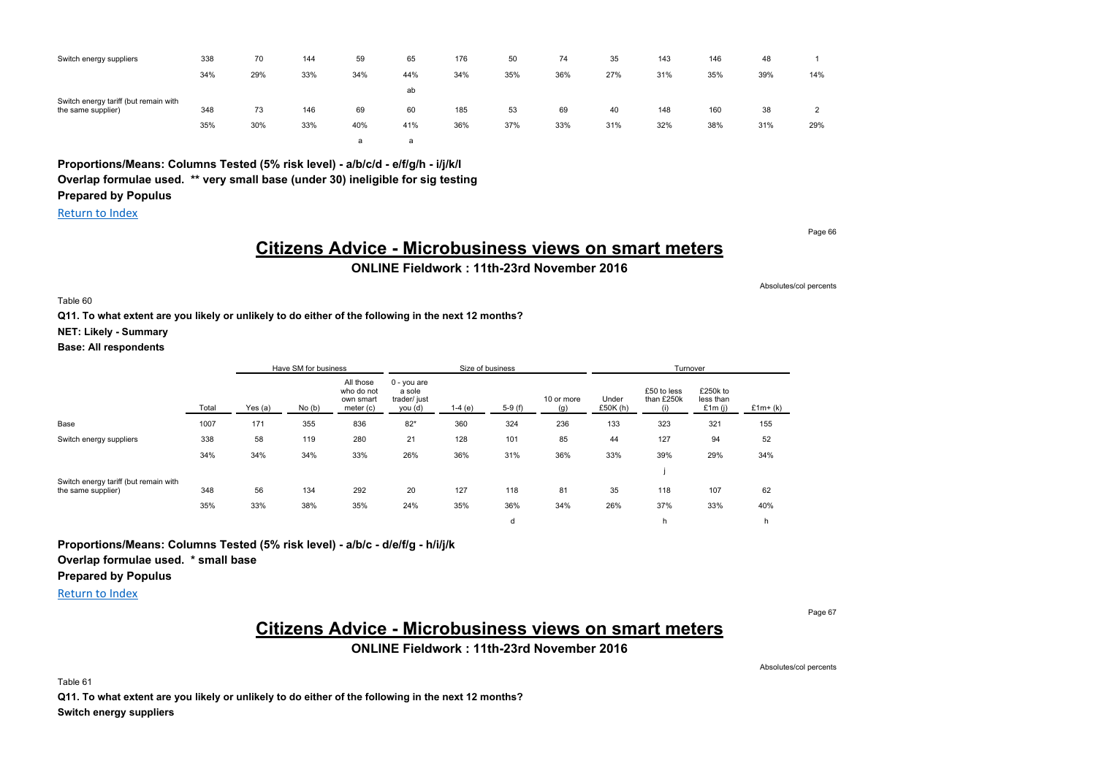| Switch energy suppliers                                     | 338 | 70  | 144 | 59  | 65  | 176 | 50  | 74  | 35  | 143 | 146 | 48  |     |
|-------------------------------------------------------------|-----|-----|-----|-----|-----|-----|-----|-----|-----|-----|-----|-----|-----|
|                                                             | 34% | 29% | 33% | 34% | 44% | 34% | 35% | 36% | 27% | 31% | 35% | 39% | 14% |
|                                                             |     |     |     |     | ab  |     |     |     |     |     |     |     |     |
| Switch energy tariff (but remain with<br>the same supplier) | 348 | 73  | 146 | 69  | 60  | 185 | 53  | 69  | 40  | 148 | 160 | 38  |     |
|                                                             | 35% | 30% | 33% | 40% | 41% | 36% | 37% | 33% | 31% | 32% | 38% | 31% | 29% |
|                                                             |     |     |     | a   | đ   |     |     |     |     |     |     |     |     |

**Proportions/Means: Columns Tested (5% risk level) - a/b/c/d - e/f/g/h - i/j/k/l Overlap formulae used. \*\* very small base (under 30) ineligible for sig testing Prepared by Populus**

Return to Index

Page 66

### **Citizens Advice - Microbusiness views on smart meters ONLINE Fieldwork : 11th-23rd November 2016**

Absolutes/col percents

Table 60

**Q11. To what extent are you likely or unlikely to do either of the following in the next 12 months?**

**NET: Likely - Summary**

**Base: All respondents**

|                                                             |       |         | Have SM for business | Size of business                                  |                                                    |          |          |                   |                   | Turnover                         |                                 |            |
|-------------------------------------------------------------|-------|---------|----------------------|---------------------------------------------------|----------------------------------------------------|----------|----------|-------------------|-------------------|----------------------------------|---------------------------------|------------|
|                                                             | Total | Yes (a) | No(b)                | All those<br>who do not<br>own smart<br>meter (c) | $0 - you$ are<br>a sole<br>trader/ just<br>you (d) | $1-4(e)$ | $5-9(f)$ | 10 or more<br>(a) | Under<br>£50K (h) | £50 to less<br>than £250k<br>(1) | £250k to<br>less than<br>£1m(i) | $£1m+ (k)$ |
| Base                                                        | 1007  | 171     | 355                  | 836                                               | $82*$                                              | 360      | 324      | 236               | 133               | 323                              | 321                             | 155        |
| Switch energy suppliers                                     | 338   | 58      | 119                  | 280                                               | 21                                                 | 128      | 101      | 85                | 44                | 127                              | 94                              | 52         |
|                                                             | 34%   | 34%     | 34%                  | 33%                                               | 26%                                                | 36%      | 31%      | 36%               | 33%               | 39%                              | 29%                             | 34%        |
|                                                             |       |         |                      |                                                   |                                                    |          |          |                   |                   |                                  |                                 |            |
| Switch energy tariff (but remain with<br>the same supplier) | 348   | 56      | 134                  | 292                                               | 20                                                 | 127      | 118      | 81                | 35                | 118                              | 107                             | 62         |
|                                                             | 35%   | 33%     | 38%                  | 35%                                               | 24%                                                | 35%      | 36%      | 34%               | 26%               | 37%                              | 33%                             | 40%        |
|                                                             |       |         |                      |                                                   |                                                    |          | d        |                   |                   | h                                |                                 | h          |

**Proportions/Means: Columns Tested (5% risk level) - a/b/c - d/e/f/g - h/i/j/k**

**Overlap formulae used. \* small base**

**Prepared by Populus**

Return to Index

Page 67

# **Citizens Advice - Microbusiness views on smart meters**

**ONLINE Fieldwork : 11th-23rd November 2016**

Absolutes/col percents

Table 61

**Q11. To what extent are you likely or unlikely to do either of the following in the next 12 months? Switch energy suppliers**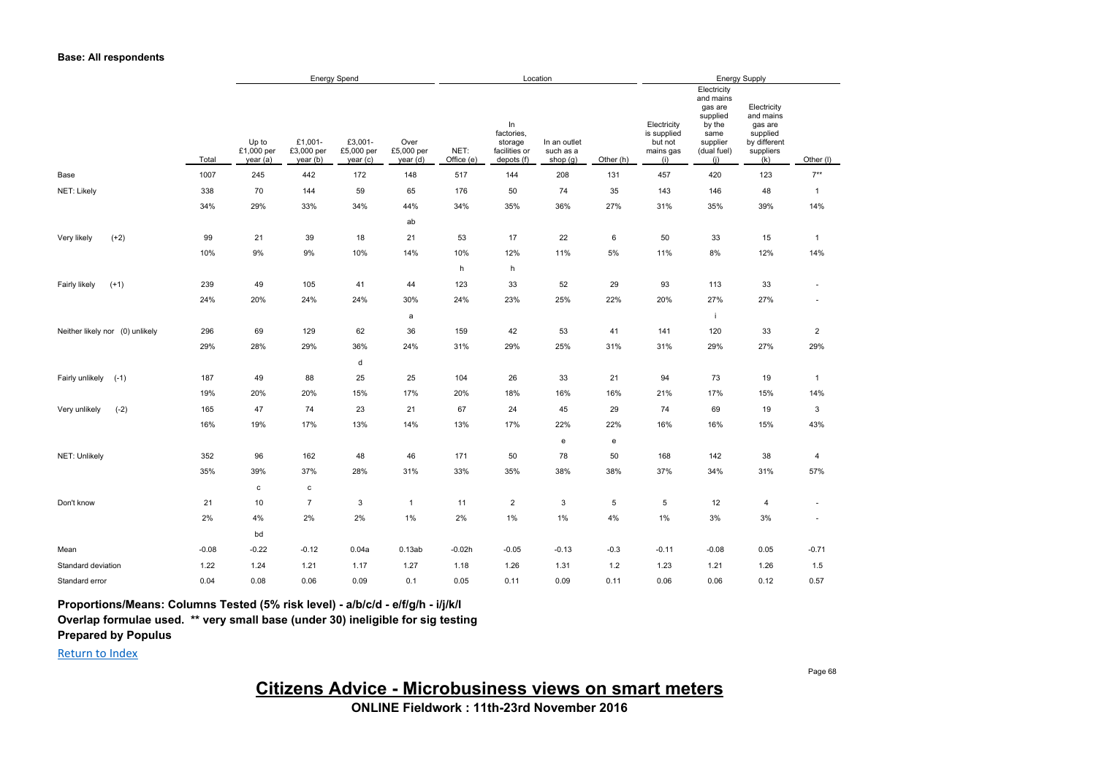#### **Base: All respondents**

|                                 |         | <b>Energy Spend</b>             |                                   |                                  |                                |                    | Location                                                   |                                       |                                   |                                                           | <b>Energy Supply</b>                                                                                |                                                                                     |                          |
|---------------------------------|---------|---------------------------------|-----------------------------------|----------------------------------|--------------------------------|--------------------|------------------------------------------------------------|---------------------------------------|-----------------------------------|-----------------------------------------------------------|-----------------------------------------------------------------------------------------------------|-------------------------------------------------------------------------------------|--------------------------|
|                                 | Total   | Up to<br>£1,000 per<br>year (a) | £1,001-<br>£3,000 per<br>year (b) | £3,001-<br>£5,000 per<br>year(c) | Over<br>£5,000 per<br>year (d) | NET:<br>Office (e) | In<br>factories.<br>storage<br>facilities or<br>depots (f) | In an outlet<br>such as a<br>shop (g) | Other (h)                         | Electricity<br>is supplied<br>but not<br>mains gas<br>(i) | Electricity<br>and mains<br>gas are<br>supplied<br>by the<br>same<br>supplier<br>(dual fuel)<br>(i) | Electricity<br>and mains<br>gas are<br>supplied<br>by different<br>suppliers<br>(k) | Other (I)                |
| Base                            | 1007    | 245                             | 442                               | 172                              | 148                            | 517                | 144                                                        | 208                                   | 131                               | 457                                                       | 420                                                                                                 | 123                                                                                 | $7**$                    |
| NET: Likely                     | 338     | 70                              | 144                               | 59                               | 65                             | 176                | 50                                                         | 74                                    | 35                                | 143                                                       | 146                                                                                                 | 48                                                                                  | $\mathbf{1}$             |
|                                 | 34%     | 29%                             | 33%                               | 34%                              | 44%                            | 34%                | 35%                                                        | 36%                                   | 27%                               | 31%                                                       | 35%                                                                                                 | 39%                                                                                 | 14%                      |
|                                 |         |                                 |                                   |                                  | ab                             |                    |                                                            |                                       |                                   |                                                           |                                                                                                     |                                                                                     |                          |
| Very likely<br>$(+2)$           | 99      | 21                              | 39                                | 18                               | 21                             | 53                 | 17                                                         | 22                                    | 6                                 | 50                                                        | 33                                                                                                  | 15                                                                                  | $\mathbf{1}$             |
|                                 | 10%     | 9%                              | 9%                                | 10%                              | 14%                            | 10%                | 12%                                                        | 11%                                   | 5%                                | 11%                                                       | 8%                                                                                                  | 12%                                                                                 | 14%                      |
|                                 |         |                                 |                                   |                                  |                                | h                  | h                                                          |                                       |                                   |                                                           |                                                                                                     |                                                                                     |                          |
| $(+1)$<br>Fairly likely         | 239     | 49                              | 105                               | 41                               | 44                             | 123                | 33                                                         | 52                                    | 29                                | 93                                                        | 113                                                                                                 | 33                                                                                  | $\sim$                   |
|                                 | 24%     | 20%                             | 24%                               | 24%                              | 30%                            | 24%                | 23%                                                        | 25%                                   | 22%                               | 20%                                                       | 27%                                                                                                 | 27%                                                                                 | ٠                        |
|                                 |         |                                 |                                   |                                  | a                              |                    |                                                            |                                       |                                   |                                                           | -i                                                                                                  |                                                                                     |                          |
| Neither likely nor (0) unlikely | 296     | 69                              | 129                               | 62                               | 36                             | 159                | 42                                                         | 53                                    | 41                                | 141                                                       | 120                                                                                                 | 33                                                                                  | $\overline{2}$           |
|                                 | 29%     | 28%                             | 29%                               | 36%                              | 24%                            | 31%                | 29%                                                        | 25%                                   | 31%                               | 31%                                                       | 29%                                                                                                 | 27%                                                                                 | 29%                      |
|                                 |         |                                 |                                   | d                                |                                |                    |                                                            |                                       |                                   |                                                           |                                                                                                     |                                                                                     |                          |
| Fairly unlikely<br>$(-1)$       | 187     | 49                              | 88                                | 25                               | 25                             | 104                | 26                                                         | 33                                    | 21                                | 94                                                        | 73                                                                                                  | 19                                                                                  | $\mathbf{1}$             |
|                                 | 19%     | 20%                             | 20%                               | 15%                              | 17%                            | 20%                | 18%                                                        | 16%                                   | 16%                               | 21%                                                       | 17%                                                                                                 | 15%                                                                                 | 14%                      |
| $(-2)$<br>Very unlikely         | 165     | 47                              | 74                                | 23                               | 21                             | 67                 | 24                                                         | 45                                    | 29                                | 74                                                        | 69                                                                                                  | 19                                                                                  | 3                        |
|                                 | 16%     | 19%                             | 17%                               | 13%                              | 14%                            | 13%                | 17%                                                        | 22%                                   | 22%                               | 16%                                                       | 16%                                                                                                 | 15%                                                                                 | 43%                      |
|                                 |         |                                 |                                   |                                  |                                |                    |                                                            | e                                     | $\mathbf{e}% _{t}\left( t\right)$ |                                                           |                                                                                                     |                                                                                     |                          |
| NET: Unlikely                   | 352     | 96                              | 162                               | 48                               | 46                             | 171                | 50                                                         | 78                                    | 50                                | 168                                                       | 142                                                                                                 | 38                                                                                  | 4                        |
|                                 | 35%     | 39%                             | 37%                               | 28%                              | 31%                            | 33%                | 35%                                                        | 38%                                   | 38%                               | 37%                                                       | 34%                                                                                                 | 31%                                                                                 | 57%                      |
|                                 |         | $\mathtt{c}$                    | $\mathtt{C}$                      |                                  |                                |                    |                                                            |                                       |                                   |                                                           |                                                                                                     |                                                                                     |                          |
| Don't know                      | 21      | 10                              | $\overline{7}$                    | 3                                | $\mathbf{1}$                   | 11                 | $\overline{2}$                                             | 3                                     | 5                                 | 5                                                         | 12                                                                                                  | 4                                                                                   | $\overline{\phantom{a}}$ |
|                                 | 2%      | 4%                              | 2%                                | 2%                               | 1%                             | 2%                 | 1%                                                         | 1%                                    | 4%                                | $1\%$                                                     | 3%                                                                                                  | 3%                                                                                  |                          |
|                                 |         | bd                              |                                   |                                  |                                |                    |                                                            |                                       |                                   |                                                           |                                                                                                     |                                                                                     |                          |
| Mean                            | $-0.08$ | $-0.22$                         | $-0.12$                           | 0.04a                            | 0.13ab                         | $-0.02h$           | $-0.05$                                                    | $-0.13$                               | $-0.3$                            | $-0.11$                                                   | $-0.08$                                                                                             | 0.05                                                                                | $-0.71$                  |
| Standard deviation              | 1.22    | 1.24                            | 1.21                              | 1.17                             | 1.27                           | 1.18               | 1.26                                                       | 1.31                                  | 1.2                               | 1.23                                                      | 1.21                                                                                                | 1.26                                                                                | 1.5                      |
| Standard error                  | 0.04    | 0.08                            | 0.06                              | 0.09                             | 0.1                            | 0.05               | 0.11                                                       | 0.09                                  | 0.11                              | 0.06                                                      | 0.06                                                                                                | 0.12                                                                                | 0.57                     |

**Proportions/Means: Columns Tested (5% risk level) - a/b/c/d - e/f/g/h - i/j/k/l**

**Overlap formulae used. \*\* very small base (under 30) ineligible for sig testing**

**Prepared by Populus**

Return to Index

**Citizens Advice - Microbusiness views on smart meters**

**ONLINE Fieldwork : 11th-23rd November 2016**

Page 68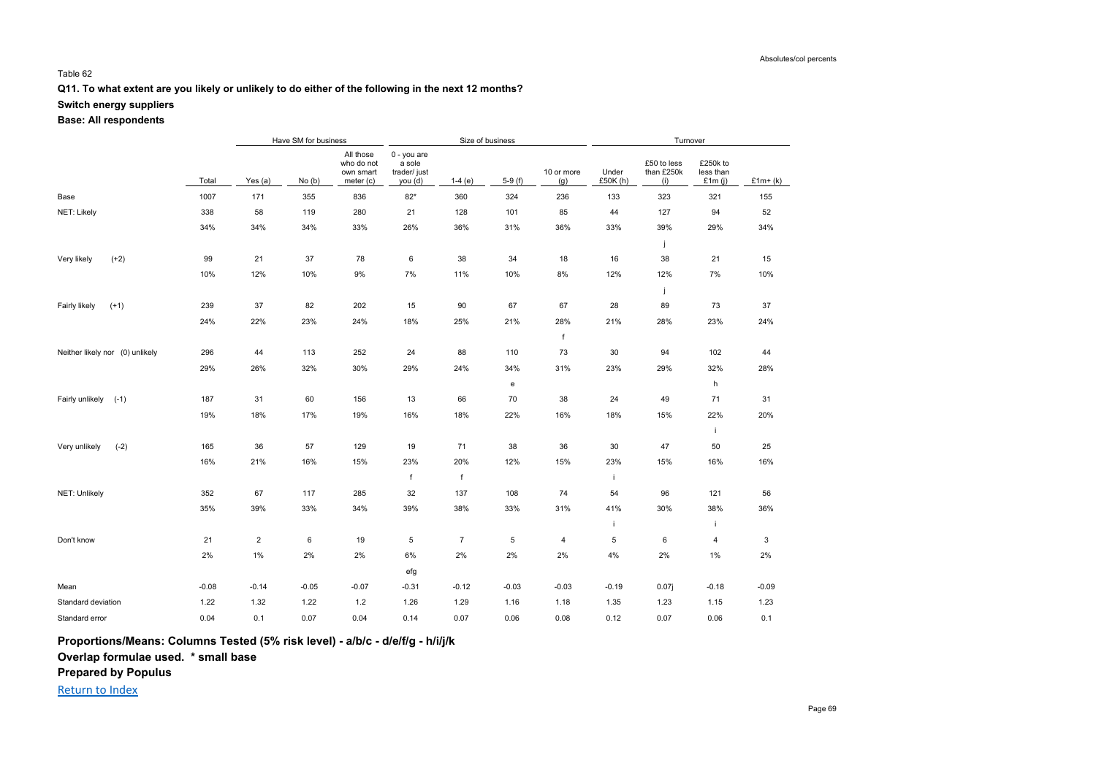#### Table 62

#### **Q11. To what extent are you likely or unlikely to do either of the following in the next 12 months?**

#### **Switch energy suppliers**

#### **Base: All respondents**

|                                 |         |                | Have SM for business |                                                   |                                                 |                | Size of business |                   |                  | Turnover                         |                                    |           |
|---------------------------------|---------|----------------|----------------------|---------------------------------------------------|-------------------------------------------------|----------------|------------------|-------------------|------------------|----------------------------------|------------------------------------|-----------|
|                                 | Total   | Yes (a)        | No(b)                | All those<br>who do not<br>own smart<br>meter (c) | 0 - you are<br>a sole<br>trader/just<br>you (d) | $1-4(e)$       | $5-9(f)$         | 10 or more<br>(g) | Under<br>£50K(h) | £50 to less<br>than £250k<br>(i) | £250k to<br>less than<br>£1 $m(i)$ | $£1m+(k)$ |
| Base                            | 1007    | 171            | 355                  | 836                                               | $82*$                                           | 360            | 324              | 236               | 133              | 323                              | 321                                | 155       |
| NET: Likely                     | 338     | 58             | 119                  | 280                                               | 21                                              | 128            | 101              | 85                | 44               | 127                              | 94                                 | 52        |
|                                 | 34%     | 34%            | 34%                  | 33%                                               | 26%                                             | 36%            | 31%              | 36%               | 33%              | 39%                              | 29%                                | 34%       |
|                                 |         |                |                      |                                                   |                                                 |                |                  |                   |                  | j                                |                                    |           |
| Very likely<br>$(+2)$           | 99      | 21             | 37                   | 78                                                | 6                                               | 38             | 34               | 18                | 16               | 38                               | 21                                 | 15        |
|                                 | 10%     | 12%            | 10%                  | $9\%$                                             | 7%                                              | 11%            | 10%              | $8\%$             | 12%              | 12%                              | $7\%$                              | 10%       |
|                                 |         |                |                      |                                                   |                                                 |                |                  |                   |                  | j                                |                                    |           |
| Fairly likely<br>$(+1)$         | 239     | 37             | 82                   | 202                                               | 15                                              | 90             | 67               | 67                | 28               | 89                               | 73                                 | 37        |
|                                 | 24%     | 22%            | 23%                  | 24%                                               | 18%                                             | 25%            | 21%              | 28%               | 21%              | 28%                              | 23%                                | 24%       |
|                                 |         |                |                      |                                                   |                                                 |                |                  | f                 |                  |                                  |                                    |           |
| Neither likely nor (0) unlikely | 296     | 44             | 113                  | 252                                               | 24                                              | 88             | 110              | 73                | 30               | 94                               | 102                                | 44        |
|                                 | 29%     | 26%            | 32%                  | 30%                                               | 29%                                             | 24%            | 34%              | 31%               | 23%              | 29%                              | 32%                                | 28%       |
|                                 |         |                |                      |                                                   |                                                 |                | e                |                   |                  |                                  | h                                  |           |
| Fairly unlikely<br>$(-1)$       | 187     | 31             | 60                   | 156                                               | 13                                              | 66             | 70               | 38                | 24               | 49                               | 71                                 | 31        |
|                                 | 19%     | 18%            | 17%                  | 19%                                               | 16%                                             | 18%            | 22%              | 16%               | 18%              | 15%                              | 22%                                | 20%       |
|                                 |         |                |                      |                                                   |                                                 |                |                  |                   |                  |                                  | j.                                 |           |
| Very unlikely<br>$(-2)$         | 165     | 36             | 57                   | 129                                               | 19                                              | 71             | 38               | 36                | 30               | 47                               | 50                                 | 25        |
|                                 | 16%     | 21%            | 16%                  | 15%                                               | 23%                                             | 20%            | 12%              | 15%               | 23%              | 15%                              | 16%                                | 16%       |
|                                 |         |                |                      |                                                   | f                                               | f              |                  |                   | i.               |                                  |                                    |           |
| NET: Unlikely                   | 352     | 67             | 117                  | 285                                               | 32                                              | 137            | 108              | 74                | 54               | 96                               | 121                                | 56        |
|                                 | 35%     | 39%            | 33%                  | 34%                                               | 39%                                             | 38%            | 33%              | 31%               | 41%              | 30%                              | 38%                                | 36%       |
|                                 |         |                |                      |                                                   |                                                 |                |                  |                   | i                |                                  | j.                                 |           |
| Don't know                      | 21      | $\overline{2}$ | 6                    | 19                                                | 5                                               | $\overline{7}$ | $\,$ 5 $\,$      | 4                 | 5                | 6                                | 4                                  | 3         |
|                                 | 2%      | $1\%$          | 2%                   | 2%                                                | 6%                                              | 2%             | 2%               | 2%                | 4%               | 2%                               | $1\%$                              | 2%        |
|                                 |         |                |                      |                                                   | efg                                             |                |                  |                   |                  |                                  |                                    |           |
| Mean                            | $-0.08$ | $-0.14$        | $-0.05$              | $-0.07$                                           | $-0.31$                                         | $-0.12$        | $-0.03$          | $-0.03$           | $-0.19$          | 0.07j                            | $-0.18$                            | $-0.09$   |
| Standard deviation              | 1.22    | 1.32           | 1.22                 | 1.2                                               | 1.26                                            | 1.29           | 1.16             | 1.18              | 1.35             | 1.23                             | 1.15                               | 1.23      |
| Standard error                  | 0.04    | 0.1            | 0.07                 | 0.04                                              | 0.14                                            | 0.07           | 0.06             | 0.08              | 0.12             | 0.07                             | 0.06                               | 0.1       |

**Proportions/Means: Columns Tested (5% risk level) - a/b/c - d/e/f/g - h/i/j/k**

**Overlap formulae used. \* small base**

**Prepared by Populus**

Return to Index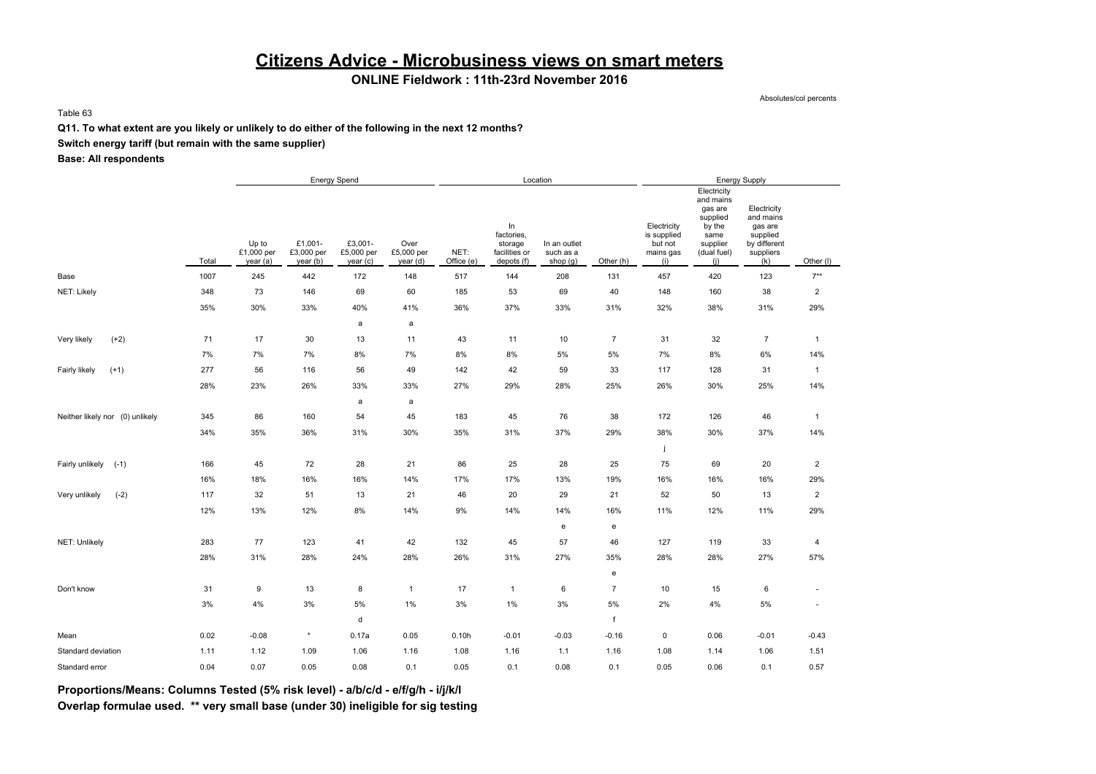## **Citizens Advice - Microbusiness views on smart meters**

### **ONLINE Fieldwork : 11th-23rd November 2016**

Absolutes/col percents

Table 63

#### **Q11. To what extent are you likely or unlikely to do either of the following in the next 12 months?**

### **Switch energy tariff (but remain with the same supplier)**

**Base: All respondents**

|                                 |       | <b>Energy Spend</b>             |                                   |                                  |                                |                    | Location                                                   |                                         |                                   |                                                           | <b>Energy Supply</b>                                                                                |                                                                                     |                         |
|---------------------------------|-------|---------------------------------|-----------------------------------|----------------------------------|--------------------------------|--------------------|------------------------------------------------------------|-----------------------------------------|-----------------------------------|-----------------------------------------------------------|-----------------------------------------------------------------------------------------------------|-------------------------------------------------------------------------------------|-------------------------|
|                                 | Total | Up to<br>£1,000 per<br>year (a) | £1,001-<br>£3,000 per<br>year (b) | £3,001-<br>£5,000 per<br>year(c) | Over<br>£5,000 per<br>year (d) | NET:<br>Office (e) | In<br>factories,<br>storage<br>facilities or<br>depots (f) | In an outlet<br>such as a<br>shop $(g)$ | Other (h)                         | Electricity<br>is supplied<br>but not<br>mains gas<br>(i) | Electricity<br>and mains<br>gas are<br>supplied<br>by the<br>same<br>supplier<br>(dual fuel)<br>(i) | Electricity<br>and mains<br>gas are<br>supplied<br>by different<br>suppliers<br>(k) | Other (I)               |
| Base                            | 1007  | 245                             | 442                               | 172                              | 148                            | 517                | 144                                                        | 208                                     | 131                               | 457                                                       | 420                                                                                                 | 123                                                                                 | $7**$                   |
| NET: Likely                     | 348   | 73                              | 146                               | 69                               | 60                             | 185                | 53                                                         | 69                                      | 40                                | 148                                                       | 160                                                                                                 | 38                                                                                  | $\overline{\mathbf{c}}$ |
|                                 | 35%   | 30%                             | 33%                               | 40%                              | 41%                            | 36%                | 37%                                                        | 33%                                     | 31%                               | 32%                                                       | 38%                                                                                                 | 31%                                                                                 | 29%                     |
|                                 |       |                                 |                                   | $\mathsf{a}$                     | $\mathsf{a}$                   |                    |                                                            |                                         |                                   |                                                           |                                                                                                     |                                                                                     |                         |
| $(+2)$<br>Very likely           | 71    | 17                              | 30                                | 13                               | 11                             | 43                 | 11                                                         | 10                                      | $\overline{7}$                    | 31                                                        | 32                                                                                                  | $\overline{7}$                                                                      | $\mathbf{1}$            |
|                                 | 7%    | 7%                              | 7%                                | 8%                               | 7%                             | 8%                 | 8%                                                         | 5%                                      | 5%                                | 7%                                                        | 8%                                                                                                  | 6%                                                                                  | 14%                     |
| Fairly likely<br>$(+1)$         | 277   | 56                              | 116                               | 56                               | 49                             | 142                | 42                                                         | 59                                      | 33                                | 117                                                       | 128                                                                                                 | 31                                                                                  | $\mathbf{1}$            |
|                                 | 28%   | 23%                             | 26%                               | 33%                              | 33%                            | 27%                | 29%                                                        | 28%                                     | 25%                               | 26%                                                       | 30%                                                                                                 | 25%                                                                                 | 14%                     |
|                                 |       |                                 |                                   | $\mathsf{a}$                     | a                              |                    |                                                            |                                         |                                   |                                                           |                                                                                                     |                                                                                     |                         |
| Neither likely nor (0) unlikely | 345   | 86                              | 160                               | 54                               | 45                             | 183                | 45                                                         | 76                                      | 38                                | 172                                                       | 126                                                                                                 | 46                                                                                  | $\mathbf{1}$            |
|                                 | 34%   | 35%                             | 36%                               | 31%                              | 30%                            | 35%                | 31%                                                        | 37%                                     | 29%                               | 38%                                                       | 30%                                                                                                 | 37%                                                                                 | 14%                     |
|                                 |       |                                 |                                   |                                  |                                |                    |                                                            |                                         |                                   |                                                           |                                                                                                     |                                                                                     |                         |
| Fairly unlikely<br>$(-1)$       | 166   | 45                              | 72                                | 28                               | 21                             | 86                 | 25                                                         | 28                                      | 25                                | 75                                                        | 69                                                                                                  | 20                                                                                  | $\overline{2}$          |
|                                 | 16%   | 18%                             | 16%                               | 16%                              | 14%                            | 17%                | 17%                                                        | 13%                                     | 19%                               | 16%                                                       | 16%                                                                                                 | 16%                                                                                 | 29%                     |
| $(-2)$<br>Very unlikely         | 117   | 32                              | 51                                | 13                               | 21                             | 46                 | 20                                                         | 29                                      | 21                                | 52                                                        | 50                                                                                                  | 13                                                                                  | $\overline{\mathbf{c}}$ |
|                                 | 12%   | 13%                             | 12%                               | 8%                               | 14%                            | 9%                 | 14%                                                        | 14%                                     | 16%                               | 11%                                                       | 12%                                                                                                 | 11%                                                                                 | 29%                     |
|                                 |       |                                 |                                   |                                  |                                |                    |                                                            | $\mathbf{e}% _{t}\left( t\right)$       | $\mathbf{e}% _{t}\left( t\right)$ |                                                           |                                                                                                     |                                                                                     |                         |
| NET: Unlikely                   | 283   | 77                              | 123                               | 41                               | 42                             | 132                | 45                                                         | 57                                      | 46                                | 127                                                       | 119                                                                                                 | 33                                                                                  | 4                       |
|                                 | 28%   | 31%                             | 28%                               | 24%                              | 28%                            | 26%                | 31%                                                        | 27%                                     | 35%                               | 28%                                                       | 28%                                                                                                 | 27%                                                                                 | 57%                     |
|                                 |       |                                 |                                   |                                  |                                |                    |                                                            |                                         | e                                 |                                                           |                                                                                                     |                                                                                     |                         |
| Don't know                      | 31    | 9                               | 13                                | 8                                | $\mathbf{1}$                   | 17                 | $\mathbf{1}$                                               | 6                                       | $\overline{7}$                    | 10                                                        | 15                                                                                                  | 6                                                                                   | $\sim$                  |
|                                 | 3%    | 4%                              | $3\%$                             | 5%                               | 1%                             | 3%                 | $1\%$                                                      | $3\%$                                   | 5%                                | 2%                                                        | 4%                                                                                                  | $5\%$                                                                               | $\sim$                  |
|                                 |       |                                 |                                   | d                                |                                |                    |                                                            |                                         | f                                 |                                                           |                                                                                                     |                                                                                     |                         |
| Mean                            | 0.02  | $-0.08$                         | $\star$                           | 0.17a                            | 0.05                           | 0.10h              | $-0.01$                                                    | $-0.03$                                 | $-0.16$                           | 0                                                         | 0.06                                                                                                | $-0.01$                                                                             | $-0.43$                 |
| Standard deviation              | 1.11  | 1.12                            | 1.09                              | 1.06                             | 1.16                           | 1.08               | 1.16                                                       | 1.1                                     | 1.16                              | 1.08                                                      | 1.14                                                                                                | 1.06                                                                                | 1.51                    |
| Standard error                  | 0.04  | 0.07                            | 0.05                              | 0.08                             | 0.1                            | 0.05               | 0.1                                                        | 0.08                                    | 0.1                               | 0.05                                                      | 0.06                                                                                                | 0.1                                                                                 | 0.57                    |

**Proportions/Means: Columns Tested (5% risk level) - a/b/c/d - e/f/g/h - i/j/k/l**

**Overlap formulae used. \*\* very small base (under 30) ineligible for sig testing**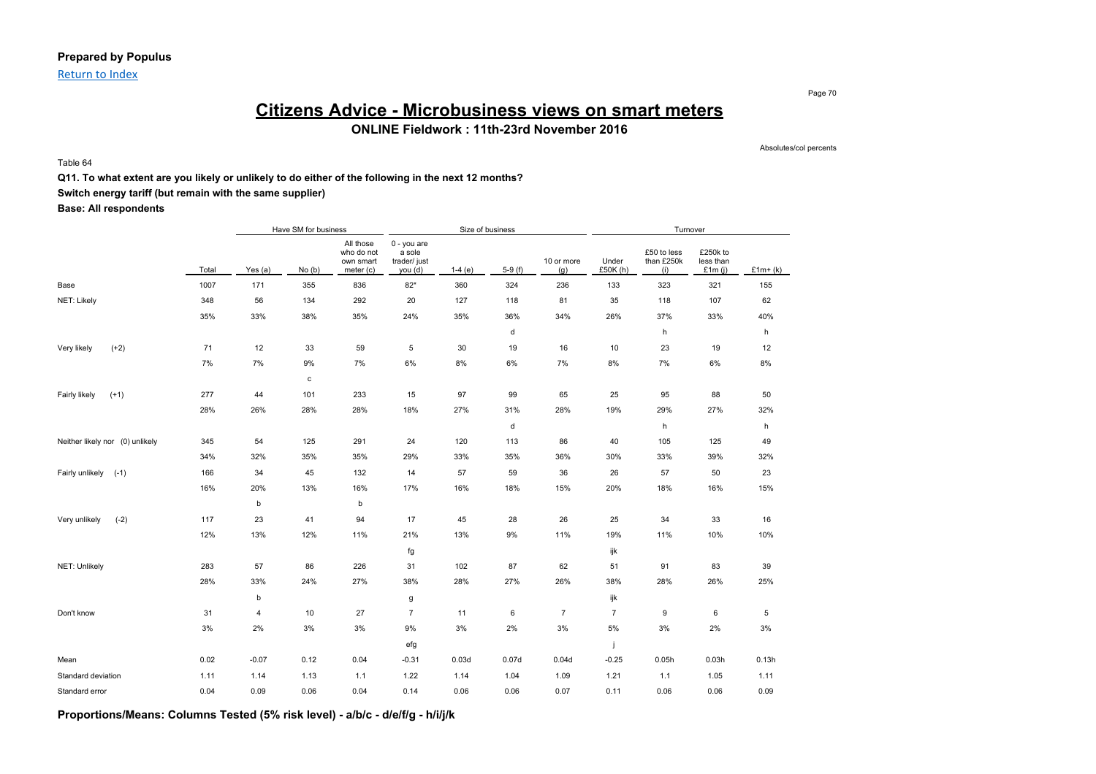### **Prepared by Populus**

Return to Index

## **Citizens Advice - Microbusiness views on smart meters ONLINE Fieldwork : 11th-23rd November 2016**

Table 64

Absolutes/col percents

Page 70

#### **Q11. To what extent are you likely or unlikely to do either of the following in the next 12 months?**

**Switch energy tariff (but remain with the same supplier)**

**Base: All respondents**

|                                 |       |         | Have SM for business |                                                   |                                                    | Size of business |          |                   |                   | Turnover                         |                                    |           |
|---------------------------------|-------|---------|----------------------|---------------------------------------------------|----------------------------------------------------|------------------|----------|-------------------|-------------------|----------------------------------|------------------------------------|-----------|
|                                 | Total | Yes (a) | No(b)                | All those<br>who do not<br>own smart<br>meter (c) | $0 - you are$<br>a sole<br>trader/ just<br>you (d) | $1-4(e)$         | $5-9(f)$ | 10 or more<br>(g) | Under<br>£50K (h) | £50 to less<br>than £250k<br>(i) | £250k to<br>less than<br>£1 $m(i)$ | $£1m+(k)$ |
| Base                            | 1007  | 171     | 355                  | 836                                               | $82*$                                              | 360              | 324      | 236               | 133               | 323                              | 321                                | 155       |
| NET: Likely                     | 348   | 56      | 134                  | 292                                               | 20                                                 | 127              | 118      | 81                | 35                | 118                              | 107                                | 62        |
|                                 | 35%   | 33%     | 38%                  | 35%                                               | 24%                                                | 35%              | 36%      | 34%               | 26%               | 37%                              | 33%                                | 40%       |
|                                 |       |         |                      |                                                   |                                                    |                  | d        |                   |                   | h                                |                                    | h         |
| $(+2)$<br>Very likely           | 71    | 12      | 33                   | 59                                                | 5                                                  | 30               | 19       | 16                | 10                | 23                               | 19                                 | 12        |
|                                 | 7%    | 7%      | 9%                   | 7%                                                | $6\%$                                              | $8\%$            | 6%       | 7%                | 8%                | 7%                               | 6%                                 | $8\%$     |
|                                 |       |         | с                    |                                                   |                                                    |                  |          |                   |                   |                                  |                                    |           |
| Fairly likely<br>$(+1)$         | 277   | 44      | 101                  | 233                                               | 15                                                 | 97               | 99       | 65                | 25                | 95                               | 88                                 | 50        |
|                                 | 28%   | 26%     | 28%                  | 28%                                               | 18%                                                | 27%              | 31%      | 28%               | 19%               | 29%                              | 27%                                | 32%       |
|                                 |       |         |                      |                                                   |                                                    |                  | d        |                   |                   | h                                |                                    | h         |
| Neither likely nor (0) unlikely | 345   | 54      | 125                  | 291                                               | 24                                                 | 120              | 113      | 86                | 40                | 105                              | 125                                | 49        |
|                                 | 34%   | 32%     | 35%                  | 35%                                               | 29%                                                | 33%              | 35%      | 36%               | 30%               | 33%                              | 39%                                | 32%       |
| Fairly unlikely<br>$(-1)$       | 166   | 34      | 45                   | 132                                               | 14                                                 | 57               | 59       | 36                | 26                | 57                               | 50                                 | 23        |
|                                 | 16%   | 20%     | 13%                  | 16%                                               | 17%                                                | 16%              | 18%      | 15%               | 20%               | 18%                              | 16%                                | 15%       |
|                                 |       | b       |                      | b                                                 |                                                    |                  |          |                   |                   |                                  |                                    |           |
| Very unlikely<br>$(-2)$         | 117   | 23      | 41                   | 94                                                | 17                                                 | 45               | 28       | 26                | 25                | 34                               | 33                                 | 16        |
|                                 | 12%   | 13%     | 12%                  | 11%                                               | 21%                                                | 13%              | 9%       | 11%               | 19%               | 11%                              | 10%                                | 10%       |
|                                 |       |         |                      |                                                   | fg                                                 |                  |          |                   | ijk               |                                  |                                    |           |
| NET: Unlikely                   | 283   | 57      | 86                   | 226                                               | 31                                                 | 102              | 87       | 62                | 51                | 91                               | 83                                 | 39        |
|                                 | 28%   | 33%     | 24%                  | 27%                                               | 38%                                                | 28%              | 27%      | 26%               | 38%               | 28%                              | 26%                                | 25%       |
|                                 |       | b       |                      |                                                   | g                                                  |                  |          |                   | ijk               |                                  |                                    |           |
| Don't know                      | 31    | 4       | 10                   | 27                                                | $\overline{7}$                                     | 11               | 6        | $\overline{7}$    | $\overline{7}$    | 9                                | 6                                  | 5         |
|                                 | 3%    | 2%      | 3%                   | 3%                                                | 9%                                                 | 3%               | 2%       | 3%                | 5%                | 3%                               | 2%                                 | 3%        |
|                                 |       |         |                      |                                                   | efg                                                |                  |          |                   | j                 |                                  |                                    |           |
| Mean                            | 0.02  | $-0.07$ | 0.12                 | 0.04                                              | $-0.31$                                            | 0.03d            | 0.07d    | 0.04d             | $-0.25$           | 0.05h                            | 0.03h                              | 0.13h     |
| Standard deviation              | 1.11  | 1.14    | 1.13                 | 1.1                                               | 1.22                                               | 1.14             | 1.04     | 1.09              | 1.21              | 1.1                              | 1.05                               | 1.11      |
| Standard error                  | 0.04  | 0.09    | 0.06                 | 0.04                                              | 0.14                                               | 0.06             | 0.06     | 0.07              | 0.11              | 0.06                             | 0.06                               | 0.09      |

**Proportions/Means: Columns Tested (5% risk level) - a/b/c - d/e/f/g - h/i/j/k**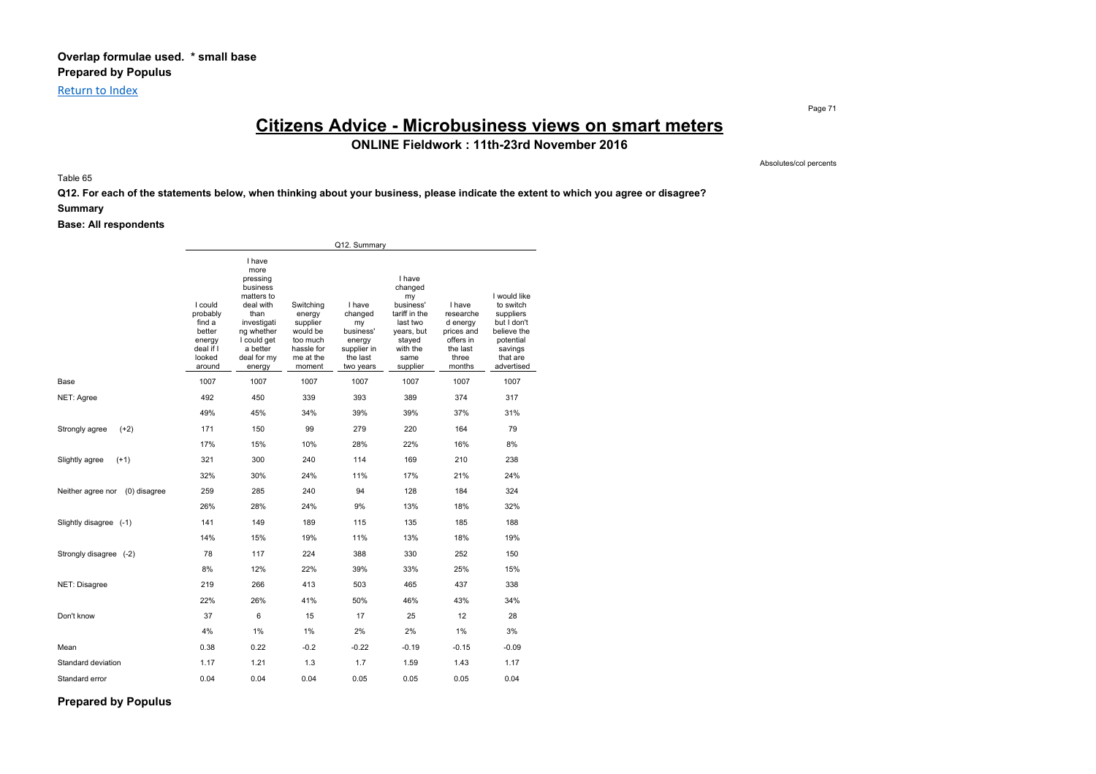Return to Index

Page 71

## **Citizens Advice - Microbusiness views on smart meters**

**ONLINE Fieldwork : 11th-23rd November 2016**

Absolutes/col percents

Table 65

**Q12. For each of the statements below, when thinking about your business, please indicate the extent to which you agree or disagree?**

#### **Summary**

#### **Base: All respondents**

|                                   |                                                                                    |                                                                                                                                                            |                                                                                              | Q12. Summary                                                                           |                                                                                                                           |                                                                                           |                                                                                                                        |
|-----------------------------------|------------------------------------------------------------------------------------|------------------------------------------------------------------------------------------------------------------------------------------------------------|----------------------------------------------------------------------------------------------|----------------------------------------------------------------------------------------|---------------------------------------------------------------------------------------------------------------------------|-------------------------------------------------------------------------------------------|------------------------------------------------------------------------------------------------------------------------|
|                                   | I could<br>probably<br>find a<br>better<br>energy<br>deal if I<br>looked<br>around | I have<br>more<br>pressing<br>business<br>matters to<br>deal with<br>than<br>investigati<br>ng whether<br>I could get<br>a better<br>deal for my<br>energy | Switching<br>energy<br>supplier<br>would be<br>too much<br>hassle for<br>me at the<br>moment | I have<br>changed<br>my<br>business'<br>energy<br>supplier in<br>the last<br>two years | I have<br>changed<br>my<br>business'<br>tariff in the<br>last two<br>years, but<br>stayed<br>with the<br>same<br>supplier | I have<br>researche<br>d energy<br>prices and<br>offers in<br>the last<br>three<br>months | I would like<br>to switch<br>suppliers<br>but I don't<br>believe the<br>potential<br>savings<br>that are<br>advertised |
| Base                              | 1007                                                                               | 1007                                                                                                                                                       | 1007                                                                                         | 1007                                                                                   | 1007                                                                                                                      | 1007                                                                                      | 1007                                                                                                                   |
| NET: Agree                        | 492                                                                                | 450                                                                                                                                                        | 339                                                                                          | 393                                                                                    | 389                                                                                                                       | 374                                                                                       | 317                                                                                                                    |
|                                   | 49%                                                                                | 45%                                                                                                                                                        | 34%                                                                                          | 39%                                                                                    | 39%                                                                                                                       | 37%                                                                                       | 31%                                                                                                                    |
| $(+2)$<br>Strongly agree          | 171                                                                                | 150                                                                                                                                                        | 99                                                                                           | 279                                                                                    | 220                                                                                                                       | 164                                                                                       | 79                                                                                                                     |
|                                   | 17%                                                                                | 15%                                                                                                                                                        | 10%                                                                                          | 28%                                                                                    | 22%                                                                                                                       | 16%                                                                                       | 8%                                                                                                                     |
| $(+1)$<br>Slightly agree          | 321                                                                                | 300                                                                                                                                                        | 240                                                                                          | 114                                                                                    | 169                                                                                                                       | 210                                                                                       | 238                                                                                                                    |
|                                   | 32%                                                                                | 30%                                                                                                                                                        | 24%                                                                                          | 11%                                                                                    | 17%                                                                                                                       | 21%                                                                                       | 24%                                                                                                                    |
| Neither agree nor<br>(0) disagree | 259                                                                                | 285                                                                                                                                                        | 240                                                                                          | 94                                                                                     | 128                                                                                                                       | 184                                                                                       | 324                                                                                                                    |
|                                   | 26%                                                                                | 28%                                                                                                                                                        | 24%                                                                                          | 9%                                                                                     | 13%                                                                                                                       | 18%                                                                                       | 32%                                                                                                                    |
| Slightly disagree (-1)            | 141                                                                                | 149                                                                                                                                                        | 189                                                                                          | 115                                                                                    | 135                                                                                                                       | 185                                                                                       | 188                                                                                                                    |
|                                   | 14%                                                                                | 15%                                                                                                                                                        | 19%                                                                                          | 11%                                                                                    | 13%                                                                                                                       | 18%                                                                                       | 19%                                                                                                                    |
| Strongly disagree (-2)            | 78                                                                                 | 117                                                                                                                                                        | 224                                                                                          | 388                                                                                    | 330                                                                                                                       | 252                                                                                       | 150                                                                                                                    |
|                                   | 8%                                                                                 | 12%                                                                                                                                                        | 22%                                                                                          | 39%                                                                                    | 33%                                                                                                                       | 25%                                                                                       | 15%                                                                                                                    |
| NET: Disagree                     | 219                                                                                | 266                                                                                                                                                        | 413                                                                                          | 503                                                                                    | 465                                                                                                                       | 437                                                                                       | 338                                                                                                                    |
|                                   | 22%                                                                                | 26%                                                                                                                                                        | 41%                                                                                          | 50%                                                                                    | 46%                                                                                                                       | 43%                                                                                       | 34%                                                                                                                    |
| Don't know                        | 37                                                                                 | 6                                                                                                                                                          | 15                                                                                           | 17                                                                                     | 25                                                                                                                        | 12                                                                                        | 28                                                                                                                     |
|                                   | 4%                                                                                 | 1%                                                                                                                                                         | 1%                                                                                           | 2%                                                                                     | 2%                                                                                                                        | $1\%$                                                                                     | 3%                                                                                                                     |
| Mean                              | 0.38                                                                               | 0.22                                                                                                                                                       | $-0.2$                                                                                       | $-0.22$                                                                                | $-0.19$                                                                                                                   | $-0.15$                                                                                   | $-0.09$                                                                                                                |
| Standard deviation                | 1.17                                                                               | 1.21                                                                                                                                                       | 1.3                                                                                          | 1.7                                                                                    | 1.59                                                                                                                      | 1.43                                                                                      | 1.17                                                                                                                   |
| Standard error                    | 0.04                                                                               | 0.04                                                                                                                                                       | 0.04                                                                                         | 0.05                                                                                   | 0.05                                                                                                                      | 0.05                                                                                      | 0.04                                                                                                                   |

**Prepared by Populus**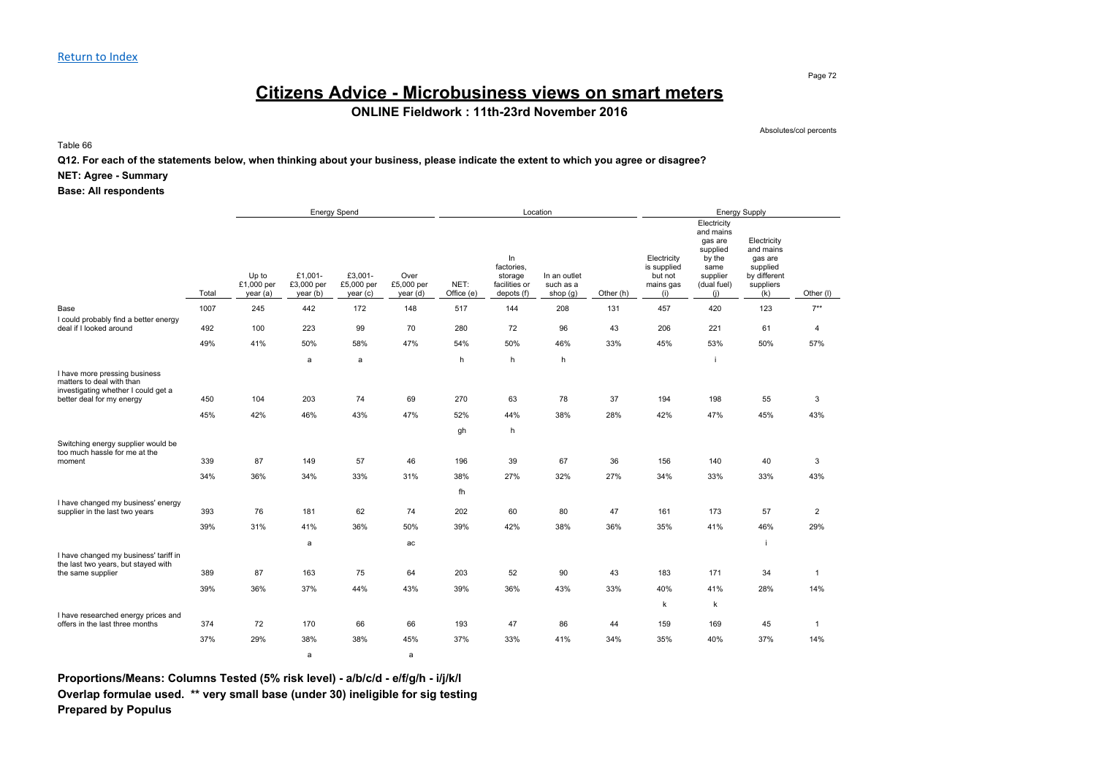## **Citizens Advice - Microbusiness views on smart meters**

**ONLINE Fieldwork : 11th-23rd November 2016**

Absolutes/col percents

Table 66

**Q12. For each of the statements below, when thinking about your business, please indicate the extent to which you agree or disagree?**

#### **NET: Agree - Summary**

#### **Base: All respondents**

|                                                                                                                                |       |                                 |                                   | <b>Energy Spend</b>              |                                |                    |                                                            | Location                              |           |                                                           |                                                                                                     | <b>Energy Supply</b>                                                                |                |
|--------------------------------------------------------------------------------------------------------------------------------|-------|---------------------------------|-----------------------------------|----------------------------------|--------------------------------|--------------------|------------------------------------------------------------|---------------------------------------|-----------|-----------------------------------------------------------|-----------------------------------------------------------------------------------------------------|-------------------------------------------------------------------------------------|----------------|
|                                                                                                                                | Total | Up to<br>£1,000 per<br>year (a) | £1,001-<br>£3,000 per<br>year (b) | £3,001-<br>£5,000 per<br>year(c) | Over<br>£5,000 per<br>year (d) | NET:<br>Office (e) | In<br>factories,<br>storage<br>facilities or<br>depots (f) | In an outlet<br>such as a<br>shop (g) | Other (h) | Electricity<br>is supplied<br>but not<br>mains gas<br>(i) | Electricity<br>and mains<br>gas are<br>supplied<br>by the<br>same<br>supplier<br>(dual fuel)<br>(i) | Electricity<br>and mains<br>gas are<br>supplied<br>by different<br>suppliers<br>(k) | Other (I)      |
| Base                                                                                                                           | 1007  | 245                             | 442                               | 172                              | 148                            | 517                | 144                                                        | 208                                   | 131       | 457                                                       | 420                                                                                                 | 123                                                                                 | $7**$          |
| I could probably find a better energy<br>deal if I looked around                                                               | 492   | 100                             | 223                               | 99                               | 70                             | 280                | 72                                                         | 96                                    | 43        | 206                                                       | 221                                                                                                 | 61                                                                                  | $\overline{4}$ |
|                                                                                                                                | 49%   | 41%                             | 50%                               | 58%                              | 47%                            | 54%                | 50%                                                        | 46%                                   | 33%       | 45%                                                       | 53%                                                                                                 | 50%                                                                                 | 57%            |
|                                                                                                                                |       |                                 | a                                 | a                                |                                | h                  | h                                                          | h                                     |           |                                                           |                                                                                                     |                                                                                     |                |
| I have more pressing business<br>matters to deal with than<br>investigating whether I could get a<br>better deal for my energy | 450   | 104<br>42%                      | 203<br>46%                        | 74<br>43%                        | 69                             | 270                | 63                                                         | 78<br>38%                             | 37        | 194                                                       | 198<br>47%                                                                                          | 55<br>45%                                                                           | 3              |
|                                                                                                                                | 45%   |                                 |                                   |                                  | 47%                            | 52%                | 44%                                                        |                                       | 28%       | 42%                                                       |                                                                                                     |                                                                                     | 43%            |
| Switching energy supplier would be<br>too much hassle for me at the<br>moment                                                  | 339   | 87                              | 149                               | 57                               | 46                             | gh<br>196          | h<br>39                                                    | 67                                    | 36        | 156                                                       | 140                                                                                                 | 40                                                                                  | 3              |
|                                                                                                                                | 34%   | 36%                             | 34%                               | 33%                              | 31%                            | 38%                | 27%                                                        | 32%                                   | 27%       | 34%                                                       | 33%                                                                                                 | 33%                                                                                 | 43%            |
|                                                                                                                                |       |                                 |                                   |                                  |                                | fh                 |                                                            |                                       |           |                                                           |                                                                                                     |                                                                                     |                |
| I have changed my business' energy<br>supplier in the last two years                                                           | 393   | 76                              | 181                               | 62                               | 74                             | 202                | 60                                                         | 80                                    | 47        | 161                                                       | 173                                                                                                 | 57                                                                                  | $\overline{2}$ |
|                                                                                                                                | 39%   | 31%                             | 41%                               | 36%                              | 50%                            | 39%                | 42%                                                        | 38%                                   | 36%       | 35%                                                       | 41%                                                                                                 | 46%                                                                                 | 29%            |
|                                                                                                                                |       |                                 | a                                 |                                  | ac                             |                    |                                                            |                                       |           |                                                           |                                                                                                     | j.                                                                                  |                |
| I have changed my business' tariff in<br>the last two years, but stayed with                                                   |       |                                 |                                   |                                  |                                |                    |                                                            |                                       |           |                                                           |                                                                                                     |                                                                                     |                |
| the same supplier                                                                                                              | 389   | 87                              | 163                               | 75                               | 64                             | 203                | 52                                                         | 90                                    | 43        | 183                                                       | 171                                                                                                 | 34                                                                                  | $\mathbf{1}$   |
|                                                                                                                                | 39%   | 36%                             | 37%                               | 44%                              | 43%                            | 39%                | 36%                                                        | 43%                                   | 33%       | 40%                                                       | 41%                                                                                                 | 28%                                                                                 | 14%            |
|                                                                                                                                |       |                                 |                                   |                                  |                                |                    |                                                            |                                       |           | k                                                         | $\mathsf k$                                                                                         |                                                                                     |                |
| I have researched energy prices and<br>offers in the last three months                                                         | 374   | 72                              | 170                               | 66                               | 66                             | 193                | 47                                                         | 86                                    | 44        | 159                                                       | 169                                                                                                 | 45                                                                                  | $\mathbf{1}$   |
|                                                                                                                                | 37%   | 29%                             | 38%                               | 38%                              | 45%                            | 37%                | 33%                                                        | 41%                                   | 34%       | 35%                                                       | 40%                                                                                                 | 37%                                                                                 | 14%            |
|                                                                                                                                |       |                                 | a                                 |                                  | a                              |                    |                                                            |                                       |           |                                                           |                                                                                                     |                                                                                     |                |

**Proportions/Means: Columns Tested (5% risk level) - a/b/c/d - e/f/g/h - i/j/k/l Overlap formulae used. \*\* very small base (under 30) ineligible for sig testing Prepared by Populus**

Page 72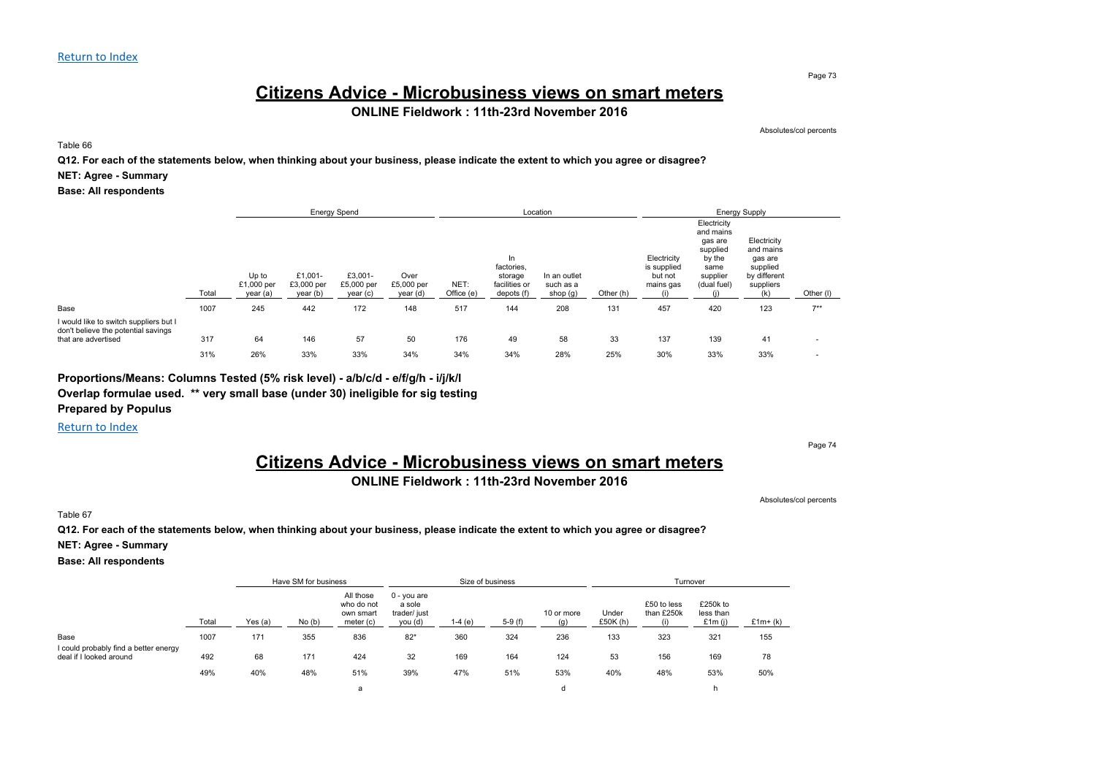## **Citizens Advice - Microbusiness views on smart meters**

### **ONLINE Fieldwork : 11th-23rd November 2016**

Absolutes/col percents

Table 66

**Q12. For each of the statements below, when thinking about your business, please indicate the extent to which you agree or disagree?**

#### **NET: Agree - Summary**

**Base: All respondents**

|                                                                                                      |       | <b>Energy Spend</b>             |                                   |                                   |                                |                    |                                                             | Location                              |           |                                                    |                                                                                              | <b>Energy Supply</b>                                                                |           |  |
|------------------------------------------------------------------------------------------------------|-------|---------------------------------|-----------------------------------|-----------------------------------|--------------------------------|--------------------|-------------------------------------------------------------|---------------------------------------|-----------|----------------------------------------------------|----------------------------------------------------------------------------------------------|-------------------------------------------------------------------------------------|-----------|--|
|                                                                                                      | Total | Up to<br>£1,000 per<br>year (a) | £1,001-<br>£3,000 per<br>year (b) | £3,001-<br>£5,000 per<br>year (c) | Over<br>£5,000 per<br>year (d) | NET:<br>Office (e) | ln.<br>factories,<br>storage<br>facilities or<br>depots (f) | In an outlet<br>such as a<br>shop (g) | Other (h) | Electricity<br>is supplied<br>but not<br>mains gas | Electricity<br>and mains<br>gas are<br>supplied<br>by the<br>same<br>supplier<br>(dual fuel) | Electricity<br>and mains<br>gas are<br>supplied<br>by different<br>suppliers<br>(k) | Other (I) |  |
| Base                                                                                                 | 1007  | 245                             | 442                               | 172                               | 148                            | 517                | 144                                                         | 208                                   | 131       | 457                                                | 420                                                                                          | 123                                                                                 | $7**$     |  |
| I would like to switch suppliers but I<br>don't believe the potential savings<br>that are advertised | 317   | 64                              | 146                               | 57                                | 50                             | 176                | 49                                                          | 58                                    | 33        | 137                                                | 139                                                                                          | 41                                                                                  |           |  |
|                                                                                                      | 31%   | 26%                             | 33%                               | 33%                               | 34%                            | 34%                | 34%                                                         | 28%                                   | 25%       | 30%                                                | 33%                                                                                          | 33%                                                                                 |           |  |

### **Proportions/Means: Columns Tested (5% risk level) - a/b/c/d - e/f/g/h - i/j/k/l**

**Overlap formulae used. \*\* very small base (under 30) ineligible for sig testing**

**Prepared by Populus**

Return to Index

Page 74

## **Citizens Advice - Microbusiness views on smart meters**

### **ONLINE Fieldwork : 11th-23rd November 2016**

Absolutes/col percents

Table 67

**Q12. For each of the statements below, when thinking about your business, please indicate the extent to which you agree or disagree?**

**NET: Agree - Summary**

**Base: All respondents**

|                                                                  |       |         | Have SM for business |                                                   |                                                    |          | Size of business |                   |                     | Turnover                  |                                 |           |
|------------------------------------------------------------------|-------|---------|----------------------|---------------------------------------------------|----------------------------------------------------|----------|------------------|-------------------|---------------------|---------------------------|---------------------------------|-----------|
|                                                                  | Total | Yes (a) | No(b)                | All those<br>who do not<br>own smart<br>meter (c) | $0 - you are$<br>a sole<br>trader/ just<br>you (d) | $1-4(e)$ | $5-9(f)$         | 10 or more<br>(q) | Under<br>£50 $K(h)$ | £50 to less<br>than £250k | £250k to<br>less than<br>£1m(i) | $£1m+(k)$ |
| Base                                                             | 1007  | 171     | 355                  | 836                                               | $82*$                                              | 360      | 324              | 236               | 133                 | 323                       | 321                             | 155       |
| I could probably find a better energy<br>deal if I looked around | 492   | 68      | 171                  | 424                                               | 32                                                 | 169      | 164              | 124               | 53                  | 156                       | 169                             | 78        |
|                                                                  | 49%   | 40%     | 48%                  | 51%                                               | 39%                                                | 47%      | 51%              | 53%               | 40%                 | 48%                       | 53%                             | 50%       |
|                                                                  |       |         |                      | a                                                 |                                                    |          |                  | d                 |                     |                           |                                 |           |

Page 73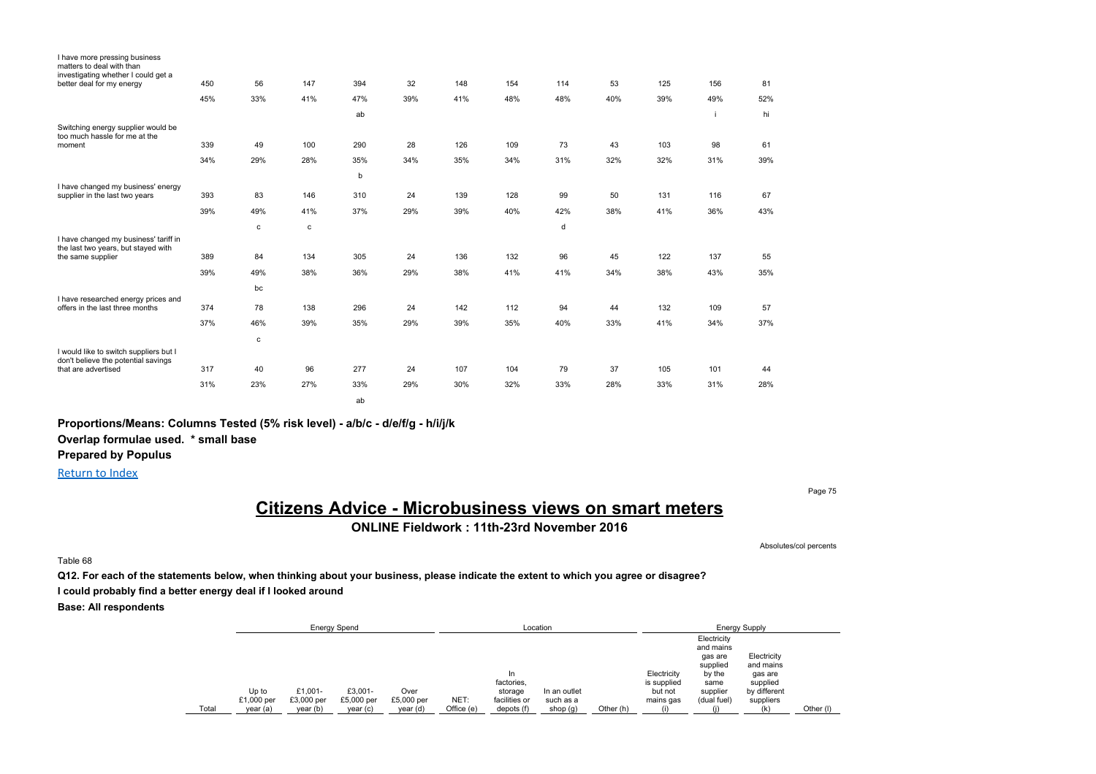| I have more pressing business<br>matters to deal with than<br>investigating whether I could get a |     |     |     |     |     |     |     |     |     |     |     |     |
|---------------------------------------------------------------------------------------------------|-----|-----|-----|-----|-----|-----|-----|-----|-----|-----|-----|-----|
| better deal for my energy                                                                         | 450 | 56  | 147 | 394 | 32  | 148 | 154 | 114 | 53  | 125 | 156 | 81  |
|                                                                                                   | 45% | 33% | 41% | 47% | 39% | 41% | 48% | 48% | 40% | 39% | 49% | 52% |
|                                                                                                   |     |     |     | ab  |     |     |     |     |     |     | i   | hi  |
| Switching energy supplier would be<br>too much hassle for me at the                               |     |     |     |     |     |     |     |     |     |     |     |     |
| moment                                                                                            | 339 | 49  | 100 | 290 | 28  | 126 | 109 | 73  | 43  | 103 | 98  | 61  |
|                                                                                                   | 34% | 29% | 28% | 35% | 34% | 35% | 34% | 31% | 32% | 32% | 31% | 39% |
|                                                                                                   |     |     |     | b   |     |     |     |     |     |     |     |     |
| I have changed my business' energy<br>supplier in the last two years                              | 393 | 83  | 146 | 310 | 24  | 139 | 128 | 99  | 50  | 131 | 116 | 67  |
|                                                                                                   | 39% | 49% | 41% | 37% | 29% | 39% | 40% | 42% | 38% | 41% | 36% | 43% |
|                                                                                                   |     | c   | с   |     |     |     |     | d   |     |     |     |     |
| I have changed my business' tariff in<br>the last two years, but stayed with                      |     |     |     |     |     |     |     |     |     |     |     |     |
| the same supplier                                                                                 | 389 | 84  | 134 | 305 | 24  | 136 | 132 | 96  | 45  | 122 | 137 | 55  |
|                                                                                                   | 39% | 49% | 38% | 36% | 29% | 38% | 41% | 41% | 34% | 38% | 43% | 35% |
|                                                                                                   |     | bc  |     |     |     |     |     |     |     |     |     |     |
| I have researched energy prices and<br>offers in the last three months                            | 374 | 78  | 138 | 296 | 24  | 142 | 112 | 94  | 44  | 132 | 109 | 57  |
|                                                                                                   | 37% | 46% | 39% | 35% | 29% | 39% | 35% | 40% | 33% | 41% | 34% | 37% |
|                                                                                                   |     | c   |     |     |     |     |     |     |     |     |     |     |
| I would like to switch suppliers but I<br>don't believe the potential savings                     |     |     |     |     |     |     |     |     |     |     |     |     |
| that are advertised                                                                               | 317 | 40  | 96  | 277 | 24  | 107 | 104 | 79  | 37  | 105 | 101 | 44  |
|                                                                                                   | 31% | 23% | 27% | 33% | 29% | 30% | 32% | 33% | 28% | 33% | 31% | 28% |
|                                                                                                   |     |     |     | ab  |     |     |     |     |     |     |     |     |

**Proportions/Means: Columns Tested (5% risk level) - a/b/c - d/e/f/g - h/i/j/k**

**Overlap formulae used. \* small base**

**Prepared by Populus**

Return to Index

Page 75

# **Citizens Advice - Microbusiness views on smart meters**

**ONLINE Fieldwork : 11th-23rd November 2016**

Absolutes/col percents

Table 68

**Q12. For each of the statements below, when thinking about your business, please indicate the extent to which you agree or disagree? I could probably find a better energy deal if I looked around**

|       |            |            | <b>Energy Spend</b> |            |            |                       | Location     |           |                        |                          | <b>Energy Supply</b>     |           |
|-------|------------|------------|---------------------|------------|------------|-----------------------|--------------|-----------|------------------------|--------------------------|--------------------------|-----------|
|       |            |            |                     |            |            |                       |              |           |                        | Electricity<br>and mains |                          |           |
|       |            |            |                     |            |            |                       |              |           |                        | gas are<br>supplied      | Electricity<br>and mains |           |
|       |            |            |                     |            |            | In                    |              |           | Electricity            | by the                   | gas are                  |           |
|       | Up to      | £1.001-    | £3.001-             | Over       |            | factories,<br>storage | In an outlet |           | is supplied<br>but not | same<br>supplier         | supplied<br>by different |           |
|       | £1,000 per | £3,000 per | £5,000 per          | £5,000 per | NET:       | facilities or         | such as a    |           | mains gas              | (dual fuel)              | suppliers                |           |
| Total | year (a)   | year (b)   | year(c)             | year (d)   | Office (e) | depots (f)            | shop (g)     | Other (h) |                        |                          | (k)                      | Other (I) |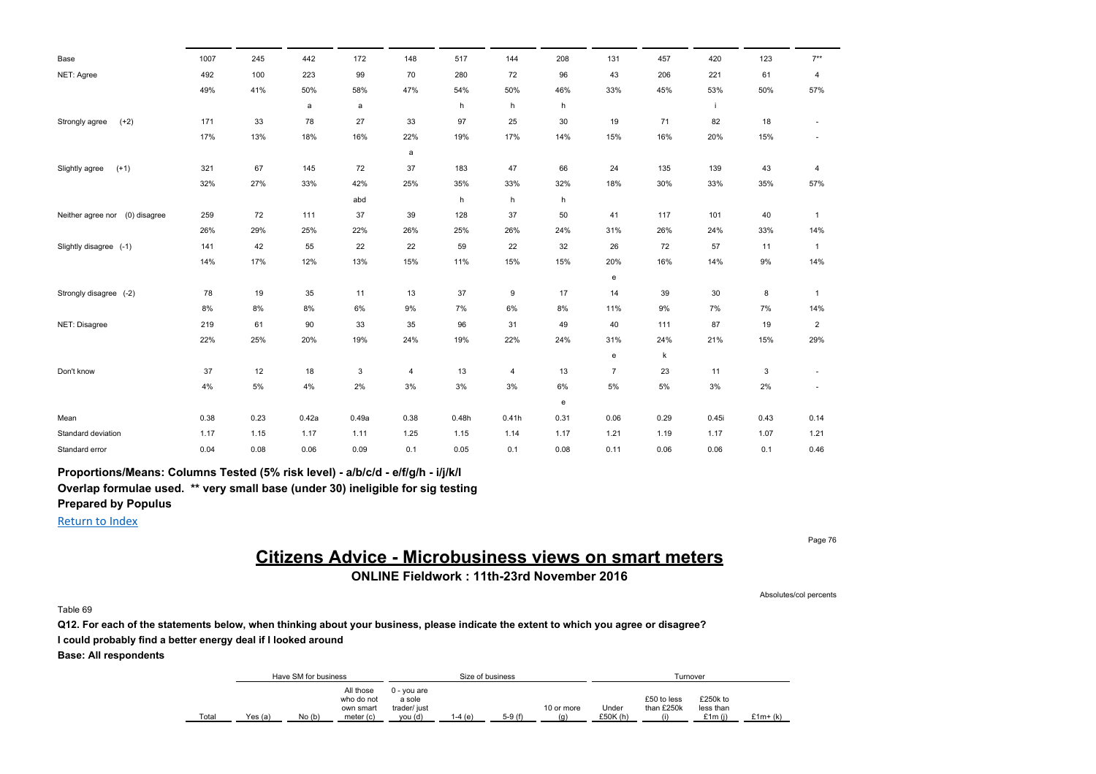| Base                              | 1007 | 245   | 442   | 172   | 148  | 517   | 144            | 208  | 131            | 457   | 420   | 123  | $7**$                    |
|-----------------------------------|------|-------|-------|-------|------|-------|----------------|------|----------------|-------|-------|------|--------------------------|
| NET: Agree                        | 492  | 100   | 223   | 99    | 70   | 280   | 72             | 96   | 43             | 206   | 221   | 61   | 4                        |
|                                   | 49%  | 41%   | 50%   | 58%   | 47%  | 54%   | 50%            | 46%  | 33%            | 45%   | 53%   | 50%  | 57%                      |
|                                   |      |       | a     | a     |      | h     | h              | h    |                |       |       |      |                          |
| $(+2)$<br>Strongly agree          | 171  | 33    | 78    | 27    | 33   | 97    | 25             | 30   | 19             | 71    | 82    | 18   |                          |
|                                   | 17%  | 13%   | 18%   | 16%   | 22%  | 19%   | 17%            | 14%  | 15%            | 16%   | 20%   | 15%  | $\overline{\phantom{a}}$ |
|                                   |      |       |       |       | a    |       |                |      |                |       |       |      |                          |
| $(+1)$<br>Slightly agree          | 321  | 67    | 145   | 72    | 37   | 183   | 47             | 66   | 24             | 135   | 139   | 43   | 4                        |
|                                   | 32%  | 27%   | 33%   | 42%   | 25%  | 35%   | 33%            | 32%  | 18%            | 30%   | 33%   | 35%  | 57%                      |
|                                   |      |       |       | abd   |      | h     | h              | h    |                |       |       |      |                          |
| (0) disagree<br>Neither agree nor | 259  | 72    | 111   | 37    | 39   | 128   | 37             | 50   | 41             | 117   | 101   | 40   | $\mathbf{1}$             |
|                                   | 26%  | 29%   | 25%   | 22%   | 26%  | 25%   | 26%            | 24%  | 31%            | 26%   | 24%   | 33%  | 14%                      |
| Slightly disagree (-1)            | 141  | 42    | 55    | 22    | 22   | 59    | 22             | 32   | 26             | 72    | 57    | 11   | $\mathbf{1}$             |
|                                   | 14%  | 17%   | 12%   | 13%   | 15%  | 11%   | 15%            | 15%  | 20%            | 16%   | 14%   | 9%   | 14%                      |
|                                   |      |       |       |       |      |       |                |      | e              |       |       |      |                          |
| Strongly disagree (-2)            | 78   | 19    | 35    | 11    | 13   | 37    | 9              | 17   | 14             | 39    | 30    | 8    | $\mathbf{1}$             |
|                                   | 8%   | $8\%$ | 8%    | 6%    | 9%   | 7%    | 6%             | 8%   | 11%            | 9%    | 7%    | 7%   | 14%                      |
| NET: Disagree                     | 219  | 61    | 90    | 33    | 35   | 96    | 31             | 49   | 40             | 111   | 87    | 19   | $\overline{\mathbf{c}}$  |
|                                   | 22%  | 25%   | 20%   | 19%   | 24%  | 19%   | 22%            | 24%  | 31%            | 24%   | 21%   | 15%  | 29%                      |
|                                   |      |       |       |       |      |       |                |      | e              | k     |       |      |                          |
| Don't know                        | 37   | 12    | 18    | 3     | 4    | 13    | $\overline{4}$ | 13   | $\overline{7}$ | 23    | 11    | 3    |                          |
|                                   | 4%   | $5\%$ | 4%    | 2%    | 3%   | 3%    | 3%             | 6%   | 5%             | $5\%$ | 3%    | 2%   | $\overline{\phantom{a}}$ |
|                                   |      |       |       |       |      |       |                | e    |                |       |       |      |                          |
| Mean                              | 0.38 | 0.23  | 0.42a | 0.49a | 0.38 | 0.48h | 0.41h          | 0.31 | 0.06           | 0.29  | 0.45i | 0.43 | 0.14                     |
| Standard deviation                | 1.17 | 1.15  | 1.17  | 1.11  | 1.25 | 1.15  | 1.14           | 1.17 | 1.21           | 1.19  | 1.17  | 1.07 | 1.21                     |
| Standard error                    | 0.04 | 0.08  | 0.06  | 0.09  | 0.1  | 0.05  | 0.1            | 0.08 | 0.11           | 0.06  | 0.06  | 0.1  | 0.46                     |

**Proportions/Means: Columns Tested (5% risk level) - a/b/c/d - e/f/g/h - i/j/k/l**

**Overlap formulae used. \*\* very small base (under 30) ineligible for sig testing**

**Prepared by Populus**

Return to Index

## **Citizens Advice - Microbusiness views on smart meters**

**ONLINE Fieldwork : 11th-23rd November 2016**

Table 69

**Q12. For each of the statements below, when thinking about your business, please indicate the extent to which you agree or disagree? I could probably find a better energy deal if I looked around**

**Base: All respondents**

|       |         | Have SM for business |                                      |                                       | Size of business |          |            |         | Turnover                  |                       |          |
|-------|---------|----------------------|--------------------------------------|---------------------------------------|------------------|----------|------------|---------|---------------------------|-----------------------|----------|
|       |         |                      | All those<br>who do not<br>own smart | 0 - vou are<br>a sole<br>trader/ just |                  |          | 10 or more | Under   | £50 to less<br>than £250k | £250k to<br>less than |          |
|       |         |                      |                                      |                                       |                  |          |            |         |                           |                       |          |
| Total | Yes (a) | No(b)                | meter (c)                            | vou (d)                               | 1-4 (e)          | $5-9(f)$ | (q)        | £50K(h) |                           | £1m(i)                | £1m+ (k) |

Page 76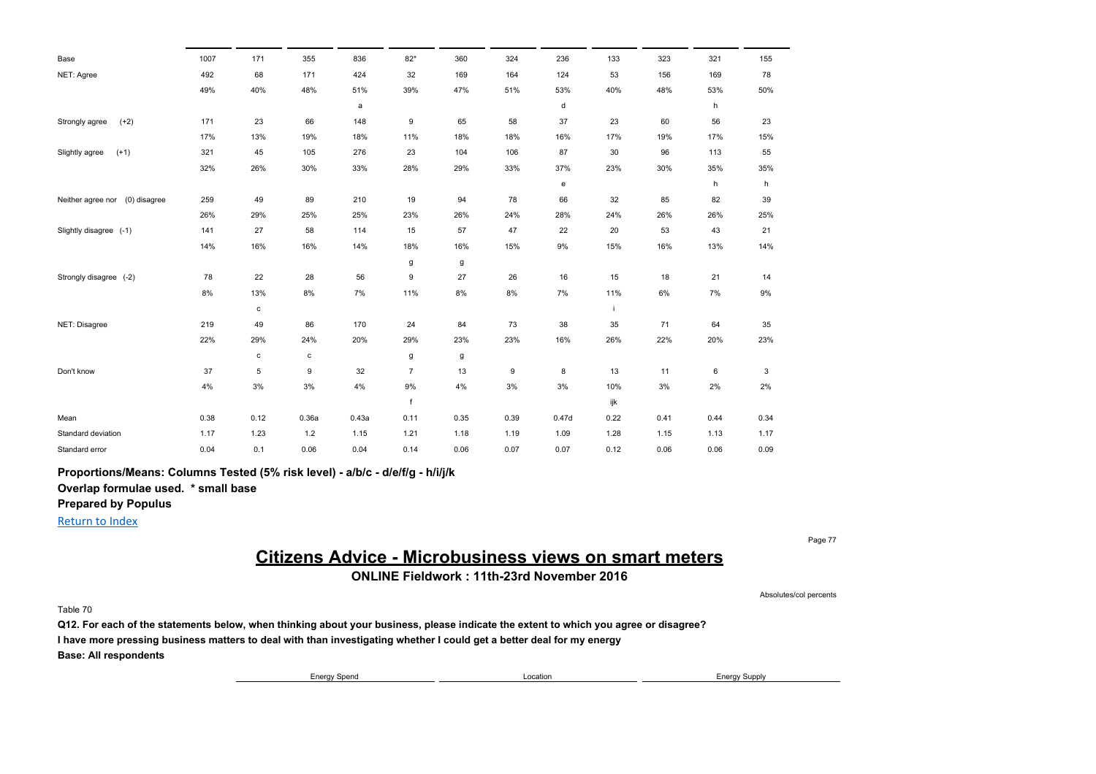| Base                              | 1007 | 171         | 355   | 836          | $82*$          | 360   | 324  | 236   | 133  | 323  | 321  | 155  |
|-----------------------------------|------|-------------|-------|--------------|----------------|-------|------|-------|------|------|------|------|
| NET: Agree                        | 492  | 68          | 171   | 424          | 32             | 169   | 164  | 124   | 53   | 156  | 169  | 78   |
|                                   | 49%  | 40%         | 48%   | 51%          | 39%            | 47%   | 51%  | 53%   | 40%  | 48%  | 53%  | 50%  |
|                                   |      |             |       | $\mathsf{a}$ |                |       |      | d     |      |      | h    |      |
| $(+2)$<br>Strongly agree          | 171  | 23          | 66    | 148          | 9              | 65    | 58   | 37    | 23   | 60   | 56   | 23   |
|                                   | 17%  | 13%         | 19%   | 18%          | 11%            | 18%   | 18%  | 16%   | 17%  | 19%  | 17%  | 15%  |
| $(+1)$<br>Slightly agree          | 321  | 45          | 105   | 276          | 23             | 104   | 106  | 87    | 30   | 96   | 113  | 55   |
|                                   | 32%  | 26%         | 30%   | 33%          | 28%            | 29%   | 33%  | 37%   | 23%  | 30%  | 35%  | 35%  |
|                                   |      |             |       |              |                |       |      | e     |      |      | h    | h    |
| (0) disagree<br>Neither agree nor | 259  | 49          | 89    | 210          | 19             | 94    | 78   | 66    | 32   | 85   | 82   | 39   |
|                                   | 26%  | 29%         | 25%   | 25%          | 23%            | 26%   | 24%  | 28%   | 24%  | 26%  | 26%  | 25%  |
| Slightly disagree (-1)            | 141  | 27          | 58    | 114          | 15             | 57    | 47   | 22    | 20   | 53   | 43   | 21   |
|                                   | 14%  | 16%         | 16%   | 14%          | 18%            | 16%   | 15%  | 9%    | 15%  | 16%  | 13%  | 14%  |
|                                   |      |             |       |              | g              | g     |      |       |      |      |      |      |
| Strongly disagree (-2)            | 78   | 22          | 28    | 56           | 9              | 27    | 26   | 16    | 15   | 18   | 21   | 14   |
|                                   | 8%   | 13%         | 8%    | 7%           | 11%            | $8\%$ | 8%   | 7%    | 11%  | 6%   | 7%   | 9%   |
|                                   |      | $\mathbf c$ |       |              |                |       |      |       | i.   |      |      |      |
| NET: Disagree                     | 219  | 49          | 86    | 170          | 24             | 84    | 73   | 38    | 35   | 71   | 64   | 35   |
|                                   | 22%  | 29%         | 24%   | 20%          | 29%            | 23%   | 23%  | 16%   | 26%  | 22%  | 20%  | 23%  |
|                                   |      | $\mathbf c$ | c     |              | g              | g     |      |       |      |      |      |      |
| Don't know                        | 37   | 5           | 9     | 32           | $\overline{7}$ | 13    | 9    | 8     | 13   | 11   | 6    | 3    |
|                                   | 4%   | 3%          | 3%    | 4%           | 9%             | 4%    | 3%   | 3%    | 10%  | 3%   | 2%   | 2%   |
|                                   |      |             |       |              | f              |       |      |       | ijk  |      |      |      |
| Mean                              | 0.38 | 0.12        | 0.36a | 0.43a        | 0.11           | 0.35  | 0.39 | 0.47d | 0.22 | 0.41 | 0.44 | 0.34 |
| Standard deviation                | 1.17 | 1.23        | 1.2   | 1.15         | 1.21           | 1.18  | 1.19 | 1.09  | 1.28 | 1.15 | 1.13 | 1.17 |
| Standard error                    | 0.04 | 0.1         | 0.06  | 0.04         | 0.14           | 0.06  | 0.07 | 0.07  | 0.12 | 0.06 | 0.06 | 0.09 |

**Proportions/Means: Columns Tested (5% risk level) - a/b/c - d/e/f/g - h/i/j/k**

**Overlap formulae used. \* small base**

**Prepared by Populus**

Return to Index

## **Citizens Advice - Microbusiness views on smart meters**

**ONLINE Fieldwork : 11th-23rd November 2016**

Table 70

**Q12. For each of the statements below, when thinking about your business, please indicate the extent to which you agree or disagree? I have more pressing business matters to deal with than investigating whether I could get a better deal for my energy Base: All respondents**

Energy Spend **Energy Supply Energy Supply Energy Supply** 

Page 77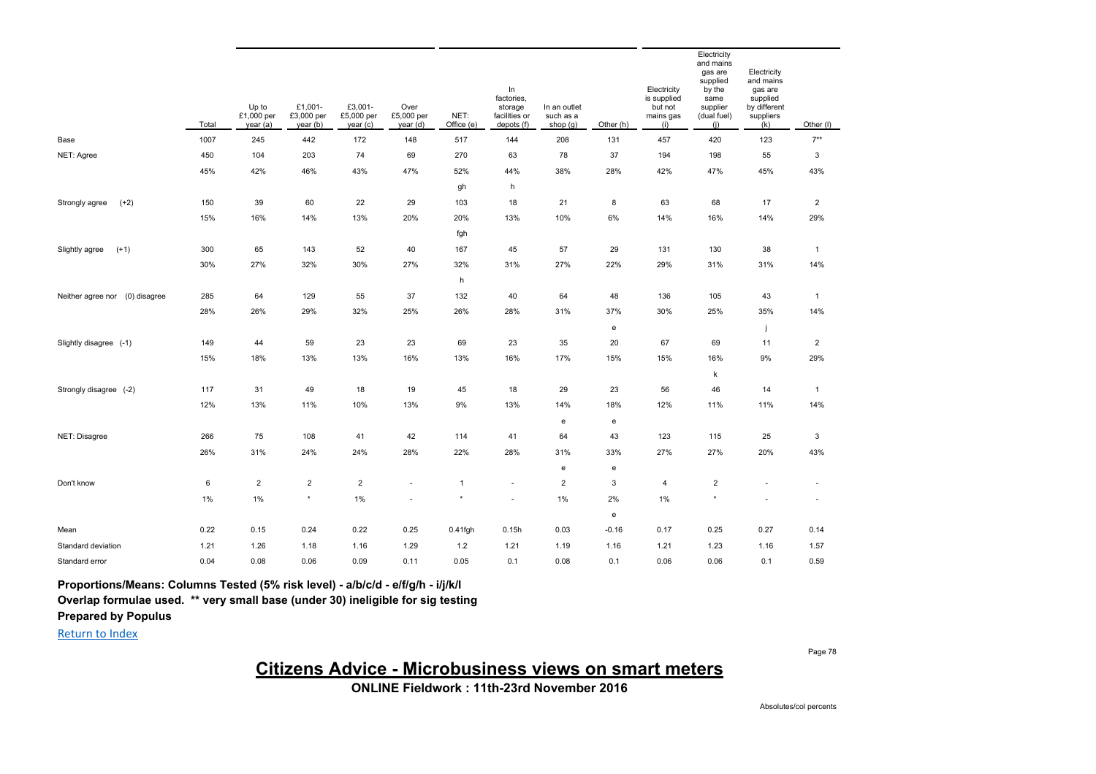|                                | Total | Up to<br>£1,000 per<br>year(a) | £1,001-<br>£3,000 per<br>year (b) | £3,001-<br>£5,000 per<br>year(c) | Over<br>£5,000 per<br>year (d) | NET:<br>Office (e) | In<br>factories,<br>storage<br>facilities or<br>depots (f) | In an outlet<br>such as a<br>shop $(g)$ | Other (h) | Electricity<br>is supplied<br>but not<br>mains gas<br>(i) | Electricity<br>and mains<br>gas are<br>supplied<br>by the<br>same<br>supplier<br>(dual fuel)<br>(i) | Electricity<br>and mains<br>gas are<br>supplied<br>by different<br>suppliers<br>(k) | Other (I)                 |
|--------------------------------|-------|--------------------------------|-----------------------------------|----------------------------------|--------------------------------|--------------------|------------------------------------------------------------|-----------------------------------------|-----------|-----------------------------------------------------------|-----------------------------------------------------------------------------------------------------|-------------------------------------------------------------------------------------|---------------------------|
| Base                           | 1007  | 245                            | 442                               | 172                              | 148                            | 517                | 144                                                        | 208                                     | 131       | 457                                                       | 420                                                                                                 | 123                                                                                 | $7**$                     |
| NET: Agree                     | 450   | 104                            | 203                               | 74                               | 69                             | 270                | 63                                                         | 78                                      | 37        | 194                                                       | 198                                                                                                 | 55                                                                                  | $\ensuremath{\mathsf{3}}$ |
|                                | 45%   | 42%                            | 46%                               | 43%                              | 47%                            | 52%                | 44%                                                        | 38%                                     | 28%       | 42%                                                       | 47%                                                                                                 | 45%                                                                                 | 43%                       |
|                                |       |                                |                                   |                                  |                                | gh                 | h                                                          |                                         |           |                                                           |                                                                                                     |                                                                                     |                           |
| $(+2)$<br>Strongly agree       | 150   | 39                             | 60                                | 22                               | 29                             | 103                | 18                                                         | 21                                      | 8         | 63                                                        | 68                                                                                                  | 17                                                                                  | $\overline{2}$            |
|                                | 15%   | 16%                            | 14%                               | 13%                              | 20%                            | 20%                | 13%                                                        | 10%                                     | 6%        | 14%                                                       | 16%                                                                                                 | 14%                                                                                 | 29%                       |
|                                |       |                                |                                   |                                  |                                | fgh                |                                                            |                                         |           |                                                           |                                                                                                     |                                                                                     |                           |
| Slightly agree<br>$(+1)$       | 300   | 65                             | 143                               | 52                               | 40                             | 167                | 45                                                         | 57                                      | 29        | 131                                                       | 130                                                                                                 | 38                                                                                  | $\mathbf{1}$              |
|                                | 30%   | 27%                            | 32%                               | 30%                              | 27%                            | 32%                | 31%                                                        | 27%                                     | 22%       | 29%                                                       | 31%                                                                                                 | 31%                                                                                 | 14%                       |
|                                |       |                                |                                   |                                  |                                | h                  |                                                            |                                         |           |                                                           |                                                                                                     |                                                                                     |                           |
| Neither agree nor (0) disagree | 285   | 64                             | 129                               | 55                               | 37                             | 132                | 40                                                         | 64                                      | 48        | 136                                                       | 105                                                                                                 | 43                                                                                  | $\mathbf{1}$              |
|                                | 28%   | 26%                            | 29%                               | 32%                              | 25%                            | 26%                | 28%                                                        | 31%                                     | 37%       | 30%                                                       | 25%                                                                                                 | 35%                                                                                 | 14%                       |
|                                |       |                                |                                   |                                  |                                |                    |                                                            |                                         | e         |                                                           |                                                                                                     |                                                                                     |                           |
| Slightly disagree (-1)         | 149   | 44                             | 59                                | 23                               | 23                             | 69                 | 23                                                         | 35                                      | 20        | 67                                                        | 69                                                                                                  | 11                                                                                  | $\overline{2}$            |
|                                | 15%   | 18%                            | 13%                               | 13%                              | 16%                            | 13%                | 16%                                                        | 17%                                     | 15%       | 15%                                                       | 16%                                                                                                 | 9%                                                                                  | 29%                       |
|                                |       |                                |                                   |                                  |                                |                    |                                                            |                                         |           |                                                           | $\mathsf k$                                                                                         |                                                                                     |                           |
| Strongly disagree (-2)         | 117   | 31                             | 49                                | 18                               | 19                             | 45                 | 18                                                         | 29                                      | 23        | 56                                                        | 46                                                                                                  | 14                                                                                  | $\mathbf{1}$              |
|                                | 12%   | 13%                            | 11%                               | 10%                              | 13%                            | 9%                 | 13%                                                        | 14%                                     | 18%       | 12%                                                       | 11%                                                                                                 | 11%                                                                                 | 14%                       |
|                                |       |                                |                                   |                                  |                                |                    |                                                            | e                                       | e         |                                                           |                                                                                                     |                                                                                     |                           |
| NET: Disagree                  | 266   | 75                             | 108                               | 41                               | 42                             | 114                | 41                                                         | 64                                      | 43        | 123                                                       | 115                                                                                                 | 25                                                                                  | 3                         |
|                                | 26%   | 31%                            | 24%                               | 24%                              | 28%                            | 22%                | 28%                                                        | 31%                                     | 33%       | 27%                                                       | 27%                                                                                                 | 20%                                                                                 | 43%                       |
|                                |       |                                |                                   |                                  |                                |                    |                                                            | e                                       | e         |                                                           |                                                                                                     |                                                                                     |                           |
| Don't know                     | 6     | $\overline{2}$                 | $\overline{2}$                    | $\overline{2}$                   | ×                              | $\mathbf{1}$       | ×                                                          | $\overline{2}$                          | 3         | $\overline{4}$                                            | $\overline{2}$                                                                                      | ٠                                                                                   | $\sim$                    |
|                                | 1%    | 1%                             | $\star$                           | 1%                               |                                | $\star$            | ä,                                                         | 1%                                      | 2%        | 1%                                                        | $\star$                                                                                             |                                                                                     | ä,                        |
|                                |       |                                |                                   |                                  |                                |                    |                                                            |                                         | e         |                                                           |                                                                                                     |                                                                                     |                           |
| Mean                           | 0.22  | 0.15                           | 0.24                              | 0.22                             | 0.25                           | 0.41fgh            | 0.15h                                                      | 0.03                                    | $-0.16$   | 0.17                                                      | 0.25                                                                                                | 0.27                                                                                | 0.14                      |
| Standard deviation             | 1.21  | 1.26                           | 1.18                              | 1.16                             | 1.29                           | 1.2                | 1.21                                                       | 1.19                                    | 1.16      | 1.21                                                      | 1.23                                                                                                | 1.16                                                                                | 1.57                      |
| Standard error                 | 0.04  | 0.08                           | 0.06                              | 0.09                             | 0.11                           | 0.05               | 0.1                                                        | 0.08                                    | 0.1       | 0.06                                                      | 0.06                                                                                                | 0.1                                                                                 | 0.59                      |

**Proportions/Means: Columns Tested (5% risk level) - a/b/c/d - e/f/g/h - i/j/k/l**

**Overlap formulae used. \*\* very small base (under 30) ineligible for sig testing**

**Prepared by Populus**

Return to Index

Page 78

**Citizens Advice - Microbusiness views on smart meters**

**ONLINE Fieldwork : 11th-23rd November 2016**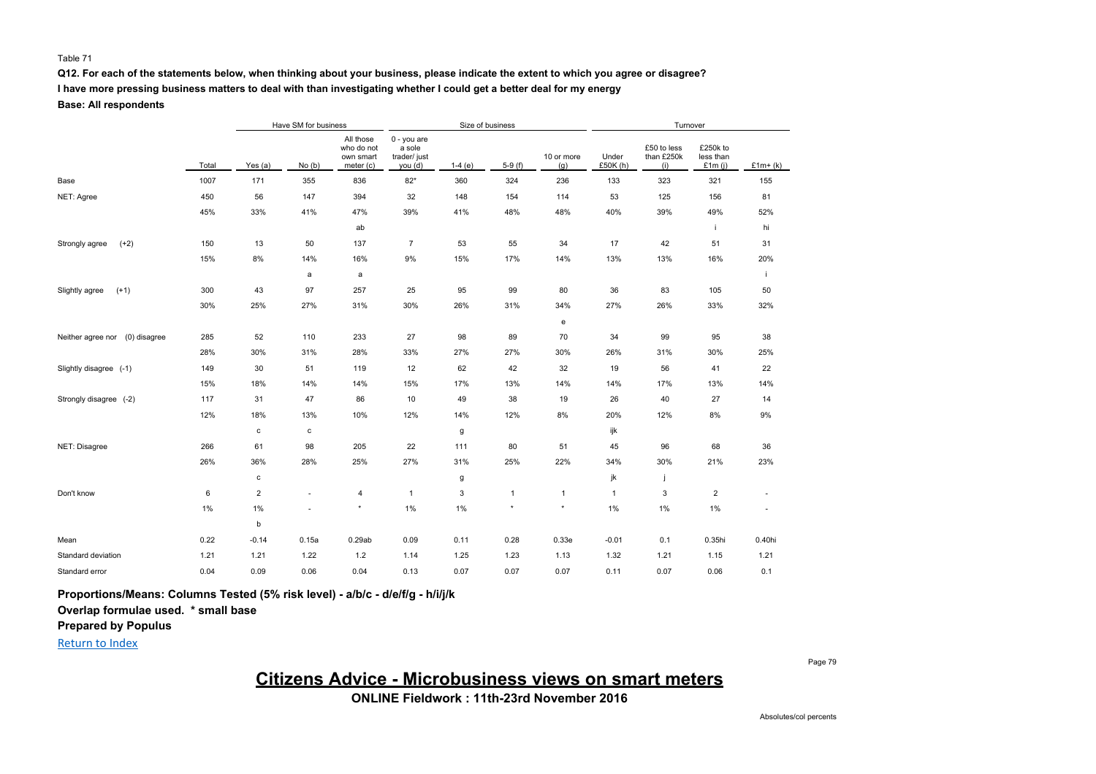#### Table 71

### **Q12. For each of the statements below, when thinking about your business, please indicate the extent to which you agree or disagree?**

**I have more pressing business matters to deal with than investigating whether I could get a better deal for my energy**

**Base: All respondents**

|                                   |       |                | Have SM for business<br>Size of business<br>Turnover |                                                   |                                                  |          |              |                   |                   |                                  |                                    |           |
|-----------------------------------|-------|----------------|------------------------------------------------------|---------------------------------------------------|--------------------------------------------------|----------|--------------|-------------------|-------------------|----------------------------------|------------------------------------|-----------|
|                                   | Total | Yes (a)        | No(b)                                                | All those<br>who do not<br>own smart<br>meter (c) | 0 - you are<br>a sole<br>trader/ just<br>you (d) | $1-4(e)$ | $5-9(f)$     | 10 or more<br>(g) | Under<br>£50K (h) | £50 to less<br>than £250k<br>(i) | £250k to<br>less than<br>£1 $m(i)$ | $£1m+(k)$ |
| Base                              | 1007  | 171            | 355                                                  | 836                                               | $82*$                                            | 360      | 324          | 236               | 133               | 323                              | 321                                | 155       |
| NET: Agree                        | 450   | 56             | 147                                                  | 394                                               | 32                                               | 148      | 154          | 114               | 53                | 125                              | 156                                | 81        |
|                                   | 45%   | 33%            | 41%                                                  | 47%                                               | 39%                                              | 41%      | 48%          | 48%               | 40%               | 39%                              | 49%                                | 52%       |
|                                   |       |                |                                                      | ab                                                |                                                  |          |              |                   |                   |                                  |                                    | hi        |
| $(+2)$<br>Strongly agree          | 150   | 13             | 50                                                   | 137                                               | $\overline{7}$                                   | 53       | 55           | 34                | 17                | 42                               | 51                                 | 31        |
|                                   | 15%   | 8%             | 14%                                                  | 16%                                               | 9%                                               | 15%      | 17%          | 14%               | 13%               | 13%                              | 16%                                | 20%       |
|                                   |       |                | a                                                    | a                                                 |                                                  |          |              |                   |                   |                                  |                                    | j.        |
| Slightly agree<br>$(+1)$          | 300   | 43             | 97                                                   | 257                                               | 25                                               | 95       | 99           | 80                | 36                | 83                               | 105                                | 50        |
|                                   | 30%   | 25%            | 27%                                                  | 31%                                               | 30%                                              | 26%      | 31%          | 34%               | 27%               | 26%                              | 33%                                | 32%       |
|                                   |       |                |                                                      |                                                   |                                                  |          |              | e                 |                   |                                  |                                    |           |
| (0) disagree<br>Neither agree nor | 285   | 52             | 110                                                  | 233                                               | 27                                               | 98       | 89           | 70                | 34                | 99                               | 95                                 | 38        |
|                                   | 28%   | 30%            | 31%                                                  | 28%                                               | 33%                                              | 27%      | 27%          | 30%               | 26%               | 31%                              | 30%                                | 25%       |
| Slightly disagree (-1)            | 149   | 30             | 51                                                   | 119                                               | 12                                               | 62       | 42           | 32                | 19                | 56                               | 41                                 | 22        |
|                                   | 15%   | 18%            | 14%                                                  | 14%                                               | 15%                                              | 17%      | 13%          | 14%               | 14%               | 17%                              | 13%                                | 14%       |
| Strongly disagree (-2)            | 117   | 31             | 47                                                   | 86                                                | 10                                               | 49       | 38           | 19                | 26                | 40                               | 27                                 | 14        |
|                                   | 12%   | 18%            | 13%                                                  | 10%                                               | 12%                                              | 14%      | 12%          | 8%                | 20%               | 12%                              | 8%                                 | 9%        |
|                                   |       | $\mathbf c$    | c                                                    |                                                   |                                                  | g        |              |                   | ijk               |                                  |                                    |           |
| NET: Disagree                     | 266   | 61             | 98                                                   | 205                                               | 22                                               | 111      | 80           | 51                | 45                | 96                               | 68                                 | 36        |
|                                   | 26%   | 36%            | 28%                                                  | 25%                                               | 27%                                              | 31%      | 25%          | 22%               | 34%               | 30%                              | 21%                                | 23%       |
|                                   |       | $\mathbf c$    |                                                      |                                                   |                                                  | g        |              |                   | jk                | ÷                                |                                    |           |
| Don't know                        | 6     | $\overline{c}$ |                                                      | 4                                                 | $\mathbf{1}$                                     | 3        | $\mathbf{1}$ | $\mathbf{1}$      | $\mathbf{1}$      | 3                                | 2                                  | ٠         |
|                                   | 1%    | 1%             |                                                      | $\star$                                           | 1%                                               | 1%       | $\star$      | $\pmb{\ast}$      | 1%                | 1%                               | $1\%$                              | ä,        |
|                                   |       | b              |                                                      |                                                   |                                                  |          |              |                   |                   |                                  |                                    |           |
| Mean                              | 0.22  | $-0.14$        | 0.15a                                                | 0.29ab                                            | 0.09                                             | 0.11     | 0.28         | 0.33e             | $-0.01$           | 0.1                              | 0.35hi                             | 0.40hi    |
| Standard deviation                | 1.21  | 1.21           | 1.22                                                 | 1.2                                               | 1.14                                             | 1.25     | 1.23         | 1.13              | 1.32              | 1.21                             | 1.15                               | 1.21      |
| Standard error                    | 0.04  | 0.09           | 0.06                                                 | 0.04                                              | 0.13                                             | 0.07     | 0.07         | 0.07              | 0.11              | 0.07                             | 0.06                               | 0.1       |

**Proportions/Means: Columns Tested (5% risk level) - a/b/c - d/e/f/g - h/i/j/k**

**Overlap formulae used. \* small base**

**Prepared by Populus**

Return to Index

**Citizens Advice - Microbusiness views on smart meters**

**ONLINE Fieldwork : 11th-23rd November 2016**

Page 79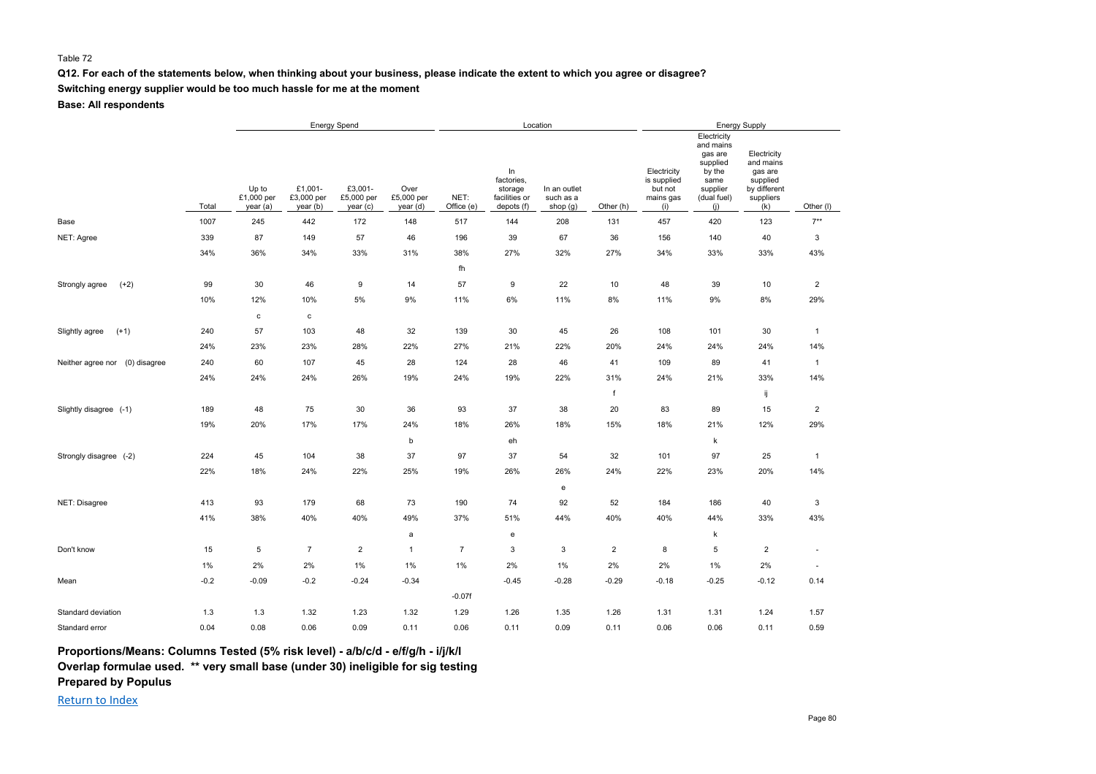#### Table 72

#### **Q12. For each of the statements below, when thinking about your business, please indicate the extent to which you agree or disagree?**

**Switching energy supplier would be too much hassle for me at the moment**

**Base: All respondents**

|                                |        | <b>Energy Spend</b>             |                                   |                                  |                                |                    |                                                            | Location                              |                | <b>Energy Supply</b>                                      |                                                                                                     |                                                                                     |                           |  |
|--------------------------------|--------|---------------------------------|-----------------------------------|----------------------------------|--------------------------------|--------------------|------------------------------------------------------------|---------------------------------------|----------------|-----------------------------------------------------------|-----------------------------------------------------------------------------------------------------|-------------------------------------------------------------------------------------|---------------------------|--|
|                                | Total  | Up to<br>£1,000 per<br>year (a) | £1,001-<br>£3,000 per<br>year (b) | £3,001-<br>£5,000 per<br>year(c) | Over<br>£5,000 per<br>year (d) | NET:<br>Office (e) | In<br>factories,<br>storage<br>facilities or<br>depots (f) | In an outlet<br>such as a<br>shop (g) | Other (h)      | Electricity<br>is supplied<br>but not<br>mains gas<br>(i) | Electricity<br>and mains<br>gas are<br>supplied<br>by the<br>same<br>supplier<br>(dual fuel)<br>(i) | Electricity<br>and mains<br>gas are<br>supplied<br>by different<br>suppliers<br>(k) | Other (I)                 |  |
| Base                           | 1007   | 245                             | 442                               | 172                              | 148                            | 517                | 144                                                        | 208                                   | 131            | 457                                                       | 420                                                                                                 | 123                                                                                 | $7**$                     |  |
| NET: Agree                     | 339    | 87                              | 149                               | 57                               | 46                             | 196                | 39                                                         | 67                                    | 36             | 156                                                       | 140                                                                                                 | 40                                                                                  | $\ensuremath{\mathsf{3}}$ |  |
|                                | 34%    | 36%                             | 34%                               | 33%                              | 31%                            | 38%                | 27%                                                        | 32%                                   | 27%            | 34%                                                       | 33%                                                                                                 | 33%                                                                                 | 43%                       |  |
|                                |        |                                 |                                   |                                  |                                | fh                 |                                                            |                                       |                |                                                           |                                                                                                     |                                                                                     |                           |  |
| $(+2)$<br>Strongly agree       | 99     | 30                              | 46                                | 9                                | 14                             | 57                 | 9                                                          | 22                                    | 10             | 48                                                        | 39                                                                                                  | 10                                                                                  | $\overline{2}$            |  |
|                                | 10%    | 12%                             | 10%                               | 5%                               | $9\%$                          | 11%                | 6%                                                         | 11%                                   | 8%             | 11%                                                       | 9%                                                                                                  | 8%                                                                                  | 29%                       |  |
|                                |        | $\mathtt{c}$                    | c                                 |                                  |                                |                    |                                                            |                                       |                |                                                           |                                                                                                     |                                                                                     |                           |  |
| Slightly agree<br>$(+1)$       | 240    | 57                              | 103                               | 48                               | 32                             | 139                | 30                                                         | 45                                    | 26             | 108                                                       | 101                                                                                                 | 30                                                                                  | $\mathbf{1}$              |  |
|                                | 24%    | 23%                             | 23%                               | 28%                              | 22%                            | 27%                | 21%                                                        | 22%                                   | 20%            | 24%                                                       | 24%                                                                                                 | 24%                                                                                 | 14%                       |  |
| Neither agree nor (0) disagree | 240    | 60                              | 107                               | 45                               | 28                             | 124                | 28                                                         | 46                                    | 41             | 109                                                       | 89                                                                                                  | 41                                                                                  | $\mathbf{1}$              |  |
|                                | 24%    | 24%                             | 24%                               | 26%                              | 19%                            | 24%                | 19%                                                        | 22%                                   | 31%            | 24%                                                       | 21%                                                                                                 | 33%                                                                                 | 14%                       |  |
|                                |        |                                 |                                   |                                  |                                |                    |                                                            |                                       | f              |                                                           |                                                                                                     | ij                                                                                  |                           |  |
| Slightly disagree (-1)         | 189    | 48                              | 75                                | 30                               | 36                             | 93                 | 37                                                         | 38                                    | 20             | 83                                                        | 89                                                                                                  | 15                                                                                  | $\overline{2}$            |  |
|                                | 19%    | 20%                             | 17%                               | 17%                              | 24%                            | 18%                | 26%                                                        | 18%                                   | 15%            | 18%                                                       | 21%                                                                                                 | 12%                                                                                 | 29%                       |  |
|                                |        |                                 |                                   |                                  | b                              |                    | eh                                                         |                                       |                |                                                           | k                                                                                                   |                                                                                     |                           |  |
| Strongly disagree (-2)         | 224    | 45                              | 104                               | 38                               | 37                             | 97                 | 37                                                         | 54                                    | 32             | 101                                                       | 97                                                                                                  | 25                                                                                  | $\mathbf{1}$              |  |
|                                | 22%    | 18%                             | 24%                               | 22%                              | 25%                            | 19%                | 26%                                                        | 26%                                   | 24%            | 22%                                                       | 23%                                                                                                 | 20%                                                                                 | 14%                       |  |
|                                |        |                                 |                                   |                                  |                                |                    |                                                            | $\mathbf{e}% _{t}\left( t\right)$     |                |                                                           |                                                                                                     |                                                                                     |                           |  |
| NET: Disagree                  | 413    | 93                              | 179                               | 68                               | 73                             | 190                | 74                                                         | 92                                    | 52             | 184                                                       | 186                                                                                                 | 40                                                                                  | $\ensuremath{\mathsf{3}}$ |  |
|                                | 41%    | 38%                             | 40%                               | 40%                              | 49%                            | 37%                | 51%                                                        | 44%                                   | 40%            | 40%                                                       | 44%                                                                                                 | 33%                                                                                 | 43%                       |  |
|                                |        |                                 |                                   |                                  | a                              |                    | e                                                          |                                       |                |                                                           | k                                                                                                   |                                                                                     |                           |  |
| Don't know                     | 15     | 5                               | $\overline{7}$                    | $\overline{2}$                   | $\mathbf{1}$                   | $\overline{7}$     | 3                                                          | 3                                     | $\overline{2}$ | 8                                                         | 5                                                                                                   | $\overline{2}$                                                                      | $\overline{\phantom{a}}$  |  |
|                                | 1%     | 2%                              | 2%                                | 1%                               | $1\%$                          | 1%                 | 2%                                                         | $1\%$                                 | 2%             | 2%                                                        | $1\%$                                                                                               | 2%                                                                                  | $\overline{\phantom{a}}$  |  |
| Mean                           | $-0.2$ | $-0.09$                         | $-0.2$                            | $-0.24$                          | $-0.34$                        |                    | $-0.45$                                                    | $-0.28$                               | $-0.29$        | $-0.18$                                                   | $-0.25$                                                                                             | $-0.12$                                                                             | 0.14                      |  |
|                                |        |                                 |                                   |                                  |                                | $-0.07f$           |                                                            |                                       |                |                                                           |                                                                                                     |                                                                                     |                           |  |
| Standard deviation             | 1.3    | 1.3                             | 1.32                              | 1.23                             | 1.32                           | 1.29               | 1.26                                                       | 1.35                                  | 1.26           | 1.31                                                      | 1.31                                                                                                | 1.24                                                                                | 1.57                      |  |
| Standard error                 | 0.04   | 0.08                            | 0.06                              | 0.09                             | 0.11                           | 0.06               | 0.11                                                       | 0.09                                  | 0.11           | 0.06                                                      | 0.06                                                                                                | 0.11                                                                                | 0.59                      |  |

**Proportions/Means: Columns Tested (5% risk level) - a/b/c/d - e/f/g/h - i/j/k/l**

**Overlap formulae used. \*\* very small base (under 30) ineligible for sig testing**

**Prepared by Populus**

Return to Index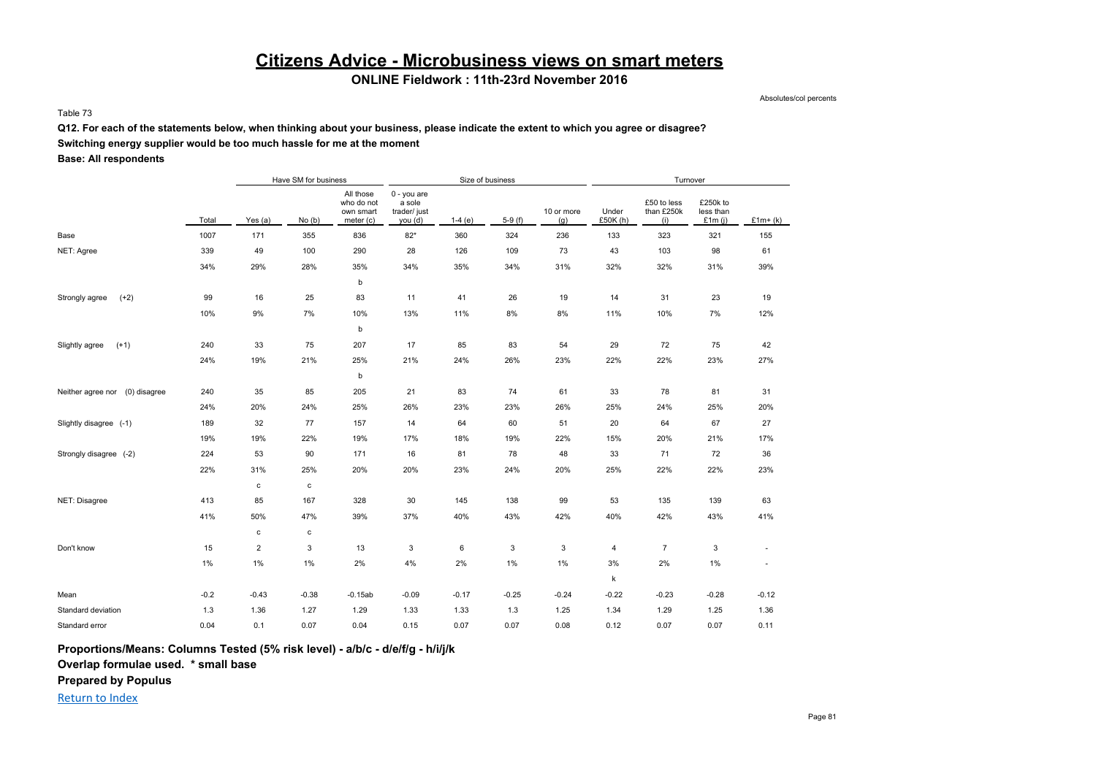## **Citizens Advice - Microbusiness views on smart meters**

### **ONLINE Fieldwork : 11th-23rd November 2016**

Absolutes/col percents

#### Table 73

**Q12. For each of the statements below, when thinking about your business, please indicate the extent to which you agree or disagree?**

**Switching energy supplier would be too much hassle for me at the moment**

#### **Base: All respondents**

|                                   |        |                | Have SM for business |                                                   |                                                  | Size of business |          |                   | Turnover         |                                  |                                    |           |  |
|-----------------------------------|--------|----------------|----------------------|---------------------------------------------------|--------------------------------------------------|------------------|----------|-------------------|------------------|----------------------------------|------------------------------------|-----------|--|
|                                   | Total  | Yes (a)        | No(b)                | All those<br>who do not<br>own smart<br>meter (c) | 0 - you are<br>a sole<br>trader/ just<br>you (d) | $1-4(e)$         | $5-9(f)$ | 10 or more<br>(g) | Under<br>£50K(h) | £50 to less<br>than £250k<br>(i) | £250k to<br>less than<br>£1 $m(i)$ | $£1m+(k)$ |  |
| Base                              | 1007   | 171            | 355                  | 836                                               | $82*$                                            | 360              | 324      | 236               | 133              | 323                              | 321                                | 155       |  |
| NET: Agree                        | 339    | 49             | 100                  | 290                                               | 28                                               | 126              | 109      | 73                | 43               | 103                              | 98                                 | 61        |  |
|                                   | 34%    | 29%            | 28%                  | 35%                                               | 34%                                              | 35%              | 34%      | 31%               | 32%              | 32%                              | 31%                                | 39%       |  |
|                                   |        |                |                      | b                                                 |                                                  |                  |          |                   |                  |                                  |                                    |           |  |
| Strongly agree<br>$(+2)$          | 99     | 16             | 25                   | 83                                                | 11                                               | 41               | 26       | 19                | 14               | 31                               | 23                                 | 19        |  |
|                                   | 10%    | 9%             | 7%                   | 10%                                               | 13%                                              | 11%              | 8%       | 8%                | 11%              | 10%                              | 7%                                 | 12%       |  |
|                                   |        |                |                      | b                                                 |                                                  |                  |          |                   |                  |                                  |                                    |           |  |
| $(+1)$<br>Slightly agree          | 240    | 33             | 75                   | 207                                               | 17                                               | 85               | 83       | 54                | 29               | 72                               | 75                                 | 42        |  |
|                                   | 24%    | 19%            | 21%                  | 25%                                               | 21%                                              | 24%              | 26%      | 23%               | 22%              | 22%                              | 23%                                | 27%       |  |
|                                   |        |                |                      | b                                                 |                                                  |                  |          |                   |                  |                                  |                                    |           |  |
| (0) disagree<br>Neither agree nor | 240    | 35             | 85                   | 205                                               | 21                                               | 83               | 74       | 61                | 33               | 78                               | 81                                 | 31        |  |
|                                   | 24%    | 20%            | 24%                  | 25%                                               | 26%                                              | 23%              | 23%      | 26%               | 25%              | 24%                              | 25%                                | 20%       |  |
| Slightly disagree (-1)            | 189    | 32             | 77                   | 157                                               | 14                                               | 64               | 60       | 51                | 20               | 64                               | 67                                 | 27        |  |
|                                   | 19%    | 19%            | 22%                  | 19%                                               | 17%                                              | 18%              | 19%      | 22%               | 15%              | 20%                              | 21%                                | 17%       |  |
| Strongly disagree (-2)            | 224    | 53             | 90                   | 171                                               | 16                                               | 81               | 78       | 48                | 33               | 71                               | 72                                 | 36        |  |
|                                   | 22%    | 31%            | 25%                  | 20%                                               | 20%                                              | 23%              | 24%      | 20%               | 25%              | 22%                              | 22%                                | 23%       |  |
|                                   |        | $\mathbf{c}$   | c                    |                                                   |                                                  |                  |          |                   |                  |                                  |                                    |           |  |
| NET: Disagree                     | 413    | 85             | 167                  | 328                                               | 30                                               | 145              | 138      | 99                | 53               | 135                              | 139                                | 63        |  |
|                                   | 41%    | 50%            | 47%                  | 39%                                               | 37%                                              | 40%              | 43%      | 42%               | 40%              | 42%                              | 43%                                | 41%       |  |
|                                   |        | $\mathbf c$    | $\mathbf c$          |                                                   |                                                  |                  |          |                   |                  |                                  |                                    |           |  |
| Don't know                        | 15     | $\overline{c}$ | 3                    | 13                                                | 3                                                | 6                | 3        | 3                 | 4                | 7                                | 3                                  |           |  |
|                                   | $1\%$  | 1%             | $1\%$                | 2%                                                | 4%                                               | 2%               | 1%       | 1%                | 3%               | 2%                               | $1\%$                              | $\sim$    |  |
|                                   |        |                |                      |                                                   |                                                  |                  |          |                   | $\sf k$          |                                  |                                    |           |  |
| Mean                              | $-0.2$ | $-0.43$        | $-0.38$              | $-0.15ab$                                         | $-0.09$                                          | $-0.17$          | $-0.25$  | $-0.24$           | $-0.22$          | $-0.23$                          | $-0.28$                            | $-0.12$   |  |
| Standard deviation                | 1.3    | 1.36           | 1.27                 | 1.29                                              | 1.33                                             | 1.33             | 1.3      | 1.25              | 1.34             | 1.29                             | 1.25                               | 1.36      |  |
| Standard error                    | 0.04   | 0.1            | 0.07                 | 0.04                                              | 0.15                                             | 0.07             | 0.07     | 0.08              | 0.12             | 0.07                             | 0.07                               | 0.11      |  |

**Proportions/Means: Columns Tested (5% risk level) - a/b/c - d/e/f/g - h/i/j/k**

**Overlap formulae used. \* small base**

**Prepared by Populus**

Return to Index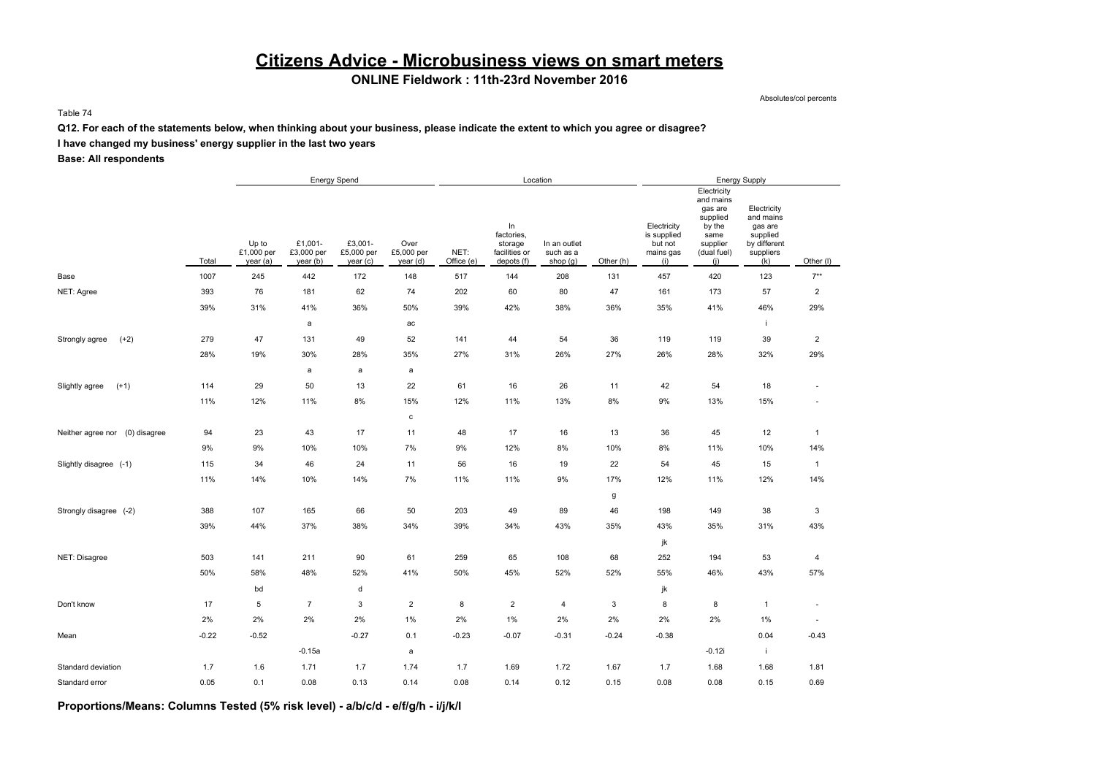# **Citizens Advice - Microbusiness views on smart meters**

### **ONLINE Fieldwork : 11th-23rd November 2016**

Absolutes/col percents

#### Table 74

#### **Q12. For each of the statements below, when thinking about your business, please indicate the extent to which you agree or disagree?**

### **I have changed my business' energy supplier in the last two years**

**Base: All respondents**

|                                   |         |                                 |                                   | Energy Spend                      |                                |                    |                                                            | Location                              |           |                                                           |                                                                                                     | <b>Energy Supply</b>                                                                |                          |
|-----------------------------------|---------|---------------------------------|-----------------------------------|-----------------------------------|--------------------------------|--------------------|------------------------------------------------------------|---------------------------------------|-----------|-----------------------------------------------------------|-----------------------------------------------------------------------------------------------------|-------------------------------------------------------------------------------------|--------------------------|
|                                   | Total   | Up to<br>£1,000 per<br>year (a) | £1,001-<br>£3,000 per<br>year (b) | £3,001-<br>£5,000 per<br>year (c) | Over<br>£5,000 per<br>year (d) | NET:<br>Office (e) | In<br>factories,<br>storage<br>facilities or<br>depots (f) | In an outlet<br>such as a<br>shop (g) | Other (h) | Electricity<br>is supplied<br>but not<br>mains gas<br>(i) | Electricity<br>and mains<br>gas are<br>supplied<br>by the<br>same<br>supplier<br>(dual fuel)<br>(i) | Electricity<br>and mains<br>gas are<br>supplied<br>by different<br>suppliers<br>(k) | Other (I)                |
| Base                              | 1007    | 245                             | 442                               | 172                               | 148                            | 517                | 144                                                        | 208                                   | 131       | 457                                                       | 420                                                                                                 | 123                                                                                 | $7***$                   |
| NET: Agree                        | 393     | 76                              | 181                               | 62                                | 74                             | 202                | 60                                                         | 80                                    | 47        | 161                                                       | 173                                                                                                 | 57                                                                                  | $\overline{2}$           |
|                                   | 39%     | 31%                             | 41%                               | 36%                               | 50%                            | 39%                | 42%                                                        | 38%                                   | 36%       | 35%                                                       | 41%                                                                                                 | 46%                                                                                 | 29%                      |
|                                   |         |                                 | a                                 |                                   | ac                             |                    |                                                            |                                       |           |                                                           |                                                                                                     | j.                                                                                  |                          |
| $(+2)$<br>Strongly agree          | 279     | 47                              | 131                               | 49                                | 52                             | 141                | 44                                                         | 54                                    | 36        | 119                                                       | 119                                                                                                 | 39                                                                                  | $\overline{2}$           |
|                                   | 28%     | 19%                             | 30%                               | 28%                               | 35%                            | 27%                | 31%                                                        | 26%                                   | 27%       | 26%                                                       | 28%                                                                                                 | 32%                                                                                 | 29%                      |
|                                   |         |                                 | $\mathsf{a}$                      | a                                 | a                              |                    |                                                            |                                       |           |                                                           |                                                                                                     |                                                                                     |                          |
| $(+1)$<br>Slightly agree          | 114     | 29                              | 50                                | 13                                | 22                             | 61                 | 16                                                         | 26                                    | 11        | 42                                                        | 54                                                                                                  | 18                                                                                  | $\overline{\phantom{a}}$ |
|                                   | 11%     | 12%                             | 11%                               | 8%                                | 15%                            | 12%                | 11%                                                        | 13%                                   | 8%        | $9\%$                                                     | 13%                                                                                                 | 15%                                                                                 | ä,                       |
|                                   |         |                                 |                                   |                                   | $\mathbf c$                    |                    |                                                            |                                       |           |                                                           |                                                                                                     |                                                                                     |                          |
| Neither agree nor<br>(0) disagree | 94      | 23                              | 43                                | 17                                | 11                             | 48                 | 17                                                         | 16                                    | 13        | 36                                                        | 45                                                                                                  | 12                                                                                  | $\mathbf{1}$             |
|                                   | 9%      | 9%                              | 10%                               | 10%                               | 7%                             | 9%                 | 12%                                                        | 8%                                    | 10%       | 8%                                                        | 11%                                                                                                 | 10%                                                                                 | 14%                      |
| Slightly disagree (-1)            | 115     | 34                              | 46                                | 24                                | 11                             | 56                 | 16                                                         | 19                                    | 22        | 54                                                        | 45                                                                                                  | 15                                                                                  | $\mathbf{1}$             |
|                                   | 11%     | 14%                             | 10%                               | 14%                               | 7%                             | 11%                | 11%                                                        | 9%                                    | 17%       | 12%                                                       | 11%                                                                                                 | 12%                                                                                 | 14%                      |
|                                   |         |                                 |                                   |                                   |                                |                    |                                                            |                                       | g         |                                                           |                                                                                                     |                                                                                     |                          |
| Strongly disagree (-2)            | 388     | 107                             | 165                               | 66                                | 50                             | 203                | 49                                                         | 89                                    | 46        | 198                                                       | 149                                                                                                 | 38                                                                                  | 3                        |
|                                   | 39%     | 44%                             | 37%                               | 38%                               | 34%                            | 39%                | 34%                                                        | 43%                                   | 35%       | 43%                                                       | 35%                                                                                                 | 31%                                                                                 | 43%                      |
|                                   |         |                                 |                                   |                                   |                                |                    |                                                            |                                       |           | jk                                                        |                                                                                                     |                                                                                     |                          |
| NET: Disagree                     | 503     | 141                             | 211                               | 90                                | 61                             | 259                | 65                                                         | 108                                   | 68        | 252                                                       | 194                                                                                                 | 53                                                                                  | $\overline{4}$           |
|                                   | 50%     | 58%                             | 48%                               | 52%                               | 41%                            | 50%                | 45%                                                        | 52%                                   | 52%       | 55%                                                       | 46%                                                                                                 | 43%                                                                                 | 57%                      |
|                                   |         | bd                              |                                   | d                                 |                                |                    |                                                            |                                       |           | jk                                                        |                                                                                                     |                                                                                     |                          |
| Don't know                        | 17      | 5                               | $\overline{7}$                    | 3                                 | $\overline{2}$                 | 8                  | $\overline{2}$                                             | 4                                     | 3         | 8                                                         | 8                                                                                                   | $\mathbf{1}$                                                                        | $\overline{\phantom{a}}$ |
|                                   | 2%      | 2%                              | 2%                                | 2%                                | 1%                             | 2%                 | $1\%$                                                      | 2%                                    | 2%        | 2%                                                        | 2%                                                                                                  | 1%                                                                                  | $\blacksquare$           |
| Mean                              | $-0.22$ | $-0.52$                         |                                   | $-0.27$                           | 0.1                            | $-0.23$            | $-0.07$                                                    | $-0.31$                               | $-0.24$   | $-0.38$                                                   |                                                                                                     | 0.04                                                                                | $-0.43$                  |
|                                   |         |                                 | $-0.15a$                          |                                   | $\mathsf{a}$                   |                    |                                                            |                                       |           |                                                           | $-0.12i$                                                                                            | j.                                                                                  |                          |
| Standard deviation                | 1.7     | 1.6                             | 1.71                              | 1.7                               | 1.74                           | 1.7                | 1.69                                                       | 1.72                                  | 1.67      | 1.7                                                       | 1.68                                                                                                | 1.68                                                                                | 1.81                     |
| Standard error                    | 0.05    | 0.1                             | 0.08                              | 0.13                              | 0.14                           | 0.08               | 0.14                                                       | 0.12                                  | 0.15      | 0.08                                                      | 0.08                                                                                                | 0.15                                                                                | 0.69                     |

**Proportions/Means: Columns Tested (5% risk level) - a/b/c/d - e/f/g/h - i/j/k/l**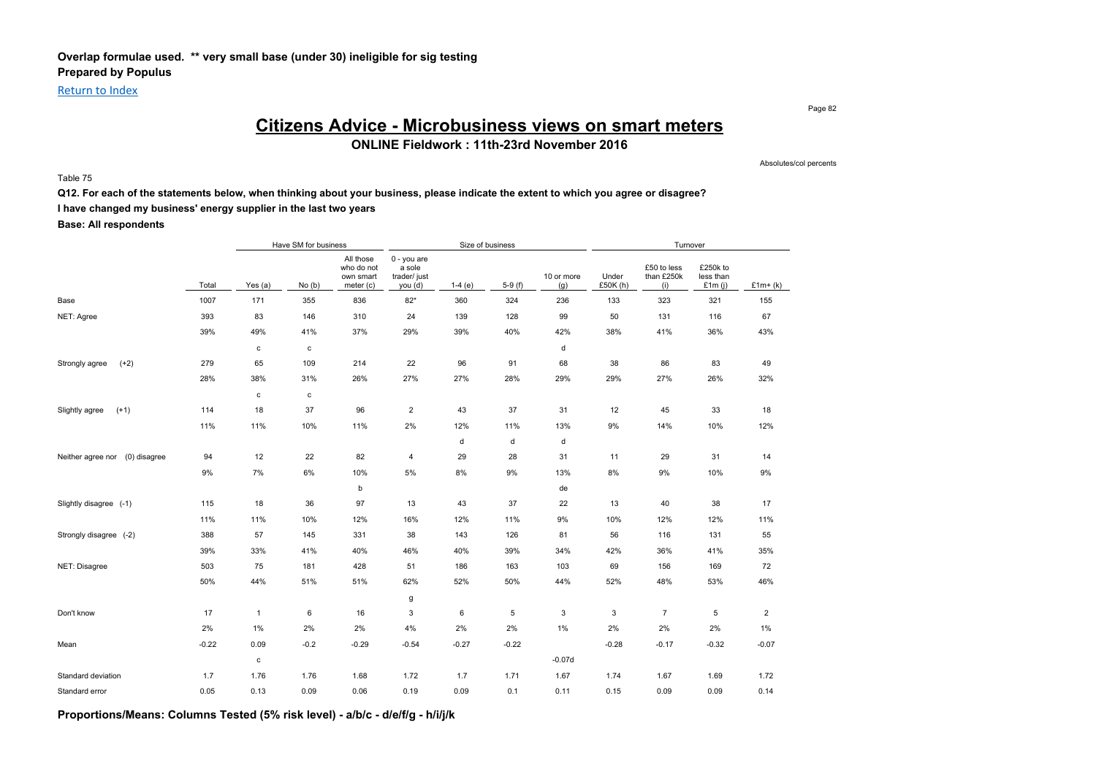### **Overlap formulae used. \*\* very small base (under 30) ineligible for sig testing Prepared by Populus**

Return to Index

Page 82

### **Citizens Advice - Microbusiness views on smart meters**

**ONLINE Fieldwork : 11th-23rd November 2016**

Absolutes/col percents

Table 75

#### **Q12. For each of the statements below, when thinking about your business, please indicate the extent to which you agree or disagree?**

**I have changed my business' energy supplier in the last two years**

**Base: All respondents**

|                                |         |              | Have SM for business |                                                   |                                                    | Size of business |          |                   |                   | Turnover                         |                                    |                |
|--------------------------------|---------|--------------|----------------------|---------------------------------------------------|----------------------------------------------------|------------------|----------|-------------------|-------------------|----------------------------------|------------------------------------|----------------|
|                                | Total   | Yes (a)      | No(b)                | All those<br>who do not<br>own smart<br>meter (c) | $0 - you are$<br>a sole<br>trader/ just<br>you (d) | $1-4(e)$         | $5-9(f)$ | 10 or more<br>(g) | Under<br>£50K (h) | £50 to less<br>than £250k<br>(i) | £250k to<br>less than<br>£1 $m(i)$ | $£1m+(k)$      |
| Base                           | 1007    | 171          | 355                  | 836                                               | $82*$                                              | 360              | 324      | 236               | 133               | 323                              | 321                                | 155            |
| NET: Agree                     | 393     | 83           | 146                  | 310                                               | 24                                                 | 139              | 128      | 99                | 50                | 131                              | 116                                | 67             |
|                                | 39%     | 49%          | 41%                  | 37%                                               | 29%                                                | 39%              | 40%      | 42%               | 38%               | 41%                              | 36%                                | 43%            |
|                                |         | $\mathbf c$  | c                    |                                                   |                                                    |                  |          | d                 |                   |                                  |                                    |                |
| $(+2)$<br>Strongly agree       | 279     | 65           | 109                  | 214                                               | 22                                                 | 96               | 91       | 68                | 38                | 86                               | 83                                 | 49             |
|                                | 28%     | 38%          | 31%                  | 26%                                               | 27%                                                | 27%              | 28%      | 29%               | 29%               | 27%                              | 26%                                | 32%            |
|                                |         | $\mathbf c$  | $\mathbf c$          |                                                   |                                                    |                  |          |                   |                   |                                  |                                    |                |
| $(+1)$<br>Slightly agree       | 114     | 18           | 37                   | 96                                                | $\overline{2}$                                     | 43               | 37       | 31                | 12                | 45                               | 33                                 | 18             |
|                                | 11%     | 11%          | 10%                  | 11%                                               | 2%                                                 | 12%              | 11%      | 13%               | 9%                | 14%                              | 10%                                | 12%            |
|                                |         |              |                      |                                                   |                                                    | d                | d        | d                 |                   |                                  |                                    |                |
| Neither agree nor (0) disagree | 94      | 12           | 22                   | 82                                                | $\overline{4}$                                     | 29               | 28       | 31                | 11                | 29                               | 31                                 | 14             |
|                                | 9%      | 7%           | 6%                   | 10%                                               | 5%                                                 | 8%               | 9%       | 13%               | 8%                | 9%                               | 10%                                | $9\%$          |
|                                |         |              |                      | b                                                 |                                                    |                  |          | de                |                   |                                  |                                    |                |
| Slightly disagree (-1)         | 115     | 18           | 36                   | 97                                                | 13                                                 | 43               | 37       | 22                | 13                | 40                               | 38                                 | 17             |
|                                | 11%     | 11%          | 10%                  | 12%                                               | 16%                                                | 12%              | 11%      | 9%                | 10%               | 12%                              | 12%                                | 11%            |
| Strongly disagree (-2)         | 388     | 57           | 145                  | 331                                               | 38                                                 | 143              | 126      | 81                | 56                | 116                              | 131                                | 55             |
|                                | 39%     | 33%          | 41%                  | 40%                                               | 46%                                                | 40%              | 39%      | 34%               | 42%               | 36%                              | 41%                                | 35%            |
| NET: Disagree                  | 503     | 75           | 181                  | 428                                               | 51                                                 | 186              | 163      | 103               | 69                | 156                              | 169                                | 72             |
|                                | 50%     | 44%          | 51%                  | 51%                                               | 62%                                                | 52%              | 50%      | 44%               | 52%               | 48%                              | 53%                                | 46%            |
|                                |         |              |                      |                                                   | g                                                  |                  |          |                   |                   |                                  |                                    |                |
| Don't know                     | 17      | $\mathbf{1}$ | 6                    | 16                                                | 3                                                  | 6                | 5        | 3                 | 3                 | $\overline{7}$                   | 5                                  | $\overline{2}$ |
|                                | 2%      | 1%           | 2%                   | 2%                                                | 4%                                                 | 2%               | 2%       | 1%                | 2%                | 2%                               | 2%                                 | $1\%$          |
| Mean                           | $-0.22$ | 0.09         | $-0.2$               | $-0.29$                                           | $-0.54$                                            | $-0.27$          | $-0.22$  |                   | $-0.28$           | $-0.17$                          | $-0.32$                            | $-0.07$        |
|                                |         | $\mathbf c$  |                      |                                                   |                                                    |                  |          | $-0.07d$          |                   |                                  |                                    |                |
| Standard deviation             | 1.7     | 1.76         | 1.76                 | 1.68                                              | 1.72                                               | 1.7              | 1.71     | 1.67              | 1.74              | 1.67                             | 1.69                               | 1.72           |
| Standard error                 | 0.05    | 0.13         | 0.09                 | 0.06                                              | 0.19                                               | 0.09             | 0.1      | 0.11              | 0.15              | 0.09                             | 0.09                               | 0.14           |

**Proportions/Means: Columns Tested (5% risk level) - a/b/c - d/e/f/g - h/i/j/k**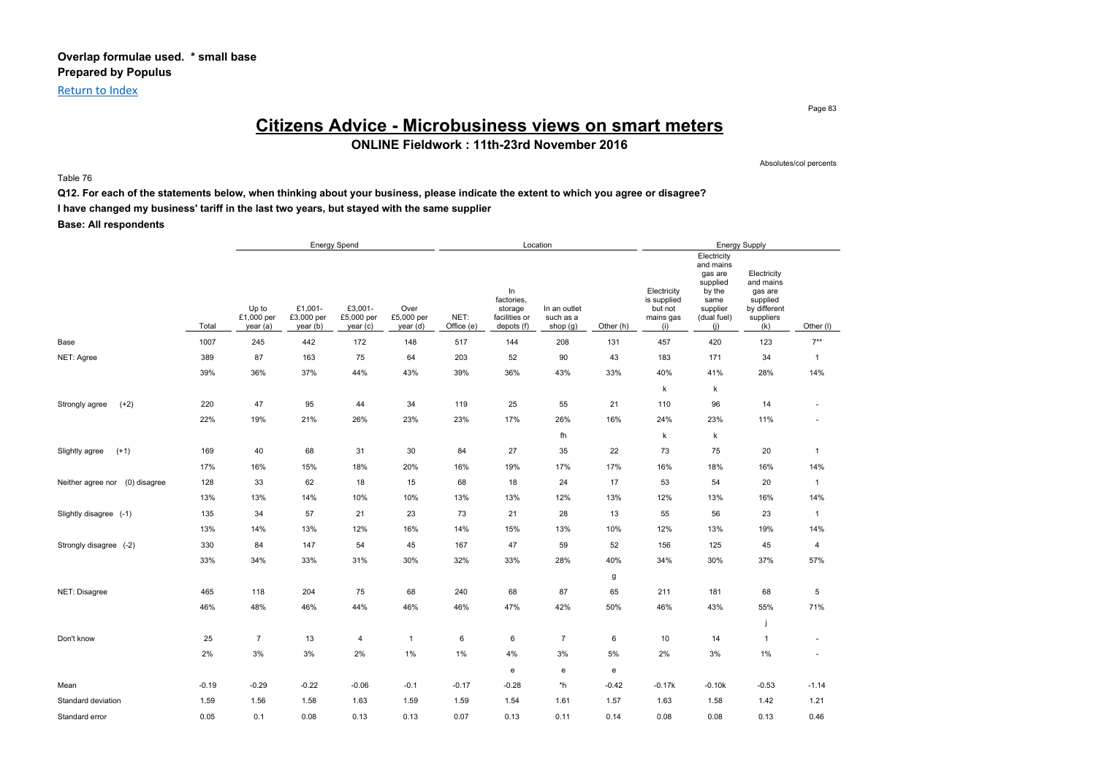Return to Index

Page 83

# **Citizens Advice - Microbusiness views on smart meters**

**ONLINE Fieldwork : 11th-23rd November 2016**

Absolutes/col percents

Table 76

**Q12. For each of the statements below, when thinking about your business, please indicate the extent to which you agree or disagree?**

**I have changed my business' tariff in the last two years, but stayed with the same supplier**

**Base: All respondents**

|                                |         |                                 |                                   | <b>Energy Spend</b>               |                                |                    |                                                            | Location                              |           |                                                           |                                                                                                     | <b>Energy Supply</b>                                                                |                          |
|--------------------------------|---------|---------------------------------|-----------------------------------|-----------------------------------|--------------------------------|--------------------|------------------------------------------------------------|---------------------------------------|-----------|-----------------------------------------------------------|-----------------------------------------------------------------------------------------------------|-------------------------------------------------------------------------------------|--------------------------|
|                                | Total   | Up to<br>£1,000 per<br>year (a) | £1,001-<br>£3,000 per<br>year (b) | £3,001-<br>£5,000 per<br>year (c) | Over<br>£5,000 per<br>year (d) | NET:<br>Office (e) | In<br>factories,<br>storage<br>facilities or<br>depots (f) | In an outlet<br>such as a<br>shop (g) | Other (h) | Electricity<br>is supplied<br>but not<br>mains gas<br>(i) | Electricity<br>and mains<br>gas are<br>supplied<br>by the<br>same<br>supplier<br>(dual fuel)<br>(i) | Electricity<br>and mains<br>gas are<br>supplied<br>by different<br>suppliers<br>(k) | Other (I)                |
| Base                           | 1007    | 245                             | 442                               | 172                               | 148                            | 517                | 144                                                        | 208                                   | 131       | 457                                                       | 420                                                                                                 | 123                                                                                 | $7**$                    |
| NET: Agree                     | 389     | 87                              | 163                               | 75                                | 64                             | 203                | 52                                                         | 90                                    | 43        | 183                                                       | 171                                                                                                 | 34                                                                                  | $\mathbf{1}$             |
|                                | 39%     | 36%                             | 37%                               | 44%                               | 43%                            | 39%                | 36%                                                        | 43%                                   | 33%       | 40%                                                       | 41%                                                                                                 | 28%                                                                                 | 14%                      |
|                                |         |                                 |                                   |                                   |                                |                    |                                                            |                                       |           | k                                                         | k                                                                                                   |                                                                                     |                          |
| $(+2)$<br>Strongly agree       | 220     | 47                              | 95                                | 44                                | 34                             | 119                | 25                                                         | 55                                    | 21        | 110                                                       | 96                                                                                                  | 14                                                                                  | ä,                       |
|                                | 22%     | 19%                             | 21%                               | 26%                               | 23%                            | 23%                | 17%                                                        | 26%                                   | 16%       | 24%                                                       | 23%                                                                                                 | 11%                                                                                 | ٠                        |
|                                |         |                                 |                                   |                                   |                                |                    |                                                            | fh                                    |           | k                                                         | k                                                                                                   |                                                                                     |                          |
| $(+1)$<br>Slightly agree       | 169     | 40                              | 68                                | 31                                | 30                             | 84                 | 27                                                         | 35                                    | 22        | 73                                                        | 75                                                                                                  | 20                                                                                  | $\mathbf{1}$             |
|                                | 17%     | 16%                             | 15%                               | 18%                               | 20%                            | 16%                | 19%                                                        | 17%                                   | 17%       | 16%                                                       | 18%                                                                                                 | 16%                                                                                 | 14%                      |
| Neither agree nor (0) disagree | 128     | 33                              | 62                                | 18                                | 15                             | 68                 | 18                                                         | 24                                    | 17        | 53                                                        | 54                                                                                                  | 20                                                                                  | $\overline{1}$           |
|                                | 13%     | 13%                             | 14%                               | 10%                               | 10%                            | 13%                | 13%                                                        | 12%                                   | 13%       | 12%                                                       | 13%                                                                                                 | 16%                                                                                 | 14%                      |
| Slightly disagree (-1)         | 135     | 34                              | 57                                | 21                                | 23                             | 73                 | 21                                                         | 28                                    | 13        | 55                                                        | 56                                                                                                  | 23                                                                                  | $\overline{1}$           |
|                                | 13%     | 14%                             | 13%                               | 12%                               | 16%                            | 14%                | 15%                                                        | 13%                                   | 10%       | 12%                                                       | 13%                                                                                                 | 19%                                                                                 | 14%                      |
| Strongly disagree (-2)         | 330     | 84                              | 147                               | 54                                | 45                             | 167                | 47                                                         | 59                                    | 52        | 156                                                       | 125                                                                                                 | 45                                                                                  | $\overline{4}$           |
|                                | 33%     | 34%                             | 33%                               | 31%                               | 30%                            | 32%                | 33%                                                        | 28%                                   | 40%       | 34%                                                       | 30%                                                                                                 | 37%                                                                                 | 57%                      |
|                                |         |                                 |                                   |                                   |                                |                    |                                                            |                                       | g         |                                                           |                                                                                                     |                                                                                     |                          |
| NET: Disagree                  | 465     | 118                             | 204                               | 75                                | 68                             | 240                | 68                                                         | 87                                    | 65        | 211                                                       | 181                                                                                                 | 68                                                                                  | 5                        |
|                                | 46%     | 48%                             | 46%                               | 44%                               | 46%                            | 46%                | 47%                                                        | 42%                                   | 50%       | 46%                                                       | 43%                                                                                                 | 55%                                                                                 | 71%                      |
|                                |         |                                 |                                   |                                   |                                |                    |                                                            |                                       |           |                                                           |                                                                                                     |                                                                                     |                          |
| Don't know                     | 25      | $\overline{7}$                  | 13                                | $\overline{4}$                    | $\overline{1}$                 | 6                  | 6                                                          | $\overline{7}$                        | 6         | 10                                                        | 14                                                                                                  | $\mathbf{1}$                                                                        | $\overline{\phantom{m}}$ |
|                                | 2%      | 3%                              | $3\%$                             | 2%                                | 1%                             | 1%                 | 4%                                                         | 3%                                    | $5\%$     | 2%                                                        | $3\%$                                                                                               | $1\%$                                                                               | ä,                       |
|                                |         |                                 |                                   |                                   |                                |                    | e                                                          | e                                     | ${\bf e}$ |                                                           |                                                                                                     |                                                                                     |                          |
| Mean                           | $-0.19$ | $-0.29$                         | $-0.22$                           | $-0.06$                           | $-0.1$                         | $-0.17$            | $-0.28$                                                    | *h                                    | $-0.42$   | $-0.17k$                                                  | $-0.10k$                                                                                            | $-0.53$                                                                             | $-1.14$                  |
| Standard deviation             | 1.59    | 1.56                            | 1.58                              | 1.63                              | 1.59                           | 1.59               | 1.54                                                       | 1.61                                  | 1.57      | 1.63                                                      | 1.58                                                                                                | 1.42                                                                                | 1.21                     |
| Standard error                 | 0.05    | 0.1                             | 0.08                              | 0.13                              | 0.13                           | 0.07               | 0.13                                                       | 0.11                                  | 0.14      | 0.08                                                      | 0.08                                                                                                | 0.13                                                                                | 0.46                     |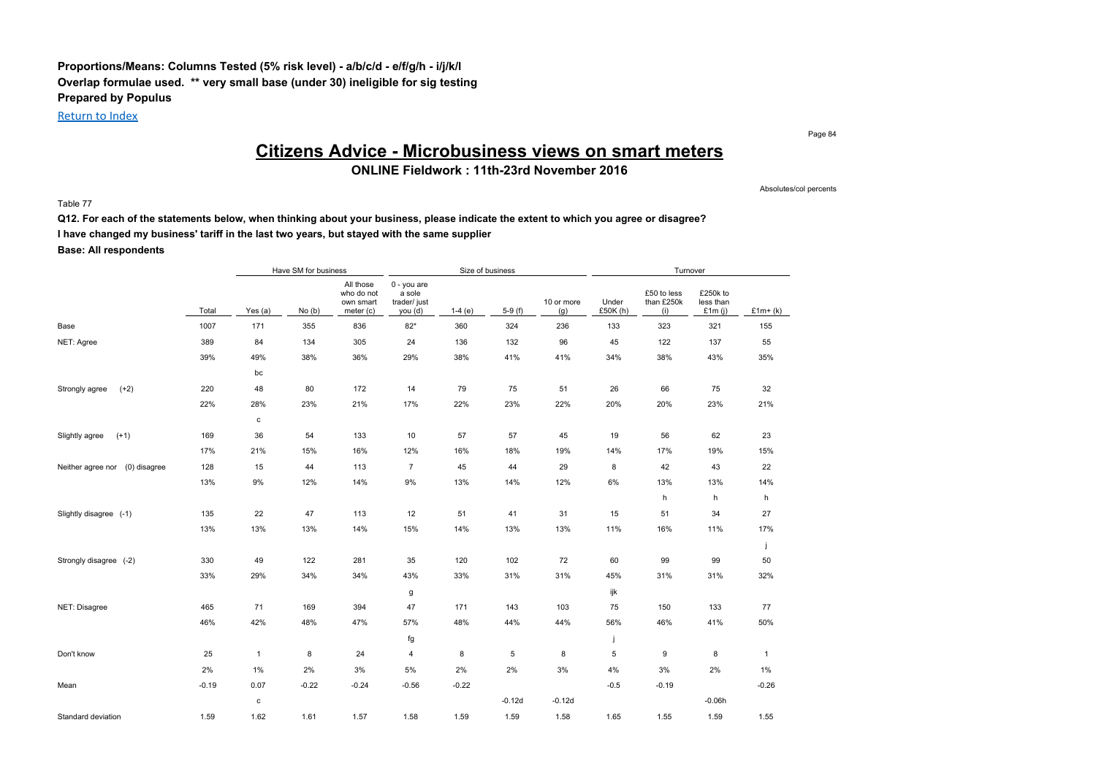### **Proportions/Means: Columns Tested (5% risk level) - a/b/c/d - e/f/g/h - i/j/k/l Overlap formulae used. \*\* very small base (under 30) ineligible for sig testing Prepared by Populus**

Return to Index

Page 84

Absolutes/col percents

# **Citizens Advice - Microbusiness views on smart meters**

**ONLINE Fieldwork : 11th-23rd November 2016**

Table 77

**Q12. For each of the statements below, when thinking about your business, please indicate the extent to which you agree or disagree? I have changed my business' tariff in the last two years, but stayed with the same supplier Base: All respondents**

Have SM for business Turnover Size of business Size of business Size of business Turnover Total Yes (a) No (b) All those who do not own smart meter (c) 0 - you are a sole trader/ just you (d)  $1-4$  (e)  $5-9$  (f) 10 or more (g) Under £50K (h) £50 to less than £250k (i) £250k to less than £1m (j)  $£1m+(k)$ Base 1007 171 355 836 82\* 360 324 236 133 323 321 155 NET: Agree 389 84 134 305 24 136 132 96 45 122 137 55 39% 49% 38% 36% 29% 38% 41% 41% 34% 38% 43% 35% bc Strongly agree (+2) 220 48 80 172 14 79 75 51 26 66 75 32 22% 28% 23% 21% 17% 22% 23% 22% 20% 20% 23% 21% c Slightly agree (+1) 169 36 54 133 10 57 57 45 19 56 62 23 17% 21% 15% 16% 12% 16% 18% 19% 14% 17% 19% 15% Neither agree nor (0) disagree 128 15 44 113 7 45 44 29 8 42 43 22 13% 9% 12% 14% 9% 13% 14% 12% 6% 13% 13% 14% h h h Slightly disagree (-1) 135 22 47 113 12 51 41 31 15 51 34 27 13% 13% 13% 14% 15% 14% 13% 13% 11% 16% 11% 17% j Strongly disagree (-2) 330 49 122 281 35 120 102 72 60 99 99 50 33% 29% 34% 34% 43% 33% 31% 31% 45% 31% 31% 32% g ijk in de staat de staat de groep in de staat de groep in de staat de groep in de staat de groep in de groep NET: Disagree 465 71 169 394 47 171 143 103 75 150 133 77 46% 42% 48% 47% 57% 48% 44% 44% 56% 46% 41% 50% fg in the set of the set of the set of the set of the set of the set of the set of the set of the set of the s Don't know 25 1 8 24 4 8 5 8 5 9 8 1 2% 1% 2% 3% 5% 2% 2% 3% 4% 3% 2% 1% Mean -0.19 0.07 -0.22 -0.24 -0.56 -0.22 -0.5 -0.19 -0.26  $-0.12d$   $-0.12d$   $-0.06h$ Standard deviation 1.59 1.62 1.61 1.57 1.58 1.59 1.59 1.58 1.65 1.55 1.59 1.55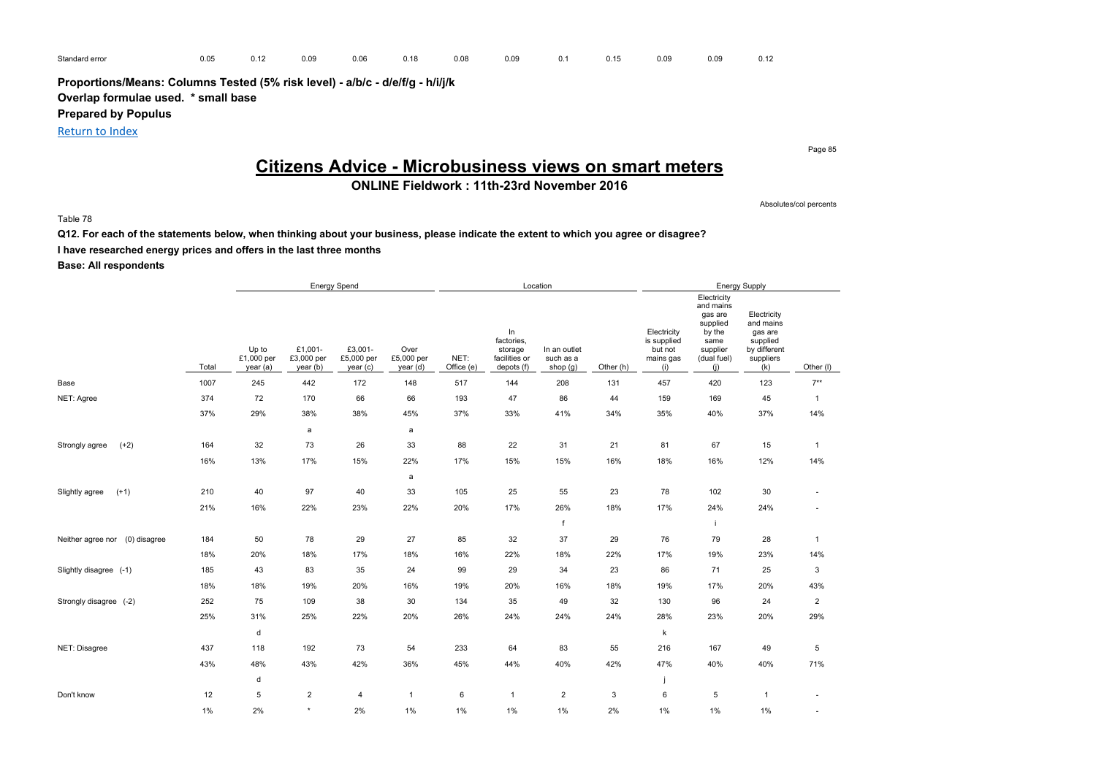**Proportions/Means: Columns Tested (5% risk level) - a/b/c - d/e/f/g - h/i/j/k Overlap formulae used. \* small base**

**Prepared by Populus**

Return to Index

# **Citizens Advice - Microbusiness views on smart meters**

**ONLINE Fieldwork : 11th-23rd November 2016**

Absolutes/col percents

Page 85

Table 78

**Q12. For each of the statements below, when thinking about your business, please indicate the extent to which you agree or disagree? I have researched energy prices and offers in the last three months**

**Base: All respondents**

|                                |       |                                 |                                   | Energy Spend                      |                                |                    |                                                            | Location                                |           |                                                           |                                                                                                     | <b>Energy Supply</b>                                                                |                |
|--------------------------------|-------|---------------------------------|-----------------------------------|-----------------------------------|--------------------------------|--------------------|------------------------------------------------------------|-----------------------------------------|-----------|-----------------------------------------------------------|-----------------------------------------------------------------------------------------------------|-------------------------------------------------------------------------------------|----------------|
|                                | Total | Up to<br>£1,000 per<br>year (a) | £1,001-<br>£3,000 per<br>year (b) | £3,001-<br>£5,000 per<br>year (c) | Over<br>£5,000 per<br>year (d) | NET:<br>Office (e) | In<br>factories.<br>storage<br>facilities or<br>depots (f) | In an outlet<br>such as a<br>shop $(g)$ | Other (h) | Electricity<br>is supplied<br>but not<br>mains gas<br>(i) | Electricity<br>and mains<br>gas are<br>supplied<br>by the<br>same<br>supplier<br>(dual fuel)<br>(i) | Electricity<br>and mains<br>gas are<br>supplied<br>by different<br>suppliers<br>(k) | Other (I)      |
| Base                           | 1007  | 245                             | 442                               | 172                               | 148                            | 517                | 144                                                        | 208                                     | 131       | 457                                                       | 420                                                                                                 | 123                                                                                 | $7***$         |
| NET: Agree                     | 374   | 72                              | 170                               | 66                                | 66                             | 193                | 47                                                         | 86                                      | 44        | 159                                                       | 169                                                                                                 | 45                                                                                  | $\mathbf{1}$   |
|                                | 37%   | 29%                             | 38%                               | 38%                               | 45%                            | 37%                | 33%                                                        | 41%                                     | 34%       | 35%                                                       | 40%                                                                                                 | 37%                                                                                 | 14%            |
|                                |       |                                 | a                                 |                                   | a                              |                    |                                                            |                                         |           |                                                           |                                                                                                     |                                                                                     |                |
| $(+2)$<br>Strongly agree       | 164   | 32                              | 73                                | 26                                | 33                             | 88                 | 22                                                         | 31                                      | 21        | 81                                                        | 67                                                                                                  | 15                                                                                  | $\mathbf{1}$   |
|                                | 16%   | 13%                             | 17%                               | 15%                               | 22%                            | 17%                | 15%                                                        | 15%                                     | 16%       | 18%                                                       | 16%                                                                                                 | 12%                                                                                 | 14%            |
|                                |       |                                 |                                   |                                   | a                              |                    |                                                            |                                         |           |                                                           |                                                                                                     |                                                                                     |                |
| $(+1)$<br>Slightly agree       | 210   | 40                              | 97                                | 40                                | 33                             | 105                | 25                                                         | 55                                      | 23        | 78                                                        | 102                                                                                                 | 30                                                                                  |                |
|                                | 21%   | 16%                             | 22%                               | 23%                               | 22%                            | 20%                | 17%                                                        | 26%                                     | 18%       | 17%                                                       | 24%                                                                                                 | 24%                                                                                 | ٠              |
|                                |       |                                 |                                   |                                   |                                |                    |                                                            | f                                       |           |                                                           |                                                                                                     |                                                                                     |                |
| Neither agree nor (0) disagree | 184   | 50                              | 78                                | 29                                | 27                             | 85                 | 32                                                         | 37                                      | 29        | 76                                                        | 79                                                                                                  | 28                                                                                  | $\overline{1}$ |
|                                | 18%   | 20%                             | 18%                               | 17%                               | 18%                            | 16%                | 22%                                                        | 18%                                     | 22%       | 17%                                                       | 19%                                                                                                 | 23%                                                                                 | 14%            |
| Slightly disagree (-1)         | 185   | 43                              | 83                                | 35                                | 24                             | 99                 | 29                                                         | 34                                      | 23        | 86                                                        | 71                                                                                                  | 25                                                                                  | 3              |
|                                | 18%   | 18%                             | 19%                               | 20%                               | 16%                            | 19%                | 20%                                                        | 16%                                     | 18%       | 19%                                                       | 17%                                                                                                 | 20%                                                                                 | 43%            |
| Strongly disagree (-2)         | 252   | 75                              | 109                               | 38                                | 30                             | 134                | 35                                                         | 49                                      | 32        | 130                                                       | 96                                                                                                  | 24                                                                                  | $\overline{2}$ |
|                                | 25%   | 31%                             | 25%                               | 22%                               | 20%                            | 26%                | 24%                                                        | 24%                                     | 24%       | 28%                                                       | 23%                                                                                                 | 20%                                                                                 | 29%            |
|                                |       | d                               |                                   |                                   |                                |                    |                                                            |                                         |           | $\mathsf k$                                               |                                                                                                     |                                                                                     |                |
| NET: Disagree                  | 437   | 118                             | 192                               | 73                                | 54                             | 233                | 64                                                         | 83                                      | 55        | 216                                                       | 167                                                                                                 | 49                                                                                  | 5              |
|                                | 43%   | 48%                             | 43%                               | 42%                               | 36%                            | 45%                | 44%                                                        | 40%                                     | 42%       | 47%                                                       | 40%                                                                                                 | 40%                                                                                 | 71%            |
|                                |       | d                               |                                   |                                   |                                |                    |                                                            |                                         |           | ÷                                                         |                                                                                                     |                                                                                     |                |
| Don't know                     | 12    | 5                               | $\overline{c}$                    | $\overline{4}$                    | $\mathbf{1}$                   | 6                  | $\mathbf{1}$                                               | $\overline{c}$                          | 3         | 6                                                         | 5                                                                                                   | $\mathbf{1}$                                                                        |                |
|                                | $1\%$ | 2%                              | $\star$                           | 2%                                | 1%                             | 1%                 | 1%                                                         | $1\%$                                   | 2%        | 1%                                                        | 1%                                                                                                  | 1%                                                                                  | ٠              |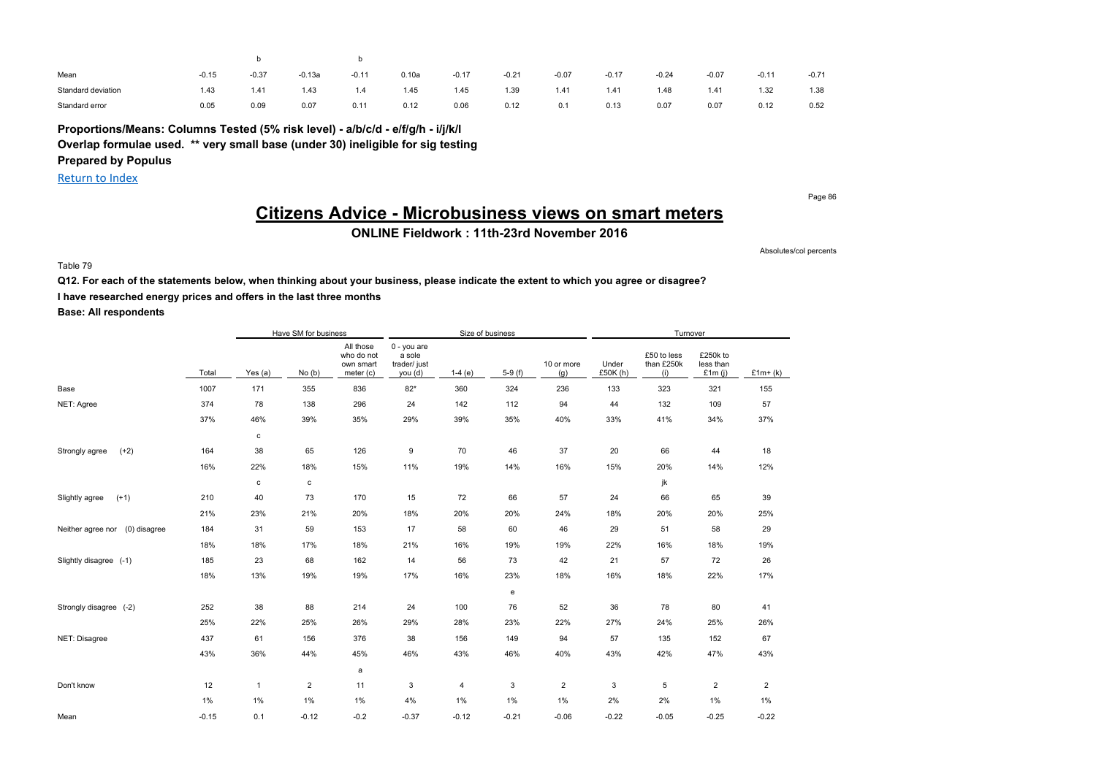| Mean               | $-0.15$ | $-0.37$ | $-0.13a$ | $-0.11$ | 0.10a | $-0.17$ | $-0.21$ | $-0.07$ | $-0.17$ | $-0.24$ | $-0.07$ | $-0.11$ | $-0.71$ |
|--------------------|---------|---------|----------|---------|-------|---------|---------|---------|---------|---------|---------|---------|---------|
| Standard deviation | 1.43    | 1.41    | 1.43     | 1.4     | 1.45  | 1.45    | 1.39    | 1.41    | 1.41    | 1.48    | 1.41    | 1.32    | 1.38    |
| Standard error     | 0.05    | 0.09    | 0.07     | 0.11    | 0.12  | 0.06    | 0.12    | 0.1     | 0.13    | 0.07    | 0.07    | 0.12    | 0.52    |

**Proportions/Means: Columns Tested (5% risk level) - a/b/c/d - e/f/g/h - i/j/k/l Overlap formulae used. \*\* very small base (under 30) ineligible for sig testing Prepared by Populus**

Return to Index

Page 86

# **Citizens Advice - Microbusiness views on smart meters**

**ONLINE Fieldwork : 11th-23rd November 2016**

Absolutes/col percents

Table 79

**Q12. For each of the statements below, when thinking about your business, please indicate the extent to which you agree or disagree?**

**I have researched energy prices and offers in the last three months**

**Base: All respondents**

|                                   |         |                | Have SM for business |                                                   |                                                  |          | Size of business |                   |                  | Turnover                         |                                    |                |
|-----------------------------------|---------|----------------|----------------------|---------------------------------------------------|--------------------------------------------------|----------|------------------|-------------------|------------------|----------------------------------|------------------------------------|----------------|
|                                   | Total   | Yes (a)        | No(b)                | All those<br>who do not<br>own smart<br>meter (c) | 0 - you are<br>a sole<br>trader/ just<br>you (d) | $1-4(e)$ | $5-9(f)$         | 10 or more<br>(g) | Under<br>£50K(h) | £50 to less<br>than £250k<br>(i) | £250k to<br>less than<br>£1 $m(i)$ | $£1m+(k)$      |
| Base                              | 1007    | 171            | 355                  | 836                                               | $82*$                                            | 360      | 324              | 236               | 133              | 323                              | 321                                | 155            |
| NET: Agree                        | 374     | 78             | 138                  | 296                                               | 24                                               | 142      | 112              | 94                | 44               | 132                              | 109                                | 57             |
|                                   | 37%     | 46%            | 39%                  | 35%                                               | 29%                                              | 39%      | 35%              | 40%               | 33%              | 41%                              | 34%                                | 37%            |
|                                   |         | $\mathbf c$    |                      |                                                   |                                                  |          |                  |                   |                  |                                  |                                    |                |
| $(+2)$<br>Strongly agree          | 164     | 38             | 65                   | 126                                               | 9                                                | 70       | 46               | 37                | 20               | 66                               | 44                                 | 18             |
|                                   | 16%     | 22%            | 18%                  | 15%                                               | 11%                                              | 19%      | 14%              | 16%               | 15%              | 20%                              | 14%                                | 12%            |
|                                   |         | $\mathbf c$    | c                    |                                                   |                                                  |          |                  |                   |                  | jk                               |                                    |                |
| $(+1)$<br>Slightly agree          | 210     | 40             | 73                   | 170                                               | 15                                               | 72       | 66               | 57                | 24               | 66                               | 65                                 | 39             |
|                                   | 21%     | 23%            | 21%                  | 20%                                               | 18%                                              | 20%      | 20%              | 24%               | 18%              | 20%                              | 20%                                | 25%            |
| (0) disagree<br>Neither agree nor | 184     | 31             | 59                   | 153                                               | 17                                               | 58       | 60               | 46                | 29               | 51                               | 58                                 | 29             |
|                                   | 18%     | 18%            | 17%                  | 18%                                               | 21%                                              | 16%      | 19%              | 19%               | 22%              | 16%                              | 18%                                | 19%            |
| Slightly disagree (-1)            | 185     | 23             | 68                   | 162                                               | 14                                               | 56       | 73               | 42                | 21               | 57                               | 72                                 | 26             |
|                                   | 18%     | 13%            | 19%                  | 19%                                               | 17%                                              | 16%      | 23%              | 18%               | 16%              | 18%                              | 22%                                | 17%            |
|                                   |         |                |                      |                                                   |                                                  |          | e                |                   |                  |                                  |                                    |                |
| Strongly disagree (-2)            | 252     | 38             | 88                   | 214                                               | 24                                               | 100      | 76               | 52                | 36               | 78                               | 80                                 | 41             |
|                                   | 25%     | 22%            | 25%                  | 26%                                               | 29%                                              | 28%      | 23%              | 22%               | 27%              | 24%                              | 25%                                | 26%            |
| NET: Disagree                     | 437     | 61             | 156                  | 376                                               | 38                                               | 156      | 149              | 94                | 57               | 135                              | 152                                | 67             |
|                                   | 43%     | 36%            | 44%                  | 45%                                               | 46%                                              | 43%      | 46%              | 40%               | 43%              | 42%                              | 47%                                | 43%            |
|                                   |         |                |                      | a                                                 |                                                  |          |                  |                   |                  |                                  |                                    |                |
| Don't know                        | 12      | $\overline{1}$ | $\overline{2}$       | 11                                                | 3                                                | 4        | 3                | $\overline{2}$    | 3                | 5                                | $\overline{c}$                     | $\overline{c}$ |
|                                   | $1\%$   | 1%             | 1%                   | 1%                                                | 4%                                               | $1\%$    | 1%               | 1%                | 2%               | 2%                               | 1%                                 | 1%             |
| Mean                              | $-0.15$ | 0.1            | $-0.12$              | $-0.2$                                            | $-0.37$                                          | $-0.12$  | $-0.21$          | $-0.06$           | $-0.22$          | $-0.05$                          | $-0.25$                            | $-0.22$        |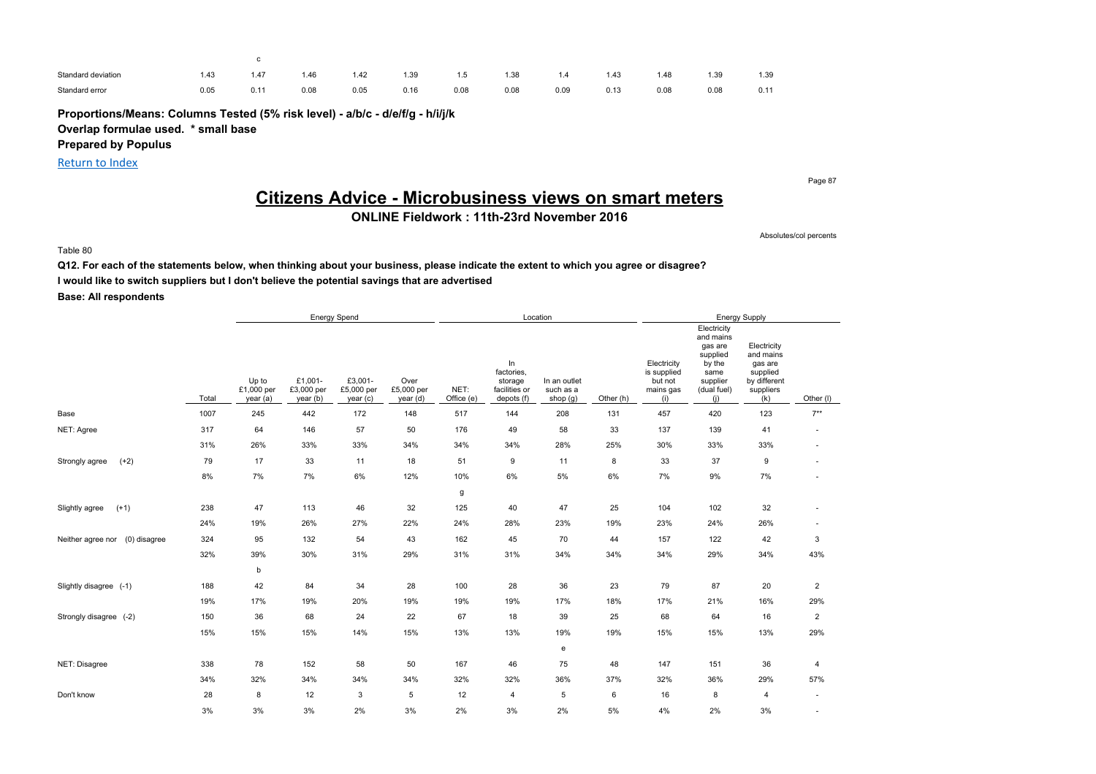| Standard deviation | .43  | 1.47 | 1.46 | 1.42 | 1.39 | 1.5  | 1.38 |      | 1.43 | 1.48 | 1.39 | 1.39 |
|--------------------|------|------|------|------|------|------|------|------|------|------|------|------|
| Standard error     | 0.05 | 0.11 | 0.08 | 0.05 | 0.16 | 0.08 | 0.08 | 0.09 | 0.13 | 0.08 | 0.08 | 0.11 |

**Proportions/Means: Columns Tested (5% risk level) - a/b/c - d/e/f/g - h/i/j/k Overlap formulae used. \* small base**

c

**Prepared by Populus**

Return to Index

Page 87

# **Citizens Advice - Microbusiness views on smart meters**

**ONLINE Fieldwork : 11th-23rd November 2016**

Absolutes/col percents

Table 80

**Q12. For each of the statements below, when thinking about your business, please indicate the extent to which you agree or disagree? I would like to switch suppliers but I don't believe the potential savings that are advertised Base: All respondents**

Energy Spend **Energy Supply Energy Supply Energy Supply Energy Supply** Total Up to £1,000 per year (a) £1,001- £3,000 per year (b) £3,001- £5,000 per year (c) Over £5,000 per year (d) NET: Office (e) In factories, storage facilities or depots (f) In an outlet such as a shop (g) Other (h) **Electricity** is supplied but not mains gas (i) **Electricity** and mains gas are supplied by the same supplier (dual fuel) (j) **Electricity** and mains gas are supplied by different suppliers (k) Other (l) Base 1007 245 442 172 148 517 144 208 131 457 420 123 7\*\* NET: Agree 317 64 146 57 50 176 49 58 33 137 139 41 - 31% 26% 33% 33% 34% 34% 34% 28% 25% 30% 33% 33% - Strongly agree (+2) 79 17 33 11 18 51 9 11 8 33 37 9 - 8% 7% 7% 6% 12% 10% 6% 5% 6% 7% 9% 7% g Slightly agree (+1) 238 47 113 46 32 125 40 47 25 104 102 32 - 24% 19% 26% 27% 22% 24% 28% 23% 19% 23% 24% 26% - Neither agree nor (0) disagree 324 95 132 54 43 162 45 70 44 157 122 42 3 32% 39% 30% 31% 29% 31% 31% 34% 34% 34% 29% 34% 43% b Slightly disagree (-1) 188 42 84 34 28 100 28 36 23 79 87 20 2 19% 17% 19% 20% 19% 19% 19% 17% 18% 17% 21% 16% 29% Strongly disagree (-2) 150 36 68 24 22 67 18 39 25 68 64 16 2 15% 15% 15% 14% 15% 13% 13% 19% 19% 15% 15% 13% 29% e NET: Disagree 338 78 152 58 50 167 46 75 48 147 151 36 4 34% 32% 34% 34% 34% 32% 32% 36% 37% 32% 36% 29% 57% Don't know 28 8 12 3 5 12 4 5 6 16 8 4 - 3% 3% 3% 2% 3% 2% 3% 2% 5% 4% 2% 3% -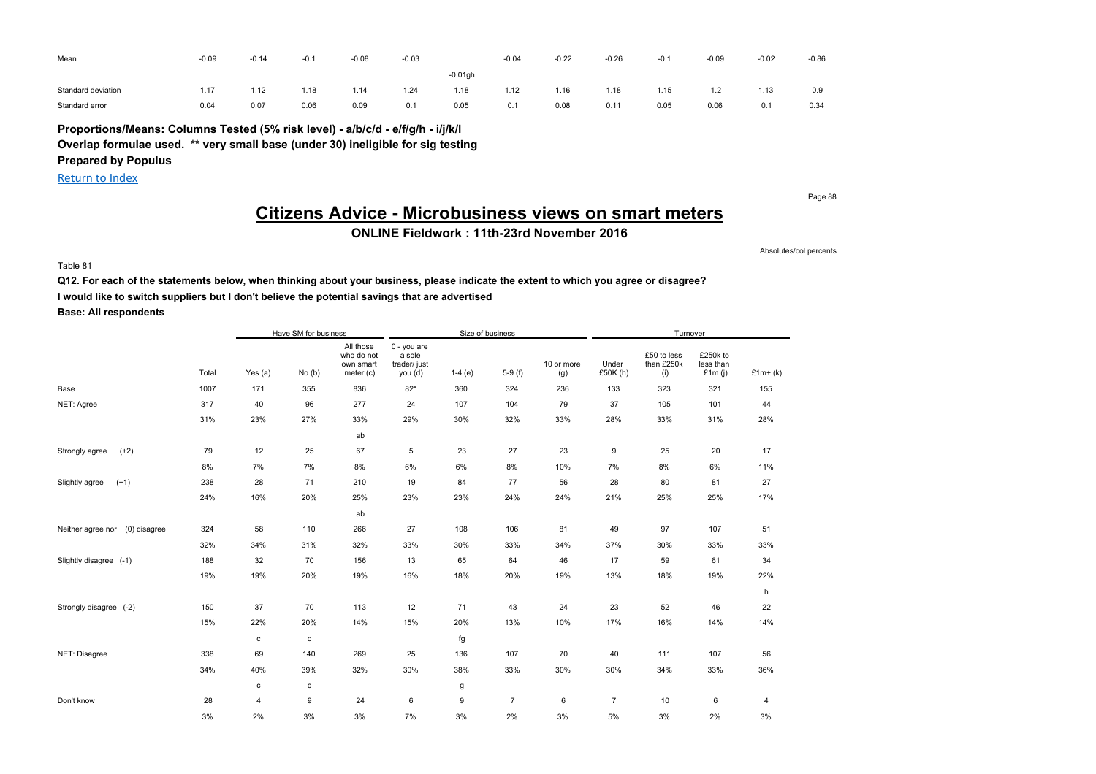| Mean               | $-0.09$ | $-0.14$ | $-0.1$ | $-0.08$ | $-0.03$<br>$\sim$ $\sim$ $\sim$ |            | $-0.04$ | $-0.22$ | $-0.26$ | $-0.1$ | $-0.09$ | $-0.02$ | $-0.86$ |
|--------------------|---------|---------|--------|---------|---------------------------------|------------|---------|---------|---------|--------|---------|---------|---------|
|                    |         |         |        |         |                                 | $-0.01$ gh |         |         |         |        |         |         |         |
| Standard deviation | 1.17    | 1.12    | 1.18   | 1.14    | 1.24                            | 1.18       | 1.12    | 1.16    | 1.18    | 1.15   | 1.2     | 1.13    | 0.9     |
| Standard error     | 0.04    | 0.07    | 0.06   | 0.09    | 0.1                             | 0.05       | 0.1     | 0.08    | 0.11    | 0.05   | 0.06    | 0.1     | 0.34    |

**Proportions/Means: Columns Tested (5% risk level) - a/b/c/d - e/f/g/h - i/j/k/l Overlap formulae used. \*\* very small base (under 30) ineligible for sig testing**

**Prepared by Populus**

Return to Index

Page 88

# **Citizens Advice - Microbusiness views on smart meters**

**ONLINE Fieldwork : 11th-23rd November 2016**

Absolutes/col percents

Table 81

**Q12. For each of the statements below, when thinking about your business, please indicate the extent to which you agree or disagree? I would like to switch suppliers but I don't believe the potential savings that are advertised**

**Base: All respondents**

|                                   |       |             | Have SM for business |                                                   |                                                  |          | Size of business |                   |                   | Turnover                         |                                    |           |
|-----------------------------------|-------|-------------|----------------------|---------------------------------------------------|--------------------------------------------------|----------|------------------|-------------------|-------------------|----------------------------------|------------------------------------|-----------|
|                                   | Total | Yes $(a)$   | No(b)                | All those<br>who do not<br>own smart<br>meter (c) | 0 - you are<br>a sole<br>trader/ just<br>you (d) | $1-4(e)$ | $5-9(f)$         | 10 or more<br>(g) | Under<br>£50K (h) | £50 to less<br>than £250k<br>(i) | £250k to<br>less than<br>£1 $m(i)$ | $£1m+(k)$ |
| Base                              | 1007  | 171         | 355                  | 836                                               | $82*$                                            | 360      | 324              | 236               | 133               | 323                              | 321                                | 155       |
| NET: Agree                        | 317   | 40          | 96                   | 277                                               | 24                                               | 107      | 104              | 79                | 37                | 105                              | 101                                | 44        |
|                                   | 31%   | 23%         | 27%                  | 33%                                               | 29%                                              | 30%      | 32%              | 33%               | 28%               | 33%                              | 31%                                | 28%       |
|                                   |       |             |                      | ab                                                |                                                  |          |                  |                   |                   |                                  |                                    |           |
| $(+2)$<br>Strongly agree          | 79    | 12          | 25                   | 67                                                | 5                                                | 23       | 27               | 23                | 9                 | 25                               | 20                                 | 17        |
|                                   | 8%    | 7%          | 7%                   | 8%                                                | $6\%$                                            | 6%       | 8%               | 10%               | 7%                | 8%                               | 6%                                 | 11%       |
| $(+1)$<br>Slightly agree          | 238   | 28          | 71                   | 210                                               | 19                                               | 84       | 77               | 56                | 28                | 80                               | 81                                 | 27        |
|                                   | 24%   | 16%         | 20%                  | 25%                                               | 23%                                              | 23%      | 24%              | 24%               | 21%               | 25%                              | 25%                                | 17%       |
|                                   |       |             |                      | ab                                                |                                                  |          |                  |                   |                   |                                  |                                    |           |
| Neither agree nor<br>(0) disagree | 324   | 58          | 110                  | 266                                               | 27                                               | 108      | 106              | 81                | 49                | 97                               | 107                                | 51        |
|                                   | 32%   | 34%         | 31%                  | 32%                                               | 33%                                              | 30%      | 33%              | 34%               | 37%               | 30%                              | 33%                                | 33%       |
| Slightly disagree (-1)            | 188   | 32          | 70                   | 156                                               | 13                                               | 65       | 64               | 46                | 17                | 59                               | 61                                 | 34        |
|                                   | 19%   | 19%         | 20%                  | 19%                                               | 16%                                              | 18%      | 20%              | 19%               | 13%               | 18%                              | 19%                                | 22%       |
|                                   |       |             |                      |                                                   |                                                  |          |                  |                   |                   |                                  |                                    | h         |
| Strongly disagree (-2)            | 150   | 37          | 70                   | 113                                               | 12                                               | 71       | 43               | 24                | 23                | 52                               | 46                                 | 22        |
|                                   | 15%   | 22%         | 20%                  | 14%                                               | 15%                                              | 20%      | 13%              | 10%               | 17%               | 16%                              | 14%                                | 14%       |
|                                   |       | $\mathbf c$ | c                    |                                                   |                                                  | fg       |                  |                   |                   |                                  |                                    |           |
| NET: Disagree                     | 338   | 69          | 140                  | 269                                               | 25                                               | 136      | 107              | 70                | 40                | 111                              | 107                                | 56        |
|                                   | 34%   | 40%         | 39%                  | 32%                                               | 30%                                              | 38%      | 33%              | 30%               | 30%               | 34%                              | 33%                                | 36%       |
|                                   |       | c           | c                    |                                                   |                                                  | g        |                  |                   |                   |                                  |                                    |           |
| Don't know                        | 28    | 4           | 9                    | 24                                                | 6                                                | 9        | $\overline{7}$   | 6                 | $\overline{7}$    | 10                               | 6                                  | 4         |
|                                   | 3%    | 2%          | 3%                   | 3%                                                | 7%                                               | 3%       | 2%               | 3%                | 5%                | 3%                               | 2%                                 | $3\%$     |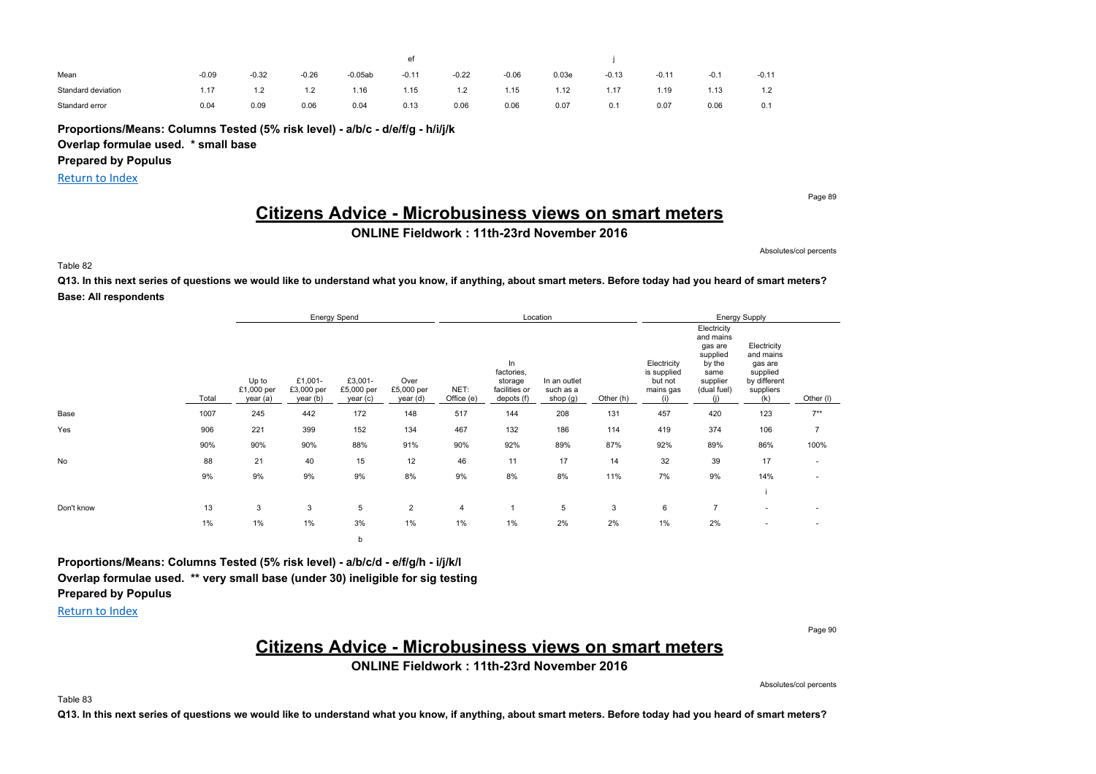| Mean               | $-0.09$ | $-0.32$ | $-0.26$ | $-0.05ab$ | $-0.11$ | $-0.22$ | $-0.06$ | 0.03e | $-0.13$ | $-0.11$ | $-0.1$ | $-0.11$                               |
|--------------------|---------|---------|---------|-----------|---------|---------|---------|-------|---------|---------|--------|---------------------------------------|
| Standard deviation | 1.17    | 1.2     | ے. ا    | 1.16      | i.15    | 1.2     | 1.15    | 1.12  | 1.17    | .19     | 1.13   | 12<br>$\overline{1}$ . $\overline{2}$ |
| Standard error     | 0.04    | 0.09    | 0.06    | 0.04      | 0.13    | 0.06    | 0.06    | 0.07  | 0.1     | 0.07    | 0.06   | 0.1                                   |

**Proportions/Means: Columns Tested (5% risk level) - a/b/c - d/e/f/g - h/i/j/k**

**Overlap formulae used. \* small base**

**Prepared by Populus**

Return to Index

Page 89

# **Citizens Advice - Microbusiness views on smart meters**

**ONLINE Fieldwork : 11th-23rd November 2016**

Absolutes/col percents

Table 82

**Q13. In this next series of questions we would like to understand what you know, if anything, about smart meters. Before today had you heard of smart meters? Base: All respondents**

|            |       |                                 |                                   | Energy Spend                      |                                |                    |                                                            | Location                              |           |                                                           |                                                                                                     | Energy Supply                                                                       |                          |
|------------|-------|---------------------------------|-----------------------------------|-----------------------------------|--------------------------------|--------------------|------------------------------------------------------------|---------------------------------------|-----------|-----------------------------------------------------------|-----------------------------------------------------------------------------------------------------|-------------------------------------------------------------------------------------|--------------------------|
|            | Total | Up to<br>£1,000 per<br>year (a) | £1,001-<br>£3,000 per<br>year (b) | £3,001-<br>£5,000 per<br>year (c) | Over<br>£5,000 per<br>year (d) | NET:<br>Office (e) | In<br>factories,<br>storage<br>facilities or<br>depots (f) | In an outlet<br>such as a<br>shop (g) | Other (h) | Electricity<br>is supplied<br>but not<br>mains gas<br>(i) | Electricity<br>and mains<br>gas are<br>supplied<br>by the<br>same<br>supplier<br>(dual fuel)<br>(i) | Electricity<br>and mains<br>gas are<br>supplied<br>by different<br>suppliers<br>(k) | Other (I)                |
| Base       | 1007  | 245                             | 442                               | 172                               | 148                            | 517                | 144                                                        | 208                                   | 131       | 457                                                       | 420                                                                                                 | 123                                                                                 | $7**$                    |
| Yes        | 906   | 221                             | 399                               | 152                               | 134                            | 467                | 132                                                        | 186                                   | 114       | 419                                                       | 374                                                                                                 | 106                                                                                 | $\overline{7}$           |
|            | 90%   | 90%                             | 90%                               | 88%                               | 91%                            | 90%                | 92%                                                        | 89%                                   | 87%       | 92%                                                       | 89%                                                                                                 | 86%                                                                                 | 100%                     |
| No         | 88    | 21                              | 40                                | 15                                | 12                             | 46                 | 11                                                         | 17                                    | 14        | 32                                                        | 39                                                                                                  | 17                                                                                  | $\sim$                   |
|            | 9%    | 9%                              | 9%                                | 9%                                | 8%                             | 9%                 | 8%                                                         | 8%                                    | 11%       | 7%                                                        | 9%                                                                                                  | 14%                                                                                 | $\overline{\phantom{a}}$ |
|            |       |                                 |                                   |                                   |                                |                    |                                                            |                                       |           |                                                           |                                                                                                     |                                                                                     |                          |
| Don't know | 13    | 3                               | 3                                 | 5                                 | $\overline{2}$                 | $\overline{4}$     | $\mathbf{1}$                                               | 5                                     | 3         | 6                                                         | $\overline{7}$                                                                                      | $\overline{\phantom{a}}$                                                            | $\overline{\phantom{a}}$ |
|            | 1%    | 1%                              | 1%<br>3%<br>1%                    |                                   |                                | 1%                 | 1%                                                         | 2%                                    | 2%        | $1\%$                                                     | 2%                                                                                                  | $\overline{\phantom{a}}$                                                            | $\overline{\phantom{a}}$ |
|            |       |                                 |                                   | b                                 |                                |                    |                                                            |                                       |           |                                                           |                                                                                                     |                                                                                     |                          |

**Proportions/Means: Columns Tested (5% risk level) - a/b/c/d - e/f/g/h - i/j/k/l Overlap formulae used. \*\* very small base (under 30) ineligible for sig testing Prepared by Populus**

Return to Index

Page 90

### **Citizens Advice - Microbusiness views on smart meters**

**ONLINE Fieldwork : 11th-23rd November 2016**

Absolutes/col percents

Table 83

**Q13. In this next series of questions we would like to understand what you know, if anything, about smart meters. Before today had you heard of smart meters?**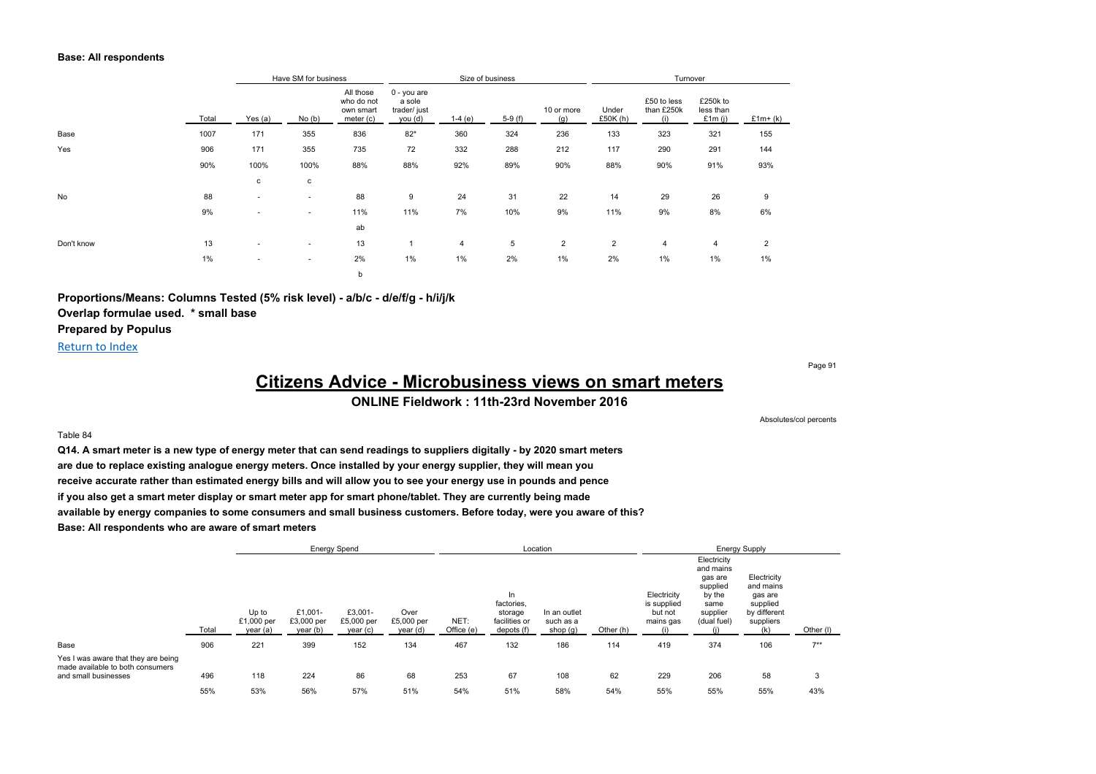#### **Base: All respondents**

|            |       | Have SM for business<br>Yes (a)<br>No(b)<br>171<br>355<br>836<br>171<br>355<br>735<br>100%<br>100%<br>88%<br>c<br>c<br>88<br>$\sim$<br>٠ |        |                                                   |                                                  |                | Size of business |                   |                   | Turnover                         |                                 |           |
|------------|-------|------------------------------------------------------------------------------------------------------------------------------------------|--------|---------------------------------------------------|--------------------------------------------------|----------------|------------------|-------------------|-------------------|----------------------------------|---------------------------------|-----------|
|            | Total |                                                                                                                                          |        | All those<br>who do not<br>own smart<br>meter (c) | 0 - you are<br>a sole<br>trader/ just<br>you (d) | $1-4(e)$       | $5-9(f)$         | 10 or more<br>(g) | Under<br>£50K (h) | £50 to less<br>than £250k<br>(i) | £250k to<br>less than<br>£1m(i) | $£1m+(k)$ |
| Base       | 1007  |                                                                                                                                          |        |                                                   | $82*$                                            | 360            | 324              | 236               | 133               | 323                              | 321                             | 155       |
| Yes        | 906   |                                                                                                                                          |        |                                                   | 72                                               | 332            | 288              | 212               | 117               | 290                              | 291                             | 144       |
|            | 90%   |                                                                                                                                          |        |                                                   | 88%                                              | 92%            | 89%              | 90%               | 88%               | 90%                              | 91%                             | 93%       |
|            |       |                                                                                                                                          |        |                                                   |                                                  |                |                  |                   |                   |                                  |                                 |           |
| No         | 88    |                                                                                                                                          |        |                                                   | 9                                                | 24             | 31               | 22                | 14                | 29                               | 26                              | 9         |
|            | 9%    | ۰                                                                                                                                        | $\sim$ | 11%                                               | 11%                                              | 7%             | 10%              | 9%                | 11%               | 9%                               | 8%                              | 6%        |
|            |       |                                                                                                                                          |        | ab                                                |                                                  |                |                  |                   |                   |                                  |                                 |           |
| Don't know | 13    | $\overline{\phantom{a}}$                                                                                                                 | $\sim$ | 13                                                |                                                  | $\overline{4}$ | 5                | $\overline{2}$    | $\overline{2}$    | $\overline{4}$                   | $\overline{4}$                  | 2         |
|            | 1%    | ٠                                                                                                                                        | $\sim$ | 2%                                                | 1%                                               | 1%             | 2%               | 1%                | 2%                | 1%                               | 1%                              | $1\%$     |
|            |       |                                                                                                                                          |        | b                                                 |                                                  |                |                  |                   |                   |                                  |                                 |           |

**Proportions/Means: Columns Tested (5% risk level) - a/b/c - d/e/f/g - h/i/j/k Overlap formulae used. \* small base Prepared by Populus**

#### Return to Index

Page 91

Absolutes/col percents

# **Citizens Advice - Microbusiness views on smart meters**

#### **ONLINE Fieldwork : 11th-23rd November 2016**

#### Table 84

**Q14. A smart meter is a new type of energy meter that can send readings to suppliers digitally - by 2020 smart meters are due to replace existing analogue energy meters. Once installed by your energy supplier, they will mean you receive accurate rather than estimated energy bills and will allow you to see your energy use in pounds and pence if you also get a smart meter display or smart meter app for smart phone/tablet. They are currently being made available by energy companies to some consumers and small business customers. Before today, were you aware of this? Base: All respondents who are aware of smart meters**

|                                                                                                 |       |                                 |                                   | <b>Energy Spend</b>               |                                |                    |                                                             | Location                                |           |                                                           |                                                                                              | <b>Energy Supply</b>                                                                |           |
|-------------------------------------------------------------------------------------------------|-------|---------------------------------|-----------------------------------|-----------------------------------|--------------------------------|--------------------|-------------------------------------------------------------|-----------------------------------------|-----------|-----------------------------------------------------------|----------------------------------------------------------------------------------------------|-------------------------------------------------------------------------------------|-----------|
|                                                                                                 | Total | Up to<br>£1,000 per<br>year (a) | £1,001-<br>£3,000 per<br>year (b) | £3,001-<br>£5,000 per<br>year (c) | Over<br>£5,000 per<br>year (d) | NET:<br>Office (e) | In.<br>factories,<br>storage<br>facilities or<br>depots (f) | In an outlet<br>such as a<br>shop $(g)$ | Other (h) | Electricity<br>is supplied<br>but not<br>mains gas<br>(i) | Electricity<br>and mains<br>gas are<br>supplied<br>by the<br>same<br>supplier<br>(dual fuel) | Electricity<br>and mains<br>gas are<br>supplied<br>by different<br>suppliers<br>(k) | Other (I) |
| Base                                                                                            | 906   | 221                             | 399                               | 152                               | 134                            | 467                | 132                                                         | 186                                     | 114       | 419                                                       | 374                                                                                          | 106                                                                                 | $7**$     |
| Yes I was aware that they are being<br>made available to both consumers<br>and small businesses | 496   | 118                             | 224                               | 86                                | 68                             | 253                | 67                                                          | 108                                     | 62        | 229                                                       | 206                                                                                          | 58                                                                                  | 3         |
|                                                                                                 | 55%   | 53%                             | 56%                               | 57%                               | 51%                            | 54%                | 51%                                                         | 58%                                     | 54%       | 55%                                                       | 55%                                                                                          | 55%                                                                                 | 43%       |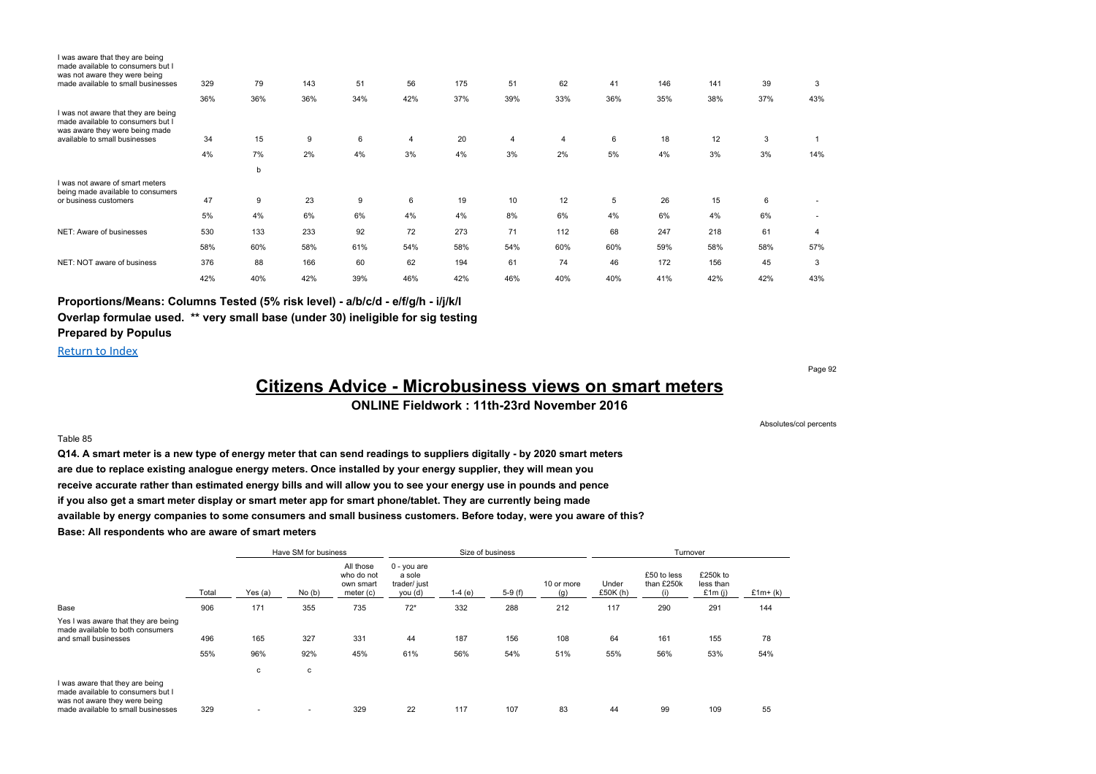| I was aware that they are being<br>made available to consumers but I<br>was not aware they were being      |     |     |     |     |     |     |                |                |     |     |     |     |        |
|------------------------------------------------------------------------------------------------------------|-----|-----|-----|-----|-----|-----|----------------|----------------|-----|-----|-----|-----|--------|
| made available to small businesses                                                                         | 329 | 79  | 143 | 51  | 56  | 175 | 51             | 62             | 41  | 146 | 141 | 39  | 3      |
|                                                                                                            | 36% | 36% | 36% | 34% | 42% | 37% | 39%            | 33%            | 36% | 35% | 38% | 37% | 43%    |
| I was not aware that they are being<br>made available to consumers but I<br>was aware they were being made |     |     |     |     |     |     |                |                |     |     |     |     |        |
| available to small businesses                                                                              | 34  | 15  | 9   | 6   | 4   | 20  | $\overline{4}$ | $\overline{4}$ | 6   | 18  | 12  | 3   |        |
|                                                                                                            | 4%  | 7%  | 2%  | 4%  | 3%  | 4%  | 3%             | 2%             | 5%  | 4%  | 3%  | 3%  | 14%    |
|                                                                                                            |     | b   |     |     |     |     |                |                |     |     |     |     |        |
| I was not aware of smart meters<br>being made available to consumers                                       |     |     |     |     |     |     |                |                |     |     |     |     |        |
| or business customers                                                                                      | 47  | 9   | 23  | 9   | 6   | 19  | 10             | 12             | 5   | 26  | 15  | 6   |        |
|                                                                                                            | 5%  | 4%  | 6%  | 6%  | 4%  | 4%  | 8%             | 6%             | 4%  | 6%  | 4%  | 6%  | $\sim$ |
| NET: Aware of businesses                                                                                   | 530 | 133 | 233 | 92  | 72  | 273 | 71             | 112            | 68  | 247 | 218 | 61  | 4      |
|                                                                                                            | 58% | 60% | 58% | 61% | 54% | 58% | 54%            | 60%            | 60% | 59% | 58% | 58% | 57%    |
| NET: NOT aware of business                                                                                 | 376 | 88  | 166 | 60  | 62  | 194 | 61             | 74             | 46  | 172 | 156 | 45  | 3      |
|                                                                                                            | 42% | 40% | 42% | 39% | 46% | 42% | 46%            | 40%            | 40% | 41% | 42% | 42% | 43%    |

### **Proportions/Means: Columns Tested (5% risk level) - a/b/c/d - e/f/g/h - i/j/k/l**

**Overlap formulae used. \*\* very small base (under 30) ineligible for sig testing**

### **Prepared by Populus**

Return to Index

Table 85

Page 92

# **Citizens Advice - Microbusiness views on smart meters**

#### **ONLINE Fieldwork : 11th-23rd November 2016**

Absolutes/col percents

### **Q14. A smart meter is a new type of energy meter that can send readings to suppliers digitally - by 2020 smart meters are due to replace existing analogue energy meters. Once installed by your energy supplier, they will mean you receive accurate rather than estimated energy bills and will allow you to see your energy use in pounds and pence if you also get a smart meter display or smart meter app for smart phone/tablet. They are currently being made available by energy companies to some consumers and small business customers. Before today, were you aware of this?**

**Base: All respondents who are aware of smart meters**

|                                                                                                                                             |            |            | Have SM for business |                                                   |                                                    |            | Size of business |                   |                   | Turnover                  |                                    |           |
|---------------------------------------------------------------------------------------------------------------------------------------------|------------|------------|----------------------|---------------------------------------------------|----------------------------------------------------|------------|------------------|-------------------|-------------------|---------------------------|------------------------------------|-----------|
|                                                                                                                                             | Total      | Yes (a)    | No(b)                | All those<br>who do not<br>own smart<br>meter (c) | $0 - you are$<br>a sole<br>trader/ just<br>you (d) | $1-4(e)$   | $5-9(f)$         | 10 or more<br>(a) | Under<br>£50K (h) | £50 to less<br>than £250k | £250k to<br>less than<br>£1 $m(i)$ | $£1m+(k)$ |
| Base                                                                                                                                        | 906        | 171        | 355                  | 735                                               | $72*$                                              | 332        | 288              | 212               | 117               | 290                       | 291                                | 144       |
| Yes I was aware that they are being<br>made available to both consumers<br>and small businesses                                             | 496<br>55% | 165<br>96% | 327<br>92%           | 331<br>45%                                        | 44<br>61%                                          | 187<br>56% | 156<br>54%       | 108<br>51%        | 64<br>55%         | 161<br>56%                | 155<br>53%                         | 78<br>54% |
|                                                                                                                                             |            |            |                      |                                                   |                                                    |            |                  |                   |                   |                           |                                    |           |
|                                                                                                                                             |            | с          | с                    |                                                   |                                                    |            |                  |                   |                   |                           |                                    |           |
| I was aware that they are being<br>made available to consumers but I<br>was not aware they were being<br>made available to small businesses | 329        |            | ۰                    | 329                                               | 22                                                 | 117        | 107              | 83                | 44                | 99                        | 109                                | 55        |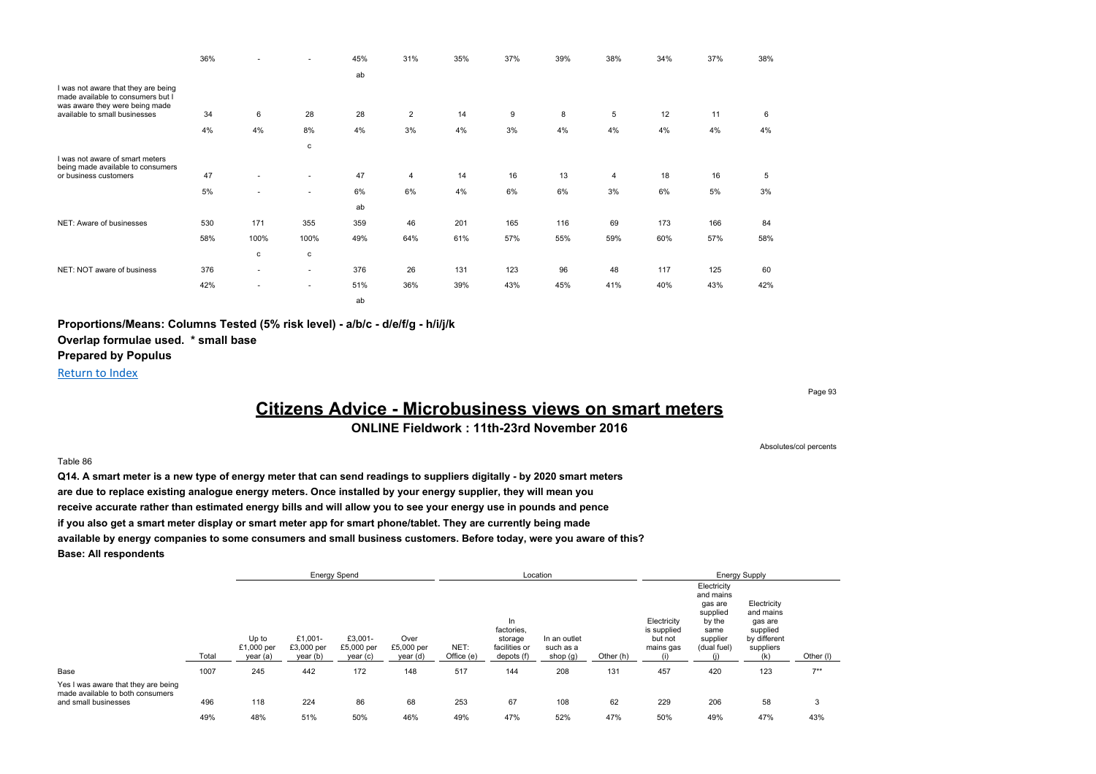|                                                                                                            | 36% |                          | $\overline{\phantom{a}}$ | 45% | 31%            | 35% | 37% | 39% | 38% | 34% | 37% | 38% |
|------------------------------------------------------------------------------------------------------------|-----|--------------------------|--------------------------|-----|----------------|-----|-----|-----|-----|-----|-----|-----|
|                                                                                                            |     |                          |                          | ab  |                |     |     |     |     |     |     |     |
| I was not aware that they are being<br>made available to consumers but I<br>was aware they were being made |     |                          |                          |     |                |     |     |     |     |     |     |     |
| available to small businesses                                                                              | 34  | 6                        | 28                       | 28  | $\overline{2}$ | 14  | 9   | 8   | 5   | 12  | 11  | 6   |
|                                                                                                            | 4%  | 4%                       | 8%                       | 4%  | 3%             | 4%  | 3%  | 4%  | 4%  | 4%  | 4%  | 4%  |
|                                                                                                            |     |                          | $\mathtt{c}$             |     |                |     |     |     |     |     |     |     |
| I was not aware of smart meters<br>being made available to consumers                                       |     |                          |                          |     |                |     |     |     |     |     |     |     |
| or business customers                                                                                      | 47  | $\overline{\phantom{a}}$ | ٠                        | 47  | $\overline{4}$ | 14  | 16  | 13  | 4   | 18  | 16  | 5   |
|                                                                                                            | 5%  | $\overline{\phantom{a}}$ | ٠                        | 6%  | 6%             | 4%  | 6%  | 6%  | 3%  | 6%  | 5%  | 3%  |
|                                                                                                            |     |                          |                          | ab  |                |     |     |     |     |     |     |     |
| NET: Aware of businesses                                                                                   | 530 | 171                      | 355                      | 359 | 46             | 201 | 165 | 116 | 69  | 173 | 166 | 84  |
|                                                                                                            | 58% | 100%                     | 100%                     | 49% | 64%            | 61% | 57% | 55% | 59% | 60% | 57% | 58% |
|                                                                                                            |     | $\mathtt{c}$             | $\mathtt{c}$             |     |                |     |     |     |     |     |     |     |
| NET: NOT aware of business                                                                                 | 376 | ٠                        | ٠                        | 376 | 26             | 131 | 123 | 96  | 48  | 117 | 125 | 60  |
|                                                                                                            | 42% | $\overline{\phantom{a}}$ | ٠                        | 51% | 36%            | 39% | 43% | 45% | 41% | 40% | 43% | 42% |
|                                                                                                            |     |                          |                          | ab  |                |     |     |     |     |     |     |     |

**Proportions/Means: Columns Tested (5% risk level) - a/b/c - d/e/f/g - h/i/j/k**

**Overlap formulae used. \* small base**

**Prepared by Populus**

Return to Index

Page 93

# **Citizens Advice - Microbusiness views on smart meters**

### **ONLINE Fieldwork : 11th-23rd November 2016**

#### Table 86

**Q14. A smart meter is a new type of energy meter that can send readings to suppliers digitally - by 2020 smart meters are due to replace existing analogue energy meters. Once installed by your energy supplier, they will mean you receive accurate rather than estimated energy bills and will allow you to see your energy use in pounds and pence if you also get a smart meter display or smart meter app for smart phone/tablet. They are currently being made available by energy companies to some consumers and small business customers. Before today, were you aware of this? Base: All respondents**

|                                                                                                 |       |                                 |                                   | <b>Energy Spend</b>               |                                |                    |                                                            | Location                              |           |                                                    |                                                                                              | <b>Energy Supply</b>                                                                |           |  |
|-------------------------------------------------------------------------------------------------|-------|---------------------------------|-----------------------------------|-----------------------------------|--------------------------------|--------------------|------------------------------------------------------------|---------------------------------------|-----------|----------------------------------------------------|----------------------------------------------------------------------------------------------|-------------------------------------------------------------------------------------|-----------|--|
|                                                                                                 | Total | Up to<br>£1,000 per<br>year (a) | £1,001-<br>£3,000 per<br>year (b) | £3,001-<br>£5,000 per<br>year (c) | Over<br>£5,000 per<br>year (d) | NET:<br>Office (e) | In<br>factories.<br>storage<br>facilities or<br>depots (f) | In an outlet<br>such as a<br>shop (g) | Other (h) | Electricity<br>is supplied<br>but not<br>mains gas | Electricity<br>and mains<br>gas are<br>supplied<br>by the<br>same<br>supplier<br>(dual fuel) | Electricity<br>and mains<br>gas are<br>supplied<br>by different<br>suppliers<br>(k) | Other (I) |  |
| Base                                                                                            | 1007  | 245                             | 442                               | 172                               | 148                            | 517                | 144                                                        | 208                                   | 131       | 457                                                | 420                                                                                          | 123                                                                                 | $7**$     |  |
| Yes I was aware that they are being<br>made available to both consumers<br>and small businesses | 496   | 118                             | 224                               | 86                                | 68                             | 253                | 67                                                         | 108                                   | 62        | 229                                                | 206                                                                                          | 58                                                                                  | 3         |  |
|                                                                                                 | 49%   | 48%                             | 51%                               | 50%                               | 46%                            | 49%                | 47%                                                        | 52%                                   | 47%       | 50%                                                | 49%                                                                                          | 47%                                                                                 | 43%       |  |

Absolutes/col percents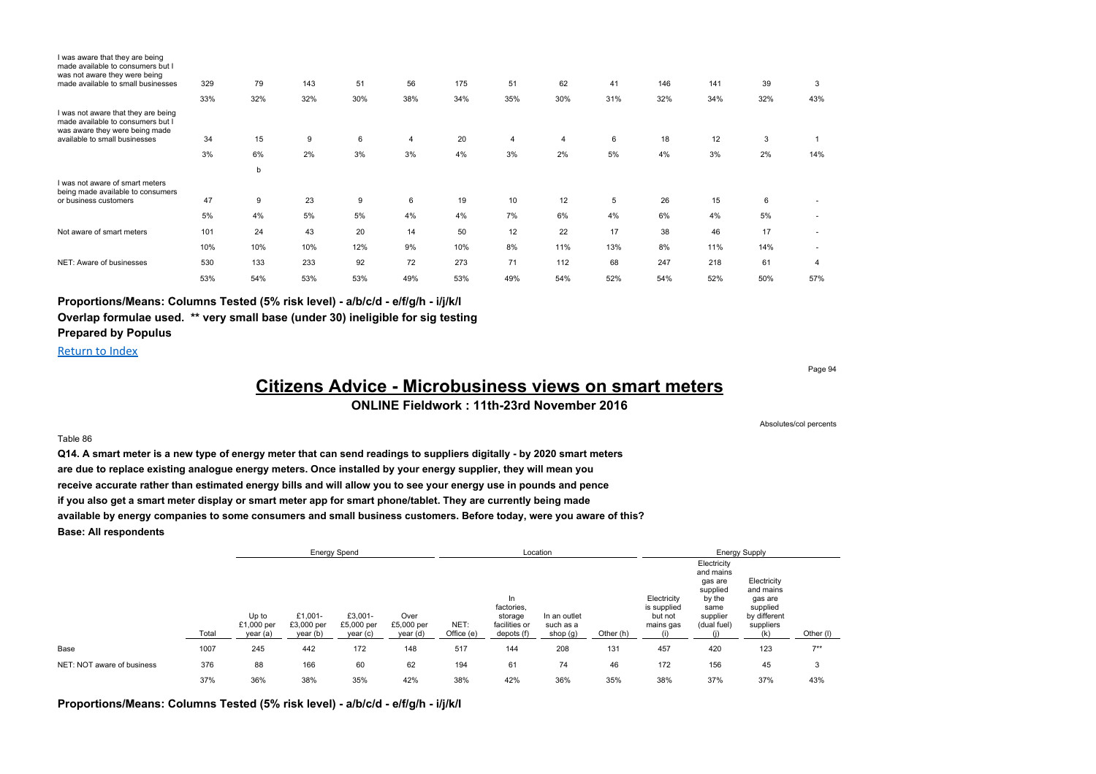| I was aware that they are being<br>made available to consumers but I<br>was not aware they were being<br>made available to small businesses | 329 | 79  | 143 | 51  | 56             | 175 | 51             | 62  | 41  | 146 | 141 | 39  | 3   |
|---------------------------------------------------------------------------------------------------------------------------------------------|-----|-----|-----|-----|----------------|-----|----------------|-----|-----|-----|-----|-----|-----|
|                                                                                                                                             |     |     |     |     |                |     |                |     |     |     |     |     |     |
|                                                                                                                                             | 33% | 32% | 32% | 30% | 38%            | 34% | 35%            | 30% | 31% | 32% | 34% | 32% | 43% |
| I was not aware that they are being<br>made available to consumers but I<br>was aware they were being made                                  |     |     |     |     |                |     |                |     |     |     |     |     |     |
| available to small businesses                                                                                                               | 34  | 15  | 9   | 6   | $\overline{4}$ | 20  | $\overline{4}$ | 4   | 6   | 18  | 12  | 3   |     |
|                                                                                                                                             | 3%  | 6%  | 2%  | 3%  | 3%             | 4%  | 3%             | 2%  | 5%  | 4%  | 3%  | 2%  | 14% |
|                                                                                                                                             |     | b   |     |     |                |     |                |     |     |     |     |     |     |
| I was not aware of smart meters<br>being made available to consumers                                                                        |     |     |     |     |                |     |                |     |     |     |     |     |     |
| or business customers                                                                                                                       | 47  | 9   | 23  | 9   | 6              | 19  | 10             | 12  | 5   | 26  | 15  | 6   |     |
|                                                                                                                                             | 5%  | 4%  | 5%  | 5%  | 4%             | 4%  | 7%             | 6%  | 4%  | 6%  | 4%  | 5%  |     |
| Not aware of smart meters                                                                                                                   | 101 | 24  | 43  | 20  | 14             | 50  | 12             | 22  | 17  | 38  | 46  | 17  |     |
|                                                                                                                                             | 10% | 10% | 10% | 12% | 9%             | 10% | 8%             | 11% | 13% | 8%  | 11% | 14% | ٠   |
| NET: Aware of businesses                                                                                                                    | 530 | 133 | 233 | 92  | 72             | 273 | 71             | 112 | 68  | 247 | 218 | 61  | 4   |
|                                                                                                                                             | 53% | 54% | 53% | 53% | 49%            | 53% | 49%            | 54% | 52% | 54% | 52% | 50% | 57% |

#### **Proportions/Means: Columns Tested (5% risk level) - a/b/c/d - e/f/g/h - i/j/k/l**

**Overlap formulae used. \*\* very small base (under 30) ineligible for sig testing**

### **Prepared by Populus**

Return to Index

Page 94

# **Citizens Advice - Microbusiness views on smart meters**

### **ONLINE Fieldwork : 11th-23rd November 2016**

Absolutes/col percents

#### Table 86

**Q14. A smart meter is a new type of energy meter that can send readings to suppliers digitally - by 2020 smart meters are due to replace existing analogue energy meters. Once installed by your energy supplier, they will mean you receive accurate rather than estimated energy bills and will allow you to see your energy use in pounds and pence if you also get a smart meter display or smart meter app for smart phone/tablet. They are currently being made available by energy companies to some consumers and small business customers. Before today, were you aware of this? Base: All respondents**

|                            |       |                                 |                                   | <b>Energy Spend</b>               |                                |                    |                                                            | Location                              |           |                                                    |                                                                                              | <b>Energy Supply</b>                                                                |           |
|----------------------------|-------|---------------------------------|-----------------------------------|-----------------------------------|--------------------------------|--------------------|------------------------------------------------------------|---------------------------------------|-----------|----------------------------------------------------|----------------------------------------------------------------------------------------------|-------------------------------------------------------------------------------------|-----------|
|                            | Total | Up to<br>£1,000 per<br>year (a) | £1.001-<br>£3,000 per<br>year (b) | £3,001-<br>£5,000 per<br>year (c) | Over<br>£5,000 per<br>year (d) | NET:<br>Office (e) | In<br>factories.<br>storage<br>facilities or<br>depots (f) | In an outlet<br>such as a<br>shop (g) | Other (h) | Electricity<br>is supplied<br>but not<br>mains gas | Electricity<br>and mains<br>gas are<br>supplied<br>by the<br>same<br>supplier<br>(dual fuel) | Electricity<br>and mains<br>gas are<br>supplied<br>by different<br>suppliers<br>(k) | Other (I) |
| Base                       | 1007  | 245                             | 442                               | 172                               | 148                            | 517                | 144                                                        | 208                                   | 131       | 457                                                | 420                                                                                          | 123                                                                                 | $7**$     |
| NET: NOT aware of business | 376   | 88                              | 166                               | 60                                | 62                             | 194                | 61                                                         | 74                                    | 46        | 172                                                | 156                                                                                          | 45                                                                                  | 3         |
|                            | 37%   | 36%                             | 38%                               | 35%                               | 42%                            | 38%                | 42%                                                        | 36%                                   | 35%       | 38%                                                | 37%                                                                                          | 37%                                                                                 | 43%       |

**Proportions/Means: Columns Tested (5% risk level) - a/b/c/d - e/f/g/h - i/j/k/l**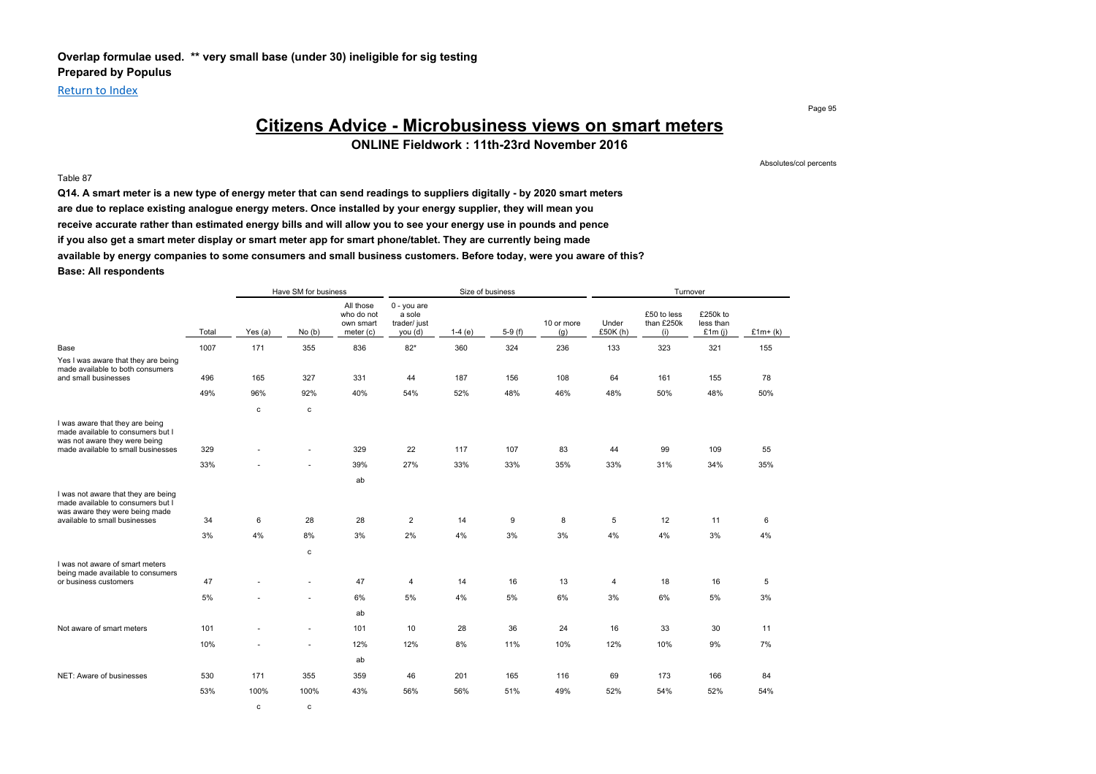### **Overlap formulae used. \*\* very small base (under 30) ineligible for sig testing Prepared by Populus**

### Return to Index

Table 87

Page 95

# **Citizens Advice - Microbusiness views on smart meters**

**ONLINE Fieldwork : 11th-23rd November 2016**

Absolutes/col percents

**Q14. A smart meter is a new type of energy meter that can send readings to suppliers digitally - by 2020 smart meters are due to replace existing analogue energy meters. Once installed by your energy supplier, they will mean you receive accurate rather than estimated energy bills and will allow you to see your energy use in pounds and pence if you also get a smart meter display or smart meter app for smart phone/tablet. They are currently being made available by energy companies to some consumers and small business customers. Before today, were you aware of this? Base: All respondents**

|                                                                                                            |       |             | Have SM for business |                                                   |                                                    |          | Size of business |                   |                   | Turnover                         |                                    |           |
|------------------------------------------------------------------------------------------------------------|-------|-------------|----------------------|---------------------------------------------------|----------------------------------------------------|----------|------------------|-------------------|-------------------|----------------------------------|------------------------------------|-----------|
|                                                                                                            | Total | Yes $(a)$   | No(b)                | All those<br>who do not<br>own smart<br>meter (c) | $0 - you are$<br>a sole<br>trader/ just<br>you (d) | $1-4(e)$ | $5-9(f)$         | 10 or more<br>(q) | Under<br>£50K (h) | £50 to less<br>than £250k<br>(i) | £250k to<br>less than<br>£1 $m(i)$ | $£1m+(k)$ |
| Base                                                                                                       | 1007  | 171         | 355                  | 836                                               | $82*$                                              | 360      | 324              | 236               | 133               | 323                              | 321                                | 155       |
| Yes I was aware that they are being<br>made available to both consumers<br>and small businesses            | 496   | 165         | 327                  | 331                                               | 44                                                 | 187      | 156              | 108               | 64                | 161                              | 155                                | 78        |
|                                                                                                            |       |             |                      |                                                   |                                                    |          |                  |                   |                   |                                  |                                    |           |
|                                                                                                            | 49%   | 96%         | 92%                  | 40%                                               | 54%                                                | 52%      | 48%              | 46%               | 48%               | 50%                              | 48%                                | 50%       |
|                                                                                                            |       | $\mathbf c$ | c                    |                                                   |                                                    |          |                  |                   |                   |                                  |                                    |           |
| I was aware that they are being<br>made available to consumers but I<br>was not aware they were being      |       |             |                      |                                                   |                                                    |          |                  |                   |                   |                                  |                                    |           |
| made available to small businesses                                                                         | 329   |             | ٠                    | 329                                               | 22                                                 | 117      | 107              | 83                | 44                | 99                               | 109                                | 55        |
|                                                                                                            | 33%   |             |                      | 39%                                               | 27%                                                | 33%      | 33%              | 35%               | 33%               | 31%                              | 34%                                | 35%       |
|                                                                                                            |       |             |                      | ab                                                |                                                    |          |                  |                   |                   |                                  |                                    |           |
| I was not aware that they are being<br>made available to consumers but I<br>was aware they were being made |       |             |                      |                                                   |                                                    |          |                  |                   |                   |                                  |                                    |           |
| available to small businesses                                                                              | 34    | 6           | 28                   | 28                                                | $\overline{2}$                                     | 14       | 9                | 8                 | 5                 | 12                               | 11                                 | 6         |
|                                                                                                            | 3%    | 4%          | 8%                   | 3%                                                | 2%                                                 | 4%       | 3%               | 3%                | 4%                | 4%                               | 3%                                 | 4%        |
|                                                                                                            |       |             | c                    |                                                   |                                                    |          |                  |                   |                   |                                  |                                    |           |
| I was not aware of smart meters<br>being made available to consumers                                       |       |             |                      |                                                   |                                                    |          |                  |                   |                   |                                  |                                    |           |
| or business customers                                                                                      | 47    |             |                      | 47                                                | 4                                                  | 14       | 16               | 13                | 4                 | 18                               | 16                                 | 5         |
|                                                                                                            | 5%    |             |                      | 6%                                                | 5%                                                 | 4%       | 5%               | 6%                | 3%                | 6%                               | 5%                                 | 3%        |
|                                                                                                            |       |             |                      | ab                                                |                                                    |          |                  |                   |                   |                                  |                                    |           |
| Not aware of smart meters                                                                                  | 101   |             |                      | 101                                               | 10                                                 | 28       | 36               | 24                | 16                | 33                               | 30                                 | 11        |
|                                                                                                            | 10%   |             |                      | 12%                                               | 12%                                                | 8%       | 11%              | 10%               | 12%               | 10%                              | 9%                                 | 7%        |
|                                                                                                            |       |             |                      | ab                                                |                                                    |          |                  |                   |                   |                                  |                                    |           |
| NET: Aware of businesses                                                                                   | 530   | 171         | 355                  | 359                                               | 46                                                 | 201      | 165              | 116               | 69                | 173                              | 166                                | 84        |
|                                                                                                            | 53%   | 100%        | 100%                 | 43%                                               | 56%                                                | 56%      | 51%              | 49%               | 52%               | 54%                              | 52%                                | 54%       |
|                                                                                                            |       | $\mathbf c$ | c                    |                                                   |                                                    |          |                  |                   |                   |                                  |                                    |           |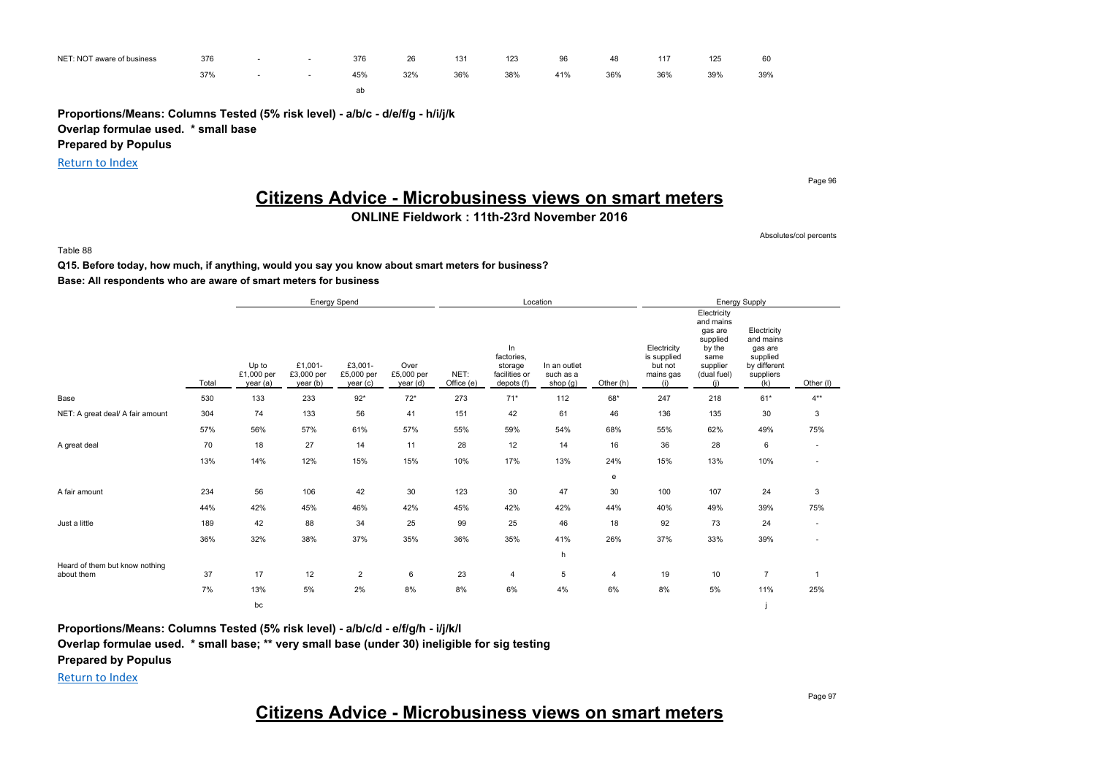| NET: NOT aware of business | 376<br>$\sim$ $\sim$ | . . | $\sim$ | 376<br>$\sim$ $\sim$ | 26       | 131 | 123 | 96<br>$\sim$ | 48  | 117 | 125 | 60<br>$\sim$ $\sim$ |
|----------------------------|----------------------|-----|--------|----------------------|----------|-----|-----|--------------|-----|-----|-----|---------------------|
|                            | 37%                  |     |        | 45%                  | 32%<br>. | 36% | 38% | 41%          | 36% | 36% | 39% | 39%                 |
|                            |                      |     |        | ab                   |          |     |     |              |     |     |     |                     |

**Proportions/Means: Columns Tested (5% risk level) - a/b/c - d/e/f/g - h/i/j/k Overlap formulae used. \* small base**

**Prepared by Populus**

Return to Index

Page 96

# **Citizens Advice - Microbusiness views on smart meters**

### **ONLINE Fieldwork : 11th-23rd November 2016**

Absolutes/col percents

Table 88

# **Q15. Before today, how much, if anything, would you say you know about smart meters for business?**

### **Base: All respondents who are aware of smart meters for business**

|                                              |       |                                 |                                   | <b>Energy Spend</b>              |                                |                    |                                                            | Location                              |                |                                                           |                                                                                                     | <b>Energy Supply</b>                                                                |                          |
|----------------------------------------------|-------|---------------------------------|-----------------------------------|----------------------------------|--------------------------------|--------------------|------------------------------------------------------------|---------------------------------------|----------------|-----------------------------------------------------------|-----------------------------------------------------------------------------------------------------|-------------------------------------------------------------------------------------|--------------------------|
|                                              | Total | Up to<br>£1,000 per<br>year (a) | £1,001-<br>£3,000 per<br>year (b) | £3,001-<br>£5,000 per<br>year(c) | Over<br>£5,000 per<br>year (d) | NET:<br>Office (e) | In<br>factories,<br>storage<br>facilities or<br>depots (f) | In an outlet<br>such as a<br>shop (g) | Other (h)      | Electricity<br>is supplied<br>but not<br>mains gas<br>(i) | Electricity<br>and mains<br>gas are<br>supplied<br>by the<br>same<br>supplier<br>(dual fuel)<br>(i) | Electricity<br>and mains<br>gas are<br>supplied<br>by different<br>suppliers<br>(k) | Other (I)                |
| Base                                         | 530   | 133                             | 233                               | $92*$                            | $72*$                          | 273                | $71*$                                                      | 112                                   | 68*            | 247                                                       | 218                                                                                                 | $61*$                                                                               | $4**$                    |
| NET: A great deal/ A fair amount             | 304   | 74                              | 133                               | 56                               | 41                             | 151                | 42                                                         | 61                                    | 46             | 136                                                       | 135                                                                                                 | 30                                                                                  | 3                        |
|                                              | 57%   | 56%                             | 57%                               | 61%                              | 57%                            | 55%                | 59%                                                        | 54%                                   | 68%            | 55%                                                       | 62%                                                                                                 | 49%                                                                                 | 75%                      |
| A great deal                                 | 70    | 18                              | 27                                | 14                               | 11                             | 28                 | 12                                                         | 14                                    | 16             | 36                                                        | 28                                                                                                  | 6                                                                                   | $\sim$                   |
|                                              | 13%   | 14%                             | 12%                               | 15%                              | 15%                            | 10%                | 17%                                                        | 13%                                   | 24%            | 15%                                                       | 13%                                                                                                 | 10%                                                                                 | ٠                        |
|                                              |       |                                 |                                   |                                  |                                |                    |                                                            |                                       | e              |                                                           |                                                                                                     |                                                                                     |                          |
| A fair amount                                | 234   | 56                              | 106                               | 42                               | 30                             | 123                | 30                                                         | 47                                    | 30             | 100                                                       | 107                                                                                                 | 24                                                                                  | 3                        |
|                                              | 44%   | 42%                             | 45%                               | 46%                              | 42%                            | 45%                | 42%                                                        | 42%                                   | 44%            | 40%                                                       | 49%                                                                                                 | 39%                                                                                 | 75%                      |
| Just a little                                | 189   | 42                              | 88                                | 34                               | 25                             | 99                 | 25                                                         | 46                                    | 18             | 92                                                        | 73                                                                                                  | 24                                                                                  | $\overline{\phantom{a}}$ |
|                                              | 36%   | 32%                             | 38%                               | 37%                              | 35%                            | 36%                | 35%                                                        | 41%                                   | 26%            | 37%                                                       | 33%                                                                                                 | 39%                                                                                 | ٠                        |
|                                              |       |                                 |                                   |                                  |                                |                    |                                                            | h                                     |                |                                                           |                                                                                                     |                                                                                     |                          |
| Heard of them but know nothing<br>about them | 37    | 17                              | 12                                | $\overline{2}$                   | 6                              | 23                 | $\overline{4}$                                             | 5                                     | $\overline{4}$ | 19                                                        | 10                                                                                                  | $\overline{7}$                                                                      |                          |
|                                              | 7%    | 13%                             | 5%                                | 2%                               | 8%                             | 8%                 | 6%                                                         | 4%                                    | 6%             | 8%                                                        | 5%                                                                                                  | 11%                                                                                 | 25%                      |
|                                              |       | bc                              |                                   |                                  |                                |                    |                                                            |                                       |                |                                                           |                                                                                                     |                                                                                     |                          |

**Proportions/Means: Columns Tested (5% risk level) - a/b/c/d - e/f/g/h - i/j/k/l**

**Overlap formulae used. \* small base; \*\* very small base (under 30) ineligible for sig testing**

**Prepared by Populus**

Return to Index

# **Citizens Advice - Microbusiness views on smart meters**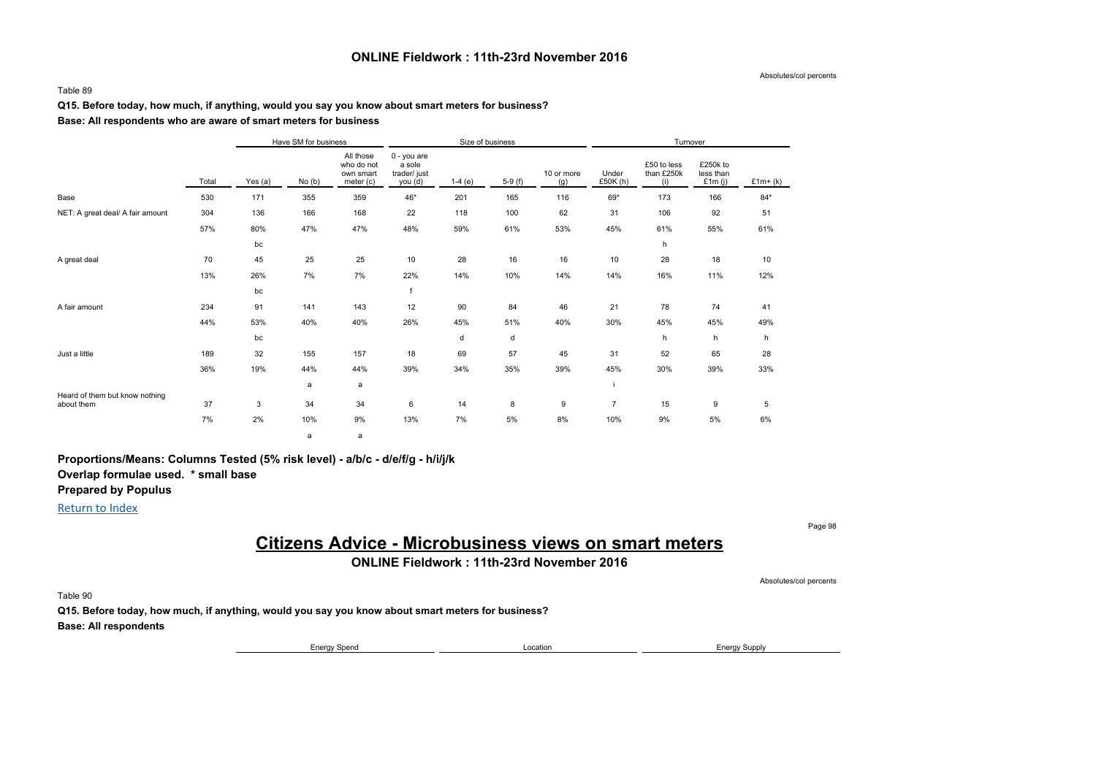#### **ONLINE Fieldwork : 11th-23rd November 2016**

Absolutes/col percents

#### Table 89

#### **Q15. Before today, how much, if anything, would you say you know about smart meters for business?**

#### **Base: All respondents who are aware of smart meters for business**

|                                              |       |         | Have SM for business |                                                   |                                                    |          | Size of business |                   |                   | Turnover                         |                                    |           |
|----------------------------------------------|-------|---------|----------------------|---------------------------------------------------|----------------------------------------------------|----------|------------------|-------------------|-------------------|----------------------------------|------------------------------------|-----------|
|                                              | Total | Yes (a) | No(b)                | All those<br>who do not<br>own smart<br>meter (c) | $0 - you$ are<br>a sole<br>trader/ just<br>you (d) | $1-4(e)$ | $5-9(f)$         | 10 or more<br>(g) | Under<br>£50K (h) | £50 to less<br>than £250k<br>(i) | £250k to<br>less than<br>£1 $m(j)$ | $£1m+(k)$ |
| Base                                         | 530   | 171     | 355                  | 359                                               | 46*                                                | 201      | 165              | 116               | 69*               | 173                              | 166                                | $84*$     |
| NET: A great deal/ A fair amount             | 304   | 136     | 166                  | 168                                               | 22                                                 | 118      | 100              | 62                | 31                | 106                              | 92                                 | 51        |
|                                              | 57%   | 80%     | 47%                  | 47%                                               | 48%                                                | 59%      | 61%              | 53%               | 45%               | 61%                              | 55%                                | 61%       |
|                                              |       | bc      |                      |                                                   |                                                    |          |                  |                   |                   | h                                |                                    |           |
| A great deal                                 | 70    | 45      | 25                   | 25                                                | 10                                                 | 28       | 16               | 16                | 10                | 28                               | 18                                 | 10        |
|                                              | 13%   | 26%     | 7%                   | 7%                                                | 22%                                                | 14%      | 10%              | 14%               | 14%               | 16%                              | 11%                                | 12%       |
|                                              |       | bc      |                      |                                                   | $\mathsf{f}$                                       |          |                  |                   |                   |                                  |                                    |           |
| A fair amount                                | 234   | 91      | 141                  | 143                                               | 12                                                 | 90       | 84               | 46                | 21                | 78                               | 74                                 | 41        |
|                                              | 44%   | 53%     | 40%                  | 40%                                               | 26%                                                | 45%      | 51%              | 40%               | 30%               | 45%                              | 45%                                | 49%       |
|                                              |       | bc      |                      |                                                   |                                                    | d        | d                |                   |                   | h                                | h                                  | h         |
| Just a little                                | 189   | 32      | 155                  | 157                                               | 18                                                 | 69       | 57               | 45                | 31                | 52                               | 65                                 | 28        |
|                                              | 36%   | 19%     | 44%                  | 44%                                               | 39%                                                | 34%      | 35%              | 39%               | 45%               | 30%                              | 39%                                | 33%       |
|                                              |       |         | a                    | a                                                 |                                                    |          |                  |                   |                   |                                  |                                    |           |
| Heard of them but know nothing<br>about them | 37    | 3       | 34                   | 34                                                | 6                                                  | 14       | 8                | 9                 | $\overline{7}$    | 15                               | 9                                  | 5         |
|                                              | 7%    | 2%      | 10%                  | 9%                                                | 13%                                                | 7%       | 5%               | 8%                | 10%               | 9%                               | 5%                                 | 6%        |
|                                              |       |         | a                    | a                                                 |                                                    |          |                  |                   |                   |                                  |                                    |           |

**Proportions/Means: Columns Tested (5% risk level) - a/b/c - d/e/f/g - h/i/j/k Overlap formulae used. \* small base Prepared by Populus**

Return to Index

# **Citizens Advice - Microbusiness views on smart meters**

**ONLINE Fieldwork : 11th-23rd November 2016**

Table 90

**Q15. Before today, how much, if anything, would you say you know about smart meters for business? Base: All respondents**

Energy Spend **Energy Spend** Energy Supply **Energy Supply** 

Page 98

Absolutes/col percents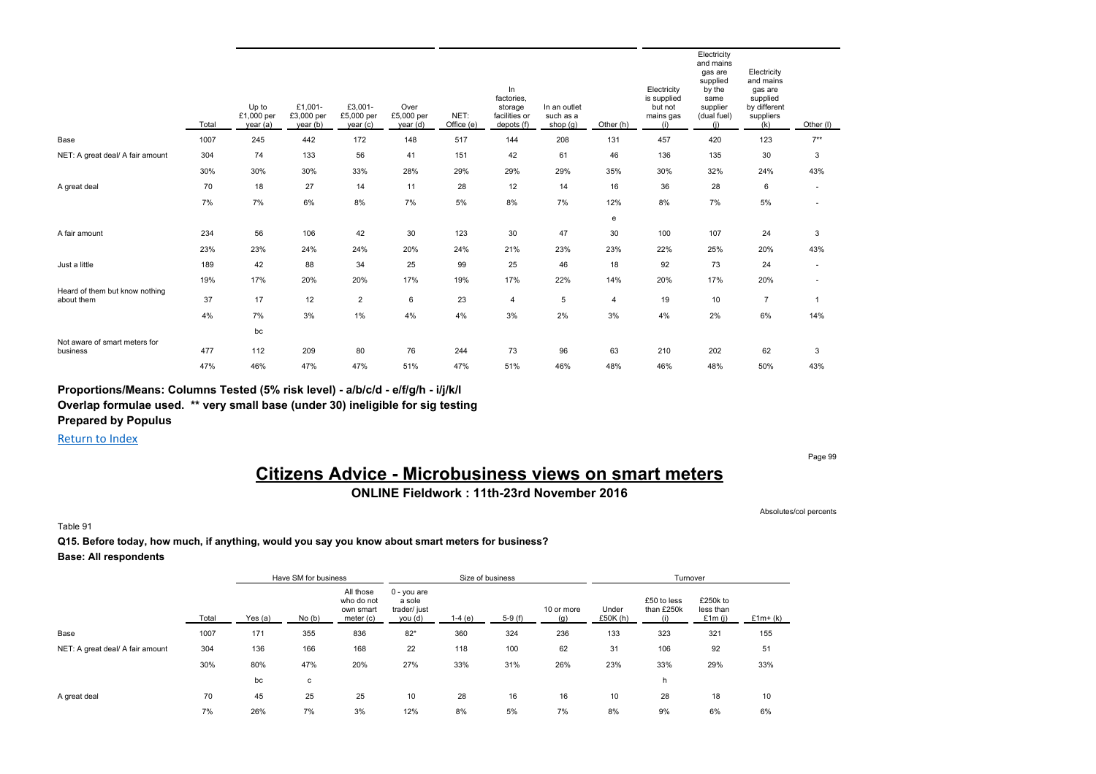|                                              | Total | Up to<br>£1,000 per<br>year (a) | £1,001-<br>£3,000 per<br>year (b) | £3,001-<br>£5,000 per<br>year (c) | Over<br>£5,000 per<br>year (d) | NET:<br>Office (e) | In<br>factories,<br>storage<br>facilities or<br>depots (f) | In an outlet<br>such as a<br>shop $(g)$ | Other (h) | Electricity<br>is supplied<br>but not<br>mains gas<br>(i) | Electricity<br>and mains<br>gas are<br>supplied<br>by the<br>same<br>supplier<br>(dual fuel)<br>(i) | Electricity<br>and mains<br>gas are<br>supplied<br>by different<br>suppliers<br>(k) | Other (I)                |
|----------------------------------------------|-------|---------------------------------|-----------------------------------|-----------------------------------|--------------------------------|--------------------|------------------------------------------------------------|-----------------------------------------|-----------|-----------------------------------------------------------|-----------------------------------------------------------------------------------------------------|-------------------------------------------------------------------------------------|--------------------------|
| Base                                         | 1007  | 245                             | 442                               | 172                               | 148                            | 517                | 144                                                        | 208                                     | 131       | 457                                                       | 420                                                                                                 | 123                                                                                 | $7***$                   |
| NET: A great deal/ A fair amount             | 304   | 74                              | 133                               | 56                                | 41                             | 151                | 42                                                         | 61                                      | 46        | 136                                                       | 135                                                                                                 | 30                                                                                  | 3                        |
|                                              | 30%   | 30%                             | 30%                               | 33%                               | 28%                            | 29%                | 29%                                                        | 29%                                     | 35%       | 30%                                                       | 32%                                                                                                 | 24%                                                                                 | 43%                      |
| A great deal                                 | 70    | 18                              | 27                                | 14                                | 11                             | 28                 | 12                                                         | 14                                      | 16        | 36                                                        | 28                                                                                                  | 6                                                                                   | $\overline{\phantom{a}}$ |
|                                              | 7%    | 7%                              | 6%                                | 8%                                | 7%                             | 5%                 | 8%                                                         | 7%                                      | 12%       | 8%                                                        | 7%                                                                                                  | 5%                                                                                  | $\sim$                   |
|                                              |       |                                 |                                   |                                   |                                |                    |                                                            |                                         | e         |                                                           |                                                                                                     |                                                                                     |                          |
| A fair amount                                | 234   | 56                              | 106                               | 42                                | 30                             | 123                | 30                                                         | 47                                      | 30        | 100                                                       | 107                                                                                                 | 24                                                                                  | 3                        |
|                                              | 23%   | 23%                             | 24%                               | 24%                               | 20%                            | 24%                | 21%                                                        | 23%                                     | 23%       | 22%                                                       | 25%                                                                                                 | 20%                                                                                 | 43%                      |
| Just a little                                | 189   | 42                              | 88                                | 34                                | 25                             | 99                 | 25                                                         | 46                                      | 18        | 92                                                        | 73                                                                                                  | 24                                                                                  | $\sim$                   |
|                                              | 19%   | 17%                             | 20%                               | 20%                               | 17%                            | 19%                | 17%                                                        | 22%                                     | 14%       | 20%                                                       | 17%                                                                                                 | 20%                                                                                 | $\overline{\phantom{a}}$ |
| Heard of them but know nothing<br>about them | 37    | 17                              | 12                                | $\overline{2}$                    | 6                              | 23                 | 4                                                          | 5                                       | 4         | 19                                                        | 10                                                                                                  | $\overline{7}$                                                                      | 1                        |
|                                              | 4%    | 7%                              | 3%                                | $1\%$                             | 4%                             | 4%                 | 3%                                                         | 2%                                      | 3%        | 4%                                                        | 2%                                                                                                  | 6%                                                                                  | 14%                      |
|                                              |       | bc                              |                                   |                                   |                                |                    |                                                            |                                         |           |                                                           |                                                                                                     |                                                                                     |                          |
| Not aware of smart meters for<br>business    | 477   | 112                             | 209                               | 80                                | 76                             | 244                | 73                                                         | 96                                      | 63        | 210                                                       | 202                                                                                                 | 62                                                                                  | 3                        |
|                                              | 47%   | 46%                             | 47%                               | 47%                               | 51%                            | 47%                | 51%                                                        | 46%                                     | 48%       | 46%                                                       | 48%                                                                                                 | 50%                                                                                 | 43%                      |

**Proportions/Means: Columns Tested (5% risk level) - a/b/c/d - e/f/g/h - i/j/k/l**

**Overlap formulae used. \*\* very small base (under 30) ineligible for sig testing**

**Prepared by Populus**

Return to Index

#### Page 99

# **Citizens Advice - Microbusiness views on smart meters**

**ONLINE Fieldwork : 11th-23rd November 2016**

Absolutes/col percents

Table 91

#### **Q15. Before today, how much, if anything, would you say you know about smart meters for business?**

**Base: All respondents**

|                                  |       |           | Have SM for business |                                                     |                                                  |          | Size of business |                   |                  | Turnover                  |                                 |           |
|----------------------------------|-------|-----------|----------------------|-----------------------------------------------------|--------------------------------------------------|----------|------------------|-------------------|------------------|---------------------------|---------------------------------|-----------|
|                                  | Total | Yes $(a)$ | No(b)                | All those<br>who do not<br>own smart<br>meter $(c)$ | 0 - you are<br>a sole<br>trader/ just<br>you (d) | $1-4(e)$ | $5-9(f)$         | 10 or more<br>(q) | Under<br>£50K(h) | £50 to less<br>than £250k | £250k to<br>less than<br>£1m(i) | $£1m+(k)$ |
| Base                             | 1007  | 171       | 355                  | 836                                                 | $82*$                                            | 360      | 324              | 236               | 133              | 323                       | 321                             | 155       |
| NET: A great deal/ A fair amount | 304   | 136       | 166                  | 168                                                 | 22                                               | 118      | 100              | 62                | 31               | 106                       | 92                              | 51        |
|                                  | 30%   | 80%       | 47%                  | 20%                                                 | 27%                                              | 33%      | 31%              | 26%               | 23%              | 33%                       | 29%                             | 33%       |
|                                  |       | bc        | с                    |                                                     |                                                  |          |                  |                   |                  | h                         |                                 |           |
| A great deal                     | 70    | 45        | 25                   | 25                                                  | 10                                               | 28       | 16               | 16                | 10               | 28                        | 18                              | 10        |
|                                  | 7%    | 26%       | 7%                   | 3%                                                  | 12%                                              | 8%       | 5%               | 7%                | 8%               | 9%                        | 6%                              | 6%        |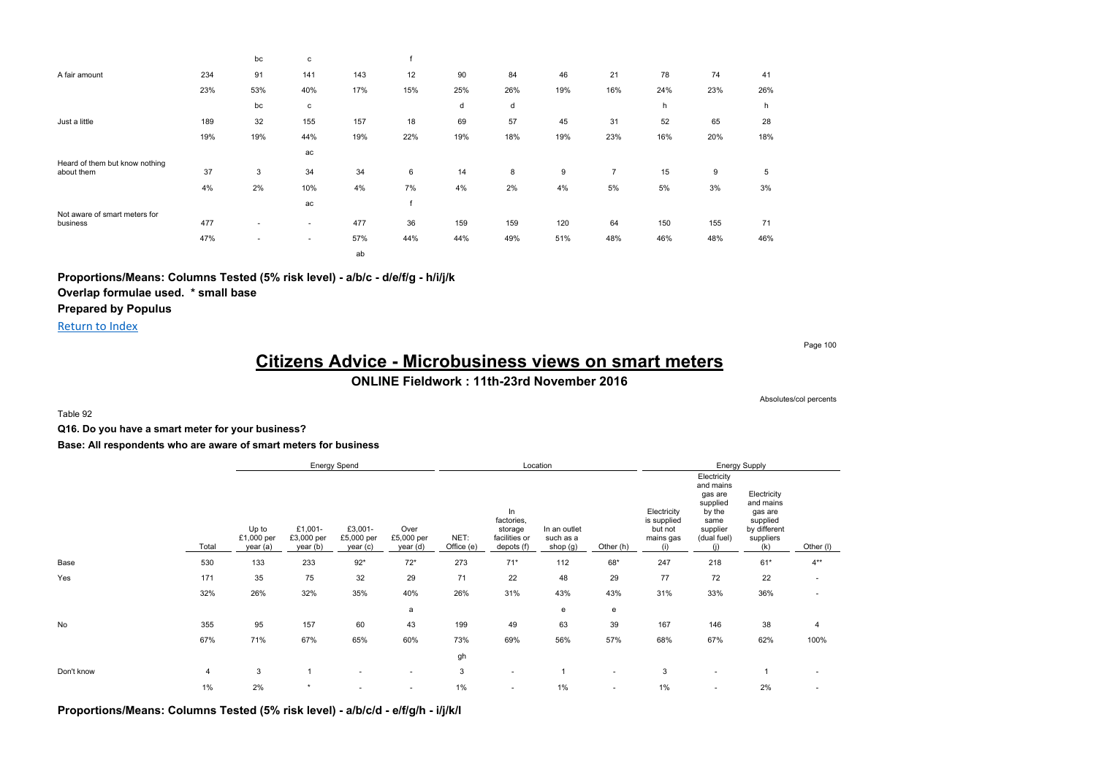|                                              |     | bc  | с            |     |     |     |     |     |     |     |     |     |
|----------------------------------------------|-----|-----|--------------|-----|-----|-----|-----|-----|-----|-----|-----|-----|
| A fair amount                                | 234 | 91  | 141          | 143 | 12  | 90  | 84  | 46  | 21  | 78  | 74  | 41  |
|                                              | 23% | 53% | 40%          | 17% | 15% | 25% | 26% | 19% | 16% | 24% | 23% | 26% |
|                                              |     | bc  | $\mathtt{C}$ |     |     | d   | d   |     |     | h   |     | h   |
| Just a little                                | 189 | 32  | 155          | 157 | 18  | 69  | 57  | 45  | 31  | 52  | 65  | 28  |
|                                              | 19% | 19% | 44%          | 19% | 22% | 19% | 18% | 19% | 23% | 16% | 20% | 18% |
|                                              |     |     | ac           |     |     |     |     |     |     |     |     |     |
| Heard of them but know nothing<br>about them | 37  | 3   | 34           | 34  | 6   | 14  | 8   | 9   | 7   | 15  | 9   | 5   |
|                                              | 4%  | 2%  | 10%          | 4%  | 7%  | 4%  | 2%  | 4%  | 5%  | 5%  | 3%  | 3%  |
|                                              |     |     | ac           |     |     |     |     |     |     |     |     |     |
| Not aware of smart meters for<br>business    | 477 | ۰   | ٠            | 477 | 36  | 159 | 159 | 120 | 64  | 150 | 155 | 71  |
|                                              | 47% | ۰   | ٠            | 57% | 44% | 44% | 49% | 51% | 48% | 46% | 48% | 46% |
|                                              |     |     |              | ab  |     |     |     |     |     |     |     |     |

**Proportions/Means: Columns Tested (5% risk level) - a/b/c - d/e/f/g - h/i/j/k Overlap formulae used. \* small base**

**Prepared by Populus**

Return to Index

Page 100

# **Citizens Advice - Microbusiness views on smart meters**

### **ONLINE Fieldwork : 11th-23rd November 2016**

Absolutes/col percents

Table 92

**Q16. Do you have a smart meter for your business?**

**Base: All respondents who are aware of smart meters for business**

|            |       |                                 |                                   | Energy Spend                      |                                |                    | Location                                                  |                                       |                |                                                           |                                                                                                     | Energy Supply                                                                       |             |
|------------|-------|---------------------------------|-----------------------------------|-----------------------------------|--------------------------------|--------------------|-----------------------------------------------------------|---------------------------------------|----------------|-----------------------------------------------------------|-----------------------------------------------------------------------------------------------------|-------------------------------------------------------------------------------------|-------------|
|            | Total | Up to<br>£1,000 per<br>year (a) | £1,001-<br>£3,000 per<br>year (b) | £3,001-<br>£5,000 per<br>year (c) | Over<br>£5,000 per<br>year (d) | NET:<br>Office (e) | In<br>factories,<br>storage<br>facilities or<br>depots(f) | In an outlet<br>such as a<br>shop (g) | Other (h)      | Electricity<br>is supplied<br>but not<br>mains gas<br>(i) | Electricity<br>and mains<br>gas are<br>supplied<br>by the<br>same<br>supplier<br>(dual fuel)<br>(i) | Electricity<br>and mains<br>gas are<br>supplied<br>by different<br>suppliers<br>(k) | Other $(I)$ |
| Base       | 530   | 133                             | 233                               | $92*$                             | $72*$                          | 273                | $71*$                                                     | 112                                   | $68*$          | 247                                                       | 218                                                                                                 | $61*$                                                                               | $4**$       |
| Yes        | 171   | 35                              | 75                                | 32                                | 29                             | 71                 | 22                                                        | 48                                    | 29             | 77                                                        | 72                                                                                                  | 22                                                                                  |             |
|            | 32%   | 26%                             | 32%                               | 35%                               | 40%                            | 26%                | 31%                                                       | 43%                                   | 43%            | 31%                                                       | 33%                                                                                                 | 36%                                                                                 |             |
|            |       |                                 |                                   |                                   | a                              |                    |                                                           | e                                     | e              |                                                           |                                                                                                     |                                                                                     |             |
| No         | 355   | 95                              | 157                               | 60                                | 43                             | 199                | 49                                                        | 63                                    | 39             | 167                                                       | 146                                                                                                 | 38                                                                                  | 4           |
|            | 67%   | 71%                             | 67%                               | 65%                               | 60%                            | 73%                | 69%                                                       | 56%                                   | 57%            | 68%                                                       | 67%                                                                                                 | 62%                                                                                 | 100%        |
|            |       |                                 |                                   |                                   |                                | gh                 |                                                           |                                       |                |                                                           |                                                                                                     |                                                                                     |             |
| Don't know | 4     | 3                               |                                   |                                   | $\sim$                         | 3                  | $\sim$                                                    |                                       | $\overline{a}$ | 3                                                         | ٠                                                                                                   |                                                                                     |             |
|            | $1\%$ | 2%                              | $\star$                           |                                   | ٠                              | 1%                 | $\overline{\phantom{a}}$                                  | 1%                                    | $\sim$         | 1%                                                        | $\overline{\phantom{a}}$                                                                            | 2%                                                                                  |             |

**Proportions/Means: Columns Tested (5% risk level) - a/b/c/d - e/f/g/h - i/j/k/l**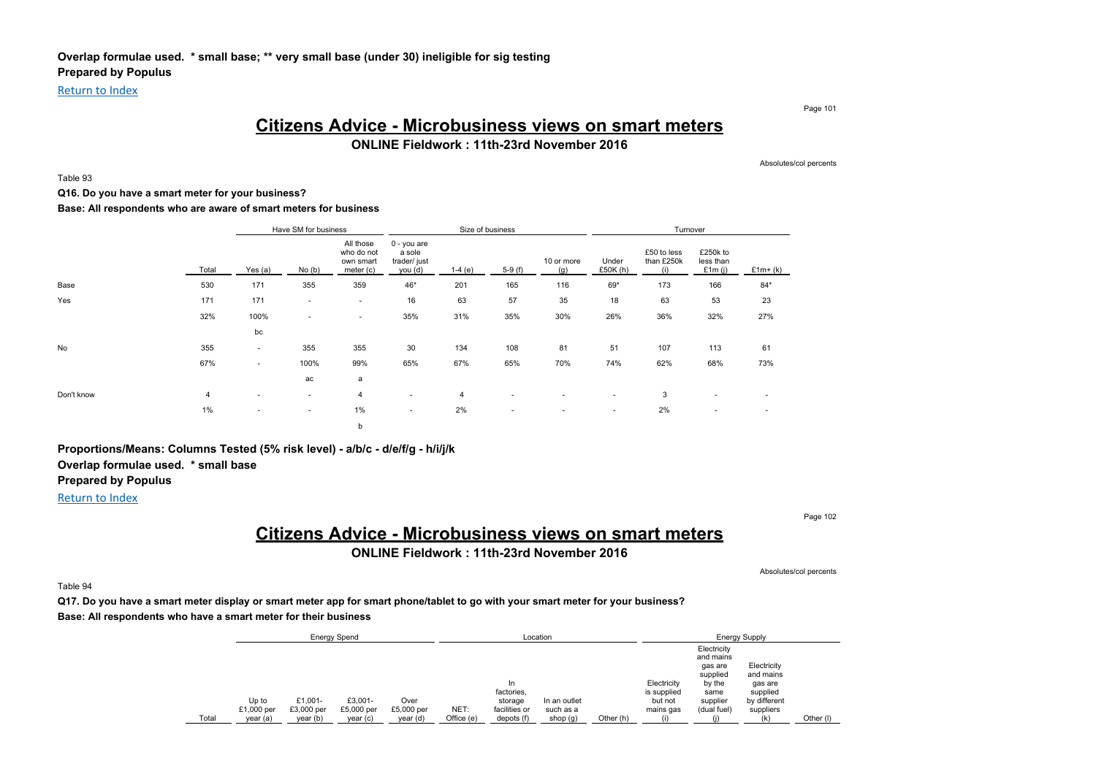Return to Index

Page 101

### **Citizens Advice - Microbusiness views on smart meters**

**ONLINE Fieldwork : 11th-23rd November 2016**

Absolutes/col percents

### Table 93

#### **Q16. Do you have a smart meter for your business?**

**Base: All respondents who are aware of smart meters for business**

|            |       |                          | Have SM for business     |                                                     |                                                  |          | Size of business         |                          |                          | Turnover                         |                                    |                          |
|------------|-------|--------------------------|--------------------------|-----------------------------------------------------|--------------------------------------------------|----------|--------------------------|--------------------------|--------------------------|----------------------------------|------------------------------------|--------------------------|
|            | Total | Yes (a)                  | No(b)                    | All those<br>who do not<br>own smart<br>meter $(c)$ | 0 - you are<br>a sole<br>trader/ just<br>you (d) | $1-4(e)$ | $5-9(f)$                 | 10 or more<br>(g)        | Under<br>£50 $K(h)$      | £50 to less<br>than £250k<br>(i) | £250k to<br>less than<br>£1 $m(i)$ | $£1m+(k)$                |
| Base       | 530   | 171                      | 355                      | 359                                                 | 46*                                              | 201      | 165                      | 116                      | 69*                      | 173                              | 166                                | $84*$                    |
| Yes        | 171   | 171                      | $\overline{\phantom{a}}$ | $\sim$                                              | 16                                               | 63       | 57                       | 35                       | 18                       | 63                               | 53                                 | 23                       |
|            | 32%   | 100%                     | ٠                        | $\sim$                                              | 35%                                              | 31%      | 35%                      | 30%                      | 26%                      | 36%                              | 32%                                | 27%                      |
|            |       | bc                       |                          |                                                     |                                                  |          |                          |                          |                          |                                  |                                    |                          |
| No         | 355   | $\sim$                   | 355                      | 355                                                 | 30                                               | 134      | 108                      | 81                       | 51                       | 107                              | 113                                | 61                       |
|            | 67%   | $\overline{\phantom{a}}$ | 100%                     | 99%                                                 | 65%                                              | 67%      | 65%                      | 70%                      | 74%                      | 62%                              | 68%                                | 73%                      |
|            |       |                          | ac                       | a                                                   |                                                  |          |                          |                          |                          |                                  |                                    |                          |
| Don't know | 4     | $\overline{\phantom{a}}$ | $\overline{\phantom{a}}$ | $\overline{4}$                                      | ۰                                                | 4        | $\overline{\phantom{a}}$ | $\overline{\phantom{a}}$ | $\overline{\phantom{a}}$ | 3                                | $\overline{\phantom{a}}$           | $\overline{\phantom{a}}$ |
|            | 1%    | $\sim$                   | $\overline{\phantom{a}}$ | 1%                                                  | ۰                                                | 2%       | $\overline{\phantom{a}}$ | $\overline{\phantom{a}}$ | $\overline{\phantom{a}}$ | 2%                               | $\overline{\phantom{a}}$           | $\overline{\phantom{a}}$ |
|            |       |                          |                          | b                                                   |                                                  |          |                          |                          |                          |                                  |                                    |                          |

**Proportions/Means: Columns Tested (5% risk level) - a/b/c - d/e/f/g - h/i/j/k Overlap formulae used. \* small base**

### **Prepared by Populus**

### Return to Index

Page 102

# **Citizens Advice - Microbusiness views on smart meters**

**ONLINE Fieldwork : 11th-23rd November 2016**

Absolutes/col percents

Table 94

**Q17. Do you have a smart meter display or smart meter app for smart phone/tablet to go with your smart meter for your business? Base: All respondents who have a smart meter for their business**

|       |                     |                       | <b>Energy Spend</b>   |                    |            |                                              | Location                  |           |                                                    |                                                 | <b>Energy Supply</b>                             |           |
|-------|---------------------|-----------------------|-----------------------|--------------------|------------|----------------------------------------------|---------------------------|-----------|----------------------------------------------------|-------------------------------------------------|--------------------------------------------------|-----------|
|       |                     |                       |                       |                    |            |                                              |                           |           |                                                    | Electricity<br>and mains<br>gas are<br>supplied | Electricity<br>and mains                         |           |
|       | Up to<br>£1,000 per | £1.001-<br>£3,000 per | £3.001-<br>£5,000 per | Over<br>£5,000 per | NET:       | In<br>factories,<br>storage<br>facilities or | In an outlet<br>such as a |           | Electricity<br>is supplied<br>but not<br>mains gas | by the<br>same<br>supplier<br>(dual fuel)       | gas are<br>supplied<br>by different<br>suppliers |           |
| Total | year (a)            | year (b)              | year(c)               | year(d)            | Office (e) | depots (f)                                   | shop $(g)$                | Other (h) |                                                    |                                                 | (k)                                              | Other (I) |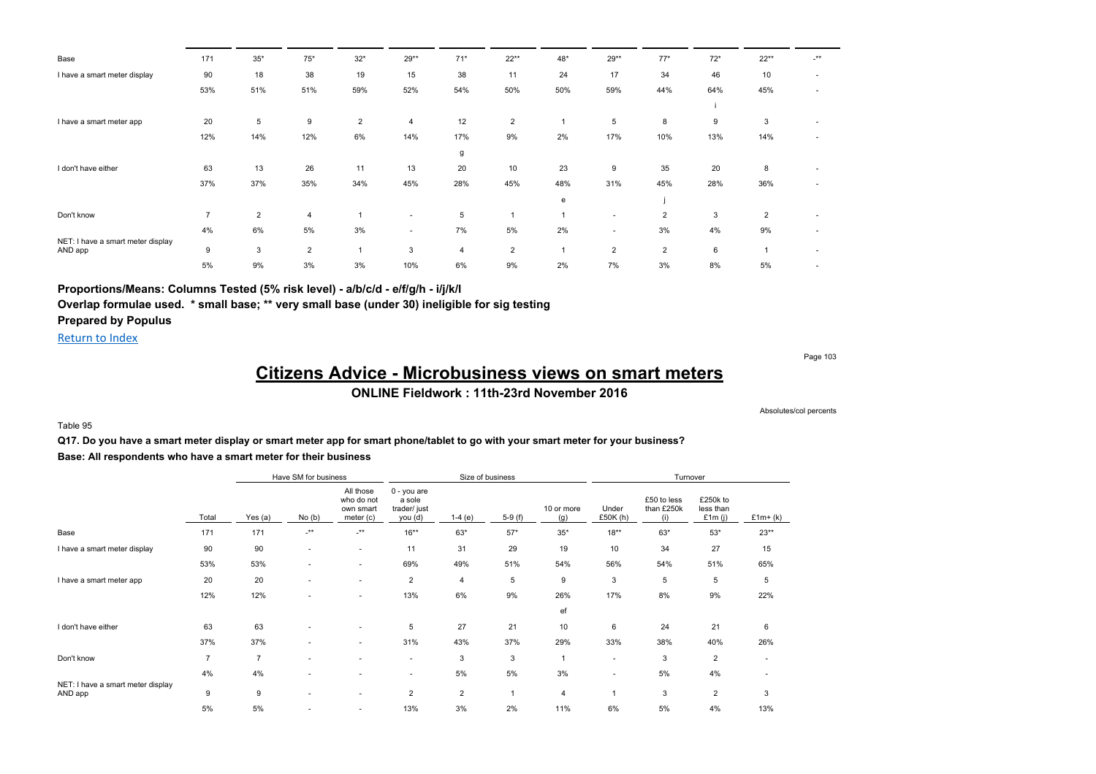| Base                                         | 171            | $35^{\ast}$    | $75*$          | $32*$          | 29**   | $71*$          | $22**$         | 48* | $29**$                   | $77*$          | $72*$ | $22**$         | $.**$                    |
|----------------------------------------------|----------------|----------------|----------------|----------------|--------|----------------|----------------|-----|--------------------------|----------------|-------|----------------|--------------------------|
| I have a smart meter display                 | 90             | 18             | 38             | 19             | 15     | 38             | 11             | 24  | 17                       | 34             | 46    | 10             | $\overline{\phantom{a}}$ |
|                                              | 53%            | 51%            | 51%            | 59%            | 52%    | 54%            | 50%            | 50% | 59%                      | 44%            | 64%   | 45%            | ٠                        |
|                                              |                |                |                |                |        |                |                |     |                          |                |       |                |                          |
| I have a smart meter app                     | 20             | 5              | 9              | $\overline{2}$ | 4      | 12             | $\overline{2}$ |     | 5                        | 8              | 9     | 3              |                          |
|                                              | 12%            | 14%            | 12%            | 6%             | 14%    | 17%            | 9%             | 2%  | 17%                      | 10%            | 13%   | 14%            |                          |
|                                              |                |                |                |                |        | g              |                |     |                          |                |       |                |                          |
| I don't have either                          | 63             | 13             | 26             | 11             | 13     | 20             | 10             | 23  | 9                        | 35             | 20    | 8              |                          |
|                                              | 37%            | 37%            | 35%            | 34%            | 45%    | 28%            | 45%            | 48% | 31%                      | 45%            | 28%   | 36%            |                          |
|                                              |                |                |                |                |        |                |                | e   |                          |                |       |                |                          |
| Don't know                                   | $\overline{7}$ | $\overline{2}$ | 4              |                | $\sim$ | 5              |                |     | $\overline{\phantom{a}}$ | $\overline{2}$ | 3     | $\overline{2}$ |                          |
|                                              | 4%             | 6%             | 5%             | 3%             | $\sim$ | 7%             | 5%             | 2%  | $\sim$                   | 3%             | 4%    | 9%             |                          |
| NET: I have a smart meter display<br>AND app | 9              | 3              | $\overline{2}$ |                | 3      | $\overline{4}$ | $\overline{2}$ |     | $\overline{2}$           | $\overline{2}$ | 6     |                |                          |
|                                              | 5%             | 9%             | 3%             | 3%             | 10%    | 6%             | 9%             | 2%  | 7%                       | 3%             | 8%    | 5%             |                          |

### **Proportions/Means: Columns Tested (5% risk level) - a/b/c/d - e/f/g/h - i/j/k/l**

**Overlap formulae used. \* small base; \*\* very small base (under 30) ineligible for sig testing Prepared by Populus**

Return to Index

Page 103

# **Citizens Advice - Microbusiness views on smart meters**

**ONLINE Fieldwork : 11th-23rd November 2016**

Absolutes/col percents

Table 95

**Q17. Do you have a smart meter display or smart meter app for smart phone/tablet to go with your smart meter for your business? Base: All respondents who have a smart meter for their business**

|                                              |       |                | Have SM for business     |                                                   |                                                  |                | Size of business |                   |                          | Turnover                         |                                    |                |
|----------------------------------------------|-------|----------------|--------------------------|---------------------------------------------------|--------------------------------------------------|----------------|------------------|-------------------|--------------------------|----------------------------------|------------------------------------|----------------|
|                                              | Total | Yes (a)        | No(b)                    | All those<br>who do not<br>own smart<br>meter (c) | 0 - you are<br>a sole<br>trader/ just<br>you (d) | $1-4(e)$       | $5-9(f)$         | 10 or more<br>(g) | Under<br>£50K(h)         | £50 to less<br>than £250k<br>(i) | £250k to<br>less than<br>£1m $(i)$ | $£1m+(k)$      |
| Base                                         | 171   | 171            | $\cdot^{\star\star}$     | $.**$                                             | $16***$                                          | 63*            | $57*$            | $35*$             | $18***$                  | $63*$                            | $53*$                              | $23**$         |
| I have a smart meter display                 | 90    | 90             | $\overline{\phantom{a}}$ | ۰.                                                | 11                                               | 31             | 29               | 19                | 10                       | 34                               | 27                                 | 15             |
|                                              | 53%   | 53%            | ٠                        | ٠                                                 | 69%                                              | 49%            | 51%              | 54%               | 56%                      | 54%                              | 51%                                | 65%            |
| I have a smart meter app                     | 20    | 20             | ۰                        | $\sim$                                            | $\overline{2}$                                   | $\overline{4}$ | 5                | 9                 | 3                        | 5                                | 5                                  | 5              |
|                                              | 12%   | 12%            | ۰                        | ۰.                                                | 13%                                              | 6%             | 9%               | 26%               | 17%                      | 8%                               | 9%                                 | 22%            |
|                                              |       |                |                          |                                                   |                                                  |                |                  | ef                |                          |                                  |                                    |                |
| I don't have either                          | 63    | 63             |                          | $\sim$                                            | 5                                                | 27             | 21               | 10                | 6                        | 24                               | 21                                 | 6              |
|                                              | 37%   | 37%            | ۰                        | $\sim$                                            | 31%                                              | 43%            | 37%              | 29%               | 33%                      | 38%                              | 40%                                | 26%            |
| Don't know                                   | 7     | $\overline{7}$ | ۰                        |                                                   | ٠                                                | 3              | 3                |                   | $\overline{\phantom{a}}$ | 3                                | 2                                  |                |
|                                              | 4%    | 4%             | ۰                        | $\sim$                                            | $\overline{\phantom{a}}$                         | 5%             | 5%               | 3%                | $\sim$                   | 5%                               | 4%                                 | $\overline{a}$ |
| NET: I have a smart meter display<br>AND app | 9     | 9              | ۰                        | $\sim$                                            | $\overline{2}$                                   | $\overline{2}$ |                  | 4                 | 1                        | 3                                | $\overline{2}$                     | 3              |
|                                              | 5%    | 5%             |                          | ٠                                                 | 13%                                              | 3%             | 2%               | 11%               | 6%                       | 5%                               | 4%                                 | 13%            |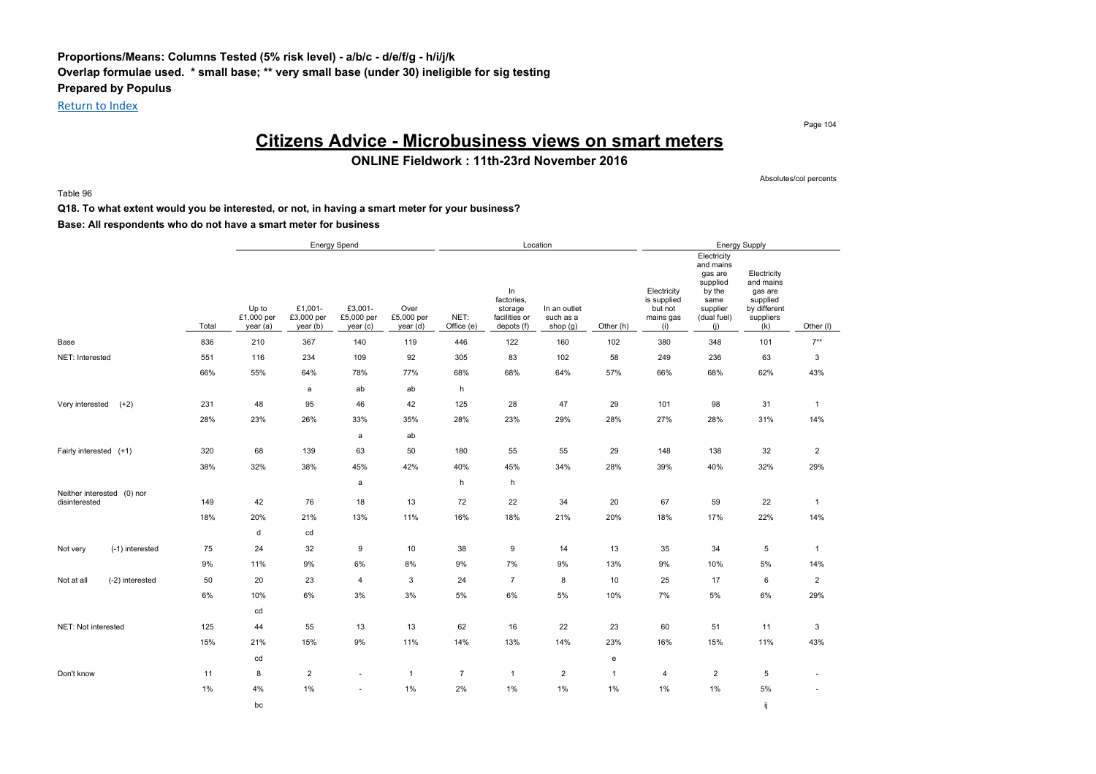### **Proportions/Means: Columns Tested (5% risk level) - a/b/c - d/e/f/g - h/i/j/k Overlap formulae used. \* small base; \*\* very small base (under 30) ineligible for sig testing Prepared by Populus**

Return to Index

Page 104

# **Citizens Advice - Microbusiness views on smart meters**

#### **ONLINE Fieldwork : 11th-23rd November 2016**

Absolutes/col percents

Table 96

#### **Q18. To what extent would you be interested, or not, in having a smart meter for your business? Base: All respondents who do not have a smart meter for business**

#### Energy Spend **Energy Supply Energy Supply Energy Supply Energy Supply Energy Supply** Total Up to £1,000 per year (a) £1,001- £3,000 per year (b) £3,001- £5,000 per year (c) Over £5,000 per year (d) NET: Office (e) In factories, storage facilities or depots (f) In an outlet such as a shop  $(g)$  Other  $(h)$ **Electricity** is supplied but not mains gas (i) **Electricity** and mains gas are supplied by the same supplier (dual fuel) (j) **Electricity** and mains gas are supplied by different suppliers  $(k)$  Other (I) Base 836 210 367 140 119 446 122 160 102 380 348 101 7\*\* NET: Interested 551 116 234 109 92 305 83 102 58 249 236 63 3 66% 55% 64% 78% 77% 68% 68% 64% 57% 66% 68% 62% 43% a ab ab h Very interested (+2) 231 48 95 46 42 125 28 47 29 101 98 31 1 28% 23% 26% 33% 35% 28% 23% 29% 28% 27% 28% 31% 14% a ab Fairly interested (+1) 320 68 139 63 50 180 55 55 29 148 138 32 2 38% 32% 38% 45% 42% 40% 45% 34% 28% 39% 40% 32% 29% a h h Neither interested (0) nor disinterested 149 42 76 18 13 72 22 34 20 67 59 22 1 18% 20% 21% 13% 11% 16% 18% 21% 20% 18% 17% 22% 14% d cd Not very (-1) interested 75 24 32 9 10 38 9 14 13 35 34 5 1 9% 11% 9% 6% 8% 9% 7% 9% 13% 9% 10% 5% 14% Not at all (-2) interested 50 20 23 4 3 24 7 8 10 25 17 6 2 6% 10% 6% 3% 3% 5% 6% 5% 10% 7% 5% 6% 29% cd NET: Not interested 125 44 55 13 13 62 16 22 23 60 51 11 3 15% 21% 15% 9% 11% 14% 13% 14% 23% 16% 15% 11% 43% cd experiments are constructed by the construction of the construction of the construction of the construction of the construction of the construction of the construction of the construction of the construction of the cons Don't know 11 8 2 - 1 7 1 2 1 4 2 5 - 1% 4% 1% - 1% 2% 1% 1% 1% 1% 1% 5% bc iji ber alternative and the set of the set of the set of the set of the set of the set of the set of the se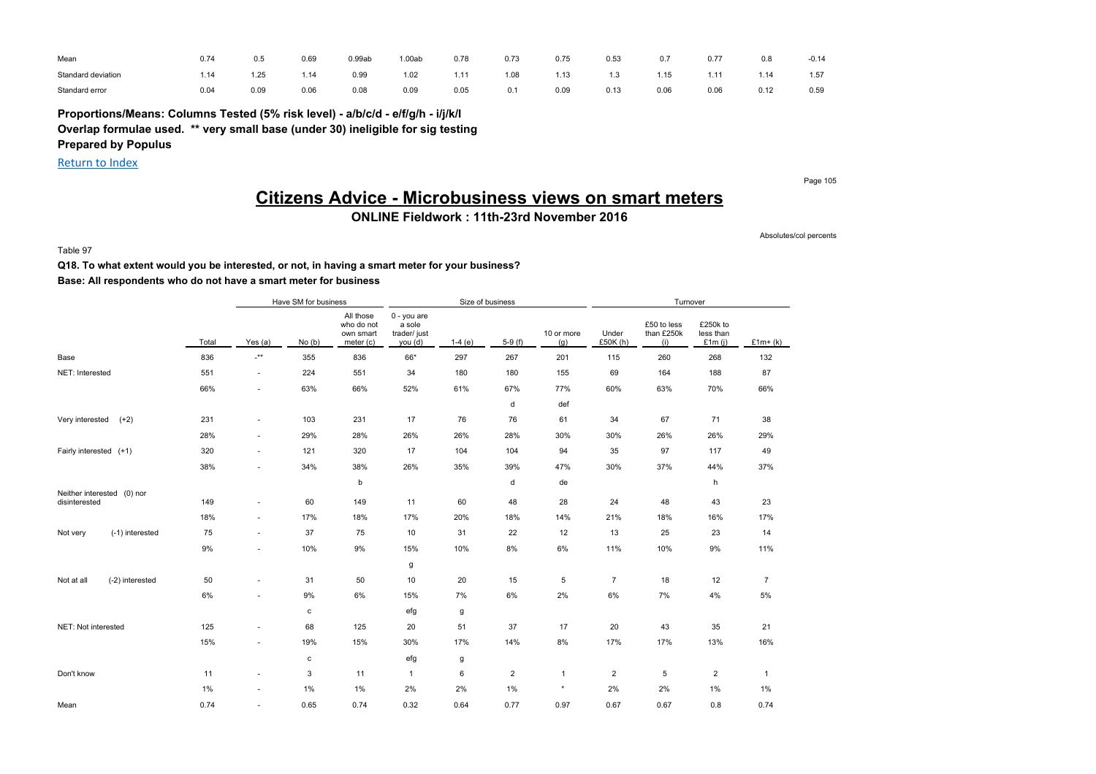| Mean               | 0.74 | 0.5  | 0.69 | 0.99ab | .00ab | 0.78 | 0.73 | 0.75 | 0.53      | 0.7  | 0.77 | 0.8  | $-0.14$ |
|--------------------|------|------|------|--------|-------|------|------|------|-----------|------|------|------|---------|
| Standard deviation | 1.14 | 1.25 | 1.14 | 0.99   | 1.02  | 1.11 | 1.08 | 1.13 | 12<br>. ت | .15  | 1.11 | 1.14 | 1.57    |
| Standard error     | 0.04 | 0.09 | 0.06 | 0.08   | 0.09  | 0.05 | 0.1  | 0.09 | 0.13      | 0.06 | 0.06 | 0.12 | 0.59    |

**Proportions/Means: Columns Tested (5% risk level) - a/b/c/d - e/f/g/h - i/j/k/l Overlap formulae used. \*\* very small base (under 30) ineligible for sig testing**

**Prepared by Populus**

Return to Index

Page 105

# **Citizens Advice - Microbusiness views on smart meters**

### **ONLINE Fieldwork : 11th-23rd November 2016**

Absolutes/col percents

Table 97

### **Q18. To what extent would you be interested, or not, in having a smart meter for your business? Base: All respondents who do not have a smart meter for business**

|                                             |       |                           | Have SM for business |                                                   |                                                  | Size of business |                |                   |                   | Turnover                         |                                    |              |
|---------------------------------------------|-------|---------------------------|----------------------|---------------------------------------------------|--------------------------------------------------|------------------|----------------|-------------------|-------------------|----------------------------------|------------------------------------|--------------|
|                                             | Total | Yes $(a)$                 | No(b)                | All those<br>who do not<br>own smart<br>meter (c) | 0 - you are<br>a sole<br>trader/ just<br>you (d) | $1-4(e)$         | $5-9(f)$       | 10 or more<br>(g) | Under<br>£50K (h) | £50 to less<br>than £250k<br>(i) | £250k to<br>less than<br>£1 $m(i)$ | $£1m+(k)$    |
| Base                                        | 836   | $\mathbf{I}^{\star\star}$ | 355                  | 836                                               | 66*                                              | 297              | 267            | 201               | 115               | 260                              | 268                                | 132          |
| NET: Interested                             | 551   | $\sim$                    | 224                  | 551                                               | 34                                               | 180              | 180            | 155               | 69                | 164                              | 188                                | 87           |
|                                             | 66%   | $\sim$                    | 63%                  | 66%                                               | 52%                                              | 61%              | 67%            | 77%               | 60%               | 63%                              | 70%                                | 66%          |
|                                             |       |                           |                      |                                                   |                                                  |                  | d              | def               |                   |                                  |                                    |              |
| $(+2)$<br>Very interested                   | 231   | $\sim$                    | 103                  | 231                                               | 17                                               | 76               | 76             | 61                | 34                | 67                               | 71                                 | 38           |
|                                             | 28%   | $\sim$                    | 29%                  | 28%                                               | 26%                                              | 26%              | 28%            | 30%               | 30%               | 26%                              | 26%                                | 29%          |
| Fairly interested (+1)                      | 320   | $\sim$                    | 121                  | 320                                               | 17                                               | 104              | 104            | 94                | 35                | 97                               | 117                                | 49           |
|                                             | 38%   | $\sim$                    | 34%                  | 38%                                               | 26%                                              | 35%              | 39%            | 47%               | 30%               | 37%                              | 44%                                | 37%          |
|                                             |       |                           |                      | b                                                 |                                                  |                  | d              | de                |                   |                                  | h                                  |              |
| Neither interested (0) nor<br>disinterested | 149   | $\sim$                    | 60                   | 149                                               | 11                                               | 60               | 48             | 28                | 24                | 48                               | 43                                 | 23           |
|                                             | 18%   | $\sim$                    | 17%                  | 18%                                               | 17%                                              | 20%              | 18%            | 14%               | 21%               | 18%                              | 16%                                | 17%          |
| (-1) interested<br>Not very                 | 75    | $\sim$                    | 37                   | 75                                                | $10$                                             | 31               | 22             | 12                | 13                | 25                               | 23                                 | 14           |
|                                             | 9%    | $\sim$                    | 10%                  | 9%                                                | 15%                                              | 10%              | 8%             | 6%                | 11%               | 10%                              | 9%                                 | 11%          |
|                                             |       |                           |                      |                                                   | g                                                |                  |                |                   |                   |                                  |                                    |              |
| Not at all<br>(-2) interested               | 50    | $\sim$                    | 31                   | 50                                                | 10                                               | 20               | 15             | 5                 | $\overline{7}$    | 18                               | 12                                 | 7            |
|                                             | 6%    | $\sim$                    | 9%                   | 6%                                                | 15%                                              | 7%               | 6%             | 2%                | 6%                | 7%                               | 4%                                 | $5\%$        |
|                                             |       |                           | $\mathbf c$          |                                                   | efg                                              | g                |                |                   |                   |                                  |                                    |              |
| NET: Not interested                         | 125   | ٠                         | 68                   | 125                                               | 20                                               | 51               | 37             | 17                | 20                | 43                               | 35                                 | 21           |
|                                             | 15%   | $\sim$                    | 19%                  | 15%                                               | 30%                                              | 17%              | 14%            | 8%                | 17%               | 17%                              | 13%                                | 16%          |
|                                             |       |                           | $\mathbf c$          |                                                   | efg                                              | g                |                |                   |                   |                                  |                                    |              |
| Don't know                                  | 11    | $\sim$                    | 3                    | 11                                                | $\mathbf{1}$                                     | 6                | $\overline{2}$ | $\mathbf{1}$      | $\overline{2}$    | 5                                | $\overline{2}$                     | $\mathbf{1}$ |
|                                             | 1%    | ٠                         | 1%                   | $1\%$                                             | 2%                                               | 2%               | 1%             | $\pmb{\ast}$      | 2%                | 2%                               | 1%                                 | 1%           |
| Mean                                        | 0.74  | $\sim$                    | 0.65                 | 0.74                                              | 0.32                                             | 0.64             | 0.77           | 0.97              | 0.67              | 0.67                             | 0.8                                | 0.74         |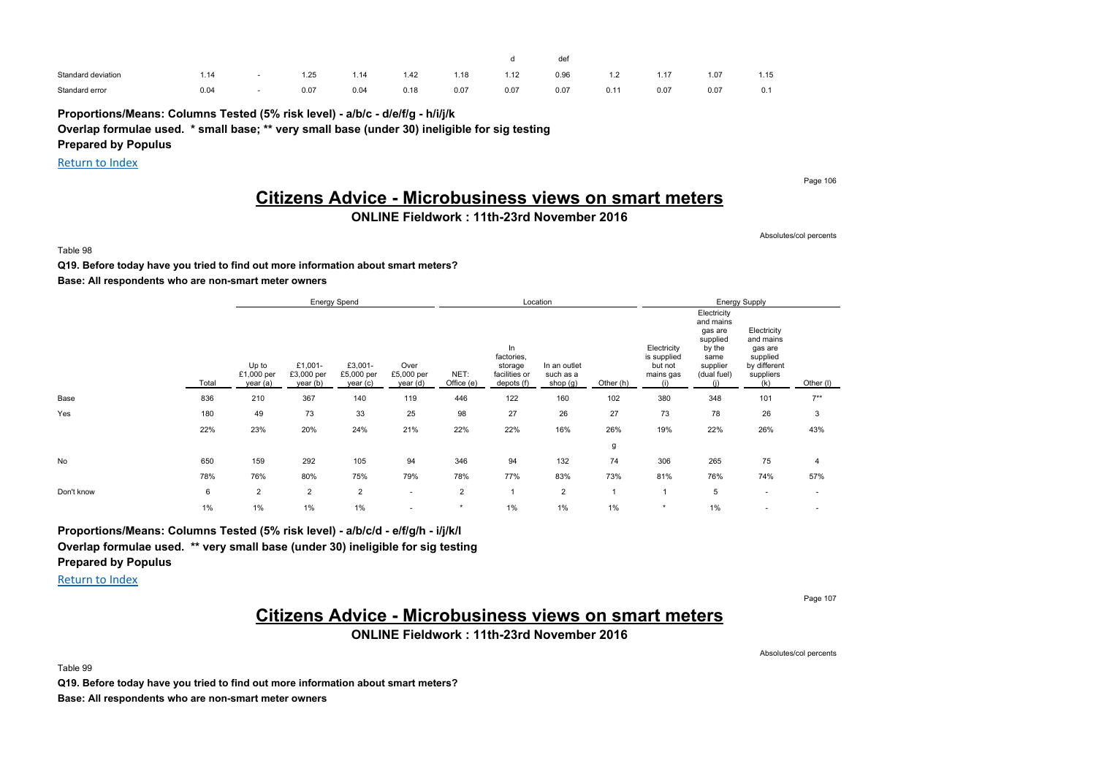|                    |      |      |      |      |      |      | def  |        |      |      |      |
|--------------------|------|------|------|------|------|------|------|--------|------|------|------|
| Standard deviation | .14  | 1.25 | 1.14 | 1.42 | 1.18 | 1.12 | 0.96 | $\sim$ | 1.17 | 1.07 | 1.15 |
| Standard error     | 0.04 | 0.07 | 0.04 | 0.18 | 0.07 | 0.07 | 0.07 | 0.11   | 0.07 | 0.07 | 0.1  |

**Proportions/Means: Columns Tested (5% risk level) - a/b/c - d/e/f/g - h/i/j/k**

### **Overlap formulae used. \* small base; \*\* very small base (under 30) ineligible for sig testing**

**Prepared by Populus**

Return to Index

Page 106

# **Citizens Advice - Microbusiness views on smart meters**

### **ONLINE Fieldwork : 11th-23rd November 2016**

Absolutes/col percents

Table 98

#### **Q19. Before today have you tried to find out more information about smart meters?**

#### **Base: All respondents who are non-smart meter owners**

|            |       |                                 |                                   | <b>Energy Spend</b>              |                                |                    |                                                            | Location                              |              |                                                           |                                                                                                     | <b>Energy Supply</b>                                                                |                          |
|------------|-------|---------------------------------|-----------------------------------|----------------------------------|--------------------------------|--------------------|------------------------------------------------------------|---------------------------------------|--------------|-----------------------------------------------------------|-----------------------------------------------------------------------------------------------------|-------------------------------------------------------------------------------------|--------------------------|
|            | Total | Up to<br>£1,000 per<br>year (a) | £1,001-<br>£3,000 per<br>year (b) | £3,001-<br>£5,000 per<br>year(c) | Over<br>£5,000 per<br>year (d) | NET:<br>Office (e) | In<br>factories,<br>storage<br>facilities or<br>depots (f) | In an outlet<br>such as a<br>shop (g) | Other (h)    | Electricity<br>is supplied<br>but not<br>mains gas<br>(i) | Electricity<br>and mains<br>gas are<br>supplied<br>by the<br>same<br>supplier<br>(dual fuel)<br>(i) | Electricity<br>and mains<br>gas are<br>supplied<br>by different<br>suppliers<br>(k) | Other (I)                |
| Base       | 836   | 210                             | 367                               | 140                              | 119                            | 446                | 122                                                        | 160                                   | 102          | 380                                                       | 348                                                                                                 | 101                                                                                 | $7**$                    |
| Yes        | 180   | 49                              | 73                                | 33                               | 25                             | 98                 | 27                                                         | 26                                    | 27           | 73                                                        | 78                                                                                                  | 26                                                                                  | 3                        |
|            | 22%   | 23%                             | 20%                               | 24%                              | 21%                            | 22%                | 22%                                                        | 16%                                   | 26%          | 19%                                                       | 22%                                                                                                 | 26%                                                                                 | 43%                      |
|            |       |                                 |                                   |                                  |                                |                    |                                                            |                                       | g            |                                                           |                                                                                                     |                                                                                     |                          |
| No         | 650   | 159                             | 292                               | 105                              | 94                             | 346                | 94                                                         | 132                                   | 74           | 306                                                       | 265                                                                                                 | 75                                                                                  | 4                        |
|            | 78%   | 76%                             | 80%                               | 75%                              | 79%                            | 78%                | 77%                                                        | 83%                                   | 73%          | 81%                                                       | 76%                                                                                                 | 74%                                                                                 | 57%                      |
| Don't know | 6     | $\overline{2}$                  | $\overline{2}$                    | $\overline{2}$                   | ٠                              | $\overline{2}$     |                                                            | $\overline{2}$                        | $\mathbf{1}$ |                                                           | 5                                                                                                   | $\sim$                                                                              | $\overline{\phantom{a}}$ |
|            | 1%    | $1\%$                           | $1\%$                             | 1%                               | ٠                              | $\star$            | 1%                                                         | $1\%$                                 | 1%           | $\star$                                                   | $1\%$                                                                                               | $\blacksquare$                                                                      | $\overline{\phantom{a}}$ |

**Proportions/Means: Columns Tested (5% risk level) - a/b/c/d - e/f/g/h - i/j/k/l Overlap formulae used. \*\* very small base (under 30) ineligible for sig testing Prepared by Populus**

Return to Index

Table 99

Page 107

# **Citizens Advice - Microbusiness views on smart meters**

**ONLINE Fieldwork : 11th-23rd November 2016**

Absolutes/col percents

**Q19. Before today have you tried to find out more information about smart meters? Base: All respondents who are non-smart meter owners**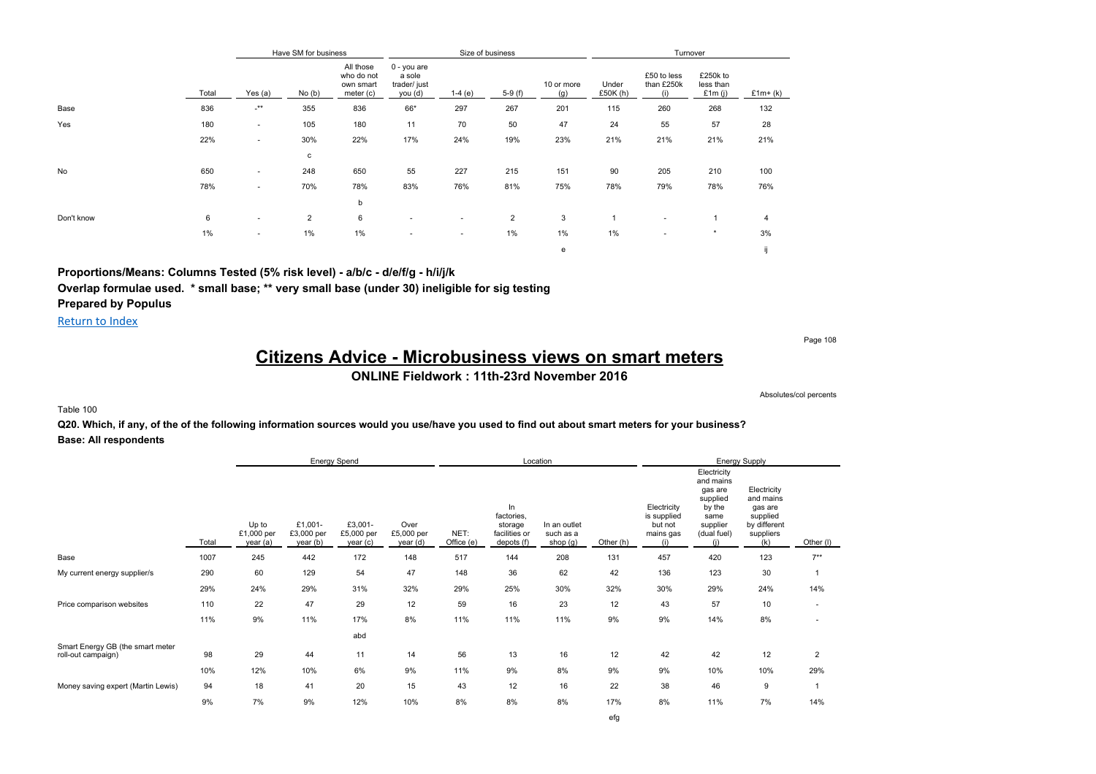|            |       |                      | Have SM for business |                                                   |                                                    | Size of business |                |                   |                   | Turnover                         |                                    |           |
|------------|-------|----------------------|----------------------|---------------------------------------------------|----------------------------------------------------|------------------|----------------|-------------------|-------------------|----------------------------------|------------------------------------|-----------|
|            | Total | Yes $(a)$            | No(b)                | All those<br>who do not<br>own smart<br>meter (c) | $0 - you are$<br>a sole<br>trader/ just<br>you (d) | $1-4(e)$         | $5-9(f)$       | 10 or more<br>(g) | Under<br>£50K (h) | £50 to less<br>than £250k<br>(i) | £250k to<br>less than<br>£1 $m(i)$ | $£1m+(k)$ |
| Base       | 836   | $\cdot^{\star\star}$ | 355                  | 836                                               | 66*                                                | 297              | 267            | 201               | 115               | 260                              | 268                                | 132       |
| Yes        | 180   | ۰.                   | 105                  | 180                                               | 11                                                 | 70               | 50             | 47                | 24                | 55                               | 57                                 | 28        |
|            | 22%   | ٠                    | 30%                  | 22%                                               | 17%                                                | 24%              | 19%            | 23%               | 21%               | 21%                              | 21%                                | 21%       |
|            |       |                      | с                    |                                                   |                                                    |                  |                |                   |                   |                                  |                                    |           |
| No         | 650   | ٠                    | 248                  | 650                                               | 55                                                 | 227              | 215            | 151               | 90                | 205                              | 210                                | 100       |
|            | 78%   | ٠                    | 70%                  | 78%                                               | 83%                                                | 76%              | 81%            | 75%               | 78%               | 79%                              | 78%                                | 76%       |
|            |       |                      |                      | b                                                 |                                                    |                  |                |                   |                   |                                  |                                    |           |
| Don't know | 6     | ٠                    | 2                    | 6                                                 | ٠                                                  | ۰.               | $\overline{2}$ | 3                 |                   | $\sim$                           | 1                                  | 4         |
|            | 1%    | ٠                    | $1\%$                | 1%                                                | $\sim$                                             | ۰.               | 1%             | 1%                | $1\%$             | ۰                                | $\ast$                             | 3%        |
|            |       |                      |                      |                                                   |                                                    |                  |                | e                 |                   |                                  |                                    |           |

**Proportions/Means: Columns Tested (5% risk level) - a/b/c - d/e/f/g - h/i/j/k**

**Overlap formulae used. \* small base; \*\* very small base (under 30) ineligible for sig testing**

**Prepared by Populus**

Return to Index

Page 108

# **Citizens Advice - Microbusiness views on smart meters**

### **ONLINE Fieldwork : 11th-23rd November 2016**

Absolutes/col percents

#### Table 100

**Q20. Which, if any, of the of the following information sources would you use/have you used to find out about smart meters for your business? Base: All respondents**

|                                                        |       |                                 |                                   | Energy Spend                      |                                |                    |                                                            | Location                              |           |                                                           |                                                                                                     | <b>Energy Supply</b>                                                                |                |
|--------------------------------------------------------|-------|---------------------------------|-----------------------------------|-----------------------------------|--------------------------------|--------------------|------------------------------------------------------------|---------------------------------------|-----------|-----------------------------------------------------------|-----------------------------------------------------------------------------------------------------|-------------------------------------------------------------------------------------|----------------|
|                                                        | Total | Up to<br>£1,000 per<br>year (a) | £1,001-<br>£3,000 per<br>year (b) | £3,001-<br>£5,000 per<br>year (c) | Over<br>£5,000 per<br>year (d) | NET:<br>Office (e) | In<br>factories,<br>storage<br>facilities or<br>depots (f) | In an outlet<br>such as a<br>shop (g) | Other (h) | Electricity<br>is supplied<br>but not<br>mains gas<br>(i) | Electricity<br>and mains<br>gas are<br>supplied<br>by the<br>same<br>supplier<br>(dual fuel)<br>(i) | Electricity<br>and mains<br>gas are<br>supplied<br>by different<br>suppliers<br>(k) | Other (I)      |
| Base                                                   | 1007  | 245                             | 442                               | 172                               | 148                            | 517                | 144                                                        | 208                                   | 131       | 457                                                       | 420                                                                                                 | 123                                                                                 | $7***$         |
| My current energy supplier/s                           | 290   | 60                              | 129                               | 54                                | 47                             | 148                | 36                                                         | 62                                    | 42        | 136                                                       | 123                                                                                                 | 30                                                                                  |                |
|                                                        | 29%   | 24%                             | 29%                               | 31%                               | 32%                            | 29%                | 25%                                                        | 30%                                   | 32%       | 30%                                                       | 29%                                                                                                 | 24%                                                                                 | 14%            |
| Price comparison websites                              | 110   | 22                              | 47                                | 29                                | 12                             | 59                 | 16                                                         | 23                                    | 12        | 43                                                        | 57                                                                                                  | 10                                                                                  | ٠              |
|                                                        | 11%   | 9%                              | 11%                               | 17%                               | 8%                             | 11%                | 11%                                                        | 11%                                   | 9%        | 9%                                                        | 14%                                                                                                 | 8%                                                                                  |                |
|                                                        |       |                                 |                                   | abd                               |                                |                    |                                                            |                                       |           |                                                           |                                                                                                     |                                                                                     |                |
| Smart Energy GB (the smart meter<br>roll-out campaign) | 98    | 29                              | 44                                | 11                                | 14                             | 56                 | 13                                                         | 16                                    | 12        | 42                                                        | 42                                                                                                  | 12                                                                                  | $\overline{2}$ |
|                                                        | 10%   | 12%                             | 10%                               | 6%                                | 9%                             | 11%                | 9%                                                         | 8%                                    | 9%        | 9%                                                        | 10%                                                                                                 | 10%                                                                                 | 29%            |
| Money saving expert (Martin Lewis)                     | 94    | 18                              | 41                                | 20                                | 15                             | 43                 | 12                                                         | 16                                    | 22        | 38                                                        | 46                                                                                                  | 9                                                                                   |                |
|                                                        | 9%    | 7%                              | 9%                                | 12%                               | 10%                            | 8%                 | 8%                                                         | 8%                                    | 17%       | 8%                                                        | 11%                                                                                                 | 7%                                                                                  | 14%            |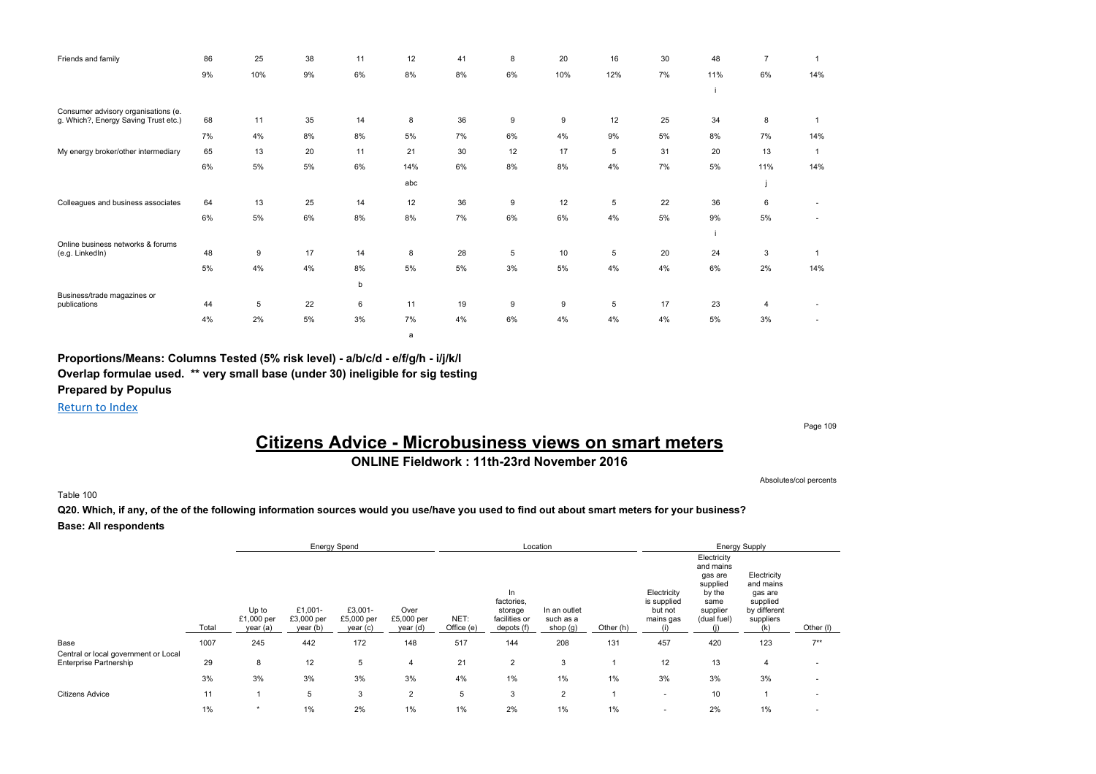| Friends and family                                                          | 86 | 25  | 38 | 11 | 12  | 41 | 8  | 20  | 16  | 30 | 48  | 7   |              |
|-----------------------------------------------------------------------------|----|-----|----|----|-----|----|----|-----|-----|----|-----|-----|--------------|
|                                                                             | 9% | 10% | 9% | 6% | 8%  | 8% | 6% | 10% | 12% | 7% | 11% | 6%  | 14%          |
|                                                                             |    |     |    |    |     |    |    |     |     |    |     |     |              |
| Consumer advisory organisations (e.<br>g. Which?, Energy Saving Trust etc.) | 68 | 11  | 35 | 14 | 8   | 36 | 9  | 9   | 12  | 25 | 34  | 8   |              |
|                                                                             |    |     |    |    |     |    |    |     |     |    |     |     |              |
|                                                                             | 7% | 4%  | 8% | 8% | 5%  | 7% | 6% | 4%  | 9%  | 5% | 8%  | 7%  | 14%          |
| My energy broker/other intermediary                                         | 65 | 13  | 20 | 11 | 21  | 30 | 12 | 17  | 5   | 31 | 20  | 13  | $\mathbf{1}$ |
|                                                                             | 6% | 5%  | 5% | 6% | 14% | 6% | 8% | 8%  | 4%  | 7% | 5%  | 11% | 14%          |
|                                                                             |    |     |    |    | abc |    |    |     |     |    |     |     |              |
| Colleagues and business associates                                          | 64 | 13  | 25 | 14 | 12  | 36 | 9  | 12  | 5   | 22 | 36  | 6   |              |
|                                                                             | 6% | 5%  | 6% | 8% | 8%  | 7% | 6% | 6%  | 4%  | 5% | 9%  | 5%  | ٠            |
|                                                                             |    |     |    |    |     |    |    |     |     |    |     |     |              |
| Online business networks & forums                                           | 48 | 9   | 17 | 14 | 8   | 28 | 5  | 10  | 5   | 20 | 24  | 3   |              |
| (e.g. LinkedIn)                                                             |    |     |    |    |     |    |    |     |     |    |     |     |              |
|                                                                             | 5% | 4%  | 4% | 8% | 5%  | 5% | 3% | 5%  | 4%  | 4% | 6%  | 2%  | 14%          |
|                                                                             |    |     |    | b  |     |    |    |     |     |    |     |     |              |
| Business/trade magazines or<br>publications                                 | 44 | 5   | 22 | 6  | 11  | 19 | 9  | 9   | 5   | 17 | 23  | 4   |              |
|                                                                             | 4% | 2%  | 5% | 3% | 7%  | 4% | 6% | 4%  | 4%  | 4% | 5%  | 3%  |              |

**Proportions/Means: Columns Tested (5% risk level) - a/b/c/d - e/f/g/h - i/j/k/l Overlap formulae used. \*\* very small base (under 30) ineligible for sig testing Prepared by Populus**

Return to Index

Page 109

# **Citizens Advice - Microbusiness views on smart meters**

### **ONLINE Fieldwork : 11th-23rd November 2016**

Absolutes/col percents

#### Table 100

**Q20. Which, if any, of the of the following information sources would you use/have you used to find out about smart meters for your business? Base: All respondents**

a

|                                      |       |                                 | <b>Energy Spend</b>               |                                   |                                |                    |                                                            | Location                              |           |                                                           |                                                                                              | <b>Energy Supply</b>                                                                |                          |
|--------------------------------------|-------|---------------------------------|-----------------------------------|-----------------------------------|--------------------------------|--------------------|------------------------------------------------------------|---------------------------------------|-----------|-----------------------------------------------------------|----------------------------------------------------------------------------------------------|-------------------------------------------------------------------------------------|--------------------------|
|                                      | Total | Up to<br>£1,000 per<br>year (a) | £1,001-<br>£3,000 per<br>year (b) | £3,001-<br>£5,000 per<br>year (c) | Over<br>£5,000 per<br>year (d) | NET:<br>Office (e) | In<br>factories,<br>storage<br>facilities or<br>depots (f) | In an outlet<br>such as a<br>shop (g) | Other (h) | Electricity<br>is supplied<br>but not<br>mains gas<br>(i) | Electricity<br>and mains<br>gas are<br>supplied<br>by the<br>same<br>supplier<br>(dual fuel) | Electricity<br>and mains<br>gas are<br>supplied<br>by different<br>suppliers<br>(k) | Other (I)                |
| Base                                 | 1007  | 245                             | 442                               | 172                               | 148                            | 517                | 144                                                        | 208                                   | 131       | 457                                                       | 420                                                                                          | 123                                                                                 | $7***$                   |
| Central or local government or Local |       |                                 |                                   |                                   |                                |                    |                                                            |                                       |           |                                                           |                                                                                              |                                                                                     |                          |
| Enterprise Partnership               | 29    | 8                               | 12                                | 5                                 | 4                              | 21                 | 2                                                          | 3                                     |           | 12                                                        | 13                                                                                           | 4                                                                                   | $\overline{\phantom{a}}$ |
|                                      | 3%    | 3%                              | 3%                                | 3%                                | 3%                             | 4%                 | 1%                                                         | 1%                                    | 1%        | 3%                                                        | 3%                                                                                           | 3%                                                                                  |                          |
| <b>Citizens Advice</b>               | 11    |                                 | 5                                 | 3                                 | $\overline{2}$                 | 5                  | 3                                                          | $\overline{2}$                        |           | $\overline{\phantom{a}}$                                  | 10                                                                                           |                                                                                     | $\overline{\phantom{a}}$ |
|                                      | $1\%$ | $\star$                         | 1%                                | 2%                                | 1%                             | 1%                 | 2%                                                         | $1\%$                                 | 1%        | $\overline{\phantom{a}}$                                  | 2%                                                                                           | $1\%$                                                                               |                          |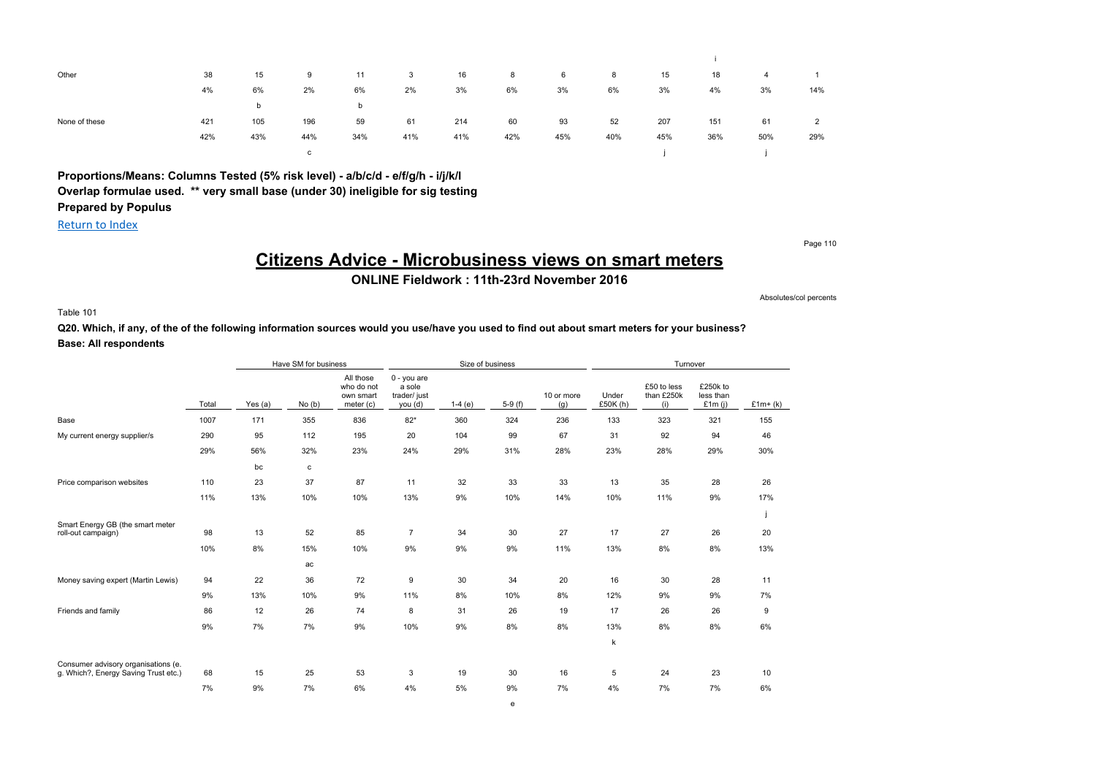| Other         | 38  | 15  | 9   | 11  | 3   | 16  | 8   | 6   | 8   | 15  | 18  | 4   |                |
|---------------|-----|-----|-----|-----|-----|-----|-----|-----|-----|-----|-----|-----|----------------|
|               | 4%  | 6%  | 2%  | 6%  | 2%  | 3%  | 6%  | 3%  | 6%  | 3%  | 4%  | 3%  | 14%            |
|               |     | b   |     | b   |     |     |     |     |     |     |     |     |                |
| None of these | 421 | 105 | 196 | 59  | 61  | 214 | 60  | 93  | 52  | 207 | 151 | 61  | $\overline{2}$ |
|               | 42% | 43% | 44% | 34% | 41% | 41% | 42% | 45% | 40% | 45% | 36% | 50% | 29%            |
|               |     |     | C   |     |     |     |     |     |     |     |     |     |                |

**Proportions/Means: Columns Tested (5% risk level) - a/b/c/d - e/f/g/h - i/j/k/l Overlap formulae used. \*\* very small base (under 30) ineligible for sig testing Prepared by Populus**

Return to Index

Page 110

# **Citizens Advice - Microbusiness views on smart meters**

**ONLINE Fieldwork : 11th-23rd November 2016**

Absolutes/col percents

Table 101

**Q20. Which, if any, of the of the following information sources would you use/have you used to find out about smart meters for your business? Base: All respondents**

|                                                        |       |           | Have SM for business |                                                   |                                                  |          | Size of business |                   |                   | Turnover                         |                                    |           |
|--------------------------------------------------------|-------|-----------|----------------------|---------------------------------------------------|--------------------------------------------------|----------|------------------|-------------------|-------------------|----------------------------------|------------------------------------|-----------|
|                                                        | Total | Yes $(a)$ | No(b)                | All those<br>who do not<br>own smart<br>meter (c) | 0 - you are<br>a sole<br>trader/ just<br>you (d) | $1-4(e)$ | $5-9(f)$         | 10 or more<br>(g) | Under<br>£50K (h) | £50 to less<br>than £250k<br>(i) | £250k to<br>less than<br>£1 $m(i)$ | $£1m+(k)$ |
| Base                                                   | 1007  | 171       | 355                  | 836                                               | $82*$                                            | 360      | 324              | 236               | 133               | 323                              | 321                                | 155       |
| My current energy supplier/s                           | 290   | 95        | 112                  | 195                                               | 20                                               | 104      | 99               | 67                | 31                | 92                               | 94                                 | 46        |
|                                                        | 29%   | 56%       | 32%                  | 23%                                               | 24%                                              | 29%      | 31%              | 28%               | 23%               | 28%                              | 29%                                | 30%       |
|                                                        |       | bc        | $\mathtt{c}$         |                                                   |                                                  |          |                  |                   |                   |                                  |                                    |           |
| Price comparison websites                              | 110   | 23        | 37                   | 87                                                | 11                                               | 32       | 33               | 33                | 13                | 35                               | 28                                 | 26        |
|                                                        | 11%   | 13%       | 10%                  | 10%                                               | 13%                                              | 9%       | 10%              | 14%               | 10%               | 11%                              | 9%                                 | 17%       |
|                                                        |       |           |                      |                                                   |                                                  |          |                  |                   |                   |                                  |                                    |           |
| Smart Energy GB (the smart meter<br>roll-out campaign) | 98    | 13        | 52                   | 85                                                | $\overline{7}$                                   | 34       | 30               | 27                | 17                | 27                               | 26                                 | 20        |
|                                                        | 10%   | 8%        | 15%                  | 10%                                               | 9%                                               | 9%       | 9%               | 11%               | 13%               | 8%                               | 8%                                 | 13%       |
|                                                        |       |           | ac                   |                                                   |                                                  |          |                  |                   |                   |                                  |                                    |           |
| Money saving expert (Martin Lewis)                     | 94    | 22        | 36                   | 72                                                | 9                                                | 30       | 34               | 20                | 16                | 30                               | 28                                 | 11        |
|                                                        | 9%    | 13%       | 10%                  | 9%                                                | 11%                                              | 8%       | 10%              | 8%                | 12%               | 9%                               | 9%                                 | 7%        |
| Friends and family                                     | 86    | 12        | 26                   | 74                                                | 8                                                | 31       | 26               | 19                | 17                | 26                               | 26                                 | 9         |
|                                                        | 9%    | 7%        | 7%                   | 9%                                                | 10%                                              | 9%       | 8%               | 8%                | 13%               | 8%                               | 8%                                 | 6%        |
|                                                        |       |           |                      |                                                   |                                                  |          |                  |                   | k                 |                                  |                                    |           |
| Consumer advisory organisations (e.                    |       |           |                      |                                                   |                                                  |          |                  |                   |                   |                                  |                                    |           |
| g. Which?, Energy Saving Trust etc.)                   | 68    | 15        | 25                   | 53                                                | 3                                                | 19       | 30               | 16                | 5                 | 24                               | 23                                 | 10        |
|                                                        | 7%    | 9%        | 7%                   | 6%                                                | 4%                                               | 5%       | 9%               | 7%                | 4%                | 7%                               | 7%                                 | 6%        |
|                                                        |       |           |                      |                                                   |                                                  |          | e                |                   |                   |                                  |                                    |           |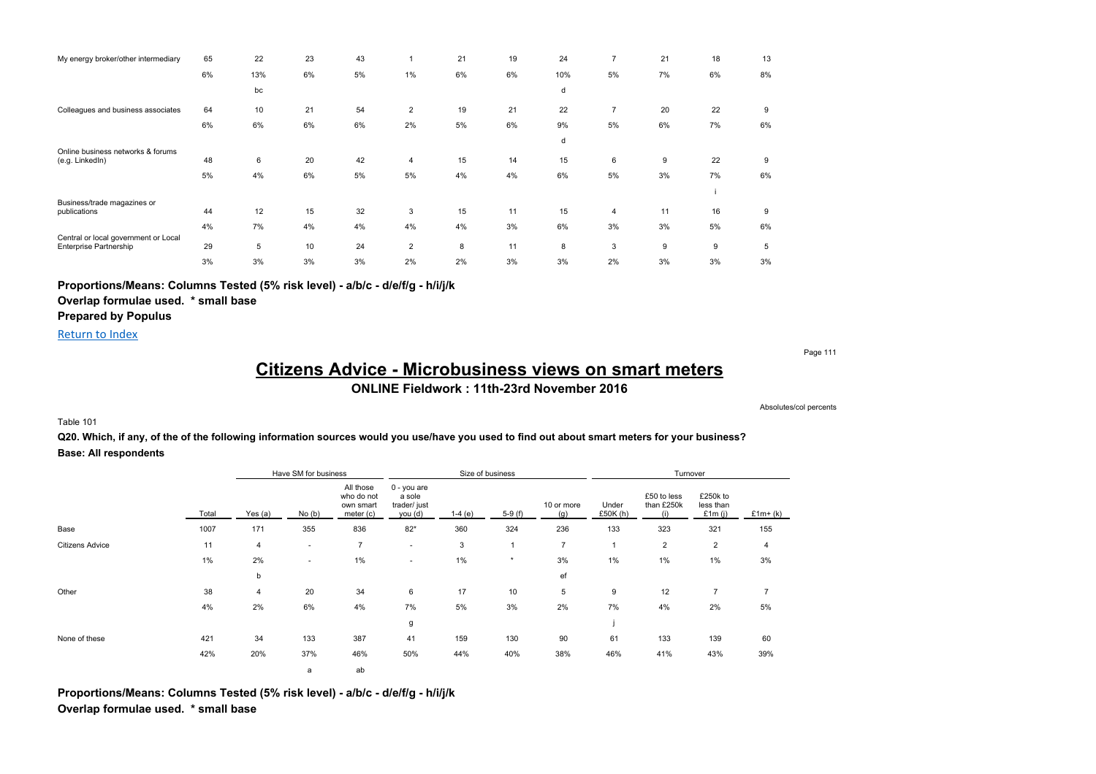| My energy broker/other intermediary                                   | 65 | 22  | 23 | 43 |                | 21 | 19 | 24  | 7              | 21 | 18 | 13 |
|-----------------------------------------------------------------------|----|-----|----|----|----------------|----|----|-----|----------------|----|----|----|
|                                                                       | 6% | 13% | 6% | 5% | 1%             | 6% | 6% | 10% | 5%             | 7% | 6% | 8% |
|                                                                       |    | bc  |    |    |                |    |    | d   |                |    |    |    |
| Colleagues and business associates                                    | 64 | 10  | 21 | 54 | $\overline{2}$ | 19 | 21 | 22  | $\overline{7}$ | 20 | 22 | 9  |
|                                                                       | 6% | 6%  | 6% | 6% | 2%             | 5% | 6% | 9%  | 5%             | 6% | 7% | 6% |
|                                                                       |    |     |    |    |                |    |    | d   |                |    |    |    |
| Online business networks & forums<br>(e.g. LinkedIn)                  | 48 | 6   | 20 | 42 | 4              | 15 | 14 | 15  | 6              | 9  | 22 | 9  |
|                                                                       | 5% | 4%  | 6% | 5% | 5%             | 4% | 4% | 6%  | 5%             | 3% | 7% | 6% |
|                                                                       |    |     |    |    |                |    |    |     |                |    |    |    |
| Business/trade magazines or<br>publications                           | 44 | 12  | 15 | 32 | 3              | 15 | 11 | 15  | 4              | 11 | 16 | 9  |
|                                                                       | 4% | 7%  | 4% | 4% | 4%             | 4% | 3% | 6%  | 3%             | 3% | 5% | 6% |
| Central or local government or Local<br><b>Enterprise Partnership</b> | 29 | 5   | 10 | 24 | $\overline{2}$ | 8  | 11 | 8   | 3              | 9  | 9  | 5  |
|                                                                       | 3% | 3%  | 3% | 3% | 2%             | 2% | 3% | 3%  | 2%             | 3% | 3% | 3% |

**Proportions/Means: Columns Tested (5% risk level) - a/b/c - d/e/f/g - h/i/j/k**

**Overlap formulae used. \* small base**

**Prepared by Populus**

Return to Index

Page 111

### **Citizens Advice - Microbusiness views on smart meters ONLINE Fieldwork : 11th-23rd November 2016**

Absolutes/col percents

#### Table 101

**Q20. Which, if any, of the of the following information sources would you use/have you used to find out about smart meters for your business? Base: All respondents**

|                        |       |           | Have SM for business |                                                   |                                                  |          | Size of business |                   |                   | Turnover                         |                                    |           |
|------------------------|-------|-----------|----------------------|---------------------------------------------------|--------------------------------------------------|----------|------------------|-------------------|-------------------|----------------------------------|------------------------------------|-----------|
|                        | Total | Yes $(a)$ | No(b)                | All those<br>who do not<br>own smart<br>meter (c) | 0 - you are<br>a sole<br>trader/ just<br>you (d) | $1-4(e)$ | $5-9(f)$         | 10 or more<br>(g) | Under<br>£50K (h) | £50 to less<br>than £250k<br>(i) | £250k to<br>less than<br>£1 $m(i)$ | $£1m+(k)$ |
| Base                   | 1007  | 171       | 355                  | 836                                               | $82*$                                            | 360      | 324              | 236               | 133               | 323                              | 321                                | 155       |
| <b>Citizens Advice</b> | 11    | 4         | ۰.                   | $\overline{7}$                                    | $\sim$                                           | 3        | $\mathbf{1}$     | $\overline{7}$    | $\mathbf{1}$      | $\overline{2}$                   | $\overline{2}$                     | 4         |
|                        | 1%    | 2%        | $\sim$               | 1%                                                |                                                  | $1\%$    | $\star$          | 3%                | 1%                | 1%                               | 1%                                 | 3%        |
|                        |       | b         |                      |                                                   |                                                  |          |                  | ef                |                   |                                  |                                    |           |
| Other                  | 38    | 4         | 20                   | 34                                                | 6                                                | 17       | 10               | 5                 | 9                 | 12                               | $\overline{7}$                     |           |
|                        | 4%    | 2%        | 6%                   | 4%                                                | 7%                                               | 5%       | 3%               | 2%                | 7%                | 4%                               | 2%                                 | 5%        |
|                        |       |           |                      |                                                   | g                                                |          |                  |                   |                   |                                  |                                    |           |
| None of these          | 421   | 34        | 133                  | 387                                               | 41                                               | 159      | 130              | 90                | 61                | 133                              | 139                                | 60        |
|                        | 42%   | 20%       | 37%                  | 46%                                               | 50%                                              | 44%      | 40%              | 38%               | 46%               | 41%                              | 43%                                | 39%       |
|                        |       |           | a                    | ab                                                |                                                  |          |                  |                   |                   |                                  |                                    |           |

**Proportions/Means: Columns Tested (5% risk level) - a/b/c - d/e/f/g - h/i/j/k Overlap formulae used. \* small base**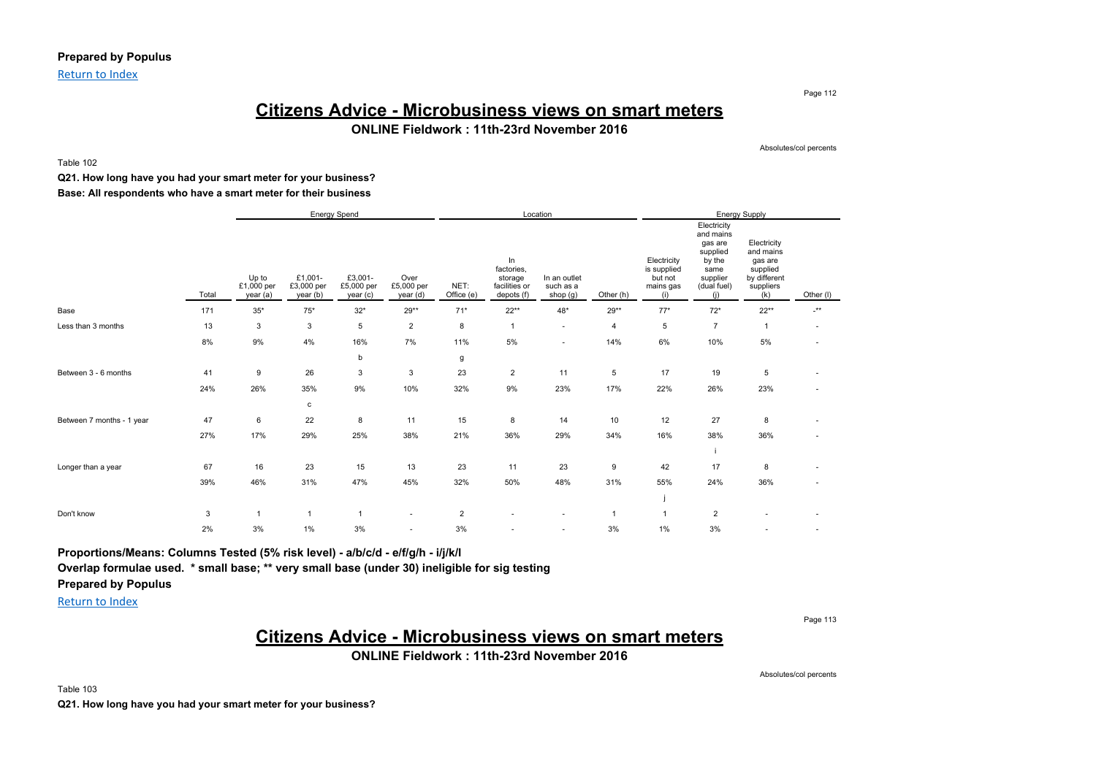### **Prepared by Populus**

Return to Index

### **Citizens Advice - Microbusiness views on smart meters ONLINE Fieldwork : 11th-23rd November 2016**

Absolutes/col percents

Page 112

Table 102

### **Q21. How long have you had your smart meter for your business? Base: All respondents who have a smart meter for their business**

|                           |       |                                 |                                   | Energy Spend                      |                                |                    |                                                            | Location                              |                |                                                           |                                                                                                     | Energy Supply                                                                       |                          |
|---------------------------|-------|---------------------------------|-----------------------------------|-----------------------------------|--------------------------------|--------------------|------------------------------------------------------------|---------------------------------------|----------------|-----------------------------------------------------------|-----------------------------------------------------------------------------------------------------|-------------------------------------------------------------------------------------|--------------------------|
|                           | Total | Up to<br>£1,000 per<br>year (a) | £1,001-<br>£3,000 per<br>year (b) | £3,001-<br>£5,000 per<br>year (c) | Over<br>£5,000 per<br>year (d) | NET:<br>Office (e) | In<br>factories,<br>storage<br>facilities or<br>depots (f) | In an outlet<br>such as a<br>shop (g) | Other (h)      | Electricity<br>is supplied<br>but not<br>mains gas<br>(i) | Electricity<br>and mains<br>gas are<br>supplied<br>by the<br>same<br>supplier<br>(dual fuel)<br>(i) | Electricity<br>and mains<br>gas are<br>supplied<br>by different<br>suppliers<br>(k) | Other (I)                |
| Base                      | 171   | $35^{\ast}$                     | $75^{\ast}$                       | $32*$                             | 29**                           | $71*$              | $22**$                                                     | $48*$                                 | $29**$         | $77*$                                                     | $72*$                                                                                               | $22**$                                                                              | $\cdot^{\star\star}$     |
| Less than 3 months        | 13    | 3                               | 3                                 | $\,$ 5 $\,$                       | $\overline{2}$                 | 8                  | $\overline{1}$                                             | $\sim$                                | $\overline{4}$ | 5                                                         | $\overline{7}$                                                                                      | $\mathbf{1}$                                                                        | $\overline{\phantom{a}}$ |
|                           | 8%    | 9%                              | 4%                                | 16%                               | 7%                             | 11%                | 5%                                                         | $\sim$                                | 14%            | 6%                                                        | 10%                                                                                                 | 5%                                                                                  | ٠                        |
|                           |       |                                 |                                   | b                                 |                                | g                  |                                                            |                                       |                |                                                           |                                                                                                     |                                                                                     |                          |
| Between 3 - 6 months      | 41    | 9                               | 26                                | 3                                 | 3                              | 23                 | $\overline{2}$                                             | 11                                    | 5              | 17                                                        | 19                                                                                                  | 5                                                                                   | ٠                        |
|                           | 24%   | 26%                             | 35%                               | 9%                                | 10%                            | 32%                | 9%                                                         | 23%                                   | 17%            | 22%                                                       | 26%                                                                                                 | 23%                                                                                 | ٠                        |
|                           |       |                                 | $\mathbf c$                       |                                   |                                |                    |                                                            |                                       |                |                                                           |                                                                                                     |                                                                                     |                          |
| Between 7 months - 1 year | 47    | 6                               | 22                                | 8                                 | 11                             | 15                 | 8                                                          | 14                                    | 10             | 12                                                        | 27                                                                                                  | 8                                                                                   | $\overline{\phantom{a}}$ |
|                           | 27%   | 17%                             | 29%                               | 25%                               | 38%                            | 21%                | 36%                                                        | 29%                                   | 34%            | 16%                                                       | 38%                                                                                                 | 36%                                                                                 |                          |
|                           |       |                                 |                                   |                                   |                                |                    |                                                            |                                       |                |                                                           |                                                                                                     |                                                                                     |                          |
| Longer than a year        | 67    | 16                              | 23                                | 15                                | 13                             | 23                 | 11                                                         | 23                                    | 9              | 42                                                        | 17                                                                                                  | 8                                                                                   | ٠                        |
|                           | 39%   | 46%                             | 31%                               | 47%                               | 45%                            | 32%                | 50%                                                        | 48%                                   | 31%            | 55%                                                       | 24%                                                                                                 | 36%                                                                                 | ٠                        |
|                           |       |                                 |                                   |                                   |                                |                    |                                                            |                                       |                |                                                           |                                                                                                     |                                                                                     |                          |
| Don't know                | 3     | $\overline{1}$                  | $\overline{1}$                    | $\mathbf{1}$                      | ٠                              | $\overline{2}$     |                                                            |                                       | $\overline{1}$ |                                                           | $\overline{c}$                                                                                      |                                                                                     |                          |
|                           | 2%    | 3%                              | $1\%$                             | 3%                                | ٠                              | 3%                 | ×                                                          | $\sim$                                | 3%             | $1\%$                                                     | 3%                                                                                                  |                                                                                     |                          |

**Proportions/Means: Columns Tested (5% risk level) - a/b/c/d - e/f/g/h - i/j/k/l**

**Overlap formulae used. \* small base; \*\* very small base (under 30) ineligible for sig testing**

**Prepared by Populus** Return to Index

Page 113

# **Citizens Advice - Microbusiness views on smart meters**

**ONLINE Fieldwork : 11th-23rd November 2016**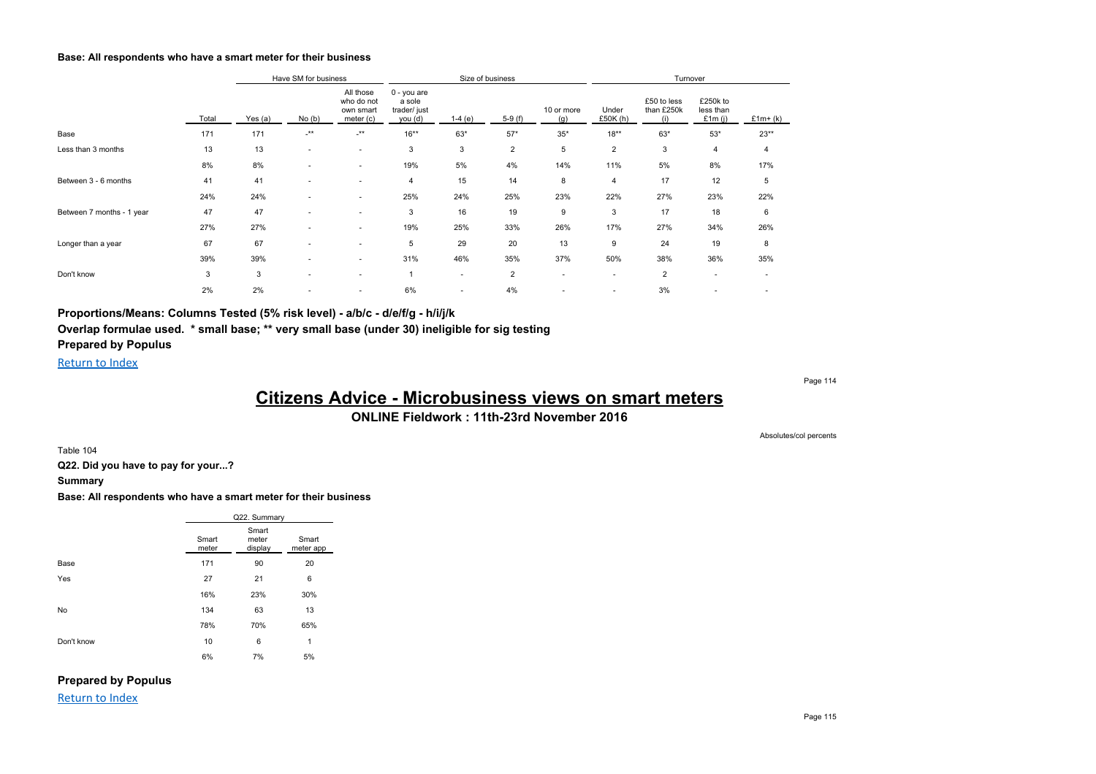#### **Base: All respondents who have a smart meter for their business**

|                           |       |         | Have SM for business     |                                                   |                                                  |                          | Size of business |                          |                          | Turnover                         |                                    |           |
|---------------------------|-------|---------|--------------------------|---------------------------------------------------|--------------------------------------------------|--------------------------|------------------|--------------------------|--------------------------|----------------------------------|------------------------------------|-----------|
|                           | Total | Yes (a) | No(b)                    | All those<br>who do not<br>own smart<br>meter (c) | 0 - you are<br>a sole<br>trader/ just<br>you (d) | $1-4(e)$                 | $5-9(f)$         | 10 or more<br>(g)        | Under<br>£50K (h)        | £50 to less<br>than £250k<br>(i) | £250k to<br>less than<br>£1 $m(i)$ | $£1m+(k)$ |
| Base                      | 171   | 171     | $\cdot^{\star\star}$     | $-***$                                            | $16***$                                          | $63*$                    | $57*$            | $35*$                    | $18***$                  | $63*$                            | $53*$                              | $23**$    |
| Less than 3 months        | 13    | 13      | . .                      | ٠                                                 | 3                                                | 3                        | $\overline{2}$   | 5                        | $\overline{2}$           | 3                                | 4                                  | 4         |
|                           | 8%    | 8%      |                          | $\sim$                                            | 19%                                              | 5%                       | 4%               | 14%                      | 11%                      | 5%                               | 8%                                 | 17%       |
| Between 3 - 6 months      | 41    | 41      | $\sim$                   | $\sim$                                            | 4                                                | 15                       | 14               | 8                        | 4                        | 17                               | 12                                 | 5         |
|                           | 24%   | 24%     |                          | $\overline{\phantom{a}}$                          | 25%                                              | 24%                      | 25%              | 23%                      | 22%                      | 27%                              | 23%                                | 22%       |
| Between 7 months - 1 year | 47    | 47      |                          | $\overline{\phantom{a}}$                          | 3                                                | 16                       | 19               | 9                        | 3                        | 17                               | 18                                 | 6         |
|                           | 27%   | 27%     | $\overline{\phantom{a}}$ | ۰                                                 | 19%                                              | 25%                      | 33%              | 26%                      | 17%                      | 27%                              | 34%                                | 26%       |
| Longer than a year        | 67    | 67      |                          | $\sim$                                            | 5                                                | 29                       | 20               | 13                       | 9                        | 24                               | 19                                 | 8         |
|                           | 39%   | 39%     | $\overline{\phantom{a}}$ | $\sim$                                            | 31%                                              | 46%                      | 35%              | 37%                      | 50%                      | 38%                              | 36%                                | 35%       |
| Don't know                | 3     | 3       |                          | ٠                                                 |                                                  | ٠                        | $\overline{2}$   | ٠                        | $\overline{\phantom{a}}$ | $\overline{2}$                   | $\sim$                             |           |
|                           | 2%    | 2%      |                          | $\overline{\phantom{a}}$                          | 6%                                               | $\overline{\phantom{a}}$ | 4%               | $\overline{\phantom{a}}$ | $\sim$                   | 3%                               |                                    |           |

**Proportions/Means: Columns Tested (5% risk level) - a/b/c - d/e/f/g - h/i/j/k Overlap formulae used. \* small base; \*\* very small base (under 30) ineligible for sig testing Prepared by Populus**

Return to Index

Page 114

Absolutes/col percents

# **Citizens Advice - Microbusiness views on smart meters**

**ONLINE Fieldwork : 11th-23rd November 2016**

Table 104

**Q22. Did you have to pay for your...?**

#### **Summary**

**Base: All respondents who have a smart meter for their business**

|            |                | Q22. Summary              |                    |
|------------|----------------|---------------------------|--------------------|
|            | Smart<br>meter | Smart<br>meter<br>display | Smart<br>meter app |
| Base       | 171            | 90                        | 20                 |
| Yes        | 27             | 21                        | 6                  |
|            | 16%            | 23%                       | 30%                |
| No         | 134            | 63                        | 13                 |
|            | 78%            | 70%                       | 65%                |
| Don't know | 10             | 6                         | $\mathbf{1}$       |
|            | 6%             | 7%                        | 5%                 |

### **Prepared by Populus**

Return to Index

Page 115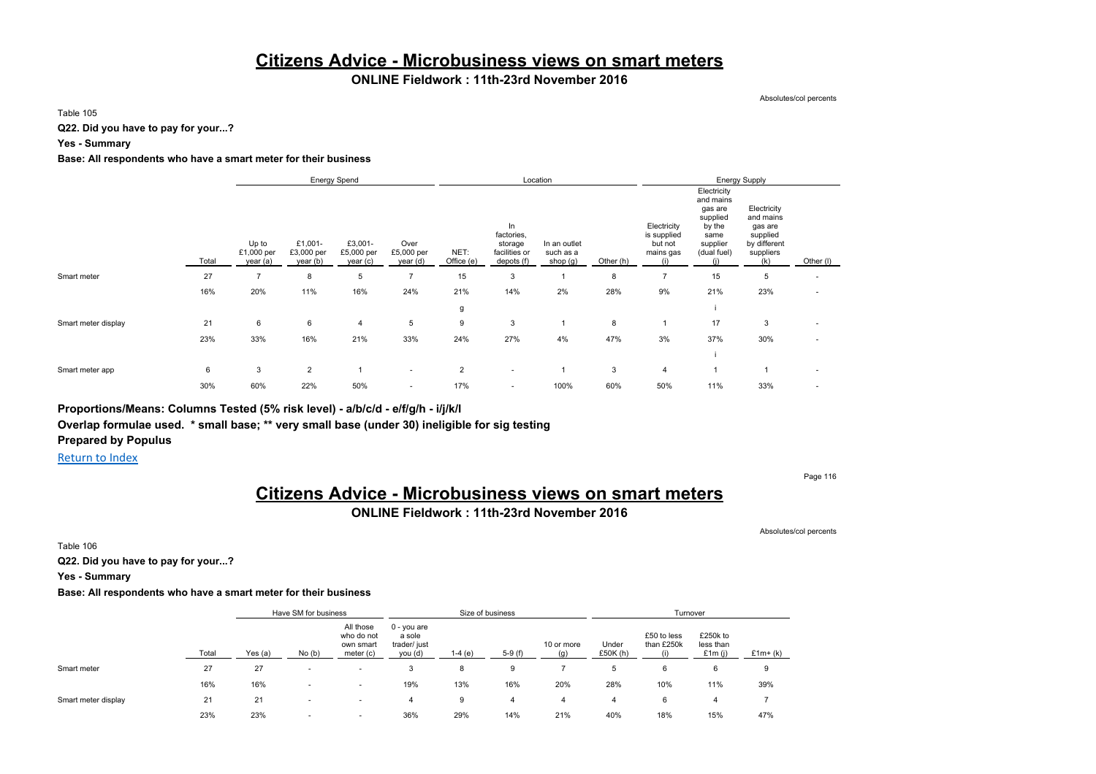### **Citizens Advice - Microbusiness views on smart meters**

### **ONLINE Fieldwork : 11th-23rd November 2016**

Absolutes/col percents

Table 105

**Q22. Did you have to pay for your...?**

**Yes - Summary**

#### **Base: All respondents who have a smart meter for their business**

|                     |       |                                 |                                   | <b>Energy Spend</b>               |                                |                    |                                                            | Location                              |           |                                                           |                                                                                              | <b>Energy Supply</b>                                                                |                          |
|---------------------|-------|---------------------------------|-----------------------------------|-----------------------------------|--------------------------------|--------------------|------------------------------------------------------------|---------------------------------------|-----------|-----------------------------------------------------------|----------------------------------------------------------------------------------------------|-------------------------------------------------------------------------------------|--------------------------|
|                     | Total | Up to<br>£1,000 per<br>year (a) | £1,001-<br>£3,000 per<br>year (b) | £3,001-<br>£5,000 per<br>year (c) | Over<br>£5,000 per<br>year (d) | NET:<br>Office (e) | In<br>factories,<br>storage<br>facilities or<br>depots (f) | In an outlet<br>such as a<br>shop (g) | Other (h) | Electricity<br>is supplied<br>but not<br>mains gas<br>(i) | Electricity<br>and mains<br>gas are<br>supplied<br>by the<br>same<br>supplier<br>(dual fuel) | Electricity<br>and mains<br>gas are<br>supplied<br>by different<br>suppliers<br>(k) | Other (I)                |
| Smart meter         | 27    | $\overline{7}$                  | 8                                 | 5                                 | $\overline{\phantom{a}}$       | 15                 | 3                                                          |                                       | 8         | $\overline{7}$                                            | 15                                                                                           | 5                                                                                   | $\overline{\phantom{a}}$ |
|                     | 16%   | 20%                             | 11%                               | 16%                               | 24%                            | 21%                | 14%                                                        | 2%                                    | 28%       | 9%                                                        | 21%                                                                                          | 23%                                                                                 | $\overline{\phantom{a}}$ |
|                     |       |                                 |                                   |                                   |                                | g                  |                                                            |                                       |           |                                                           |                                                                                              |                                                                                     |                          |
| Smart meter display | 21    | 6                               | 6                                 | $\overline{4}$                    | 5                              | 9                  | 3                                                          |                                       | 8         | 1                                                         | 17                                                                                           | 3                                                                                   | $\overline{\phantom{a}}$ |
|                     | 23%   | 33%                             | 16%                               | 21%                               | 33%                            | 24%                | 27%                                                        | 4%                                    | 47%       | 3%                                                        | 37%                                                                                          | 30%                                                                                 | $\sim$                   |
|                     |       |                                 |                                   |                                   |                                |                    |                                                            |                                       |           |                                                           |                                                                                              |                                                                                     |                          |
| Smart meter app     | 6     | 3                               | $\overline{2}$                    |                                   | $\sim$                         | $\overline{2}$     | $\sim$                                                     |                                       | 3         | 4                                                         |                                                                                              |                                                                                     | $\sim$                   |
|                     | 30%   | 60%                             | 22%                               | 50%                               | $\overline{\phantom{a}}$       | 17%                | ٠                                                          | 100%                                  | 60%       | 50%                                                       | 11%                                                                                          | 33%                                                                                 | $\overline{\phantom{a}}$ |

**Proportions/Means: Columns Tested (5% risk level) - a/b/c/d - e/f/g/h - i/j/k/l Overlap formulae used. \* small base; \*\* very small base (under 30) ineligible for sig testing Prepared by Populus**

Return to Index

Page 116

# **Citizens Advice - Microbusiness views on smart meters**

**ONLINE Fieldwork : 11th-23rd November 2016**

Absolutes/col percents

Table 106

**Q22. Did you have to pay for your...?**

**Yes - Summary**

#### **Base: All respondents who have a smart meter for their business**

|                     |       |           | Have SM for business |                                                   |                                                    | Size of business |          |                   |                     | Turnover                  |                                    |           |
|---------------------|-------|-----------|----------------------|---------------------------------------------------|----------------------------------------------------|------------------|----------|-------------------|---------------------|---------------------------|------------------------------------|-----------|
|                     | Total | Yes $(a)$ | No(b)                | All those<br>who do not<br>own smart<br>meter (c) | $0 - you$ are<br>a sole<br>trader/ just<br>you (d) | $1-4(e)$         | $5-9(f)$ | 10 or more<br>(g) | Under<br>£50 $K(h)$ | £50 to less<br>than £250k | £250k to<br>less than<br>£1 $m(i)$ | $£1m+(k)$ |
| Smart meter         | 27    | 27        |                      | $\overline{\phantom{a}}$                          | 3                                                  | 8                | 9        |                   | 5                   | 6                         | 6                                  | 9         |
|                     | 16%   | 16%       | . .                  | $\overline{\phantom{a}}$                          | 19%                                                | 13%              | 16%      | 20%               | 28%                 | 10%                       | 11%                                | 39%       |
| Smart meter display | 21    | 21        | . .                  | $\sim$                                            |                                                    | 9                | 4        | 4                 | 4                   | 6                         | 4                                  |           |
|                     | 23%   | 23%       | . .                  | $\overline{\phantom{a}}$                          | 36%                                                | 29%              | 14%      | 21%               | 40%                 | 18%                       | 15%                                | 47%       |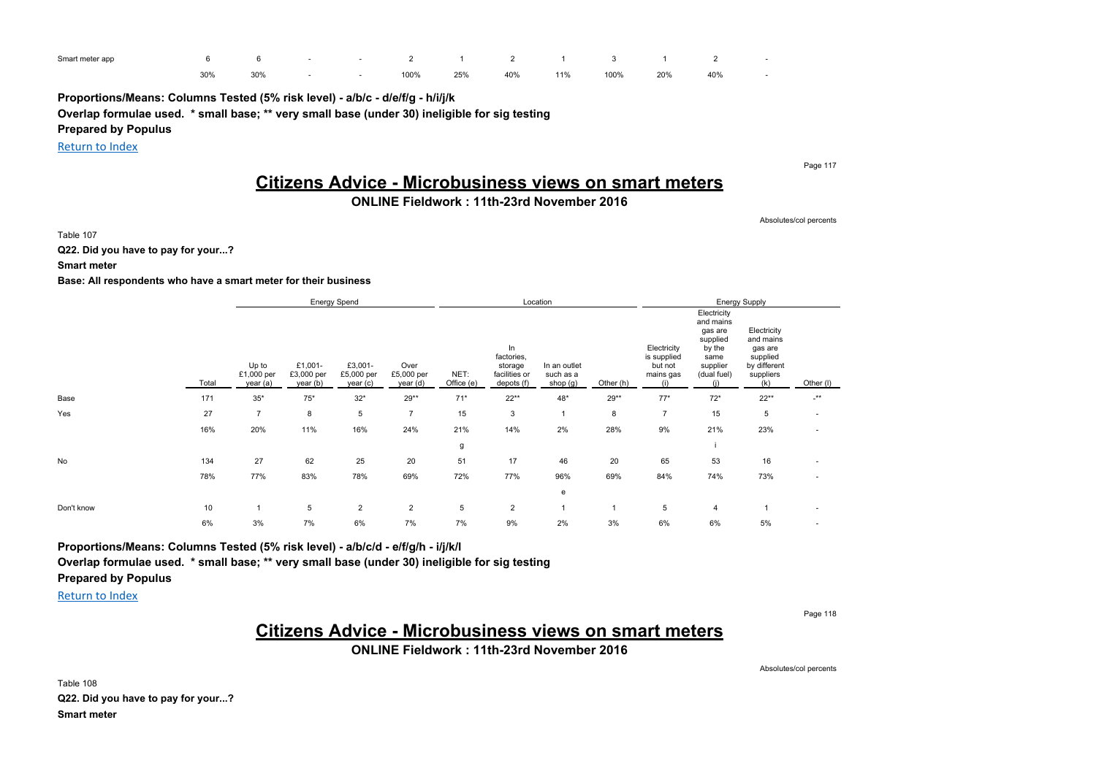| Smart meter app |     |     |  | 6 - 2 1 2 1 3 1 |     |     |     |      |     | $\overline{\phantom{a}}$ |  |
|-----------------|-----|-----|--|-----------------|-----|-----|-----|------|-----|--------------------------|--|
|                 | 30% | 30% |  | 100%            | 25% | 40% | 11% | 100% | 20% | 40%                      |  |

**Proportions/Means: Columns Tested (5% risk level) - a/b/c - d/e/f/g - h/i/j/k**

**Overlap formulae used. \* small base; \*\* very small base (under 30) ineligible for sig testing**

**Prepared by Populus**

Return to Index

Page 117

# **Citizens Advice - Microbusiness views on smart meters**

### **ONLINE Fieldwork : 11th-23rd November 2016**

Absolutes/col percents

Table 107

**Q22. Did you have to pay for your...?**

**Smart meter**

#### **Base: All respondents who have a smart meter for their business**

|            |       |                                 |                                   | Energy Spend                      |                                |                    |                                                            | Location                              |              |                                                           |                                                                                              | Energy Supply                                                                       |                          |
|------------|-------|---------------------------------|-----------------------------------|-----------------------------------|--------------------------------|--------------------|------------------------------------------------------------|---------------------------------------|--------------|-----------------------------------------------------------|----------------------------------------------------------------------------------------------|-------------------------------------------------------------------------------------|--------------------------|
|            | Total | Up to<br>£1,000 per<br>year (a) | £1,001-<br>£3,000 per<br>year (b) | £3,001-<br>£5,000 per<br>year (c) | Over<br>£5,000 per<br>year (d) | NET:<br>Office (e) | In<br>factories,<br>storage<br>facilities or<br>depots (f) | In an outlet<br>such as a<br>shop (g) | Other (h)    | Electricity<br>is supplied<br>but not<br>mains gas<br>(i) | Electricity<br>and mains<br>gas are<br>supplied<br>by the<br>same<br>supplier<br>(dual fuel) | Electricity<br>and mains<br>gas are<br>supplied<br>by different<br>suppliers<br>(k) | Other (I)                |
| Base       | 171   | $35*$                           | $75*$                             | $32*$                             | $29**$                         | $71*$              | $22**$                                                     | 48*                                   | $29**$       | $77*$                                                     | $72*$                                                                                        | $22**$                                                                              | $\cdot^{\star\star}$     |
| Yes        | 27    | $\overline{7}$                  | 8                                 | 5                                 | $\overline{7}$                 | 15                 | 3                                                          |                                       | 8            | $\overline{7}$                                            | 15                                                                                           | 5                                                                                   | $\overline{\phantom{a}}$ |
|            | 16%   | 20%                             | 11%                               | 16%                               | 24%                            | 21%                | 14%                                                        | 2%                                    | 28%          | 9%                                                        | 21%                                                                                          | 23%                                                                                 | $\overline{\phantom{a}}$ |
|            |       |                                 |                                   |                                   |                                | g                  |                                                            |                                       |              |                                                           |                                                                                              |                                                                                     |                          |
| No         | 134   | 27                              | 62                                | 25                                | 20                             | 51                 | 17                                                         | 46                                    | 20           | 65                                                        | 53                                                                                           | 16                                                                                  |                          |
|            | 78%   | 77%                             | 83%                               | 78%                               | 69%                            | 72%                | 77%                                                        | 96%                                   | 69%          | 84%                                                       | 74%                                                                                          | 73%                                                                                 | $\overline{\phantom{a}}$ |
|            |       |                                 |                                   |                                   |                                |                    |                                                            | e                                     |              |                                                           |                                                                                              |                                                                                     |                          |
| Don't know | 10    |                                 | 5                                 | $\overline{2}$                    | $\overline{2}$                 | 5                  | $\overline{2}$                                             |                                       | $\mathbf{1}$ | 5                                                         | 4                                                                                            |                                                                                     | $\sim$                   |
|            | 6%    | 3%                              | 7%                                | 6%                                | 7%                             | 7%                 | 9%                                                         | 2%                                    | 3%           | 6%                                                        | 6%                                                                                           | 5%                                                                                  | ٠                        |

**Proportions/Means: Columns Tested (5% risk level) - a/b/c/d - e/f/g/h - i/j/k/l Overlap formulae used. \* small base; \*\* very small base (under 30) ineligible for sig testing Prepared by Populus**

Return to Index

Page 118

# **Citizens Advice - Microbusiness views on smart meters**

**ONLINE Fieldwork : 11th-23rd November 2016**

Absolutes/col percents

Table 108 **Q22. Did you have to pay for your...? Smart meter**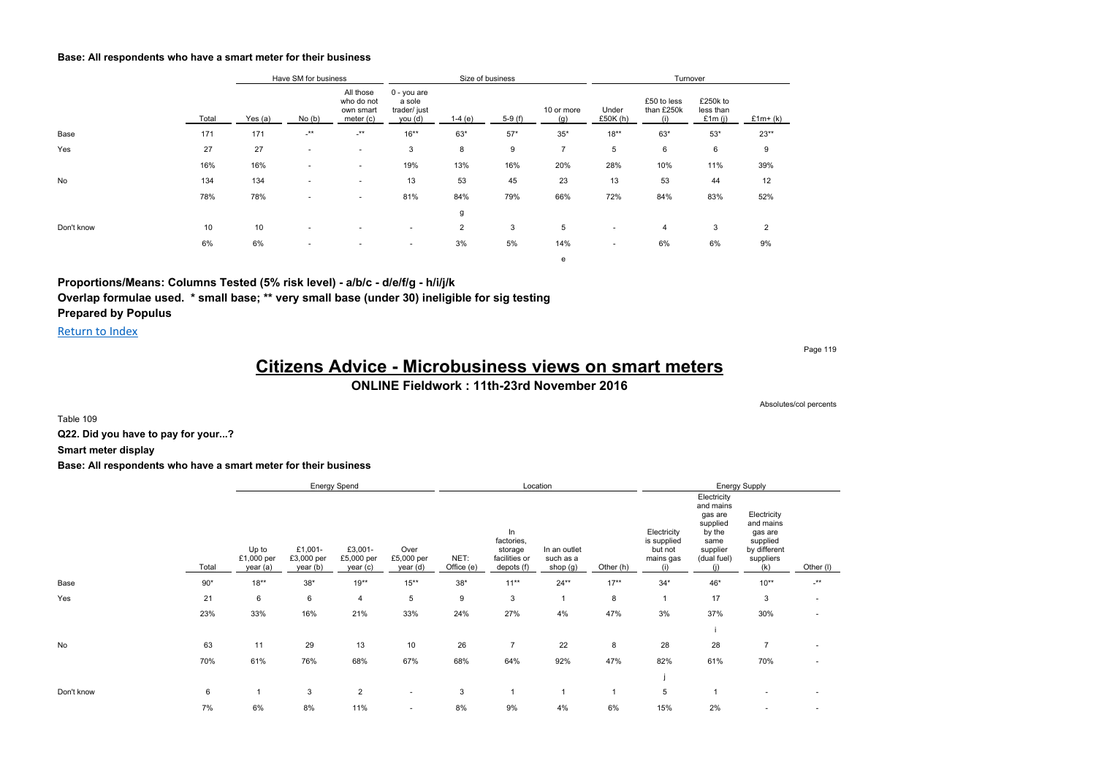#### **Base: All respondents who have a smart meter for their business**

|            |       |           | Have SM for business     |                                                   |                                                  |                | Size of business |                   |                          | Turnover                         |                                    |                |
|------------|-------|-----------|--------------------------|---------------------------------------------------|--------------------------------------------------|----------------|------------------|-------------------|--------------------------|----------------------------------|------------------------------------|----------------|
|            | Total | Yes $(a)$ | No(b)                    | All those<br>who do not<br>own smart<br>meter (c) | 0 - you are<br>a sole<br>trader/ just<br>you (d) | $1-4(e)$       | $5-9(f)$         | 10 or more<br>(g) | Under<br>£50K (h)        | £50 to less<br>than £250k<br>(i) | £250k to<br>less than<br>£1 $m(i)$ | $£1m+(k)$      |
| Base       | 171   | 171       | $-***$                   | $.**$                                             | $16***$                                          | 63*            | $57*$            | $35*$             | $18***$                  | $63*$                            | $53*$                              | $23**$         |
| Yes        | 27    | 27        |                          | $\overline{\phantom{a}}$                          | 3                                                | 8              | 9                | $\overline{7}$    | 5                        | 6                                | 6                                  | 9              |
|            | 16%   | 16%       |                          | ۰.                                                | 19%                                              | 13%            | 16%              | 20%               | 28%                      | 10%                              | 11%                                | 39%            |
| No         | 134   | 134       |                          | ٠                                                 | 13                                               | 53             | 45               | 23                | 13                       | 53                               | 44                                 | 12             |
|            | 78%   | 78%       | $\overline{\phantom{a}}$ | ٠                                                 | 81%                                              | 84%            | 79%              | 66%               | 72%                      | 84%                              | 83%                                | 52%            |
|            |       |           |                          |                                                   |                                                  | g              |                  |                   |                          |                                  |                                    |                |
| Don't know | 10    | 10        |                          |                                                   | ۰                                                | $\overline{c}$ | 3                | 5                 |                          | 4                                | 3                                  | $\overline{2}$ |
|            | 6%    | 6%        | $\overline{\phantom{a}}$ | $\overline{\phantom{a}}$                          | ۰                                                | 3%             | 5%               | 14%               | $\overline{\phantom{a}}$ | 6%                               | 6%                                 | 9%             |
|            |       |           |                          |                                                   |                                                  |                |                  | е                 |                          |                                  |                                    |                |

**Proportions/Means: Columns Tested (5% risk level) - a/b/c - d/e/f/g - h/i/j/k Overlap formulae used. \* small base; \*\* very small base (under 30) ineligible for sig testing Prepared by Populus**

Return to Index

Page 119

Absolutes/col percents

# **Citizens Advice - Microbusiness views on smart meters**

**ONLINE Fieldwork : 11th-23rd November 2016**

Table 109

**Q22. Did you have to pay for your...?**

**Smart meter display**

#### **Base: All respondents who have a smart meter for their business**

|            |       |                                 |                                   | Energy Spend                      |                                |                    |                                                            | Location                              |           |                                                           |                                                                                              | <b>Energy Supply</b>                                                                |                          |
|------------|-------|---------------------------------|-----------------------------------|-----------------------------------|--------------------------------|--------------------|------------------------------------------------------------|---------------------------------------|-----------|-----------------------------------------------------------|----------------------------------------------------------------------------------------------|-------------------------------------------------------------------------------------|--------------------------|
|            | Total | Up to<br>£1,000 per<br>year (a) | £1,001-<br>£3,000 per<br>year (b) | £3,001-<br>£5,000 per<br>year (c) | Over<br>£5,000 per<br>year (d) | NET:<br>Office (e) | In<br>factories,<br>storage<br>facilities or<br>depots (f) | In an outlet<br>such as a<br>shop (g) | Other (h) | Electricity<br>is supplied<br>but not<br>mains gas<br>(i) | Electricity<br>and mains<br>gas are<br>supplied<br>by the<br>same<br>supplier<br>(dual fuel) | Electricity<br>and mains<br>gas are<br>supplied<br>by different<br>suppliers<br>(k) | Other (I)                |
| Base       | $90*$ | $18***$                         | $38*$                             | $19**$                            | $15***$                        | $38*$              | $11***$                                                    | $24**$                                | $17***$   | $34*$                                                     | 46*                                                                                          | $10**$                                                                              | $-***$                   |
| Yes        | 21    | 6                               | 6                                 | $\overline{4}$                    | 5                              | 9                  | $\mathbf{3}$                                               |                                       | 8         | $\mathbf{1}$                                              | 17                                                                                           | 3                                                                                   | $\overline{\phantom{a}}$ |
|            | 23%   | 33%                             | 16%                               | 21%                               | 33%                            | 24%                | 27%                                                        | 4%                                    | 47%       | 3%                                                        | 37%                                                                                          | 30%                                                                                 |                          |
|            |       |                                 |                                   |                                   |                                |                    |                                                            |                                       |           |                                                           |                                                                                              |                                                                                     |                          |
| No         | 63    | 11                              | 29                                | 13                                | 10                             | 26                 | $\overline{7}$                                             | 22                                    | 8         | 28                                                        | 28                                                                                           | $\overline{7}$                                                                      |                          |
|            | 70%   | 61%                             | 76%                               | 68%                               | 67%                            | 68%                | 64%                                                        | 92%                                   | 47%       | 82%                                                       | 61%                                                                                          | 70%                                                                                 |                          |
|            |       |                                 |                                   |                                   |                                |                    |                                                            |                                       |           |                                                           |                                                                                              |                                                                                     |                          |
| Don't know | 6     |                                 | 3                                 | $\overline{2}$                    | $\overline{\phantom{a}}$       | 3                  |                                                            |                                       |           | 5                                                         |                                                                                              |                                                                                     |                          |
|            | 7%    | 6%                              | 8%                                | 11%                               | $\sim$                         | 8%                 | 9%                                                         | 4%                                    | 6%        | 15%                                                       | 2%                                                                                           | ٠                                                                                   |                          |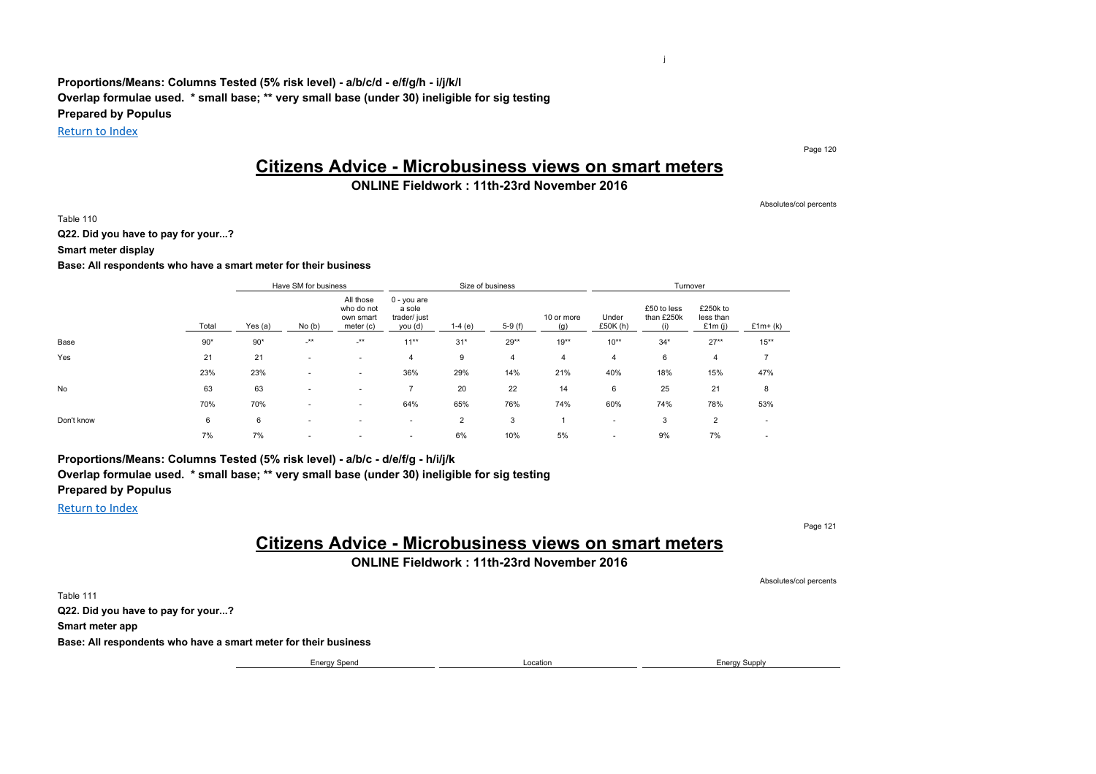**Proportions/Means: Columns Tested (5% risk level) - a/b/c/d - e/f/g/h - i/j/k/l Overlap formulae used. \* small base; \*\* very small base (under 30) ineligible for sig testing Prepared by Populus**

Return to Index

# **Citizens Advice - Microbusiness views on smart meters**

### **ONLINE Fieldwork : 11th-23rd November 2016**

Absolutes/col percents

Page 120

j

Table 110

**Q22. Did you have to pay for your...?**

**Smart meter display**

#### **Base: All respondents who have a smart meter for their business**

|            |       |           | Have SM for business |                                                   |                                                  |           | Size of business |                   |                          | Turnover                         |                                    |                          |
|------------|-------|-----------|----------------------|---------------------------------------------------|--------------------------------------------------|-----------|------------------|-------------------|--------------------------|----------------------------------|------------------------------------|--------------------------|
|            | Total | Yes $(a)$ | No(b)                | All those<br>who do not<br>own smart<br>meter (c) | 0 - you are<br>a sole<br>trader/ just<br>you (d) | 1-4 $(e)$ | $5-9(f)$         | 10 or more<br>(g) | Under<br>£50 $K(h)$      | £50 to less<br>than £250k<br>(i) | £250k to<br>less than<br>£1 $m(i)$ | $£1m+(k)$                |
| Base       | $90*$ | $90*$     | $\cdot^{\star\star}$ | $-***$                                            | $11***$                                          | $31*$     | $29**$           | $19***$           | $10***$                  | $34*$                            | $27**$                             | $15***$                  |
| Yes        | 21    | 21        |                      | $\overline{\phantom{a}}$                          | 4                                                | 9         | 4                | 4                 | 4                        | 6                                | 4                                  | 7                        |
|            | 23%   | 23%       | ۰                    | $\overline{\phantom{a}}$                          | 36%                                              | 29%       | 14%              | 21%               | 40%                      | 18%                              | 15%                                | 47%                      |
| <b>No</b>  | 63    | 63        |                      | $\overline{\phantom{a}}$                          | 7                                                | 20        | 22               | 14                | 6                        | 25                               | 21                                 | 8                        |
|            | 70%   | 70%       |                      | $\overline{\phantom{a}}$                          | 64%                                              | 65%       | 76%              | 74%               | 60%                      | 74%                              | 78%                                | 53%                      |
| Don't know | 6     | 6         |                      | ۰                                                 | $\overline{\phantom{a}}$                         | 2         | 3                |                   | $\overline{\phantom{a}}$ | 3                                | 2                                  | $\overline{\phantom{a}}$ |
|            | 7%    | 7%        |                      | $\overline{\phantom{a}}$                          | $\overline{\phantom{a}}$                         | 6%        | 10%              | 5%                | $\overline{\phantom{a}}$ | 9%                               | 7%                                 | $\overline{\phantom{a}}$ |

**Proportions/Means: Columns Tested (5% risk level) - a/b/c - d/e/f/g - h/i/j/k Overlap formulae used. \* small base; \*\* very small base (under 30) ineligible for sig testing Prepared by Populus**

Return to Index

Page 121

# **Citizens Advice - Microbusiness views on smart meters**

**ONLINE Fieldwork : 11th-23rd November 2016**

Absolutes/col percents Table 111 **Q22. Did you have to pay for your...? Smart meter app Base: All respondents who have a smart meter for their business** Energy Spend **Energy Spend** Energy Supply **Construction** Energy Supply **Energy Supply**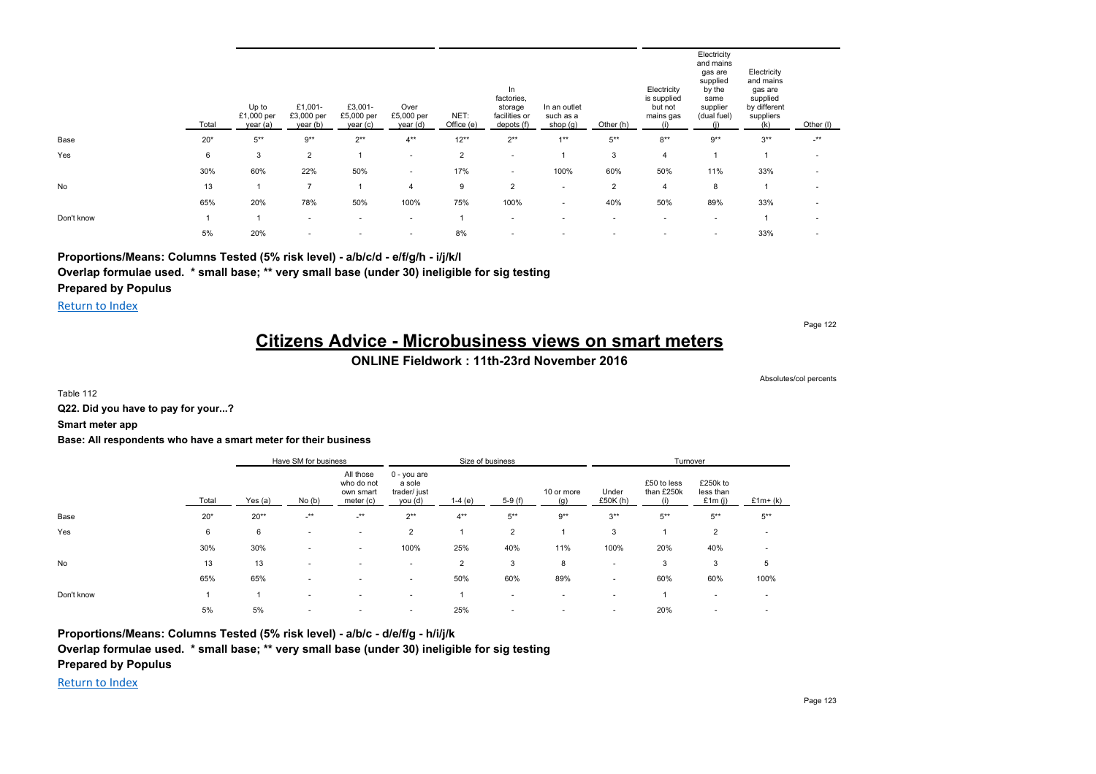|            | Total | Up to<br>£1,000 per<br>year (a) | £1,001-<br>£3,000 per<br>year (b) | £3,001-<br>£5,000 per<br>year (c) | Over<br>£5,000 per<br>year (d) | NET:<br>Office (e) | In<br>factories,<br>storage<br>facilities or<br>depots (f) | In an outlet<br>such as a<br>shop (g) | Other (h)                | Electricity<br>is supplied<br>but not<br>mains gas<br>(i) | Electricity<br>and mains<br>gas are<br>supplied<br>by the<br>same<br>supplier<br>(dual fuel) | Electricity<br>and mains<br>gas are<br>supplied<br>by different<br>suppliers<br>(k) | Other (I)                |
|------------|-------|---------------------------------|-----------------------------------|-----------------------------------|--------------------------------|--------------------|------------------------------------------------------------|---------------------------------------|--------------------------|-----------------------------------------------------------|----------------------------------------------------------------------------------------------|-------------------------------------------------------------------------------------|--------------------------|
| Base       | $20*$ | $5***$                          | $9**$                             | $2***$                            | $4***$                         | $12***$            | $2***$                                                     | $1**$                                 | $5^{**}$                 | $8**$                                                     | $9**$                                                                                        | $3***$                                                                              | $-$ **                   |
| Yes        | 6     | 3                               | $\overline{2}$                    |                                   | $\sim$                         | $\overline{2}$     | $\sim$                                                     |                                       | 3                        | $\overline{4}$                                            |                                                                                              |                                                                                     | $\overline{\phantom{a}}$ |
|            | 30%   | 60%                             | 22%                               | 50%                               | $\sim$                         | 17%                | ۰.                                                         | 100%                                  | 60%                      | 50%                                                       | 11%                                                                                          | 33%                                                                                 | $\overline{\phantom{a}}$ |
| No         | 13    |                                 | $\overline{7}$                    |                                   | 4                              | 9                  | $\overline{2}$                                             | $\overline{\phantom{a}}$              | $\overline{\mathbf{c}}$  | $\overline{4}$                                            | 8                                                                                            | 1                                                                                   | $\overline{\phantom{a}}$ |
|            | 65%   | 20%                             | 78%                               | 50%                               | 100%                           | 75%                | 100%                                                       | $\sim$                                | 40%                      | 50%                                                       | 89%                                                                                          | 33%                                                                                 | $\overline{\phantom{a}}$ |
| Don't know |       |                                 | $\sim$                            | $\overline{\phantom{a}}$          | $\sim$                         |                    | $\overline{\phantom{a}}$                                   | $\overline{\phantom{a}}$              | $\overline{\phantom{a}}$ | $\sim$                                                    | $\overline{\phantom{a}}$                                                                     | 1                                                                                   | $\overline{\phantom{a}}$ |
|            | 5%    | 20%                             | $\overline{\phantom{a}}$          |                                   | $\overline{\phantom{a}}$       | 8%                 | $\sim$                                                     |                                       |                          | $\overline{\phantom{a}}$                                  | $\overline{\phantom{a}}$                                                                     | 33%                                                                                 |                          |

**Proportions/Means: Columns Tested (5% risk level) - a/b/c/d - e/f/g/h - i/j/k/l**

**Overlap formulae used. \* small base; \*\* very small base (under 30) ineligible for sig testing**

**Prepared by Populus**

Return to Index

Page 122

# **Citizens Advice - Microbusiness views on smart meters**

**ONLINE Fieldwork : 11th-23rd November 2016**

Absolutes/col percents

Table 112

**Q22. Did you have to pay for your...?**

**Smart meter app**

#### **Base: All respondents who have a smart meter for their business**

|            |       |           | Have SM for business     |                                                   |                                                  |                | Size of business         |                   |                          | Turnover                  |                                 |                          |
|------------|-------|-----------|--------------------------|---------------------------------------------------|--------------------------------------------------|----------------|--------------------------|-------------------|--------------------------|---------------------------|---------------------------------|--------------------------|
|            | Total | Yes $(a)$ | No(b)                    | All those<br>who do not<br>own smart<br>meter (c) | 0 - you are<br>a sole<br>trader/ just<br>you (d) | $1-4(e)$       | $5-9(f)$                 | 10 or more<br>(q) | Under<br>£50K (h)        | £50 to less<br>than £250k | £250k to<br>less than<br>£1m(i) | $£1m+(k)$                |
| Base       | $20*$ | $20**$    | $-***$                   | $-***$                                            | $2***$                                           | $4***$         | $5***$                   | $9**$             | $3***$                   | $5***$                    | $5***$                          | $5***$                   |
| Yes        | 6     | 6         | $\overline{\phantom{a}}$ | $\overline{\phantom{a}}$                          | $\overline{2}$                                   |                | 2                        |                   | 3                        |                           | $\overline{2}$                  | ٠                        |
|            | 30%   | 30%       | ۰                        |                                                   | 100%                                             | 25%            | 40%                      | 11%               | 100%                     | 20%                       | 40%                             | $\overline{\phantom{a}}$ |
| <b>No</b>  | 13    | 13        | $\overline{\phantom{a}}$ |                                                   | $\overline{\phantom{a}}$                         | $\overline{2}$ | 3                        | 8                 | $\overline{\phantom{a}}$ | 3                         | 3                               | 5                        |
|            | 65%   | 65%       | $\overline{\phantom{a}}$ |                                                   | $\overline{\phantom{a}}$                         | 50%            | 60%                      | 89%               | $\sim$                   | 60%                       | 60%                             | 100%                     |
| Don't know |       |           | ۰                        |                                                   | ۰                                                |                | $\overline{\phantom{a}}$ |                   | $\overline{\phantom{a}}$ |                           | $\sim$                          | $\overline{\phantom{a}}$ |
|            | 5%    | 5%        | ۰                        |                                                   | $\overline{\phantom{a}}$                         | 25%            | $\overline{\phantom{a}}$ |                   | $\overline{\phantom{a}}$ | 20%                       | $\overline{\phantom{a}}$        | $\overline{\phantom{a}}$ |

**Proportions/Means: Columns Tested (5% risk level) - a/b/c - d/e/f/g - h/i/j/k**

**Overlap formulae used. \* small base; \*\* very small base (under 30) ineligible for sig testing**

**Prepared by Populus**

Return to Index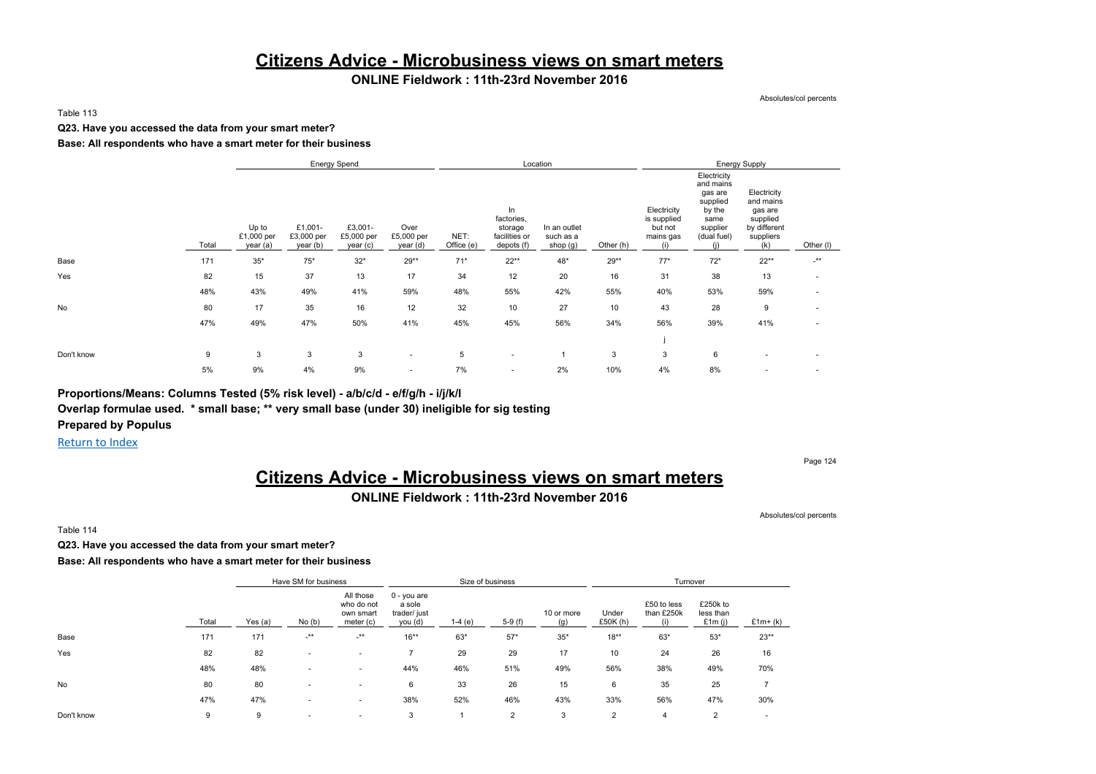# **Citizens Advice - Microbusiness views on smart meters**

### **ONLINE Fieldwork : 11th-23rd November 2016**

Absolutes/col percents

#### Table 113

#### **Q23. Have you accessed the data from your smart meter?**

#### **Base: All respondents who have a smart meter for their business**

|            |       |                                 |                                   | <b>Energy Spend</b>              |                                |                    |                                                            | Location                              |           |                                                           |                                                                                                     | <b>Energy Supply</b>                                                                |                          |
|------------|-------|---------------------------------|-----------------------------------|----------------------------------|--------------------------------|--------------------|------------------------------------------------------------|---------------------------------------|-----------|-----------------------------------------------------------|-----------------------------------------------------------------------------------------------------|-------------------------------------------------------------------------------------|--------------------------|
|            | Total | Up to<br>£1,000 per<br>year (a) | £1,001-<br>£3,000 per<br>year (b) | £3,001-<br>£5,000 per<br>year(c) | Over<br>£5,000 per<br>year (d) | NET:<br>Office (e) | In<br>factories,<br>storage<br>facilities or<br>depots (f) | In an outlet<br>such as a<br>shop (g) | Other (h) | Electricity<br>is supplied<br>but not<br>mains gas<br>(i) | Electricity<br>and mains<br>gas are<br>supplied<br>by the<br>same<br>supplier<br>(dual fuel)<br>(i) | Electricity<br>and mains<br>gas are<br>supplied<br>by different<br>suppliers<br>(k) | Other (I)                |
| Base       | 171   | $35*$                           | $75*$                             | $32*$                            | 29**                           | $71*$              | $22**$                                                     | 48*                                   | $29**$    | $77*$                                                     | $72*$                                                                                               | $22**$                                                                              | $\cdot^{\star\star}$     |
| Yes        | 82    | 15                              | 37                                | 13                               | 17                             | 34                 | 12                                                         | 20                                    | 16        | 31                                                        | 38                                                                                                  | 13                                                                                  | $\overline{\phantom{a}}$ |
|            | 48%   | 43%                             | 49%                               | 41%                              | 59%                            | 48%                | 55%                                                        | 42%                                   | 55%       | 40%                                                       | 53%                                                                                                 | 59%                                                                                 | $\overline{\phantom{a}}$ |
| No         | 80    | 17                              | 35                                | 16                               | 12                             | 32                 | 10                                                         | 27                                    | 10        | 43                                                        | 28                                                                                                  | 9                                                                                   | $\overline{\phantom{a}}$ |
|            | 47%   | 49%                             | 47%                               | 50%                              | 41%                            | 45%                | 45%                                                        | 56%                                   | 34%       | 56%                                                       | 39%                                                                                                 | 41%                                                                                 | ٠                        |
|            |       |                                 |                                   |                                  |                                |                    |                                                            |                                       |           |                                                           |                                                                                                     |                                                                                     |                          |
| Don't know | 9     | 3                               | 3                                 | 3                                | ۰                              | 5                  | $\overline{\phantom{a}}$                                   |                                       | 3         | 3                                                         | 6                                                                                                   | $\sim$                                                                              | $\overline{\phantom{a}}$ |
|            | 5%    | 9%                              | 4%                                | 9%                               | ۰                              | 7%                 | $\sim$                                                     | 2%                                    | 10%       | 4%                                                        | 8%                                                                                                  | $\sim$                                                                              | $\sim$                   |

**Proportions/Means: Columns Tested (5% risk level) - a/b/c/d - e/f/g/h - i/j/k/l**

**Overlap formulae used. \* small base; \*\* very small base (under 30) ineligible for sig testing**

**Prepared by Populus**

Return to Index

#### Page 124

# **Citizens Advice - Microbusiness views on smart meters**

#### **ONLINE Fieldwork : 11th-23rd November 2016**

Absolutes/col percents

Table 114

**Q23. Have you accessed the data from your smart meter?**

**Base: All respondents who have a smart meter for their business**

|            |       |         | Have SM for business     |                                                   |                                                    |          | Size of business |            |                   | Turnover                  |                                 |                          |
|------------|-------|---------|--------------------------|---------------------------------------------------|----------------------------------------------------|----------|------------------|------------|-------------------|---------------------------|---------------------------------|--------------------------|
|            | Total | Yes (a) | No(b)                    | All those<br>who do not<br>own smart<br>meter (c) | $0 - you$ are<br>a sole<br>trader/ just<br>you (d) | $1-4(e)$ | $5-9(f)$         | 10 or more | Under<br>£50K (h) | £50 to less<br>than £250k | £250k to<br>less than<br>£1m(i) | $£1m+(k)$                |
| Base       | 171   | 171     | $-***$                   | $-***$                                            | $16***$                                            | 63*      | $57*$            | $35*$      | $18***$           | $63*$                     | $53*$                           | $23**$                   |
| Yes        | 82    | 82      | $\sim$                   | $\sim$                                            |                                                    | 29       | 29               | 17         | 10                | 24                        | 26                              | 16                       |
|            | 48%   | 48%     |                          |                                                   | 44%                                                | 46%      | 51%              | 49%        | 56%               | 38%                       | 49%                             | 70%                      |
| <b>No</b>  | 80    | 80      | $\overline{\phantom{a}}$ | ٠                                                 | 6                                                  | 33       | 26               | 15         | 6                 | 35                        | 25                              |                          |
|            | 47%   | 47%     | $\sim$                   |                                                   | 38%                                                | 52%      | 46%              | 43%        | 33%               | 56%                       | 47%                             | 30%                      |
| Don't know | 9     | 9       | $\sim$                   | $\overline{\phantom{a}}$                          | 3                                                  |          | ົ<br>∠           | 3          | $\overline{2}$    | 4                         | $\Omega$                        | $\overline{\phantom{a}}$ |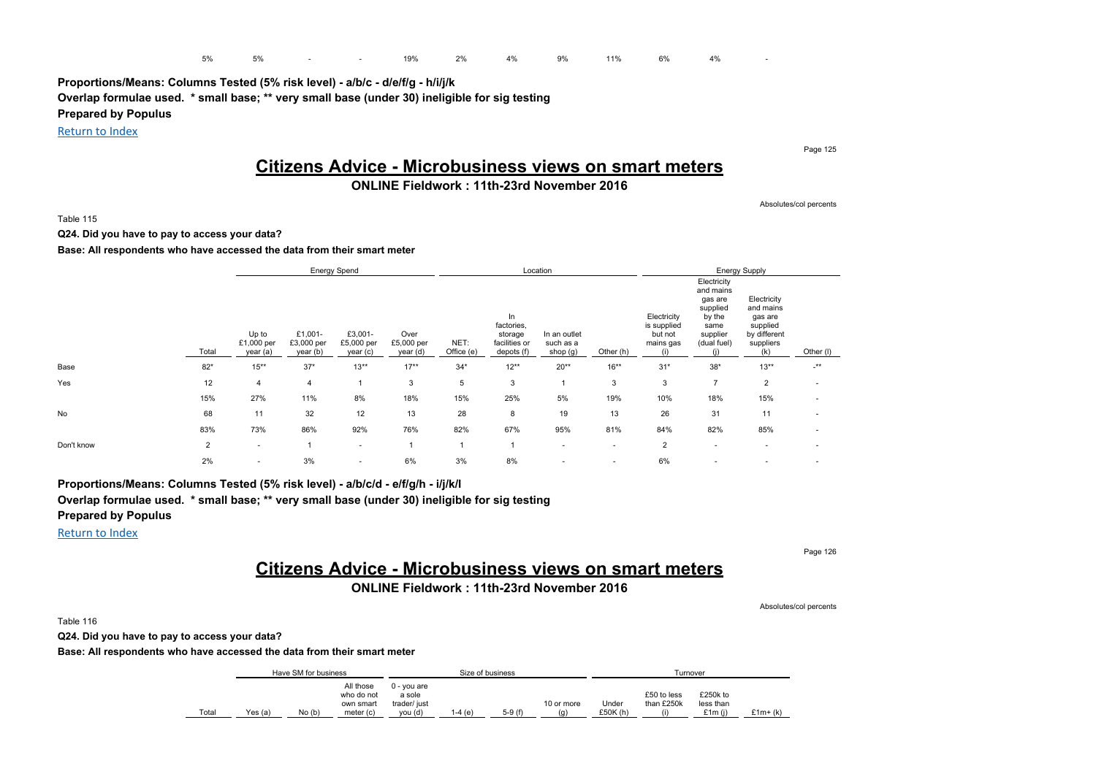**Proportions/Means: Columns Tested (5% risk level) - a/b/c - d/e/f/g - h/i/j/k Overlap formulae used. \* small base; \*\* very small base (under 30) ineligible for sig testing Prepared by Populus**

Return to Index

### **Citizens Advice - Microbusiness views on smart meters**

### **ONLINE Fieldwork : 11th-23rd November 2016**

Absolutes/col percents

Page 125

Table 115

**Q24. Did you have to pay to access your data?**

#### **Base: All respondents who have accessed the data from their smart meter**

|            |                |                                 |                                   | <b>Energy Spend</b>              |                                |                    |                                                            | Location                              |                          |                                                    |                                                                                              | <b>Energy Supply</b>                                                                |           |
|------------|----------------|---------------------------------|-----------------------------------|----------------------------------|--------------------------------|--------------------|------------------------------------------------------------|---------------------------------------|--------------------------|----------------------------------------------------|----------------------------------------------------------------------------------------------|-------------------------------------------------------------------------------------|-----------|
|            | Total          | Up to<br>£1,000 per<br>year (a) | £1,001-<br>£3,000 per<br>year (b) | £3,001-<br>£5,000 per<br>year(c) | Over<br>£5,000 per<br>year (d) | NET:<br>Office (e) | In<br>factories,<br>storage<br>facilities or<br>depots (f) | In an outlet<br>such as a<br>shop (g) | Other (h)                | Electricity<br>is supplied<br>but not<br>mains gas | Electricity<br>and mains<br>gas are<br>supplied<br>by the<br>same<br>supplier<br>(dual fuel) | Electricity<br>and mains<br>gas are<br>supplied<br>by different<br>suppliers<br>(k) | Other (I) |
| Base       | $82*$          | $15***$                         | $37*$                             | $13**$                           | $17**$                         | $34*$              | $12**$                                                     | $20**$                                | $16***$                  | $31*$                                              | $38*$                                                                                        | $13**$                                                                              | $-***$    |
| Yes        | 12             | 4                               | 4                                 |                                  | 3                              | 5                  | 3                                                          |                                       | 3                        | 3                                                  | $\overline{7}$                                                                               | $\overline{2}$                                                                      |           |
|            | 15%            | 27%                             | 11%                               | 8%                               | 18%                            | 15%                | 25%                                                        | 5%                                    | 19%                      | 10%                                                | 18%                                                                                          | 15%                                                                                 |           |
| No         | 68             | 11                              | 32                                | 12                               | 13                             | 28                 | 8                                                          | 19                                    | 13                       | 26                                                 | 31                                                                                           | 11                                                                                  |           |
|            | 83%            | 73%                             | 86%                               | 92%                              | 76%                            | 82%                | 67%                                                        | 95%                                   | 81%                      | 84%                                                | 82%                                                                                          | 85%                                                                                 |           |
| Don't know | $\overline{2}$ | $\sim$                          |                                   | $\sim$                           |                                | $\overline{A}$     |                                                            | $\sim$                                | $\sim$                   | $\overline{2}$                                     | $\sim$                                                                                       | $\overline{\phantom{a}}$                                                            |           |
|            | 2%             | $\overline{\phantom{a}}$        | 3%                                | . .                              | 6%                             | 3%                 | 8%                                                         | ٠                                     | $\overline{\phantom{a}}$ | 6%                                                 | ٠                                                                                            |                                                                                     |           |

**Proportions/Means: Columns Tested (5% risk level) - a/b/c/d - e/f/g/h - i/j/k/l**

**Overlap formulae used. \* small base; \*\* very small base (under 30) ineligible for sig testing**

**Prepared by Populus**

Return to Index

Page 126

# **Citizens Advice - Microbusiness views on smart meters**

### **ONLINE Fieldwork : 11th-23rd November 2016**

Absolutes/col percents

Table 116

**Q24. Did you have to pay to access your data?**

**Base: All respondents who have accessed the data from their smart meter**

|       |         | Have SM for business |                                                   |                                                  |         | Size of business |                   |                   |                                | Turnover                        |            |
|-------|---------|----------------------|---------------------------------------------------|--------------------------------------------------|---------|------------------|-------------------|-------------------|--------------------------------|---------------------------------|------------|
| Total | Yes (a) | No (b)               | All those<br>who do not<br>own smart<br>meter (c) | 0 - you are<br>a sole<br>trader/ just<br>vou (d) | i-4 (e) | $5-9(f)$         | 10 or more<br>(q) | Under<br>£50K (h) | £50 to less<br>than £250k<br>ω | £250k to<br>less than<br>£1m(i) | $£1m+$ (k) |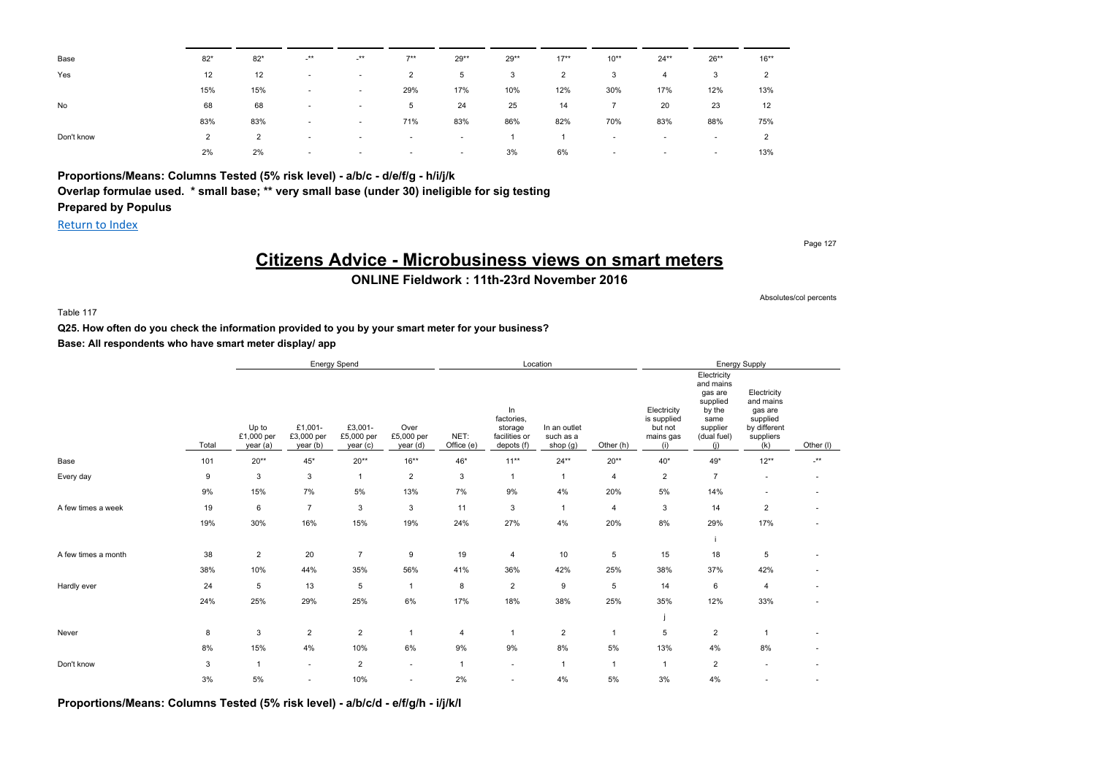| Base       | $82*$          | $82*$          | <b>**</b>                | <b>**</b>                | $7***$                   | $29**$ | $29**$ | $17***$ | $10**$ | $24***$                  | $26**$                   | $16***$        |
|------------|----------------|----------------|--------------------------|--------------------------|--------------------------|--------|--------|---------|--------|--------------------------|--------------------------|----------------|
| Yes        | 12             | 12             |                          | $\sim$                   | 2                        | 5      | 3      | 2       | 3      | 4                        | 3                        | $\overline{2}$ |
|            | 15%            | 15%            | $\overline{\phantom{a}}$ | $\overline{\phantom{a}}$ | 29%                      | 17%    | 10%    | 12%     | 30%    | 17%                      | 12%                      | 13%            |
| No         | 68             | 68             |                          | $\overline{\phantom{a}}$ | 5                        | 24     | 25     | 14      |        | 20                       | 23                       | 12             |
|            | 83%            | 83%            | $\overline{\phantom{a}}$ | $\overline{\phantom{a}}$ | 71%                      | 83%    | 86%    | 82%     | 70%    | 83%                      | 88%                      | 75%            |
| Don't know | $\overline{2}$ | $\overline{2}$ |                          | $\sim$                   | $\overline{\phantom{a}}$ | $\sim$ |        |         | $\sim$ | ٠                        | $\overline{\phantom{a}}$ | $\overline{2}$ |
|            | 2%             | 2%             | . .                      | $\sim$                   | $\overline{\phantom{a}}$ | $\sim$ | 3%     | 6%      | $\sim$ | $\overline{\phantom{a}}$ | $\overline{\phantom{a}}$ | 13%            |
|            |                |                |                          |                          |                          |        |        |         |        |                          |                          |                |

### **Proportions/Means: Columns Tested (5% risk level) - a/b/c - d/e/f/g - h/i/j/k**

**Overlap formulae used. \* small base; \*\* very small base (under 30) ineligible for sig testing**

**Prepared by Populus**

Return to Index

Page 127

# **Citizens Advice - Microbusiness views on smart meters**

**ONLINE Fieldwork : 11th-23rd November 2016**

Absolutes/col percents

Table 117

**Q25. How often do you check the information provided to you by your smart meter for your business?**

**Base: All respondents who have smart meter display/ app**

|                     |       |                                 |                                   | Energy Spend                     |                                |                    |                                                            | Location                              |                |                                                           |                                                                                                     | <b>Energy Supply</b>                                                                |                 |
|---------------------|-------|---------------------------------|-----------------------------------|----------------------------------|--------------------------------|--------------------|------------------------------------------------------------|---------------------------------------|----------------|-----------------------------------------------------------|-----------------------------------------------------------------------------------------------------|-------------------------------------------------------------------------------------|-----------------|
|                     | Total | Up to<br>£1,000 per<br>year (a) | £1,001-<br>£3,000 per<br>year (b) | £3,001-<br>£5,000 per<br>year(c) | Over<br>£5,000 per<br>year (d) | NET:<br>Office (e) | In<br>factories,<br>storage<br>facilities or<br>depots (f) | In an outlet<br>such as a<br>shop (g) | Other (h)      | Electricity<br>is supplied<br>but not<br>mains gas<br>(i) | Electricity<br>and mains<br>gas are<br>supplied<br>by the<br>same<br>supplier<br>(dual fuel)<br>(i) | Electricity<br>and mains<br>gas are<br>supplied<br>by different<br>suppliers<br>(k) | Other (I)       |
| Base                | 101   | $20**$                          | $45^{\star}$                      | $20**$                           | $16***$                        | $46*$              | $11***$                                                    | $24**$                                | $20**$         | $40*$                                                     | $49*$                                                                                               | $12**$                                                                              | $^{\star\star}$ |
| Every day           | 9     | $\mathbf{3}$                    | 3                                 | $\mathbf{1}$                     | $\overline{2}$                 | 3                  | 1                                                          | $\mathbf{1}$                          | $\overline{4}$ | $\overline{2}$                                            | $\overline{7}$                                                                                      | ٠                                                                                   | $\blacksquare$  |
|                     | 9%    | 15%                             | 7%                                | 5%                               | 13%                            | 7%                 | 9%                                                         | 4%                                    | 20%            | 5%                                                        | 14%                                                                                                 | $\sim$                                                                              | ٠               |
| A few times a week  | 19    | 6                               | $\overline{7}$                    | 3                                | 3                              | 11                 | 3                                                          | $\mathbf{1}$                          | $\overline{4}$ | 3                                                         | 14                                                                                                  | $\overline{2}$                                                                      | ٠               |
|                     | 19%   | 30%                             | 16%                               | 15%                              | 19%                            | 24%                | 27%                                                        | 4%                                    | 20%            | 8%                                                        | 29%                                                                                                 | 17%                                                                                 | ٠               |
|                     |       |                                 |                                   |                                  |                                |                    |                                                            |                                       |                |                                                           |                                                                                                     |                                                                                     |                 |
| A few times a month | 38    | $\overline{2}$                  | 20                                | $\overline{7}$                   | 9                              | 19                 | 4                                                          | 10                                    | 5              | 15                                                        | 18                                                                                                  | $\sqrt{5}$                                                                          |                 |
|                     | 38%   | 10%                             | 44%                               | 35%                              | 56%                            | 41%                | 36%                                                        | 42%                                   | 25%            | 38%                                                       | 37%                                                                                                 | 42%                                                                                 |                 |
| Hardly ever         | 24    | 5                               | 13                                | 5                                | $\overline{1}$                 | 8                  | $\overline{c}$                                             | 9                                     | 5              | 14                                                        | 6                                                                                                   | 4                                                                                   |                 |
|                     | 24%   | 25%                             | 29%                               | 25%                              | $6\%$                          | 17%                | 18%                                                        | 38%                                   | 25%            | 35%                                                       | 12%                                                                                                 | 33%                                                                                 |                 |
|                     |       |                                 |                                   |                                  |                                |                    |                                                            |                                       |                |                                                           |                                                                                                     |                                                                                     |                 |
| Never               | 8     | 3                               | $\boldsymbol{2}$                  | $\overline{2}$                   | -1                             | $\overline{4}$     | $\overline{1}$                                             | $\overline{2}$                        |                | 5                                                         | $\overline{2}$                                                                                      | -1                                                                                  |                 |
|                     | 8%    | 15%                             | 4%                                | 10%                              | 6%                             | 9%                 | 9%                                                         | 8%                                    | 5%             | 13%                                                       | 4%                                                                                                  | 8%                                                                                  |                 |
| Don't know          | 3     | $\mathbf{1}$                    | ٠                                 | $\overline{2}$                   | $\overline{\phantom{a}}$       | $\mathbf{1}$       | $\sim$                                                     | $\mathbf{1}$                          |                | $\overline{1}$                                            | $\overline{2}$                                                                                      | $\overline{\phantom{a}}$                                                            |                 |
|                     | 3%    | $5\%$                           | $\overline{\phantom{a}}$          | 10%                              | $\overline{\phantom{a}}$       | 2%                 |                                                            | 4%                                    | 5%             | 3%                                                        | 4%                                                                                                  |                                                                                     |                 |

**Proportions/Means: Columns Tested (5% risk level) - a/b/c/d - e/f/g/h - i/j/k/l**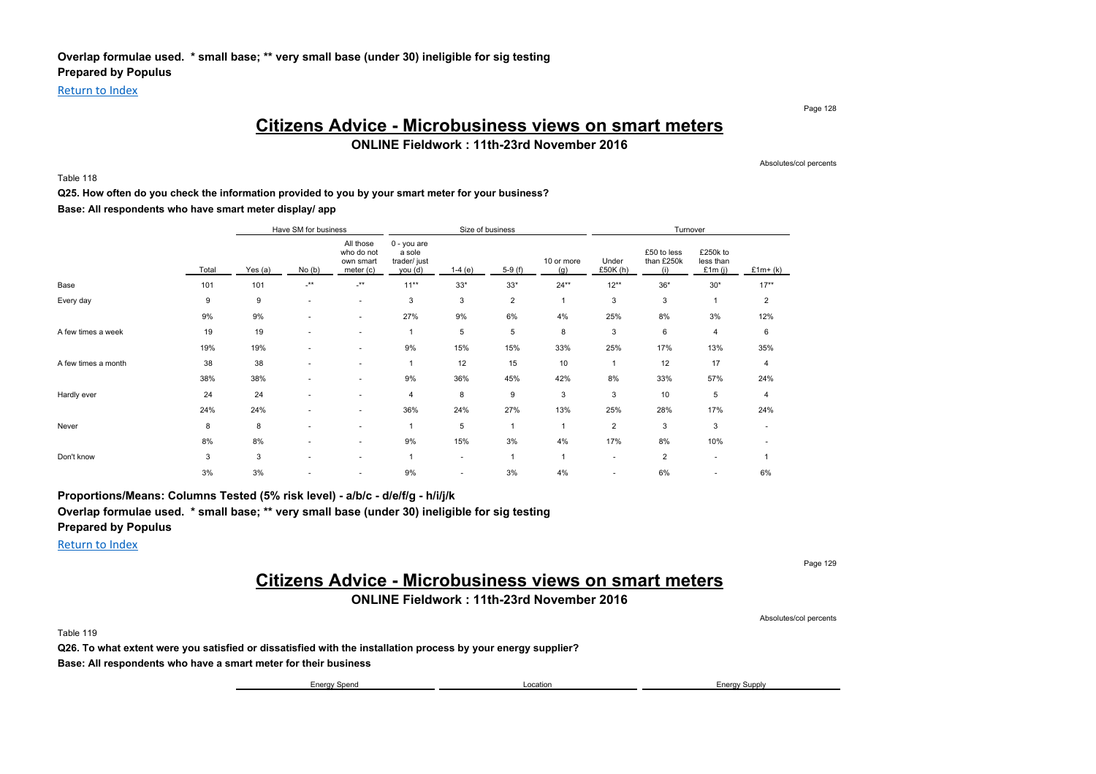Return to Index

Page 128

### **Citizens Advice - Microbusiness views on smart meters**

**ONLINE Fieldwork : 11th-23rd November 2016**

Absolutes/col percents

Table 118

#### **Q25. How often do you check the information provided to you by your smart meter for your business?**

**Base: All respondents who have smart meter display/ app**

|                     |       |         | Have SM for business     |                                                   |                                                  |                          | Size of business |                   |                   | Turnover                         |                                    |                |
|---------------------|-------|---------|--------------------------|---------------------------------------------------|--------------------------------------------------|--------------------------|------------------|-------------------|-------------------|----------------------------------|------------------------------------|----------------|
|                     | Total | Yes (a) | No(b)                    | All those<br>who do not<br>own smart<br>meter (c) | 0 - you are<br>a sole<br>trader/ just<br>you (d) | $1-4(e)$                 | $5-9(f)$         | 10 or more<br>(g) | Under<br>£50K (h) | £50 to less<br>than £250k<br>(i) | £250k to<br>less than<br>£1 $m(i)$ | $£1m+(k)$      |
| Base                | 101   | 101     | $\cdot$ **               | $\cdot^{\star\star}$                              | $11***$                                          | $33*$                    | $33*$            | $24**$            | $12***$           | $36*$                            | $30*$                              | $17***$        |
| Every day           | 9     | 9       | $\sim$                   | $\sim$                                            | 3                                                | 3                        | $\overline{2}$   | 1                 | 3                 | 3                                | -1                                 | $\overline{2}$ |
|                     | 9%    | 9%      |                          | ۰.                                                | 27%                                              | 9%                       | 6%               | 4%                | 25%               | 8%                               | 3%                                 | 12%            |
| A few times a week  | 19    | 19      | $\overline{\phantom{a}}$ | ۰.                                                |                                                  | 5                        | 5                | 8                 | 3                 | 6                                | $\overline{4}$                     | 6              |
|                     | 19%   | 19%     |                          | ٠                                                 | 9%                                               | 15%                      | 15%              | 33%               | 25%               | 17%                              | 13%                                | 35%            |
| A few times a month | 38    | 38      |                          | ۰.                                                |                                                  | 12                       | 15               | 10                | $\mathbf{1}$      | 12                               | 17                                 | $\overline{4}$ |
|                     | 38%   | 38%     |                          | ۰.                                                | 9%                                               | 36%                      | 45%              | 42%               | 8%                | 33%                              | 57%                                | 24%            |
| Hardly ever         | 24    | 24      | $\overline{\phantom{a}}$ | ۰.                                                | 4                                                | 8                        | 9                | 3                 | 3                 | 10                               | 5                                  | $\overline{4}$ |
|                     | 24%   | 24%     |                          | ۰.                                                | 36%                                              | 24%                      | 27%              | 13%               | 25%               | 28%                              | 17%                                | 24%            |
| Never               | 8     | 8       |                          | $\overline{\phantom{a}}$                          |                                                  | 5                        | $\mathbf{1}$     | $\overline{1}$    | $\overline{2}$    | 3                                | 3                                  |                |
|                     | 8%    | 8%      | $\overline{\phantom{a}}$ | ۰.                                                | 9%                                               | 15%                      | 3%               | 4%                | 17%               | 8%                               | 10%                                |                |
| Don't know          | 3     | 3       |                          | ٠                                                 |                                                  | $\overline{\phantom{a}}$ |                  | 1                 | $\blacksquare$    | $\overline{\mathbf{c}}$          | $\overline{\phantom{a}}$           |                |
|                     | 3%    | 3%      |                          | ٠                                                 | 9%                                               | $\overline{\phantom{a}}$ | 3%               | 4%                | $\blacksquare$    | 6%                               | $\overline{\phantom{a}}$           | 6%             |

**Proportions/Means: Columns Tested (5% risk level) - a/b/c - d/e/f/g - h/i/j/k Overlap formulae used. \* small base; \*\* very small base (under 30) ineligible for sig testing Prepared by Populus**

Return to Index

Page 129

# **Citizens Advice - Microbusiness views on smart meters**

### **ONLINE Fieldwork : 11th-23rd November 2016**

Absolutes/col percents

Table 119

**Q26. To what extent were you satisfied or dissatisfied with the installation process by your energy supplier?**

**Base: All respondents who have a smart meter for their business**

Energy Spend Location Energy Supply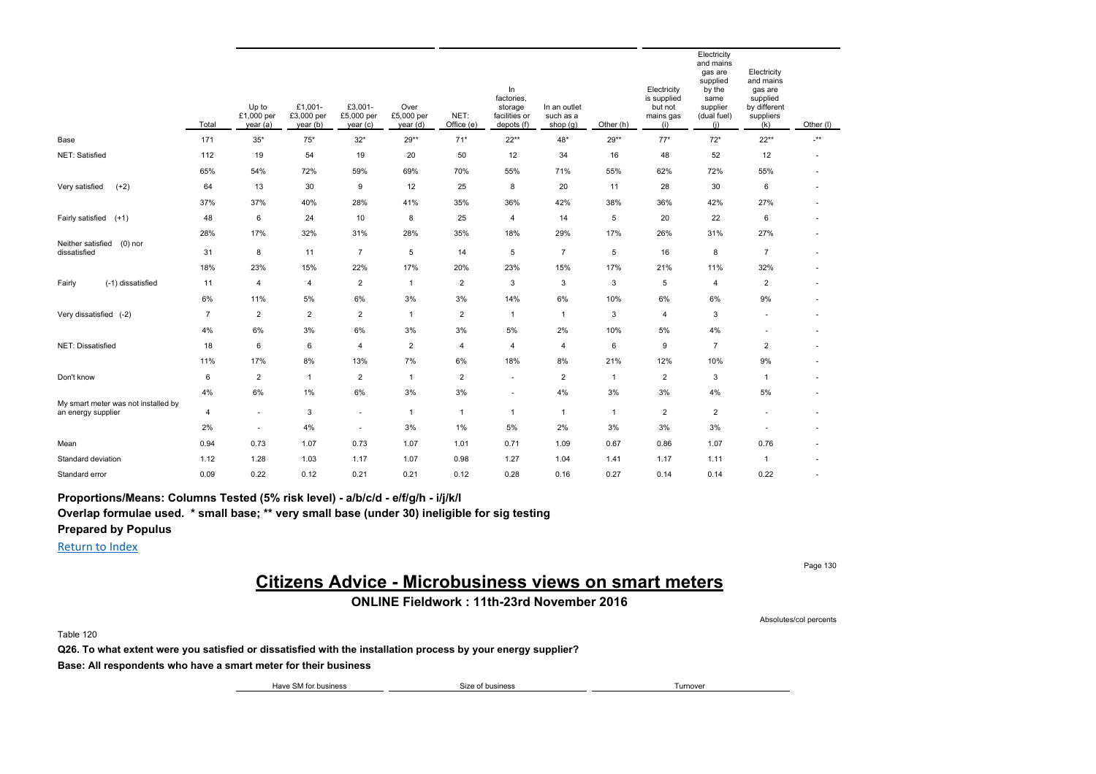|                                                           | Total          | Up to<br>£1,000 per<br>year (a) | £1,001-<br>£3,000 per<br>year (b) | £3,001-<br>£5,000 per<br>year(c) | Over<br>£5,000 per<br>year (d) | NET:<br>Office (e) | In<br>factories,<br>storage<br>facilities or<br>depots (f) | In an outlet<br>such as a<br>shop $(g)$ | Other (h)      | Electricity<br>is supplied<br>but not<br>mains gas<br>(i) | Electricity<br>and mains<br>gas are<br>supplied<br>by the<br>same<br>supplier<br>(dual fuel)<br>(i) | Electricity<br>and mains<br>gas are<br>supplied<br>by different<br>suppliers<br>(k) | Other (I)                |
|-----------------------------------------------------------|----------------|---------------------------------|-----------------------------------|----------------------------------|--------------------------------|--------------------|------------------------------------------------------------|-----------------------------------------|----------------|-----------------------------------------------------------|-----------------------------------------------------------------------------------------------------|-------------------------------------------------------------------------------------|--------------------------|
| Base                                                      | 171            | $35*$                           | $75*$                             | $32*$                            | 29**                           | $71*$              | $22**$                                                     | 48*                                     | 29**           | $77*$                                                     | $72*$                                                                                               | $22**$                                                                              | $\star\star$             |
| NET: Satisfied                                            | 112            | 19                              | 54                                | 19                               | 20                             | 50                 | 12                                                         | 34                                      | 16             | 48                                                        | 52                                                                                                  | 12                                                                                  | ٠                        |
|                                                           | 65%            | 54%                             | 72%                               | 59%                              | 69%                            | 70%                | 55%                                                        | 71%                                     | 55%            | 62%                                                       | 72%                                                                                                 | 55%                                                                                 |                          |
| $(+2)$<br>Very satisfied                                  | 64             | 13                              | 30                                | 9                                | 12                             | 25                 | 8                                                          | 20                                      | 11             | 28                                                        | 30                                                                                                  | 6                                                                                   |                          |
|                                                           | 37%            | 37%                             | 40%                               | 28%                              | 41%                            | 35%                | 36%                                                        | 42%                                     | 38%            | 36%                                                       | 42%                                                                                                 | 27%                                                                                 | $\overline{\phantom{a}}$ |
| Fairly satisfied (+1)                                     | 48             | 6                               | 24                                | 10                               | 8                              | 25                 | 4                                                          | 14                                      | 5              | 20                                                        | 22                                                                                                  | 6                                                                                   |                          |
|                                                           | 28%            | 17%                             | 32%                               | 31%                              | 28%                            | 35%                | 18%                                                        | 29%                                     | 17%            | 26%                                                       | 31%                                                                                                 | 27%                                                                                 |                          |
| Neither satisfied<br>$(0)$ nor<br>dissatisfied            | 31             | 8                               | 11                                | $\overline{7}$                   | 5                              | 14                 | 5                                                          | $\overline{7}$                          | 5              | 16                                                        | 8                                                                                                   | $\overline{7}$                                                                      | ٠                        |
|                                                           | 18%            | 23%                             | 15%                               | 22%                              | 17%                            | 20%                | 23%                                                        | 15%                                     | 17%            | 21%                                                       | 11%                                                                                                 | 32%                                                                                 |                          |
| (-1) dissatisfied<br>Fairly                               | 11             | $\overline{4}$                  | 4                                 | $\overline{2}$                   | $\mathbf{1}$                   | $\overline{2}$     | 3                                                          | 3                                       | 3              | 5                                                         | $\overline{4}$                                                                                      | $\overline{2}$                                                                      | $\overline{\phantom{a}}$ |
|                                                           | 6%             | 11%                             | 5%                                | 6%                               | 3%                             | 3%                 | 14%                                                        | 6%                                      | 10%            | 6%                                                        | 6%                                                                                                  | 9%                                                                                  |                          |
| Very dissatisfied (-2)                                    | $\overline{7}$ | $\overline{2}$                  | $\overline{2}$                    | $\overline{2}$                   | $\mathbf{1}$                   | $\overline{2}$     | $\overline{1}$                                             | $\mathbf{1}$                            | 3              | 4                                                         | 3                                                                                                   | ٠                                                                                   | ٠                        |
|                                                           | 4%             | 6%                              | 3%                                | 6%                               | 3%                             | 3%                 | 5%                                                         | 2%                                      | 10%            | 5%                                                        | 4%                                                                                                  |                                                                                     |                          |
| NET: Dissatisfied                                         | 18             | 6                               | 6                                 | $\overline{4}$                   | $\overline{c}$                 | 4                  | $\overline{4}$                                             | 4                                       | 6              | 9                                                         | $\overline{7}$                                                                                      | $\overline{2}$                                                                      |                          |
|                                                           | 11%            | 17%                             | $8\%$                             | 13%                              | 7%                             | 6%                 | 18%                                                        | 8%                                      | 21%            | 12%                                                       | 10%                                                                                                 | 9%                                                                                  |                          |
| Don't know                                                | 6              | $\overline{2}$                  | $\mathbf{1}$                      | $\overline{2}$                   | $\mathbf{1}$                   | $\overline{2}$     | $\overline{\phantom{a}}$                                   | $\overline{2}$                          | $\mathbf{1}$   | $\overline{c}$                                            | 3                                                                                                   | $\mathbf{1}$                                                                        |                          |
|                                                           | 4%             | 6%                              | 1%                                | 6%                               | 3%                             | 3%                 | $\sim$                                                     | 4%                                      | 3%             | 3%                                                        | 4%                                                                                                  | 5%                                                                                  |                          |
| My smart meter was not installed by<br>an energy supplier | 4              | $\sim$                          | 3                                 | ٠                                | $\mathbf{1}$                   | $\mathbf{1}$       | $\overline{1}$                                             | $\mathbf{1}$                            | $\overline{1}$ | $\overline{2}$                                            | $\overline{2}$                                                                                      |                                                                                     |                          |
|                                                           | 2%             | $\sim$                          | 4%                                | ٠                                | 3%                             | 1%                 | 5%                                                         | 2%                                      | 3%             | 3%                                                        | 3%                                                                                                  | ٠                                                                                   |                          |
| Mean                                                      | 0.94           | 0.73                            | 1.07                              | 0.73                             | 1.07                           | 1.01               | 0.71                                                       | 1.09                                    | 0.67           | 0.86                                                      | 1.07                                                                                                | 0.76                                                                                |                          |
| Standard deviation                                        | 1.12           | 1.28                            | 1.03                              | 1.17                             | 1.07                           | 0.98               | 1.27                                                       | 1.04                                    | 1.41           | 1.17                                                      | 1.11                                                                                                | $\mathbf{1}$                                                                        |                          |
| Standard error                                            | 0.09           | 0.22                            | 0.12                              | 0.21                             | 0.21                           | 0.12               | 0.28                                                       | 0.16                                    | 0.27           | 0.14                                                      | 0.14                                                                                                | 0.22                                                                                | ×.                       |

**Proportions/Means: Columns Tested (5% risk level) - a/b/c/d - e/f/g/h - i/j/k/l**

**Overlap formulae used. \* small base; \*\* very small base (under 30) ineligible for sig testing**

**Prepared by Populus**

Return to Index

Page 130

# **Citizens Advice - Microbusiness views on smart meters**

**ONLINE Fieldwork : 11th-23rd November 2016**

Absolutes/col percents

Table 120

**Q26. To what extent were you satisfied or dissatisfied with the installation process by your energy supplier?**

**Base: All respondents who have a smart meter for their business**

Have SM for business Turnover Size of business Size of business Turnover Turnover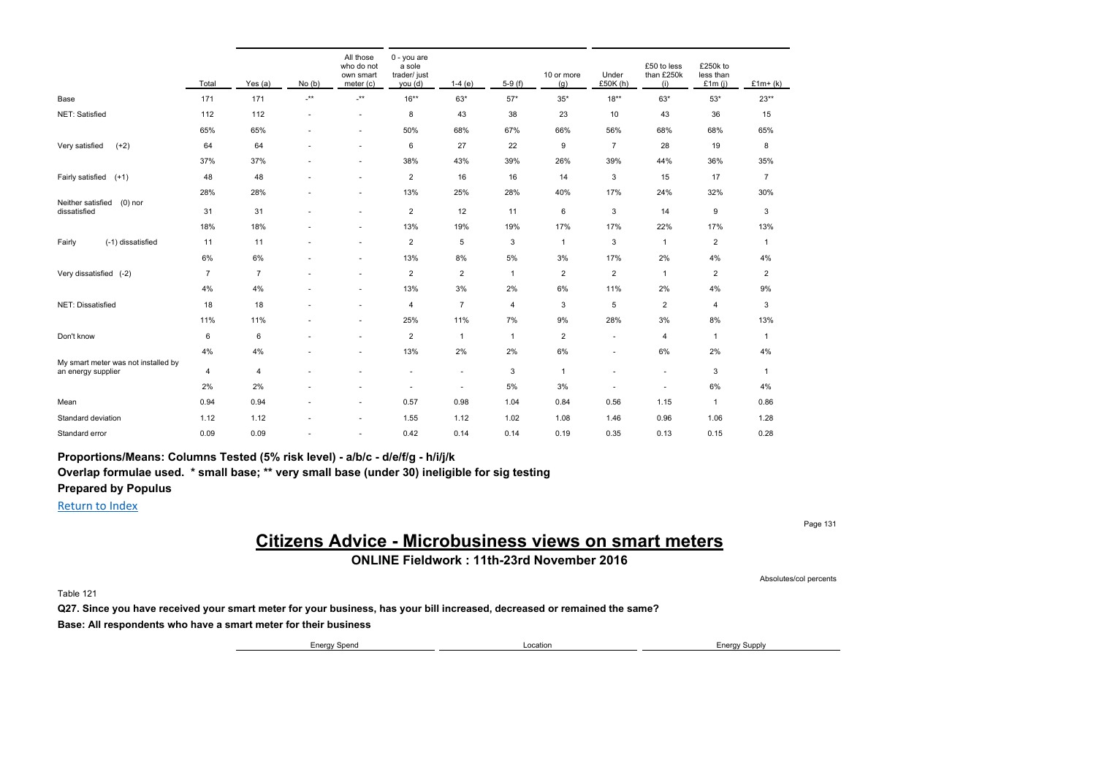|                                                           | Total          | Yes (a)        | No(b) | All those<br>who do not<br>own smart<br>meter (c) | 0 - you are<br>a sole<br>trader/ just<br>you (d) | $1-4(e)$       | $5-9(f)$       | 10 or more<br>(g) | Under<br>£50K (h)        | £50 to less<br>than £250k<br>(i) | £250k to<br>less than<br>£1 $m(i)$ | $£1m+(k)$               |
|-----------------------------------------------------------|----------------|----------------|-------|---------------------------------------------------|--------------------------------------------------|----------------|----------------|-------------------|--------------------------|----------------------------------|------------------------------------|-------------------------|
| Base                                                      | 171            | 171            | -**   | $\mathbf{H}^{\star}$                              | $16***$                                          | 63*            | $57*$          | $35*$             | $18***$                  | $63*$                            | $53*$                              | $23**$                  |
| NET: Satisfied                                            | 112            | 112            | ٠     | ٠                                                 | 8                                                | 43             | 38             | 23                | 10                       | 43                               | 36                                 | 15                      |
|                                                           | 65%            | 65%            |       | ٠                                                 | 50%                                              | 68%            | 67%            | 66%               | 56%                      | 68%                              | 68%                                | 65%                     |
| $(+2)$<br>Very satisfied                                  | 64             | 64             |       | ٠                                                 | 6                                                | 27             | 22             | 9                 | $\overline{7}$           | 28                               | 19                                 | 8                       |
|                                                           | 37%            | 37%            |       | ٠                                                 | 38%                                              | 43%            | 39%            | 26%               | 39%                      | 44%                              | 36%                                | 35%                     |
| Fairly satisfied<br>$(+1)$                                | 48             | 48             |       | ٠                                                 | $\overline{2}$                                   | 16             | 16             | 14                | 3                        | 15                               | 17                                 | $\overline{7}$          |
|                                                           | 28%            | 28%            |       | $\overline{\phantom{a}}$                          | 13%                                              | 25%            | 28%            | 40%               | 17%                      | 24%                              | 32%                                | 30%                     |
| Neither satisfied<br>$(0)$ nor<br>dissatisfied            | 31             | 31             |       | $\overline{\phantom{a}}$                          | $\overline{2}$                                   | 12             | 11             | 6                 | 3                        | 14                               | 9                                  | 3                       |
|                                                           | 18%            | 18%            |       |                                                   | 13%                                              | 19%            | 19%            | 17%               | 17%                      | 22%                              | 17%                                | 13%                     |
| Fairly<br>(-1) dissatisfied                               | 11             | 11             |       |                                                   | $\overline{2}$                                   | 5              | 3              | $\mathbf{1}$      | 3                        | $\mathbf{1}$                     | $\overline{2}$                     | $\overline{1}$          |
|                                                           | 6%             | 6%             |       |                                                   | 13%                                              | 8%             | 5%             | 3%                | 17%                      | 2%                               | 4%                                 | 4%                      |
| Very dissatisfied (-2)                                    | $\overline{7}$ | $\overline{7}$ |       |                                                   | $\overline{c}$                                   | $\overline{2}$ | $\overline{1}$ | $\overline{2}$    | $\overline{2}$           | $\mathbf{1}$                     | $\overline{2}$                     | $\overline{\mathbf{c}}$ |
|                                                           | 4%             | 4%             |       |                                                   | 13%                                              | 3%             | 2%             | 6%                | 11%                      | 2%                               | 4%                                 | 9%                      |
| NET: Dissatisfied                                         | 18             | 18             |       | ×                                                 | $\overline{4}$                                   | $\overline{7}$ | $\overline{4}$ | 3                 | 5                        | $\overline{2}$                   | 4                                  | 3                       |
|                                                           | 11%            | 11%            |       |                                                   | 25%                                              | 11%            | 7%             | 9%                | 28%                      | 3%                               | 8%                                 | 13%                     |
| Don't know                                                | 6              | 6              |       | $\overline{\phantom{a}}$                          | $\overline{2}$                                   | $\mathbf{1}$   | $\overline{1}$ | $\overline{2}$    | $\sim$                   | 4                                | $\mathbf{1}$                       | $\mathbf{1}$            |
|                                                           | 4%             | 4%             |       | $\overline{\phantom{a}}$                          | 13%                                              | 2%             | 2%             | 6%                |                          | 6%                               | 2%                                 | 4%                      |
| My smart meter was not installed by<br>an energy supplier | 4              | 4              |       |                                                   | ٠                                                | $\sim$         | 3              | -1                |                          | ٠                                | 3                                  | $\mathbf{1}$            |
|                                                           | 2%             | 2%             |       |                                                   | ٠                                                | $\sim$         | 5%             | 3%                | $\overline{\phantom{a}}$ | ٠                                | 6%                                 | 4%                      |
| Mean                                                      | 0.94           | 0.94           |       | ٠                                                 | 0.57                                             | 0.98           | 1.04           | 0.84              | 0.56                     | 1.15                             | $\mathbf{1}$                       | 0.86                    |
| Standard deviation                                        | 1.12           | 1.12           |       | ٠                                                 | 1.55                                             | 1.12           | 1.02           | 1.08              | 1.46                     | 0.96                             | 1.06                               | 1.28                    |
| Standard error                                            | 0.09           | 0.09           |       | ٠                                                 | 0.42                                             | 0.14           | 0.14           | 0.19              | 0.35                     | 0.13                             | 0.15                               | 0.28                    |

**Proportions/Means: Columns Tested (5% risk level) - a/b/c - d/e/f/g - h/i/j/k**

**Overlap formulae used. \* small base; \*\* very small base (under 30) ineligible for sig testing**

### **Prepared by Populus**

Return to Index

## **Citizens Advice - Microbusiness views on smart meters**

**ONLINE Fieldwork : 11th-23rd November 2016**

Table 121

**Q27. Since you have received your smart meter for your business, has your bill increased, decreased or remained the same? Base: All respondents who have a smart meter for their business**

Energy Spend Location Energy Supply

Page 131

Absolutes/col percents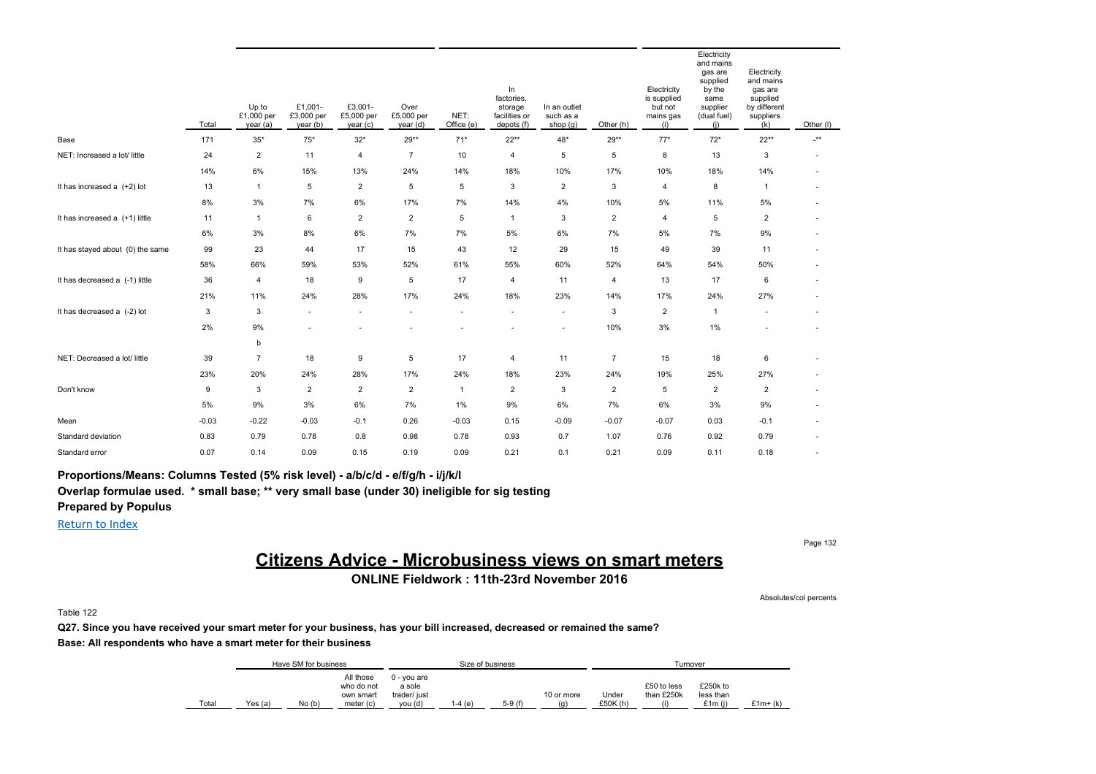|                                  | Total   | Up to<br>£1,000 per<br>year (a) | £1,001-<br>£3,000 per<br>year (b) | £3,001-<br>£5,000 per<br>year (c) | Over<br>£5,000 per<br>year (d) | NET:<br>Office (e) | In<br>factories,<br>storage<br>facilities or<br>depots (f) | In an outlet<br>such as a<br>shop $(g)$ | Other (h)      | Electricity<br>is supplied<br>but not<br>mains gas<br>(i) | Electricity<br>and mains<br>gas are<br>supplied<br>by the<br>same<br>supplier<br>(dual fuel)<br>(i) | Electricity<br>and mains<br>gas are<br>supplied<br>by different<br>suppliers<br>(k) | Other (I)                |
|----------------------------------|---------|---------------------------------|-----------------------------------|-----------------------------------|--------------------------------|--------------------|------------------------------------------------------------|-----------------------------------------|----------------|-----------------------------------------------------------|-----------------------------------------------------------------------------------------------------|-------------------------------------------------------------------------------------|--------------------------|
| Base                             | 171     | $35*$                           | $75*$                             | $32*$                             | 29**                           | $71*$              | $22**$                                                     | 48*                                     | 29**           | $77*$                                                     | $72*$                                                                                               | $22**$                                                                              | $\cdot^{\star\star}$     |
| NET: Increased a lot/ little     | 24      | $\overline{2}$                  | 11                                | 4                                 | $\overline{7}$                 | 10                 | 4                                                          | 5                                       | 5              | 8                                                         | 13                                                                                                  | 3                                                                                   |                          |
|                                  | 14%     | 6%                              | 15%                               | 13%                               | 24%                            | 14%                | 18%                                                        | 10%                                     | 17%            | 10%                                                       | 18%                                                                                                 | 14%                                                                                 |                          |
| It has increased a $(+2)$ lot    | 13      | $\overline{1}$                  | 5                                 | $\overline{2}$                    | 5                              | 5                  | 3                                                          | $\overline{2}$                          | 3              | 4                                                         | 8                                                                                                   | $\mathbf{1}$                                                                        | ٠                        |
|                                  | 8%      | 3%                              | 7%                                | 6%                                | 17%                            | 7%                 | 14%                                                        | 4%                                      | 10%            | 5%                                                        | 11%                                                                                                 | 5%                                                                                  |                          |
| It has increased a (+1) little   | 11      | $\overline{1}$                  | 6                                 | $\overline{2}$                    | $\overline{2}$                 | 5                  | $\overline{1}$                                             | 3                                       | $\overline{2}$ | 4                                                         | 5                                                                                                   | $\overline{2}$                                                                      |                          |
|                                  | 6%      | 3%                              | 8%                                | 6%                                | 7%                             | 7%                 | 5%                                                         | 6%                                      | 7%             | 5%                                                        | 7%                                                                                                  | 9%                                                                                  |                          |
| It has stayed about (0) the same | 99      | 23                              | 44                                | 17                                | 15                             | 43                 | 12                                                         | 29                                      | 15             | 49                                                        | 39                                                                                                  | 11                                                                                  | ٠                        |
|                                  | 58%     | 66%                             | 59%                               | 53%                               | 52%                            | 61%                | 55%                                                        | 60%                                     | 52%            | 64%                                                       | 54%                                                                                                 | 50%                                                                                 |                          |
| It has decreased a (-1) little   | 36      | $\overline{4}$                  | 18                                | 9                                 | 5                              | 17                 | 4                                                          | 11                                      | $\overline{4}$ | 13                                                        | 17                                                                                                  | 6                                                                                   | $\overline{\phantom{a}}$ |
|                                  | 21%     | 11%                             | 24%                               | 28%                               | 17%                            | 24%                | 18%                                                        | 23%                                     | 14%            | 17%                                                       | 24%                                                                                                 | 27%                                                                                 | $\overline{\phantom{a}}$ |
| It has decreased a (-2) lot      | 3       | 3                               | $\sim$                            |                                   |                                |                    |                                                            | $\overline{\phantom{a}}$                | 3              | $\overline{\mathbf{c}}$                                   | $\mathbf{1}$                                                                                        |                                                                                     | ٠                        |
|                                  | 2%      | 9%                              |                                   |                                   |                                |                    |                                                            | ٠                                       | 10%            | 3%                                                        | 1%                                                                                                  |                                                                                     |                          |
|                                  |         | b                               |                                   |                                   |                                |                    |                                                            |                                         |                |                                                           |                                                                                                     |                                                                                     |                          |
| NET: Decreased a lot/ little     | 39      | $\overline{7}$                  | 18                                | 9                                 | 5                              | 17                 | 4                                                          | 11                                      | $\overline{7}$ | 15                                                        | 18                                                                                                  | 6                                                                                   |                          |
|                                  | 23%     | 20%                             | 24%                               | 28%                               | 17%                            | 24%                | 18%                                                        | 23%                                     | 24%            | 19%                                                       | 25%                                                                                                 | 27%                                                                                 |                          |
| Don't know                       | 9       | 3                               | $\overline{\mathbf{c}}$           | $\overline{2}$                    | $\overline{2}$                 | $\mathbf{1}$       | $\overline{c}$                                             | 3                                       | $\overline{2}$ | 5                                                         | $\overline{2}$                                                                                      | $\overline{2}$                                                                      |                          |
|                                  | 5%      | 9%                              | 3%                                | 6%                                | 7%                             | 1%                 | 9%                                                         | 6%                                      | 7%             | 6%                                                        | 3%                                                                                                  | 9%                                                                                  |                          |
| Mean                             | $-0.03$ | $-0.22$                         | $-0.03$                           | $-0.1$                            | 0.26                           | $-0.03$            | 0.15                                                       | $-0.09$                                 | $-0.07$        | $-0.07$                                                   | 0.03                                                                                                | $-0.1$                                                                              | ٠                        |
| Standard deviation               | 0.83    | 0.79                            | 0.78                              | 0.8                               | 0.98                           | 0.78               | 0.93                                                       | 0.7                                     | 1.07           | 0.76                                                      | 0.92                                                                                                | 0.79                                                                                |                          |
| Standard error                   | 0.07    | 0.14                            | 0.09                              | 0.15                              | 0.19                           | 0.09               | 0.21                                                       | 0.1                                     | 0.21           | 0.09                                                      | 0.11                                                                                                | 0.18                                                                                |                          |

**Proportions/Means: Columns Tested (5% risk level) - a/b/c/d - e/f/g/h - i/j/k/l Overlap formulae used. \* small base; \*\* very small base (under 30) ineligible for sig testing**

**Prepared by Populus**

Return to Index

Page 132

# **Citizens Advice - Microbusiness views on smart meters**

**ONLINE Fieldwork : 11th-23rd November 2016**

Absolutes/col percents

Table 122

**Q27. Since you have received your smart meter for your business, has your bill increased, decreased or remained the same? Base: All respondents who have a smart meter for their business**

|       |         | Have SM for business |                                                     |                                                  | Size of business |          |                                 |                  |                           | Turnover                           |           |
|-------|---------|----------------------|-----------------------------------------------------|--------------------------------------------------|------------------|----------|---------------------------------|------------------|---------------------------|------------------------------------|-----------|
| Total | Yes (a) | No(b)                | All those<br>who do not<br>own smart<br>meter $(c)$ | 0 - vou are<br>a sole<br>trader/ just<br>vou (d) | 1-4 (e)          | $5-9(f)$ | 10 or more<br>$\left( q\right)$ | Under<br>£50K(h) | £50 to less<br>than £250k | £250k to<br>less than<br>£1 $m(i)$ | $£1m+(k)$ |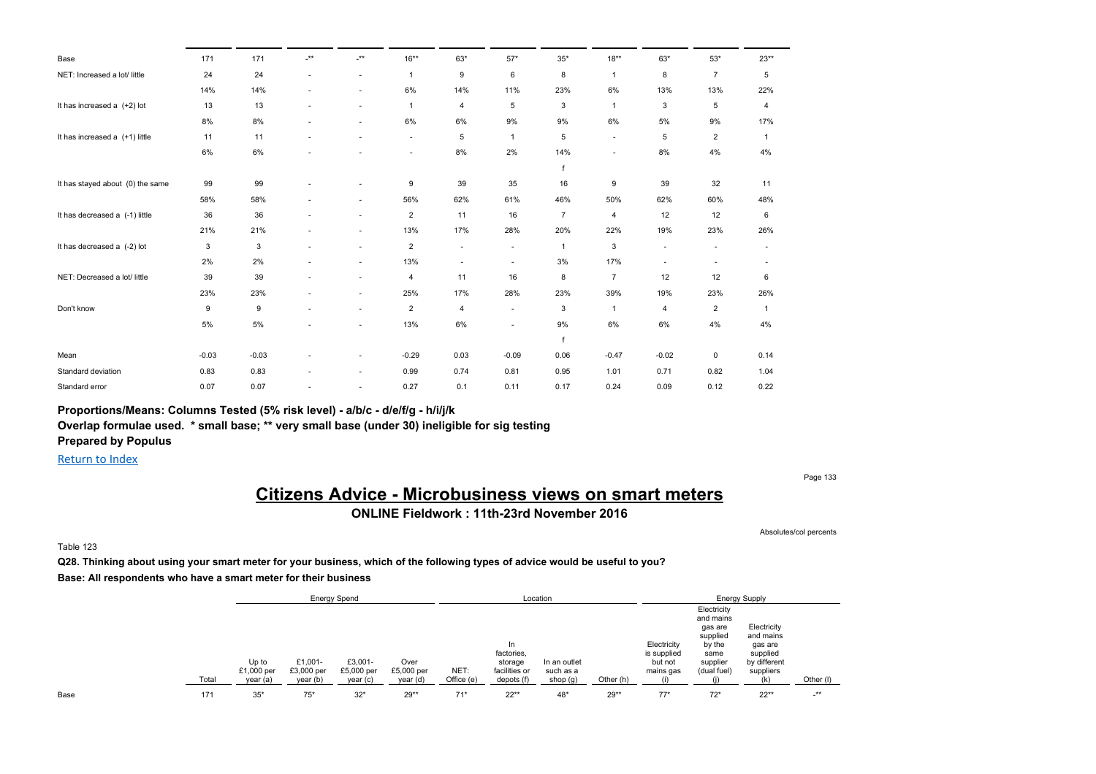| Base                             | 171     | 171     | $^{\star\star}$ | $-***$ | $16***$        | $63*$            | $57*$   | $35*$          | $18***$                  | 63*                      | $53^{\star}$             | $23**$         |
|----------------------------------|---------|---------|-----------------|--------|----------------|------------------|---------|----------------|--------------------------|--------------------------|--------------------------|----------------|
| NET: Increased a lot/ little     | 24      | 24      | ٠               | $\sim$ | $\mathbf{1}$   | $\boldsymbol{9}$ | 6       | 8              | $\mathbf{1}$             | 8                        | $\overline{7}$           | 5              |
|                                  | 14%     | 14%     | ٠               | $\sim$ | 6%             | 14%              | 11%     | 23%            | 6%                       | 13%                      | 13%                      | 22%            |
| It has increased a (+2) lot      | 13      | 13      | ٠               | $\sim$ | $\overline{1}$ | $\overline{4}$   | 5       | 3              | $\mathbf{1}$             | 3                        | 5                        | 4              |
|                                  | 8%      | 8%      |                 |        | 6%             | 6%               | 9%      | 9%             | 6%                       | 5%                       | 9%                       | 17%            |
| It has increased a (+1) little   | 11      | 11      | ٠               |        | $\sim$         | 5                | -1      | 5              | $\overline{\phantom{a}}$ | 5                        | $\overline{2}$           | 1              |
|                                  | 6%      | 6%      |                 |        | ٠              | 8%               | 2%      | 14%            | $\blacksquare$           | 8%                       | 4%                       | 4%             |
|                                  |         |         |                 |        |                |                  |         | $\mathsf{f}$   |                          |                          |                          |                |
| It has stayed about (0) the same | 99      | 99      |                 |        | 9              | 39               | 35      | 16             | 9                        | 39                       | 32                       | 11             |
|                                  | 58%     | 58%     |                 |        | 56%            | 62%              | 61%     | 46%            | 50%                      | 62%                      | 60%                      | 48%            |
| It has decreased a (-1) little   | 36      | 36      | ٠               | $\sim$ | $\overline{c}$ | 11               | 16      | $\overline{7}$ | 4                        | 12                       | 12                       | 6              |
|                                  | 21%     | 21%     |                 | ۰.     | 13%            | 17%              | 28%     | 20%            | 22%                      | 19%                      | 23%                      | 26%            |
| It has decreased a (-2) lot      | 3       | 3       | ٠               | ٠      | $\overline{c}$ | ٠                | ٠       | 1              | 3                        | $\overline{\phantom{a}}$ | $\overline{\phantom{a}}$ |                |
|                                  | 2%      | 2%      |                 | $\sim$ | 13%            | ٠                | ٠       | 3%             | 17%                      | $\overline{\phantom{a}}$ | ٠                        |                |
| NET: Decreased a lot/ little     | 39      | 39      | ٠               | ٠      | 4              | 11               | 16      | 8              | $\overline{7}$           | 12                       | 12                       | 6              |
|                                  | 23%     | 23%     | ٠               | $\sim$ | 25%            | 17%              | 28%     | 23%            | 39%                      | 19%                      | 23%                      | 26%            |
| Don't know                       | 9       | 9       | ٠               | $\sim$ | $\overline{c}$ | $\overline{4}$   | $\sim$  | 3              | $\mathbf{1}$             | 4                        | $\overline{2}$           | $\overline{1}$ |
|                                  | 5%      | 5%      |                 |        | 13%            | 6%               | ٠       | 9%             | 6%                       | 6%                       | 4%                       | 4%             |
|                                  |         |         |                 |        |                |                  |         | f              |                          |                          |                          |                |
| Mean                             | $-0.03$ | $-0.03$ |                 |        | $-0.29$        | 0.03             | $-0.09$ | 0.06           | $-0.47$                  | $-0.02$                  | $\mathbf 0$              | 0.14           |
| Standard deviation               | 0.83    | 0.83    | ٠               | $\sim$ | 0.99           | 0.74             | 0.81    | 0.95           | 1.01                     | 0.71                     | 0.82                     | 1.04           |
| Standard error                   | 0.07    | 0.07    |                 |        | 0.27           | 0.1              | 0.11    | 0.17           | 0.24                     | 0.09                     | 0.12                     | 0.22           |

### **Proportions/Means: Columns Tested (5% risk level) - a/b/c - d/e/f/g - h/i/j/k**

**Overlap formulae used. \* small base; \*\* very small base (under 30) ineligible for sig testing Prepared by Populus**

Return to Index

Page 133

# **Citizens Advice - Microbusiness views on smart meters**

**ONLINE Fieldwork : 11th-23rd November 2016**

Absolutes/col percents

Table 123

**Q28. Thinking about using your smart meter for your business, which of the following types of advice would be useful to you? Base: All respondents who have a smart meter for their business**

|      |       |                                |                                   | <b>Energy Spend</b>               |                                |                    |                                                            | Location                              |           |                                                    |                                                                                              | <b>Energy Supply</b>                                                         |            |  |
|------|-------|--------------------------------|-----------------------------------|-----------------------------------|--------------------------------|--------------------|------------------------------------------------------------|---------------------------------------|-----------|----------------------------------------------------|----------------------------------------------------------------------------------------------|------------------------------------------------------------------------------|------------|--|
|      | Total | Up to<br>£1,000 per<br>year(a) | £1.001-<br>£3,000 per<br>year (b) | £3.001-<br>£5,000 per<br>year (c) | Over<br>£5,000 per<br>year (d) | NET:<br>Office (e) | In<br>factories,<br>storage<br>facilities or<br>depots (f) | In an outlet<br>such as a<br>shop (g) | Other (h) | Electricity<br>is supplied<br>but not<br>mains gas | Electricity<br>and mains<br>gas are<br>supplied<br>by the<br>same<br>supplier<br>(dual fuel) | Electricity<br>and mains<br>gas are<br>supplied<br>by different<br>suppliers | Other (I)  |  |
| Base | 171   | $35*$                          | $75*$                             | $32*$                             | $29**$                         | $71*$              | $22**$                                                     | 48*                                   | $29**$    | $77*$                                              | $72*$                                                                                        | $22**$                                                                       | $\cdot$ ** |  |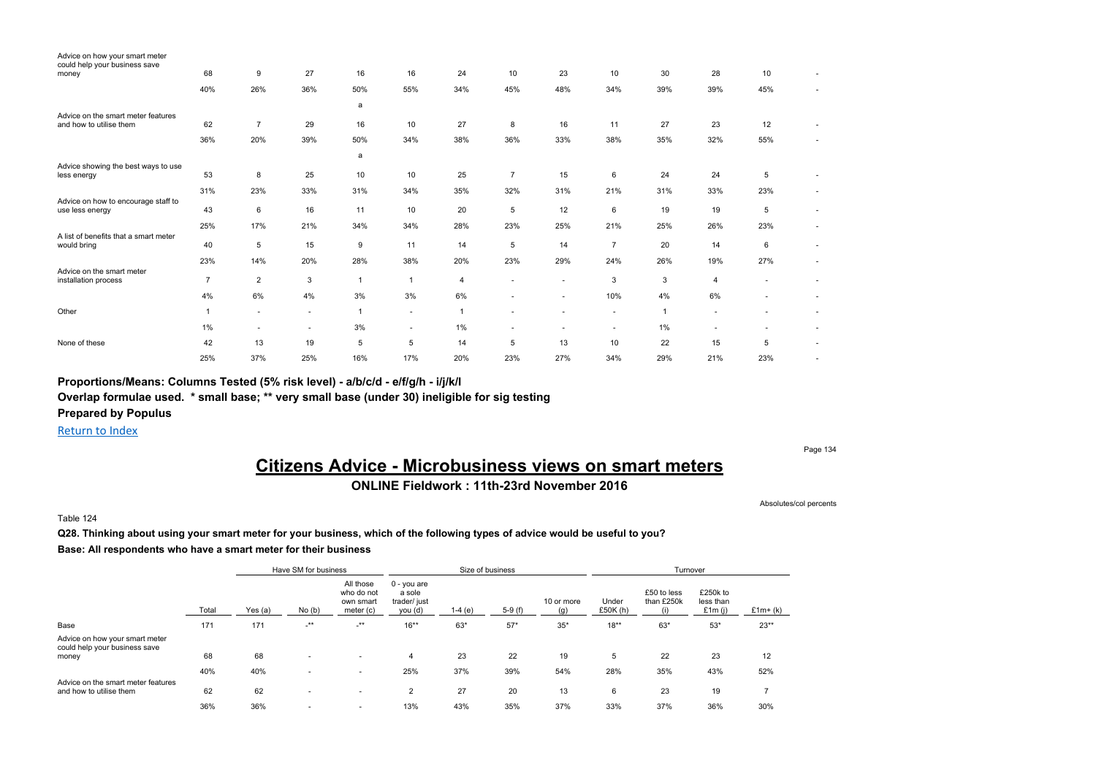| Advice on how your smart meter<br>could help your business save |                |                |        |     |                |                |                          |                |                |       |                |                          |    |
|-----------------------------------------------------------------|----------------|----------------|--------|-----|----------------|----------------|--------------------------|----------------|----------------|-------|----------------|--------------------------|----|
| money                                                           | 68             | 9              | 27     | 16  | 16             | 24             | 10                       | 23             | 10             | 30    | 28             | 10                       |    |
|                                                                 | 40%            | 26%            | 36%    | 50% | 55%            | 34%            | 45%                      | 48%            | 34%            | 39%   | 39%            | 45%                      | ×, |
|                                                                 |                |                |        | a   |                |                |                          |                |                |       |                |                          |    |
| Advice on the smart meter features<br>and how to utilise them   | 62             | $\overline{7}$ | 29     | 16  | 10             | 27             | 8                        | 16             | 11             | 27    | 23             | 12                       | ×, |
|                                                                 | 36%            | 20%            | 39%    | 50% | 34%            | 38%            | 36%                      | 33%            | 38%            | 35%   | 32%            | 55%                      |    |
|                                                                 |                |                |        | a   |                |                |                          |                |                |       |                |                          |    |
| Advice showing the best ways to use<br>less energy              | 53             | 8              | 25     | 10  | 10             | 25             | $\overline{7}$           | 15             | 6              | 24    | 24             | 5                        |    |
|                                                                 | 31%            | 23%            | 33%    | 31% | 34%            | 35%            | 32%                      | 31%            | 21%            | 31%   | 33%            | 23%                      | ٠  |
| Advice on how to encourage staff to<br>use less energy          | 43             | 6              | 16     | 11  | 10             | 20             | 5                        | 12             | 6              | 19    | 19             | 5                        | ×, |
|                                                                 | 25%            | 17%            | 21%    | 34% | 34%            | 28%            | 23%                      | 25%            | 21%            | 25%   | 26%            | 23%                      | ٠  |
| A list of benefits that a smart meter<br>would bring            | 40             | 5              | 15     | 9   | 11             | 14             | 5                        | 14             | $\overline{7}$ | 20    | 14             | 6                        | ×, |
|                                                                 | 23%            | 14%            | 20%    | 28% | 38%            | 20%            | 23%                      | 29%            | 24%            | 26%   | 19%            | 27%                      | ٠  |
| Advice on the smart meter<br>installation process               | $\overline{7}$ | $\overline{2}$ | 3      |     | $\overline{1}$ | $\overline{4}$ | $\sim$                   | $\sim$         | 3              | 3     | $\overline{4}$ | $\overline{\phantom{a}}$ | ×, |
|                                                                 | 4%             | 6%             | 4%     | 3%  | 3%             | 6%             | $\sim$                   | $\blacksquare$ | 10%            | 4%    | 6%             | ٠                        |    |
| Other                                                           |                | $\sim$         | $\sim$ |     | $\sim$         | 1              | $\overline{\phantom{a}}$ | $\sim$         | $\sim$         |       | $\sim$         | $\overline{\phantom{a}}$ |    |
|                                                                 | $1\%$          | ٠              | ٠      | 3%  | $\sim$         | 1%             | ٠                        | $\blacksquare$ | ٠              | $1\%$ | $\blacksquare$ | ٠                        | ٠  |
| None of these                                                   | 42             | 13             | 19     | 5   | 5              | 14             | 5                        | 13             | 10             | 22    | 15             | 5                        | ٠  |
|                                                                 | 25%            | 37%            | 25%    | 16% | 17%            | 20%            | 23%                      | 27%            | 34%            | 29%   | 21%            | 23%                      | ٠  |

**Proportions/Means: Columns Tested (5% risk level) - a/b/c/d - e/f/g/h - i/j/k/l**

**Overlap formulae used. \* small base; \*\* very small base (under 30) ineligible for sig testing**

**Prepared by Populus**

Return to Index

Page 134

# **Citizens Advice - Microbusiness views on smart meters ONLINE Fieldwork : 11th-23rd November 2016**

Absolutes/col percents

Table 124

**Q28. Thinking about using your smart meter for your business, which of the following types of advice would be useful to you? Base: All respondents who have a smart meter for their business**

|                                                                          |       |         | Have SM for business     |                                                   |                                                    | Size of business |          |                   |                   | Turnover                  |                                    |           |
|--------------------------------------------------------------------------|-------|---------|--------------------------|---------------------------------------------------|----------------------------------------------------|------------------|----------|-------------------|-------------------|---------------------------|------------------------------------|-----------|
|                                                                          | Total | Yes (a) | No(b)                    | All those<br>who do not<br>own smart<br>meter (c) | $0 - you$ are<br>a sole<br>trader/ just<br>you (d) | $1-4(e)$         | $5-9(f)$ | 10 or more<br>(a) | Under<br>£50K (h) | £50 to less<br>than £250k | £250k to<br>less than<br>£1 $m(i)$ | $£1m+(k)$ |
| Base                                                                     | 171   | 171     | $-***$                   | $-***$                                            | $16***$                                            | 63*              | $57*$    | $35*$             | $18***$           | $63*$                     | $53*$                              | $23**$    |
| Advice on how your smart meter<br>could help your business save<br>money | 68    | 68      |                          | $\overline{\phantom{a}}$                          | 4                                                  | 23               | 22       | 19                | 5                 | 22                        | 23                                 | 12        |
|                                                                          | 40%   | 40%     |                          | $\sim$                                            | 25%                                                | 37%              | 39%      | 54%               | 28%               | 35%                       | 43%                                | 52%       |
| Advice on the smart meter features<br>and how to utilise them            | 62    | 62      | $\overline{\phantom{a}}$ | $\overline{\phantom{a}}$                          | $\overline{2}$                                     | 27               | 20       | 13                | 6                 | 23                        | 19                                 |           |
|                                                                          | 36%   | 36%     |                          | ٠                                                 | 13%                                                | 43%              | 35%      | 37%               | 33%               | 37%                       | 36%                                | 30%       |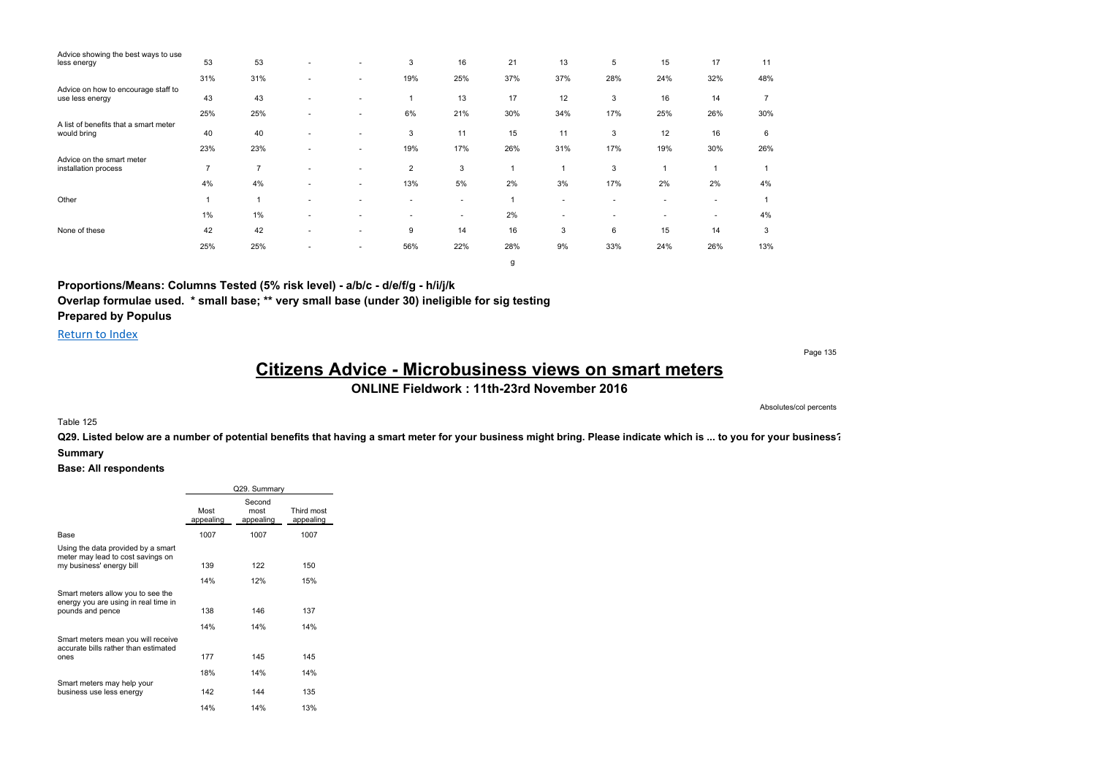| Advice showing the best ways to use                    |                |                |                          |                          |                          |        |     |                |        |                |                          |                |
|--------------------------------------------------------|----------------|----------------|--------------------------|--------------------------|--------------------------|--------|-----|----------------|--------|----------------|--------------------------|----------------|
| less energy                                            | 53             | 53             | ٠                        | $\sim$                   | 3                        | 16     | 21  | 13             | 5      | 15             | 17                       | 11             |
|                                                        | 31%            | 31%            | ۰                        | ۰                        | 19%                      | 25%    | 37% | 37%            | 28%    | 24%            | 32%                      | 48%            |
| Advice on how to encourage staff to<br>use less energy | 43             | 43             | ٠                        | ٠                        |                          | 13     | 17  | 12             | 3      | 16             | 14                       | $\overline{7}$ |
|                                                        | 25%            | 25%            | ۰                        | ٠                        | 6%                       | 21%    | 30% | 34%            | 17%    | 25%            | 26%                      | 30%            |
| A list of benefits that a smart meter<br>would bring   | 40             | 40             | ۰                        | $\overline{\phantom{a}}$ | 3                        | 11     | 15  | 11             | 3      | 12             | 16                       | 6              |
|                                                        | 23%            | 23%            | ۰                        | ٠                        | 19%                      | 17%    | 26% | 31%            | 17%    | 19%            | 30%                      | 26%            |
| Advice on the smart meter<br>installation process      | $\overline{7}$ | $\overline{7}$ | ۰                        | ۰                        | $\overline{2}$           | 3      |     | $\overline{ }$ | 3      | 1              | ×                        |                |
|                                                        | 4%             | 4%             | ۰                        | $\overline{\phantom{a}}$ | 13%                      | 5%     | 2%  | 3%             | 17%    | 2%             | 2%                       | 4%             |
| Other                                                  |                |                | ۰                        | ۰                        | $\sim$                   | ٠      |     | $\sim$         | $\sim$ | $\overline{a}$ | $\overline{\phantom{a}}$ |                |
|                                                        | 1%             | 1%             | ۰                        | ۰                        | $\overline{\phantom{a}}$ | $\sim$ | 2%  | $\sim$         | $\sim$ | $\sim$         | $\sim$                   | 4%             |
| None of these                                          | 42             | 42             | $\overline{\phantom{a}}$ | ٠                        | 9                        | 14     | 16  | 3              | 6      | 15             | 14                       | 3              |
|                                                        | 25%            | 25%            | ۰                        | ٠                        | 56%                      | 22%    | 28% | 9%             | 33%    | 24%            | 26%                      | 13%            |
|                                                        |                |                |                          |                          |                          |        | g   |                |        |                |                          |                |

**Proportions/Means: Columns Tested (5% risk level) - a/b/c - d/e/f/g - h/i/j/k Overlap formulae used. \* small base; \*\* very small base (under 30) ineligible for sig testing**

**Prepared by Populus**

Return to Index

Page 135

# **Citizens Advice - Microbusiness views on smart meters**

**ONLINE Fieldwork : 11th-23rd November 2016**

#### Absolutes/col percents

#### Table 125

**Q29. Listed below are a number of potential benefits that having a smart meter for your business might bring. Please indicate which is ... to you for your business? Summary**

|                                                                            | Q29. Summary<br>Second<br>Third most<br>most |           |           |  |  |  |  |  |  |  |  |
|----------------------------------------------------------------------------|----------------------------------------------|-----------|-----------|--|--|--|--|--|--|--|--|
|                                                                            | Most<br>appealing                            | appealing | appealing |  |  |  |  |  |  |  |  |
| Base                                                                       | 1007                                         | 1007      | 1007      |  |  |  |  |  |  |  |  |
| Using the data provided by a smart<br>meter may lead to cost savings on    |                                              |           |           |  |  |  |  |  |  |  |  |
| my business' energy bill                                                   | 139                                          | 122       | 150       |  |  |  |  |  |  |  |  |
|                                                                            | 14%                                          | 12%       | 15%       |  |  |  |  |  |  |  |  |
| Smart meters allow you to see the<br>energy you are using in real time in  |                                              |           |           |  |  |  |  |  |  |  |  |
| pounds and pence                                                           | 138                                          | 146       | 137       |  |  |  |  |  |  |  |  |
|                                                                            | 14%                                          | 14%       | 14%       |  |  |  |  |  |  |  |  |
| Smart meters mean you will receive<br>accurate bills rather than estimated |                                              |           |           |  |  |  |  |  |  |  |  |
| ones                                                                       | 177                                          | 145       | 145       |  |  |  |  |  |  |  |  |
|                                                                            | 18%                                          | 14%       | 14%       |  |  |  |  |  |  |  |  |
| Smart meters may help your<br>business use less energy                     | 142                                          | 144       | 135       |  |  |  |  |  |  |  |  |
|                                                                            | 14%                                          | 14%       | 13%       |  |  |  |  |  |  |  |  |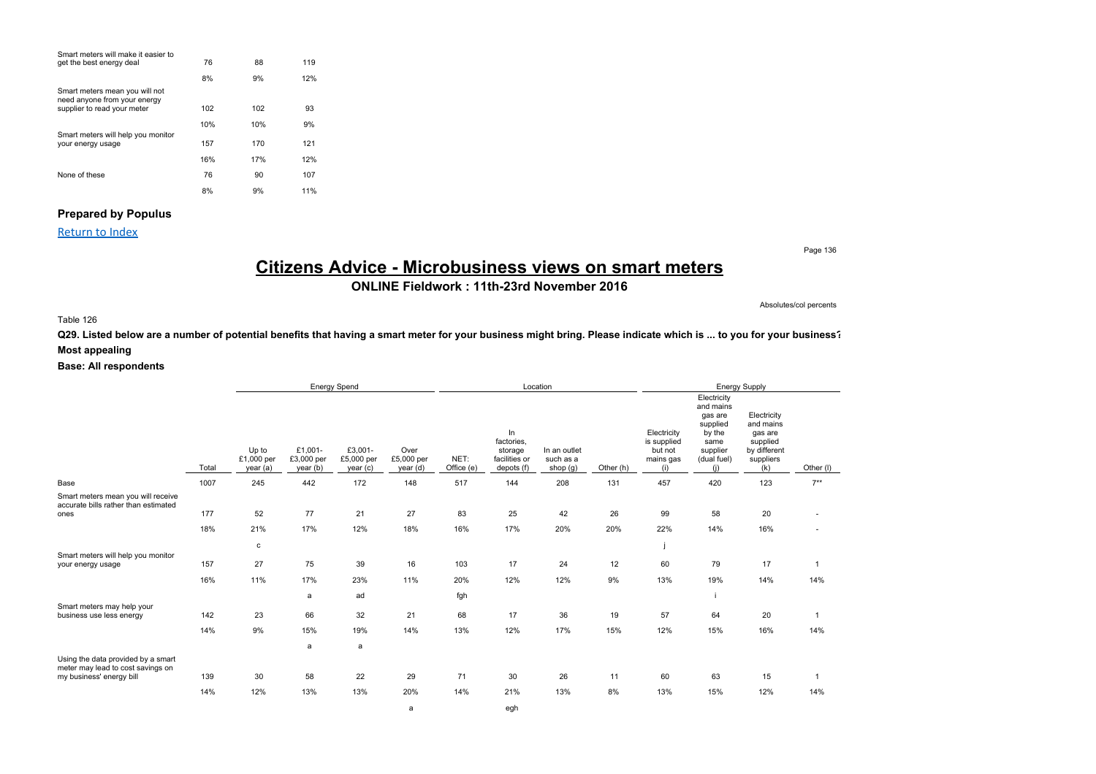| Smart meters will make it easier to                            |     |     |     |
|----------------------------------------------------------------|-----|-----|-----|
| get the best energy deal                                       | 76  | 88  | 119 |
|                                                                | 8%  | 9%  | 12% |
| Smart meters mean you will not<br>need anyone from your energy |     |     |     |
| supplier to read your meter                                    | 102 | 102 | 93  |
|                                                                | 10% | 10% | 9%  |
| Smart meters will help you monitor                             |     |     |     |
| your energy usage                                              | 157 | 170 | 121 |
|                                                                | 16% | 17% | 12% |
| None of these                                                  | 76  | 90  | 107 |
|                                                                | 8%  | 9%  | 11% |

### **Prepared by Populus**

Return to Index

Page 136

# **Citizens Advice - Microbusiness views on smart meters**

**ONLINE Fieldwork : 11th-23rd November 2016**

Absolutes/col percents

### Table 126

**Q29. Listed below are a number of potential benefits that having a smart meter for your business might bring. Please indicate which is ... to you for your business? Most appealing**

|                                                                                                     |            | Energy Spend                   |                                  |                                  |                                |                    |                                                            | Location                              |           |                                                           |                                                                                                     | Energy Supply                                                                       |                     |
|-----------------------------------------------------------------------------------------------------|------------|--------------------------------|----------------------------------|----------------------------------|--------------------------------|--------------------|------------------------------------------------------------|---------------------------------------|-----------|-----------------------------------------------------------|-----------------------------------------------------------------------------------------------------|-------------------------------------------------------------------------------------|---------------------|
|                                                                                                     | Total      | Up to<br>£1,000 per<br>year(a) | £1,001-<br>£3,000 per<br>year(b) | £3,001-<br>£5,000 per<br>year(c) | Over<br>£5,000 per<br>year (d) | NET:<br>Office (e) | In<br>factories.<br>storage<br>facilities or<br>depots (f) | In an outlet<br>such as a<br>shop (g) | Other (h) | Electricity<br>is supplied<br>but not<br>mains gas<br>(i) | Electricity<br>and mains<br>gas are<br>supplied<br>by the<br>same<br>supplier<br>(dual fuel)<br>(i) | Electricity<br>and mains<br>gas are<br>supplied<br>by different<br>suppliers<br>(k) | Other (I)           |
| Base                                                                                                | 1007       | 245                            | 442                              | 172                              | 148                            | 517                | 144                                                        | 208                                   | 131       | 457                                                       | 420                                                                                                 | 123                                                                                 | $7**$               |
| Smart meters mean you will receive<br>accurate bills rather than estimated<br>ones                  | 177<br>18% | 52<br>21%                      | 77<br>17%                        | 21<br>12%                        | 27<br>18%                      | 83<br>16%          | 25<br>17%                                                  | 42<br>20%                             | 26<br>20% | 99<br>22%                                                 | 58<br>14%                                                                                           | 20<br>16%                                                                           |                     |
| Smart meters will help you monitor                                                                  |            | с                              |                                  |                                  |                                |                    |                                                            |                                       |           |                                                           |                                                                                                     |                                                                                     |                     |
| your energy usage                                                                                   | 157        | 27                             | 75                               | 39                               | 16                             | 103                | 17                                                         | 24                                    | 12        | 60                                                        | 79                                                                                                  | 17                                                                                  | $\mathbf{1}$        |
|                                                                                                     | 16%        | 11%                            | 17%                              | 23%                              | 11%                            | 20%                | 12%                                                        | 12%                                   | 9%        | 13%                                                       | 19%                                                                                                 | 14%                                                                                 | 14%                 |
|                                                                                                     |            |                                | a                                | ad                               |                                | fgh                |                                                            |                                       |           |                                                           |                                                                                                     |                                                                                     |                     |
| Smart meters may help your<br>business use less energy                                              | 142        | 23                             | 66                               | 32                               | 21                             | 68                 | 17                                                         | 36                                    | 19        | 57                                                        | 64                                                                                                  | 20                                                                                  | $\mathbf{1}$        |
|                                                                                                     | 14%        | 9%                             | 15%                              | 19%                              | 14%                            | 13%                | 12%                                                        | 17%                                   | 15%       | 12%                                                       | 15%                                                                                                 | 16%                                                                                 | 14%                 |
|                                                                                                     |            |                                | a                                | a                                |                                |                    |                                                            |                                       |           |                                                           |                                                                                                     |                                                                                     |                     |
| Using the data provided by a smart<br>meter may lead to cost savings on<br>my business' energy bill | 139<br>14% | 30<br>12%                      | 58<br>13%                        | 22<br>13%                        | 29<br>20%                      | 71<br>14%          | 30<br>21%                                                  | 26<br>13%                             | 11<br>8%  | 60<br>13%                                                 | 63<br>15%                                                                                           | 15<br>12%                                                                           | $\mathbf{1}$<br>14% |
|                                                                                                     |            |                                |                                  |                                  | a                              |                    | egh                                                        |                                       |           |                                                           |                                                                                                     |                                                                                     |                     |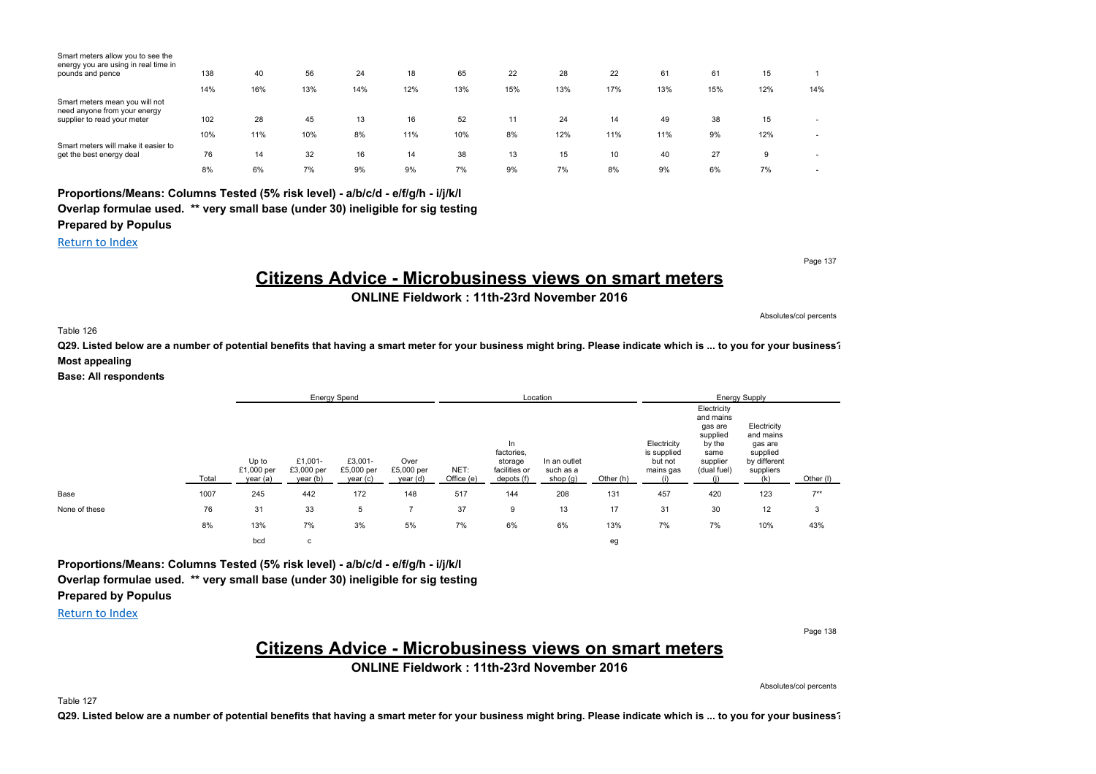| Smart meters allow you to see the<br>energy you are using in real time in |     |     |     |     |     |     |     |     |     |     |     |     |                          |
|---------------------------------------------------------------------------|-----|-----|-----|-----|-----|-----|-----|-----|-----|-----|-----|-----|--------------------------|
| pounds and pence                                                          | 138 | 40  | 56  | 24  | 18  | 65  | 22  | 28  | 22  | 61  | 61  | 15  |                          |
|                                                                           | 14% | 16% | 13% | 14% | 12% | 13% | 15% | 13% | 17% | 13% | 15% | 12% | 14%                      |
| Smart meters mean you will not<br>need anyone from your energy            |     |     |     |     |     |     |     |     |     |     |     |     |                          |
| supplier to read your meter                                               | 102 | 28  | 45  | 13  | 16  | 52  | 11  | 24  | 14  | 49  | 38  | 15  | ۰                        |
|                                                                           | 10% | 11% | 10% | 8%  | 11% | 10% | 8%  | 12% | 11% | 11% | 9%  | 12% | $\sim$                   |
| Smart meters will make it easier to<br>get the best energy deal           | 76  | 14  | 32  | 16  | 14  | 38  | 13  | 15  | 10  | 40  | 27  | 9   | $\sim$                   |
|                                                                           | 8%  | 6%  | 7%  | 9%  | 9%  | 7%  | 9%  | 7%  | 8%  | 9%  | 6%  | 7%  | $\overline{\phantom{a}}$ |

### **Proportions/Means: Columns Tested (5% risk level) - a/b/c/d - e/f/g/h - i/j/k/l Overlap formulae used. \*\* very small base (under 30) ineligible for sig testing**

**Prepared by Populus**

Return to Index

Page 137

# **Citizens Advice - Microbusiness views on smart meters**

**ONLINE Fieldwork : 11th-23rd November 2016**

Absolutes/col percents

Table 126

**Q29. Listed below are a number of potential benefits that having a smart meter for your business might bring. Please indicate which is ... to you for your business? Most appealing**

**Base: All respondents**

|               |       |                                 |                                   | <b>Energy Spend</b>              |                                |                    |                                                            | Location                              |           |                                                    |                                                                                              | <b>Energy Supply</b>                                                                |           |
|---------------|-------|---------------------------------|-----------------------------------|----------------------------------|--------------------------------|--------------------|------------------------------------------------------------|---------------------------------------|-----------|----------------------------------------------------|----------------------------------------------------------------------------------------------|-------------------------------------------------------------------------------------|-----------|
|               | Total | Up to<br>£1,000 per<br>year (a) | £1,001-<br>£3,000 per<br>year (b) | £3,001-<br>£5,000 per<br>year(c) | Over<br>£5,000 per<br>year (d) | NET:<br>Office (e) | In<br>factories,<br>storage<br>facilities or<br>depots (f) | In an outlet<br>such as a<br>shop (g) | Other (h) | Electricity<br>is supplied<br>but not<br>mains gas | Electricity<br>and mains<br>gas are<br>supplied<br>by the<br>same<br>supplier<br>(dual fuel) | Electricity<br>and mains<br>gas are<br>supplied<br>by different<br>suppliers<br>(k) | Other (I) |
| Base          | 1007  | 245                             | 442                               | 172                              | 148                            | 517                | 144                                                        | 208                                   | 131       | 457                                                | 420                                                                                          | 123                                                                                 | $7***$    |
| None of these | 76    | 31                              | 33                                | 5                                |                                | 37                 | 9                                                          | 13                                    | 17        | 31                                                 | 30                                                                                           | 12                                                                                  | 3         |
|               | 8%    | 13%                             | 7%                                | 3%                               | 5%                             | 7%                 | 6%                                                         | 6%                                    | 13%       | 7%                                                 | 7%                                                                                           | 10%                                                                                 | 43%       |
|               |       | bcd                             | с                                 |                                  |                                |                    |                                                            |                                       | eg        |                                                    |                                                                                              |                                                                                     |           |

**Proportions/Means: Columns Tested (5% risk level) - a/b/c/d - e/f/g/h - i/j/k/l Overlap formulae used. \*\* very small base (under 30) ineligible for sig testing Prepared by Populus**

Return to Index

Page 138

### **Citizens Advice - Microbusiness views on smart meters**

**ONLINE Fieldwork : 11th-23rd November 2016**

Absolutes/col percents

Table 127

**Q29. Listed below are a number of potential benefits that having a smart meter for your business might bring. Please indicate which is ... to you for your business?**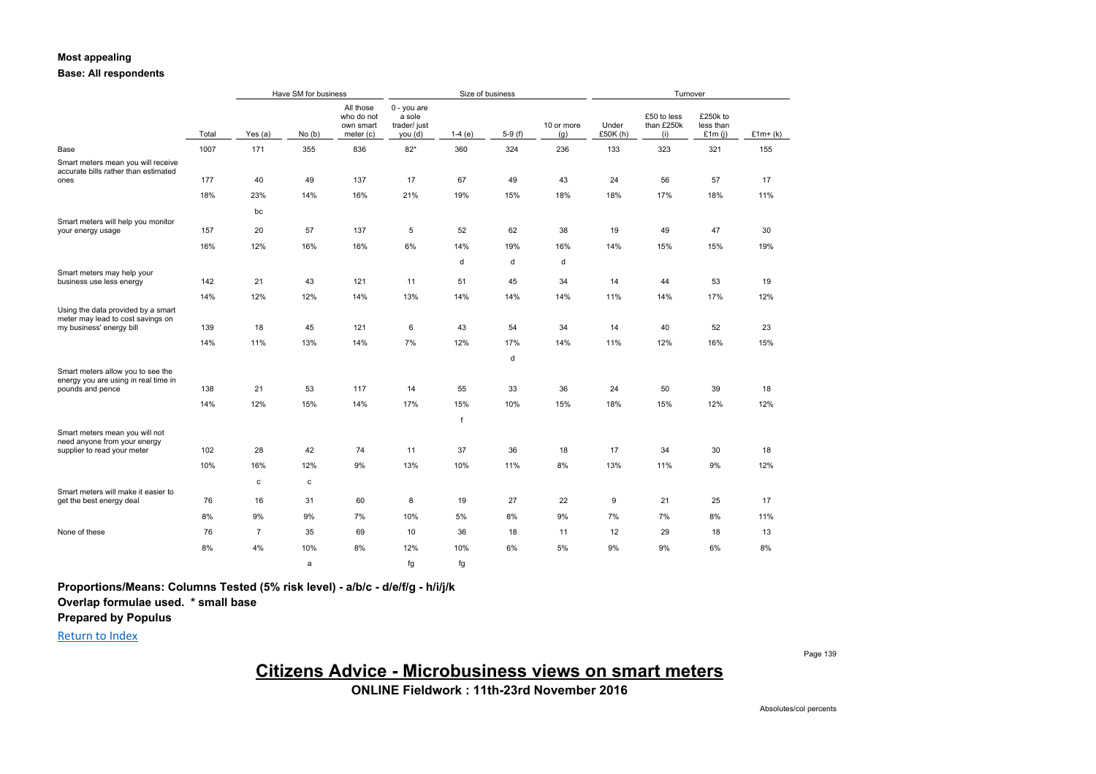### **Most appealing**

### **Base: All respondents**

|                                                                                               |       |                | Have SM for business |                                                   |                                                    |          | Size of business |                   | Turnover          |                                  |                                    |           |
|-----------------------------------------------------------------------------------------------|-------|----------------|----------------------|---------------------------------------------------|----------------------------------------------------|----------|------------------|-------------------|-------------------|----------------------------------|------------------------------------|-----------|
|                                                                                               | Total | Yes $(a)$      | No(b)                | All those<br>who do not<br>own smart<br>meter (c) | $0 - you are$<br>a sole<br>trader/ just<br>you (d) | $1-4(e)$ | $5-9(f)$         | 10 or more<br>(g) | Under<br>£50K (h) | £50 to less<br>than £250k<br>(i) | £250k to<br>less than<br>£1 $m(i)$ | $£1m+(k)$ |
| Base                                                                                          | 1007  | 171            | 355                  | 836                                               | $82*$                                              | 360      | 324              | 236               | 133               | 323                              | 321                                | 155       |
| Smart meters mean you will receive<br>accurate bills rather than estimated<br>ones            | 177   | 40             | 49                   | 137                                               | 17                                                 | 67       | 49               | 43                | 24                | 56                               | 57                                 | 17        |
|                                                                                               | 18%   | 23%            | 14%                  | 16%                                               | 21%                                                | 19%      | 15%              | 18%               | 18%               | 17%                              | 18%                                | 11%       |
|                                                                                               |       |                |                      |                                                   |                                                    |          |                  |                   |                   |                                  |                                    |           |
| Smart meters will help you monitor                                                            |       | bc             |                      |                                                   |                                                    |          |                  |                   |                   |                                  |                                    |           |
| your energy usage                                                                             | 157   | 20             | 57                   | 137                                               | 5                                                  | 52       | 62               | 38                | 19                | 49                               | 47                                 | 30        |
|                                                                                               | 16%   | 12%            | 16%                  | 16%                                               | 6%                                                 | 14%      | 19%              | 16%               | 14%               | 15%                              | 15%                                | 19%       |
|                                                                                               |       |                |                      |                                                   |                                                    | d        | d                | d                 |                   |                                  |                                    |           |
| Smart meters may help your<br>business use less energy                                        | 142   | 21             | 43                   | 121                                               | 11                                                 | 51       | 45               | 34                | 14                | 44                               | 53                                 | 19        |
|                                                                                               | 14%   | 12%            | 12%                  | 14%                                               | 13%                                                | 14%      | 14%              | 14%               | 11%               | 14%                              | 17%                                | 12%       |
| Using the data provided by a smart<br>meter may lead to cost savings on                       |       |                |                      |                                                   |                                                    |          |                  |                   |                   |                                  |                                    |           |
| my business' energy bill                                                                      | 139   | 18             | 45                   | 121                                               | 6                                                  | 43       | 54               | 34                | 14                | 40                               | 52                                 | 23        |
|                                                                                               | 14%   | 11%            | 13%                  | 14%                                               | 7%                                                 | 12%      | 17%              | 14%               | 11%               | 12%                              | 16%                                | 15%       |
|                                                                                               |       |                |                      |                                                   |                                                    |          | d                |                   |                   |                                  |                                    |           |
| Smart meters allow you to see the<br>energy you are using in real time in                     |       |                |                      |                                                   |                                                    |          |                  |                   |                   |                                  |                                    |           |
| pounds and pence                                                                              | 138   | 21             | 53                   | 117                                               | 14                                                 | 55       | 33               | 36                | 24                | 50                               | 39                                 | 18        |
|                                                                                               | 14%   | 12%            | 15%                  | 14%                                               | 17%                                                | 15%      | 10%              | 15%               | 18%               | 15%                              | 12%                                | 12%       |
|                                                                                               |       |                |                      |                                                   |                                                    | f        |                  |                   |                   |                                  |                                    |           |
| Smart meters mean you will not<br>need anyone from your energy<br>supplier to read your meter | 102   | 28             | 42                   | 74                                                | 11                                                 | 37       | 36               | 18                | 17                | 34                               | 30                                 | 18        |
|                                                                                               | 10%   | 16%            | 12%                  | 9%                                                | 13%                                                | 10%      | 11%              | 8%                | 13%               | 11%                              | 9%                                 | 12%       |
|                                                                                               |       |                |                      |                                                   |                                                    |          |                  |                   |                   |                                  |                                    |           |
| Smart meters will make it easier to                                                           |       | $\mathbf c$    | $\mathbf c$          |                                                   |                                                    |          |                  |                   |                   |                                  |                                    |           |
| get the best energy deal                                                                      | 76    | 16             | 31                   | 60                                                | 8                                                  | 19       | 27               | 22                | 9                 | 21                               | 25                                 | 17        |
|                                                                                               | 8%    | 9%             | 9%                   | 7%                                                | 10%                                                | 5%       | 8%               | 9%                | 7%                | 7%                               | 8%                                 | 11%       |
| None of these                                                                                 | 76    | $\overline{7}$ | 35                   | 69                                                | 10                                                 | 36       | 18               | 11                | 12                | 29                               | 18                                 | 13        |
|                                                                                               | 8%    | 4%             | 10%                  | 8%                                                | 12%                                                | 10%      | 6%               | 5%                | 9%                | 9%                               | 6%                                 | 8%        |
|                                                                                               |       |                | a                    |                                                   | fg                                                 | fq       |                  |                   |                   |                                  |                                    |           |

**Proportions/Means: Columns Tested (5% risk level) - a/b/c - d/e/f/g - h/i/j/k**

**Overlap formulae used. \* small base**

**Prepared by Populus**

Return to Index

Page 139

**Citizens Advice - Microbusiness views on smart meters**

**ONLINE Fieldwork : 11th-23rd November 2016**

Absolutes/col percents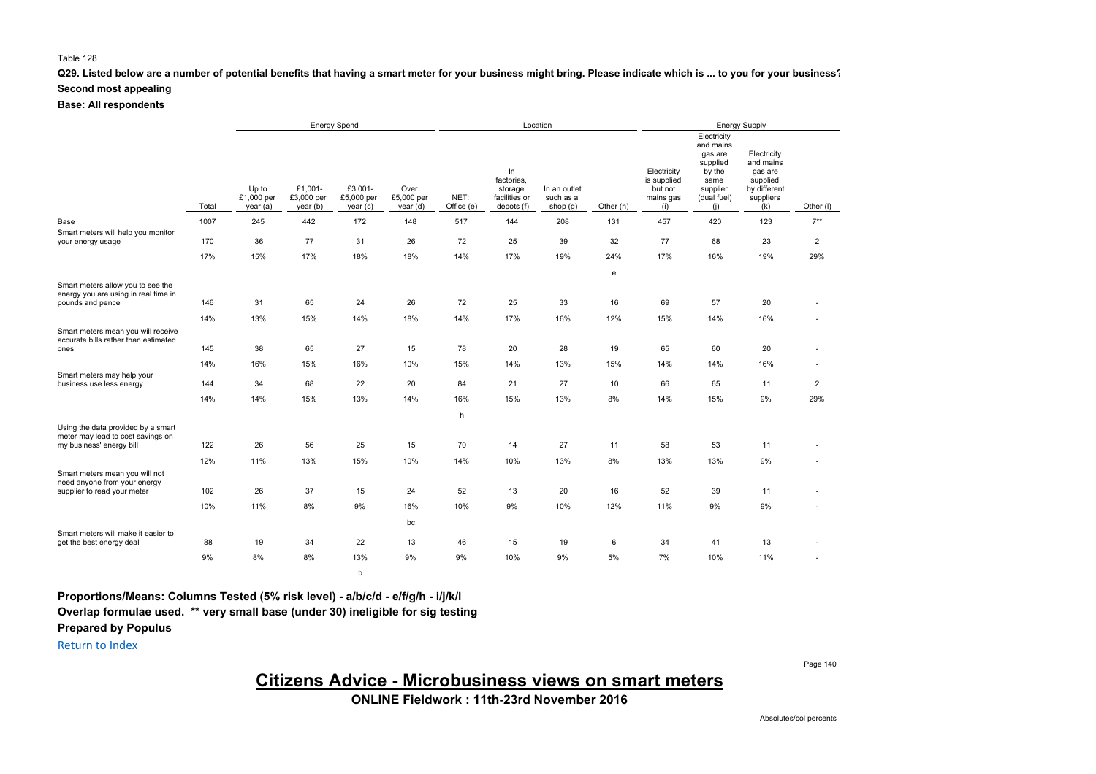#### **Q29. Listed below are a number of potential benefits that having a smart meter for your business might bring. Please indicate which is ... to you for your business? Second most appealing**

**Base: All respondents**

|                                                                                                     |       |                                |                                  | <b>Energy Spend</b>              |                                |                    |                                                            | Location                                |           |                                                           | <b>Energy Supply</b>                                                                                |                                                                                     |                |  |
|-----------------------------------------------------------------------------------------------------|-------|--------------------------------|----------------------------------|----------------------------------|--------------------------------|--------------------|------------------------------------------------------------|-----------------------------------------|-----------|-----------------------------------------------------------|-----------------------------------------------------------------------------------------------------|-------------------------------------------------------------------------------------|----------------|--|
|                                                                                                     | Total | Up to<br>£1,000 per<br>year(a) | £1,001-<br>£3,000 per<br>year(b) | £3,001-<br>£5,000 per<br>year(c) | Over<br>£5,000 per<br>year (d) | NET:<br>Office (e) | In<br>factories,<br>storage<br>facilities or<br>depots (f) | In an outlet<br>such as a<br>shop $(g)$ | Other (h) | Electricity<br>is supplied<br>but not<br>mains gas<br>(i) | Electricity<br>and mains<br>gas are<br>supplied<br>by the<br>same<br>supplier<br>(dual fuel)<br>(i) | Electricity<br>and mains<br>gas are<br>supplied<br>by different<br>suppliers<br>(k) | Other (I)      |  |
| Base                                                                                                | 1007  | 245                            | 442                              | 172                              | 148                            | 517                | 144                                                        | 208                                     | 131       | 457                                                       | 420                                                                                                 | 123                                                                                 | $7***$         |  |
| Smart meters will help you monitor<br>your energy usage                                             | 170   | 36                             | 77                               | 31                               | 26                             | 72                 | 25                                                         | 39                                      | 32        | 77                                                        | 68                                                                                                  | 23                                                                                  | $\overline{2}$ |  |
|                                                                                                     | 17%   | 15%                            | 17%                              | 18%                              | 18%                            | 14%                | 17%                                                        | 19%                                     | 24%       | 17%                                                       | 16%                                                                                                 | 19%                                                                                 | 29%            |  |
|                                                                                                     |       |                                |                                  |                                  |                                |                    |                                                            |                                         | e         |                                                           |                                                                                                     |                                                                                     |                |  |
| Smart meters allow you to see the<br>energy you are using in real time in<br>pounds and pence       | 146   | 31                             | 65                               | 24                               | 26                             | 72                 | 25                                                         | 33                                      | 16        | 69                                                        | 57                                                                                                  | 20                                                                                  |                |  |
|                                                                                                     | 14%   | 13%                            | 15%                              | 14%                              | 18%                            | 14%                | 17%                                                        | 16%                                     | 12%       | 15%                                                       | 14%                                                                                                 | 16%                                                                                 |                |  |
| Smart meters mean you will receive<br>accurate bills rather than estimated<br>ones                  | 145   | 38                             | 65                               | 27                               | 15                             | 78                 | 20                                                         | 28                                      | 19        | 65                                                        | 60                                                                                                  | 20                                                                                  |                |  |
| Smart meters may help your                                                                          | 14%   | 16%                            | 15%                              | 16%                              | 10%                            | 15%                | 14%                                                        | 13%                                     | 15%       | 14%                                                       | 14%                                                                                                 | 16%                                                                                 |                |  |
| business use less energy                                                                            | 144   | 34                             | 68                               | 22                               | 20                             | 84                 | 21                                                         | 27                                      | 10        | 66                                                        | 65                                                                                                  | 11                                                                                  | $\overline{2}$ |  |
|                                                                                                     | 14%   | 14%                            | 15%                              | 13%                              | 14%                            | 16%                | 15%                                                        | 13%                                     | 8%        | 14%                                                       | 15%                                                                                                 | 9%                                                                                  | 29%            |  |
|                                                                                                     |       |                                |                                  |                                  |                                | h                  |                                                            |                                         |           |                                                           |                                                                                                     |                                                                                     |                |  |
| Using the data provided by a smart<br>meter may lead to cost savings on<br>my business' energy bill | 122   | 26                             | 56                               | 25                               | 15                             | 70                 | 14                                                         | 27                                      | 11        | 58                                                        | 53                                                                                                  | 11                                                                                  |                |  |
|                                                                                                     | 12%   | 11%                            | 13%                              | 15%                              | 10%                            | 14%                | 10%                                                        | 13%                                     | 8%        | 13%                                                       | 13%                                                                                                 | 9%                                                                                  |                |  |
| Smart meters mean you will not<br>need anyone from your energy<br>supplier to read your meter       | 102   | 26                             | 37                               | 15                               | 24                             | 52                 | 13                                                         | 20                                      | 16        | 52                                                        | 39                                                                                                  | 11                                                                                  |                |  |
|                                                                                                     | 10%   | 11%                            | 8%                               | 9%                               | 16%                            | 10%                | 9%                                                         | 10%                                     | 12%       | 11%                                                       | 9%                                                                                                  | 9%                                                                                  |                |  |
| Smart meters will make it easier to                                                                 |       |                                |                                  |                                  | bc                             |                    |                                                            |                                         |           |                                                           |                                                                                                     |                                                                                     |                |  |
| get the best energy deal                                                                            | 88    | 19                             | 34                               | 22                               | 13                             | 46                 | 15                                                         | 19                                      | 6         | 34                                                        | 41                                                                                                  | 13                                                                                  |                |  |
|                                                                                                     | 9%    | 8%                             | 8%                               | 13%                              | 9%                             | 9%                 | 10%                                                        | 9%                                      | 5%        | 7%                                                        | 10%                                                                                                 | 11%                                                                                 |                |  |
|                                                                                                     |       |                                |                                  | b                                |                                |                    |                                                            |                                         |           |                                                           |                                                                                                     |                                                                                     |                |  |

**Proportions/Means: Columns Tested (5% risk level) - a/b/c/d - e/f/g/h - i/j/k/l Overlap formulae used. \*\* very small base (under 30) ineligible for sig testing Prepared by Populus**

Return to Index

# **Citizens Advice - Microbusiness views on smart meters**

**ONLINE Fieldwork : 11th-23rd November 2016**

Page 140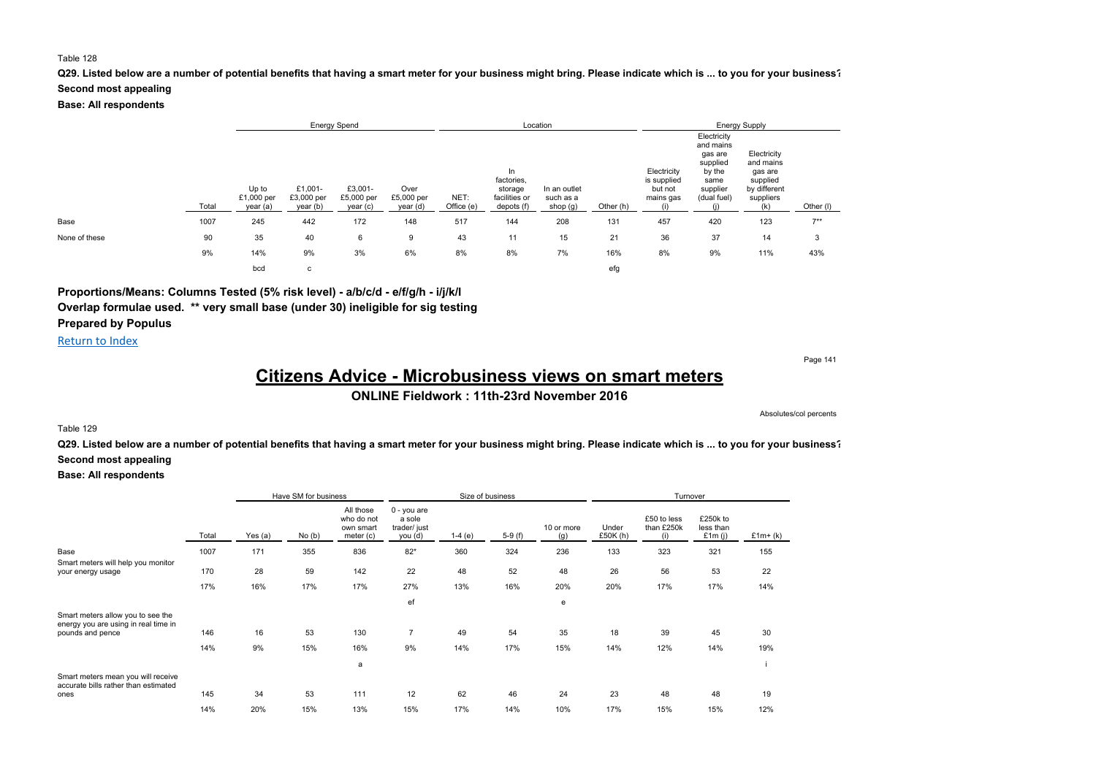### **Q29. Listed below are a number of potential benefits that having a smart meter for your business might bring. Please indicate which is ... to you for your business?**

#### **Second most appealing**

**Base: All respondents**

|               |       |                                 | <b>Energy Spend</b>               |                                   |                                |                    |                                                            | Location                              |           |                                                    |                                                                                              | <b>Energy Supply</b>                                                                |           |  |
|---------------|-------|---------------------------------|-----------------------------------|-----------------------------------|--------------------------------|--------------------|------------------------------------------------------------|---------------------------------------|-----------|----------------------------------------------------|----------------------------------------------------------------------------------------------|-------------------------------------------------------------------------------------|-----------|--|
|               | Total | Up to<br>£1,000 per<br>year (a) | £1,001-<br>£3,000 per<br>year (b) | £3,001-<br>£5,000 per<br>year (c) | Over<br>£5,000 per<br>year (d) | NET:<br>Office (e) | In<br>factories,<br>storage<br>facilities or<br>depots (f) | In an outlet<br>such as a<br>shop (g) | Other (h) | Electricity<br>is supplied<br>but not<br>mains gas | Electricity<br>and mains<br>gas are<br>supplied<br>by the<br>same<br>supplier<br>(dual fuel) | Electricity<br>and mains<br>gas are<br>supplied<br>by different<br>suppliers<br>(k) | Other (I) |  |
| Base          | 1007  | 245                             | 442                               | 172                               | 148                            | 517                | 144                                                        | 208                                   | 131       | 457                                                | 420                                                                                          | 123                                                                                 | $7***$    |  |
| None of these | 90    | 35                              | 40                                | 6                                 | 9                              | 43                 | 11                                                         | 15                                    | 21        | 36                                                 | 37                                                                                           | 14                                                                                  | 3         |  |
|               | 9%    | 14%                             | 9%                                | 3%                                | 6%                             | 8%                 | 8%                                                         | 7%                                    | 16%       | 8%                                                 | 9%                                                                                           | 11%                                                                                 | 43%       |  |
|               |       | bcd                             | с                                 |                                   |                                |                    |                                                            |                                       | efg       |                                                    |                                                                                              |                                                                                     |           |  |

### **Proportions/Means: Columns Tested (5% risk level) - a/b/c/d - e/f/g/h - i/j/k/l Overlap formulae used. \*\* very small base (under 30) ineligible for sig testing Prepared by Populus**

Return to Index

Page 141

# **Citizens Advice - Microbusiness views on smart meters**

**ONLINE Fieldwork : 11th-23rd November 2016**

Absolutes/col percents

#### Table 129

**Q29. Listed below are a number of potential benefits that having a smart meter for your business might bring. Please indicate which is ... to you for your business? Second most appealing**

|                                                                            |       | Have SM for business |       |                                                   |                                                  |          | Size of business |                   |                     | Turnover                         |                                    |           |
|----------------------------------------------------------------------------|-------|----------------------|-------|---------------------------------------------------|--------------------------------------------------|----------|------------------|-------------------|---------------------|----------------------------------|------------------------------------|-----------|
|                                                                            | Total | Yes (a)              | No(b) | All those<br>who do not<br>own smart<br>meter (c) | 0 - you are<br>a sole<br>trader/ just<br>you (d) | $1-4(e)$ | $5-9(f)$         | 10 or more<br>(q) | Under<br>£50 $K(h)$ | £50 to less<br>than £250k<br>(i) | £250k to<br>less than<br>£1m $(i)$ | $£1m+(k)$ |
| Base                                                                       | 1007  | 171                  | 355   | 836                                               | $82*$                                            | 360      | 324              | 236               | 133                 | 323                              | 321                                | 155       |
| Smart meters will help you monitor<br>your energy usage                    | 170   | 28                   | 59    | 142                                               | 22                                               | 48       | 52               | 48                | 26                  | 56                               | 53                                 | 22        |
|                                                                            | 17%   | 16%                  | 17%   | 17%                                               | 27%                                              | 13%      | 16%              | 20%               | 20%                 | 17%                              | 17%                                | 14%       |
|                                                                            |       |                      |       |                                                   | ef                                               |          |                  | e                 |                     |                                  |                                    |           |
| Smart meters allow you to see the<br>energy you are using in real time in  |       |                      |       |                                                   |                                                  |          |                  |                   |                     |                                  |                                    |           |
| pounds and pence                                                           | 146   | 16                   | 53    | 130                                               | $\overline{7}$                                   | 49       | 54               | 35                | 18                  | 39                               | 45                                 | 30        |
|                                                                            | 14%   | 9%                   | 15%   | 16%                                               | 9%                                               | 14%      | 17%              | 15%               | 14%                 | 12%                              | 14%                                | 19%       |
|                                                                            |       |                      |       | a                                                 |                                                  |          |                  |                   |                     |                                  |                                    |           |
| Smart meters mean you will receive<br>accurate bills rather than estimated |       |                      |       |                                                   |                                                  |          |                  |                   |                     |                                  |                                    |           |
| ones                                                                       | 145   | 34                   | 53    | 111                                               | 12                                               | 62       | 46               | 24                | 23                  | 48                               | 48                                 | 19        |
|                                                                            | 14%   | 20%                  | 15%   | 13%                                               | 15%                                              | 17%      | 14%              | 10%               | 17%                 | 15%                              | 15%                                | 12%       |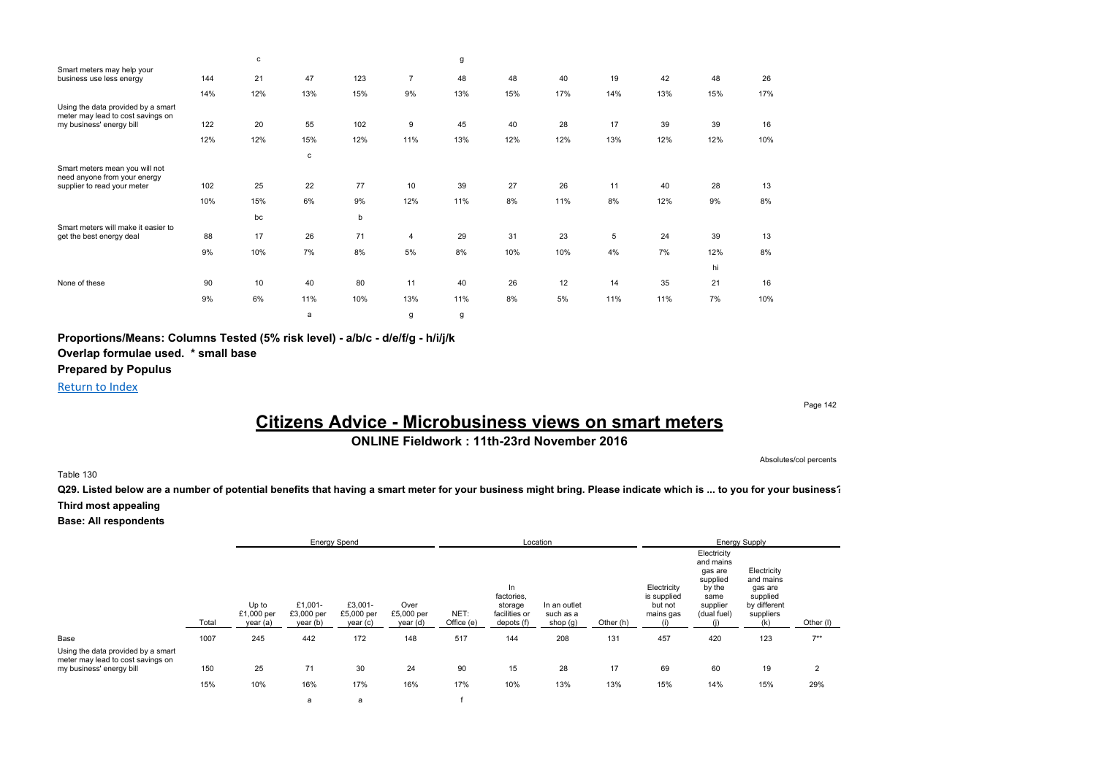|                                                                         |     | c   |     |     |     | g   |     |     |     |     |     |     |
|-------------------------------------------------------------------------|-----|-----|-----|-----|-----|-----|-----|-----|-----|-----|-----|-----|
| Smart meters may help your<br>business use less energy                  | 144 | 21  | 47  | 123 | 7   | 48  | 48  | 40  | 19  | 42  | 48  | 26  |
|                                                                         | 14% | 12% | 13% | 15% | 9%  | 13% | 15% | 17% | 14% | 13% | 15% | 17% |
| Using the data provided by a smart<br>meter may lead to cost savings on |     |     |     |     |     |     |     |     |     |     |     |     |
| my business' energy bill                                                | 122 | 20  | 55  | 102 | 9   | 45  | 40  | 28  | 17  | 39  | 39  | 16  |
|                                                                         | 12% | 12% | 15% | 12% | 11% | 13% | 12% | 12% | 13% | 12% | 12% | 10% |
|                                                                         |     |     | c   |     |     |     |     |     |     |     |     |     |
| Smart meters mean you will not<br>need anyone from your energy          |     |     |     |     |     |     |     |     |     |     |     |     |
| supplier to read your meter                                             | 102 | 25  | 22  | 77  | 10  | 39  | 27  | 26  | 11  | 40  | 28  | 13  |
|                                                                         | 10% | 15% | 6%  | 9%  | 12% | 11% | 8%  | 11% | 8%  | 12% | 9%  | 8%  |
|                                                                         |     | bc  |     | b   |     |     |     |     |     |     |     |     |
| Smart meters will make it easier to                                     | 88  | 17  | 26  | 71  |     | 29  | 31  | 23  |     | 24  | 39  |     |
| get the best energy deal                                                |     |     |     |     | 4   |     |     |     | 5   |     |     | 13  |
|                                                                         | 9%  | 10% | 7%  | 8%  | 5%  | 8%  | 10% | 10% | 4%  | 7%  | 12% | 8%  |
|                                                                         |     |     |     |     |     |     |     |     |     |     | hi  |     |
| None of these                                                           | 90  | 10  | 40  | 80  | 11  | 40  | 26  | 12  | 14  | 35  | 21  | 16  |
|                                                                         | 9%  | 6%  | 11% | 10% | 13% | 11% | 8%  | 5%  | 11% | 11% | 7%  | 10% |
|                                                                         |     |     | a   |     | g   | g   |     |     |     |     |     |     |

**Proportions/Means: Columns Tested (5% risk level) - a/b/c - d/e/f/g - h/i/j/k**

**Overlap formulae used. \* small base**

**Prepared by Populus**

Return to Index

# **Citizens Advice - Microbusiness views on smart meters**

**ONLINE Fieldwork : 11th-23rd November 2016**

Absolutes/col percents

Page 142

Table 130

**Q29. Listed below are a number of potential benefits that having a smart meter for your business might bring. Please indicate which is ... to you for your business? Third most appealing**

|                                                                                                     |       |                                 | <b>Energy Spend</b>               |                                   |                                |                    | Location                                                   |                                       |           |                                                           |                                                                                              | <b>Energy Supply</b>                                                                |           |
|-----------------------------------------------------------------------------------------------------|-------|---------------------------------|-----------------------------------|-----------------------------------|--------------------------------|--------------------|------------------------------------------------------------|---------------------------------------|-----------|-----------------------------------------------------------|----------------------------------------------------------------------------------------------|-------------------------------------------------------------------------------------|-----------|
|                                                                                                     | Total | Up to<br>£1,000 per<br>year (a) | £1.001-<br>£3,000 per<br>year (b) | £3,001-<br>£5,000 per<br>year (c) | Over<br>£5,000 per<br>year (d) | NET:<br>Office (e) | In<br>factories,<br>storage<br>facilities or<br>depots (f) | In an outlet<br>such as a<br>shop (g) | Other (h) | Electricity<br>is supplied<br>but not<br>mains gas<br>(i) | Electricity<br>and mains<br>gas are<br>supplied<br>by the<br>same<br>supplier<br>(dual fuel) | Electricity<br>and mains<br>gas are<br>supplied<br>by different<br>suppliers<br>(k) | Other (I) |
| Base                                                                                                | 1007  | 245                             | 442                               | 172                               | 148                            | 517                | 144                                                        | 208                                   | 131       | 457                                                       | 420                                                                                          | 123                                                                                 | $7**$     |
| Using the data provided by a smart<br>meter may lead to cost savings on<br>my business' energy bill | 150   | 25                              | 71                                | 30                                | 24                             | 90                 | 15                                                         | 28                                    | 17        | 69                                                        | 60                                                                                           | 19                                                                                  | 2         |
|                                                                                                     | 15%   | 10%                             | 16%                               | 17%                               | 16%                            | 17%                | 10%                                                        | 13%                                   | 13%       | 15%                                                       | 14%                                                                                          | 15%                                                                                 | 29%       |
|                                                                                                     |       |                                 | a                                 | a                                 |                                |                    |                                                            |                                       |           |                                                           |                                                                                              |                                                                                     |           |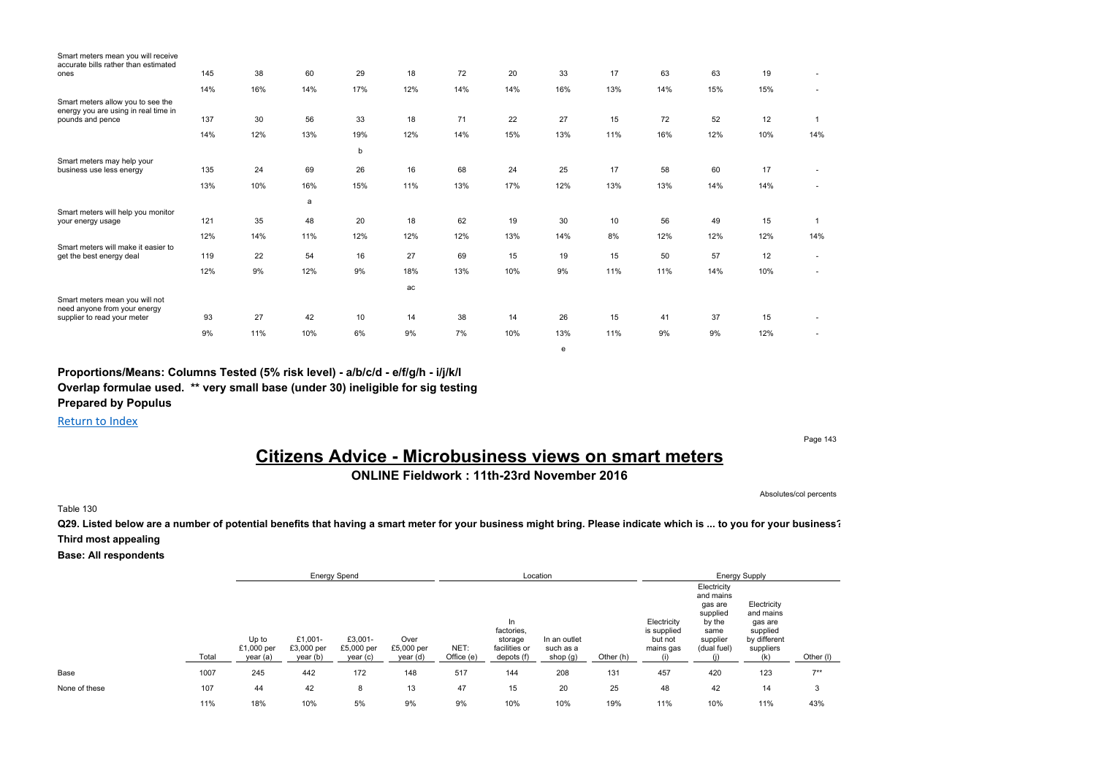| Smart meters mean you will receive<br>accurate bills rather than estimated |     |     |     |     |     |     |     |     |     |     |     |     |              |
|----------------------------------------------------------------------------|-----|-----|-----|-----|-----|-----|-----|-----|-----|-----|-----|-----|--------------|
| ones                                                                       | 145 | 38  | 60  | 29  | 18  | 72  | 20  | 33  | 17  | 63  | 63  | 19  |              |
|                                                                            | 14% | 16% | 14% | 17% | 12% | 14% | 14% | 16% | 13% | 14% | 15% | 15% | ٠            |
| Smart meters allow you to see the<br>energy you are using in real time in  |     |     |     |     |     |     |     |     |     |     |     |     |              |
| pounds and pence                                                           | 137 | 30  | 56  | 33  | 18  | 71  | 22  | 27  | 15  | 72  | 52  | 12  | $\mathbf{1}$ |
|                                                                            | 14% | 12% | 13% | 19% | 12% | 14% | 15% | 13% | 11% | 16% | 12% | 10% | 14%          |
|                                                                            |     |     |     | b   |     |     |     |     |     |     |     |     |              |
| Smart meters may help your<br>business use less energy                     | 135 | 24  | 69  | 26  | 16  | 68  | 24  | 25  | 17  | 58  | 60  | 17  |              |
|                                                                            | 13% | 10% | 16% | 15% | 11% | 13% | 17% | 12% | 13% | 13% | 14% | 14% |              |
|                                                                            |     |     | a   |     |     |     |     |     |     |     |     |     |              |
| Smart meters will help you monitor<br>your energy usage                    | 121 | 35  | 48  | 20  | 18  | 62  | 19  | 30  | 10  | 56  | 49  | 15  | 1            |
|                                                                            | 12% | 14% | 11% | 12% | 12% | 12% | 13% | 14% | 8%  | 12% | 12% | 12% | 14%          |
| Smart meters will make it easier to<br>get the best energy deal            | 119 | 22  | 54  | 16  | 27  | 69  | 15  | 19  | 15  | 50  | 57  | 12  | ٠            |
|                                                                            | 12% | 9%  | 12% | 9%  | 18% | 13% | 10% | 9%  | 11% | 11% | 14% | 10% |              |
|                                                                            |     |     |     |     | ac  |     |     |     |     |     |     |     |              |
| Smart meters mean you will not<br>need anyone from your energy             |     |     |     |     |     |     |     |     |     |     |     |     |              |
| supplier to read your meter                                                | 93  | 27  | 42  | 10  | 14  | 38  | 14  | 26  | 15  | 41  | 37  | 15  |              |
|                                                                            | 9%  | 11% | 10% | 6%  | 9%  | 7%  | 10% | 13% | 11% | 9%  | 9%  | 12% | ٠            |
|                                                                            |     |     |     |     |     |     |     |     |     |     |     |     |              |

**Proportions/Means: Columns Tested (5% risk level) - a/b/c/d - e/f/g/h - i/j/k/l**

**Overlap formulae used. \*\* very small base (under 30) ineligible for sig testing**

**Prepared by Populus**

Return to Index

Page 143

# **Citizens Advice - Microbusiness views on smart meters**

e

**ONLINE Fieldwork : 11th-23rd November 2016**

Absolutes/col percents

Table 130

**Q29. Listed below are a number of potential benefits that having a smart meter for your business might bring. Please indicate which is ... to you for your business? Third most appealing**

|               |       |                                 |                                   | <b>Energy Spend</b>               |                                |                    |                                                            | Location                              |           |                                                    |                                                                                              | <b>Energy Supply</b>                                                         |           |
|---------------|-------|---------------------------------|-----------------------------------|-----------------------------------|--------------------------------|--------------------|------------------------------------------------------------|---------------------------------------|-----------|----------------------------------------------------|----------------------------------------------------------------------------------------------|------------------------------------------------------------------------------|-----------|
|               | Total | Up to<br>£1,000 per<br>year (a) | £1,001-<br>£3,000 per<br>year (b) | £3,001-<br>£5,000 per<br>year (c) | Over<br>£5,000 per<br>year (d) | NET:<br>Office (e) | In<br>factories.<br>storage<br>facilities or<br>depots (f) | In an outlet<br>such as a<br>shop (g) | Other (h) | Electricity<br>is supplied<br>but not<br>mains gas | Electricity<br>and mains<br>gas are<br>supplied<br>by the<br>same<br>supplier<br>(dual fuel) | Electricity<br>and mains<br>gas are<br>supplied<br>by different<br>suppliers | Other (I) |
| Base          | 1007  | 245                             | 442                               | 172                               | 148                            | 517                | 144                                                        | 208                                   | 131       | 457                                                | 420                                                                                          | 123                                                                          | $7**$     |
| None of these | 107   | 44                              | 42                                | 8                                 | 13                             | 47                 | 15                                                         | 20                                    | 25        | 48                                                 | 42                                                                                           | 14                                                                           | 3         |
|               | 11%   | 18%                             | 10%                               | 5%                                | 9%                             | 9%                 | 10%                                                        | 10%                                   | 19%       | 11%                                                | 10%                                                                                          | 11%                                                                          | 43%       |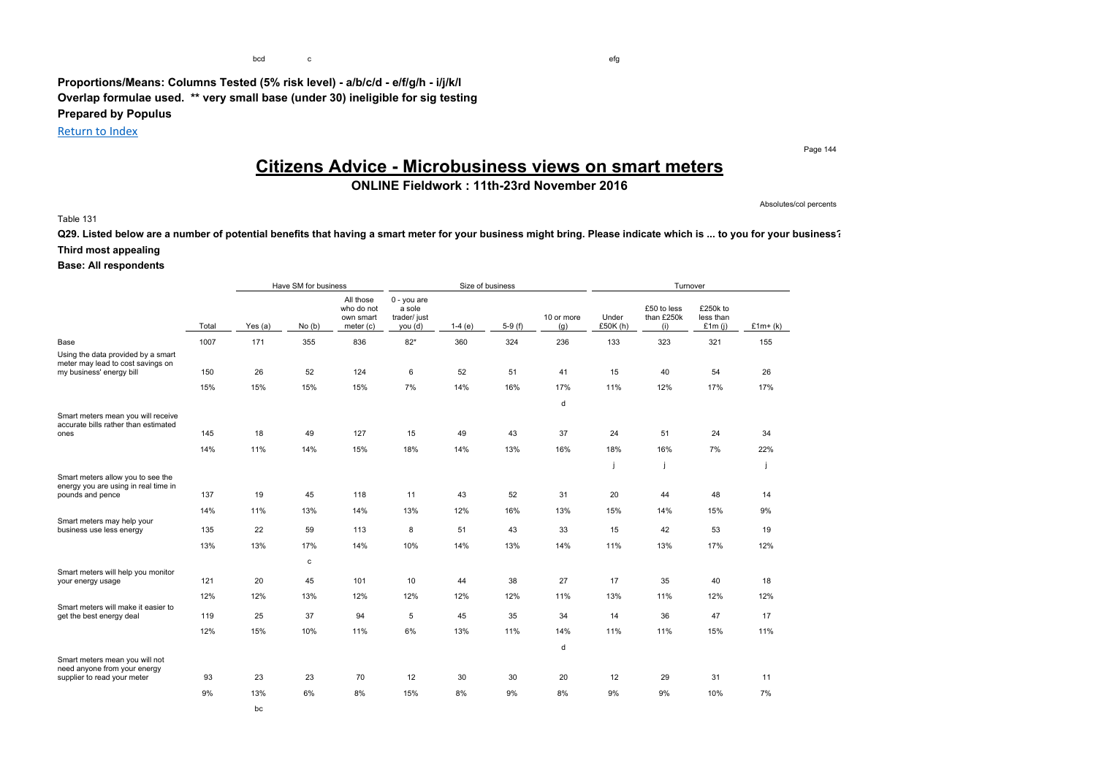**Proportions/Means: Columns Tested (5% risk level) - a/b/c/d - e/f/g/h - i/j/k/l Overlap formulae used. \*\* very small base (under 30) ineligible for sig testing Prepared by Populus**

Return to Index

Page 144

# **Citizens Advice - Microbusiness views on smart meters**

### **ONLINE Fieldwork : 11th-23rd November 2016**

Absolutes/col percents

#### Table 131

**Q29. Listed below are a number of potential benefits that having a smart meter for your business might bring. Please indicate which is ... to you for your business? Third most appealing**

|                                                                                                     |       |         | Have SM for business |                                                   |                                                    | Size of business |          |                   |                  | Turnover                         |                                    |           |
|-----------------------------------------------------------------------------------------------------|-------|---------|----------------------|---------------------------------------------------|----------------------------------------------------|------------------|----------|-------------------|------------------|----------------------------------|------------------------------------|-----------|
|                                                                                                     | Total | Yes (a) | No(b)                | All those<br>who do not<br>own smart<br>meter (c) | $0 - you are$<br>a sole<br>trader/ just<br>you (d) | $1-4(e)$         | $5-9(f)$ | 10 or more<br>(g) | Under<br>£50K(h) | £50 to less<br>than £250k<br>(i) | £250k to<br>less than<br>£1 $m(i)$ | $£1m+(k)$ |
| Base                                                                                                | 1007  | 171     | 355                  | 836                                               | $82*$                                              | 360              | 324      | 236               | 133              | 323                              | 321                                | 155       |
| Using the data provided by a smart<br>meter may lead to cost savings on<br>my business' energy bill | 150   | 26      | 52                   | 124                                               | 6                                                  | 52               | 51       | 41                | 15               | 40                               | 54                                 | 26        |
|                                                                                                     | 15%   | 15%     | 15%                  | 15%                                               | 7%                                                 | 14%              | 16%      | 17%               | 11%              | 12%                              | 17%                                | 17%       |
|                                                                                                     |       |         |                      |                                                   |                                                    |                  |          | d                 |                  |                                  |                                    |           |
| Smart meters mean you will receive<br>accurate bills rather than estimated                          |       |         |                      |                                                   |                                                    |                  |          |                   |                  |                                  |                                    |           |
| ones                                                                                                | 145   | 18      | 49                   | 127                                               | 15                                                 | 49               | 43       | 37                | 24               | 51                               | 24                                 | 34        |
|                                                                                                     | 14%   | 11%     | 14%                  | 15%                                               | 18%                                                | 14%              | 13%      | 16%               | 18%              | 16%                              | 7%                                 | 22%       |
|                                                                                                     |       |         |                      |                                                   |                                                    |                  |          |                   | j                |                                  |                                    |           |
| Smart meters allow you to see the<br>energy you are using in real time in                           |       |         |                      |                                                   |                                                    |                  |          |                   |                  |                                  |                                    |           |
| pounds and pence                                                                                    | 137   | 19      | 45                   | 118                                               | 11                                                 | 43               | 52       | 31                | 20               | 44                               | 48                                 | 14        |
|                                                                                                     | 14%   | 11%     | 13%                  | 14%                                               | 13%                                                | 12%              | 16%      | 13%               | 15%              | 14%                              | 15%                                | 9%        |
| Smart meters may help your<br>business use less energy                                              | 135   | 22      | 59                   | 113                                               | 8                                                  | 51               | 43       | 33                | 15               | 42                               | 53                                 | 19        |
|                                                                                                     | 13%   | 13%     | 17%                  | 14%                                               | 10%                                                | 14%              | 13%      | 14%               | 11%              | 13%                              | 17%                                | 12%       |
|                                                                                                     |       |         | с                    |                                                   |                                                    |                  |          |                   |                  |                                  |                                    |           |
| Smart meters will help you monitor<br>your energy usage                                             | 121   | 20      | 45                   | 101                                               | 10                                                 | 44               | 38       | 27                | 17               | 35                               | 40                                 | 18        |
|                                                                                                     | 12%   | 12%     | 13%                  | 12%                                               | 12%                                                | 12%              | 12%      | 11%               | 13%              | 11%                              | 12%                                | 12%       |
| Smart meters will make it easier to<br>get the best energy deal                                     | 119   | 25      | 37                   | 94                                                | 5                                                  | 45               | 35       | 34                | 14               | 36                               | 47                                 | 17        |
|                                                                                                     | 12%   | 15%     | 10%                  | 11%                                               | 6%                                                 | 13%              | 11%      | 14%               | 11%              | 11%                              | 15%                                | 11%       |
|                                                                                                     |       |         |                      |                                                   |                                                    |                  |          | d                 |                  |                                  |                                    |           |
| Smart meters mean you will not                                                                      |       |         |                      |                                                   |                                                    |                  |          |                   |                  |                                  |                                    |           |
| need anyone from your energy<br>supplier to read your meter                                         | 93    | 23      | 23                   | 70                                                | 12                                                 | 30               | 30       | 20                | 12               | 29                               | 31                                 | 11        |
|                                                                                                     | 9%    | 13%     | 6%                   | 8%                                                | 15%                                                | 8%               | 9%       | 8%                | 9%               | 9%                               | 10%                                | 7%        |
|                                                                                                     |       | bc      |                      |                                                   |                                                    |                  |          |                   |                  |                                  |                                    |           |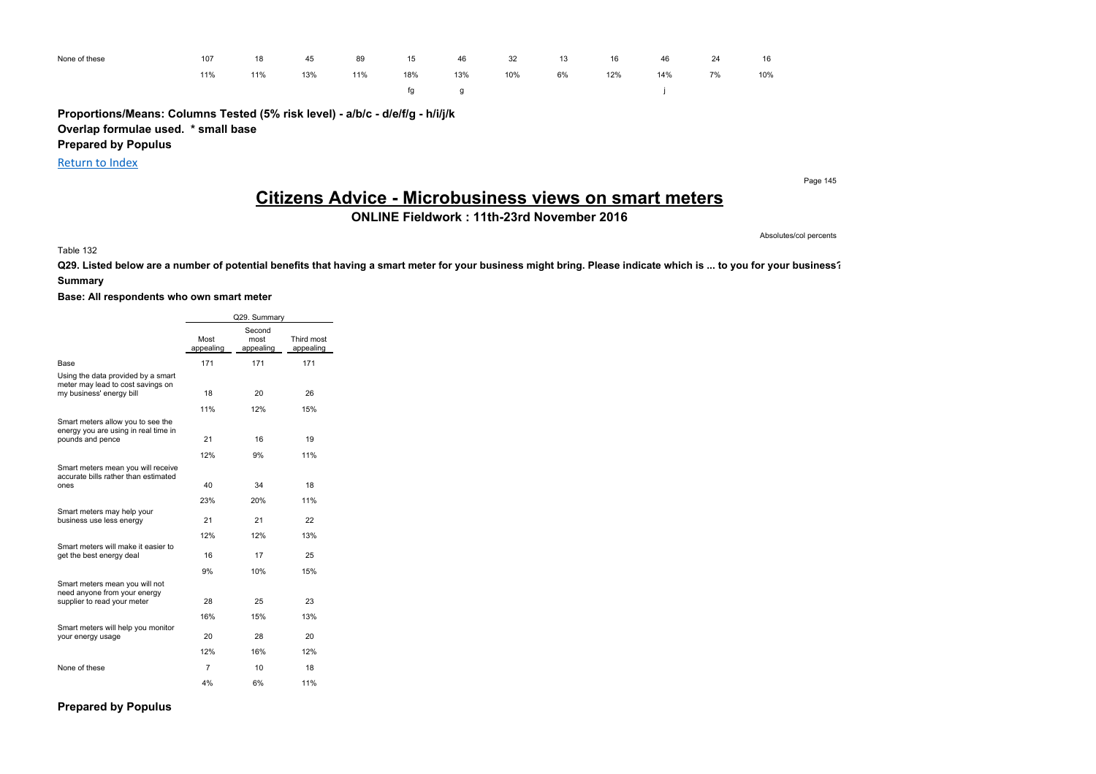| None of these | 107 | 18  | 45  | 89  | 15  | 46  | 32  | 13 | 16  | 46  | 24 | 16  |
|---------------|-----|-----|-----|-----|-----|-----|-----|----|-----|-----|----|-----|
|               | 11% | 11% | 13% | 11% | 18% | 13% | 10% | 6% | 12% | 14% | 7% | 10% |
|               |     |     |     |     | fa  |     |     |    |     |     |    |     |

**Proportions/Means: Columns Tested (5% risk level) - a/b/c - d/e/f/g - h/i/j/k Overlap formulae used. \* small base**

**Prepared by Populus**

Return to Index

Page 145

# **Citizens Advice - Microbusiness views on smart meters**

**ONLINE Fieldwork : 11th-23rd November 2016**

Absolutes/col percents

Table 132

**Q29. Listed below are a number of potential benefits that having a smart meter for your business might bring. Please indicate which is ... to you for your business?**

#### **Summary**

#### **Base: All respondents who own smart meter**

|                                                                                                     |                   | Q29. Summary                |                         |
|-----------------------------------------------------------------------------------------------------|-------------------|-----------------------------|-------------------------|
|                                                                                                     | Most<br>appealing | Second<br>most<br>appealing | Third most<br>appealing |
| Base                                                                                                | 171               | 171                         | 171                     |
| Using the data provided by a smart<br>meter may lead to cost savings on<br>my business' energy bill | 18                | 20                          | 26                      |
|                                                                                                     | 11%               | 12%                         | 15%                     |
| Smart meters allow you to see the<br>energy you are using in real time in<br>pounds and pence       | 21<br>12%         | 16<br>9%                    | 19<br>11%               |
|                                                                                                     |                   |                             |                         |
| Smart meters mean you will receive<br>accurate bills rather than estimated<br>ones                  | 40                | 34                          | 18                      |
|                                                                                                     | 23%               | 20%                         | 11%                     |
| Smart meters may help your<br>business use less energy                                              | 21                | 21                          | 22                      |
|                                                                                                     | 12%               | 12%                         | 13%                     |
| Smart meters will make it easier to<br>get the best energy deal                                     | 16                | 17                          | 25                      |
|                                                                                                     | 9%                | 10%                         | 15%                     |
| Smart meters mean you will not<br>need anyone from your energy<br>supplier to read your meter       | 28                | 25                          | 23                      |
|                                                                                                     | 16%               | 15%                         | 13%                     |
| Smart meters will help you monitor<br>your energy usage                                             | 20                | 28                          | 20                      |
|                                                                                                     | 12%               | 16%                         | 12%                     |
| None of these                                                                                       | 7                 | 10                          | 18                      |
|                                                                                                     | 4%                | 6%                          | 11%                     |

**Prepared by Populus**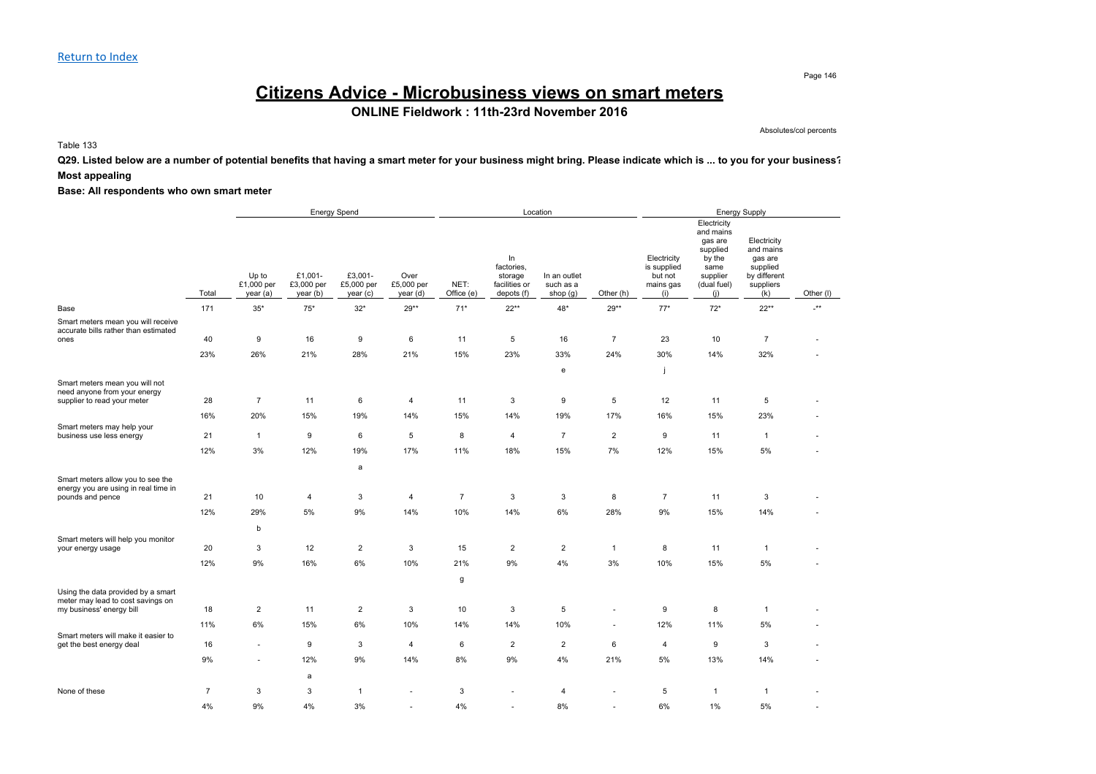# **Citizens Advice - Microbusiness views on smart meters**

**ONLINE Fieldwork : 11th-23rd November 2016**

Absolutes/col percents

Table 133

**Q29. Listed below are a number of potential benefits that having a smart meter for your business might bring. Please indicate which is ... to you for your business? Most appealing**

|                                                                                               |                | <b>Energy Spend</b>             |                                   |                                   |                                |                    |                                                            | Location                              |                |                                                           |                                                                                                     | <b>Energy Supply</b>                                                                |                 |
|-----------------------------------------------------------------------------------------------|----------------|---------------------------------|-----------------------------------|-----------------------------------|--------------------------------|--------------------|------------------------------------------------------------|---------------------------------------|----------------|-----------------------------------------------------------|-----------------------------------------------------------------------------------------------------|-------------------------------------------------------------------------------------|-----------------|
|                                                                                               | Total          | Up to<br>£1,000 per<br>year (a) | £1,001-<br>£3,000 per<br>year (b) | £3,001-<br>£5,000 per<br>year (c) | Over<br>£5,000 per<br>year (d) | NET:<br>Office (e) | In<br>factories,<br>storage<br>facilities or<br>depots (f) | In an outlet<br>such as a<br>shop (g) | Other (h)      | Electricity<br>is supplied<br>but not<br>mains gas<br>(i) | Electricity<br>and mains<br>gas are<br>supplied<br>by the<br>same<br>supplier<br>(dual fuel)<br>(i) | Electricity<br>and mains<br>gas are<br>supplied<br>by different<br>suppliers<br>(k) | Other (I)       |
| Base                                                                                          | 171            | $35*$                           | $75*$                             | $32*$                             | 29**                           | $71*$              | $22**$                                                     | $48*$                                 | $29**$         | $77*$                                                     | $72*$                                                                                               | $22**$                                                                              | $^{\star\star}$ |
| Smart meters mean you will receive<br>accurate bills rather than estimated                    |                |                                 |                                   |                                   |                                |                    |                                                            |                                       |                |                                                           |                                                                                                     |                                                                                     |                 |
| ones                                                                                          | 40             | 9                               | 16                                | 9                                 | 6                              | 11                 | 5                                                          | 16                                    | $\overline{7}$ | 23                                                        | 10                                                                                                  | $\overline{7}$                                                                      |                 |
|                                                                                               | 23%            | 26%                             | 21%                               | 28%                               | 21%                            | 15%                | 23%                                                        | 33%                                   | 24%            | 30%                                                       | 14%                                                                                                 | 32%                                                                                 |                 |
|                                                                                               |                |                                 |                                   |                                   |                                |                    |                                                            | e                                     |                |                                                           |                                                                                                     |                                                                                     |                 |
| Smart meters mean you will not<br>need anyone from your energy<br>supplier to read your meter | 28             | $\overline{7}$                  | 11                                | 6                                 | 4                              | 11                 | 3                                                          | 9                                     | 5              | 12                                                        | 11                                                                                                  | 5                                                                                   |                 |
|                                                                                               | 16%            | 20%                             | 15%                               | 19%                               | 14%                            | 15%                | 14%                                                        | 19%                                   | 17%            | 16%                                                       | 15%                                                                                                 | 23%                                                                                 |                 |
| Smart meters may help your                                                                    |                |                                 |                                   |                                   |                                |                    |                                                            |                                       |                |                                                           |                                                                                                     |                                                                                     |                 |
| business use less energy                                                                      | 21             | $\mathbf{1}$                    | 9                                 | 6                                 | 5                              | 8                  | $\overline{4}$                                             | $\overline{7}$                        | $\overline{2}$ | 9                                                         | 11                                                                                                  | $\mathbf{1}$                                                                        |                 |
|                                                                                               | 12%            | 3%                              | 12%                               | 19%                               | 17%                            | 11%                | 18%                                                        | 15%                                   | 7%             | 12%                                                       | 15%                                                                                                 | 5%                                                                                  |                 |
|                                                                                               |                |                                 |                                   | a                                 |                                |                    |                                                            |                                       |                |                                                           |                                                                                                     |                                                                                     |                 |
| Smart meters allow you to see the<br>energy you are using in real time in<br>pounds and pence | 21             | 10                              | $\overline{4}$                    | 3                                 | 4                              | $\overline{7}$     | 3                                                          | $\mathbf{3}$                          | 8              | $\overline{7}$                                            | 11                                                                                                  | 3                                                                                   |                 |
|                                                                                               | 12%            | 29%                             | $5\%$                             | 9%                                | 14%                            | 10%                | 14%                                                        | $6\%$                                 | 28%            | 9%                                                        | 15%                                                                                                 | 14%                                                                                 |                 |
|                                                                                               |                |                                 |                                   |                                   |                                |                    |                                                            |                                       |                |                                                           |                                                                                                     |                                                                                     |                 |
| Smart meters will help you monitor                                                            |                | b                               |                                   |                                   |                                |                    |                                                            |                                       |                |                                                           |                                                                                                     |                                                                                     |                 |
| your energy usage                                                                             | 20             | 3                               | 12                                | $\overline{2}$                    | 3                              | 15                 | $\overline{2}$                                             | $\overline{2}$                        | $\mathbf{1}$   | 8                                                         | 11                                                                                                  | $\mathbf{1}$                                                                        |                 |
|                                                                                               | 12%            | 9%                              | 16%                               | 6%                                | 10%                            | 21%                | 9%                                                         | 4%                                    | 3%             | 10%                                                       | 15%                                                                                                 | 5%                                                                                  |                 |
|                                                                                               |                |                                 |                                   |                                   |                                | g                  |                                                            |                                       |                |                                                           |                                                                                                     |                                                                                     |                 |
| Using the data provided by a smart<br>meter may lead to cost savings on                       |                |                                 |                                   |                                   |                                |                    |                                                            |                                       |                |                                                           |                                                                                                     |                                                                                     |                 |
| my business' energy bill                                                                      | 18             | $\overline{2}$                  | 11                                | $\overline{2}$                    | 3                              | 10                 | 3                                                          | 5                                     | $\sim$         | 9                                                         | 8                                                                                                   | $\mathbf{1}$                                                                        |                 |
|                                                                                               | 11%            | 6%                              | 15%                               | 6%                                | 10%                            | 14%                | 14%                                                        | 10%                                   | $\sim$         | 12%                                                       | 11%                                                                                                 | 5%                                                                                  |                 |
| Smart meters will make it easier to<br>get the best energy deal                               | 16             | ×.                              | 9                                 | 3                                 | $\overline{4}$                 | 6                  | $\overline{2}$                                             | $\overline{2}$                        | 6              | $\overline{4}$                                            | 9                                                                                                   | 3                                                                                   |                 |
|                                                                                               | 9%             | ÷,                              | 12%                               | 9%                                | 14%                            | 8%                 | 9%                                                         | 4%                                    | 21%            | 5%                                                        | 13%                                                                                                 | 14%                                                                                 |                 |
|                                                                                               |                |                                 | a                                 |                                   |                                |                    |                                                            |                                       |                |                                                           |                                                                                                     |                                                                                     |                 |
| None of these                                                                                 | $\overline{7}$ | 3                               | $\mathbf{3}$                      | $\mathbf{1}$                      |                                | $\mathsf 3$        |                                                            | $\overline{4}$                        |                | 5                                                         | $\mathbf{1}$                                                                                        | $\mathbf{1}$                                                                        |                 |
|                                                                                               | 4%             | 9%                              | 4%                                | 3%                                |                                | 4%                 |                                                            | 8%                                    |                | 6%                                                        | 1%                                                                                                  | 5%                                                                                  |                 |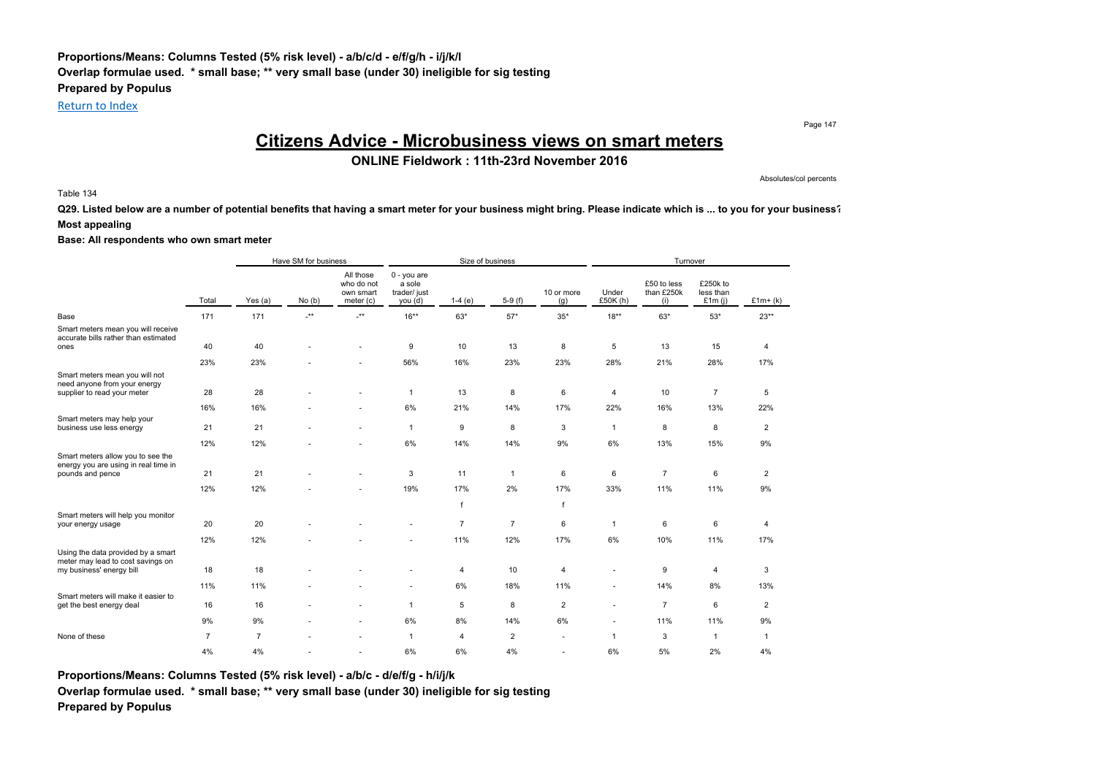### **Proportions/Means: Columns Tested (5% risk level) - a/b/c/d - e/f/g/h - i/j/k/l Overlap formulae used. \* small base; \*\* very small base (under 30) ineligible for sig testing Prepared by Populus**

Return to Index

Page 147

## **Citizens Advice - Microbusiness views on smart meters**

### **ONLINE Fieldwork : 11th-23rd November 2016**

Absolutes/col percents

#### Table 134

**Q29. Listed below are a number of potential benefits that having a smart meter for your business might bring. Please indicate which is ... to you for your business? Most appealing**

#### **Base: All respondents who own smart meter**

|                                                                                    |                | Have SM for business |                 |                                                   |                                                    |                | Size of business |                   |                   | Turnover                         |                                    |                |
|------------------------------------------------------------------------------------|----------------|----------------------|-----------------|---------------------------------------------------|----------------------------------------------------|----------------|------------------|-------------------|-------------------|----------------------------------|------------------------------------|----------------|
|                                                                                    | Total          | Yes (a)              | No(b)           | All those<br>who do not<br>own smart<br>meter (c) | $0 - you are$<br>a sole<br>trader/ just<br>you (d) | $1-4(e)$       | $5-9(f)$         | 10 or more<br>(g) | Under<br>£50K (h) | £50 to less<br>than £250k<br>(i) | £250k to<br>less than<br>£1 $m(j)$ | $£1m+(k)$      |
| Base                                                                               | 171            | 171                  | $^{\star\star}$ | $.**$                                             | $16***$                                            | $63*$          | $57*$            | $35*$             | $18***$           | $63*$                            | $53*$                              | $23**$         |
| Smart meters mean you will receive<br>accurate bills rather than estimated<br>ones | 40             | 40                   |                 |                                                   | 9                                                  | 10             | 13               | 8                 | 5                 | 13                               | 15                                 | 4              |
|                                                                                    | 23%            | 23%                  |                 |                                                   | 56%                                                | 16%            | 23%              | 23%               | 28%               | 21%                              | 28%                                | 17%            |
| Smart meters mean you will not<br>need anyone from your energy                     |                |                      |                 |                                                   |                                                    |                |                  |                   |                   |                                  |                                    |                |
| supplier to read your meter                                                        | 28             | 28                   |                 |                                                   | $\mathbf{1}$                                       | 13             | 8                | 6                 | 4                 | 10                               | $\overline{7}$                     | 5              |
|                                                                                    | 16%            | 16%                  |                 |                                                   | 6%                                                 | 21%            | 14%              | 17%               | 22%               | 16%                              | 13%                                | 22%            |
| Smart meters may help your<br>business use less energy                             | 21             | 21                   |                 |                                                   | $\mathbf{1}$                                       | 9              | 8                | 3                 | $\mathbf{1}$      | 8                                | 8                                  | $\overline{c}$ |
|                                                                                    | 12%            | 12%                  |                 |                                                   | 6%                                                 | 14%            | 14%              | 9%                | 6%                | 13%                              | 15%                                | 9%             |
| Smart meters allow you to see the<br>energy you are using in real time in          |                |                      |                 |                                                   |                                                    |                |                  |                   |                   |                                  |                                    |                |
| pounds and pence                                                                   | 21             | 21                   |                 |                                                   | 3                                                  | 11             | $\mathbf{1}$     | 6                 | 6                 | $\overline{7}$                   | 6                                  | $\overline{2}$ |
|                                                                                    | 12%            | 12%                  |                 |                                                   | 19%                                                | 17%            | 2%               | 17%               | 33%               | 11%                              | 11%                                | 9%             |
|                                                                                    |                |                      |                 |                                                   |                                                    | $\mathsf{f}$   |                  | f                 |                   |                                  |                                    |                |
| Smart meters will help you monitor<br>your energy usage                            | 20             | 20                   |                 |                                                   |                                                    | $\overline{7}$ | $\overline{7}$   | 6                 | $\mathbf{1}$      | 6                                | 6                                  | 4              |
|                                                                                    | 12%            | 12%                  |                 |                                                   |                                                    | 11%            | 12%              | 17%               | 6%                | 10%                              | 11%                                | 17%            |
| Using the data provided by a smart<br>meter may lead to cost savings on            | 18             | 18                   |                 |                                                   |                                                    |                | 10               |                   | ÷                 |                                  | 4                                  | 3              |
| my business' energy bill                                                           |                |                      |                 |                                                   |                                                    | 4              |                  | 4                 |                   | 9                                |                                    |                |
| Smart meters will make it easier to                                                | 11%            | 11%                  |                 |                                                   | ٠                                                  | 6%             | 18%              | 11%               | ٠                 | 14%                              | 8%                                 | 13%            |
| get the best energy deal                                                           | 16             | 16                   |                 | ٠                                                 | $\mathbf{1}$                                       | 5              | 8                | $\overline{2}$    | ٠                 | $\overline{7}$                   | 6                                  | $\overline{2}$ |
|                                                                                    | 9%             | 9%                   |                 |                                                   | 6%                                                 | 8%             | 14%              | 6%                | ٠                 | 11%                              | 11%                                | 9%             |
| None of these                                                                      | $\overline{7}$ | $\overline{7}$       |                 |                                                   | $\overline{1}$                                     | $\overline{4}$ | $\overline{2}$   |                   | $\mathbf{1}$      | 3                                | $\mathbf{1}$                       | $\mathbf{1}$   |
|                                                                                    | 4%             | 4%                   |                 |                                                   | 6%                                                 | 6%             | 4%               |                   | 6%                | 5%                               | 2%                                 | 4%             |

**Proportions/Means: Columns Tested (5% risk level) - a/b/c - d/e/f/g - h/i/j/k**

**Overlap formulae used. \* small base; \*\* very small base (under 30) ineligible for sig testing Prepared by Populus**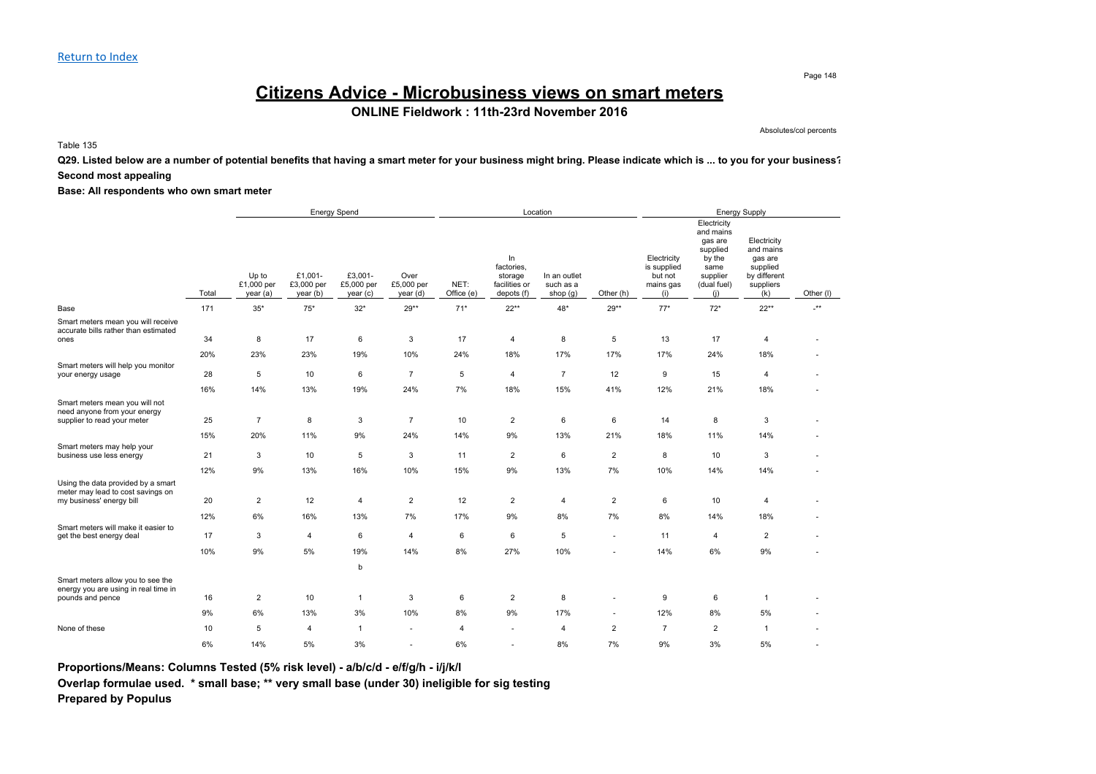# **Citizens Advice - Microbusiness views on smart meters**

**ONLINE Fieldwork : 11th-23rd November 2016**

Absolutes/col percents

Table 135

**Q29. Listed below are a number of potential benefits that having a smart meter for your business might bring. Please indicate which is ... to you for your business? Second most appealing**

**Base: All respondents who own smart meter**

|                                                                                                     |           |                                 |                                   | <b>Energy Spend</b>               |                                |                    |                                                            | Location                                |                          |                                                           |                                                                                                     | Energy Supply                                                                       |            |
|-----------------------------------------------------------------------------------------------------|-----------|---------------------------------|-----------------------------------|-----------------------------------|--------------------------------|--------------------|------------------------------------------------------------|-----------------------------------------|--------------------------|-----------------------------------------------------------|-----------------------------------------------------------------------------------------------------|-------------------------------------------------------------------------------------|------------|
|                                                                                                     | Total     | Up to<br>£1,000 per<br>year (a) | £1,001-<br>£3,000 per<br>year (b) | £3,001-<br>£5,000 per<br>year (c) | Over<br>£5,000 per<br>year (d) | NET:<br>Office (e) | In<br>factories,<br>storage<br>facilities or<br>depots (f) | In an outlet<br>such as a<br>shop $(g)$ | Other (h)                | Electricity<br>is supplied<br>but not<br>mains gas<br>(i) | Electricity<br>and mains<br>gas are<br>supplied<br>by the<br>same<br>supplier<br>(dual fuel)<br>(i) | Electricity<br>and mains<br>gas are<br>supplied<br>by different<br>suppliers<br>(k) | Other (I)  |
| Base                                                                                                | 171       | $35*$                           | $75^{\star}$                      | $32*$                             | $29**$                         | $71*$              | $22**$                                                     | 48*                                     | $29**$                   | $77*$                                                     | $72*$                                                                                               | $22**$                                                                              | $\cdot$ ** |
| Smart meters mean you will receive<br>accurate bills rather than estimated<br>ones                  | 34        | 8                               | 17                                | 6                                 | 3                              | 17                 | 4                                                          | 8                                       | 5                        | 13                                                        | 17                                                                                                  | $\overline{4}$                                                                      |            |
| Smart meters will help you monitor                                                                  | 20%       | 23%                             | 23%                               | 19%                               | 10%                            | 24%                | 18%                                                        | 17%                                     | 17%                      | 17%                                                       | 24%                                                                                                 | 18%                                                                                 |            |
| your energy usage                                                                                   | 28        | 5                               | 10                                | 6                                 | $\overline{7}$                 | 5                  | 4                                                          | $\overline{7}$                          | 12                       | 9                                                         | 15                                                                                                  | $\overline{4}$                                                                      |            |
|                                                                                                     | 16%       | 14%                             | 13%                               | 19%                               | 24%                            | 7%                 | 18%                                                        | 15%                                     | 41%                      | 12%                                                       | 21%                                                                                                 | 18%                                                                                 |            |
| Smart meters mean you will not<br>need anyone from your energy<br>supplier to read your meter       | 25        | $\overline{7}$                  | 8                                 | 3                                 | $\overline{7}$                 | 10                 | $\overline{2}$                                             | 6                                       | 6                        | 14                                                        | 8                                                                                                   | 3                                                                                   |            |
|                                                                                                     | 15%       | 20%                             | 11%                               | 9%                                | 24%                            | 14%                | 9%                                                         | 13%                                     | 21%                      | 18%                                                       | 11%                                                                                                 | 14%                                                                                 |            |
| Smart meters may help your<br>business use less energy                                              | 21        | 3                               | 10                                | 5                                 | 3                              | 11                 | $\overline{c}$                                             | 6                                       | $\overline{2}$           | 8                                                         | 10                                                                                                  | 3                                                                                   |            |
|                                                                                                     | 12%       | 9%                              | 13%                               | 16%                               | 10%                            | 15%                | 9%                                                         | 13%                                     | 7%                       | 10%                                                       | 14%                                                                                                 | 14%                                                                                 |            |
| Using the data provided by a smart<br>meter may lead to cost savings on<br>my business' energy bill | 20<br>12% | $\overline{2}$<br>6%            | 12<br>16%                         | 4<br>13%                          | 2<br>7%                        | 12<br>17%          | $\overline{2}$<br>9%                                       | 4<br>8%                                 | $\overline{2}$<br>7%     | 6<br>8%                                                   | 10<br>14%                                                                                           | $\overline{4}$<br>18%                                                               |            |
| Smart meters will make it easier to                                                                 |           |                                 |                                   |                                   |                                |                    |                                                            |                                         |                          |                                                           |                                                                                                     |                                                                                     |            |
| get the best energy deal                                                                            | 17        | 3                               | $\overline{4}$                    | 6                                 | 4                              | 6                  | 6                                                          | 5                                       | $\overline{\phantom{a}}$ | 11                                                        | 4                                                                                                   | $\overline{2}$                                                                      |            |
|                                                                                                     | 10%       | 9%                              | 5%                                | 19%                               | 14%                            | 8%                 | 27%                                                        | 10%                                     | ÷                        | 14%                                                       | 6%                                                                                                  | 9%                                                                                  |            |
|                                                                                                     |           |                                 |                                   | b                                 |                                |                    |                                                            |                                         |                          |                                                           |                                                                                                     |                                                                                     |            |
| Smart meters allow you to see the<br>energy you are using in real time in<br>pounds and pence       | 16        | $\overline{2}$                  | 10                                | $\mathbf{1}$                      | 3                              | 6                  | $\overline{2}$                                             | 8                                       |                          | 9                                                         | 6                                                                                                   | $\overline{1}$                                                                      |            |
|                                                                                                     | 9%        | 6%                              | 13%                               | 3%                                | 10%                            | 8%                 | 9%                                                         | 17%                                     | $\mathbf{r}$             | 12%                                                       | 8%                                                                                                  | 5%                                                                                  |            |
| None of these                                                                                       | 10        | 5                               | $\overline{4}$                    | $\mathbf{1}$                      |                                | $\overline{4}$     |                                                            | $\overline{4}$                          | $\overline{2}$           | $\overline{7}$                                            | $\overline{2}$                                                                                      | $\overline{1}$                                                                      |            |
|                                                                                                     | 6%        | 14%                             | 5%                                | 3%                                |                                | 6%                 |                                                            | 8%                                      | 7%                       | 9%                                                        | 3%                                                                                                  | 5%                                                                                  |            |

**Proportions/Means: Columns Tested (5% risk level) - a/b/c/d - e/f/g/h - i/j/k/l**

**Overlap formulae used. \* small base; \*\* very small base (under 30) ineligible for sig testing Prepared by Populus**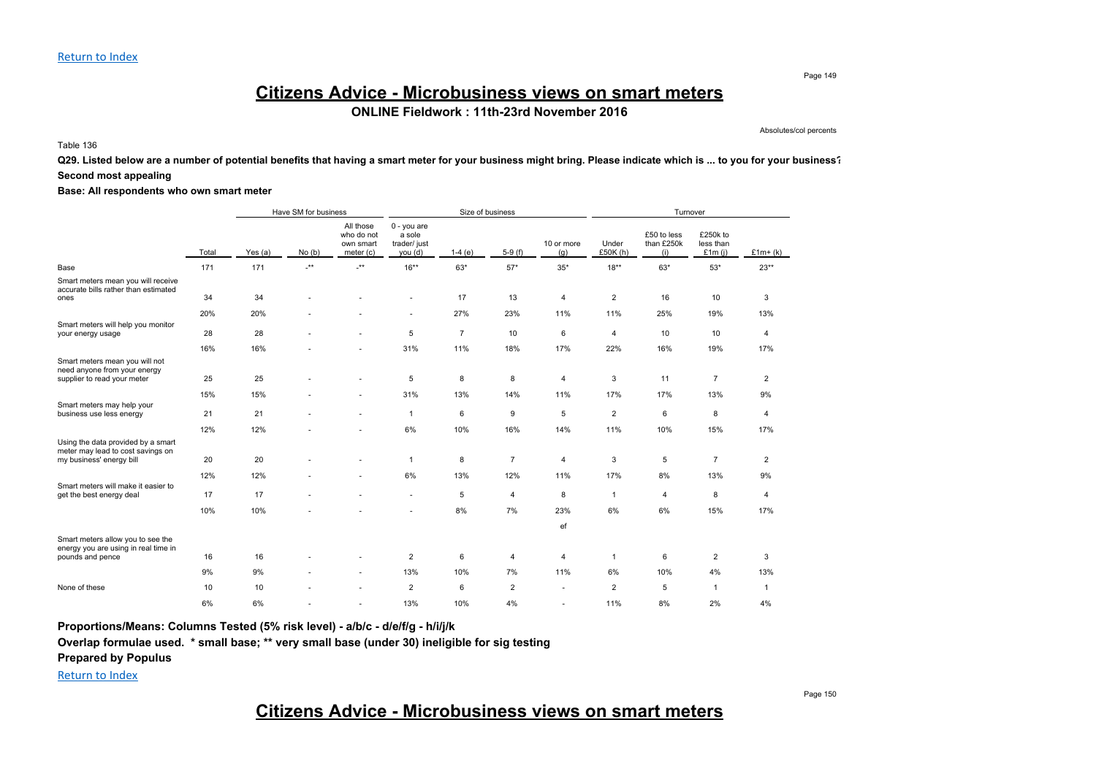# **Citizens Advice - Microbusiness views on smart meters**

**ONLINE Fieldwork : 11th-23rd November 2016**

Absolutes/col percents

Table 136

**Q29. Listed below are a number of potential benefits that having a smart meter for your business might bring. Please indicate which is ... to you for your business? Second most appealing**

**Base: All respondents who own smart meter**

|                                                                                                     |       | Have SM for business |                      |                                                     |                                                    |                | Size of business |                   |                   | Turnover                         |                                    |                |
|-----------------------------------------------------------------------------------------------------|-------|----------------------|----------------------|-----------------------------------------------------|----------------------------------------------------|----------------|------------------|-------------------|-------------------|----------------------------------|------------------------------------|----------------|
|                                                                                                     | Total | Yes (a)              | No(b)                | All those<br>who do not<br>own smart<br>meter $(c)$ | $0 - you are$<br>a sole<br>trader/ just<br>you (d) | $1-4(e)$       | $5-9(f)$         | 10 or more<br>(g) | Under<br>£50K (h) | £50 to less<br>than £250k<br>(i) | £250k to<br>less than<br>£1 $m(i)$ | $£1m+(k)$      |
| Base                                                                                                | 171   | 171                  | $\cdot^{\star\star}$ | $\cdot^{\star\star}$                                | $16***$                                            | $63*$          | $57*$            | $35*$             | $18***$           | $63*$                            | $53*$                              | $23**$         |
| Smart meters mean you will receive<br>accurate bills rather than estimated<br>ones                  | 34    | 34                   |                      |                                                     |                                                    | 17             | 13               | $\overline{4}$    | $\overline{2}$    | 16                               | 10                                 | 3              |
|                                                                                                     | 20%   | 20%                  |                      |                                                     | ٠                                                  | 27%            | 23%              | 11%               | 11%               | 25%                              | 19%                                | 13%            |
| Smart meters will help you monitor<br>your energy usage                                             | 28    | 28                   |                      |                                                     | 5                                                  | $\overline{7}$ | 10               | 6                 | $\overline{4}$    | 10                               | 10                                 | 4              |
|                                                                                                     | 16%   | 16%                  |                      |                                                     | 31%                                                | 11%            | 18%              | 17%               | 22%               | 16%                              | 19%                                | 17%            |
| Smart meters mean you will not<br>need anyone from your energy<br>supplier to read your meter       | 25    | 25                   |                      |                                                     | 5                                                  | 8              | 8                | 4                 | 3                 | 11                               | $\overline{7}$                     | 2              |
|                                                                                                     |       |                      |                      |                                                     |                                                    |                |                  |                   |                   |                                  |                                    |                |
| Smart meters may help your                                                                          | 15%   | 15%                  |                      |                                                     | 31%                                                | 13%            | 14%              | 11%               | 17%               | 17%                              | 13%                                | 9%             |
| business use less energy                                                                            | 21    | 21                   |                      | ÷.                                                  | $\mathbf{1}$                                       | 6              | 9                | 5                 | $\overline{2}$    | 6                                | 8                                  | 4              |
|                                                                                                     | 12%   | 12%                  |                      |                                                     | 6%                                                 | 10%            | 16%              | 14%               | 11%               | 10%                              | 15%                                | 17%            |
| Using the data provided by a smart<br>meter may lead to cost savings on<br>my business' energy bill | 20    | 20                   |                      | ٠                                                   | 1                                                  | 8              | $\overline{7}$   | 4                 | 3                 | 5                                | $\overline{7}$                     | $\overline{2}$ |
|                                                                                                     | 12%   | 12%                  |                      |                                                     | 6%                                                 | 13%            | 12%              | 11%               | 17%               | 8%                               | 13%                                | 9%             |
| Smart meters will make it easier to                                                                 |       |                      |                      |                                                     |                                                    |                |                  |                   |                   |                                  |                                    |                |
| get the best energy deal                                                                            | 17    | 17                   |                      |                                                     |                                                    | 5              | 4                | 8                 | $\overline{1}$    | 4                                | 8                                  | 4              |
|                                                                                                     | 10%   | 10%                  |                      |                                                     | ٠                                                  | 8%             | 7%               | 23%               | 6%                | 6%                               | 15%                                | 17%            |
|                                                                                                     |       |                      |                      |                                                     |                                                    |                |                  | ef                |                   |                                  |                                    |                |
| Smart meters allow you to see the<br>energy you are using in real time in                           |       |                      |                      |                                                     |                                                    |                |                  |                   |                   |                                  |                                    |                |
| pounds and pence                                                                                    | 16    | 16                   |                      | ä,                                                  | 2                                                  | 6              | 4                | 4                 | $\overline{1}$    | 6                                | $\overline{2}$                     | 3              |
|                                                                                                     | 9%    | 9%                   |                      | ٠                                                   | 13%                                                | 10%            | 7%               | 11%               | 6%                | 10%                              | 4%                                 | 13%            |
| None of these                                                                                       | 10    | 10                   |                      |                                                     | $\overline{c}$                                     | 6              | $\overline{2}$   |                   | $\overline{2}$    | 5                                | $\mathbf{1}$                       | $\mathbf{1}$   |
|                                                                                                     | 6%    | 6%                   |                      |                                                     | 13%                                                | 10%            | 4%               |                   | 11%               | 8%                               | 2%                                 | 4%             |

**Proportions/Means: Columns Tested (5% risk level) - a/b/c - d/e/f/g - h/i/j/k**

**Overlap formulae used. \* small base; \*\* very small base (under 30) ineligible for sig testing**

**Prepared by Populus**

Return to Index

# **Citizens Advice - Microbusiness views on smart meters**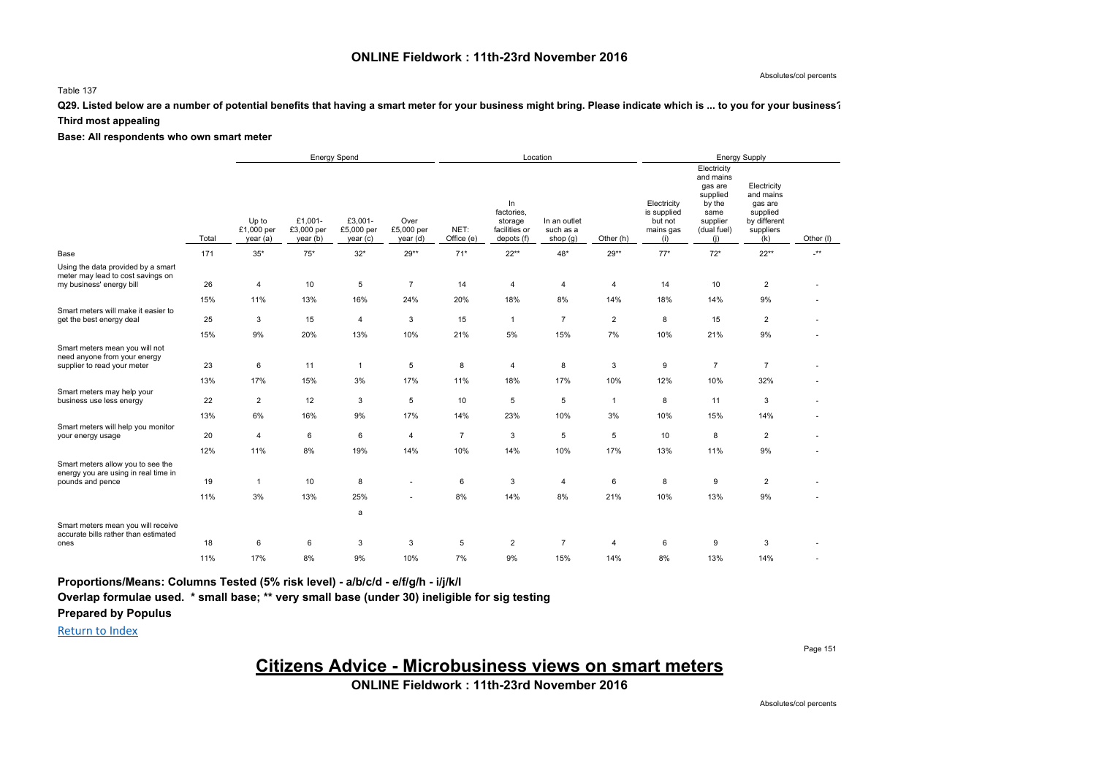### **ONLINE Fieldwork : 11th-23rd November 2016**

#### Absolutes/col percents

#### Table 137

### **Q29. Listed below are a number of potential benefits that having a smart meter for your business might bring. Please indicate which is ... to you for your business?**

#### **Third most appealing**

### **Base: All respondents who own smart meter**

|                                                                                                     |           |                                | <b>Energy Spend</b>               |                                   |                                |                    |                                                            | Location                              |                     |                                                           |                                                                                                     | <b>Energy Supply</b>                                                                |            |
|-----------------------------------------------------------------------------------------------------|-----------|--------------------------------|-----------------------------------|-----------------------------------|--------------------------------|--------------------|------------------------------------------------------------|---------------------------------------|---------------------|-----------------------------------------------------------|-----------------------------------------------------------------------------------------------------|-------------------------------------------------------------------------------------|------------|
|                                                                                                     | Total     | Up to<br>£1,000 per<br>year(a) | £1,001-<br>£3,000 per<br>year (b) | £3,001-<br>£5,000 per<br>year (c) | Over<br>£5,000 per<br>year (d) | NET:<br>Office (e) | In<br>factories,<br>storage<br>facilities or<br>depots (f) | In an outlet<br>such as a<br>shop (g) | Other (h)           | Electricity<br>is supplied<br>but not<br>mains gas<br>(i) | Electricity<br>and mains<br>gas are<br>supplied<br>by the<br>same<br>supplier<br>(dual fuel)<br>(i) | Electricity<br>and mains<br>gas are<br>supplied<br>by different<br>suppliers<br>(k) | Other (I)  |
| Base                                                                                                | 171       | $35*$                          | $75*$                             | $32*$                             | $29**$                         | $71*$              | $22***$                                                    | 48*                                   | $29**$              | $77*$                                                     | $72*$                                                                                               | $22**$                                                                              | $\cdot$ ** |
| Using the data provided by a smart<br>meter may lead to cost savings on<br>my business' energy bill | 26        | $\overline{4}$                 | 10                                | 5                                 | $\overline{7}$                 | 14                 | $\overline{4}$                                             | 4                                     | $\overline{4}$      | 14                                                        | 10                                                                                                  | $\overline{2}$                                                                      |            |
|                                                                                                     | 15%       | 11%                            | 13%                               | 16%                               | 24%                            | 20%                | 18%                                                        | 8%                                    | 14%                 | 18%                                                       | 14%                                                                                                 | 9%                                                                                  |            |
| Smart meters will make it easier to<br>get the best energy deal                                     | 25        | 3                              | 15                                | 4                                 | 3                              | 15                 | $\mathbf{1}$                                               | $\overline{7}$                        | $\overline{2}$      | 8                                                         | 15                                                                                                  | $\overline{2}$                                                                      |            |
|                                                                                                     | 15%       | 9%                             | 20%                               | 13%                               | 10%                            | 21%                | 5%                                                         | 15%                                   | 7%                  | 10%                                                       | 21%                                                                                                 | $9\%$                                                                               |            |
| Smart meters mean you will not<br>need anyone from your energy<br>supplier to read your meter       | 23        | 6                              | 11                                | $\overline{1}$                    | 5                              | 8                  | $\overline{4}$                                             | 8                                     | $\mathbf{3}$        | 9                                                         | $\overline{7}$                                                                                      | $\overline{7}$                                                                      |            |
| Smart meters may help your<br>business use less energy                                              | 13%<br>22 | 17%<br>$\overline{2}$          | 15%<br>12                         | 3%<br>3                           | 17%<br>5                       | 11%<br>10          | 18%<br>5                                                   | 17%<br>5                              | 10%<br>$\mathbf{1}$ | 12%<br>8                                                  | 10%<br>11                                                                                           | 32%<br>3                                                                            |            |
|                                                                                                     | 13%       | 6%                             | 16%                               | 9%                                | 17%                            | 14%                | 23%                                                        | 10%                                   | 3%                  | 10%                                                       | 15%                                                                                                 | 14%                                                                                 |            |
| Smart meters will help you monitor<br>your energy usage                                             | 20        | $\overline{4}$                 | 6                                 | 6                                 | $\overline{4}$                 | $\overline{7}$     | 3                                                          | 5                                     | 5                   | 10                                                        | 8                                                                                                   | $\overline{2}$                                                                      |            |
|                                                                                                     | 12%       | 11%                            | 8%                                | 19%                               | 14%                            | 10%                | 14%                                                        | 10%                                   | 17%                 | 13%                                                       | 11%                                                                                                 | 9%                                                                                  |            |
| Smart meters allow you to see the<br>energy you are using in real time in<br>pounds and pence       | 19        | $\mathbf{1}$                   | 10                                | 8                                 |                                | 6                  | 3                                                          | 4                                     | 6                   | 8                                                         | 9                                                                                                   | $\overline{2}$                                                                      |            |
|                                                                                                     | 11%       | 3%                             | 13%                               | 25%                               |                                | 8%                 | 14%                                                        | 8%                                    | 21%                 | 10%                                                       | 13%                                                                                                 | 9%                                                                                  |            |
| Smart meters mean you will receive<br>accurate bills rather than estimated                          |           |                                |                                   | a                                 |                                |                    |                                                            |                                       |                     |                                                           |                                                                                                     |                                                                                     |            |
| ones                                                                                                | 18        | 6                              | 6                                 | 3                                 | 3                              | 5                  | $\overline{2}$                                             | $\overline{7}$                        | $\overline{4}$      | 6                                                         | 9                                                                                                   | 3                                                                                   |            |
|                                                                                                     | 11%       | 17%                            | 8%                                | 9%                                | 10%                            | 7%                 | 9%                                                         | 15%                                   | 14%                 | 8%                                                        | 13%                                                                                                 | 14%                                                                                 |            |

**Proportions/Means: Columns Tested (5% risk level) - a/b/c/d - e/f/g/h - i/j/k/l**

**Overlap formulae used. \* small base; \*\* very small base (under 30) ineligible for sig testing**

### **Prepared by Populus**

Return to Index

Page 151

### **Citizens Advice - Microbusiness views on smart meters**

**ONLINE Fieldwork : 11th-23rd November 2016**

Absolutes/col percents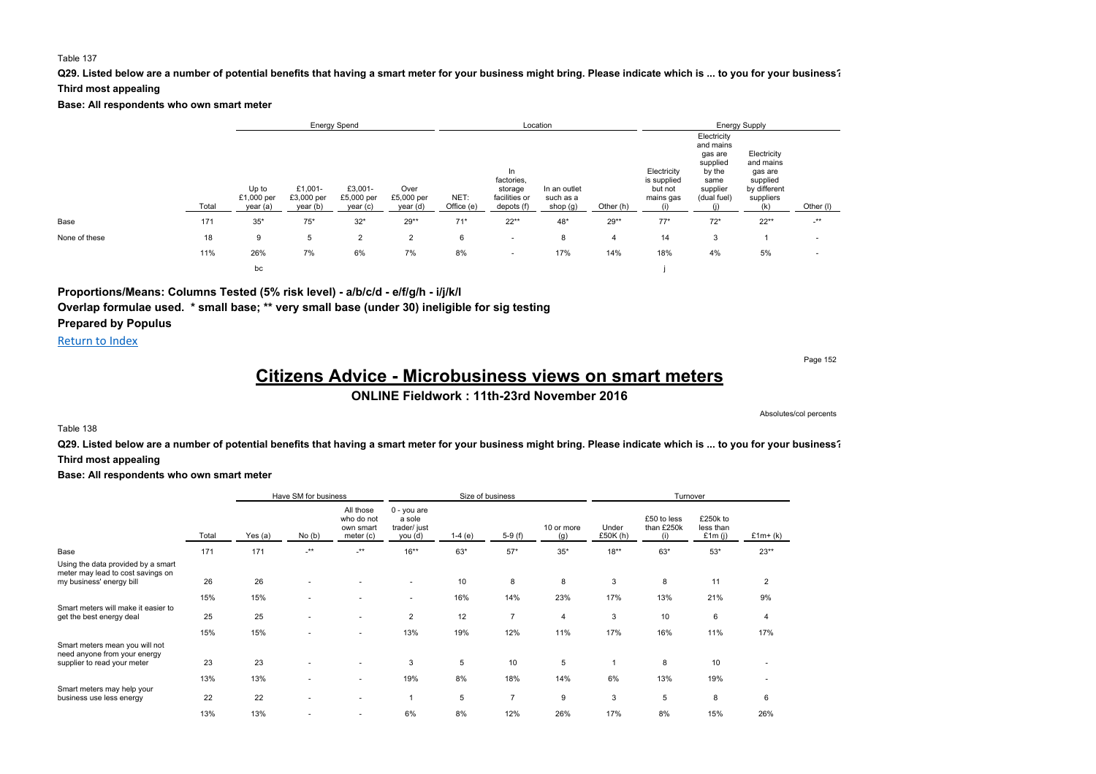#### **Q29. Listed below are a number of potential benefits that having a smart meter for your business might bring. Please indicate which is ... to you for your business?**

#### **Third most appealing**

**Base: All respondents who own smart meter**

|               |       |                                 |                                   | <b>Energy Spend</b>               |                                |                    |                                                            | Location                              |           |                                                    |                                                                                              | <b>Energy Supply</b>                                                                |           |  |
|---------------|-------|---------------------------------|-----------------------------------|-----------------------------------|--------------------------------|--------------------|------------------------------------------------------------|---------------------------------------|-----------|----------------------------------------------------|----------------------------------------------------------------------------------------------|-------------------------------------------------------------------------------------|-----------|--|
|               | Total | Up to<br>£1,000 per<br>year (a) | £1,001-<br>£3,000 per<br>year (b) | £3,001-<br>£5,000 per<br>year (c) | Over<br>£5,000 per<br>year (d) | NET:<br>Office (e) | In<br>factories,<br>storage<br>facilities or<br>depots (f) | In an outlet<br>such as a<br>shop (g) | Other (h) | Electricity<br>is supplied<br>but not<br>mains gas | Electricity<br>and mains<br>gas are<br>supplied<br>by the<br>same<br>supplier<br>(dual fuel) | Electricity<br>and mains<br>gas are<br>supplied<br>by different<br>suppliers<br>(k) | Other (I) |  |
| Base          | 171   | $35*$                           | $75*$                             | $32*$                             | $29**$                         | $71*$              | $22**$                                                     | 48*                                   | $29**$    | $77*$                                              | $72*$                                                                                        | $22**$                                                                              | $-***$    |  |
| None of these | 18    | 9                               | 5                                 | $\overline{2}$                    | $\overline{2}$                 | 6                  | $\overline{\phantom{a}}$                                   | 8                                     | 4         | 14                                                 | 3                                                                                            |                                                                                     |           |  |
|               | 11%   | 26%                             | 7%                                | 6%                                | 7%                             | 8%                 | $\overline{\phantom{a}}$                                   | 17%                                   | 14%       | 18%                                                | 4%                                                                                           | 5%                                                                                  |           |  |
|               |       | bc                              |                                   |                                   |                                |                    |                                                            |                                       |           |                                                    |                                                                                              |                                                                                     |           |  |

### **Proportions/Means: Columns Tested (5% risk level) - a/b/c/d - e/f/g/h - i/j/k/l**

**Overlap formulae used. \* small base; \*\* very small base (under 30) ineligible for sig testing**

**Prepared by Populus**

### Return to Index

Page 152

# **Citizens Advice - Microbusiness views on smart meters**

**ONLINE Fieldwork : 11th-23rd November 2016**

Absolutes/col percents

#### Table 138

**Q29. Listed below are a number of potential benefits that having a smart meter for your business might bring. Please indicate which is ... to you for your business?**

#### **Third most appealing**

|                                                                                                     |       | Size of business<br>Have SM for business |                      |                                                   |                                                  |          |                |                   | Turnover          |                                  |                                    |                |
|-----------------------------------------------------------------------------------------------------|-------|------------------------------------------|----------------------|---------------------------------------------------|--------------------------------------------------|----------|----------------|-------------------|-------------------|----------------------------------|------------------------------------|----------------|
|                                                                                                     | Total | Yes (a)                                  | No(b)                | All those<br>who do not<br>own smart<br>meter (c) | 0 - you are<br>a sole<br>trader/ just<br>you (d) | $1-4(e)$ | $5-9(f)$       | 10 or more<br>(g) | Under<br>£50K (h) | £50 to less<br>than £250k<br>(i) | £250k to<br>less than<br>£1 $m(i)$ | $£1m+(k)$      |
| Base                                                                                                | 171   | 171                                      | $\cdot^{\star\star}$ | $\cdot^{\star\star}$                              | $16***$                                          | 63*      | $57*$          | $35^{\ast}$       | $18***$           | $63*$                            | $53*$                              | $23**$         |
| Using the data provided by a smart<br>meter may lead to cost savings on<br>my business' energy bill | 26    | 26                                       |                      |                                                   | ٠                                                | 10       | 8              | 8                 | 3                 | 8                                | 11                                 | $\overline{2}$ |
|                                                                                                     | 15%   | 15%                                      |                      |                                                   | $\overline{\phantom{a}}$                         | 16%      | 14%            | 23%               | 17%               | 13%                              | 21%                                | 9%             |
| Smart meters will make it easier to<br>get the best energy deal                                     | 25    | 25                                       |                      | $\overline{\phantom{a}}$                          | $\overline{2}$                                   | 12       | $\overline{7}$ | $\overline{4}$    | 3                 | 10                               | 6                                  | 4              |
|                                                                                                     | 15%   | 15%                                      |                      |                                                   | 13%                                              | 19%      | 12%            | 11%               | 17%               | 16%                              | 11%                                | 17%            |
| Smart meters mean you will not<br>need anyone from your energy<br>supplier to read your meter       | 23    | 23                                       |                      |                                                   | 3                                                | 5        | 10             | 5                 | 1                 | 8                                | 10                                 |                |
| Smart meters may help your                                                                          | 13%   | 13%                                      |                      | $\sim$                                            | 19%                                              | 8%       | 18%            | 14%               | 6%                | 13%                              | 19%                                | $\sim$         |
| business use less energy                                                                            | 22    | 22                                       |                      | ٠                                                 | 1                                                | 5        | $\overline{7}$ | 9                 | 3                 | 5                                | 8                                  | 6              |
|                                                                                                     | 13%   | 13%                                      |                      | $\overline{\phantom{a}}$                          | 6%                                               | 8%       | 12%            | 26%               | 17%               | 8%                               | 15%                                | 26%            |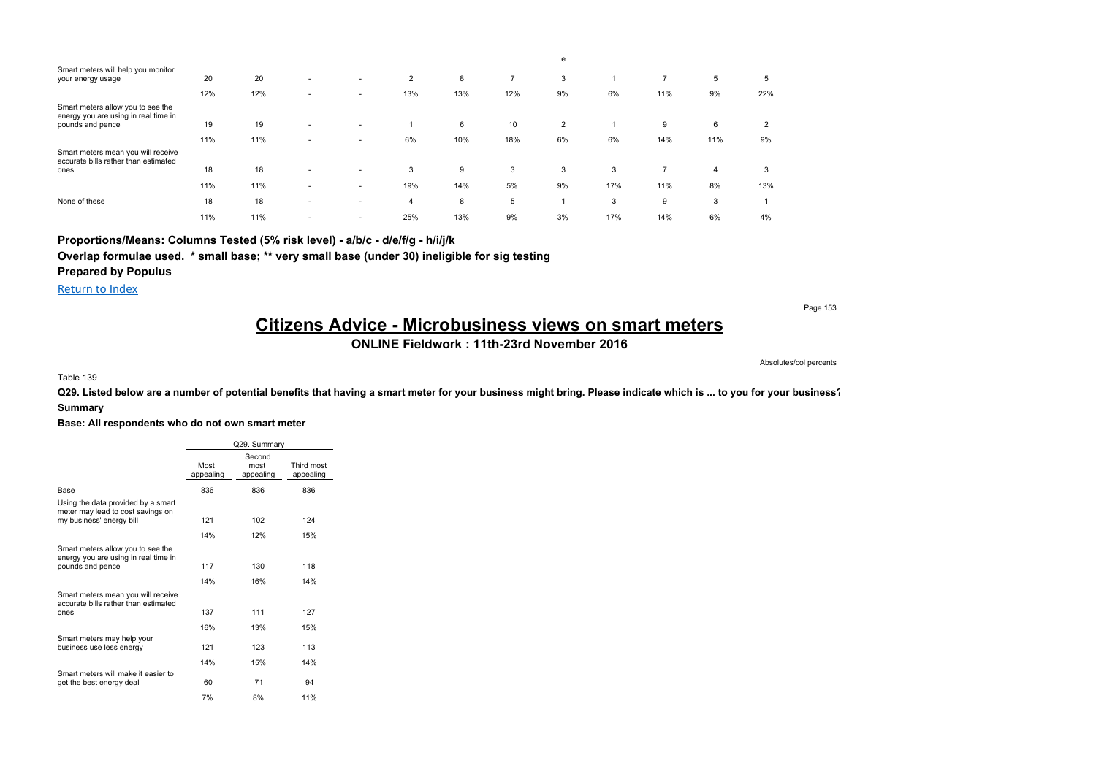|                                                                            |     |     |                          |                          |                |     |                | e              |     |                |     |     |
|----------------------------------------------------------------------------|-----|-----|--------------------------|--------------------------|----------------|-----|----------------|----------------|-----|----------------|-----|-----|
| Smart meters will help you monitor<br>your energy usage                    | 20  | 20  | $\overline{\phantom{a}}$ | $\overline{\phantom{a}}$ | $\overline{2}$ | 8   | $\overline{ }$ | 3              |     | $\overline{7}$ | 5   | 5   |
|                                                                            | 12% | 12% | $\overline{\phantom{a}}$ | $\overline{\phantom{a}}$ | 13%            | 13% | 12%            | 9%             | 6%  | 11%            | 9%  | 22% |
| Smart meters allow you to see the<br>energy you are using in real time in  |     |     |                          |                          |                |     |                |                |     |                |     |     |
| pounds and pence                                                           | 19  | 19  | $\overline{\phantom{a}}$ | $\overline{\phantom{a}}$ |                | 6   | 10             | $\overline{2}$ |     | 9              | 6   | 2   |
|                                                                            | 11% | 11% | ٠                        | $\overline{\phantom{a}}$ | 6%             | 10% | 18%            | 6%             | 6%  | 14%            | 11% | 9%  |
| Smart meters mean you will receive<br>accurate bills rather than estimated |     |     |                          |                          |                |     |                |                |     |                |     |     |
| ones                                                                       | 18  | 18  | $\overline{\phantom{a}}$ |                          | 3              | 9   | 3              | 3              | 3   |                | 4   | 3   |
|                                                                            | 11% | 11% | $\overline{\phantom{a}}$ | $\overline{\phantom{a}}$ | 19%            | 14% | 5%             | 9%             | 17% | 11%            | 8%  | 13% |
| None of these                                                              | 18  | 18  | $\overline{\phantom{a}}$ |                          | 4              | 8   | 5              |                | 3   | 9              | 3   |     |
|                                                                            | 11% | 11% |                          |                          | 25%            | 13% | 9%             | 3%             | 17% | 14%            | 6%  | 4%  |

**Proportions/Means: Columns Tested (5% risk level) - a/b/c - d/e/f/g - h/i/j/k**

**Overlap formulae used. \* small base; \*\* very small base (under 30) ineligible for sig testing**

**Prepared by Populus**

Return to Index

**Citizens Advice - Microbusiness views on smart meters**

**ONLINE Fieldwork : 11th-23rd November 2016**

Absolutes/col percents

Table 139

**Q29. Listed below are a number of potential benefits that having a smart meter for your business might bring. Please indicate which is ... to you for your business? Summary**

**Base: All respondents who do not own smart meter**

|                                                                                                     |                   | Q29. Summarv                |                         |
|-----------------------------------------------------------------------------------------------------|-------------------|-----------------------------|-------------------------|
|                                                                                                     | Most<br>appealing | Second<br>most<br>appealing | Third most<br>appealing |
| Base                                                                                                | 836               | 836                         | 836                     |
| Using the data provided by a smart<br>meter may lead to cost savings on<br>my business' energy bill | 121               | 102                         | 124                     |
|                                                                                                     | 14%               | 12%                         | 15%                     |
| Smart meters allow you to see the<br>energy you are using in real time in<br>pounds and pence       | 117<br>14%        | 130<br>16%                  | 118<br>14%              |
| Smart meters mean you will receive<br>accurate bills rather than estimated                          |                   |                             |                         |
| ones                                                                                                | 137               | 111                         | 127                     |
|                                                                                                     | 16%               | 13%                         | 15%                     |
| Smart meters may help your<br>business use less energy                                              | 121               | 123                         | 113                     |
|                                                                                                     | 14%               | 15%                         | 14%                     |
| Smart meters will make it easier to<br>get the best energy deal                                     | 60                | 71                          | 94                      |
|                                                                                                     | 7%                | 8%                          | 11%                     |

Page 153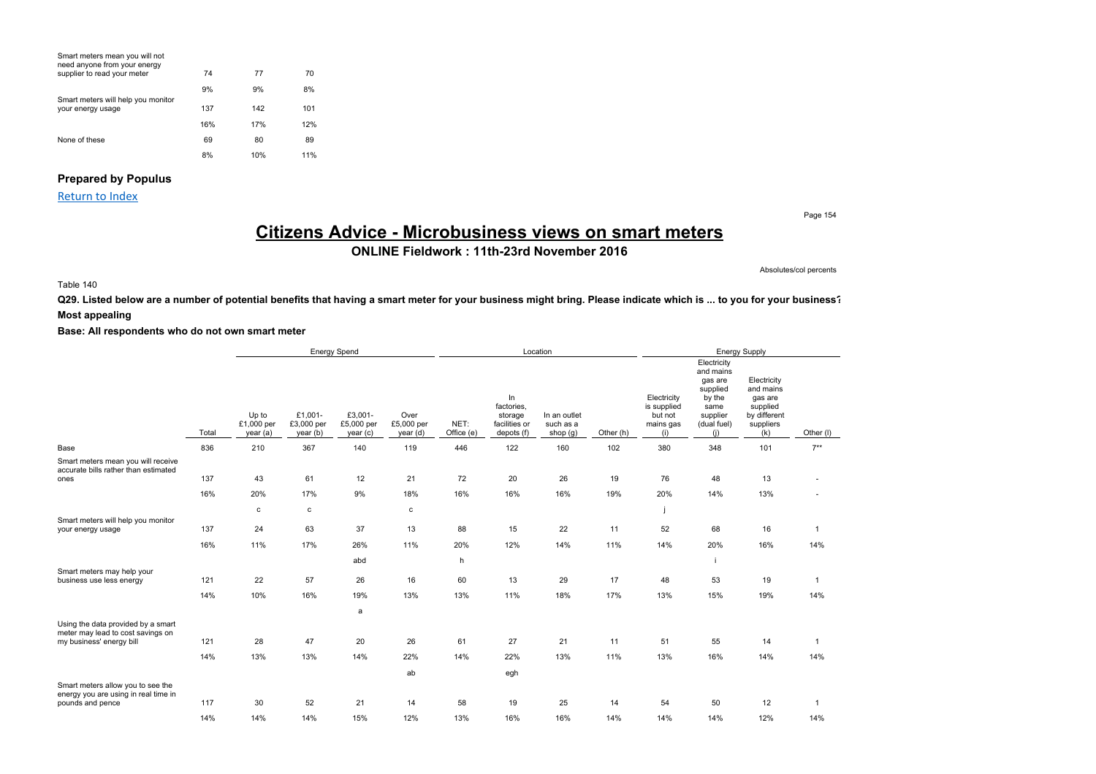| Smart meters mean you will not<br>need anyone from your energy<br>supplier to read your meter | 74  | 77  | 70  |
|-----------------------------------------------------------------------------------------------|-----|-----|-----|
|                                                                                               | 9%  | 9%  | 8%  |
| Smart meters will help you monitor<br>your energy usage                                       | 137 | 142 | 101 |
|                                                                                               | 16% | 17% | 12% |
| None of these                                                                                 | 69  | 80  | 89  |
|                                                                                               | 8%  | 10% | 11% |

### **Prepared by Populus**

Return to Index

Page 154

# **Citizens Advice - Microbusiness views on smart meters**

**ONLINE Fieldwork : 11th-23rd November 2016**

Absolutes/col percents

### Table 140

**Q29. Listed below are a number of potential benefits that having a smart meter for your business might bring. Please indicate which is ... to you for your business? Most appealing**

|                                                                                    |       | <b>Energy Spend</b>             |                                   |                                  |                                |                    |                                                            | Location                                |           | Energy Supply                                             |                                                                                                     |                                                                                     |              |  |
|------------------------------------------------------------------------------------|-------|---------------------------------|-----------------------------------|----------------------------------|--------------------------------|--------------------|------------------------------------------------------------|-----------------------------------------|-----------|-----------------------------------------------------------|-----------------------------------------------------------------------------------------------------|-------------------------------------------------------------------------------------|--------------|--|
|                                                                                    | Total | Up to<br>£1,000 per<br>year (a) | £1,001-<br>£3,000 per<br>year (b) | £3,001-<br>£5,000 per<br>year(c) | Over<br>£5,000 per<br>year (d) | NET:<br>Office (e) | In<br>factories.<br>storage<br>facilities or<br>depots (f) | In an outlet<br>such as a<br>shop $(g)$ | Other (h) | Electricity<br>is supplied<br>but not<br>mains gas<br>(i) | Electricity<br>and mains<br>gas are<br>supplied<br>by the<br>same<br>supplier<br>(dual fuel)<br>(i) | Electricity<br>and mains<br>gas are<br>supplied<br>by different<br>suppliers<br>(k) | Other (I)    |  |
| Base                                                                               | 836   | 210                             | 367                               | 140                              | 119                            | 446                | 122                                                        | 160                                     | 102       | 380                                                       | 348                                                                                                 | 101                                                                                 | $7**$        |  |
| Smart meters mean you will receive<br>accurate bills rather than estimated<br>ones | 137   | 43                              | 61                                | 12                               | 21                             | 72                 | 20                                                         | 26                                      | 19        | 76                                                        | 48                                                                                                  | 13                                                                                  |              |  |
|                                                                                    |       |                                 |                                   |                                  |                                |                    |                                                            |                                         |           |                                                           |                                                                                                     |                                                                                     |              |  |
|                                                                                    | 16%   | 20%                             | 17%                               | 9%                               | 18%                            | 16%                | 16%                                                        | 16%                                     | 19%       | 20%                                                       | 14%                                                                                                 | 13%                                                                                 |              |  |
|                                                                                    |       | c                               | $\mathbf c$                       |                                  | $\mathbf c$                    |                    |                                                            |                                         |           |                                                           |                                                                                                     |                                                                                     |              |  |
| Smart meters will help you monitor<br>your energy usage                            | 137   | 24                              | 63                                | 37                               | 13                             | 88                 | 15                                                         | 22                                      | 11        | 52                                                        | 68                                                                                                  | 16                                                                                  | $\mathbf{1}$ |  |
|                                                                                    | 16%   | 11%                             | 17%                               | 26%                              | 11%                            | 20%                | 12%                                                        | 14%                                     | 11%       | 14%                                                       | 20%                                                                                                 | 16%                                                                                 | 14%          |  |
|                                                                                    |       |                                 |                                   | abd                              |                                | h                  |                                                            |                                         |           |                                                           |                                                                                                     |                                                                                     |              |  |
| Smart meters may help your<br>business use less energy                             | 121   | 22                              | 57                                | 26                               | 16                             | 60                 | 13                                                         | 29                                      | 17        | 48                                                        | 53                                                                                                  | 19                                                                                  | $\mathbf{1}$ |  |
|                                                                                    | 14%   | 10%                             | 16%                               | 19%                              | 13%                            | 13%                | 11%                                                        | 18%                                     | 17%       | 13%                                                       | 15%                                                                                                 | 19%                                                                                 | 14%          |  |
|                                                                                    |       |                                 |                                   | a                                |                                |                    |                                                            |                                         |           |                                                           |                                                                                                     |                                                                                     |              |  |
| Using the data provided by a smart<br>meter may lead to cost savings on            |       |                                 |                                   |                                  |                                |                    |                                                            |                                         |           |                                                           |                                                                                                     |                                                                                     |              |  |
| my business' energy bill                                                           | 121   | 28                              | 47                                | 20                               | 26                             | 61                 | 27                                                         | 21                                      | 11        | 51                                                        | 55                                                                                                  | 14                                                                                  | $\mathbf{1}$ |  |
|                                                                                    | 14%   | 13%                             | 13%                               | 14%                              | 22%                            | 14%                | 22%                                                        | 13%                                     | 11%       | 13%                                                       | 16%                                                                                                 | 14%                                                                                 | 14%          |  |
|                                                                                    |       |                                 |                                   |                                  | ab                             |                    | egh                                                        |                                         |           |                                                           |                                                                                                     |                                                                                     |              |  |
| Smart meters allow you to see the<br>energy you are using in real time in          |       |                                 |                                   |                                  |                                |                    |                                                            |                                         |           |                                                           |                                                                                                     |                                                                                     |              |  |
| pounds and pence                                                                   | 117   | 30                              | 52                                | 21                               | 14                             | 58                 | 19                                                         | 25                                      | 14        | 54                                                        | 50                                                                                                  | 12                                                                                  | $\mathbf{1}$ |  |
|                                                                                    | 14%   | 14%                             | 14%                               | 15%                              | 12%                            | 13%                | 16%                                                        | 16%                                     | 14%       | 14%                                                       | 14%                                                                                                 | 12%                                                                                 | 14%          |  |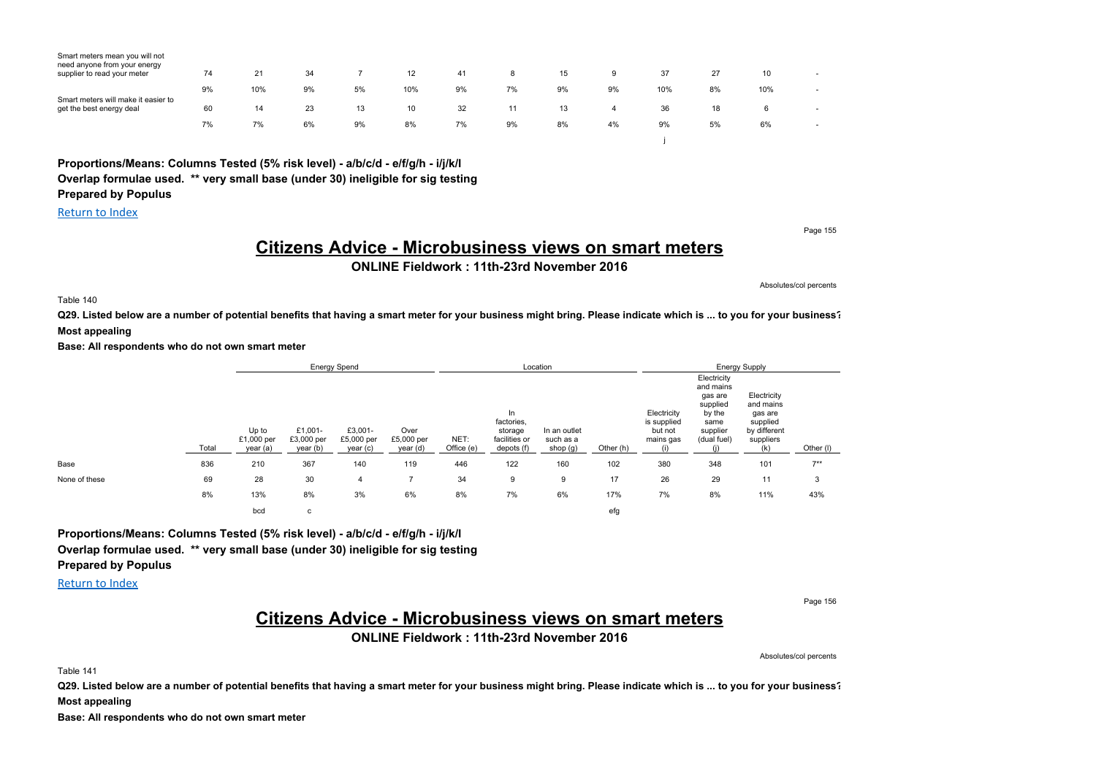| Smart meters mean you will not<br>need anyone from your energy<br>supplier to read your meter | 74 | 21  | 34 |    | 12  | 41 | 8  | 15 | 9  | 37  | 27 | 10  | $\overline{\phantom{a}}$ |
|-----------------------------------------------------------------------------------------------|----|-----|----|----|-----|----|----|----|----|-----|----|-----|--------------------------|
|                                                                                               | 9% | 10% | 9% | 5% | 10% | 9% | 7% | 9% | 9% | 10% | 8% | 10% | ۰                        |
| Smart meters will make it easier to<br>get the best energy deal                               | 60 | 14  | 23 | 13 | 10  | 32 |    | 13 | 4  | 36  | 18 | 6   | $\overline{\phantom{a}}$ |
|                                                                                               | 7% | 7%  | 6% | 9% | 8%  | 7% | 9% | 8% | 4% | 9%  | 5% | 6%  | $\overline{\phantom{a}}$ |
|                                                                                               |    |     |    |    |     |    |    |    |    |     |    |     |                          |

**Proportions/Means: Columns Tested (5% risk level) - a/b/c/d - e/f/g/h - i/j/k/l Overlap formulae used. \*\* very small base (under 30) ineligible for sig testing**

**Prepared by Populus** Return to Index

Page 155

Absolutes/col percents

# **Citizens Advice - Microbusiness views on smart meters**

**ONLINE Fieldwork : 11th-23rd November 2016**

Table 140

**Q29. Listed below are a number of potential benefits that having a smart meter for your business might bring. Please indicate which is ... to you for your business? Most appealing**

**Base: All respondents who do not own smart meter**

|               |       | <b>Energy Spend</b>             |                                   |                                   |                                |                    | Location                                                    |                                       |           | <b>Energy Supply</b>                               |                                                                                              |                                                                              |           |  |
|---------------|-------|---------------------------------|-----------------------------------|-----------------------------------|--------------------------------|--------------------|-------------------------------------------------------------|---------------------------------------|-----------|----------------------------------------------------|----------------------------------------------------------------------------------------------|------------------------------------------------------------------------------|-----------|--|
|               | Total | Up to<br>£1,000 per<br>year (a) | £1,001-<br>£3,000 per<br>year (b) | £3,001-<br>£5,000 per<br>year (c) | Over<br>£5,000 per<br>year (d) | NET:<br>Office (e) | In.<br>factories,<br>storage<br>facilities or<br>depots (f) | In an outlet<br>such as a<br>shop (g) | Other (h) | Electricity<br>is supplied<br>but not<br>mains gas | Electricity<br>and mains<br>gas are<br>supplied<br>by the<br>same<br>supplier<br>(dual fuel) | Electricity<br>and mains<br>gas are<br>supplied<br>by different<br>suppliers | Other (I) |  |
| Base          | 836   | 210                             | 367                               | 140                               | 119                            | 446                | 122                                                         | 160                                   | 102       | 380                                                | 348                                                                                          | 101                                                                          | $7***$    |  |
| None of these | 69    | 28                              | 30                                | 4                                 |                                | 34                 | 9                                                           | 9                                     | 17        | 26                                                 | 29                                                                                           | 11                                                                           | 3         |  |
|               | 8%    | 13%                             | 8%                                | 3%                                | 6%                             | 8%                 | 7%                                                          | 6%                                    | 17%       | 7%                                                 | 8%                                                                                           | 11%                                                                          | 43%       |  |
|               |       | bcd                             | $\sim$<br>U                       |                                   |                                |                    |                                                             |                                       | efg       |                                                    |                                                                                              |                                                                              |           |  |

**Proportions/Means: Columns Tested (5% risk level) - a/b/c/d - e/f/g/h - i/j/k/l Overlap formulae used. \*\* very small base (under 30) ineligible for sig testing Prepared by Populus**

Return to Index

Page 156

## **Citizens Advice - Microbusiness views on smart meters**

**ONLINE Fieldwork : 11th-23rd November 2016**

Absolutes/col percents

Table 141

Q29. Listed below are a number of potential benefits that having a smart meter for your business might bring. Please indicate which is ... to you for your business?

**Most appealing**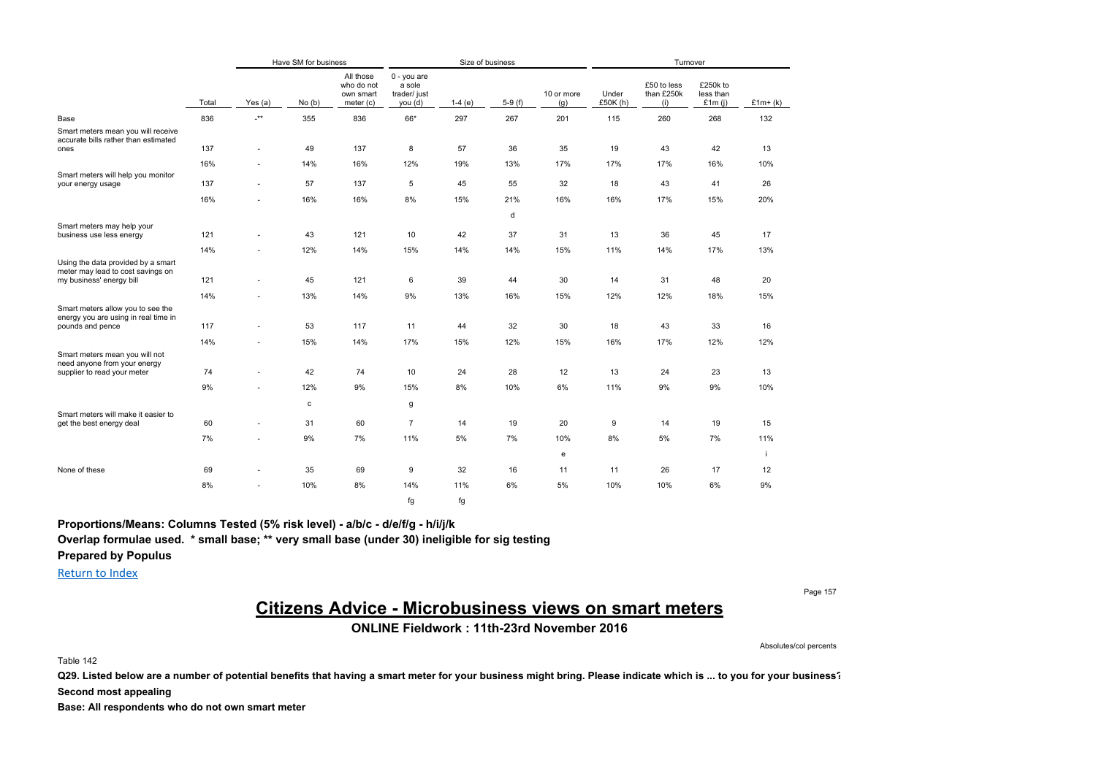|                                                                                               |       |                          | Have SM for business |                                                   |                                                  | Size of business |          |                   |                   |                                  | Turnover                           |           |  |
|-----------------------------------------------------------------------------------------------|-------|--------------------------|----------------------|---------------------------------------------------|--------------------------------------------------|------------------|----------|-------------------|-------------------|----------------------------------|------------------------------------|-----------|--|
|                                                                                               | Total | Yes (a)                  | No(b)                | All those<br>who do not<br>own smart<br>meter (c) | 0 - you are<br>a sole<br>trader/ just<br>you (d) | $1-4(e)$         | $5-9(f)$ | 10 or more<br>(g) | Under<br>£50K (h) | £50 to less<br>than £250k<br>(i) | £250k to<br>less than<br>£1 $m(i)$ | $£1m+(k)$ |  |
| Base                                                                                          | 836   | $\cdot^{\star\star}$     | 355                  | 836                                               | 66*                                              | 297              | 267      | 201               | 115               | 260                              | 268                                | 132       |  |
| Smart meters mean you will receive<br>accurate bills rather than estimated<br>ones            | 137   | ٠                        | 49                   | 137                                               | 8                                                | 57               | 36       | 35                | 19                | 43                               | 42                                 | 13        |  |
|                                                                                               | 16%   | $\overline{\phantom{a}}$ | 14%                  | 16%                                               | 12%                                              | 19%              | 13%      | 17%               | 17%               | 17%                              | 16%                                | 10%       |  |
| Smart meters will help you monitor<br>your energy usage                                       | 137   | ٠                        | 57                   | 137                                               | 5                                                | 45               | 55       | 32                | 18                | 43                               | 41                                 | 26        |  |
|                                                                                               | 16%   | ٠                        | 16%                  | 16%                                               | 8%                                               | 15%              | 21%      | 16%               | 16%               | 17%                              | 15%                                | 20%       |  |
|                                                                                               |       |                          |                      |                                                   |                                                  |                  | d        |                   |                   |                                  |                                    |           |  |
| Smart meters may help your<br>business use less energy                                        | 121   | ٠                        | 43                   | 121                                               | 10                                               | 42               | 37       | 31                | 13                | 36                               | 45                                 | 17        |  |
|                                                                                               | 14%   | ٠                        | 12%                  | 14%                                               | 15%                                              | 14%              | 14%      | 15%               | 11%               | 14%                              | 17%                                | 13%       |  |
| Using the data provided by a smart<br>meter may lead to cost savings on                       |       |                          |                      |                                                   |                                                  |                  |          |                   |                   |                                  |                                    |           |  |
| my business' energy bill                                                                      | 121   | ٠                        | 45                   | 121                                               | 6                                                | 39               | 44       | 30                | 14                | 31                               | 48                                 | 20        |  |
|                                                                                               | 14%   | ٠                        | 13%                  | 14%                                               | 9%                                               | 13%              | 16%      | 15%               | 12%               | 12%                              | 18%                                | 15%       |  |
| Smart meters allow you to see the<br>energy you are using in real time in                     |       |                          |                      | 117                                               |                                                  |                  |          |                   | 18                |                                  |                                    |           |  |
| pounds and pence                                                                              | 117   | ٠                        | 53                   |                                                   | 11                                               | 44               | 32       | 30                |                   | 43                               | 33                                 | 16        |  |
|                                                                                               | 14%   | ٠                        | 15%                  | 14%                                               | 17%                                              | 15%              | 12%      | 15%               | 16%               | 17%                              | 12%                                | 12%       |  |
| Smart meters mean you will not<br>need anyone from your energy<br>supplier to read your meter | 74    | ٠                        | 42                   | 74                                                | 10                                               | 24               | 28       | 12                | 13                | 24                               | 23                                 | 13        |  |
|                                                                                               |       |                          |                      |                                                   |                                                  |                  |          |                   |                   |                                  |                                    |           |  |
|                                                                                               | 9%    | ÷.                       | 12%                  | 9%                                                | 15%                                              | 8%               | 10%      | 6%                | 11%               | 9%                               | 9%                                 | 10%       |  |
| Smart meters will make it easier to                                                           |       |                          | $\mathbf c$          |                                                   | g                                                |                  |          |                   |                   |                                  |                                    |           |  |
| get the best energy deal                                                                      | 60    | $\sim$                   | 31                   | 60                                                | $\overline{7}$                                   | 14               | 19       | 20                | 9                 | 14                               | 19                                 | 15        |  |
|                                                                                               | 7%    | ٠                        | 9%                   | 7%                                                | 11%                                              | 5%               | 7%       | 10%               | 8%                | 5%                               | 7%                                 | 11%       |  |
|                                                                                               |       |                          |                      |                                                   |                                                  |                  |          | e                 |                   |                                  |                                    | Ť         |  |
| None of these                                                                                 | 69    | $\sim$                   | 35                   | 69                                                | 9                                                | 32               | 16       | 11                | 11                | 26                               | 17                                 | 12        |  |
|                                                                                               | 8%    | ٠                        | 10%                  | 8%                                                | 14%                                              | 11%              | 6%       | 5%                | 10%               | 10%                              | 6%                                 | 9%        |  |
|                                                                                               |       |                          |                      |                                                   | fg                                               | fg               |          |                   |                   |                                  |                                    |           |  |

**Proportions/Means: Columns Tested (5% risk level) - a/b/c - d/e/f/g - h/i/j/k Overlap formulae used. \* small base; \*\* very small base (under 30) ineligible for sig testing Prepared by Populus**

Return to Index

Page 157

### **Citizens Advice - Microbusiness views on smart meters**

**ONLINE Fieldwork : 11th-23rd November 2016**

Absolutes/col percents

Table 142

**Q29. Listed below are a number of potential benefits that having a smart meter for your business might bring. Please indicate which is ... to you for your business? Second most appealing**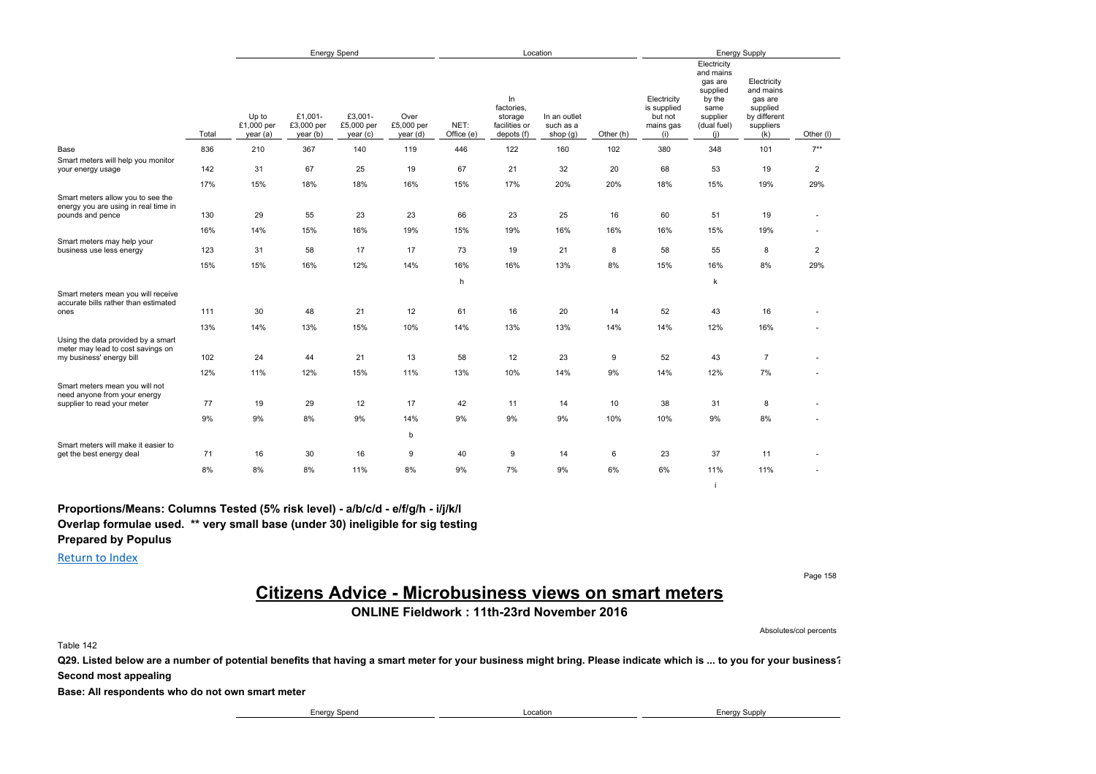|                                                                                               |       | <b>Energy Spend</b>             |                                   |                                   |                                |                    |                                                            | Location                                |           | <b>Energy Supply</b>                                      |                                                                                                     |                                                                                     |                |  |
|-----------------------------------------------------------------------------------------------|-------|---------------------------------|-----------------------------------|-----------------------------------|--------------------------------|--------------------|------------------------------------------------------------|-----------------------------------------|-----------|-----------------------------------------------------------|-----------------------------------------------------------------------------------------------------|-------------------------------------------------------------------------------------|----------------|--|
|                                                                                               | Total | Up to<br>£1,000 per<br>year (a) | £1,001-<br>£3,000 per<br>year (b) | £3,001-<br>£5,000 per<br>year (c) | Over<br>£5,000 per<br>year (d) | NET:<br>Office (e) | In<br>factories.<br>storage<br>facilities or<br>depots (f) | In an outlet<br>such as a<br>shop $(g)$ | Other (h) | Electricity<br>is supplied<br>but not<br>mains gas<br>(i) | Electricity<br>and mains<br>gas are<br>supplied<br>by the<br>same<br>supplier<br>(dual fuel)<br>(i) | Electricity<br>and mains<br>gas are<br>supplied<br>by different<br>suppliers<br>(k) | Other (I)      |  |
| Base                                                                                          | 836   | 210                             | 367                               | 140                               | 119                            | 446                | 122                                                        | 160                                     | 102       | 380                                                       | 348                                                                                                 | 101                                                                                 | $7**$          |  |
| Smart meters will help you monitor<br>your energy usage                                       | 142   | 31                              | 67                                | 25                                | 19                             | 67                 | 21                                                         | 32                                      | 20        | 68                                                        | 53                                                                                                  | 19                                                                                  | $\overline{2}$ |  |
|                                                                                               | 17%   | 15%                             | 18%                               | 18%                               | 16%                            | 15%                | 17%                                                        | 20%                                     | 20%       | 18%                                                       | 15%                                                                                                 | 19%                                                                                 | 29%            |  |
| Smart meters allow you to see the<br>energy you are using in real time in<br>pounds and pence | 130   | 29                              | 55                                | 23                                | 23                             | 66                 | 23                                                         | 25                                      | 16        | 60                                                        | 51                                                                                                  | 19                                                                                  | ×.             |  |
|                                                                                               | 16%   | 14%                             | 15%                               | 16%                               | 19%                            | 15%                | 19%                                                        | 16%                                     | 16%       | 16%                                                       | 15%                                                                                                 | 19%                                                                                 | ٠              |  |
| Smart meters may help your<br>business use less energy                                        | 123   | 31                              | 58                                | 17                                | 17                             | 73                 | 19                                                         | 21                                      | 8         | 58                                                        | 55                                                                                                  | 8                                                                                   | $\overline{2}$ |  |
|                                                                                               | 15%   | 15%                             | 16%                               | 12%                               | 14%                            | 16%                | 16%                                                        | 13%                                     | 8%        | 15%                                                       | 16%                                                                                                 | 8%                                                                                  | 29%            |  |
|                                                                                               |       |                                 |                                   |                                   |                                | h                  |                                                            |                                         |           |                                                           | $\mathsf k$                                                                                         |                                                                                     |                |  |
| Smart meters mean you will receive<br>accurate bills rather than estimated<br>ones            | 111   | 30                              | 48                                | 21                                | 12                             | 61                 | 16                                                         | 20                                      | 14        | 52                                                        | 43                                                                                                  | 16                                                                                  |                |  |
|                                                                                               |       |                                 |                                   |                                   |                                |                    |                                                            |                                         |           |                                                           |                                                                                                     |                                                                                     |                |  |
| Using the data provided by a smart                                                            | 13%   | 14%                             | 13%                               | 15%                               | 10%                            | 14%                | 13%                                                        | 13%                                     | 14%       | 14%                                                       | 12%                                                                                                 | 16%                                                                                 |                |  |
| meter may lead to cost savings on<br>my business' energy bill                                 | 102   | 24                              | 44                                | 21                                | 13                             | 58                 | 12                                                         | 23                                      | 9         | 52                                                        | 43                                                                                                  | $\overline{7}$                                                                      |                |  |
|                                                                                               | 12%   | 11%                             | 12%                               | 15%                               | 11%                            | 13%                | 10%                                                        | 14%                                     | 9%        | 14%                                                       | 12%                                                                                                 | 7%                                                                                  |                |  |
| Smart meters mean you will not<br>need anyone from your energy                                |       |                                 |                                   |                                   |                                |                    |                                                            |                                         |           |                                                           |                                                                                                     |                                                                                     |                |  |
| supplier to read your meter                                                                   | 77    | 19                              | 29                                | 12                                | 17                             | 42                 | 11                                                         | 14                                      | 10        | 38                                                        | 31                                                                                                  | 8                                                                                   |                |  |
|                                                                                               | 9%    | 9%                              | 8%                                | 9%                                | 14%                            | 9%                 | 9%                                                         | 9%                                      | 10%       | 10%                                                       | 9%                                                                                                  | 8%                                                                                  |                |  |
| Smart meters will make it easier to                                                           |       |                                 |                                   |                                   | b                              |                    |                                                            |                                         |           |                                                           |                                                                                                     |                                                                                     |                |  |
| get the best energy deal                                                                      | 71    | 16                              | 30                                | 16                                | 9                              | 40                 | 9                                                          | 14                                      | 6         | 23                                                        | 37                                                                                                  | 11                                                                                  |                |  |
|                                                                                               | 8%    | 8%                              | 8%                                | 11%                               | 8%                             | 9%                 | 7%                                                         | 9%                                      | 6%        | 6%                                                        | 11%                                                                                                 | 11%                                                                                 |                |  |
|                                                                                               |       |                                 |                                   |                                   |                                |                    |                                                            |                                         |           |                                                           | i.                                                                                                  |                                                                                     |                |  |

**Proportions/Means: Columns Tested (5% risk level) - a/b/c/d - e/f/g/h - i/j/k/l Overlap formulae used. \*\* very small base (under 30) ineligible for sig testing**

**Prepared by Populus**

Return to Index

Page 158

# **Citizens Advice - Microbusiness views on smart meters**

### **ONLINE Fieldwork : 11th-23rd November 2016**

Absolutes/col percents

Table 142

**Q29. Listed below are a number of potential benefits that having a smart meter for your business might bring. Please indicate which is ... to you for your business?**

**Second most appealing**

**Base: All respondents who do not own smart meter**

Energy Spend **Energy Supply Energy Supply Energy Supply Energy Supply**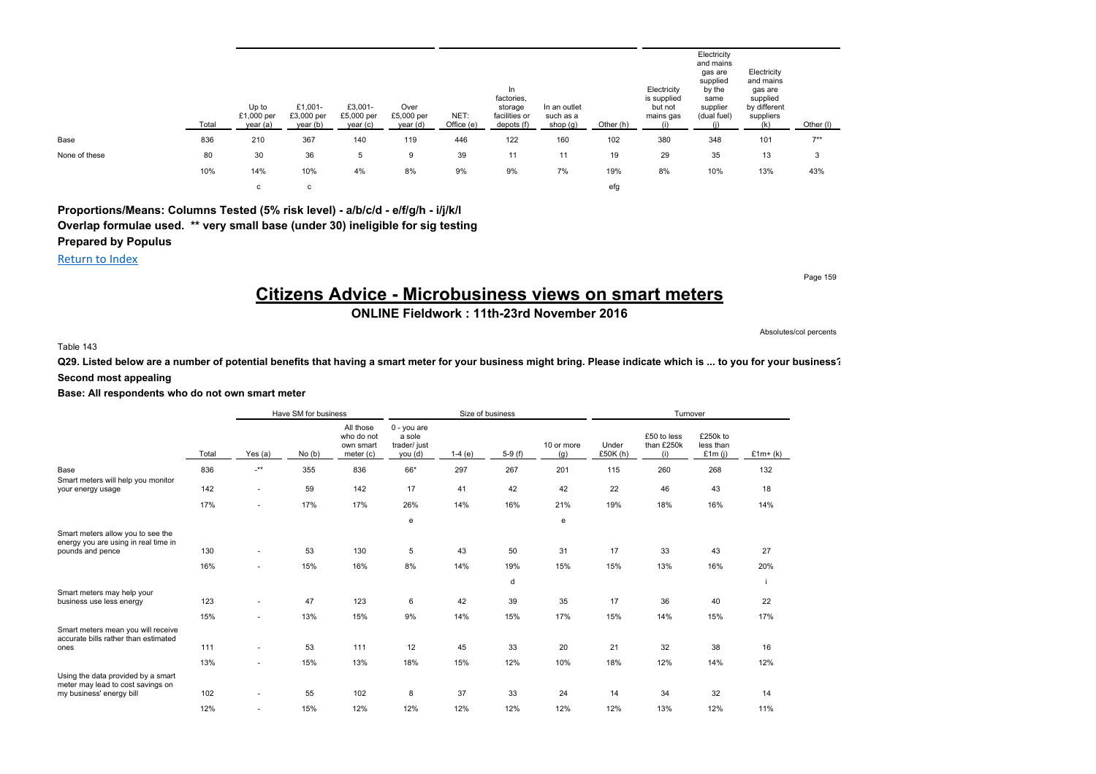|               | Total | Up to<br>£1,000 per<br>year (a) | £1,001-<br>£3,000 per<br>year (b) | £3,001-<br>£5,000 per<br>year (c) | Over<br>£5,000 per<br>year (d) | NET:<br>Office (e) | In<br>factories,<br>storage<br>facilities or<br>depots (f) | In an outlet<br>such as a<br>shop $(g)$ | Other (h) | Electricity<br>is supplied<br>but not<br>mains gas<br>(i) | Electricity<br>and mains<br>gas are<br>supplied<br>by the<br>same<br>supplier<br>(dual fuel) | Electricity<br>and mains<br>gas are<br>supplied<br>by different<br>suppliers | Other (I) |
|---------------|-------|---------------------------------|-----------------------------------|-----------------------------------|--------------------------------|--------------------|------------------------------------------------------------|-----------------------------------------|-----------|-----------------------------------------------------------|----------------------------------------------------------------------------------------------|------------------------------------------------------------------------------|-----------|
| Base          | 836   | 210                             | 367                               | 140                               | 119                            | 446                | 122                                                        | 160                                     | 102       | 380                                                       | 348                                                                                          | 101                                                                          | $7**$     |
| None of these | 80    | 30                              | 36                                | 5                                 | 9                              | 39                 | 11                                                         | 11                                      | 19        | 29                                                        | 35                                                                                           | 13                                                                           | 3         |
|               | 10%   | 14%                             | 10%                               | 4%                                | 8%                             | 9%                 | 9%                                                         | 7%                                      | 19%       | 8%                                                        | 10%                                                                                          | 13%                                                                          | 43%       |
|               |       | c                               | с                                 |                                   |                                |                    |                                                            |                                         | efg       |                                                           |                                                                                              |                                                                              |           |

**Proportions/Means: Columns Tested (5% risk level) - a/b/c/d - e/f/g/h - i/j/k/l Overlap formulae used. \*\* very small base (under 30) ineligible for sig testing Prepared by Populus**

Return to Index

# **Citizens Advice - Microbusiness views on smart meters**

**ONLINE Fieldwork : 11th-23rd November 2016**

Absolutes/col percents

Page 159

#### Table 143

**Q29. Listed below are a number of potential benefits that having a smart meter for your business might bring. Please indicate which is ... to you for your business? Second most appealing**

|                                                                            |       | Have SM for business<br>Size of business<br>Turnover |       |                                                   |                                                    |          |          |                   |                     |                                  |                                    |           |
|----------------------------------------------------------------------------|-------|------------------------------------------------------|-------|---------------------------------------------------|----------------------------------------------------|----------|----------|-------------------|---------------------|----------------------------------|------------------------------------|-----------|
|                                                                            | Total | Yes (a)                                              | No(b) | All those<br>who do not<br>own smart<br>meter (c) | $0 - you are$<br>a sole<br>trader/ just<br>you (d) | $1-4(e)$ | $5-9(f)$ | 10 or more<br>(g) | Under<br>£50 $K(h)$ | £50 to less<br>than £250k<br>(i) | £250k to<br>less than<br>£1 $m(i)$ | $£1m+(k)$ |
| Base                                                                       | 836   | $\cdot^{\star\star}$                                 | 355   | 836                                               | 66*                                                | 297      | 267      | 201               | 115                 | 260                              | 268                                | 132       |
| Smart meters will help you monitor                                         |       |                                                      |       |                                                   |                                                    |          |          |                   |                     |                                  |                                    |           |
| your energy usage                                                          | 142   | ٠                                                    | 59    | 142                                               | 17                                                 | 41       | 42       | 42                | 22                  | 46                               | 43                                 | 18        |
|                                                                            | 17%   | $\sim$                                               | 17%   | 17%                                               | 26%                                                | 14%      | 16%      | 21%               | 19%                 | 18%                              | 16%                                | 14%       |
|                                                                            |       |                                                      |       |                                                   | e                                                  |          |          | e                 |                     |                                  |                                    |           |
| Smart meters allow you to see the<br>energy you are using in real time in  |       |                                                      |       |                                                   |                                                    |          |          |                   |                     |                                  |                                    |           |
| pounds and pence                                                           | 130   | ٠                                                    | 53    | 130                                               | 5                                                  | 43       | 50       | 31                | 17                  | 33                               | 43                                 | 27        |
|                                                                            | 16%   | ٠                                                    | 15%   | 16%                                               | 8%                                                 | 14%      | 19%      | 15%               | 15%                 | 13%                              | 16%                                | 20%       |
|                                                                            |       |                                                      |       |                                                   |                                                    |          | d        |                   |                     |                                  |                                    |           |
| Smart meters may help your<br>business use less energy                     | 123   | ٠                                                    | 47    | 123                                               | 6                                                  | 42       | 39       | 35                | 17                  | 36                               | 40                                 | 22        |
|                                                                            | 15%   | $\sim$                                               | 13%   | 15%                                               | 9%                                                 | 14%      | 15%      | 17%               | 15%                 | 14%                              | 15%                                | 17%       |
| Smart meters mean you will receive<br>accurate bills rather than estimated |       |                                                      |       |                                                   |                                                    |          |          |                   |                     |                                  |                                    |           |
| ones                                                                       | 111   | ٠                                                    | 53    | 111                                               | 12                                                 | 45       | 33       | 20                | 21                  | 32                               | 38                                 | 16        |
|                                                                            | 13%   | $\sim$                                               | 15%   | 13%                                               | 18%                                                | 15%      | 12%      | 10%               | 18%                 | 12%                              | 14%                                | 12%       |
| Using the data provided by a smart<br>meter may lead to cost savings on    |       |                                                      |       |                                                   |                                                    |          |          |                   |                     |                                  |                                    |           |
| my business' energy bill                                                   | 102   | ٠                                                    | 55    | 102                                               | 8                                                  | 37       | 33       | 24                | 14                  | 34                               | 32                                 | 14        |
|                                                                            | 12%   | $\overline{\phantom{a}}$                             | 15%   | 12%                                               | 12%                                                | 12%      | 12%      | 12%               | 12%                 | 13%                              | 12%                                | 11%       |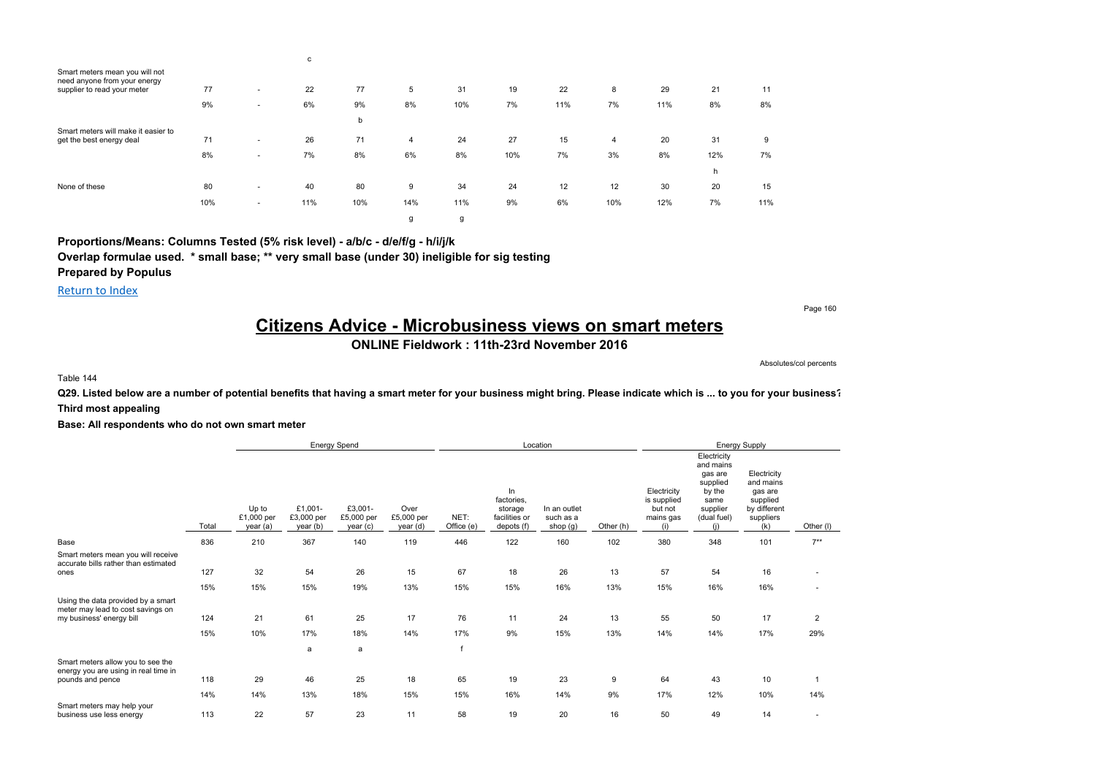|                                                                                               |     |                          | c   |     |                |     |     |     |     |     |     |     |
|-----------------------------------------------------------------------------------------------|-----|--------------------------|-----|-----|----------------|-----|-----|-----|-----|-----|-----|-----|
| Smart meters mean you will not<br>need anyone from your energy<br>supplier to read your meter | 77  | $\overline{\phantom{a}}$ | 22  | 77  | 5              | 31  | 19  | 22  | 8   | 29  | 21  | 11  |
|                                                                                               | 9%  | $\overline{\phantom{a}}$ | 6%  | 9%  | 8%             | 10% | 7%  | 11% | 7%  | 11% | 8%  | 8%  |
|                                                                                               |     |                          |     | b   |                |     |     |     |     |     |     |     |
| Smart meters will make it easier to<br>get the best energy deal                               | 71  | $\overline{\phantom{a}}$ | 26  | 71  | $\overline{4}$ | 24  | 27  | 15  | 4   | 20  | 31  | 9   |
|                                                                                               | 8%  | $\overline{\phantom{a}}$ | 7%  | 8%  | 6%             | 8%  | 10% | 7%  | 3%  | 8%  | 12% | 7%  |
|                                                                                               |     |                          |     |     |                |     |     |     |     |     | h   |     |
| None of these                                                                                 | 80  | $\overline{\phantom{a}}$ | 40  | 80  | 9              | 34  | 24  | 12  | 12  | 30  | 20  | 15  |
|                                                                                               | 10% | $\overline{\phantom{a}}$ | 11% | 10% | 14%            | 11% | 9%  | 6%  | 10% | 12% | 7%  | 11% |
|                                                                                               |     |                          |     |     | g              | g   |     |     |     |     |     |     |

**Proportions/Means: Columns Tested (5% risk level) - a/b/c - d/e/f/g - h/i/j/k**

**Overlap formulae used. \* small base; \*\* very small base (under 30) ineligible for sig testing**

**Prepared by Populus**

Return to Index

Page 160

# **Citizens Advice - Microbusiness views on smart meters**

### **ONLINE Fieldwork : 11th-23rd November 2016**

Absolutes/col percents

Table 144

**Q29. Listed below are a number of potential benefits that having a smart meter for your business might bring. Please indicate which is ... to you for your business? Third most appealing**

|                                                                                                     |            |                                 |                                   | <b>Energy Spend</b>              |                                |                          |                                                             | Location                                |           | <b>Energy Supply</b>                                      |                                                                                                     |                                                                                     |                       |  |
|-----------------------------------------------------------------------------------------------------|------------|---------------------------------|-----------------------------------|----------------------------------|--------------------------------|--------------------------|-------------------------------------------------------------|-----------------------------------------|-----------|-----------------------------------------------------------|-----------------------------------------------------------------------------------------------------|-------------------------------------------------------------------------------------|-----------------------|--|
|                                                                                                     | Total      | Up to<br>£1,000 per<br>year (a) | £1,001-<br>£3,000 per<br>year (b) | £3,001-<br>£5,000 per<br>year(c) | Over<br>£5,000 per<br>year (d) | NET:<br>Office (e)       | In.<br>factories,<br>storage<br>facilities or<br>depots (f) | In an outlet<br>such as a<br>shop $(g)$ | Other (h) | Electricity<br>is supplied<br>but not<br>mains gas<br>(i) | Electricity<br>and mains<br>gas are<br>supplied<br>by the<br>same<br>supplier<br>(dual fuel)<br>(i) | Electricity<br>and mains<br>gas are<br>supplied<br>by different<br>suppliers<br>(k) | Other (I)             |  |
| Base                                                                                                | 836        | 210                             | 367                               | 140                              | 119                            | 446                      | 122                                                         | 160                                     | 102       | 380                                                       | 348                                                                                                 | 101                                                                                 | $7***$                |  |
| Smart meters mean you will receive<br>accurate bills rather than estimated<br>ones                  | 127        | 32                              | 54                                | 26                               | 15                             | 67                       | 18                                                          | 26                                      | 13        | 57                                                        | 54                                                                                                  | 16                                                                                  | $\sim$                |  |
|                                                                                                     | 15%        | 15%                             | 15%                               | 19%                              | 13%                            | 15%                      | 15%                                                         | 16%                                     | 13%       | 15%                                                       | 16%                                                                                                 | 16%                                                                                 |                       |  |
| Using the data provided by a smart<br>meter may lead to cost savings on<br>my business' energy bill | 124<br>15% | 21<br>10%                       | 61<br>17%<br>a                    | 25<br>18%<br>a                   | 17<br>14%                      | 76<br>17%<br>$\mathbf f$ | 11<br>9%                                                    | 24<br>15%                               | 13<br>13% | 55<br>14%                                                 | 50<br>14%                                                                                           | 17<br>17%                                                                           | $\overline{2}$<br>29% |  |
| Smart meters allow you to see the                                                                   |            |                                 |                                   |                                  |                                |                          |                                                             |                                         |           |                                                           |                                                                                                     |                                                                                     |                       |  |
| energy you are using in real time in<br>pounds and pence                                            | 118        | 29                              | 46                                | 25                               | 18                             | 65                       | 19                                                          | 23                                      | 9         | 64                                                        | 43                                                                                                  | 10                                                                                  |                       |  |
|                                                                                                     | 14%        | 14%                             | 13%                               | 18%                              | 15%                            | 15%                      | 16%                                                         | 14%                                     | 9%        | 17%                                                       | 12%                                                                                                 | 10%                                                                                 | 14%                   |  |
| Smart meters may help your<br>business use less energy                                              | 113        | 22                              | 57                                | 23                               | 11                             | 58                       | 19                                                          | 20                                      | 16        | 50                                                        | 49                                                                                                  | 14                                                                                  |                       |  |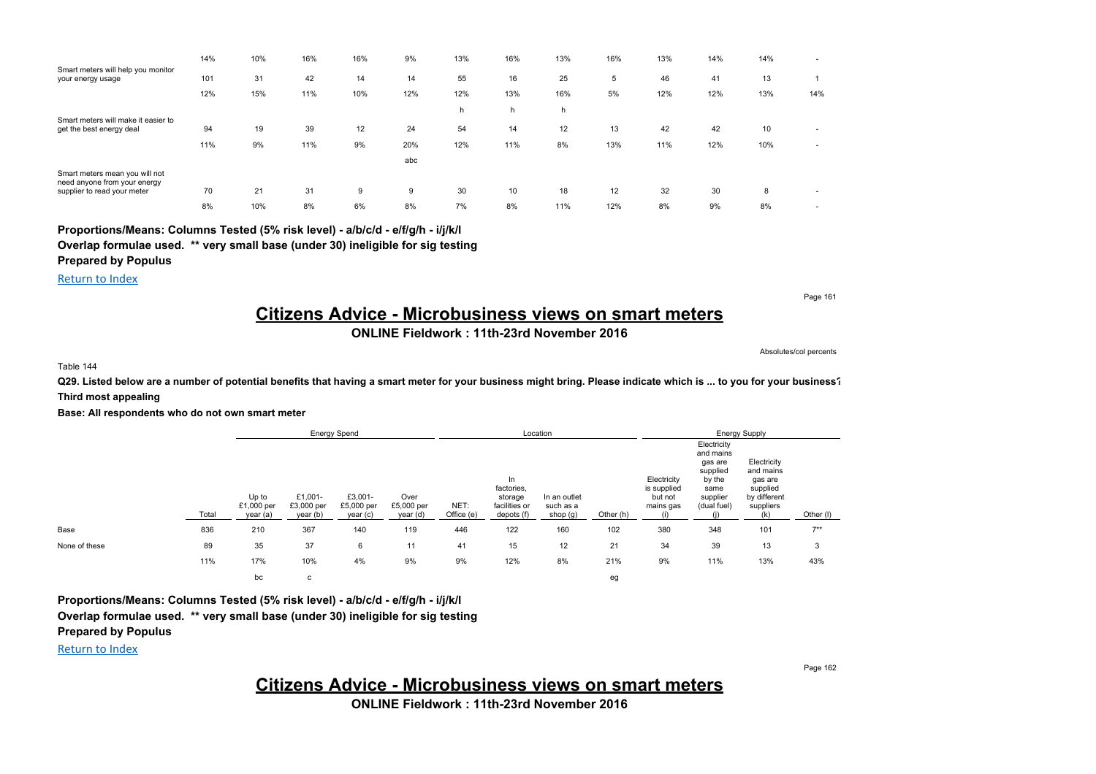|                                                                 | 14% | 10% | 16% | 16% | 9%  | 13% | 16% | 13% | 16% | 13% | 14% | 14% | $\sim$ |
|-----------------------------------------------------------------|-----|-----|-----|-----|-----|-----|-----|-----|-----|-----|-----|-----|--------|
| Smart meters will help you monitor<br>your energy usage         | 101 | 31  | 42  | 14  | 14  | 55  | 16  | 25  | 5   | 46  | 41  | 13  |        |
|                                                                 | 12% | 15% | 11% | 10% | 12% | 12% | 13% | 16% | 5%  | 12% | 12% | 13% | 14%    |
|                                                                 |     |     |     |     |     | h   | h   | h   |     |     |     |     |        |
| Smart meters will make it easier to<br>get the best energy deal | 94  | 19  | 39  | 12  | 24  | 54  | 14  | 12  | 13  | 42  | 42  | 10  | $\sim$ |
|                                                                 | 11% | 9%  | 11% | 9%  | 20% | 12% | 11% | 8%  | 13% | 11% | 12% | 10% | $\sim$ |
|                                                                 |     |     |     |     | abc |     |     |     |     |     |     |     |        |
| Smart meters mean you will not<br>need anyone from your energy  |     |     |     |     |     |     |     |     |     |     |     |     |        |
| supplier to read your meter                                     | 70  | 21  | 31  | 9   | 9   | 30  | 10  | 18  | 12  | 32  | 30  | 8   | $\sim$ |
|                                                                 | 8%  | 10% | 8%  | 6%  | 8%  | 7%  | 8%  | 11% | 12% | 8%  | 9%  | 8%  | $\sim$ |

**Proportions/Means: Columns Tested (5% risk level) - a/b/c/d - e/f/g/h - i/j/k/l Overlap formulae used. \*\* very small base (under 30) ineligible for sig testing Prepared by Populus**

Return to Index

Page 161

### **Citizens Advice - Microbusiness views on smart meters**

### **ONLINE Fieldwork : 11th-23rd November 2016**

Absolutes/col percents

Table 144

**Q29. Listed below are a number of potential benefits that having a smart meter for your business might bring. Please indicate which is ... to you for your business? Third most appealing**

**Base: All respondents who do not own smart meter**

|               |       | <b>Energy Spend</b>             |                                   |                                  |                                |                    | Location                                                   |                                       |           | <b>Energy Supply</b>                               |                                                                                              |                                                                                     |           |
|---------------|-------|---------------------------------|-----------------------------------|----------------------------------|--------------------------------|--------------------|------------------------------------------------------------|---------------------------------------|-----------|----------------------------------------------------|----------------------------------------------------------------------------------------------|-------------------------------------------------------------------------------------|-----------|
|               | Total | Up to<br>£1,000 per<br>year (a) | £1,001-<br>£3,000 per<br>year (b) | £3,001-<br>£5,000 per<br>year(c) | Over<br>£5,000 per<br>year (d) | NET:<br>Office (e) | In<br>factories,<br>storage<br>facilities or<br>depots (f) | In an outlet<br>such as a<br>shop (g) | Other (h) | Electricity<br>is supplied<br>but not<br>mains gas | Electricity<br>and mains<br>gas are<br>supplied<br>by the<br>same<br>supplier<br>(dual fuel) | Electricity<br>and mains<br>gas are<br>supplied<br>by different<br>suppliers<br>(k) | Other (I) |
| Base          | 836   | 210                             | 367                               | 140                              | 119                            | 446                | 122                                                        | 160                                   | 102       | 380                                                | 348                                                                                          | 101                                                                                 | $7***$    |
| None of these | 89    | 35                              | 37                                | 6                                | 11                             | 41                 | 15                                                         | 12                                    | 21        | 34                                                 | 39                                                                                           | 13                                                                                  | 3         |
|               | 11%   | 17%                             | 10%                               | 4%                               | 9%                             | 9%                 | 12%                                                        | 8%                                    | 21%       | 9%                                                 | 11%                                                                                          | 13%                                                                                 | 43%       |
|               |       | bc                              | с                                 |                                  |                                |                    |                                                            |                                       | eg        |                                                    |                                                                                              |                                                                                     |           |

**Proportions/Means: Columns Tested (5% risk level) - a/b/c/d - e/f/g/h - i/j/k/l Overlap formulae used. \*\* very small base (under 30) ineligible for sig testing Prepared by Populus**

Return to Index

Page 162

# **Citizens Advice - Microbusiness views on smart meters**

**ONLINE Fieldwork : 11th-23rd November 2016**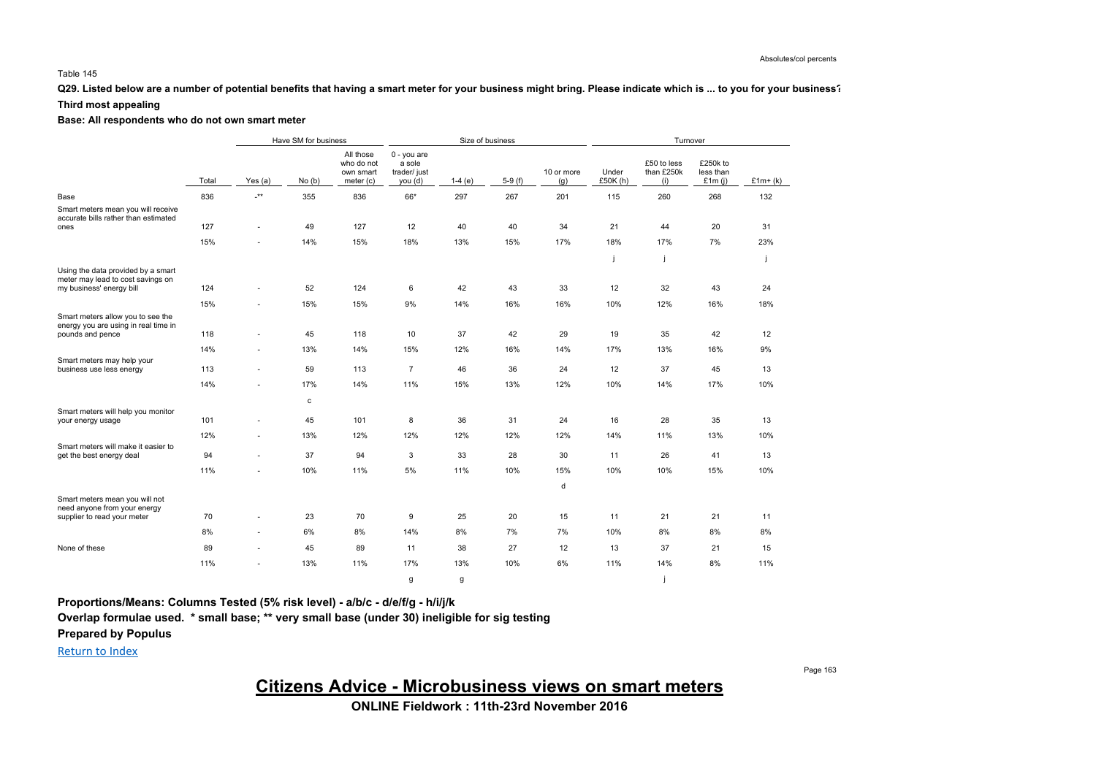### **Q29. Listed below are a number of potential benefits that having a smart meter for your business might bring. Please indicate which is ... to you for your business?**

### **Third most appealing**

#### **Base: All respondents who do not own smart meter**

|                                                                                                     |       | Have SM for business |             |                                                   |                                                  |          | Size of business |                   | Turnover          |                                  |                                    |           |  |
|-----------------------------------------------------------------------------------------------------|-------|----------------------|-------------|---------------------------------------------------|--------------------------------------------------|----------|------------------|-------------------|-------------------|----------------------------------|------------------------------------|-----------|--|
|                                                                                                     | Total | Yes $(a)$            | No(b)       | All those<br>who do not<br>own smart<br>meter (c) | 0 - you are<br>a sole<br>trader/ just<br>you (d) | $1-4(e)$ | $5-9(f)$         | 10 or more<br>(g) | Under<br>£50K (h) | £50 to less<br>than £250k<br>(i) | £250k to<br>less than<br>£1 $m(j)$ | $£1m+(k)$ |  |
| Base                                                                                                | 836   | $\cdot^{\star\star}$ | 355         | 836                                               | 66*                                              | 297      | 267              | 201               | 115               | 260                              | 268                                | 132       |  |
| Smart meters mean you will receive<br>accurate bills rather than estimated<br>ones                  | 127   | ÷,                   | 49          | 127                                               | 12                                               | 40       | 40               | 34                | 21                | 44                               | 20                                 | 31        |  |
|                                                                                                     |       |                      |             |                                                   |                                                  |          |                  |                   |                   |                                  |                                    |           |  |
|                                                                                                     | 15%   | ÷.                   | 14%         | 15%                                               | 18%                                              | 13%      | 15%              | 17%               | 18%               | 17%                              | 7%                                 | 23%       |  |
|                                                                                                     |       |                      |             |                                                   |                                                  |          |                  |                   | Ť                 | j                                |                                    | j         |  |
| Using the data provided by a smart<br>meter may lead to cost savings on<br>my business' energy bill | 124   | ٠                    | 52          | 124                                               | 6                                                | 42       | 43               | 33                | 12                | 32                               | 43                                 | 24        |  |
|                                                                                                     |       |                      |             |                                                   |                                                  |          |                  |                   |                   |                                  |                                    |           |  |
|                                                                                                     | 15%   |                      | 15%         | 15%                                               | 9%                                               | 14%      | 16%              | 16%               | 10%               | 12%                              | 16%                                | 18%       |  |
| Smart meters allow you to see the<br>energy you are using in real time in<br>pounds and pence       | 118   | ÷,                   | 45          | 118                                               | 10                                               | 37       | 42               | 29                | 19                | 35                               | 42                                 | 12        |  |
|                                                                                                     | 14%   | ÷,                   | 13%         | 14%                                               | 15%                                              | 12%      | 16%              | 14%               | 17%               | 13%                              | 16%                                | 9%        |  |
| Smart meters may help your                                                                          |       |                      |             |                                                   |                                                  |          |                  |                   |                   |                                  |                                    |           |  |
| business use less energy                                                                            | 113   | ÷,                   | 59          | 113                                               | $\overline{7}$                                   | 46       | 36               | 24                | 12                | 37                               | 45                                 | 13        |  |
|                                                                                                     | 14%   | ÷                    | 17%         | 14%                                               | 11%                                              | 15%      | 13%              | 12%               | 10%               | 14%                              | 17%                                | 10%       |  |
|                                                                                                     |       |                      | $\mathbf c$ |                                                   |                                                  |          |                  |                   |                   |                                  |                                    |           |  |
| Smart meters will help you monitor                                                                  |       |                      |             |                                                   |                                                  |          |                  |                   |                   |                                  |                                    |           |  |
| your energy usage                                                                                   | 101   | ÷,                   | 45          | 101                                               | 8                                                | 36       | 31               | 24                | 16                | 28                               | 35                                 | 13        |  |
|                                                                                                     | 12%   | ٠                    | 13%         | 12%                                               | 12%                                              | 12%      | 12%              | 12%               | 14%               | 11%                              | 13%                                | 10%       |  |
| Smart meters will make it easier to                                                                 | 94    | ٠                    | 37          | 94                                                | 3                                                | 33       | 28               | 30                | 11                | 26                               | 41                                 | 13        |  |
| get the best energy deal                                                                            |       |                      |             |                                                   |                                                  |          |                  |                   |                   |                                  |                                    |           |  |
|                                                                                                     | 11%   |                      | 10%         | 11%                                               | 5%                                               | 11%      | 10%              | 15%               | 10%               | 10%                              | 15%                                | 10%       |  |
|                                                                                                     |       |                      |             |                                                   |                                                  |          |                  | d                 |                   |                                  |                                    |           |  |
| Smart meters mean you will not                                                                      |       |                      |             |                                                   |                                                  |          |                  |                   |                   |                                  |                                    |           |  |
| need anyone from your energy<br>supplier to read your meter                                         | 70    | ٠                    | 23          | 70                                                | 9                                                | 25       | 20               | 15                | 11                | 21                               | 21                                 | 11        |  |
|                                                                                                     | 8%    | ٠                    | 6%          | 8%                                                | 14%                                              | 8%       | 7%               | 7%                | 10%               | 8%                               | 8%                                 | 8%        |  |
|                                                                                                     |       |                      |             |                                                   |                                                  |          |                  |                   |                   |                                  |                                    |           |  |
| None of these                                                                                       | 89    | ٠                    | 45          | 89                                                | 11                                               | 38       | 27               | 12                | 13                | 37                               | 21                                 | 15        |  |
|                                                                                                     | 11%   | ٠                    | 13%         | 11%                                               | 17%                                              | 13%      | 10%              | 6%                | 11%               | 14%                              | 8%                                 | 11%       |  |
|                                                                                                     |       |                      |             |                                                   | g                                                | g        |                  |                   |                   |                                  |                                    |           |  |

**Proportions/Means: Columns Tested (5% risk level) - a/b/c - d/e/f/g - h/i/j/k**

**Overlap formulae used. \* small base; \*\* very small base (under 30) ineligible for sig testing**

**Prepared by Populus**

Return to Index

**Citizens Advice - Microbusiness views on smart meters**

**ONLINE Fieldwork : 11th-23rd November 2016**

Page 163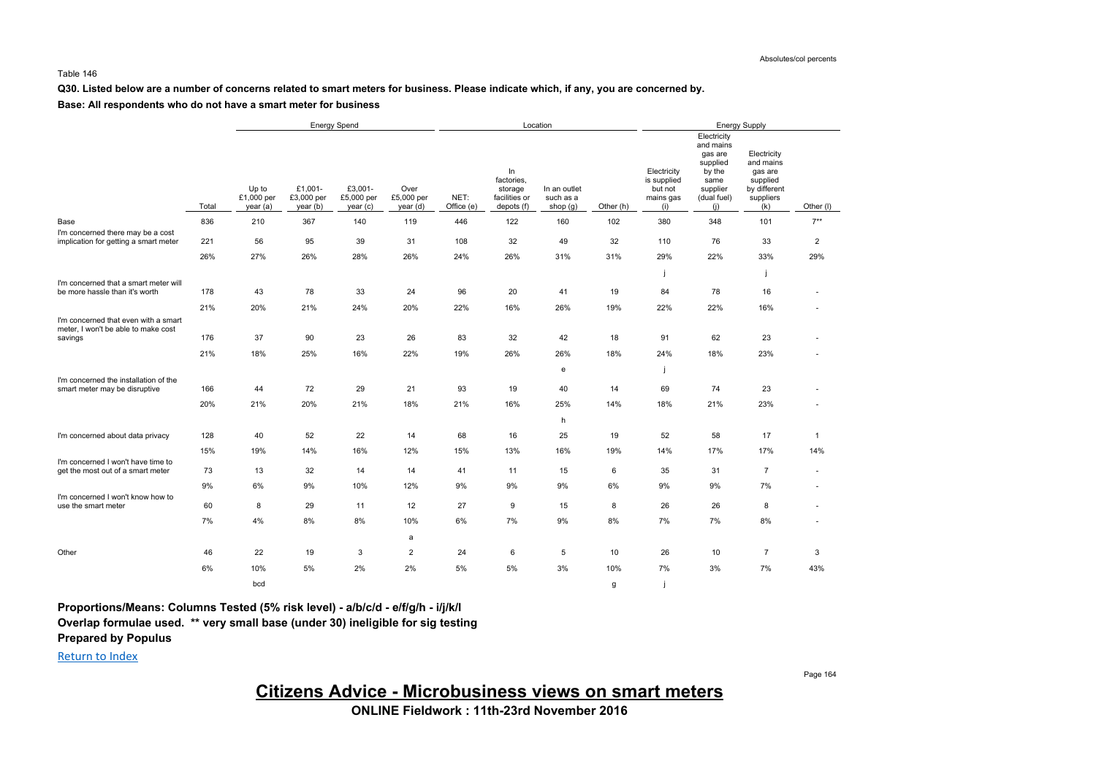#### **Q30. Listed below are a number of concerns related to smart meters for business. Please indicate which, if any, you are concerned by.**

#### **Base: All respondents who do not have a smart meter for business**

|                                                                             |       | Energy Spend                    |                                  |                                  |                                |                    |                                                            | Location                              |           | <b>Energy Supply</b>                                      |                                                                                                     |                                                                                     |                |  |
|-----------------------------------------------------------------------------|-------|---------------------------------|----------------------------------|----------------------------------|--------------------------------|--------------------|------------------------------------------------------------|---------------------------------------|-----------|-----------------------------------------------------------|-----------------------------------------------------------------------------------------------------|-------------------------------------------------------------------------------------|----------------|--|
|                                                                             | Total | Up to<br>£1,000 per<br>year (a) | £1,001-<br>£3,000 per<br>year(b) | £3,001-<br>£5,000 per<br>year(c) | Over<br>£5,000 per<br>year (d) | NET:<br>Office (e) | In<br>factories,<br>storage<br>facilities or<br>depots (f) | In an outlet<br>such as a<br>shop (g) | Other (h) | Electricity<br>is supplied<br>but not<br>mains gas<br>(i) | Electricity<br>and mains<br>gas are<br>supplied<br>by the<br>same<br>supplier<br>(dual fuel)<br>(i) | Electricity<br>and mains<br>gas are<br>supplied<br>by different<br>suppliers<br>(k) | Other (I)      |  |
| Base                                                                        | 836   | 210                             | 367                              | 140                              | 119                            | 446                | 122                                                        | 160                                   | 102       | 380                                                       | 348                                                                                                 | 101                                                                                 | $7**$          |  |
| I'm concerned there may be a cost<br>implication for getting a smart meter  | 221   | 56                              | 95                               | 39                               | 31                             | 108                | 32                                                         | 49                                    | 32        | 110                                                       | 76                                                                                                  | 33                                                                                  | $\overline{2}$ |  |
|                                                                             |       |                                 |                                  |                                  |                                |                    |                                                            |                                       |           |                                                           |                                                                                                     |                                                                                     |                |  |
|                                                                             | 26%   | 27%                             | 26%                              | 28%                              | 26%                            | 24%                | 26%                                                        | 31%                                   | 31%       | 29%                                                       | 22%                                                                                                 | 33%                                                                                 | 29%            |  |
| I'm concerned that a smart meter will                                       |       |                                 |                                  |                                  |                                |                    |                                                            |                                       |           | j                                                         |                                                                                                     |                                                                                     |                |  |
| be more hassle than it's worth                                              | 178   | 43                              | 78                               | 33                               | 24                             | 96                 | 20                                                         | 41                                    | 19        | 84                                                        | 78                                                                                                  | 16                                                                                  |                |  |
|                                                                             | 21%   | 20%                             | 21%                              | 24%                              | 20%                            | 22%                | 16%                                                        | 26%                                   | 19%       | 22%                                                       | 22%                                                                                                 | 16%                                                                                 |                |  |
| I'm concerned that even with a smart<br>meter, I won't be able to make cost |       |                                 |                                  |                                  |                                |                    |                                                            |                                       |           |                                                           |                                                                                                     |                                                                                     |                |  |
| savings                                                                     | 176   | 37                              | 90                               | 23                               | 26                             | 83                 | 32                                                         | 42                                    | 18        | 91                                                        | 62                                                                                                  | 23                                                                                  |                |  |
|                                                                             | 21%   | 18%                             | 25%                              | 16%                              | 22%                            | 19%                | 26%                                                        | 26%                                   | 18%       | 24%                                                       | 18%                                                                                                 | 23%                                                                                 |                |  |
|                                                                             |       |                                 |                                  |                                  |                                |                    |                                                            | e                                     |           | j                                                         |                                                                                                     |                                                                                     |                |  |
| I'm concerned the installation of the<br>smart meter may be disruptive      | 166   | 44                              | 72                               | 29                               | 21                             | 93                 | 19                                                         | 40                                    | 14        | 69                                                        | 74                                                                                                  | 23                                                                                  |                |  |
|                                                                             | 20%   | 21%                             | 20%                              | 21%                              | 18%                            | 21%                | 16%                                                        | 25%                                   | 14%       | 18%                                                       | 21%                                                                                                 | 23%                                                                                 |                |  |
|                                                                             |       |                                 |                                  |                                  |                                |                    |                                                            | h                                     |           |                                                           |                                                                                                     |                                                                                     |                |  |
| I'm concerned about data privacy                                            | 128   | 40                              | 52                               | 22                               | 14                             | 68                 | 16                                                         | 25                                    | 19        | 52                                                        | 58                                                                                                  | 17                                                                                  | $\mathbf{1}$   |  |
|                                                                             | 15%   | 19%                             | 14%                              | 16%                              | 12%                            | 15%                | 13%                                                        | 16%                                   | 19%       | 14%                                                       | 17%                                                                                                 | 17%                                                                                 | 14%            |  |
| I'm concerned I won't have time to<br>get the most out of a smart meter     | 73    | 13                              | 32                               | 14                               | 14                             | 41                 | 11                                                         | 15                                    | 6         | 35                                                        | 31                                                                                                  | $\overline{7}$                                                                      | $\overline{a}$ |  |
|                                                                             | 9%    | 6%                              | 9%                               | 10%                              | 12%                            | 9%                 | 9%                                                         | 9%                                    | 6%        | 9%                                                        | 9%                                                                                                  | 7%                                                                                  |                |  |
| I'm concerned I won't know how to<br>use the smart meter                    | 60    | 8                               | 29                               | 11                               | 12                             | 27                 | 9                                                          | 15                                    | 8         | 26                                                        | 26                                                                                                  | 8                                                                                   |                |  |
|                                                                             | 7%    | 4%                              | 8%                               | 8%                               | 10%                            | 6%                 | 7%                                                         | 9%                                    | 8%        | 7%                                                        | 7%                                                                                                  | 8%                                                                                  |                |  |
|                                                                             |       |                                 |                                  |                                  | a                              |                    |                                                            |                                       |           |                                                           |                                                                                                     |                                                                                     |                |  |
| Other                                                                       | 46    | 22                              | 19                               | 3                                | $\overline{2}$                 | 24                 | 6                                                          | 5                                     | 10        | 26                                                        | 10                                                                                                  | $\overline{7}$                                                                      | 3              |  |
|                                                                             | 6%    | 10%                             | 5%                               | 2%                               | 2%                             | 5%                 | 5%                                                         | 3%                                    | 10%       | 7%                                                        | 3%                                                                                                  | 7%                                                                                  | 43%            |  |
|                                                                             |       | bcd                             |                                  |                                  |                                |                    |                                                            |                                       | g         |                                                           |                                                                                                     |                                                                                     |                |  |

**Proportions/Means: Columns Tested (5% risk level) - a/b/c/d - e/f/g/h - i/j/k/l Overlap formulae used. \*\* very small base (under 30) ineligible for sig testing Prepared by Populus**

Return to Index

Page 164

**Citizens Advice - Microbusiness views on smart meters**

**ONLINE Fieldwork : 11th-23rd November 2016**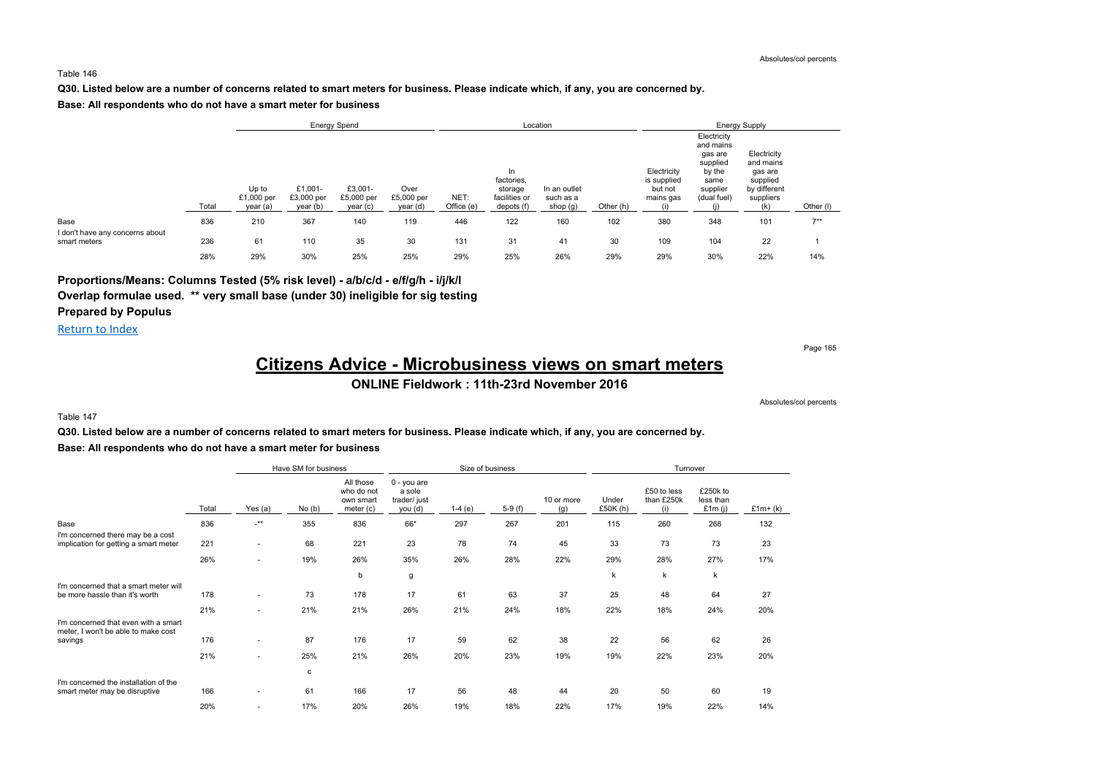#### **Q30. Listed below are a number of concerns related to smart meters for business. Please indicate which, if any, you are concerned by.**

#### **Base: All respondents who do not have a smart meter for business**

|                                         |       |                                 |                                   | <b>Energy Spend</b>               |                                |                    |                                                            | Location                              |           | <b>Energy Supply</b>                               |                                                                                              |                                                                              |           |  |
|-----------------------------------------|-------|---------------------------------|-----------------------------------|-----------------------------------|--------------------------------|--------------------|------------------------------------------------------------|---------------------------------------|-----------|----------------------------------------------------|----------------------------------------------------------------------------------------------|------------------------------------------------------------------------------|-----------|--|
|                                         | Total | Up to<br>£1,000 per<br>year (a) | £1,001-<br>£3,000 per<br>year (b) | £3,001-<br>£5,000 per<br>year (c) | Over<br>£5,000 per<br>year (d) | NET:<br>Office (e) | In<br>factories,<br>storage<br>facilities or<br>depots (f) | In an outlet<br>such as a<br>shop (g) | Other (h) | Electricity<br>is supplied<br>but not<br>mains gas | Electricity<br>and mains<br>gas are<br>supplied<br>by the<br>same<br>supplier<br>(dual fuel) | Electricity<br>and mains<br>gas are<br>supplied<br>by different<br>suppliers | Other (I) |  |
| Base<br>I don't have any concerns about | 836   | 210                             | 367                               | 140                               | 119                            | 446                | 122                                                        | 160                                   | 102       | 380                                                | 348                                                                                          | 101                                                                          | $7**$     |  |
| smart meters                            | 236   | 61                              | 110                               | 35                                | 30                             | 131                | 31                                                         | 41                                    | 30        | 109                                                | 104                                                                                          | 22                                                                           |           |  |
|                                         | 28%   | 29%                             | 30%                               | 25%                               | 25%                            | 29%                | 25%                                                        | 26%                                   | 29%       | 29%                                                | 30%                                                                                          | 22%                                                                          | 14%       |  |

### **Proportions/Means: Columns Tested (5% risk level) - a/b/c/d - e/f/g/h - i/j/k/l Overlap formulae used. \*\* very small base (under 30) ineligible for sig testing Prepared by Populus**

Return to Index

Page 165

# **Citizens Advice - Microbusiness views on smart meters**

**ONLINE Fieldwork : 11th-23rd November 2016**

Absolutes/col percents

#### Table 147

#### **Q30. Listed below are a number of concerns related to smart meters for business. Please indicate which, if any, you are concerned by. Base: All respondents who do not have a smart meter for business**

|                                                                             |       | Have SM for business<br>Size of business |       |                                                   |                                                  |          |          |                   | Turnover            |                                  |                                    |            |
|-----------------------------------------------------------------------------|-------|------------------------------------------|-------|---------------------------------------------------|--------------------------------------------------|----------|----------|-------------------|---------------------|----------------------------------|------------------------------------|------------|
|                                                                             | Total | Yes (a)                                  | No(b) | All those<br>who do not<br>own smart<br>meter (c) | 0 - you are<br>a sole<br>trader/ just<br>you (d) | $1-4(e)$ | $5-9(f)$ | 10 or more<br>(g) | Under<br>£50 $K(h)$ | £50 to less<br>than £250k<br>(i) | £250k to<br>less than<br>£1 $m(j)$ | £1 $m+(k)$ |
| Base                                                                        | 836   | $^{-**}$                                 | 355   | 836                                               | 66*                                              | 297      | 267      | 201               | 115                 | 260                              | 268                                | 132        |
| I'm concerned there may be a cost<br>implication for getting a smart meter  | 221   | ٠                                        | 68    | 221                                               | 23                                               | 78       | 74       | 45                | 33                  | 73                               | 73                                 | 23         |
|                                                                             | 26%   | $\overline{\phantom{a}}$                 | 19%   | 26%                                               | 35%                                              | 26%      | 28%      | 22%               | 29%                 | 28%                              | 27%                                | 17%        |
|                                                                             |       |                                          |       | b                                                 | g                                                |          |          |                   | k                   | $\mathsf k$                      | k                                  |            |
| I'm concerned that a smart meter will<br>be more hassle than it's worth     | 178   | ٠                                        | 73    | 178                                               | 17                                               | 61       | 63       | 37                | 25                  | 48                               | 64                                 | 27         |
|                                                                             | 21%   | ٠                                        | 21%   | 21%                                               | 26%                                              | 21%      | 24%      | 18%               | 22%                 | 18%                              | 24%                                | 20%        |
| I'm concerned that even with a smart<br>meter, I won't be able to make cost |       |                                          |       |                                                   |                                                  |          |          |                   |                     |                                  |                                    |            |
| savings                                                                     | 176   | ٠                                        | 87    | 176                                               | 17                                               | 59       | 62       | 38                | 22                  | 56                               | 62                                 | 26         |
|                                                                             | 21%   | ٠                                        | 25%   | 21%                                               | 26%                                              | 20%      | 23%      | 19%               | 19%                 | 22%                              | 23%                                | 20%        |
|                                                                             |       |                                          | с     |                                                   |                                                  |          |          |                   |                     |                                  |                                    |            |
| I'm concerned the installation of the<br>smart meter may be disruptive      | 166   | ٠                                        | 61    | 166                                               | 17                                               | 56       | 48       | 44                | 20                  | 50                               | 60                                 | 19         |
|                                                                             | 20%   | $\overline{\phantom{a}}$                 | 17%   | 20%                                               | 26%                                              | 19%      | 18%      | 22%               | 17%                 | 19%                              | 22%                                | 14%        |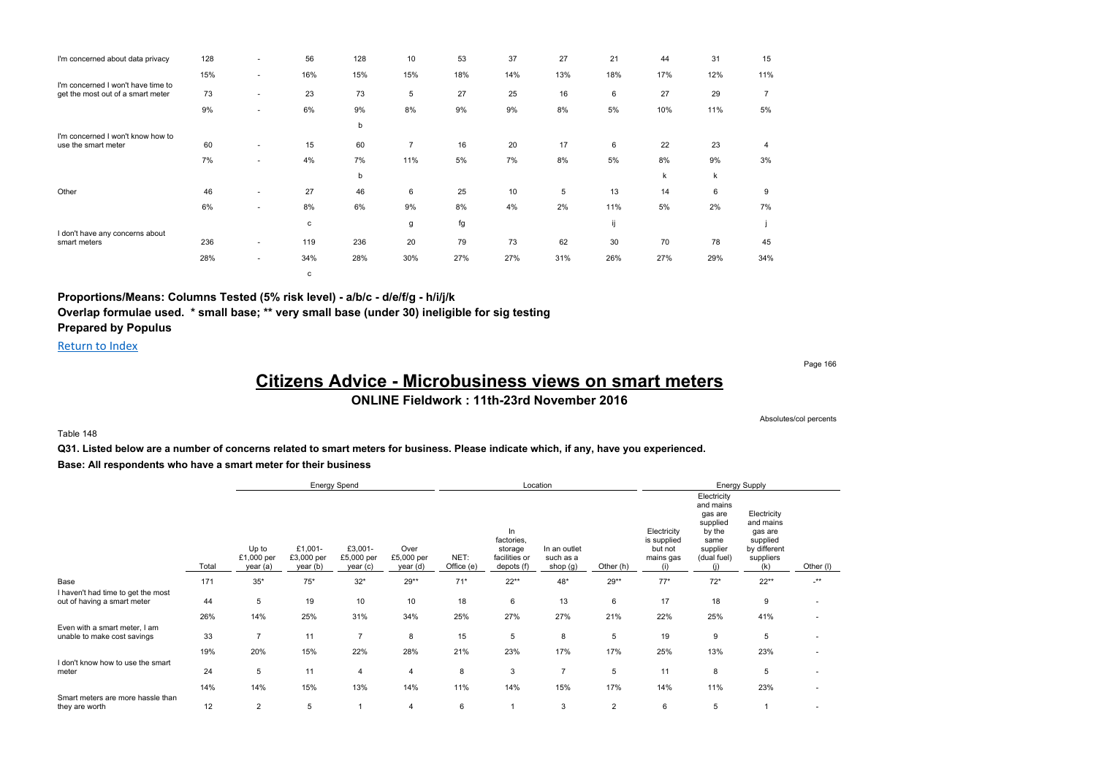| I'm concerned about data privacy                                        | 128 | $\overline{\phantom{a}}$ | 56           | 128 | 10  | 53  | 37  | 27  | 21  | 44  | 31  | 15             |
|-------------------------------------------------------------------------|-----|--------------------------|--------------|-----|-----|-----|-----|-----|-----|-----|-----|----------------|
|                                                                         | 15% | $\sim$                   | 16%          | 15% | 15% | 18% | 14% | 13% | 18% | 17% | 12% | 11%            |
| I'm concerned I won't have time to<br>get the most out of a smart meter | 73  | $\overline{\phantom{a}}$ | 23           | 73  | 5   | 27  | 25  | 16  | 6   | 27  | 29  | $\overline{7}$ |
|                                                                         | 9%  | $\sim$                   | 6%           | 9%  | 8%  | 9%  | 9%  | 8%  | 5%  | 10% | 11% | 5%             |
|                                                                         |     |                          |              | b   |     |     |     |     |     |     |     |                |
| I'm concerned I won't know how to<br>use the smart meter                | 60  | ٠                        | 15           | 60  | 7   | 16  | 20  | 17  | 6   | 22  | 23  | 4              |
|                                                                         | 7%  | ٠                        | 4%           | 7%  | 11% | 5%  | 7%  | 8%  | 5%  | 8%  | 9%  | 3%             |
|                                                                         |     |                          |              | b   |     |     |     |     |     | k   | k   |                |
| Other                                                                   | 46  | $\overline{\phantom{a}}$ | 27           | 46  | 6   | 25  | 10  | 5   | 13  | 14  | 6   | 9              |
|                                                                         | 6%  | ٠                        | 8%           | 6%  | 9%  | 8%  | 4%  | 2%  | 11% | 5%  | 2%  | 7%             |
|                                                                         |     |                          | $\mathbf{c}$ |     | g   | fg  |     |     | ij  |     |     |                |
| I don't have any concerns about<br>smart meters                         | 236 | $\overline{\phantom{a}}$ | 119          | 236 | 20  | 79  | 73  | 62  | 30  | 70  | 78  | 45             |
|                                                                         | 28% | ٠                        | 34%          | 28% | 30% | 27% | 27% | 31% | 26% | 27% | 29% | 34%            |
|                                                                         |     |                          | с            |     |     |     |     |     |     |     |     |                |

**Proportions/Means: Columns Tested (5% risk level) - a/b/c - d/e/f/g - h/i/j/k Overlap formulae used. \* small base; \*\* very small base (under 30) ineligible for sig testing Prepared by Populus**

Return to Index

Page 166

# **Citizens Advice - Microbusiness views on smart meters**

### **ONLINE Fieldwork : 11th-23rd November 2016**

Absolutes/col percents

#### Table 148

**Q31. Listed below are a number of concerns related to smart meters for business. Please indicate which, if any, have you experienced. Base: All respondents who have a smart meter for their business**

|                                                                   |       |                                 |                                   | <b>Energy Spend</b>               |                                |                    | Location                                                   |                                       |                | <b>Energy Supply</b>                                      |                                                                                                     |                                                                                     |                          |  |
|-------------------------------------------------------------------|-------|---------------------------------|-----------------------------------|-----------------------------------|--------------------------------|--------------------|------------------------------------------------------------|---------------------------------------|----------------|-----------------------------------------------------------|-----------------------------------------------------------------------------------------------------|-------------------------------------------------------------------------------------|--------------------------|--|
|                                                                   | Total | Up to<br>£1,000 per<br>year (a) | £1,001-<br>£3,000 per<br>year (b) | £3,001-<br>£5,000 per<br>year (c) | Over<br>£5,000 per<br>year (d) | NET:<br>Office (e) | In<br>factories,<br>storage<br>facilities or<br>depots (f) | In an outlet<br>such as a<br>shop (g) | Other (h)      | Electricity<br>is supplied<br>but not<br>mains gas<br>(i) | Electricity<br>and mains<br>gas are<br>supplied<br>by the<br>same<br>supplier<br>(dual fuel)<br>(i) | Electricity<br>and mains<br>gas are<br>supplied<br>by different<br>suppliers<br>(k) | Other (I)                |  |
| Base                                                              | 171   | $35*$                           | $75*$                             | $32*$                             | $29**$                         | $71*$              | $22**$                                                     | $48*$                                 | $29**$         | $77*$                                                     | $72*$                                                                                               | $22**$                                                                              | $\cdot^{\star\star}$     |  |
| I haven't had time to get the most<br>out of having a smart meter | 44    | 5                               | 19                                | 10                                | 10                             | 18                 | 6                                                          | 13                                    | 6              | 17                                                        | 18                                                                                                  | 9                                                                                   | $\overline{\phantom{a}}$ |  |
|                                                                   | 26%   | 14%                             | 25%                               | 31%                               | 34%                            | 25%                | 27%                                                        | 27%                                   | 21%            | 22%                                                       | 25%                                                                                                 | 41%                                                                                 | $\sim$                   |  |
| Even with a smart meter, I am<br>unable to make cost savings      | 33    | 7                               | 11                                | $\overline{7}$                    | 8                              | 15                 | 5                                                          | 8                                     | 5              | 19                                                        | 9                                                                                                   | 5                                                                                   |                          |  |
|                                                                   | 19%   | 20%                             | 15%                               | 22%                               | 28%                            | 21%                | 23%                                                        | 17%                                   | 17%            | 25%                                                       | 13%                                                                                                 | 23%                                                                                 |                          |  |
| I don't know how to use the smart<br>meter                        | 24    | 5                               | 11                                | $\overline{4}$                    | $\overline{4}$                 | 8                  | 3                                                          | $\overline{7}$                        | 5              | 11                                                        | 8                                                                                                   | 5                                                                                   |                          |  |
|                                                                   | 14%   | 14%                             | 15%                               | 13%                               | 14%                            | 11%                | 14%                                                        | 15%                                   | 17%            | 14%                                                       | 11%                                                                                                 | 23%                                                                                 |                          |  |
| Smart meters are more hassle than<br>they are worth               | 12    | $\overline{2}$                  | 5                                 |                                   | $\overline{4}$                 | 6                  |                                                            | 3                                     | $\overline{2}$ | 6                                                         | 5                                                                                                   |                                                                                     |                          |  |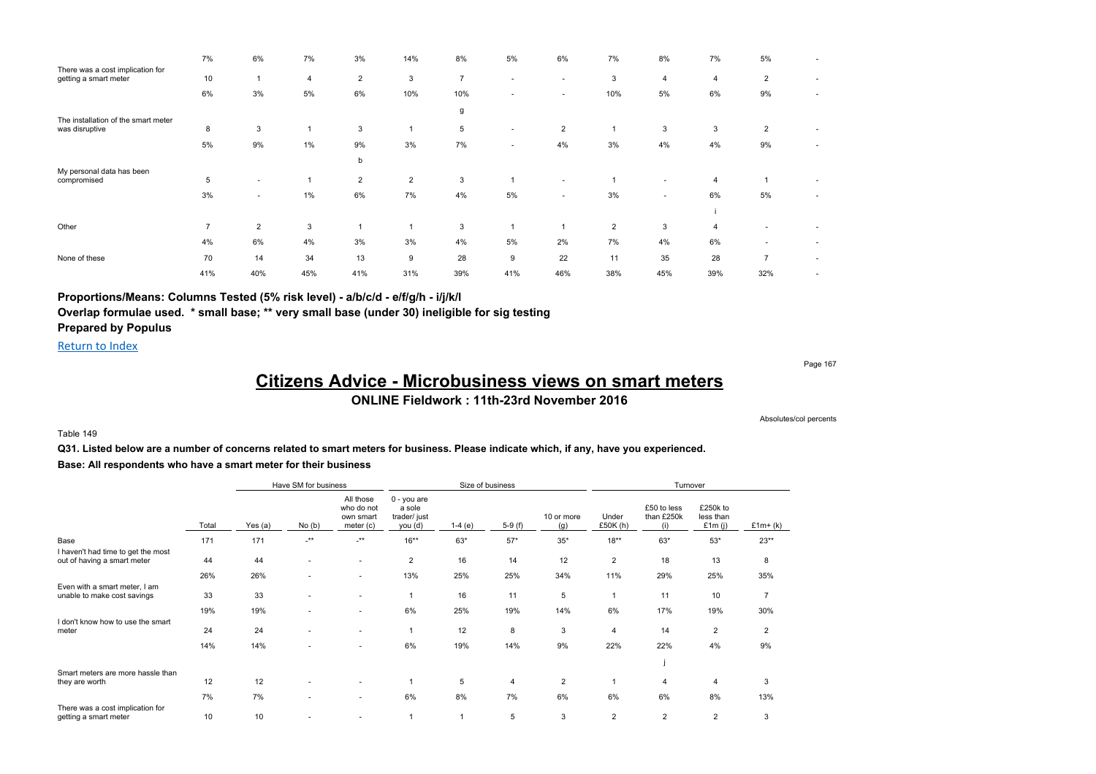|                                                           | 7%             | 6%             | 7%    | 3%             | 14%            | 8%             | 5%     | 6%                       | 7%             | 8%                       | 7%             | 5%             |                          |
|-----------------------------------------------------------|----------------|----------------|-------|----------------|----------------|----------------|--------|--------------------------|----------------|--------------------------|----------------|----------------|--------------------------|
| There was a cost implication for<br>getting a smart meter | 10             | и              | 4     | $\overline{2}$ | 3              | $\overline{7}$ |        | $\sim$                   | 3              | 4                        | $\overline{4}$ | $\overline{2}$ |                          |
|                                                           | 6%             | 3%             | 5%    | 6%             | 10%            | 10%            |        | $\overline{\phantom{a}}$ | 10%            | 5%                       | 6%             | 9%             | $\overline{\phantom{a}}$ |
|                                                           |                |                |       |                |                | g              |        |                          |                |                          |                |                |                          |
| The installation of the smart meter<br>was disruptive     | 8              | 3              |       | 3              |                | 5              | $\sim$ | $\overline{2}$           | $\overline{ }$ | 3                        | 3              | $\overline{2}$ | ٠                        |
|                                                           | 5%             | 9%             | $1\%$ | 9%             | 3%             | 7%             | $\sim$ | 4%                       | 3%             | 4%                       | 4%             | 9%             | ٠                        |
|                                                           |                |                |       | b              |                |                |        |                          |                |                          |                |                |                          |
| My personal data has been<br>compromised                  | 5              | $\sim$         |       | $\overline{2}$ | $\overline{2}$ | 3              |        | $\sim$                   |                | $\overline{\phantom{a}}$ | $\overline{4}$ | $\overline{1}$ | ٠                        |
|                                                           | 3%             | $\sim$         | 1%    | 6%             | 7%             | 4%             | 5%     | $\sim$                   | 3%             | $\sim$                   | 6%             | 5%             | ٠                        |
|                                                           |                |                |       |                |                |                |        |                          |                |                          |                |                |                          |
| Other                                                     | $\overline{7}$ | $\overline{2}$ | 3     |                |                | 3              |        |                          | $\overline{2}$ | 3                        | $\overline{4}$ |                |                          |
|                                                           | 4%             | 6%             | 4%    | 3%             | 3%             | 4%             | 5%     | 2%                       | 7%             | 4%                       | 6%             |                | ٠                        |
| None of these                                             | 70             | 14             | 34    | 13             | 9              | 28             | 9      | 22                       | 11             | 35                       | 28             | $\overline{ }$ | $\overline{\phantom{a}}$ |
|                                                           | 41%            | 40%            | 45%   | 41%            | 31%            | 39%            | 41%    | 46%                      | 38%            | 45%                      | 39%            | 32%            | ٠                        |

### **Proportions/Means: Columns Tested (5% risk level) - a/b/c/d - e/f/g/h - i/j/k/l**

**Overlap formulae used. \* small base; \*\* very small base (under 30) ineligible for sig testing**

# **Prepared by Populus**

Return to Index

Page 167

# **Citizens Advice - Microbusiness views on smart meters**

### **ONLINE Fieldwork : 11th-23rd November 2016**

Absolutes/col percents

#### Table 149

**Q31. Listed below are a number of concerns related to smart meters for business. Please indicate which, if any, have you experienced. Base: All respondents who have a smart meter for their business**

|                                                                   |       |         | Have SM for business     |                                                   |                                                  | Size of business |          |                   | Turnover          |                                  |                                    |                |  |
|-------------------------------------------------------------------|-------|---------|--------------------------|---------------------------------------------------|--------------------------------------------------|------------------|----------|-------------------|-------------------|----------------------------------|------------------------------------|----------------|--|
|                                                                   | Total | Yes (a) | No(b)                    | All those<br>who do not<br>own smart<br>meter (c) | 0 - you are<br>a sole<br>trader/ just<br>you (d) | $1-4(e)$         | $5-9(f)$ | 10 or more<br>(g) | Under<br>£50K (h) | £50 to less<br>than £250k<br>(i) | £250k to<br>less than<br>£1 $m(i)$ | $£1m+(k)$      |  |
| Base                                                              | 171   | 171     | $.**$                    | $\cdot^{\star\star}$                              | $16***$                                          | $63*$            | $57*$    | $35^{\ast}$       | $18**$            | $63*$                            | $53*$                              | $23**$         |  |
| I haven't had time to get the most<br>out of having a smart meter | 44    | 44      |                          | $\overline{\phantom{a}}$                          | $\overline{2}$                                   | 16               | 14       | 12                | $\overline{2}$    | 18                               | 13                                 | 8              |  |
|                                                                   | 26%   | 26%     | $\overline{\phantom{a}}$ | $\sim$                                            | 13%                                              | 25%              | 25%      | 34%               | 11%               | 29%                              | 25%                                | 35%            |  |
| Even with a smart meter, I am<br>unable to make cost savings      | 33    | 33      |                          | $\overline{\phantom{a}}$                          |                                                  | 16               | 11       | 5                 |                   | 11                               | 10                                 | $\overline{7}$ |  |
|                                                                   | 19%   | 19%     |                          |                                                   | 6%                                               | 25%              | 19%      | 14%               | 6%                | 17%                              | 19%                                | 30%            |  |
| I don't know how to use the smart<br>meter                        | 24    | 24      |                          | $\overline{\phantom{a}}$                          | 1                                                | 12               | 8        | 3                 | 4                 | 14                               | $\overline{2}$                     | $\overline{2}$ |  |
|                                                                   | 14%   | 14%     |                          |                                                   | 6%                                               | 19%              | 14%      | 9%                | 22%               | 22%                              | 4%                                 | 9%             |  |
|                                                                   |       |         |                          |                                                   |                                                  |                  |          |                   |                   |                                  |                                    |                |  |
| Smart meters are more hassle than<br>they are worth               | 12    | 12      |                          |                                                   |                                                  | 5                | 4        | $\overline{2}$    |                   | 4                                | 4                                  | 3              |  |
|                                                                   | 7%    | 7%      |                          | $\overline{\phantom{a}}$                          | 6%                                               | 8%               | 7%       | 6%                | 6%                | 6%                               | 8%                                 | 13%            |  |
| There was a cost implication for<br>getting a smart meter         | 10    | 10      |                          |                                                   |                                                  |                  | 5        | 3                 | $\overline{2}$    | $\overline{2}$                   | $\overline{2}$                     | 3              |  |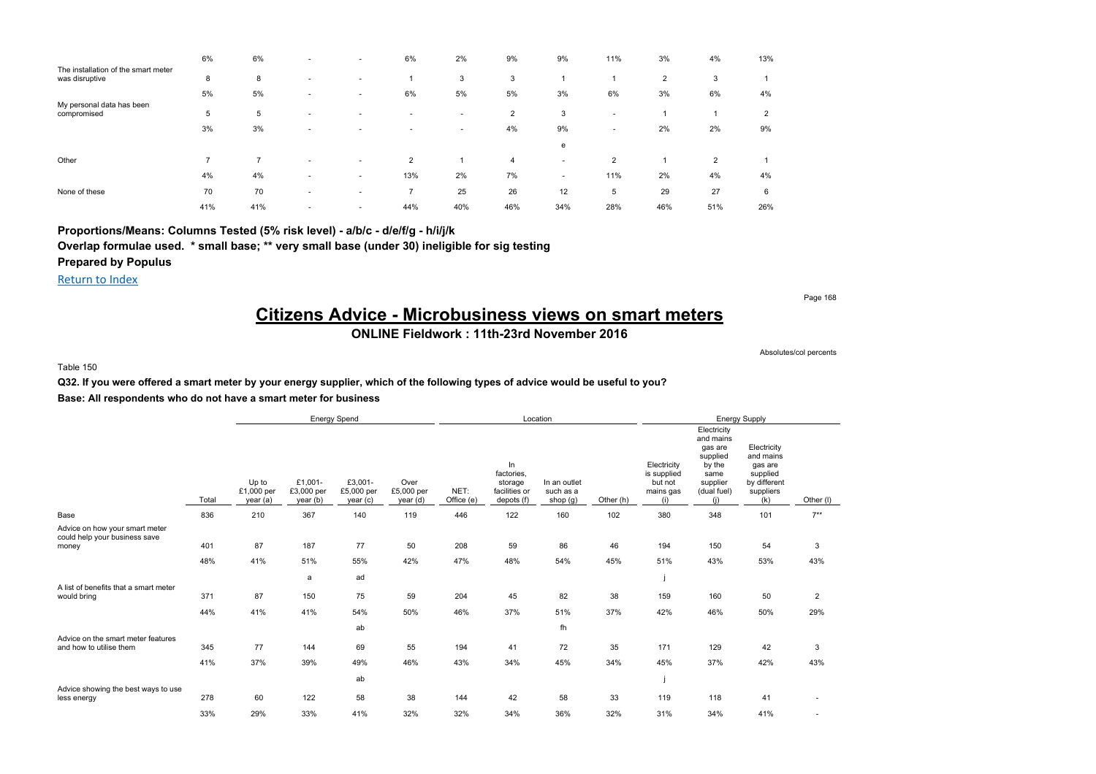|                                                       | 6%  | 6%  | . .                      | . .                      | 6%                       | 2%  | 9%             | 9%                       | 11%                      | 3%  | 4%  | 13%            |
|-------------------------------------------------------|-----|-----|--------------------------|--------------------------|--------------------------|-----|----------------|--------------------------|--------------------------|-----|-----|----------------|
| The installation of the smart meter<br>was disruptive | 8   | 8   |                          |                          |                          | 3   | 3              |                          |                          | 2   | 3   |                |
|                                                       | 5%  | 5%  |                          | . .                      | 6%                       | 5%  | 5%             | 3%                       | 6%                       | 3%  | 6%  | 4%             |
| My personal data has been<br>compromised              | 5   | 5   |                          |                          |                          |     | $\overline{2}$ | 3                        |                          |     |     | $\overline{2}$ |
|                                                       | 3%  | 3%  | -                        |                          |                          |     | 4%             | 9%                       | $\overline{\phantom{a}}$ | 2%  | 2%  | 9%             |
|                                                       |     |     |                          |                          |                          |     |                | e                        |                          |     |     |                |
| Other                                                 | -   |     | $\overline{\phantom{a}}$ | . .                      | $\overline{2}$           |     | $\overline{4}$ | $\overline{\phantom{a}}$ | $\overline{2}$           |     | 2   |                |
|                                                       | 4%  | 4%  | $\overline{\phantom{a}}$ | $\overline{\phantom{a}}$ | 13%                      | 2%  | 7%             | $\overline{\phantom{a}}$ | 11%                      | 2%  | 4%  | 4%             |
| None of these                                         | 70  | 70  |                          | $\overline{\phantom{a}}$ | $\overline{\phantom{a}}$ | 25  | 26             | 12                       | 5                        | 29  | 27  | 6              |
|                                                       | 41% | 41% | $\overline{\phantom{a}}$ | . .                      | 44%                      | 40% | 46%            | 34%                      | 28%                      | 46% | 51% | 26%            |

**Proportions/Means: Columns Tested (5% risk level) - a/b/c - d/e/f/g - h/i/j/k**

**Overlap formulae used. \* small base; \*\* very small base (under 30) ineligible for sig testing Prepared by Populus**

Return to Index

Page 168

## **Citizens Advice - Microbusiness views on smart meters**

### **ONLINE Fieldwork : 11th-23rd November 2016**

Absolutes/col percents

#### Table 150

### **Q32. If you were offered a smart meter by your energy supplier, which of the following types of advice would be useful to you? Base: All respondents who do not have a smart meter for business**

|                                                                          |            |                                 |                                   | Energy Spend                     |                                |                    |                                                            | Location                              |           |                                                           |                                                                                                     | Energy Supply                                                                       |                |
|--------------------------------------------------------------------------|------------|---------------------------------|-----------------------------------|----------------------------------|--------------------------------|--------------------|------------------------------------------------------------|---------------------------------------|-----------|-----------------------------------------------------------|-----------------------------------------------------------------------------------------------------|-------------------------------------------------------------------------------------|----------------|
|                                                                          | Total      | Up to<br>£1,000 per<br>year (a) | £1,001-<br>£3,000 per<br>year (b) | £3,001-<br>£5,000 per<br>year(c) | Over<br>£5,000 per<br>year (d) | NET:<br>Office (e) | In<br>factories.<br>storage<br>facilities or<br>depots (f) | In an outlet<br>such as a<br>shop (g) | Other (h) | Electricity<br>is supplied<br>but not<br>mains gas<br>(i) | Electricity<br>and mains<br>gas are<br>supplied<br>by the<br>same<br>supplier<br>(dual fuel)<br>(i) | Electricity<br>and mains<br>gas are<br>supplied<br>by different<br>suppliers<br>(k) | Other (I)      |
| Base                                                                     | 836        | 210                             | 367                               | 140                              | 119                            | 446                | 122                                                        | 160                                   | 102       | 380                                                       | 348                                                                                                 | 101                                                                                 | $7***$         |
| Advice on how your smart meter<br>could help your business save<br>money | 401<br>48% | 87<br>41%                       | 187<br>51%                        | 77<br>55%<br>ad                  | 50<br>42%                      | 208<br>47%         | 59<br>48%                                                  | 86<br>54%                             | 46<br>45% | 194<br>51%                                                | 150<br>43%                                                                                          | 54<br>53%                                                                           | 3<br>43%       |
| A list of benefits that a smart meter                                    |            |                                 | a                                 |                                  |                                |                    |                                                            |                                       |           |                                                           |                                                                                                     |                                                                                     |                |
| would bring                                                              | 371        | 87                              | 150                               | 75                               | 59                             | 204                | 45                                                         | 82                                    | 38        | 159                                                       | 160                                                                                                 | 50                                                                                  | $\overline{2}$ |
|                                                                          | 44%        | 41%                             | 41%                               | 54%                              | 50%                            | 46%                | 37%                                                        | 51%                                   | 37%       | 42%                                                       | 46%                                                                                                 | 50%                                                                                 | 29%            |
|                                                                          |            |                                 |                                   | ab                               |                                |                    |                                                            | fh                                    |           |                                                           |                                                                                                     |                                                                                     |                |
| Advice on the smart meter features<br>and how to utilise them            | 345        | 77                              | 144                               | 69                               | 55                             | 194                | 41                                                         | 72                                    | 35        | 171                                                       | 129                                                                                                 | 42                                                                                  | 3              |
|                                                                          | 41%        | 37%                             | 39%                               | 49%                              | 46%                            | 43%                | 34%                                                        | 45%                                   | 34%       | 45%                                                       | 37%                                                                                                 | 42%                                                                                 | 43%            |
| Advice showing the best ways to use                                      |            |                                 |                                   | ab                               |                                |                    |                                                            |                                       |           |                                                           |                                                                                                     |                                                                                     |                |
| less energy                                                              | 278        | 60                              | 122                               | 58                               | 38                             | 144                | 42                                                         | 58                                    | 33        | 119                                                       | 118                                                                                                 | 41                                                                                  |                |
|                                                                          | 33%        | 29%                             | 33%                               | 41%                              | 32%                            | 32%                | 34%                                                        | 36%                                   | 32%       | 31%                                                       | 34%                                                                                                 | 41%                                                                                 |                |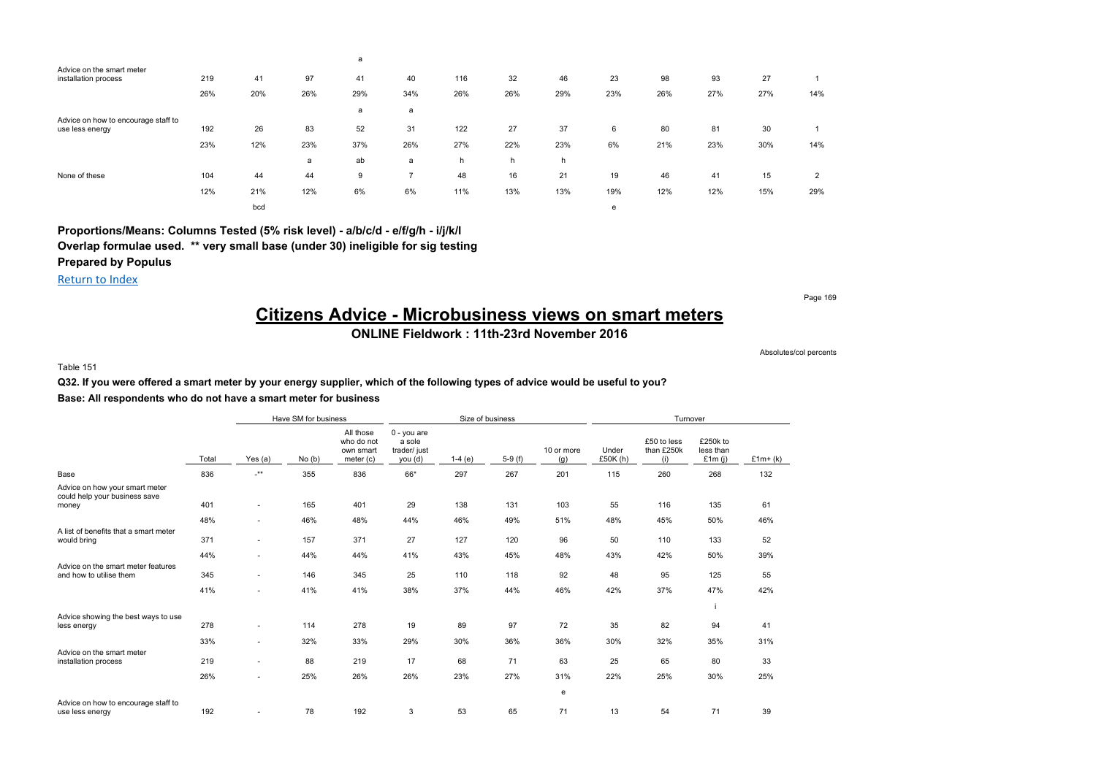|                                                        |     |     |     | a   |     |     |     |     |     |     |     |     |     |
|--------------------------------------------------------|-----|-----|-----|-----|-----|-----|-----|-----|-----|-----|-----|-----|-----|
| Advice on the smart meter<br>installation process      | 219 | 41  | 97  | 41  | 40  | 116 | 32  | 46  | 23  | 98  | 93  | 27  |     |
|                                                        | 26% | 20% | 26% | 29% | 34% | 26% | 26% | 29% | 23% | 26% | 27% | 27% | 14% |
|                                                        |     |     |     | a   | a   |     |     |     |     |     |     |     |     |
| Advice on how to encourage staff to<br>use less energy | 192 | 26  | 83  | 52  | 31  | 122 | 27  | 37  | 6   | 80  | 81  | 30  |     |
|                                                        | 23% | 12% | 23% | 37% | 26% | 27% | 22% | 23% | 6%  | 21% | 23% | 30% | 14% |
|                                                        |     |     | a   | ab  | a   | h   | h   | h   |     |     |     |     |     |
| None of these                                          | 104 | 44  | 44  | 9   | -   | 48  | 16  | 21  | 19  | 46  | 41  | 15  | 2   |
|                                                        | 12% | 21% | 12% | 6%  | 6%  | 11% | 13% | 13% | 19% | 12% | 12% | 15% | 29% |
|                                                        |     | bcd |     |     |     |     |     |     | е   |     |     |     |     |

**Proportions/Means: Columns Tested (5% risk level) - a/b/c/d - e/f/g/h - i/j/k/l Overlap formulae used. \*\* very small base (under 30) ineligible for sig testing Prepared by Populus**

Return to Index

Page 169

## **Citizens Advice - Microbusiness views on smart meters**

### **ONLINE Fieldwork : 11th-23rd November 2016**

Absolutes/col percents

#### Table 151

### **Q32. If you were offered a smart meter by your energy supplier, which of the following types of advice would be useful to you? Base: All respondents who do not have a smart meter for business**

|                                                                          |       |         | Have SM for business |                                                   |                                                  |          | Size of business |                   |                   | Turnover                         |                                    |            |
|--------------------------------------------------------------------------|-------|---------|----------------------|---------------------------------------------------|--------------------------------------------------|----------|------------------|-------------------|-------------------|----------------------------------|------------------------------------|------------|
|                                                                          | Total | Yes (a) | No(b)                | All those<br>who do not<br>own smart<br>meter (c) | 0 - you are<br>a sole<br>trader/ just<br>you (d) | $1-4(e)$ | $5-9(f)$         | 10 or more<br>(g) | Under<br>£50K (h) | £50 to less<br>than £250k<br>(i) | £250k to<br>less than<br>£1 $m(i)$ | £1 $m+(k)$ |
| Base                                                                     | 836   | $**$    | 355                  | 836                                               | 66*                                              | 297      | 267              | 201               | 115               | 260                              | 268                                | 132        |
| Advice on how your smart meter<br>could help your business save<br>money | 401   | $\sim$  | 165                  | 401                                               | 29                                               | 138      | 131              | 103               | 55                | 116                              | 135                                | 61         |
|                                                                          |       |         |                      |                                                   |                                                  |          |                  |                   |                   |                                  |                                    |            |
|                                                                          | 48%   | ٠       | 46%                  | 48%                                               | 44%                                              | 46%      | 49%              | 51%               | 48%               | 45%                              | 50%                                | 46%        |
| A list of benefits that a smart meter<br>would bring                     | 371   | $\sim$  | 157                  | 371                                               | 27                                               | 127      | 120              | 96                | 50                | 110                              | 133                                | 52         |
|                                                                          | 44%   | $\sim$  | 44%                  | 44%                                               | 41%                                              | 43%      | 45%              | 48%               | 43%               | 42%                              | 50%                                | 39%        |
| Advice on the smart meter features<br>and how to utilise them            | 345   | $\sim$  | 146                  | 345                                               | 25                                               | 110      | 118              | 92                | 48                | 95                               | 125                                | 55         |
|                                                                          | 41%   | ٠       | 41%                  | 41%                                               | 38%                                              | 37%      | 44%              | 46%               | 42%               | 37%                              | 47%                                | 42%        |
| Advice showing the best ways to use                                      |       |         |                      |                                                   |                                                  |          |                  |                   |                   |                                  |                                    |            |
| less energy                                                              | 278   | $\sim$  | 114                  | 278                                               | 19                                               | 89       | 97               | 72                | 35                | 82                               | 94                                 | 41         |
|                                                                          | 33%   | $\sim$  | 32%                  | 33%                                               | 29%                                              | 30%      | 36%              | 36%               | 30%               | 32%                              | 35%                                | 31%        |
| Advice on the smart meter<br>installation process                        | 219   | $\sim$  | 88                   | 219                                               | 17                                               | 68       | 71               | 63                | 25                | 65                               | 80                                 | 33         |
|                                                                          | 26%   | $\sim$  | 25%                  | 26%                                               | 26%                                              | 23%      | 27%              | 31%               | 22%               | 25%                              | 30%                                | 25%        |
|                                                                          |       |         |                      |                                                   |                                                  |          |                  | e                 |                   |                                  |                                    |            |
| Advice on how to encourage staff to<br>use less energy                   | 192   |         | 78                   | 192                                               | 3                                                | 53       | 65               | 71                | 13                | 54                               | 71                                 | 39         |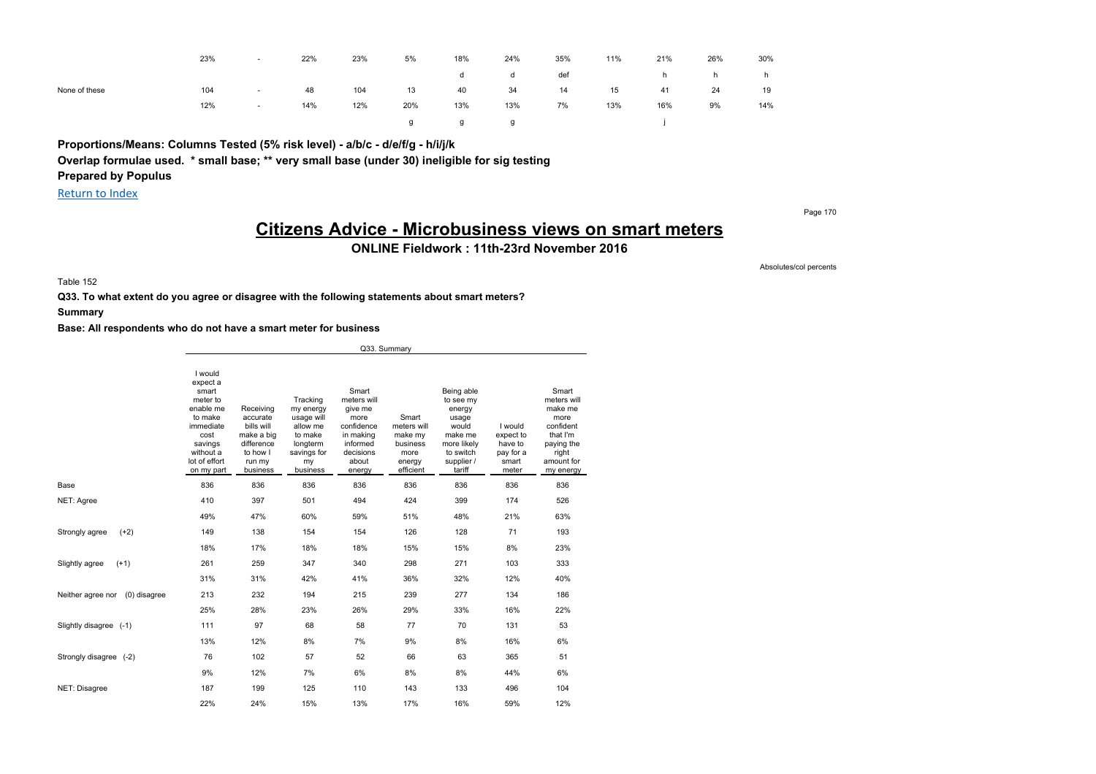|               | 23% | $\overline{\phantom{a}}$ | 22% | 23% | 5%  | 18% | 24% | 35% | 11% | 21% | 26% | 30% |
|---------------|-----|--------------------------|-----|-----|-----|-----|-----|-----|-----|-----|-----|-----|
|               |     |                          |     |     |     | d   | d   | def |     | h.  | h.  | h.  |
| None of these | 104 | $\sim$                   | 48  | 104 | 13  | 40  | 34  | 14  | 15  | 41  | 24  | 19  |
|               | 12% | $\sim$                   | 14% | 12% | 20% | 13% | 13% | 7%  | 13% | 16% | 9%  | 14% |
|               |     |                          |     |     |     | g   | g   |     |     |     |     |     |

**Proportions/Means: Columns Tested (5% risk level) - a/b/c - d/e/f/g - h/i/j/k Overlap formulae used. \* small base; \*\* very small base (under 30) ineligible for sig testing Prepared by Populus**

Return to Index

Page 170

Absolutes/col percents

## **Citizens Advice - Microbusiness views on smart meters**

**ONLINE Fieldwork : 11th-23rd November 2016**

Table 152

**Q33. To what extent do you agree or disagree with the following statements about smart meters?**

**Summary**

|                                   |                                                                                                                                              |                                                                                                   |                                                                                                         |                                                                                                                | Q33. Summary                                                               |                                                                                                                    |                                                                |                                                                                                                    |
|-----------------------------------|----------------------------------------------------------------------------------------------------------------------------------------------|---------------------------------------------------------------------------------------------------|---------------------------------------------------------------------------------------------------------|----------------------------------------------------------------------------------------------------------------|----------------------------------------------------------------------------|--------------------------------------------------------------------------------------------------------------------|----------------------------------------------------------------|--------------------------------------------------------------------------------------------------------------------|
|                                   | I would<br>expect a<br>smart<br>meter to<br>enable me<br>to make<br>immediate<br>cost<br>savings<br>without a<br>lot of effort<br>on my part | Receiving<br>accurate<br>bills will<br>make a big<br>difference<br>to how I<br>run my<br>business | Tracking<br>my energy<br>usage will<br>allow me<br>to make<br>longterm<br>savings for<br>my<br>business | Smart<br>meters will<br>give me<br>more<br>confidence<br>in making<br>informed<br>decisions<br>about<br>energy | Smart<br>meters will<br>make my<br>business<br>more<br>energy<br>efficient | Being able<br>to see my<br>energy<br>usage<br>would<br>make me<br>more likely<br>to switch<br>supplier /<br>tariff | I would<br>expect to<br>have to<br>pay for a<br>smart<br>meter | Smart<br>meters will<br>make me<br>more<br>confident<br>that I'm<br>paying the<br>right<br>amount for<br>my energy |
| Base                              | 836                                                                                                                                          | 836                                                                                               | 836                                                                                                     | 836                                                                                                            | 836                                                                        | 836                                                                                                                | 836                                                            | 836                                                                                                                |
| NET: Agree                        | 410                                                                                                                                          | 397                                                                                               | 501                                                                                                     | 494                                                                                                            | 424                                                                        | 399                                                                                                                | 174                                                            | 526                                                                                                                |
|                                   | 49%                                                                                                                                          | 47%                                                                                               | 60%                                                                                                     | 59%                                                                                                            | 51%                                                                        | 48%                                                                                                                | 21%                                                            | 63%                                                                                                                |
| Strongly agree<br>$(+2)$          | 149                                                                                                                                          | 138                                                                                               | 154                                                                                                     | 154                                                                                                            | 126                                                                        | 128                                                                                                                | 71                                                             | 193                                                                                                                |
|                                   | 18%                                                                                                                                          | 17%                                                                                               | 18%                                                                                                     | 18%                                                                                                            | 15%                                                                        | 15%                                                                                                                | 8%                                                             | 23%                                                                                                                |
| Slightly agree<br>$(+1)$          | 261                                                                                                                                          | 259                                                                                               | 347                                                                                                     | 340                                                                                                            | 298                                                                        | 271                                                                                                                | 103                                                            | 333                                                                                                                |
|                                   | 31%                                                                                                                                          | 31%                                                                                               | 42%                                                                                                     | 41%                                                                                                            | 36%                                                                        | 32%                                                                                                                | 12%                                                            | 40%                                                                                                                |
| Neither agree nor<br>(0) disagree | 213                                                                                                                                          | 232                                                                                               | 194                                                                                                     | 215                                                                                                            | 239                                                                        | 277                                                                                                                | 134                                                            | 186                                                                                                                |
|                                   | 25%                                                                                                                                          | 28%                                                                                               | 23%                                                                                                     | 26%                                                                                                            | 29%                                                                        | 33%                                                                                                                | 16%                                                            | 22%                                                                                                                |
| Slightly disagree (-1)            | 111                                                                                                                                          | 97                                                                                                | 68                                                                                                      | 58                                                                                                             | 77                                                                         | 70                                                                                                                 | 131                                                            | 53                                                                                                                 |
|                                   | 13%                                                                                                                                          | 12%                                                                                               | 8%                                                                                                      | 7%                                                                                                             | 9%                                                                         | 8%                                                                                                                 | 16%                                                            | 6%                                                                                                                 |
| Strongly disagree (-2)            | 76                                                                                                                                           | 102                                                                                               | 57                                                                                                      | 52                                                                                                             | 66                                                                         | 63                                                                                                                 | 365                                                            | 51                                                                                                                 |
|                                   | 9%                                                                                                                                           | 12%                                                                                               | 7%                                                                                                      | 6%                                                                                                             | 8%                                                                         | 8%                                                                                                                 | 44%                                                            | 6%                                                                                                                 |
| NET: Disagree                     | 187                                                                                                                                          | 199                                                                                               | 125                                                                                                     | 110                                                                                                            | 143                                                                        | 133                                                                                                                | 496                                                            | 104                                                                                                                |
|                                   | 22%                                                                                                                                          | 24%                                                                                               | 15%                                                                                                     | 13%                                                                                                            | 17%                                                                        | 16%                                                                                                                | 59%                                                            | 12%                                                                                                                |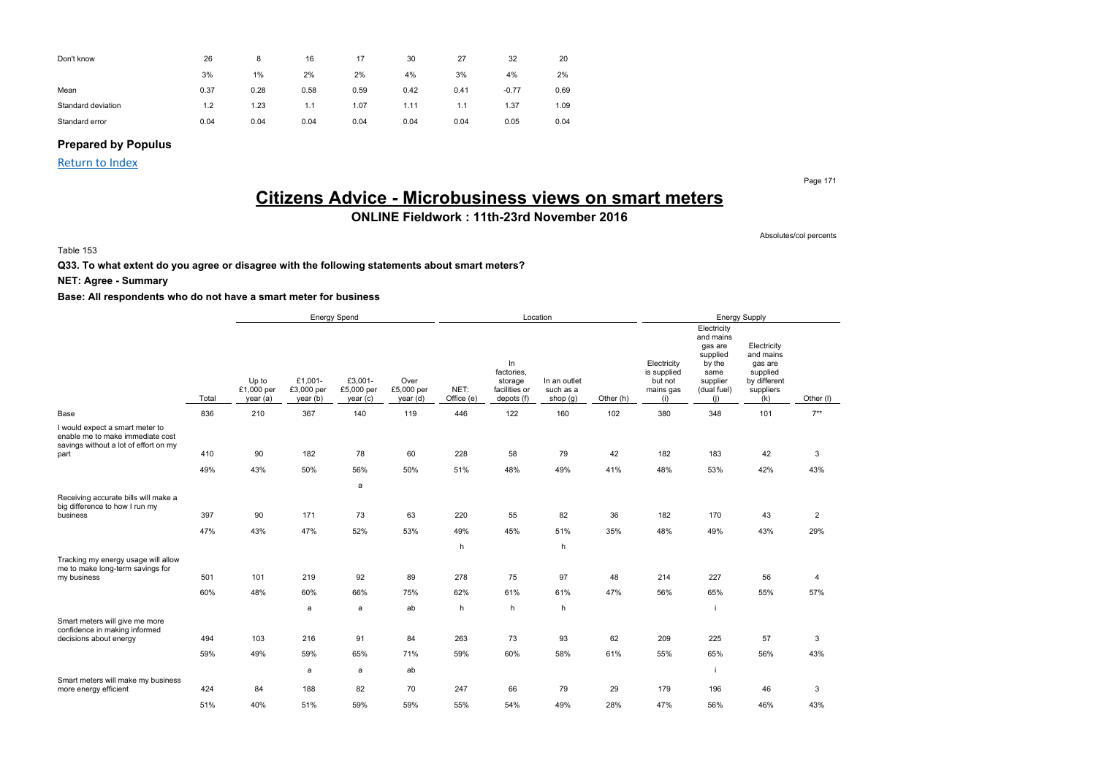| Don't know         | 26   | 8    | 16   | 17   | 30   | 27   | 32      | 20   |
|--------------------|------|------|------|------|------|------|---------|------|
|                    | 3%   | 1%   | 2%   | 2%   | 4%   | 3%   | 4%      | 2%   |
| Mean               | 0.37 | 0.28 | 0.58 | 0.59 | 0.42 | 0.41 | $-0.77$ | 0.69 |
| Standard deviation | 1.2  | 1.23 | 1.1  | 1.07 | 1.11 | 1.1  | 1.37    | 1.09 |
| Standard error     | 0.04 | 0.04 | 0.04 | 0.04 | 0.04 | 0.04 | 0.05    | 0.04 |

### **Prepared by Populus**

Return to Index

Page 171

## **Citizens Advice - Microbusiness views on smart meters**

## **ONLINE Fieldwork : 11th-23rd November 2016**

Absolutes/col percents

#### Table 153

**Q33. To what extent do you agree or disagree with the following statements about smart meters?**

**NET: Agree - Summary**

|                                                                                                                      |       |                                 | <b>Energy Spend</b>               |                                   |                                |                    |                                                            | Location                                |           |                                                           |                                                                                                     | <b>Energy Supply</b>                                                                |                |
|----------------------------------------------------------------------------------------------------------------------|-------|---------------------------------|-----------------------------------|-----------------------------------|--------------------------------|--------------------|------------------------------------------------------------|-----------------------------------------|-----------|-----------------------------------------------------------|-----------------------------------------------------------------------------------------------------|-------------------------------------------------------------------------------------|----------------|
|                                                                                                                      | Total | Up to<br>£1,000 per<br>year (a) | £1,001-<br>£3,000 per<br>year (b) | £3,001-<br>£5,000 per<br>year (c) | Over<br>£5,000 per<br>year (d) | NET:<br>Office (e) | In<br>factories,<br>storage<br>facilities or<br>depots (f) | In an outlet<br>such as a<br>shop $(g)$ | Other (h) | Electricity<br>is supplied<br>but not<br>mains gas<br>(i) | Electricity<br>and mains<br>gas are<br>supplied<br>by the<br>same<br>supplier<br>(dual fuel)<br>(i) | Electricity<br>and mains<br>gas are<br>supplied<br>by different<br>suppliers<br>(k) | Other (I)      |
| Base                                                                                                                 | 836   | 210                             | 367                               | 140                               | 119                            | 446                | 122                                                        | 160                                     | 102       | 380                                                       | 348                                                                                                 | 101                                                                                 | $7***$         |
| I would expect a smart meter to<br>enable me to make immediate cost<br>savings without a lot of effort on my<br>part | 410   | 90                              | 182                               | 78                                | 60                             | 228                | 58                                                         | 79                                      | 42        | 182                                                       | 183                                                                                                 | 42                                                                                  | 3              |
|                                                                                                                      | 49%   | 43%                             | 50%                               | 56%                               | 50%                            | 51%                | 48%                                                        | 49%                                     | 41%       | 48%                                                       | 53%                                                                                                 | 42%                                                                                 | 43%            |
|                                                                                                                      |       |                                 |                                   | a                                 |                                |                    |                                                            |                                         |           |                                                           |                                                                                                     |                                                                                     |                |
| Receiving accurate bills will make a                                                                                 |       |                                 |                                   |                                   |                                |                    |                                                            |                                         |           |                                                           |                                                                                                     |                                                                                     |                |
| big difference to how I run my<br>business                                                                           | 397   | 90                              | 171                               | 73                                | 63                             | 220                | 55                                                         | 82                                      | 36        | 182                                                       | 170                                                                                                 | 43                                                                                  | $\overline{c}$ |
|                                                                                                                      | 47%   | 43%                             | 47%                               | 52%                               | 53%                            | 49%                | 45%                                                        | 51%                                     | 35%       | 48%                                                       | 49%                                                                                                 | 43%                                                                                 | 29%            |
|                                                                                                                      |       |                                 |                                   |                                   |                                | h                  |                                                            | h                                       |           |                                                           |                                                                                                     |                                                                                     |                |
| Tracking my energy usage will allow<br>me to make long-term savings for                                              |       |                                 |                                   |                                   |                                |                    |                                                            |                                         |           |                                                           |                                                                                                     |                                                                                     |                |
| my business                                                                                                          | 501   | 101                             | 219                               | 92                                | 89                             | 278                | 75                                                         | 97                                      | 48        | 214                                                       | 227                                                                                                 | 56                                                                                  | 4              |
|                                                                                                                      | 60%   | 48%                             | 60%                               | 66%                               | 75%                            | 62%                | 61%                                                        | 61%                                     | 47%       | 56%                                                       | 65%                                                                                                 | 55%                                                                                 | 57%            |
|                                                                                                                      |       |                                 | a                                 | a                                 | ab                             | h                  | h                                                          | h                                       |           |                                                           |                                                                                                     |                                                                                     |                |
| Smart meters will give me more<br>confidence in making informed                                                      |       |                                 |                                   |                                   |                                |                    |                                                            |                                         |           |                                                           |                                                                                                     |                                                                                     |                |
| decisions about energy                                                                                               | 494   | 103                             | 216                               | 91                                | 84                             | 263                | 73                                                         | 93                                      | 62        | 209                                                       | 225                                                                                                 | 57                                                                                  | 3              |
|                                                                                                                      | 59%   | 49%                             | 59%                               | 65%                               | 71%                            | 59%                | 60%                                                        | 58%                                     | 61%       | 55%                                                       | 65%                                                                                                 | 56%                                                                                 | 43%            |
| Smart meters will make my business                                                                                   |       |                                 | a                                 | a                                 | ab                             |                    |                                                            |                                         |           |                                                           |                                                                                                     |                                                                                     |                |
| more energy efficient                                                                                                | 424   | 84                              | 188                               | 82                                | 70                             | 247                | 66                                                         | 79                                      | 29        | 179                                                       | 196                                                                                                 | 46                                                                                  | 3              |
|                                                                                                                      | 51%   | 40%                             | 51%                               | 59%                               | 59%                            | 55%                | 54%                                                        | 49%                                     | 28%       | 47%                                                       | 56%                                                                                                 | 46%                                                                                 | 43%            |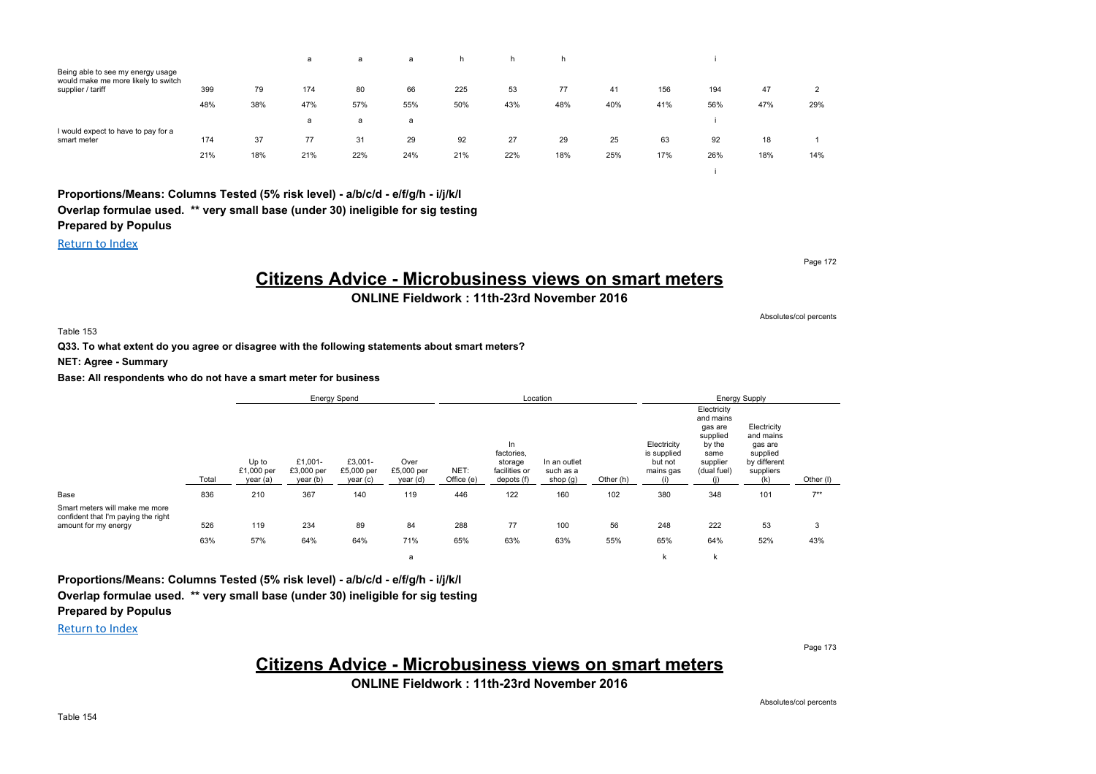|                                                                          |     |     | а   | a   | a   | h.  | h.  | h.  |     |     |     |     |     |
|--------------------------------------------------------------------------|-----|-----|-----|-----|-----|-----|-----|-----|-----|-----|-----|-----|-----|
| Being able to see my energy usage<br>would make me more likely to switch |     |     |     |     |     |     |     |     |     |     |     |     |     |
| supplier / tariff                                                        | 399 | 79  | 174 | 80  | 66  | 225 | 53  | 77  | 41  | 156 | 194 | 47  | 2   |
|                                                                          | 48% | 38% | 47% | 57% | 55% | 50% | 43% | 48% | 40% | 41% | 56% | 47% | 29% |
|                                                                          |     |     | a   | a   | a   |     |     |     |     |     |     |     |     |
| I would expect to have to pay for a                                      |     |     |     |     |     |     |     |     |     |     |     |     |     |
| smart meter                                                              | 174 | 37  | 77  | 31  | 29  | 92  | 27  | 29  | 25  | 63  | 92  | 18  |     |
|                                                                          | 21% | 18% | 21% | 22% | 24% | 21% | 22% | 18% | 25% | 17% | 26% | 18% | 14% |

### **Proportions/Means: Columns Tested (5% risk level) - a/b/c/d - e/f/g/h - i/j/k/l Overlap formulae used. \*\* very small base (under 30) ineligible for sig testing**

## **Prepared by Populus**

## Return to Index

Page 172

Absolutes/col percents

i

## **Citizens Advice - Microbusiness views on smart meters**

### **ONLINE Fieldwork : 11th-23rd November 2016**

Table 153

**Q33. To what extent do you agree or disagree with the following statements about smart meters?**

**NET: Agree - Summary**

**Base: All respondents who do not have a smart meter for business**

|                                                                                               |       |                                 | <b>Energy Spend</b>               |                                   |                                |                    | Location                                                    |                                       |           |                                                    |                                                                                              | <b>Energy Supply</b>                                                                |           |
|-----------------------------------------------------------------------------------------------|-------|---------------------------------|-----------------------------------|-----------------------------------|--------------------------------|--------------------|-------------------------------------------------------------|---------------------------------------|-----------|----------------------------------------------------|----------------------------------------------------------------------------------------------|-------------------------------------------------------------------------------------|-----------|
|                                                                                               | Total | Up to<br>£1,000 per<br>year (a) | £1,001-<br>£3,000 per<br>year (b) | £3,001-<br>£5,000 per<br>year (c) | Over<br>£5,000 per<br>year (d) | NET:<br>Office (e) | In.<br>factories,<br>storage<br>facilities or<br>depots (f) | In an outlet<br>such as a<br>shop (g) | Other (h) | Electricity<br>is supplied<br>but not<br>mains gas | Electricity<br>and mains<br>gas are<br>supplied<br>by the<br>same<br>supplier<br>(dual fuel) | Electricity<br>and mains<br>gas are<br>supplied<br>by different<br>suppliers<br>(k) | Other (I) |
| Base                                                                                          | 836   | 210                             | 367                               | 140                               | 119                            | 446                | 122                                                         | 160                                   | 102       | 380                                                | 348                                                                                          | 101                                                                                 | $7***$    |
| Smart meters will make me more<br>confident that I'm paying the right<br>amount for my energy | 526   | 119                             | 234                               | 89                                | 84                             | 288                | 77                                                          | 100                                   | 56        | 248                                                | 222                                                                                          | 53                                                                                  | 3         |
|                                                                                               | 63%   | 57%                             | 64%                               | 64%                               | 71%                            | 65%                | 63%                                                         | 63%                                   | 55%       | 65%                                                | 64%                                                                                          | 52%                                                                                 | 43%       |
|                                                                                               |       |                                 |                                   |                                   | a                              |                    |                                                             |                                       |           | k                                                  | k                                                                                            |                                                                                     |           |

**Proportions/Means: Columns Tested (5% risk level) - a/b/c/d - e/f/g/h - i/j/k/l**

**Overlap formulae used. \*\* very small base (under 30) ineligible for sig testing**

### **Prepared by Populus**

Return to Index

Page 173

## **Citizens Advice - Microbusiness views on smart meters**

**ONLINE Fieldwork : 11th-23rd November 2016**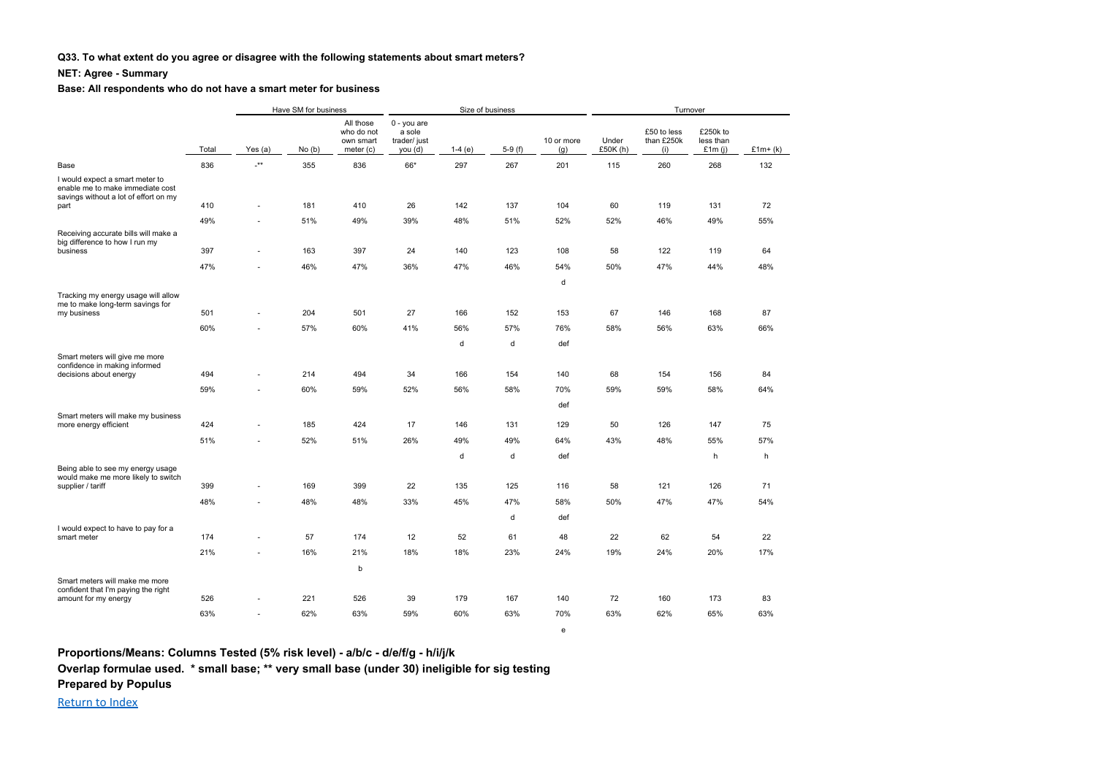### **Q33. To what extent do you agree or disagree with the following statements about smart meters?**

### **NET: Agree - Summary**

#### **Base: All respondents who do not have a smart meter for business**

|                                                                                                              |       |                                     |       | Have SM for business<br>Size of business          |                                                  |          |          |                   |                   | Turnover                         |                                    |           |
|--------------------------------------------------------------------------------------------------------------|-------|-------------------------------------|-------|---------------------------------------------------|--------------------------------------------------|----------|----------|-------------------|-------------------|----------------------------------|------------------------------------|-----------|
|                                                                                                              | Total | Yes $(a)$                           | No(b) | All those<br>who do not<br>own smart<br>meter (c) | 0 - you are<br>a sole<br>trader/ just<br>you (d) | $1-4(e)$ | $5-9(f)$ | 10 or more<br>(g) | Under<br>£50K (h) | £50 to less<br>than £250k<br>(i) | £250k to<br>less than<br>£1 $m(j)$ | $£1m+(k)$ |
| Base                                                                                                         | 836   | $\overline{\phantom{a}}^{\ast\ast}$ | 355   | 836                                               | 66*                                              | 297      | 267      | 201               | 115               | 260                              | 268                                | 132       |
| I would expect a smart meter to<br>enable me to make immediate cost<br>savings without a lot of effort on my |       |                                     |       |                                                   |                                                  |          |          |                   |                   |                                  |                                    |           |
| part                                                                                                         | 410   | ٠                                   | 181   | 410                                               | 26                                               | 142      | 137      | 104               | 60                | 119                              | 131                                | 72        |
| Receiving accurate bills will make a<br>big difference to how I run my                                       | 49%   | $\sim$                              | 51%   | 49%                                               | 39%                                              | 48%      | 51%      | 52%               | 52%               | 46%                              | 49%                                | 55%       |
| business                                                                                                     | 397   | $\sim$                              | 163   | 397                                               | 24                                               | 140      | 123      | 108               | 58                | 122                              | 119                                | 64        |
|                                                                                                              | 47%   | $\overline{\phantom{a}}$            | 46%   | 47%                                               | 36%                                              | 47%      | 46%      | 54%               | 50%               | 47%                              | 44%                                | 48%       |
|                                                                                                              |       |                                     |       |                                                   |                                                  |          |          | d                 |                   |                                  |                                    |           |
| Tracking my energy usage will allow                                                                          |       |                                     |       |                                                   |                                                  |          |          |                   |                   |                                  |                                    |           |
| me to make long-term savings for<br>my business                                                              | 501   | $\sim$                              | 204   | 501                                               | 27                                               | 166      | 152      | 153               | 67                | 146                              | 168                                | 87        |
|                                                                                                              | 60%   | $\sim$                              | 57%   | 60%                                               | 41%                                              | 56%      | 57%      | 76%               | 58%               | 56%                              | 63%                                | 66%       |
|                                                                                                              |       |                                     |       |                                                   |                                                  | d        | d        | def               |                   |                                  |                                    |           |
| Smart meters will give me more                                                                               |       |                                     |       |                                                   |                                                  |          |          |                   |                   |                                  |                                    |           |
| confidence in making informed<br>decisions about energy                                                      | 494   | $\sim$                              | 214   | 494                                               | 34                                               | 166      | 154      | 140               | 68                | 154                              | 156                                | 84        |
|                                                                                                              | 59%   | $\sim$                              | 60%   | 59%                                               | 52%                                              | 56%      | 58%      | 70%               | 59%               | 59%                              | 58%                                | 64%       |
|                                                                                                              |       |                                     |       |                                                   |                                                  |          |          | def               |                   |                                  |                                    |           |
| Smart meters will make my business<br>more energy efficient                                                  | 424   | $\overline{\phantom{a}}$            | 185   | 424                                               | 17                                               | 146      | 131      | 129               | 50                | 126                              | 147                                | 75        |
|                                                                                                              | 51%   | $\sim$                              | 52%   | 51%                                               | 26%                                              | 49%      | 49%      | 64%               | 43%               | 48%                              | 55%                                | 57%       |
|                                                                                                              |       |                                     |       |                                                   |                                                  | d        | d        | def               |                   |                                  | h                                  | h         |
| Being able to see my energy usage                                                                            |       |                                     |       |                                                   |                                                  |          |          |                   |                   |                                  |                                    |           |
| would make me more likely to switch<br>supplier / tariff                                                     | 399   | $\sim$                              | 169   | 399                                               | 22                                               | 135      | 125      | 116               | 58                | 121                              | 126                                | 71        |
|                                                                                                              | 48%   | $\sim$                              | 48%   | 48%                                               | 33%                                              | 45%      | 47%      | 58%               | 50%               | 47%                              | 47%                                | 54%       |
|                                                                                                              |       |                                     |       |                                                   |                                                  |          | d        | def               |                   |                                  |                                    |           |
| I would expect to have to pay for a                                                                          |       |                                     |       |                                                   |                                                  | 52       |          |                   | 22                |                                  |                                    |           |
| smart meter                                                                                                  | 174   | $\sim$                              | 57    | 174                                               | 12                                               |          | 61       | 48                |                   | 62                               | 54                                 | 22        |
|                                                                                                              | 21%   | $\sim$                              | 16%   | 21%                                               | 18%                                              | 18%      | 23%      | 24%               | 19%               | 24%                              | 20%                                | 17%       |
| Smart meters will make me more                                                                               |       |                                     |       | b                                                 |                                                  |          |          |                   |                   |                                  |                                    |           |
| confident that I'm paying the right                                                                          |       |                                     |       |                                                   |                                                  |          |          |                   |                   |                                  |                                    |           |
| amount for my energy                                                                                         | 526   | $\sim$                              | 221   | 526                                               | 39                                               | 179      | 167      | 140               | 72                | 160                              | 173                                | 83        |
|                                                                                                              | 63%   | $\sim$                              | 62%   | 63%                                               | 59%                                              | 60%      | 63%      | 70%               | 63%               | 62%                              | 65%                                | 63%       |

e

**Proportions/Means: Columns Tested (5% risk level) - a/b/c - d/e/f/g - h/i/j/k Overlap formulae used. \* small base; \*\* very small base (under 30) ineligible for sig testing Prepared by Populus**

Return to Index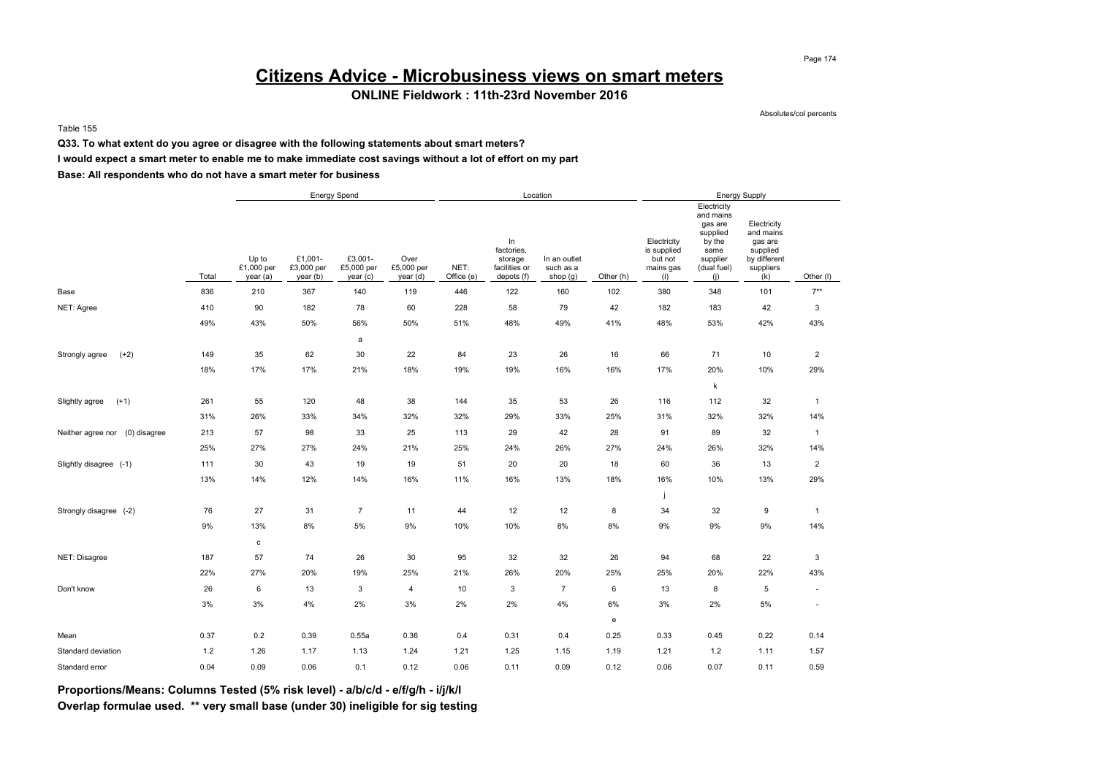## **Citizens Advice - Microbusiness views on smart meters**

### **ONLINE Fieldwork : 11th-23rd November 2016**

Absolutes/col percents

Table 155

**Q33. To what extent do you agree or disagree with the following statements about smart meters?**

**I would expect a smart meter to enable me to make immediate cost savings without a lot of effort on my part**

**Base: All respondents who do not have a smart meter for business**

|                                |       |                                |                                   | Energy Spend                     |                                |                    |                                                            | Location                                |           |                                                           |                                                                                                     | Energy Supply                                                                       |                          |
|--------------------------------|-------|--------------------------------|-----------------------------------|----------------------------------|--------------------------------|--------------------|------------------------------------------------------------|-----------------------------------------|-----------|-----------------------------------------------------------|-----------------------------------------------------------------------------------------------------|-------------------------------------------------------------------------------------|--------------------------|
|                                | Total | Up to<br>£1,000 per<br>year(a) | £1,001-<br>£3,000 per<br>year (b) | £3,001-<br>£5,000 per<br>year(c) | Over<br>£5,000 per<br>year (d) | NET:<br>Office (e) | In<br>factories,<br>storage<br>facilities or<br>depots (f) | In an outlet<br>such as a<br>shop $(g)$ | Other (h) | Electricity<br>is supplied<br>but not<br>mains gas<br>(i) | Electricity<br>and mains<br>gas are<br>supplied<br>by the<br>same<br>supplier<br>(dual fuel)<br>(i) | Electricity<br>and mains<br>gas are<br>supplied<br>by different<br>suppliers<br>(k) | Other (I)                |
| Base                           | 836   | 210                            | 367                               | 140                              | 119                            | 446                | 122                                                        | 160                                     | 102       | 380                                                       | 348                                                                                                 | 101                                                                                 | $7**$                    |
| NET: Agree                     | 410   | 90                             | 182                               | 78                               | 60                             | 228                | 58                                                         | 79                                      | 42        | 182                                                       | 183                                                                                                 | 42                                                                                  | 3                        |
|                                | 49%   | 43%                            | 50%                               | 56%                              | 50%                            | 51%                | 48%                                                        | 49%                                     | 41%       | 48%                                                       | 53%                                                                                                 | 42%                                                                                 | 43%                      |
|                                |       |                                |                                   | a                                |                                |                    |                                                            |                                         |           |                                                           |                                                                                                     |                                                                                     |                          |
| $(+2)$<br>Strongly agree       | 149   | 35                             | 62                                | 30                               | 22                             | 84                 | 23                                                         | 26                                      | 16        | 66                                                        | 71                                                                                                  | 10                                                                                  | $\overline{c}$           |
|                                | 18%   | 17%                            | 17%                               | 21%                              | 18%                            | 19%                | 19%                                                        | 16%                                     | 16%       | 17%                                                       | 20%                                                                                                 | 10%                                                                                 | 29%                      |
|                                |       |                                |                                   |                                  |                                |                    |                                                            |                                         |           |                                                           | $\sf k$                                                                                             |                                                                                     |                          |
| $(+1)$<br>Slightly agree       | 261   | 55                             | 120                               | 48                               | 38                             | 144                | 35                                                         | 53                                      | 26        | 116                                                       | 112                                                                                                 | 32                                                                                  | $\mathbf{1}$             |
|                                | 31%   | 26%                            | 33%                               | 34%                              | 32%                            | 32%                | 29%                                                        | 33%                                     | 25%       | 31%                                                       | 32%                                                                                                 | 32%                                                                                 | 14%                      |
| Neither agree nor (0) disagree | 213   | 57                             | 98                                | 33                               | 25                             | 113                | 29                                                         | 42                                      | 28        | 91                                                        | 89                                                                                                  | 32                                                                                  | $\mathbf{1}$             |
|                                | 25%   | 27%                            | 27%                               | 24%                              | 21%                            | 25%                | 24%                                                        | 26%                                     | 27%       | 24%                                                       | 26%                                                                                                 | 32%                                                                                 | 14%                      |
| Slightly disagree (-1)         | 111   | 30                             | 43                                | 19                               | 19                             | 51                 | 20                                                         | 20                                      | 18        | 60                                                        | 36                                                                                                  | 13                                                                                  | $\overline{\mathbf{c}}$  |
|                                | 13%   | 14%                            | 12%                               | 14%                              | 16%                            | 11%                | 16%                                                        | 13%                                     | 18%       | 16%                                                       | 10%                                                                                                 | 13%                                                                                 | 29%                      |
|                                |       |                                |                                   |                                  |                                |                    |                                                            |                                         |           | J                                                         |                                                                                                     |                                                                                     |                          |
| Strongly disagree (-2)         | 76    | 27                             | 31                                | $\overline{7}$                   | 11                             | 44                 | 12                                                         | 12                                      | 8         | 34                                                        | 32                                                                                                  | 9                                                                                   | $\mathbf{1}$             |
|                                | 9%    | 13%                            | 8%                                | 5%                               | 9%                             | 10%                | 10%                                                        | 8%                                      | 8%        | 9%                                                        | 9%                                                                                                  | 9%                                                                                  | 14%                      |
|                                |       | c                              |                                   |                                  |                                |                    |                                                            |                                         |           |                                                           |                                                                                                     |                                                                                     |                          |
| NET: Disagree                  | 187   | 57                             | 74                                | 26                               | 30                             | 95                 | 32                                                         | 32                                      | 26        | 94                                                        | 68                                                                                                  | 22                                                                                  | 3                        |
|                                | 22%   | 27%                            | 20%                               | 19%                              | 25%                            | 21%                | 26%                                                        | 20%                                     | 25%       | 25%                                                       | 20%                                                                                                 | 22%                                                                                 | 43%                      |
| Don't know                     | 26    | 6                              | 13                                | 3                                | 4                              | 10                 | 3                                                          | $\overline{7}$                          | 6         | 13                                                        | 8                                                                                                   | 5                                                                                   | $\sim$                   |
|                                | 3%    | 3%                             | 4%                                | 2%                               | 3%                             | 2%                 | 2%                                                         | 4%                                      | 6%        | 3%                                                        | 2%                                                                                                  | 5%                                                                                  | $\overline{\phantom{a}}$ |
|                                |       |                                |                                   |                                  |                                |                    |                                                            |                                         | e         |                                                           |                                                                                                     |                                                                                     |                          |
| Mean                           | 0.37  | 0.2                            | 0.39                              | 0.55a                            | 0.36                           | 0.4                | 0.31                                                       | 0.4                                     | 0.25      | 0.33                                                      | 0.45                                                                                                | 0.22                                                                                | 0.14                     |
| Standard deviation             | 1.2   | 1.26                           | 1.17                              | 1.13                             | 1.24                           | 1.21               | 1.25                                                       | 1.15                                    | 1.19      | 1.21                                                      | 1.2                                                                                                 | 1.11                                                                                | 1.57                     |
| Standard error                 | 0.04  | 0.09                           | 0.06                              | 0.1                              | 0.12                           | 0.06               | 0.11                                                       | 0.09                                    | 0.12      | 0.06                                                      | 0.07                                                                                                | 0.11                                                                                | 0.59                     |

**Proportions/Means: Columns Tested (5% risk level) - a/b/c/d - e/f/g/h - i/j/k/l Overlap formulae used. \*\* very small base (under 30) ineligible for sig testing**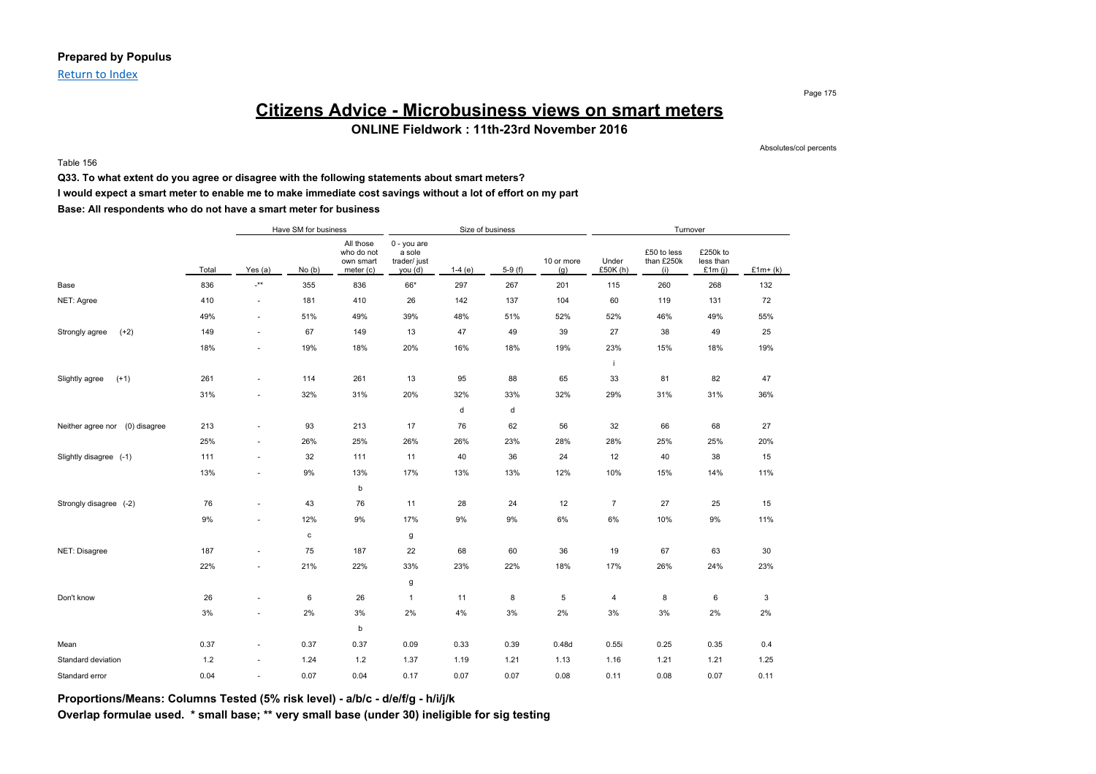Return to Index

## **Citizens Advice - Microbusiness views on smart meters ONLINE Fieldwork : 11th-23rd November 2016**

Table 156

Absolutes/col percents

Page 175

**Q33. To what extent do you agree or disagree with the following statements about smart meters?**

**I would expect a smart meter to enable me to make immediate cost savings without a lot of effort on my part**

**Base: All respondents who do not have a smart meter for business**

|                                |       |                          | Have SM for business |                                                   |                                                  | Size of business |          |                   |                   | Turnover                         |                                 |           |
|--------------------------------|-------|--------------------------|----------------------|---------------------------------------------------|--------------------------------------------------|------------------|----------|-------------------|-------------------|----------------------------------|---------------------------------|-----------|
|                                | Total | Yes (a)                  | No(b)                | All those<br>who do not<br>own smart<br>meter (c) | 0 - you are<br>a sole<br>trader/ just<br>you (d) | $1-4(e)$         | $5-9(f)$ | 10 or more<br>(g) | Under<br>£50K (h) | £50 to less<br>than £250k<br>(i) | £250k to<br>less than<br>£1m(i) | $£1m+(k)$ |
| Base                           | 836   | $\cdot^{\star\star}$     | 355                  | 836                                               | 66*                                              | 297              | 267      | 201               | 115               | 260                              | 268                             | 132       |
| NET: Agree                     | 410   | $\sim$                   | 181                  | 410                                               | 26                                               | 142              | 137      | 104               | 60                | 119                              | 131                             | 72        |
|                                | 49%   | $\sim$                   | 51%                  | 49%                                               | 39%                                              | 48%              | 51%      | 52%               | 52%               | 46%                              | 49%                             | 55%       |
| $(+2)$<br>Strongly agree       | 149   | $\sim$                   | 67                   | 149                                               | 13                                               | 47               | 49       | 39                | 27                | 38                               | 49                              | 25        |
|                                | 18%   | $\sim$                   | 19%                  | 18%                                               | 20%                                              | 16%              | 18%      | 19%               | 23%               | 15%                              | 18%                             | 19%       |
|                                |       |                          |                      |                                                   |                                                  |                  |          |                   | j                 |                                  |                                 |           |
| $(+1)$<br>Slightly agree       | 261   | $\sim$                   | 114                  | 261                                               | 13                                               | 95               | 88       | 65                | 33                | 81                               | 82                              | 47        |
|                                | 31%   | $\sim$                   | 32%                  | 31%                                               | 20%                                              | 32%              | 33%      | 32%               | 29%               | 31%                              | 31%                             | 36%       |
|                                |       |                          |                      |                                                   |                                                  | d                | d        |                   |                   |                                  |                                 |           |
| Neither agree nor (0) disagree | 213   | $\sim$                   | 93                   | 213                                               | 17                                               | 76               | 62       | 56                | 32                | 66                               | 68                              | 27        |
|                                | 25%   | $\sim$                   | 26%                  | 25%                                               | 26%                                              | 26%              | 23%      | 28%               | 28%               | 25%                              | 25%                             | 20%       |
| Slightly disagree (-1)         | 111   | $\sim$                   | 32                   | 111                                               | 11                                               | 40               | 36       | 24                | 12                | 40                               | 38                              | 15        |
|                                | 13%   | $\sim$                   | 9%                   | 13%                                               | 17%                                              | 13%              | 13%      | 12%               | 10%               | 15%                              | 14%                             | 11%       |
|                                |       |                          |                      | b                                                 |                                                  |                  |          |                   |                   |                                  |                                 |           |
| Strongly disagree (-2)         | 76    | $\overline{\phantom{a}}$ | 43                   | 76                                                | 11                                               | 28               | 24       | 12                | $\overline{7}$    | 27                               | 25                              | 15        |
|                                | 9%    | $\sim$                   | 12%                  | 9%                                                | 17%                                              | 9%               | 9%       | 6%                | 6%                | 10%                              | 9%                              | 11%       |
|                                |       |                          | с                    |                                                   | g                                                |                  |          |                   |                   |                                  |                                 |           |
| NET: Disagree                  | 187   | $\sim$                   | 75                   | 187                                               | 22                                               | 68               | 60       | 36                | 19                | 67                               | 63                              | 30        |
|                                | 22%   | $\sim$                   | 21%                  | 22%                                               | 33%                                              | 23%              | 22%      | 18%               | 17%               | 26%                              | 24%                             | 23%       |
|                                |       |                          |                      |                                                   | g                                                |                  |          |                   |                   |                                  |                                 |           |
| Don't know                     | 26    | $\sim$                   | 6                    | 26                                                | $\mathbf{1}$                                     | 11               | 8        | 5                 | 4                 | 8                                | 6                               | 3         |
|                                | 3%    | ×.                       | 2%                   | 3%                                                | 2%                                               | 4%               | 3%       | 2%                | 3%                | 3%                               | 2%                              | 2%        |
|                                |       |                          |                      | b                                                 |                                                  |                  |          |                   |                   |                                  |                                 |           |
| Mean                           | 0.37  | $\sim$                   | 0.37                 | 0.37                                              | 0.09                                             | 0.33             | 0.39     | 0.48d             | 0.55i             | 0.25                             | 0.35                            | 0.4       |
| Standard deviation             | 1.2   | $\sim$                   | 1.24                 | 1.2                                               | 1.37                                             | 1.19             | 1.21     | 1.13              | 1.16              | 1.21                             | 1.21                            | 1.25      |
| Standard error                 | 0.04  | $\sim$                   | 0.07                 | 0.04                                              | 0.17                                             | 0.07             | 0.07     | 0.08              | 0.11              | 0.08                             | 0.07                            | 0.11      |

**Proportions/Means: Columns Tested (5% risk level) - a/b/c - d/e/f/g - h/i/j/k**

**Overlap formulae used. \* small base; \*\* very small base (under 30) ineligible for sig testing**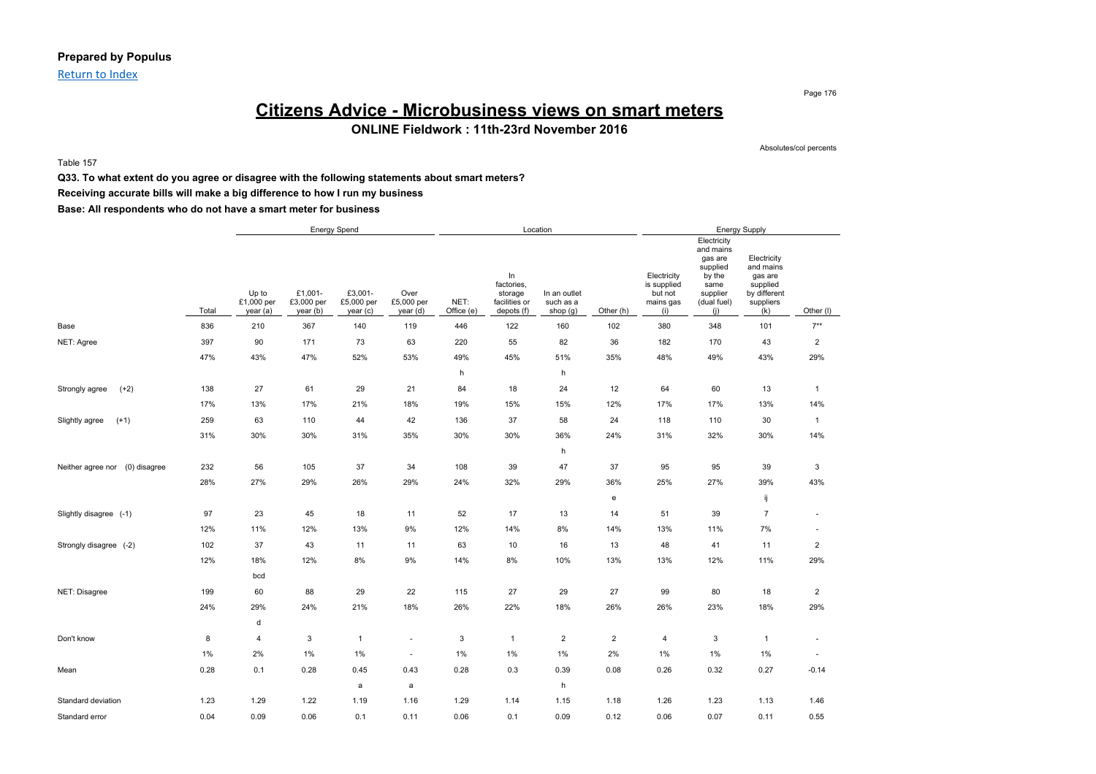### **Prepared by Populus**

Return to Index

### **Citizens Advice - Microbusiness views on smart meters ONLINE Fieldwork : 11th-23rd November 2016**

Table 157

Absolutes/col percents

Page 176

### **Q33. To what extent do you agree or disagree with the following statements about smart meters? Receiving accurate bills will make a big difference to how I run my business**

|                                   |       |                                 |                                   | <b>Energy Spend</b>               |                                |                    |                                                            | Location                              |                                   |                                                           |                                                                                                     | <b>Energy Supply</b>                                                                |                          |
|-----------------------------------|-------|---------------------------------|-----------------------------------|-----------------------------------|--------------------------------|--------------------|------------------------------------------------------------|---------------------------------------|-----------------------------------|-----------------------------------------------------------|-----------------------------------------------------------------------------------------------------|-------------------------------------------------------------------------------------|--------------------------|
|                                   | Total | Up to<br>£1,000 per<br>year (a) | £1,001-<br>£3,000 per<br>year (b) | £3,001-<br>£5,000 per<br>year (c) | Over<br>£5,000 per<br>year (d) | NET:<br>Office (e) | In<br>factories,<br>storage<br>facilities or<br>depots (f) | In an outlet<br>such as a<br>shop (g) | Other (h)                         | Electricity<br>is supplied<br>but not<br>mains gas<br>(i) | Electricity<br>and mains<br>gas are<br>supplied<br>by the<br>same<br>supplier<br>(dual fuel)<br>(i) | Electricity<br>and mains<br>gas are<br>supplied<br>by different<br>suppliers<br>(k) | Other (I)                |
| Base                              | 836   | 210                             | 367                               | 140                               | 119                            | 446                | 122                                                        | 160                                   | 102                               | 380                                                       | 348                                                                                                 | 101                                                                                 | $7***$                   |
| NET: Agree                        | 397   | 90                              | 171                               | 73                                | 63                             | 220                | 55                                                         | 82                                    | 36                                | 182                                                       | 170                                                                                                 | 43                                                                                  | $\overline{2}$           |
|                                   | 47%   | 43%                             | 47%                               | 52%                               | 53%                            | 49%                | 45%                                                        | 51%                                   | 35%                               | 48%                                                       | 49%                                                                                                 | 43%                                                                                 | 29%                      |
|                                   |       |                                 |                                   |                                   |                                | h                  |                                                            | h                                     |                                   |                                                           |                                                                                                     |                                                                                     |                          |
| $(+2)$<br>Strongly agree          | 138   | 27                              | 61                                | 29                                | 21                             | 84                 | 18                                                         | 24                                    | 12                                | 64                                                        | 60                                                                                                  | 13                                                                                  | $\mathbf{1}$             |
|                                   | 17%   | 13%                             | 17%                               | 21%                               | 18%                            | 19%                | 15%                                                        | 15%                                   | 12%                               | 17%                                                       | 17%                                                                                                 | 13%                                                                                 | 14%                      |
| Slightly agree<br>$(+1)$          | 259   | 63                              | 110                               | 44                                | 42                             | 136                | 37                                                         | 58                                    | 24                                | 118                                                       | 110                                                                                                 | 30                                                                                  | $\mathbf{1}$             |
|                                   | 31%   | 30%                             | 30%                               | 31%                               | 35%                            | 30%                | 30%                                                        | 36%                                   | 24%                               | 31%                                                       | 32%                                                                                                 | 30%                                                                                 | 14%                      |
|                                   |       |                                 |                                   |                                   |                                |                    |                                                            | h                                     |                                   |                                                           |                                                                                                     |                                                                                     |                          |
| (0) disagree<br>Neither agree nor | 232   | 56                              | 105                               | 37                                | 34                             | 108                | 39                                                         | 47                                    | 37                                | 95                                                        | 95                                                                                                  | 39                                                                                  | 3                        |
|                                   | 28%   | 27%                             | 29%                               | 26%                               | 29%                            | 24%                | 32%                                                        | 29%                                   | 36%                               | 25%                                                       | 27%                                                                                                 | 39%                                                                                 | 43%                      |
|                                   |       |                                 |                                   |                                   |                                |                    |                                                            |                                       | $\mathsf{e}% _{t}\left( t\right)$ |                                                           |                                                                                                     | ij                                                                                  |                          |
| Slightly disagree (-1)            | 97    | 23                              | 45                                | 18                                | 11                             | 52                 | 17                                                         | 13                                    | 14                                | 51                                                        | 39                                                                                                  | $\overline{7}$                                                                      | ä,                       |
|                                   | 12%   | 11%                             | 12%                               | 13%                               | 9%                             | 12%                | 14%                                                        | 8%                                    | 14%                               | 13%                                                       | 11%                                                                                                 | 7%                                                                                  | ÷                        |
| Strongly disagree (-2)            | 102   | 37                              | 43                                | 11                                | 11                             | 63                 | 10                                                         | 16                                    | 13                                | 48                                                        | 41                                                                                                  | 11                                                                                  | $\overline{c}$           |
|                                   | 12%   | 18%                             | 12%                               | 8%                                | 9%                             | 14%                | 8%                                                         | 10%                                   | 13%                               | 13%                                                       | 12%                                                                                                 | 11%                                                                                 | 29%                      |
|                                   |       | bcd                             |                                   |                                   |                                |                    |                                                            |                                       |                                   |                                                           |                                                                                                     |                                                                                     |                          |
| NET: Disagree                     | 199   | 60                              | 88                                | 29                                | 22                             | 115                | 27                                                         | 29                                    | 27                                | 99                                                        | 80                                                                                                  | 18                                                                                  | $\overline{2}$           |
|                                   | 24%   | 29%                             | 24%                               | 21%                               | 18%                            | 26%                | 22%                                                        | 18%                                   | 26%                               | 26%                                                       | 23%                                                                                                 | 18%                                                                                 | 29%                      |
|                                   |       | d                               |                                   |                                   |                                |                    |                                                            |                                       |                                   |                                                           |                                                                                                     |                                                                                     |                          |
| Don't know                        | 8     | $\overline{4}$                  | 3                                 | $\mathbf{1}$                      | ٠                              | 3                  | $\overline{1}$                                             | $\overline{2}$                        | $\overline{2}$                    | 4                                                         | $\ensuremath{\mathsf{3}}$                                                                           | $\mathbf{1}$                                                                        | $\overline{\phantom{a}}$ |
|                                   | 1%    | 2%                              | 1%                                | $1\%$                             | $\sim$                         | 1%                 | 1%                                                         | 1%                                    | 2%                                | $1\%$                                                     | 1%                                                                                                  | 1%                                                                                  | $\overline{\phantom{a}}$ |
| Mean                              | 0.28  | 0.1                             | 0.28                              | 0.45                              | 0.43                           | 0.28               | 0.3                                                        | 0.39                                  | 0.08                              | 0.26                                                      | 0.32                                                                                                | 0.27                                                                                | $-0.14$                  |
|                                   |       |                                 |                                   | $\mathsf{a}$                      | a                              |                    |                                                            | h                                     |                                   |                                                           |                                                                                                     |                                                                                     |                          |
| Standard deviation                | 1.23  | 1.29                            | 1.22                              | 1.19                              | 1.16                           | 1.29               | 1.14                                                       | 1.15                                  | 1.18                              | 1.26                                                      | 1.23                                                                                                | 1.13                                                                                | 1.46                     |
| Standard error                    | 0.04  | 0.09                            | 0.06                              | 0.1                               | 0.11                           | 0.06               | 0.1                                                        | 0.09                                  | 0.12                              | 0.06                                                      | 0.07                                                                                                | 0.11                                                                                | 0.55                     |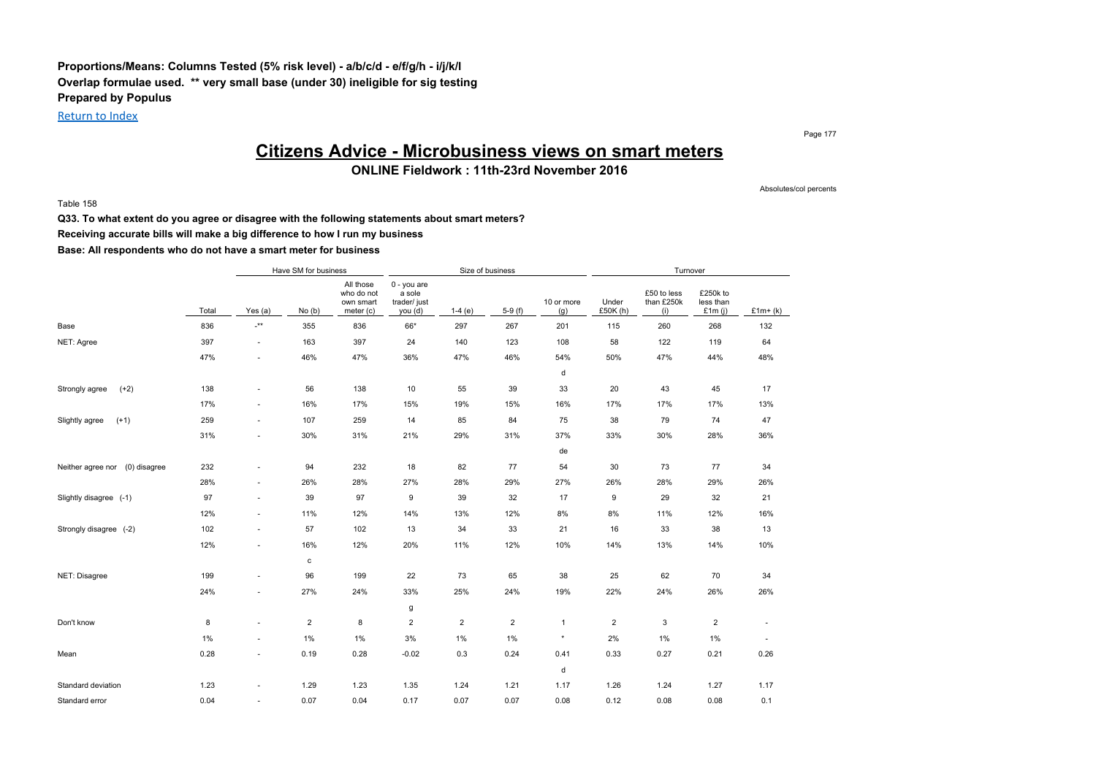### **Proportions/Means: Columns Tested (5% risk level) - a/b/c/d - e/f/g/h - i/j/k/l Overlap formulae used. \*\* very small base (under 30) ineligible for sig testing Prepared by Populus**

Return to Index

Page 177

Absolutes/col percents

## **Citizens Advice - Microbusiness views on smart meters**

**ONLINE Fieldwork : 11th-23rd November 2016**

Table 158

**Q33. To what extent do you agree or disagree with the following statements about smart meters?**

**Receiving accurate bills will make a big difference to how I run my business**

|                                   |       |                           | Have SM for business |                                                   |                                                  | Size of business |                |                   |                   | Turnover                         |                                    |                          |
|-----------------------------------|-------|---------------------------|----------------------|---------------------------------------------------|--------------------------------------------------|------------------|----------------|-------------------|-------------------|----------------------------------|------------------------------------|--------------------------|
|                                   | Total | Yes (a)                   | No(b)                | All those<br>who do not<br>own smart<br>meter (c) | 0 - you are<br>a sole<br>trader/ just<br>you (d) | $1-4(e)$         | $5-9(f)$       | 10 or more<br>(g) | Under<br>£50K (h) | £50 to less<br>than £250k<br>(i) | £250k to<br>less than<br>£1 $m(i)$ | $£1m+(k)$                |
| Base                              | 836   | $\mathbf{I}^{\star\star}$ | 355                  | 836                                               | 66*                                              | 297              | 267            | 201               | 115               | 260                              | 268                                | 132                      |
| NET: Agree                        | 397   | ٠                         | 163                  | 397                                               | 24                                               | 140              | 123            | 108               | 58                | 122                              | 119                                | 64                       |
|                                   | 47%   | $\sim$                    | 46%                  | 47%                                               | 36%                                              | 47%              | 46%            | 54%               | 50%               | 47%                              | 44%                                | 48%                      |
|                                   |       |                           |                      |                                                   |                                                  |                  |                | d                 |                   |                                  |                                    |                          |
| $(+2)$<br>Strongly agree          | 138   | $\sim$                    | 56                   | 138                                               | 10                                               | 55               | 39             | 33                | 20                | 43                               | 45                                 | 17                       |
|                                   | 17%   | $\sim$                    | 16%                  | 17%                                               | 15%                                              | 19%              | 15%            | 16%               | 17%               | 17%                              | 17%                                | 13%                      |
| Slightly agree<br>$(+1)$          | 259   | ٠                         | 107                  | 259                                               | 14                                               | 85               | 84             | 75                | 38                | 79                               | 74                                 | 47                       |
|                                   | 31%   | $\sim$                    | 30%                  | 31%                                               | 21%                                              | 29%              | 31%            | 37%               | 33%               | 30%                              | 28%                                | 36%                      |
|                                   |       |                           |                      |                                                   |                                                  |                  |                | de                |                   |                                  |                                    |                          |
| (0) disagree<br>Neither agree nor | 232   | $\sim$                    | 94                   | 232                                               | 18                                               | 82               | 77             | 54                | 30                | 73                               | 77                                 | 34                       |
|                                   | 28%   | ٠                         | 26%                  | 28%                                               | 27%                                              | 28%              | 29%            | 27%               | 26%               | 28%                              | 29%                                | 26%                      |
| Slightly disagree (-1)            | 97    | ٠                         | 39                   | 97                                                | 9                                                | 39               | 32             | 17                | 9                 | 29                               | 32                                 | 21                       |
|                                   | 12%   | ٠                         | 11%                  | 12%                                               | 14%                                              | 13%              | 12%            | 8%                | 8%                | 11%                              | 12%                                | 16%                      |
| Strongly disagree (-2)            | 102   | ٠                         | 57                   | 102                                               | 13                                               | 34               | 33             | 21                | 16                | 33                               | 38                                 | 13                       |
|                                   | 12%   | $\sim$                    | 16%                  | 12%                                               | 20%                                              | 11%              | 12%            | 10%               | 14%               | 13%                              | 14%                                | 10%                      |
|                                   |       |                           | $\mathtt{c}$         |                                                   |                                                  |                  |                |                   |                   |                                  |                                    |                          |
| NET: Disagree                     | 199   | $\sim$                    | 96                   | 199                                               | 22                                               | 73               | 65             | 38                | 25                | 62                               | 70                                 | 34                       |
|                                   | 24%   | $\sim$                    | 27%                  | 24%                                               | 33%                                              | 25%              | 24%            | 19%               | 22%               | 24%                              | 26%                                | 26%                      |
|                                   |       |                           |                      |                                                   | g                                                |                  |                |                   |                   |                                  |                                    |                          |
| Don't know                        | 8     | ٠                         | $\overline{2}$       | 8                                                 | $\overline{2}$                                   | $\overline{2}$   | $\overline{2}$ | $\mathbf{1}$      | $\overline{2}$    | 3                                | $\overline{\mathbf{c}}$            | $\overline{\phantom{a}}$ |
|                                   | $1\%$ | ٠                         | 1%                   | 1%                                                | 3%                                               | 1%               | 1%             | ×                 | 2%                | 1%                               | 1%                                 | $\overline{\phantom{m}}$ |
| Mean                              | 0.28  | $\sim$                    | 0.19                 | 0.28                                              | $-0.02$                                          | 0.3              | 0.24           | 0.41              | 0.33              | 0.27                             | 0.21                               | 0.26                     |
|                                   |       |                           |                      |                                                   |                                                  |                  |                | d                 |                   |                                  |                                    |                          |
| Standard deviation                | 1.23  | $\sim$                    | 1.29                 | 1.23                                              | 1.35                                             | 1.24             | 1.21           | 1.17              | 1.26              | 1.24                             | 1.27                               | 1.17                     |
| Standard error                    | 0.04  | ٠                         | 0.07                 | 0.04                                              | 0.17                                             | 0.07             | 0.07           | 0.08              | 0.12              | 0.08                             | 0.08                               | 0.1                      |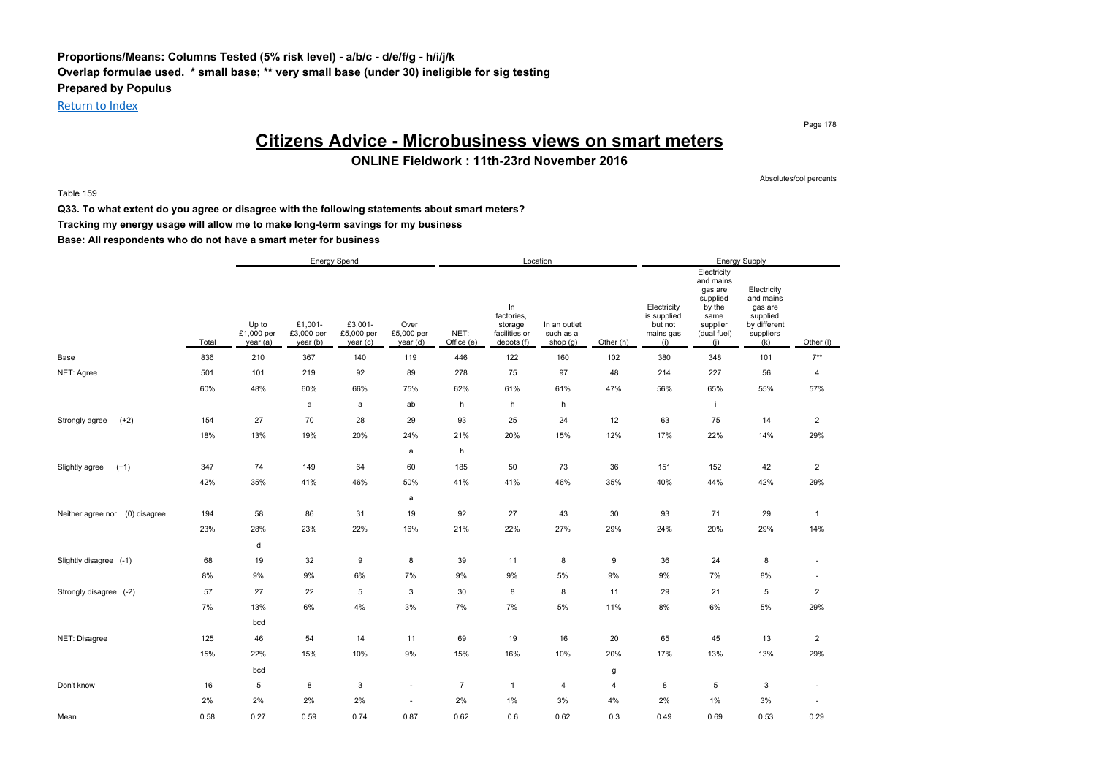### **Proportions/Means: Columns Tested (5% risk level) - a/b/c - d/e/f/g - h/i/j/k Overlap formulae used. \* small base; \*\* very small base (under 30) ineligible for sig testing Prepared by Populus**

Return to Index

Page 178

## **Citizens Advice - Microbusiness views on smart meters**

**ONLINE Fieldwork : 11th-23rd November 2016**

Table 159

Absolutes/col percents

**Q33. To what extent do you agree or disagree with the following statements about smart meters?**

**Tracking my energy usage will allow me to make long-term savings for my business**

|                                   |       |                                 |                                  | Energy Spend                      |                               |                    |                                                            | Location                                |                |                                                           |                                                                                                     | <b>Energy Supply</b>                                                                |                |
|-----------------------------------|-------|---------------------------------|----------------------------------|-----------------------------------|-------------------------------|--------------------|------------------------------------------------------------|-----------------------------------------|----------------|-----------------------------------------------------------|-----------------------------------------------------------------------------------------------------|-------------------------------------------------------------------------------------|----------------|
|                                   | Total | Up to<br>£1,000 per<br>year (a) | £1,001-<br>£3,000 per<br>year(b) | £3,001-<br>£5,000 per<br>year (c) | Over<br>£5,000 per<br>year(d) | NET:<br>Office (e) | In<br>factories,<br>storage<br>facilities or<br>depots (f) | In an outlet<br>such as a<br>shop $(g)$ | Other (h)      | Electricity<br>is supplied<br>but not<br>mains gas<br>(i) | Electricity<br>and mains<br>gas are<br>supplied<br>by the<br>same<br>supplier<br>(dual fuel)<br>(i) | Electricity<br>and mains<br>gas are<br>supplied<br>by different<br>suppliers<br>(k) | Other (I)      |
| Base                              | 836   | 210                             | 367                              | 140                               | 119                           | 446                | 122                                                        | 160                                     | 102            | 380                                                       | 348                                                                                                 | 101                                                                                 | $7**$          |
| NET: Agree                        | 501   | 101                             | 219                              | 92                                | 89                            | 278                | 75                                                         | 97                                      | 48             | 214                                                       | 227                                                                                                 | 56                                                                                  | $\overline{4}$ |
|                                   | 60%   | 48%                             | 60%                              | 66%                               | 75%                           | 62%                | 61%                                                        | 61%                                     | 47%            | 56%                                                       | 65%                                                                                                 | 55%                                                                                 | 57%            |
|                                   |       |                                 | a                                | a                                 | ab                            | h                  | h                                                          | h                                       |                |                                                           | j.                                                                                                  |                                                                                     |                |
| $(+2)$<br>Strongly agree          | 154   | 27                              | 70                               | 28                                | 29                            | 93                 | 25                                                         | 24                                      | 12             | 63                                                        | 75                                                                                                  | 14                                                                                  | $\overline{2}$ |
|                                   | 18%   | 13%                             | 19%                              | 20%                               | 24%                           | 21%                | 20%                                                        | 15%                                     | 12%            | 17%                                                       | 22%                                                                                                 | 14%                                                                                 | 29%            |
|                                   |       |                                 |                                  |                                   | a                             | h                  |                                                            |                                         |                |                                                           |                                                                                                     |                                                                                     |                |
| $(+1)$<br>Slightly agree          | 347   | 74                              | 149                              | 64                                | 60                            | 185                | 50                                                         | 73                                      | 36             | 151                                                       | 152                                                                                                 | 42                                                                                  | $\overline{2}$ |
|                                   | 42%   | 35%                             | 41%                              | 46%                               | 50%                           | 41%                | 41%                                                        | 46%                                     | 35%            | 40%                                                       | 44%                                                                                                 | 42%                                                                                 | 29%            |
|                                   |       |                                 |                                  |                                   | $\mathsf{a}$                  |                    |                                                            |                                         |                |                                                           |                                                                                                     |                                                                                     |                |
| (0) disagree<br>Neither agree nor | 194   | 58                              | 86                               | 31                                | 19                            | 92                 | 27                                                         | 43                                      | 30             | 93                                                        | 71                                                                                                  | 29                                                                                  | $\overline{1}$ |
|                                   | 23%   | 28%                             | 23%                              | 22%                               | 16%                           | 21%                | 22%                                                        | 27%                                     | 29%            | 24%                                                       | 20%                                                                                                 | 29%                                                                                 | 14%            |
|                                   |       | d                               |                                  |                                   |                               |                    |                                                            |                                         |                |                                                           |                                                                                                     |                                                                                     |                |
| Slightly disagree (-1)            | 68    | 19                              | 32                               | 9                                 | 8                             | 39                 | 11                                                         | 8                                       | 9              | 36                                                        | 24                                                                                                  | 8                                                                                   | ٠              |
|                                   | 8%    | 9%                              | $9\%$                            | 6%                                | 7%                            | 9%                 | 9%                                                         | 5%                                      | 9%             | 9%                                                        | 7%                                                                                                  | 8%                                                                                  | ٠              |
| Strongly disagree (-2)            | 57    | 27                              | 22                               | 5                                 | 3                             | 30                 | 8                                                          | 8                                       | 11             | 29                                                        | 21                                                                                                  | 5                                                                                   | $\overline{2}$ |
|                                   | 7%    | 13%                             | 6%                               | 4%                                | 3%                            | 7%                 | 7%                                                         | 5%                                      | 11%            | 8%                                                        | 6%                                                                                                  | 5%                                                                                  | 29%            |
|                                   |       | bcd                             |                                  |                                   |                               |                    |                                                            |                                         |                |                                                           |                                                                                                     |                                                                                     |                |
| NET: Disagree                     | 125   | 46                              | 54                               | 14                                | 11                            | 69                 | 19                                                         | 16                                      | 20             | 65                                                        | 45                                                                                                  | 13                                                                                  | $\overline{c}$ |
|                                   | 15%   | 22%                             | 15%                              | 10%                               | 9%                            | 15%                | 16%                                                        | 10%                                     | 20%            | 17%                                                       | 13%                                                                                                 | 13%                                                                                 | 29%            |
|                                   |       | bcd                             |                                  |                                   |                               |                    |                                                            |                                         | g              |                                                           |                                                                                                     |                                                                                     |                |
| Don't know                        | 16    | 5                               | 8                                | $\mathsf 3$                       | $\sim$                        | $\overline{7}$     | $\overline{1}$                                             | 4                                       | $\overline{4}$ | 8                                                         | 5                                                                                                   | 3                                                                                   | $\sim$         |
|                                   | 2%    | 2%                              | 2%                               | 2%                                | ٠                             | 2%                 | 1%                                                         | 3%                                      | 4%             | 2%                                                        | 1%                                                                                                  | 3%                                                                                  |                |
| Mean                              | 0.58  | 0.27                            | 0.59                             | 0.74                              | 0.87                          | 0.62               | 0.6                                                        | 0.62                                    | 0.3            | 0.49                                                      | 0.69                                                                                                | 0.53                                                                                | 0.29           |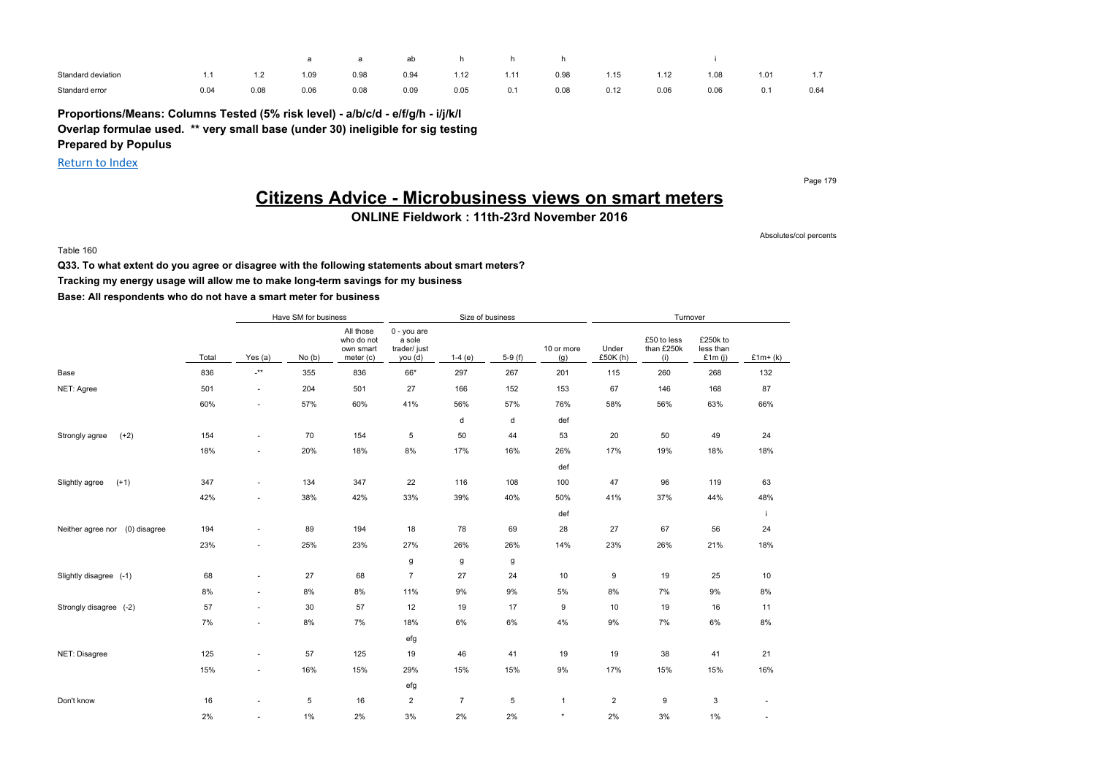|                    |      |                |      |      | ab   |      |      |      |      |      |      |      |                    |
|--------------------|------|----------------|------|------|------|------|------|------|------|------|------|------|--------------------|
| Standard deviation |      | $\lambda$<br>. | 1.09 | 0.98 | 0.94 | 1.12 | 1.11 | 0.98 | 1.15 | 1.12 | 1.08 | 1.01 | $\rightarrow$<br>. |
| Standard error     | 0.04 | 0.08           | 0.06 | 0.08 | 0.09 | 0.05 | 0.1  | 0.08 | 0.12 | 0.06 | 0.06 | 0.1  | 0.64               |

**Proportions/Means: Columns Tested (5% risk level) - a/b/c/d - e/f/g/h - i/j/k/l Overlap formulae used. \*\* very small base (under 30) ineligible for sig testing Prepared by Populus**

Return to Index

Page 179

## **Citizens Advice - Microbusiness views on smart meters**

**ONLINE Fieldwork : 11th-23rd November 2016**

Absolutes/col percents

Table 160

**Q33. To what extent do you agree or disagree with the following statements about smart meters? Tracking my energy usage will allow me to make long-term savings for my business Base: All respondents who do not have a smart meter for business**

|                                   |       | Have SM for business<br>All those |       |                                      |                                                  | Size of business |          |                   |                  | Turnover                         |                                    |                          |
|-----------------------------------|-------|-----------------------------------|-------|--------------------------------------|--------------------------------------------------|------------------|----------|-------------------|------------------|----------------------------------|------------------------------------|--------------------------|
|                                   | Total | Yes (a)                           | No(b) | who do not<br>own smart<br>meter (c) | 0 - you are<br>a sole<br>trader/ just<br>you (d) | $1-4(e)$         | $5-9(f)$ | 10 or more<br>(g) | Under<br>£50K(h) | £50 to less<br>than £250k<br>(i) | £250k to<br>less than<br>£1 $m(i)$ | $£1m+(k)$                |
| Base                              | 836   | $^{-**}$                          | 355   | 836                                  | 66*                                              | 297              | 267      | 201               | 115              | 260                              | 268                                | 132                      |
| NET: Agree                        | 501   | $\sim$                            | 204   | 501                                  | 27                                               | 166              | 152      | 153               | 67               | 146                              | 168                                | 87                       |
|                                   | 60%   | ٠                                 | 57%   | 60%                                  | 41%                                              | 56%              | 57%      | 76%               | 58%              | 56%                              | 63%                                | 66%                      |
|                                   |       |                                   |       |                                      |                                                  | d                | d        | def               |                  |                                  |                                    |                          |
| $(+2)$<br>Strongly agree          | 154   | ٠                                 | 70    | 154                                  | 5                                                | 50               | 44       | 53                | 20               | 50                               | 49                                 | 24                       |
|                                   | 18%   | ٠                                 | 20%   | 18%                                  | 8%                                               | 17%              | 16%      | 26%               | 17%              | 19%                              | 18%                                | 18%                      |
|                                   |       |                                   |       |                                      |                                                  |                  |          | def               |                  |                                  |                                    |                          |
| $(+1)$<br>Slightly agree          | 347   | ٠                                 | 134   | 347                                  | 22                                               | 116              | 108      | 100               | 47               | 96                               | 119                                | 63                       |
|                                   | 42%   | ٠                                 | 38%   | 42%                                  | 33%                                              | 39%              | 40%      | 50%               | 41%              | 37%                              | 44%                                | 48%                      |
|                                   |       |                                   |       |                                      |                                                  |                  |          | def               |                  |                                  |                                    | -i                       |
| (0) disagree<br>Neither agree nor | 194   | ٠                                 | 89    | 194                                  | 18                                               | 78               | 69       | 28                | 27               | 67                               | 56                                 | 24                       |
|                                   | 23%   | ٠                                 | 25%   | 23%                                  | 27%                                              | 26%              | 26%      | 14%               | 23%              | 26%                              | 21%                                | 18%                      |
|                                   |       |                                   |       |                                      | g                                                | g                | g        |                   |                  |                                  |                                    |                          |
| Slightly disagree (-1)            | 68    | ٠                                 | 27    | 68                                   | $\overline{7}$                                   | 27               | 24       | 10                | 9                | 19                               | 25                                 | 10                       |
|                                   | 8%    | ٠                                 | 8%    | 8%                                   | 11%                                              | 9%               | 9%       | 5%                | 8%               | 7%                               | 9%                                 | 8%                       |
| Strongly disagree (-2)            | 57    | ٠                                 | 30    | 57                                   | 12                                               | 19               | 17       | 9                 | 10               | 19                               | 16                                 | 11                       |
|                                   | 7%    | ٠                                 | 8%    | 7%                                   | 18%                                              | 6%               | 6%       | 4%                | 9%               | 7%                               | 6%                                 | $8\%$                    |
|                                   |       |                                   |       |                                      | efg                                              |                  |          |                   |                  |                                  |                                    |                          |
| NET: Disagree                     | 125   | ٠                                 | 57    | 125                                  | 19                                               | 46               | 41       | 19                | 19               | 38                               | 41                                 | 21                       |
|                                   | 15%   | ÷,                                | 16%   | 15%                                  | 29%                                              | 15%              | 15%      | 9%                | 17%              | 15%                              | 15%                                | 16%                      |
|                                   |       |                                   |       |                                      | efg                                              |                  |          |                   |                  |                                  |                                    |                          |
| Don't know                        | 16    | ÷,                                | 5     | 16                                   | $\overline{2}$                                   | $\overline{7}$   | 5        | $\mathbf{1}$      | $\overline{2}$   | 9                                | 3                                  | $\overline{\phantom{0}}$ |
|                                   | 2%    | ٠                                 | $1\%$ | 2%                                   | 3%                                               | 2%               | 2%       | $\star$           | 2%               | 3%                               | 1%                                 | ٠                        |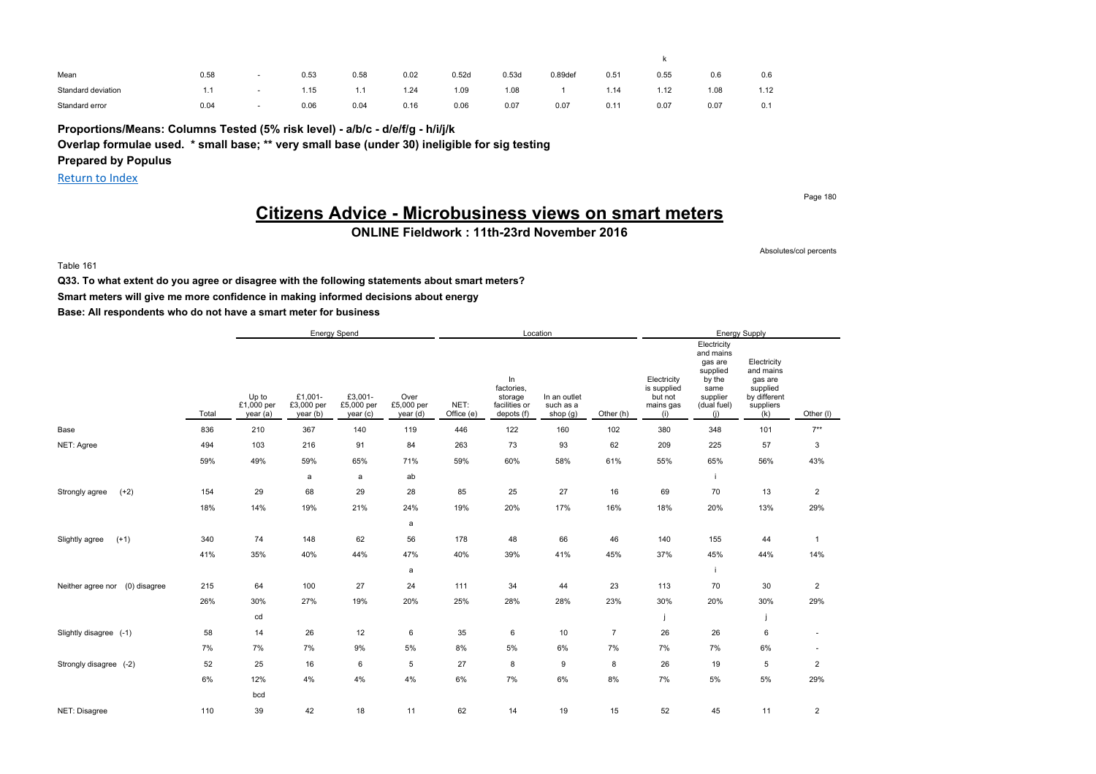| Mean               | 0.58 | 0.53 | 0.58 | 0.02 | 0.52d | 0.53d | 0.89 <sub>def</sub> | 0.51 | 0.55 | 0.6  | 0.6  |
|--------------------|------|------|------|------|-------|-------|---------------------|------|------|------|------|
| Standard deviation |      | 1.15 | 1.1  | 1.24 | 1.09  | 1.08  |                     | 1.14 | 1.12 | 1.08 | 1.12 |
| Standard error     | 0.04 | 0.06 | 0.04 | 0.16 | 0.06  | 0.07  | 0.07                | 0.1' | 0.07 | 0.07 | 0.1  |

**Proportions/Means: Columns Tested (5% risk level) - a/b/c - d/e/f/g - h/i/j/k**

**Overlap formulae used. \* small base; \*\* very small base (under 30) ineligible for sig testing**

**Prepared by Populus**

Return to Index

Page 180

## **Citizens Advice - Microbusiness views on smart meters**

**ONLINE Fieldwork : 11th-23rd November 2016**

Absolutes/col percents

#### Table 161

**Q33. To what extent do you agree or disagree with the following statements about smart meters? Smart meters will give me more confidence in making informed decisions about energy**

|                                   |       |                                 |                                   | Energy Spend                      |                                |                    |                                                            | Location                              |                |                                                           |                                                                                                     | <b>Energy Supply</b>                                                                |                          |
|-----------------------------------|-------|---------------------------------|-----------------------------------|-----------------------------------|--------------------------------|--------------------|------------------------------------------------------------|---------------------------------------|----------------|-----------------------------------------------------------|-----------------------------------------------------------------------------------------------------|-------------------------------------------------------------------------------------|--------------------------|
|                                   | Total | Up to<br>£1,000 per<br>year (a) | £1,001-<br>£3,000 per<br>year (b) | £3,001-<br>£5,000 per<br>year (c) | Over<br>£5,000 per<br>year (d) | NET:<br>Office (e) | In<br>factories,<br>storage<br>facilities or<br>depots (f) | In an outlet<br>such as a<br>shop (g) | Other (h)      | Electricity<br>is supplied<br>but not<br>mains gas<br>(i) | Electricity<br>and mains<br>gas are<br>supplied<br>by the<br>same<br>supplier<br>(dual fuel)<br>(i) | Electricity<br>and mains<br>gas are<br>supplied<br>by different<br>suppliers<br>(k) | Other (I)                |
| Base                              | 836   | 210                             | 367                               | 140                               | 119                            | 446                | 122                                                        | 160                                   | 102            | 380                                                       | 348                                                                                                 | 101                                                                                 | $7**$                    |
| NET: Agree                        | 494   | 103                             | 216                               | 91                                | 84                             | 263                | 73                                                         | 93                                    | 62             | 209                                                       | 225                                                                                                 | 57                                                                                  | 3                        |
|                                   | 59%   | 49%                             | 59%                               | 65%                               | 71%                            | 59%                | 60%                                                        | 58%                                   | 61%            | 55%                                                       | 65%                                                                                                 | 56%                                                                                 | 43%                      |
|                                   |       |                                 | a                                 | a                                 | ab                             |                    |                                                            |                                       |                |                                                           |                                                                                                     |                                                                                     |                          |
| $(+2)$<br>Strongly agree          | 154   | 29                              | 68                                | 29                                | 28                             | 85                 | 25                                                         | 27                                    | 16             | 69                                                        | 70                                                                                                  | 13                                                                                  | $\overline{2}$           |
|                                   | 18%   | 14%                             | 19%                               | 21%                               | 24%                            | 19%                | 20%                                                        | 17%                                   | 16%            | 18%                                                       | 20%                                                                                                 | 13%                                                                                 | 29%                      |
|                                   |       |                                 |                                   |                                   | a                              |                    |                                                            |                                       |                |                                                           |                                                                                                     |                                                                                     |                          |
| $(+1)$<br>Slightly agree          | 340   | 74                              | 148                               | 62                                | 56                             | 178                | 48                                                         | 66                                    | 46             | 140                                                       | 155                                                                                                 | 44                                                                                  | $\mathbf{1}$             |
|                                   | 41%   | 35%                             | 40%                               | 44%                               | 47%                            | 40%                | 39%                                                        | 41%                                   | 45%            | 37%                                                       | 45%                                                                                                 | 44%                                                                                 | 14%                      |
|                                   |       |                                 |                                   |                                   | a                              |                    |                                                            |                                       |                |                                                           |                                                                                                     |                                                                                     |                          |
| (0) disagree<br>Neither agree nor | 215   | 64                              | 100                               | 27                                | 24                             | 111                | 34                                                         | 44                                    | 23             | 113                                                       | 70                                                                                                  | 30                                                                                  | $\overline{2}$           |
|                                   | 26%   | 30%                             | 27%                               | 19%                               | 20%                            | 25%                | 28%                                                        | 28%                                   | 23%            | 30%                                                       | 20%                                                                                                 | 30%                                                                                 | 29%                      |
|                                   |       | cd                              |                                   |                                   |                                |                    |                                                            |                                       |                |                                                           |                                                                                                     |                                                                                     |                          |
| Slightly disagree (-1)            | 58    | 14                              | 26                                | 12                                | 6                              | 35                 | 6                                                          | 10                                    | $\overline{7}$ | 26                                                        | 26                                                                                                  | 6                                                                                   | $\overline{\phantom{a}}$ |
|                                   | 7%    | 7%                              | 7%                                | 9%                                | 5%                             | 8%                 | $5\%$                                                      | 6%                                    | 7%             | 7%                                                        | 7%                                                                                                  | 6%                                                                                  | $\overline{\phantom{a}}$ |
| Strongly disagree (-2)            | 52    | 25                              | 16                                | 6                                 | 5                              | 27                 | 8                                                          | 9                                     | 8              | 26                                                        | 19                                                                                                  | 5                                                                                   | $\overline{2}$           |
|                                   | 6%    | 12%                             | 4%                                | 4%                                | 4%                             | 6%                 | 7%                                                         | 6%                                    | 8%             | 7%                                                        | 5%                                                                                                  | 5%                                                                                  | 29%                      |
|                                   |       | bcd                             |                                   |                                   |                                |                    |                                                            |                                       |                |                                                           |                                                                                                     |                                                                                     |                          |
| NET: Disagree                     | 110   | 39                              | 42                                | 18                                | 11                             | 62                 | 14                                                         | 19                                    | 15             | 52                                                        | 45                                                                                                  | 11                                                                                  | $\overline{c}$           |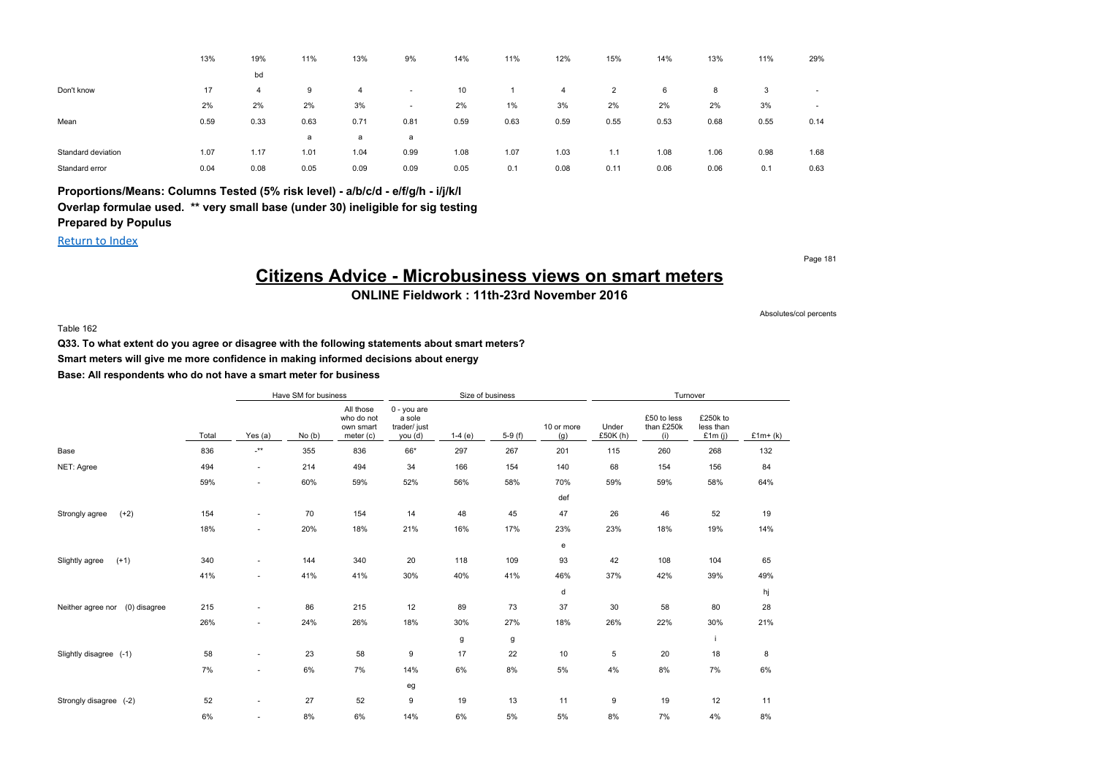|                    | 13%  | 19%  | 11%  | 13%  | 9%                       | 14%  | 11%   | 12%  | 15%  | 14%  | 13%  | 11%  | 29%                      |
|--------------------|------|------|------|------|--------------------------|------|-------|------|------|------|------|------|--------------------------|
|                    |      | bd   |      |      |                          |      |       |      |      |      |      |      |                          |
| Don't know         | 17   | 4    | 9    | 4    | $\overline{\phantom{a}}$ | 10   |       | 4    | 2    | 6    | 8    | 3    | $\sim$                   |
|                    | 2%   | 2%   | 2%   | 3%   | $\overline{\phantom{a}}$ | 2%   | $1\%$ | 3%   | 2%   | 2%   | 2%   | 3%   | $\overline{\phantom{a}}$ |
| Mean               | 0.59 | 0.33 | 0.63 | 0.71 | 0.81                     | 0.59 | 0.63  | 0.59 | 0.55 | 0.53 | 0.68 | 0.55 | 0.14                     |
|                    |      |      | a    | a    | a                        |      |       |      |      |      |      |      |                          |
| Standard deviation | 1.07 | 1.17 | 1.01 | 1.04 | 0.99                     | 1.08 | 1.07  | 1.03 | 1.1  | 1.08 | 1.06 | 0.98 | 1.68                     |
| Standard error     | 0.04 | 0.08 | 0.05 | 0.09 | 0.09                     | 0.05 | 0.1   | 0.08 | 0.11 | 0.06 | 0.06 | 0.1  | 0.63                     |

### **Proportions/Means: Columns Tested (5% risk level) - a/b/c/d - e/f/g/h - i/j/k/l Overlap formulae used. \*\* very small base (under 30) ineligible for sig testing Prepared by Populus**

Return to Index

Page 181

## **Citizens Advice - Microbusiness views on smart meters**

**ONLINE Fieldwork : 11th-23rd November 2016**

Table 162

**Q33. To what extent do you agree or disagree with the following statements about smart meters?**

**Smart meters will give me more confidence in making informed decisions about energy**

**Base: All respondents who do not have a smart meter for business**

|                                   |       |                           | Have SM for business |                                                   |                                                  | Size of business |          |                   |                  | Turnover                         |                                    |           |
|-----------------------------------|-------|---------------------------|----------------------|---------------------------------------------------|--------------------------------------------------|------------------|----------|-------------------|------------------|----------------------------------|------------------------------------|-----------|
|                                   | Total | Yes $(a)$                 | No(b)                | All those<br>who do not<br>own smart<br>meter (c) | 0 - you are<br>a sole<br>trader/ just<br>you (d) | $1-4(e)$         | $5-9(f)$ | 10 or more<br>(g) | Under<br>£50K(h) | £50 to less<br>than £250k<br>(i) | £250k to<br>less than<br>£1 $m(i)$ | $£1m+(k)$ |
| Base                              | 836   | $\mathbf{L}^{\star\star}$ | 355                  | 836                                               | 66*                                              | 297              | 267      | 201               | 115              | 260                              | 268                                | 132       |
| NET: Agree                        | 494   | $\sim$                    | 214                  | 494                                               | 34                                               | 166              | 154      | 140               | 68               | 154                              | 156                                | 84        |
|                                   | 59%   | $\sim$                    | 60%                  | 59%                                               | 52%                                              | 56%              | 58%      | 70%               | 59%              | 59%                              | 58%                                | 64%       |
|                                   |       |                           |                      |                                                   |                                                  |                  |          | def               |                  |                                  |                                    |           |
| $(+2)$<br>Strongly agree          | 154   | $\sim$                    | 70                   | 154                                               | 14                                               | 48               | 45       | 47                | 26               | 46                               | 52                                 | 19        |
|                                   | 18%   | $\sim$                    | 20%                  | 18%                                               | 21%                                              | 16%              | 17%      | 23%               | 23%              | 18%                              | 19%                                | 14%       |
|                                   |       |                           |                      |                                                   |                                                  |                  |          | e                 |                  |                                  |                                    |           |
| $(+1)$<br>Slightly agree          | 340   | $\sim$                    | 144                  | 340                                               | 20                                               | 118              | 109      | 93                | 42               | 108                              | 104                                | 65        |
|                                   | 41%   | $\sim$                    | 41%                  | 41%                                               | 30%                                              | 40%              | 41%      | 46%               | 37%              | 42%                              | 39%                                | 49%       |
|                                   |       |                           |                      |                                                   |                                                  |                  |          | d                 |                  |                                  |                                    | hj        |
| (0) disagree<br>Neither agree nor | 215   | $\sim$                    | 86                   | 215                                               | 12                                               | 89               | 73       | 37                | 30               | 58                               | 80                                 | 28        |
|                                   | 26%   | $\sim$                    | 24%                  | 26%                                               | 18%                                              | 30%              | 27%      | 18%               | 26%              | 22%                              | 30%                                | 21%       |
|                                   |       |                           |                      |                                                   |                                                  | g                | g        |                   |                  |                                  | j                                  |           |
| Slightly disagree (-1)            | 58    | $\sim$                    | 23                   | 58                                                | 9                                                | 17               | 22       | 10                | 5                | 20                               | 18                                 | 8         |
|                                   | 7%    | ÷.                        | 6%                   | 7%                                                | 14%                                              | 6%               | 8%       | 5%                | 4%               | 8%                               | 7%                                 | 6%        |
|                                   |       |                           |                      |                                                   | eg                                               |                  |          |                   |                  |                                  |                                    |           |
| Strongly disagree (-2)            | 52    | $\sim$                    | 27                   | 52                                                | 9                                                | 19               | 13       | 11                | 9                | 19                               | 12                                 | 11        |
|                                   | 6%    | ٠                         | 8%                   | 6%                                                | 14%                                              | 6%               | 5%       | 5%                | 8%               | 7%                               | 4%                                 | 8%        |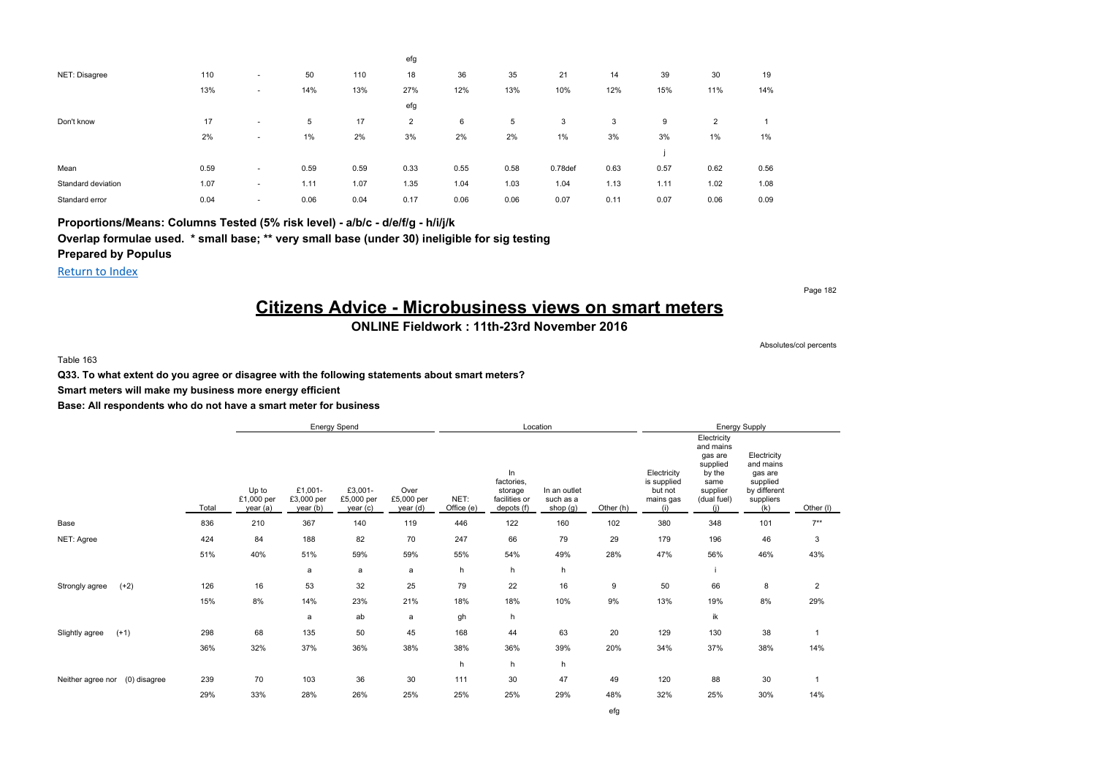|                    |      |                          |      |      | efg            |      |      |                     |      |      |                |       |
|--------------------|------|--------------------------|------|------|----------------|------|------|---------------------|------|------|----------------|-------|
| NET: Disagree      | 110  | $\overline{\phantom{a}}$ | 50   | 110  | 18             | 36   | 35   | 21                  | 14   | 39   | 30             | 19    |
|                    | 13%  | $\overline{\phantom{a}}$ | 14%  | 13%  | 27%            | 12%  | 13%  | 10%                 | 12%  | 15%  | 11%            | 14%   |
|                    |      |                          |      |      | efg            |      |      |                     |      |      |                |       |
| Don't know         | 17   | $\overline{\phantom{a}}$ | 5    | 17   | $\overline{2}$ | 6    | 5    | 3                   | 3    | 9    | $\overline{2}$ |       |
|                    | 2%   | $\overline{\phantom{a}}$ | 1%   | 2%   | 3%             | 2%   | 2%   | $1\%$               | 3%   | 3%   | $1\%$          | $1\%$ |
|                    |      |                          |      |      |                |      |      |                     |      |      |                |       |
| Mean               | 0.59 | $\overline{\phantom{a}}$ | 0.59 | 0.59 | 0.33           | 0.55 | 0.58 | 0.78 <sub>def</sub> | 0.63 | 0.57 | 0.62           | 0.56  |
| Standard deviation | 1.07 | $\overline{\phantom{a}}$ | 1.11 | 1.07 | 1.35           | 1.04 | 1.03 | 1.04                | 1.13 | 1.11 | 1.02           | 1.08  |
| Standard error     | 0.04 | $\overline{\phantom{a}}$ | 0.06 | 0.04 | 0.17           | 0.06 | 0.06 | 0.07                | 0.11 | 0.07 | 0.06           | 0.09  |

**Proportions/Means: Columns Tested (5% risk level) - a/b/c - d/e/f/g - h/i/j/k**

**Overlap formulae used. \* small base; \*\* very small base (under 30) ineligible for sig testing**

**Prepared by Populus**

Return to Index

Page 182

## **Citizens Advice - Microbusiness views on smart meters**

### **ONLINE Fieldwork : 11th-23rd November 2016**

Absolutes/col percents

Table 163

**Q33. To what extent do you agree or disagree with the following statements about smart meters?**

**Smart meters will make my business more energy efficient**

|                                   |       |                                 |                                  | Energy Spend                      |                                |                    |                                                            | Location                              |           |                                                           |                                                                                                     | Energy Supply                                                                       |                |
|-----------------------------------|-------|---------------------------------|----------------------------------|-----------------------------------|--------------------------------|--------------------|------------------------------------------------------------|---------------------------------------|-----------|-----------------------------------------------------------|-----------------------------------------------------------------------------------------------------|-------------------------------------------------------------------------------------|----------------|
|                                   | Total | Up to<br>£1,000 per<br>year (a) | £1,001-<br>£3,000 per<br>year(b) | £3,001-<br>£5,000 per<br>year (c) | Over<br>£5,000 per<br>year (d) | NET:<br>Office (e) | In<br>factories,<br>storage<br>facilities or<br>depots (f) | In an outlet<br>such as a<br>shop (g) | Other (h) | Electricity<br>is supplied<br>but not<br>mains gas<br>(i) | Electricity<br>and mains<br>gas are<br>supplied<br>by the<br>same<br>supplier<br>(dual fuel)<br>(i) | Electricity<br>and mains<br>gas are<br>supplied<br>by different<br>suppliers<br>(k) | Other (I)      |
| Base                              | 836   | 210                             | 367                              | 140                               | 119                            | 446                | 122                                                        | 160                                   | 102       | 380                                                       | 348                                                                                                 | 101                                                                                 | $7**$          |
| NET: Agree                        | 424   | 84                              | 188                              | 82                                | 70                             | 247                | 66                                                         | 79                                    | 29        | 179                                                       | 196                                                                                                 | 46                                                                                  | 3              |
|                                   | 51%   | 40%                             | 51%                              | 59%                               | 59%                            | 55%                | 54%                                                        | 49%                                   | 28%       | 47%                                                       | 56%                                                                                                 | 46%                                                                                 | 43%            |
|                                   |       |                                 | a                                | a                                 | a                              | h                  | h                                                          | h                                     |           |                                                           |                                                                                                     |                                                                                     |                |
| $(+2)$<br>Strongly agree          | 126   | 16                              | 53                               | 32                                | 25                             | 79                 | 22                                                         | 16                                    | 9         | 50                                                        | 66                                                                                                  | 8                                                                                   | $\overline{2}$ |
|                                   | 15%   | 8%                              | 14%                              | 23%                               | 21%                            | 18%                | 18%                                                        | 10%                                   | 9%        | 13%                                                       | 19%                                                                                                 | 8%                                                                                  | 29%            |
|                                   |       |                                 | a                                | ab                                | a                              | gh                 | h                                                          |                                       |           |                                                           | ik                                                                                                  |                                                                                     |                |
| $(+1)$<br>Slightly agree          | 298   | 68                              | 135                              | 50                                | 45                             | 168                | 44                                                         | 63                                    | 20        | 129                                                       | 130                                                                                                 | 38                                                                                  |                |
|                                   | 36%   | 32%                             | 37%                              | 36%                               | 38%                            | 38%                | 36%                                                        | 39%                                   | 20%       | 34%                                                       | 37%                                                                                                 | 38%                                                                                 | 14%            |
|                                   |       |                                 |                                  |                                   |                                | h                  | h                                                          | h                                     |           |                                                           |                                                                                                     |                                                                                     |                |
| (0) disagree<br>Neither agree nor | 239   | 70                              | 103                              | 36                                | 30                             | 111                | 30                                                         | 47                                    | 49        | 120                                                       | 88                                                                                                  | 30                                                                                  |                |
|                                   | 29%   | 33%                             | 28%                              | 26%                               | 25%                            | 25%                | 25%                                                        | 29%                                   | 48%       | 32%                                                       | 25%                                                                                                 | 30%                                                                                 | 14%            |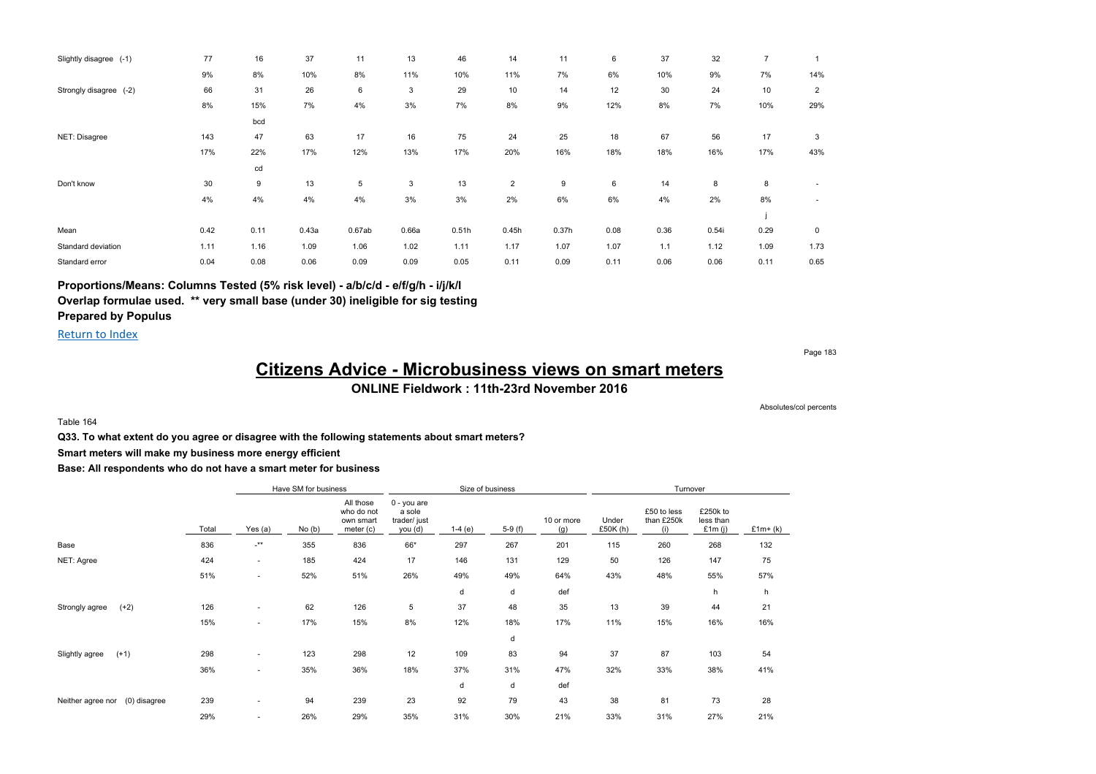| Slightly disagree (-1)      | 77   | 16   | 37    | 11     | 13    | 46    | 14             | 11    | 6    | 37   | 32    | $\overline{7}$ |                |
|-----------------------------|------|------|-------|--------|-------|-------|----------------|-------|------|------|-------|----------------|----------------|
|                             | 9%   | 8%   | 10%   | 8%     | 11%   | 10%   | 11%            | 7%    | 6%   | 10%  | 9%    | 7%             | 14%            |
| Strongly disagree<br>$(-2)$ | 66   | 31   | 26    | 6      | 3     | 29    | 10             | 14    | 12   | 30   | 24    | 10             | $\overline{2}$ |
|                             | 8%   | 15%  | 7%    | 4%     | 3%    | 7%    | 8%             | 9%    | 12%  | 8%   | 7%    | 10%            | 29%            |
|                             |      | bcd  |       |        |       |       |                |       |      |      |       |                |                |
| NET: Disagree               | 143  | 47   | 63    | 17     | 16    | 75    | 24             | 25    | 18   | 67   | 56    | 17             | 3              |
|                             | 17%  | 22%  | 17%   | 12%    | 13%   | 17%   | 20%            | 16%   | 18%  | 18%  | 16%   | 17%            | 43%            |
|                             |      | cd   |       |        |       |       |                |       |      |      |       |                |                |
| Don't know                  | 30   | 9    | 13    | 5      | 3     | 13    | $\overline{2}$ | 9     | 6    | 14   | 8     | 8              |                |
|                             | 4%   | 4%   | 4%    | 4%     | 3%    | 3%    | 2%             | 6%    | 6%   | 4%   | 2%    | 8%             | ٠              |
|                             |      |      |       |        |       |       |                |       |      |      |       |                |                |
| Mean                        | 0.42 | 0.11 | 0.43a | 0.67ab | 0.66a | 0.51h | 0.45h          | 0.37h | 0.08 | 0.36 | 0.54i | 0.29           | $\mathbf 0$    |
| Standard deviation          | 1.11 | 1.16 | 1.09  | 1.06   | 1.02  | 1.11  | 1.17           | 1.07  | 1.07 | 1.1  | 1.12  | 1.09           | 1.73           |
| Standard error              | 0.04 | 0.08 | 0.06  | 0.09   | 0.09  | 0.05  | 0.11           | 0.09  | 0.11 | 0.06 | 0.06  | 0.11           | 0.65           |

**Proportions/Means: Columns Tested (5% risk level) - a/b/c/d - e/f/g/h - i/j/k/l**

**Overlap formulae used. \*\* very small base (under 30) ineligible for sig testing**

#### **Prepared by Populus**

Return to Index

Page 183

### **Citizens Advice - Microbusiness views on smart meters ONLINE Fieldwork : 11th-23rd November 2016**

Absolutes/col percents

Table 164

**Q33. To what extent do you agree or disagree with the following statements about smart meters?**

**Smart meters will make my business more energy efficient**

|                                   |       |                          | Have SM for business |                                                   |                                                         |          | Size of business |                   |                     | Turnover                         |                                  |           |
|-----------------------------------|-------|--------------------------|----------------------|---------------------------------------------------|---------------------------------------------------------|----------|------------------|-------------------|---------------------|----------------------------------|----------------------------------|-----------|
|                                   | Total | Yes (a)                  | No(b)                | All those<br>who do not<br>own smart<br>meter (c) | 0 - you are<br>a sole<br>trader/ just<br><u>you (d)</u> | $1-4(e)$ | $5-9(f)$         | 10 or more<br>(q) | Under<br>£50 $K(h)$ | £50 to less<br>than £250k<br>(i) | £250k to<br>less than<br>£1m (i) | $£1m+(k)$ |
| Base                              | 836   | $\cdot^{\star\star}$     | 355                  | 836                                               | 66*                                                     | 297      | 267              | 201               | 115                 | 260                              | 268                              | 132       |
| NET: Agree                        | 424   | ۰.                       | 185                  | 424                                               | 17                                                      | 146      | 131              | 129               | 50                  | 126                              | 147                              | 75        |
|                                   | 51%   | ٠                        | 52%                  | 51%                                               | 26%                                                     | 49%      | 49%              | 64%               | 43%                 | 48%                              | 55%                              | 57%       |
|                                   |       |                          |                      |                                                   |                                                         | d        | d                | def               |                     |                                  | h                                | h         |
| $(+2)$<br>Strongly agree          | 126   | ٠                        | 62                   | 126                                               | 5                                                       | 37       | 48               | 35                | 13                  | 39                               | 44                               | 21        |
|                                   | 15%   |                          | 17%                  | 15%                                               | 8%                                                      | 12%      | 18%              | 17%               | 11%                 | 15%                              | 16%                              | 16%       |
|                                   |       |                          |                      |                                                   |                                                         |          | d                |                   |                     |                                  |                                  |           |
| Slightly agree<br>$(+1)$          | 298   | ۰                        | 123                  | 298                                               | 12                                                      | 109      | 83               | 94                | 37                  | 87                               | 103                              | 54        |
|                                   | 36%   | ۰                        | 35%                  | 36%                                               | 18%                                                     | 37%      | 31%              | 47%               | 32%                 | 33%                              | 38%                              | 41%       |
|                                   |       |                          |                      |                                                   |                                                         | d        | d                | def               |                     |                                  |                                  |           |
| (0) disagree<br>Neither agree nor | 239   | ۰.                       | 94                   | 239                                               | 23                                                      | 92       | 79               | 43                | 38                  | 81                               | 73                               | 28        |
|                                   | 29%   | $\overline{\phantom{a}}$ | 26%                  | 29%                                               | 35%                                                     | 31%      | 30%              | 21%               | 33%                 | 31%                              | 27%                              | 21%       |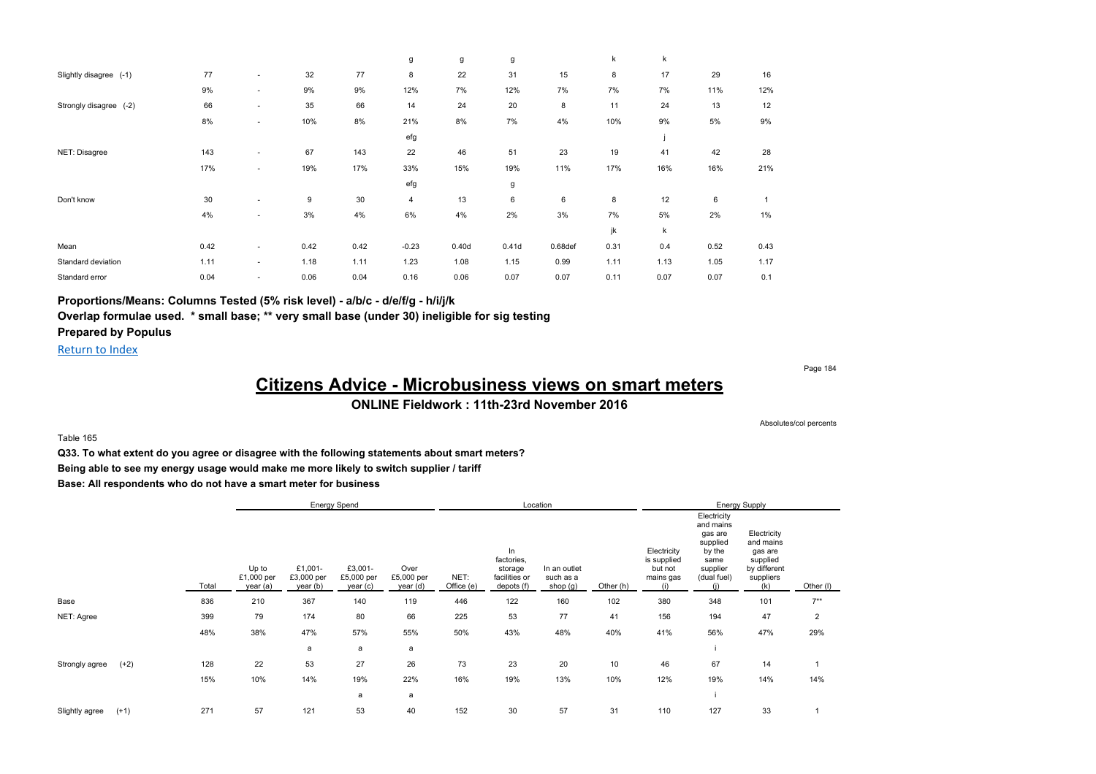|                        |      |                          |      |      | g       | g     | g     |            | k    | k    |      |       |
|------------------------|------|--------------------------|------|------|---------|-------|-------|------------|------|------|------|-------|
| Slightly disagree (-1) | 77   | $\sim$                   | 32   | 77   | 8       | 22    | 31    | 15         | 8    | 17   | 29   | 16    |
|                        | 9%   | ٠                        | 9%   | 9%   | 12%     | 7%    | 12%   | 7%         | 7%   | 7%   | 11%  | 12%   |
| Strongly disagree (-2) | 66   | $\sim$                   | 35   | 66   | 14      | 24    | 20    | 8          | 11   | 24   | 13   | 12    |
|                        | 8%   | $\overline{\phantom{a}}$ | 10%  | 8%   | 21%     | 8%    | 7%    | 4%         | 10%  | 9%   | 5%   | 9%    |
|                        |      |                          |      |      | efg     |       |       |            |      |      |      |       |
| NET: Disagree          | 143  | $\overline{\phantom{a}}$ | 67   | 143  | 22      | 46    | 51    | 23         | 19   | 41   | 42   | 28    |
|                        | 17%  | ٠                        | 19%  | 17%  | 33%     | 15%   | 19%   | 11%        | 17%  | 16%  | 16%  | 21%   |
|                        |      |                          |      |      | efg     |       | g     |            |      |      |      |       |
| Don't know             | 30   | $\overline{\phantom{a}}$ | 9    | 30   | 4       | 13    | 6     | 6          | 8    | 12   | 6    |       |
|                        | 4%   | ٠                        | 3%   | 4%   | 6%      | 4%    | 2%    | 3%         | 7%   | 5%   | 2%   | $1\%$ |
|                        |      |                          |      |      |         |       |       |            | jk   | k    |      |       |
| Mean                   | 0.42 | ٠                        | 0.42 | 0.42 | $-0.23$ | 0.40d | 0.41d | $0.68$ def | 0.31 | 0.4  | 0.52 | 0.43  |
| Standard deviation     | 1.11 | $\sim$                   | 1.18 | 1.11 | 1.23    | 1.08  | 1.15  | 0.99       | 1.11 | 1.13 | 1.05 | 1.17  |
| Standard error         | 0.04 | ٠                        | 0.06 | 0.04 | 0.16    | 0.06  | 0.07  | 0.07       | 0.11 | 0.07 | 0.07 | 0.1   |

### **Proportions/Means: Columns Tested (5% risk level) - a/b/c - d/e/f/g - h/i/j/k**

**Overlap formulae used. \* small base; \*\* very small base (under 30) ineligible for sig testing**

### **Prepared by Populus**

Return to Index

Page 184

## **Citizens Advice - Microbusiness views on smart meters**

### **ONLINE Fieldwork : 11th-23rd November 2016**

Absolutes/col percents

Table 165

**Q33. To what extent do you agree or disagree with the following statements about smart meters?**

**Being able to see my energy usage would make me more likely to switch supplier / tariff**

|                |        |       |                                 | <b>Energy Spend</b>               |                                   |                                |                    |                                                            | Location                              |           |                                                           |                                                                                              | <b>Energy Supply</b>                                                                |                |
|----------------|--------|-------|---------------------------------|-----------------------------------|-----------------------------------|--------------------------------|--------------------|------------------------------------------------------------|---------------------------------------|-----------|-----------------------------------------------------------|----------------------------------------------------------------------------------------------|-------------------------------------------------------------------------------------|----------------|
|                |        | Total | Up to<br>£1,000 per<br>year (a) | £1,001-<br>£3,000 per<br>year (b) | £3,001-<br>£5,000 per<br>year (c) | Over<br>£5,000 per<br>year (d) | NET:<br>Office (e) | In<br>factories,<br>storage<br>facilities or<br>depots (f) | In an outlet<br>such as a<br>shop (g) | Other (h) | Electricity<br>is supplied<br>but not<br>mains gas<br>(i) | Electricity<br>and mains<br>gas are<br>supplied<br>by the<br>same<br>supplier<br>(dual fuel) | Electricity<br>and mains<br>gas are<br>supplied<br>by different<br>suppliers<br>(k) | Other (I)      |
| Base           |        | 836   | 210                             | 367                               | 140                               | 119                            | 446                | 122                                                        | 160                                   | 102       | 380                                                       | 348                                                                                          | 101                                                                                 | $7***$         |
| NET: Agree     |        | 399   | 79                              | 174                               | 80                                | 66                             | 225                | 53                                                         | 77                                    | 41        | 156                                                       | 194                                                                                          | 47                                                                                  | $\overline{2}$ |
|                |        | 48%   | 38%                             | 47%                               | 57%                               | 55%                            | 50%                | 43%                                                        | 48%                                   | 40%       | 41%                                                       | 56%                                                                                          | 47%                                                                                 | 29%            |
|                |        |       |                                 | a                                 | a                                 | a                              |                    |                                                            |                                       |           |                                                           |                                                                                              |                                                                                     |                |
| Strongly agree | $(+2)$ | 128   | 22                              | 53                                | 27                                | 26                             | 73                 | 23                                                         | 20                                    | 10        | 46                                                        | 67                                                                                           | 14                                                                                  |                |
|                |        | 15%   | 10%                             | 14%                               | 19%                               | 22%                            | 16%                | 19%                                                        | 13%                                   | 10%       | 12%                                                       | 19%                                                                                          | 14%                                                                                 | 14%            |
|                |        |       |                                 |                                   | a                                 | a                              |                    |                                                            |                                       |           |                                                           |                                                                                              |                                                                                     |                |
| Slightly agree | $(+1)$ | 271   | 57                              | 121                               | 53                                | 40                             | 152                | 30                                                         | 57                                    | 31        | 110                                                       | 127                                                                                          | 33                                                                                  |                |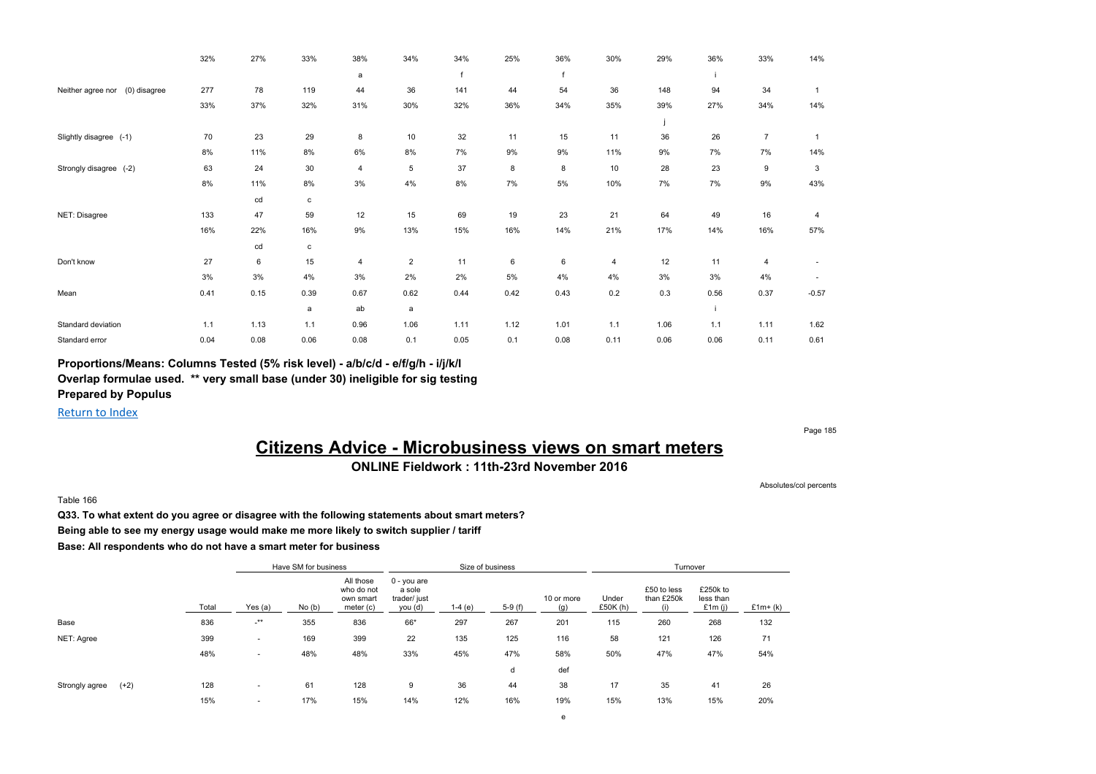|                                   | 32%  | 27%  | 33%          | 38%            | 34%            | 34%        | 25%  | 36%  | 30%  | 29%  | 36%  | 33%            | 14%          |
|-----------------------------------|------|------|--------------|----------------|----------------|------------|------|------|------|------|------|----------------|--------------|
|                                   |      |      |              | a              |                | $\epsilon$ |      |      |      |      |      |                |              |
| (0) disagree<br>Neither agree nor | 277  | 78   | 119          | 44             | 36             | 141        | 44   | 54   | 36   | 148  | 94   | 34             | $\mathbf{1}$ |
|                                   | 33%  | 37%  | 32%          | 31%            | 30%            | 32%        | 36%  | 34%  | 35%  | 39%  | 27%  | 34%            | 14%          |
|                                   |      |      |              |                |                |            |      |      |      |      |      |                |              |
| Slightly disagree (-1)            | 70   | 23   | 29           | 8              | $10$           | 32         | 11   | 15   | 11   | 36   | 26   | $\overline{7}$ | $\mathbf{1}$ |
|                                   | 8%   | 11%  | 8%           | 6%             | $8\%$          | 7%         | 9%   | 9%   | 11%  | 9%   | 7%   | 7%             | 14%          |
| Strongly disagree (-2)            | 63   | 24   | 30           | $\overline{4}$ | 5              | 37         | 8    | 8    | 10   | 28   | 23   | 9              | 3            |
|                                   | 8%   | 11%  | 8%           | 3%             | 4%             | 8%         | 7%   | 5%   | 10%  | 7%   | 7%   | 9%             | 43%          |
|                                   |      | cd   | $\mathbf{c}$ |                |                |            |      |      |      |      |      |                |              |
| NET: Disagree                     | 133  | 47   | 59           | 12             | 15             | 69         | 19   | 23   | 21   | 64   | 49   | 16             | 4            |
|                                   | 16%  | 22%  | 16%          | 9%             | 13%            | 15%        | 16%  | 14%  | 21%  | 17%  | 14%  | 16%            | 57%          |
|                                   |      | cd   | $\mathbf{c}$ |                |                |            |      |      |      |      |      |                |              |
| Don't know                        | 27   | 6    | 15           | 4              | $\overline{c}$ | 11         | 6    | 6    | 4    | 12   | 11   | $\overline{4}$ |              |
|                                   | 3%   | 3%   | 4%           | 3%             | 2%             | 2%         | 5%   | 4%   | 4%   | 3%   | 3%   | 4%             |              |
| Mean                              | 0.41 | 0.15 | 0.39         | 0.67           | 0.62           | 0.44       | 0.42 | 0.43 | 0.2  | 0.3  | 0.56 | 0.37           | $-0.57$      |
|                                   |      |      | a            | ab             | a              |            |      |      |      |      |      |                |              |
| Standard deviation                | 1.1  | 1.13 | 1.1          | 0.96           | 1.06           | 1.11       | 1.12 | 1.01 | 1.1  | 1.06 | 1.1  | 1.11           | 1.62         |
| Standard error                    | 0.04 | 0.08 | 0.06         | 0.08           | 0.1            | 0.05       | 0.1  | 0.08 | 0.11 | 0.06 | 0.06 | 0.11           | 0.61         |

**Proportions/Means: Columns Tested (5% risk level) - a/b/c/d - e/f/g/h - i/j/k/l Overlap formulae used. \*\* very small base (under 30) ineligible for sig testing Prepared by Populus**

Return to Index

Page 185

## **Citizens Advice - Microbusiness views on smart meters**

### **ONLINE Fieldwork : 11th-23rd November 2016**

Absolutes/col percents

#### Table 166

**Q33. To what extent do you agree or disagree with the following statements about smart meters? Being able to see my energy usage would make me more likely to switch supplier / tariff Base: All respondents who do not have a smart meter for business**

|                |        |       |                          | Have SM for business |                                                   |                                                    | Size of business |          |                   |                   | Turnover                  |                                 |           |
|----------------|--------|-------|--------------------------|----------------------|---------------------------------------------------|----------------------------------------------------|------------------|----------|-------------------|-------------------|---------------------------|---------------------------------|-----------|
|                |        | Total | Yes $(a)$                | No(b)                | All those<br>who do not<br>own smart<br>meter (c) | $0 - you$ are<br>a sole<br>trader/ just<br>you (d) | $1-4(e)$         | $5-9(f)$ | 10 or more<br>(q) | Under<br>£50K (h) | £50 to less<br>than £250k | £250k to<br>less than<br>£1m(i) | $£1m+(k)$ |
| Base           |        | 836   | $-***$                   | 355                  | 836                                               | 66*                                                | 297              | 267      | 201               | 115               | 260                       | 268                             | 132       |
| NET: Agree     |        | 399   | $\overline{\phantom{a}}$ | 169                  | 399                                               | 22                                                 | 135              | 125      | 116               | 58                | 121                       | 126                             | 71        |
|                |        | 48%   | $\overline{\phantom{a}}$ | 48%                  | 48%                                               | 33%                                                | 45%              | 47%      | 58%               | 50%               | 47%                       | 47%                             | 54%       |
|                |        |       |                          |                      |                                                   |                                                    |                  | d        | def               |                   |                           |                                 |           |
| Strongly agree | $(+2)$ | 128   | $\overline{\phantom{a}}$ | 61                   | 128                                               | 9                                                  | 36               | 44       | 38                | 17                | 35                        | 41                              | 26        |
|                |        | 15%   | $\overline{\phantom{a}}$ | 17%                  | 15%                                               | 14%                                                | 12%              | 16%      | 19%               | 15%               | 13%                       | 15%                             | 20%       |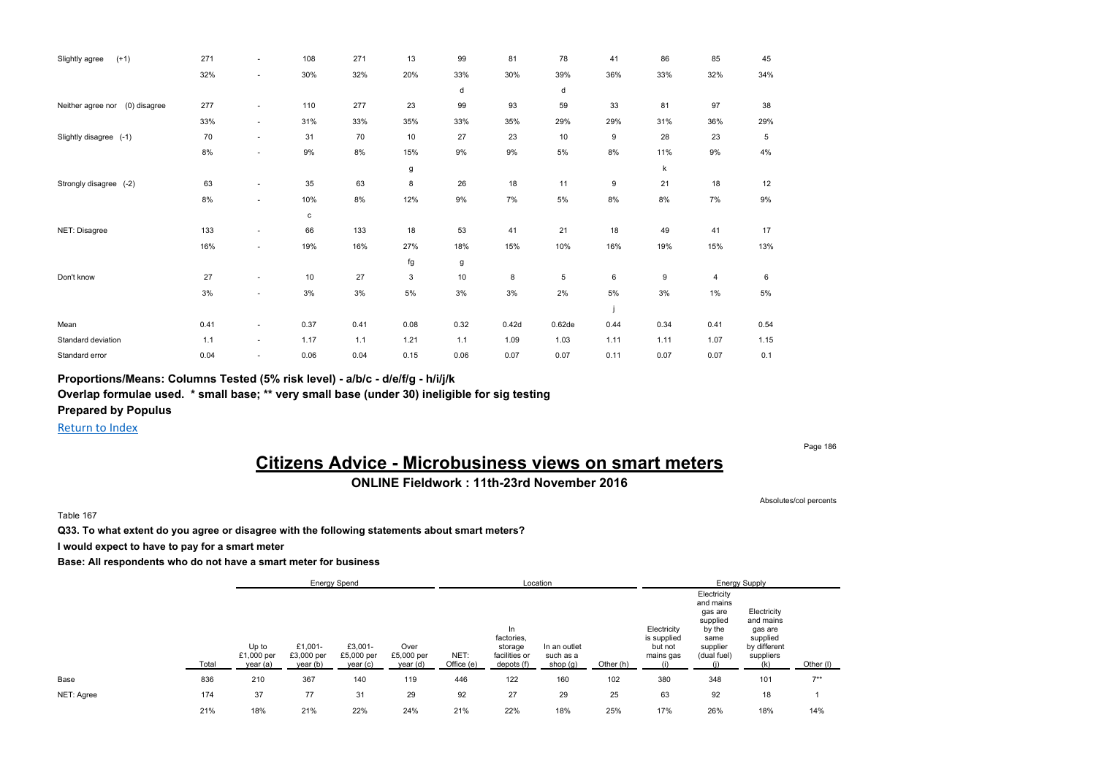| Slightly agree<br>$(+1)$          | 271  | ٠      | 108   | 271   | 13   | 99   | 81    | 78          | 41   | 86   | 85    | 45   |
|-----------------------------------|------|--------|-------|-------|------|------|-------|-------------|------|------|-------|------|
|                                   | 32%  | ٠      | 30%   | 32%   | 20%  | 33%  | 30%   | 39%         | 36%  | 33%  | 32%   | 34%  |
|                                   |      |        |       |       |      | d    |       | d           |      |      |       |      |
| (0) disagree<br>Neither agree nor | 277  | ٠      | 110   | 277   | 23   | 99   | 93    | 59          | 33   | 81   | 97    | 38   |
|                                   | 33%  | $\sim$ | 31%   | 33%   | 35%  | 33%  | 35%   | 29%         | 29%  | 31%  | 36%   | 29%  |
| Slightly disagree (-1)            | 70   | ٠      | 31    | 70    | 10   | 27   | 23    | 10          | 9    | 28   | 23    | 5    |
|                                   | 8%   | ×      | $9\%$ | $8\%$ | 15%  | 9%   | 9%    | 5%          | 8%   | 11%  | $9\%$ | 4%   |
|                                   |      |        |       |       | g    |      |       |             |      | k    |       |      |
| Strongly disagree (-2)            | 63   | ٠      | 35    | 63    | 8    | 26   | 18    | 11          | 9    | 21   | 18    | 12   |
|                                   | 8%   | ٠      | 10%   | 8%    | 12%  | 9%   | 7%    | 5%          | 8%   | 8%   | 7%    | 9%   |
|                                   |      |        | c     |       |      |      |       |             |      |      |       |      |
| NET: Disagree                     | 133  | ٠      | 66    | 133   | 18   | 53   | 41    | 21          | 18   | 49   | 41    | 17   |
|                                   | 16%  | ٠      | 19%   | 16%   | 27%  | 18%  | 15%   | 10%         | 16%  | 19%  | 15%   | 13%  |
|                                   |      |        |       |       | fg   | g    |       |             |      |      |       |      |
| Don't know                        | 27   | ٠      | 10    | 27    | 3    | 10   | 8     | $\,$ 5 $\,$ | 6    | 9    | 4     | 6    |
|                                   | 3%   | ٠      | 3%    | 3%    | 5%   | 3%   | 3%    | 2%          | 5%   | 3%   | 1%    | 5%   |
|                                   |      |        |       |       |      |      |       |             |      |      |       |      |
| Mean                              | 0.41 | ٠      | 0.37  | 0.41  | 0.08 | 0.32 | 0.42d | 0.62de      | 0.44 | 0.34 | 0.41  | 0.54 |
| Standard deviation                | 1.1  | $\sim$ | 1.17  | 1.1   | 1.21 | 1.1  | 1.09  | 1.03        | 1.11 | 1.11 | 1.07  | 1.15 |
| Standard error                    | 0.04 | ٠      | 0.06  | 0.04  | 0.15 | 0.06 | 0.07  | 0.07        | 0.11 | 0.07 | 0.07  | 0.1  |

**Proportions/Means: Columns Tested (5% risk level) - a/b/c - d/e/f/g - h/i/j/k**

**Overlap formulae used. \* small base; \*\* very small base (under 30) ineligible for sig testing**

**Prepared by Populus**

Return to Index

Page 186

## **Citizens Advice - Microbusiness views on smart meters**

### **ONLINE Fieldwork : 11th-23rd November 2016**

Absolutes/col percents

Table 167

**Q33. To what extent do you agree or disagree with the following statements about smart meters?**

**I would expect to have to pay for a smart meter**

|            |       |                                 | <b>Energy Spend</b>               |                                   |                                |                    | Location                                                   |                                       |           |                                                    |                                                                                              | <b>Energy Supply</b>                                                                |           |
|------------|-------|---------------------------------|-----------------------------------|-----------------------------------|--------------------------------|--------------------|------------------------------------------------------------|---------------------------------------|-----------|----------------------------------------------------|----------------------------------------------------------------------------------------------|-------------------------------------------------------------------------------------|-----------|
|            | Total | Up to<br>£1,000 per<br>year (a) | £1,001-<br>£3,000 per<br>year (b) | £3,001-<br>£5,000 per<br>year (c) | Over<br>£5,000 per<br>year (d) | NET:<br>Office (e) | In<br>factories.<br>storage<br>facilities or<br>depots (f) | In an outlet<br>such as a<br>shop (g) | Other (h) | Electricity<br>is supplied<br>but not<br>mains gas | Electricity<br>and mains<br>gas are<br>supplied<br>by the<br>same<br>supplier<br>(dual fuel) | Electricity<br>and mains<br>gas are<br>supplied<br>by different<br>suppliers<br>(k) | Other (I) |
| Base       | 836   | 210                             | 367                               | 140                               | 119                            | 446                | 122                                                        | 160                                   | 102       | 380                                                | 348                                                                                          | 101                                                                                 | $7***$    |
| NET: Agree | 174   | 37                              | 77                                | 31                                | 29                             | 92                 | 27                                                         | 29                                    | 25        | 63                                                 | 92                                                                                           | 18                                                                                  |           |
|            | 21%   | 18%                             | 21%                               | 22%                               | 24%                            | 21%                | 22%                                                        | 18%                                   | 25%       | 17%                                                | 26%                                                                                          | 18%                                                                                 | 14%       |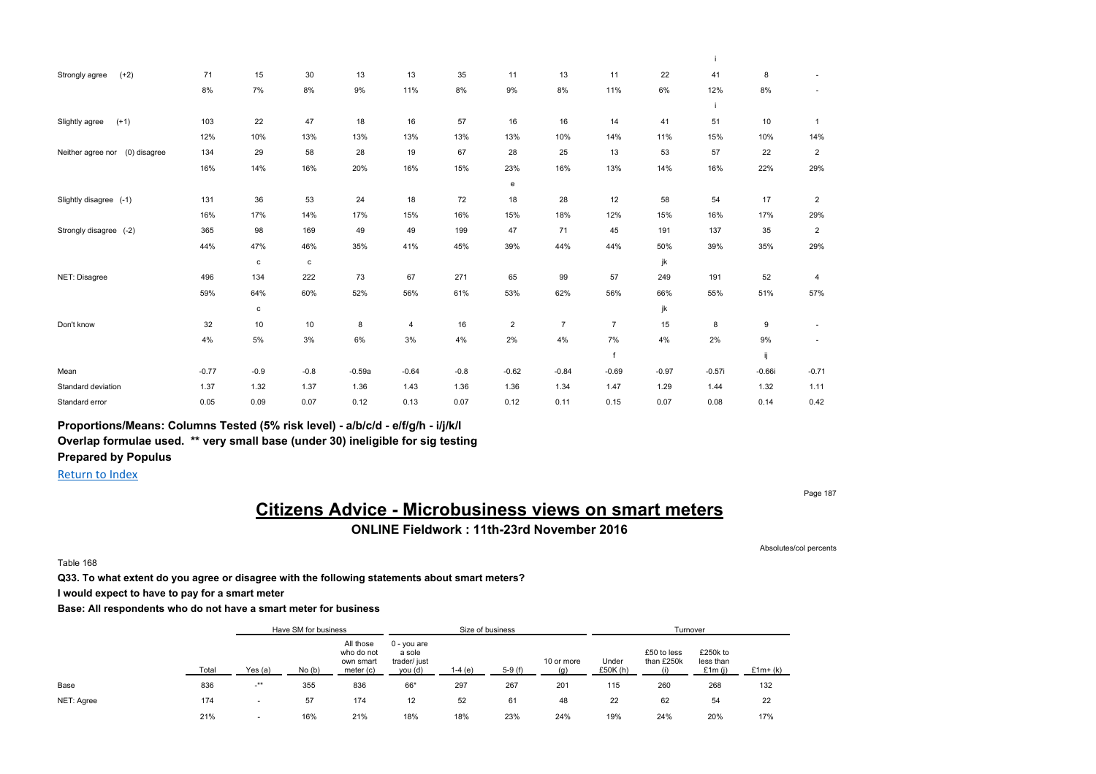| $(+2)$<br>Strongly agree          | 71      | 15          | 30           | 13       | 13             | 35     | 11             | 13             | 11             | 22      | 41       | 8        | $\sim$         |
|-----------------------------------|---------|-------------|--------------|----------|----------------|--------|----------------|----------------|----------------|---------|----------|----------|----------------|
|                                   | 8%      | 7%          | 8%           | 9%       | 11%            | 8%     | 9%             | 8%             | 11%            | 6%      | 12%      | 8%       | $\sim$         |
|                                   |         |             |              |          |                |        |                |                |                |         |          |          |                |
| $(+1)$<br>Slightly agree          | 103     | 22          | 47           | 18       | 16             | 57     | 16             | 16             | 14             | 41      | 51       | 10       | $\mathbf{1}$   |
|                                   | 12%     | 10%         | 13%          | 13%      | 13%            | 13%    | 13%            | 10%            | 14%            | 11%     | 15%      | 10%      | 14%            |
| (0) disagree<br>Neither agree nor | 134     | 29          | 58           | 28       | 19             | 67     | 28             | 25             | 13             | 53      | 57       | 22       | $\overline{2}$ |
|                                   | 16%     | 14%         | 16%          | 20%      | 16%            | 15%    | 23%            | 16%            | 13%            | 14%     | 16%      | 22%      | 29%            |
|                                   |         |             |              |          |                |        | e              |                |                |         |          |          |                |
| Slightly disagree (-1)            | 131     | 36          | 53           | 24       | 18             | 72     | 18             | 28             | 12             | 58      | 54       | 17       | $\overline{2}$ |
|                                   | 16%     | 17%         | 14%          | 17%      | 15%            | 16%    | 15%            | 18%            | 12%            | 15%     | 16%      | 17%      | 29%            |
| Strongly disagree (-2)            | 365     | 98          | 169          | 49       | 49             | 199    | 47             | 71             | 45             | 191     | 137      | 35       | $\overline{2}$ |
|                                   | 44%     | 47%         | 46%          | 35%      | 41%            | 45%    | 39%            | 44%            | 44%            | 50%     | 39%      | 35%      | 29%            |
|                                   |         | $\mathbf c$ | $\mathtt{c}$ |          |                |        |                |                |                | jk      |          |          |                |
| NET: Disagree                     | 496     | 134         | 222          | 73       | 67             | 271    | 65             | 99             | 57             | 249     | 191      | 52       | $\overline{4}$ |
|                                   | 59%     | 64%         | 60%          | 52%      | 56%            | 61%    | 53%            | 62%            | 56%            | 66%     | 55%      | 51%      | 57%            |
|                                   |         | $\mathbf c$ |              |          |                |        |                |                |                | jk      |          |          |                |
| Don't know                        | 32      | 10          | 10           | 8        | $\overline{4}$ | 16     | $\overline{2}$ | $\overline{7}$ | $\overline{7}$ | 15      | 8        | 9        | $\sim$         |
|                                   | 4%      | 5%          | 3%           | 6%       | 3%             | 4%     | 2%             | 4%             | 7%             | 4%      | 2%       | 9%       |                |
|                                   |         |             |              |          |                |        |                |                | f              |         |          | ij       |                |
| Mean                              | $-0.77$ | $-0.9$      | $-0.8$       | $-0.59a$ | $-0.64$        | $-0.8$ | $-0.62$        | $-0.84$        | $-0.69$        | $-0.97$ | $-0.57i$ | $-0.66i$ | $-0.71$        |
| Standard deviation                | 1.37    | 1.32        | 1.37         | 1.36     | 1.43           | 1.36   | 1.36           | 1.34           | 1.47           | 1.29    | 1.44     | 1.32     | 1.11           |
| Standard error                    | 0.05    | 0.09        | 0.07         | 0.12     | 0.13           | 0.07   | 0.12           | 0.11           | 0.15           | 0.07    | 0.08     | 0.14     | 0.42           |

**Proportions/Means: Columns Tested (5% risk level) - a/b/c/d - e/f/g/h - i/j/k/l Overlap formulae used. \*\* very small base (under 30) ineligible for sig testing Prepared by Populus**

Return to Index

Page 187

## **Citizens Advice - Microbusiness views on smart meters**

**ONLINE Fieldwork : 11th-23rd November 2016**

Absolutes/col percents

Table 168

**Q33. To what extent do you agree or disagree with the following statements about smart meters?**

**I would expect to have to pay for a smart meter**

|            |       |                          | Have SM for business |                                                   |                                                    | Size of business |          |                   |                   | Turnover                  |                                    |           |
|------------|-------|--------------------------|----------------------|---------------------------------------------------|----------------------------------------------------|------------------|----------|-------------------|-------------------|---------------------------|------------------------------------|-----------|
|            | Total | Yes (a)                  | No(b)                | All those<br>who do not<br>own smart<br>meter (c) | $0 - you are$<br>a sole<br>trader/ just<br>you (d) | 1-4 (e)          | $5-9(f)$ | 10 or more<br>(a) | Under<br>£50K (h) | £50 to less<br>than £250k | £250k to<br>less than<br>£1 $m(i)$ | $£1m+(k)$ |
| Base       | 836   | $-***$                   | 355                  | 836                                               | 66*                                                | 297              | 267      | 201               | 115               | 260                       | 268                                | 132       |
| NET: Agree | 174   | $\overline{\phantom{a}}$ | 57                   | 174                                               | 12                                                 | 52               | 61       | 48                | 22                | 62                        | 54                                 | 22        |
|            | 21%   |                          | 16%                  | 21%                                               | 18%                                                | 18%              | 23%      | 24%               | 19%               | 24%                       | 20%                                | 17%       |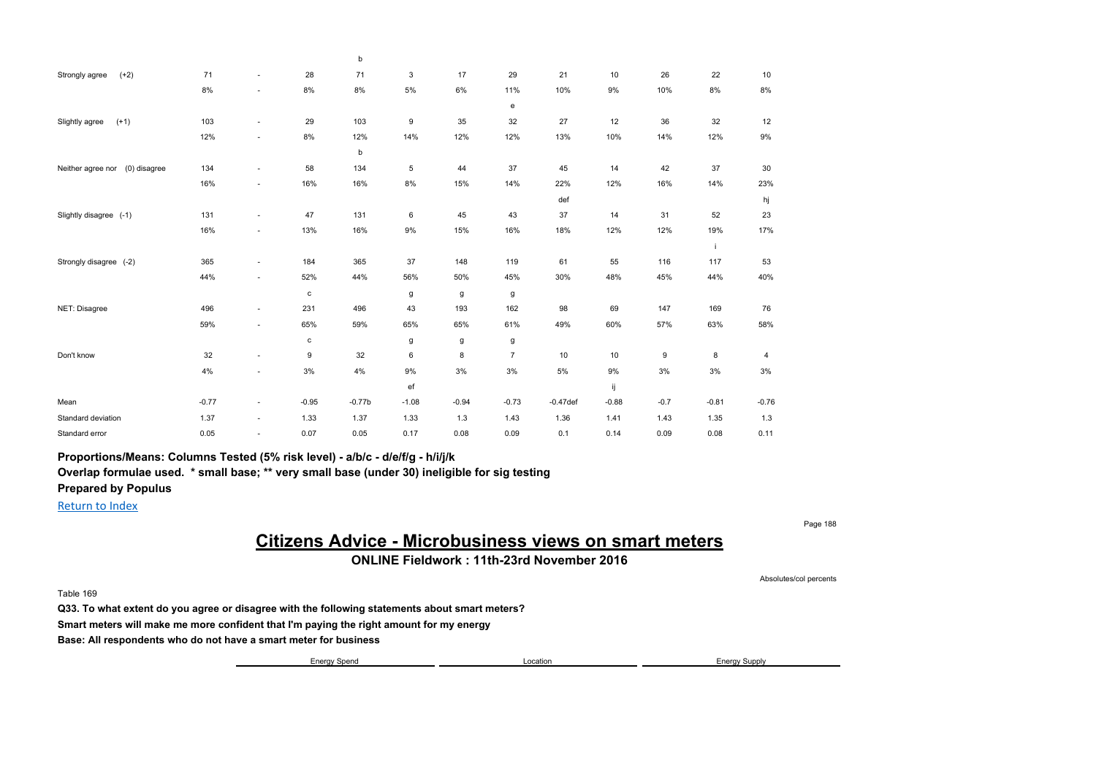|                                   |         |                          |              | b        |         |         |                |             |         |        |         |         |
|-----------------------------------|---------|--------------------------|--------------|----------|---------|---------|----------------|-------------|---------|--------|---------|---------|
| $(+2)$<br>Strongly agree          | 71      | $\sim$                   | 28           | 71       | 3       | 17      | 29             | 21          | 10      | 26     | 22      | 10      |
|                                   | 8%      | ٠                        | 8%           | $8\%$    | $5\%$   | $6\%$   | 11%            | 10%         | 9%      | 10%    | 8%      | $8\%$   |
|                                   |         |                          |              |          |         |         | e              |             |         |        |         |         |
| $(+1)$<br>Slightly agree          | 103     | $\sim$                   | 29           | 103      | 9       | 35      | 32             | 27          | 12      | 36     | 32      | 12      |
|                                   | 12%     | ٠                        | 8%           | 12%      | 14%     | 12%     | 12%            | 13%         | 10%     | 14%    | 12%     | 9%      |
|                                   |         |                          |              | b        |         |         |                |             |         |        |         |         |
| (0) disagree<br>Neither agree nor | 134     | $\sim$                   | 58           | 134      | 5       | 44      | 37             | 45          | 14      | 42     | 37      | 30      |
|                                   | 16%     | ٠                        | 16%          | 16%      | $8\%$   | 15%     | 14%            | 22%         | 12%     | 16%    | 14%     | 23%     |
|                                   |         |                          |              |          |         |         |                | def         |         |        |         | hj      |
| Slightly disagree (-1)            | 131     | $\sim$                   | 47           | 131      | 6       | 45      | 43             | 37          | 14      | 31     | 52      | 23      |
|                                   | 16%     | $\overline{\phantom{a}}$ | 13%          | 16%      | 9%      | 15%     | 16%            | 18%         | 12%     | 12%    | 19%     | 17%     |
|                                   |         |                          |              |          |         |         |                |             |         |        | j.      |         |
| Strongly disagree (-2)            | 365     | $\sim$                   | 184          | 365      | 37      | 148     | 119            | 61          | 55      | 116    | 117     | 53      |
|                                   | 44%     | $\overline{\phantom{a}}$ | 52%          | 44%      | 56%     | 50%     | 45%            | 30%         | 48%     | 45%    | 44%     | 40%     |
|                                   |         |                          | $\mathbf{c}$ |          | g       | g       | g              |             |         |        |         |         |
| NET: Disagree                     | 496     | $\sim$                   | 231          | 496      | 43      | 193     | 162            | 98          | 69      | 147    | 169     | 76      |
|                                   | 59%     | ٠                        | 65%          | 59%      | 65%     | 65%     | 61%            | 49%         | 60%     | 57%    | 63%     | 58%     |
|                                   |         |                          | $\mathbf{c}$ |          | g       | g       | g              |             |         |        |         |         |
| Don't know                        | 32      | $\sim$                   | 9            | 32       | 6       | 8       | $\overline{7}$ | 10          | 10      | 9      | 8       | 4       |
|                                   | 4%      | ٠                        | 3%           | 4%       | 9%      | 3%      | 3%             | 5%          | 9%      | 3%     | 3%      | 3%      |
|                                   |         |                          |              |          | ef      |         |                |             | ij      |        |         |         |
| Mean                              | $-0.77$ | $\sim$                   | $-0.95$      | $-0.77b$ | $-1.08$ | $-0.94$ | $-0.73$        | $-0.47$ def | $-0.88$ | $-0.7$ | $-0.81$ | $-0.76$ |
| Standard deviation                | 1.37    | $\sim$                   | 1.33         | 1.37     | 1.33    | 1.3     | 1.43           | 1.36        | 1.41    | 1.43   | 1.35    | 1.3     |
| Standard error                    | 0.05    | ٠                        | 0.07         | 0.05     | 0.17    | 0.08    | 0.09           | 0.1         | 0.14    | 0.09   | 0.08    | 0.11    |

**Proportions/Means: Columns Tested (5% risk level) - a/b/c - d/e/f/g - h/i/j/k**

**Overlap formulae used. \* small base; \*\* very small base (under 30) ineligible for sig testing**

Return to Index

## **Citizens Advice - Microbusiness views on smart meters**

**ONLINE Fieldwork : 11th-23rd November 2016**

Table 169

**Q33. To what extent do you agree or disagree with the following statements about smart meters? Smart meters will make me more confident that I'm paying the right amount for my energy Base: All respondents who do not have a smart meter for business**

Energy Spend **Energy Supply Energy Supply Energy Supply Energy Supply** 

Page 188

**Prepared by Populus**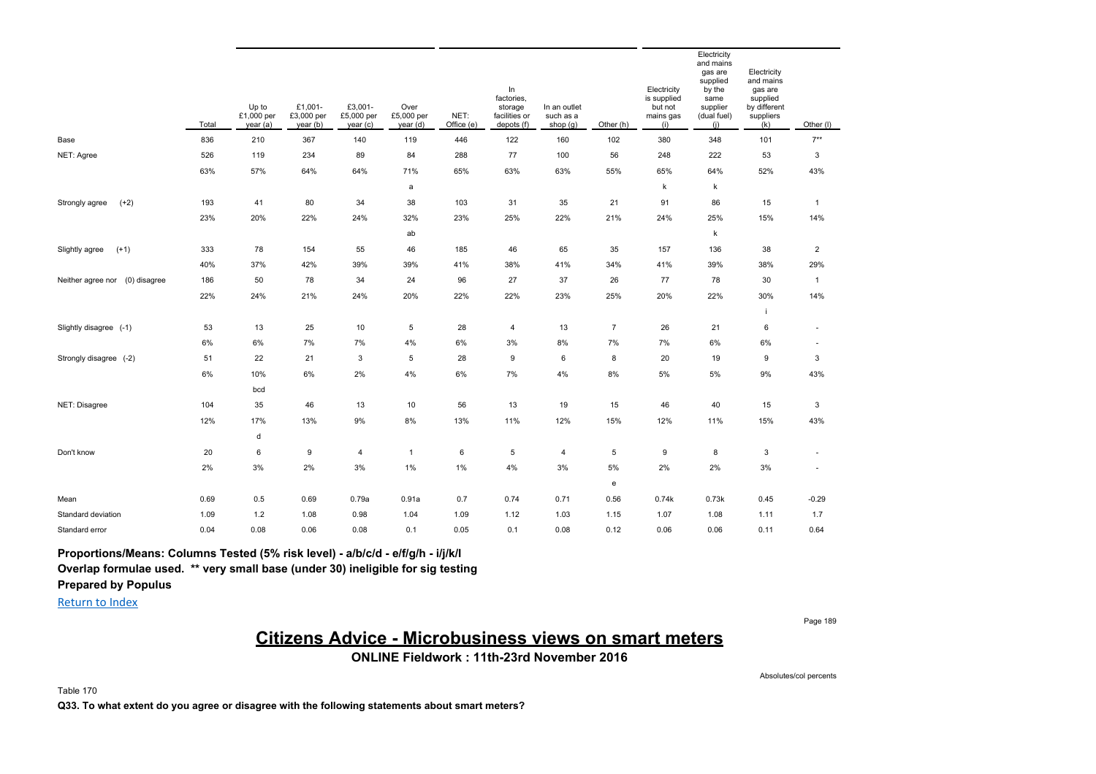|                                   | Total | Up to<br>£1,000 per<br>year (a) | £1,001-<br>£3,000 per<br>year (b) | £3,001-<br>£5,000 per<br>year (c) | Over<br>£5,000 per<br>year (d) | NET:<br>Office (e) | In<br>factories,<br>storage<br>facilities or<br>depots (f) | In an outlet<br>such as a<br>shop (g) | Other (h)      | Electricity<br>is supplied<br>but not<br>mains gas<br>(i) | Electricity<br>and mains<br>gas are<br>supplied<br>by the<br>same<br>supplier<br>(dual fuel)<br>(i) | Electricity<br>and mains<br>gas are<br>supplied<br>by different<br>suppliers<br>(k) | Other (I)                |
|-----------------------------------|-------|---------------------------------|-----------------------------------|-----------------------------------|--------------------------------|--------------------|------------------------------------------------------------|---------------------------------------|----------------|-----------------------------------------------------------|-----------------------------------------------------------------------------------------------------|-------------------------------------------------------------------------------------|--------------------------|
| Base                              | 836   | 210                             | 367                               | 140                               | 119                            | 446                | 122                                                        | 160                                   | 102            | 380                                                       | 348                                                                                                 | 101                                                                                 | $7**$                    |
| NET: Agree                        | 526   | 119                             | 234                               | 89                                | 84                             | 288                | 77                                                         | 100                                   | 56             | 248                                                       | 222                                                                                                 | 53                                                                                  | 3                        |
|                                   | 63%   | 57%                             | 64%                               | 64%                               | 71%                            | 65%                | 63%                                                        | 63%                                   | 55%            | 65%                                                       | 64%                                                                                                 | 52%                                                                                 | 43%                      |
|                                   |       |                                 |                                   |                                   | a                              |                    |                                                            |                                       |                | k                                                         | k                                                                                                   |                                                                                     |                          |
| $(+2)$<br>Strongly agree          | 193   | 41                              | 80                                | 34                                | 38                             | 103                | 31                                                         | 35                                    | 21             | 91                                                        | 86                                                                                                  | 15                                                                                  | $\mathbf{1}$             |
|                                   | 23%   | 20%                             | 22%                               | 24%                               | 32%                            | 23%                | 25%                                                        | 22%                                   | 21%            | 24%                                                       | 25%                                                                                                 | 15%                                                                                 | 14%                      |
|                                   |       |                                 |                                   |                                   | ab                             |                    |                                                            |                                       |                |                                                           | k                                                                                                   |                                                                                     |                          |
| $(+1)$<br>Slightly agree          | 333   | 78                              | 154                               | 55                                | 46                             | 185                | 46                                                         | 65                                    | 35             | 157                                                       | 136                                                                                                 | 38                                                                                  | $\overline{2}$           |
|                                   | 40%   | 37%                             | 42%                               | 39%                               | 39%                            | 41%                | 38%                                                        | 41%                                   | 34%            | 41%                                                       | 39%                                                                                                 | 38%                                                                                 | 29%                      |
| (0) disagree<br>Neither agree nor | 186   | 50                              | 78                                | 34                                | 24                             | 96                 | 27                                                         | 37                                    | 26             | 77                                                        | 78                                                                                                  | 30                                                                                  | $\mathbf{1}$             |
|                                   | 22%   | 24%                             | 21%                               | 24%                               | 20%                            | 22%                | 22%                                                        | 23%                                   | 25%            | 20%                                                       | 22%                                                                                                 | 30%                                                                                 | 14%                      |
|                                   |       |                                 |                                   |                                   |                                |                    |                                                            |                                       |                |                                                           |                                                                                                     |                                                                                     |                          |
| Slightly disagree (-1)            | 53    | 13                              | 25                                | 10                                | 5                              | 28                 | 4                                                          | 13                                    | $\overline{7}$ | 26                                                        | 21                                                                                                  | $\,6\,$                                                                             | $\overline{\phantom{a}}$ |
|                                   | 6%    | 6%                              | 7%                                | 7%                                | 4%                             | 6%                 | 3%                                                         | 8%                                    | 7%             | 7%                                                        | 6%                                                                                                  | 6%                                                                                  | ÷,                       |
| Strongly disagree (-2)            | 51    | 22                              | 21                                | 3                                 | 5                              | 28                 | 9                                                          | 6                                     | 8              | 20                                                        | 19                                                                                                  | 9                                                                                   | 3                        |
|                                   | $6\%$ | 10%                             | 6%                                | 2%                                | 4%                             | 6%                 | 7%                                                         | 4%                                    | $8\%$          | 5%                                                        | 5%                                                                                                  | 9%                                                                                  | 43%                      |
|                                   |       | bcd                             |                                   |                                   |                                |                    |                                                            |                                       |                |                                                           |                                                                                                     |                                                                                     |                          |
| NET: Disagree                     | 104   | 35                              | 46                                | 13                                | 10                             | 56                 | 13                                                         | 19                                    | 15             | 46                                                        | 40                                                                                                  | 15                                                                                  | 3                        |
|                                   | 12%   | 17%                             | 13%                               | 9%                                | 8%                             | 13%                | 11%                                                        | 12%                                   | 15%            | 12%                                                       | 11%                                                                                                 | 15%                                                                                 | 43%                      |
|                                   |       | d                               |                                   |                                   |                                |                    |                                                            |                                       |                |                                                           |                                                                                                     |                                                                                     |                          |
| Don't know                        | 20    | 6                               | 9                                 | $\overline{4}$                    | 1                              | 6                  | 5                                                          | $\overline{4}$                        | 5              | 9                                                         | 8                                                                                                   | 3                                                                                   | $\overline{\phantom{a}}$ |
|                                   | 2%    | 3%                              | 2%                                | 3%                                | $1\%$                          | 1%                 | 4%                                                         | 3%                                    | 5%             | 2%                                                        | 2%                                                                                                  | 3%                                                                                  | $\sim$                   |
|                                   |       |                                 |                                   |                                   |                                |                    |                                                            |                                       | e              |                                                           |                                                                                                     |                                                                                     |                          |
| Mean                              | 0.69  | 0.5                             | 0.69                              | 0.79a                             | 0.91a                          | 0.7                | 0.74                                                       | 0.71                                  | 0.56           | 0.74k                                                     | 0.73k                                                                                               | 0.45                                                                                | $-0.29$                  |
| Standard deviation                | 1.09  | 1.2                             | 1.08                              | 0.98                              | 1.04                           | 1.09               | 1.12                                                       | 1.03                                  | 1.15           | 1.07                                                      | 1.08                                                                                                | 1.11                                                                                | 1.7                      |
| Standard error                    | 0.04  | 0.08                            | 0.06                              | 0.08                              | 0.1                            | 0.05               | 0.1                                                        | 0.08                                  | 0.12           | 0.06                                                      | 0.06                                                                                                | 0.11                                                                                | 0.64                     |

**Proportions/Means: Columns Tested (5% risk level) - a/b/c/d - e/f/g/h - i/j/k/l Overlap formulae used. \*\* very small base (under 30) ineligible for sig testing**

**Prepared by Populus**

Return to Index

Page 189

## **Citizens Advice - Microbusiness views on smart meters**

**ONLINE Fieldwork : 11th-23rd November 2016**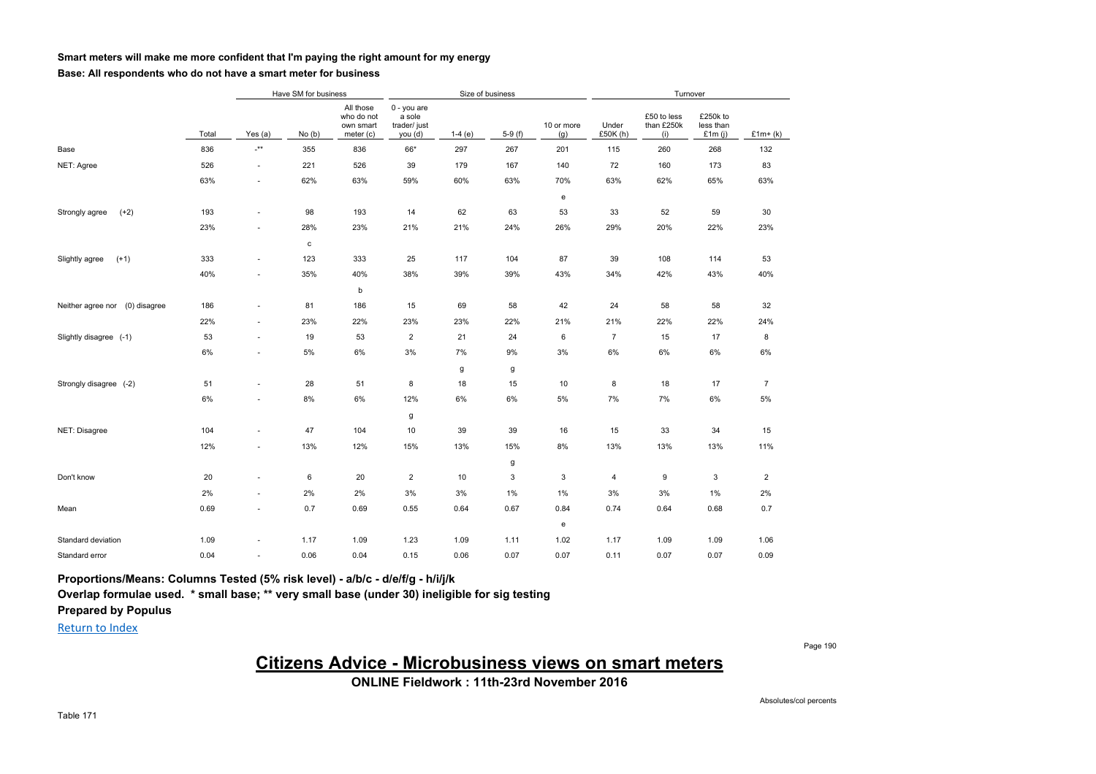#### **Smart meters will make me more confident that I'm paying the right amount for my energy**

#### **Base: All respondents who do not have a smart meter for business**

|                                   |       |                                     | Have SM for business |                                                   |                                                  | Size of business |          |                                                |                   | Turnover                         |                                    |                |
|-----------------------------------|-------|-------------------------------------|----------------------|---------------------------------------------------|--------------------------------------------------|------------------|----------|------------------------------------------------|-------------------|----------------------------------|------------------------------------|----------------|
|                                   | Total | Yes $(a)$                           | No(b)                | All those<br>who do not<br>own smart<br>meter (c) | 0 - you are<br>a sole<br>trader/ just<br>you (d) | $1-4(e)$         | $5-9(f)$ | 10 or more<br>(g)                              | Under<br>£50K (h) | £50 to less<br>than £250k<br>(i) | £250k to<br>less than<br>£1 $m(i)$ | $£1m+(k)$      |
| Base                              | 836   | $\overline{\phantom{a}}^{\ast\ast}$ | 355                  | 836                                               | 66*                                              | 297              | 267      | 201                                            | 115               | 260                              | 268                                | 132            |
| NET: Agree                        | 526   | $\overline{\phantom{a}}$            | 221                  | 526                                               | 39                                               | 179              | 167      | 140                                            | 72                | 160                              | 173                                | 83             |
|                                   | 63%   | ٠                                   | 62%                  | 63%                                               | 59%                                              | 60%              | 63%      | 70%                                            | 63%               | 62%                              | 65%                                | 63%            |
|                                   |       |                                     |                      |                                                   |                                                  |                  |          | e                                              |                   |                                  |                                    |                |
| $(+2)$<br>Strongly agree          | 193   | ٠                                   | 98                   | 193                                               | 14                                               | 62               | 63       | 53                                             | 33                | 52                               | 59                                 | 30             |
|                                   | 23%   | ٠                                   | 28%                  | 23%                                               | 21%                                              | 21%              | 24%      | 26%                                            | 29%               | 20%                              | 22%                                | 23%            |
|                                   |       |                                     | c                    |                                                   |                                                  |                  |          |                                                |                   |                                  |                                    |                |
| $(+1)$<br>Slightly agree          | 333   | ٠                                   | 123                  | 333                                               | 25                                               | 117              | 104      | 87                                             | 39                | 108                              | 114                                | 53             |
|                                   | 40%   | ٠                                   | 35%                  | 40%                                               | 38%                                              | 39%              | 39%      | 43%                                            | 34%               | 42%                              | 43%                                | 40%            |
|                                   |       |                                     |                      | b                                                 |                                                  |                  |          |                                                |                   |                                  |                                    |                |
| Neither agree nor<br>(0) disagree | 186   | ٠                                   | 81                   | 186                                               | 15                                               | 69               | 58       | 42                                             | 24                | 58                               | 58                                 | 32             |
|                                   | 22%   | $\overline{\phantom{a}}$            | 23%                  | 22%                                               | 23%                                              | 23%              | 22%      | 21%                                            | 21%               | 22%                              | 22%                                | 24%            |
| Slightly disagree (-1)            | 53    | ٠                                   | 19                   | 53                                                | $\overline{2}$                                   | 21               | 24       | 6                                              | $\overline{7}$    | 15                               | 17                                 | 8              |
|                                   | 6%    | ٠                                   | 5%                   | 6%                                                | 3%                                               | 7%               | 9%       | 3%                                             | 6%                | 6%                               | 6%                                 | 6%             |
|                                   |       |                                     |                      |                                                   |                                                  | g                | g        |                                                |                   |                                  |                                    |                |
| Strongly disagree (-2)            | 51    | $\overline{\phantom{a}}$            | 28                   | 51                                                | 8                                                | 18               | 15       | 10                                             | 8                 | 18                               | 17                                 | $\overline{7}$ |
|                                   | 6%    | ٠                                   | 8%                   | 6%                                                | 12%                                              | 6%               | 6%       | 5%                                             | 7%                | 7%                               | 6%                                 | 5%             |
|                                   |       |                                     |                      |                                                   | g                                                |                  |          |                                                |                   |                                  |                                    |                |
| NET: Disagree                     | 104   | ٠                                   | 47                   | 104                                               | 10                                               | 39               | 39       | 16                                             | 15                | 33                               | 34                                 | 15             |
|                                   | 12%   | ٠                                   | 13%                  | 12%                                               | 15%                                              | 13%              | 15%      | 8%                                             | 13%               | 13%                              | 13%                                | 11%            |
|                                   |       |                                     |                      |                                                   |                                                  |                  | g        |                                                |                   |                                  |                                    |                |
| Don't know                        | 20    | ٠                                   | 6                    | 20                                                | $\overline{2}$                                   | 10               | 3        | 3                                              | $\overline{4}$    | 9                                | 3                                  | $\overline{2}$ |
|                                   | 2%    | $\overline{\phantom{a}}$            | 2%                   | 2%                                                | 3%                                               | 3%               | 1%       | 1%                                             | 3%                | 3%                               | 1%                                 | 2%             |
| Mean                              | 0.69  | ٠                                   | 0.7                  | 0.69                                              | 0.55                                             | 0.64             | 0.67     | 0.84                                           | 0.74              | 0.64                             | 0.68                               | 0.7            |
|                                   |       |                                     |                      |                                                   |                                                  |                  |          | $\mathbf{e}% _{t}\left( \mathbf{1}_{t}\right)$ |                   |                                  |                                    |                |
| Standard deviation                | 1.09  | ٠                                   | 1.17                 | 1.09                                              | 1.23                                             | 1.09             | 1.11     | 1.02                                           | 1.17              | 1.09                             | 1.09                               | 1.06           |
| Standard error                    | 0.04  | ٠                                   | 0.06                 | 0.04                                              | 0.15                                             | 0.06             | 0.07     | 0.07                                           | 0.11              | 0.07                             | 0.07                               | 0.09           |

**Proportions/Means: Columns Tested (5% risk level) - a/b/c - d/e/f/g - h/i/j/k**

**Overlap formulae used. \* small base; \*\* very small base (under 30) ineligible for sig testing**

**Prepared by Populus**

Return to Index

Page 190

## **Citizens Advice - Microbusiness views on smart meters**

**ONLINE Fieldwork : 11th-23rd November 2016**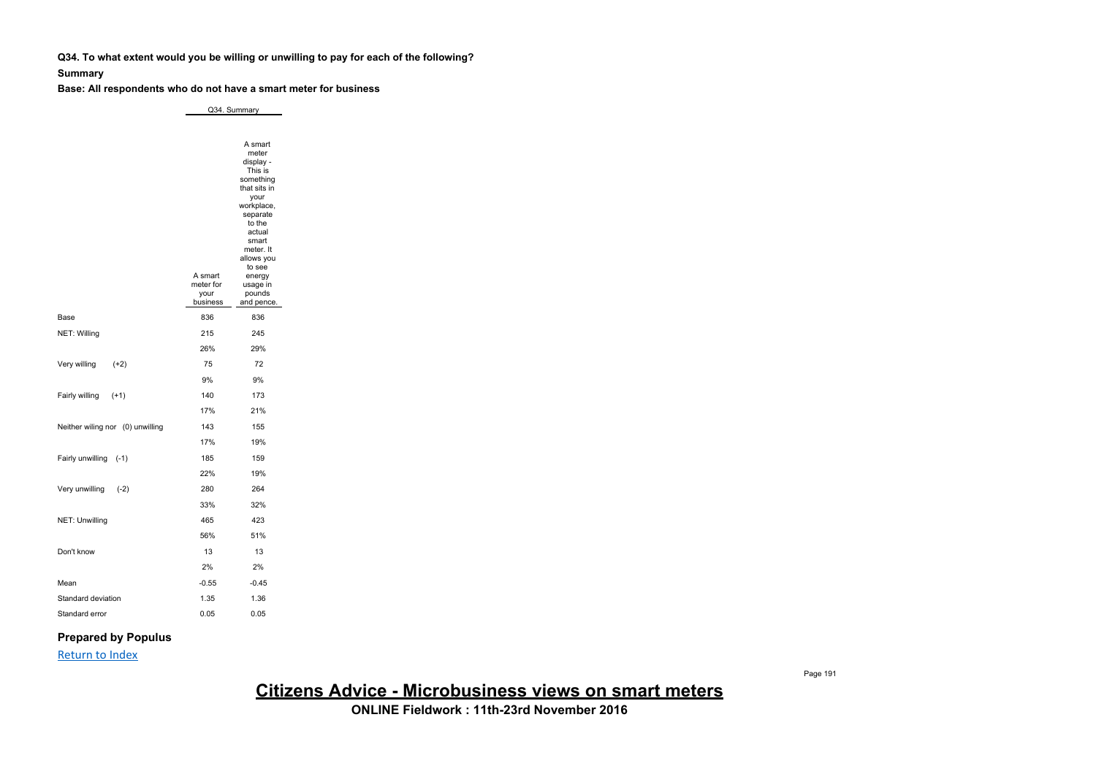**Q34. To what extent would you be willing or unwilling to pay for each of the following?**

#### **Summary**

**Base: All respondents who do not have a smart meter for business**

Q34. Summary

|                                  | A smart<br>meter for | A smart<br>meter<br>display -<br>This is<br>something<br>that sits in<br>your<br>workplace,<br>separate<br>to the<br>actual<br>smart<br>meter. It<br>allows you<br>to see<br>energy<br>usage in |
|----------------------------------|----------------------|-------------------------------------------------------------------------------------------------------------------------------------------------------------------------------------------------|
|                                  | your<br>business     | pounds<br>and pence.                                                                                                                                                                            |
| Base                             | 836                  | 836                                                                                                                                                                                             |
| NET: Willing                     | 215                  | 245                                                                                                                                                                                             |
|                                  | 26%                  | 29%                                                                                                                                                                                             |
| Very willing<br>$(+2)$           | 75                   | 72                                                                                                                                                                                              |
|                                  | 9%                   | 9%                                                                                                                                                                                              |
| Fairly willing<br>$(+1)$         | 140                  | 173                                                                                                                                                                                             |
|                                  | 17%                  | 21%                                                                                                                                                                                             |
| Neither wiling nor (0) unwilling | 143                  | 155                                                                                                                                                                                             |
|                                  | 17%                  | 19%                                                                                                                                                                                             |
| Fairly unwilling<br>$(-1)$       | 185                  | 159                                                                                                                                                                                             |
|                                  | 22%                  | 19%                                                                                                                                                                                             |
| Very unwilling<br>$(-2)$         | 280                  | 264                                                                                                                                                                                             |
|                                  | 33%                  | 32%                                                                                                                                                                                             |
| NET: Unwilling                   | 465                  | 423                                                                                                                                                                                             |
|                                  | 56%                  | 51%                                                                                                                                                                                             |
| Don't know                       | 13                   | 13                                                                                                                                                                                              |
|                                  | 2%                   | 2%                                                                                                                                                                                              |
| Mean                             | $-0.55$              | $-0.45$                                                                                                                                                                                         |
| Standard deviation               | 1.35                 | 1.36                                                                                                                                                                                            |
| Standard error                   | 0.05                 | 0.05                                                                                                                                                                                            |

### **Prepared by Populus**

Return to Index

**Citizens Advice - Microbusiness views on smart meters**

**ONLINE Fieldwork : 11th-23rd November 2016**

Page 191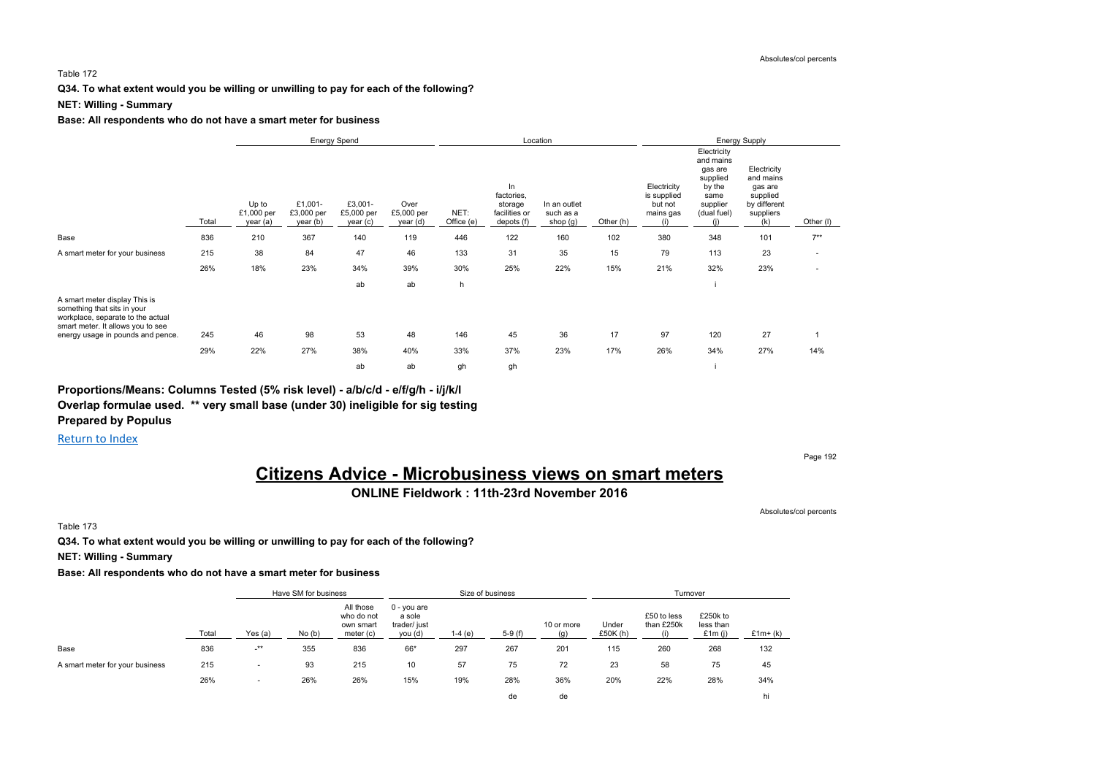#### Table 172

**Q34. To what extent would you be willing or unwilling to pay for each of the following?**

#### **NET: Willing - Summary**

#### **Base: All respondents who do not have a smart meter for business**

|                                                                                                                                                                             |       |                                 |                                   | Energy Spend                     |                                |                    |                                                            | Location                                |           |                                                           | <b>Energy Supply</b>                                                                         |                                                                                     |           |  |
|-----------------------------------------------------------------------------------------------------------------------------------------------------------------------------|-------|---------------------------------|-----------------------------------|----------------------------------|--------------------------------|--------------------|------------------------------------------------------------|-----------------------------------------|-----------|-----------------------------------------------------------|----------------------------------------------------------------------------------------------|-------------------------------------------------------------------------------------|-----------|--|
|                                                                                                                                                                             | Total | Up to<br>£1,000 per<br>year (a) | £1,001-<br>£3,000 per<br>year (b) | £3,001-<br>£5,000 per<br>year(c) | Over<br>£5,000 per<br>year (d) | NET:<br>Office (e) | In<br>factories,<br>storage<br>facilities or<br>depots (f) | In an outlet<br>such as a<br>shop $(g)$ | Other (h) | Electricity<br>is supplied<br>but not<br>mains gas<br>(i) | Electricity<br>and mains<br>gas are<br>supplied<br>by the<br>same<br>supplier<br>(dual fuel) | Electricity<br>and mains<br>gas are<br>supplied<br>by different<br>suppliers<br>(k) | Other (I) |  |
| Base                                                                                                                                                                        | 836   | 210                             | 367                               | 140                              | 119                            | 446                | 122                                                        | 160                                     | 102       | 380                                                       | 348                                                                                          | 101                                                                                 | $7***$    |  |
| A smart meter for your business                                                                                                                                             | 215   | 38                              | 84                                | 47                               | 46                             | 133                | 31                                                         | 35                                      | 15        | 79                                                        | 113                                                                                          | 23                                                                                  |           |  |
|                                                                                                                                                                             | 26%   | 18%                             | 23%                               | 34%                              | 39%                            | 30%                | 25%                                                        | 22%                                     | 15%       | 21%                                                       | 32%                                                                                          | 23%                                                                                 |           |  |
|                                                                                                                                                                             |       |                                 |                                   | ab                               | ab                             | h                  |                                                            |                                         |           |                                                           |                                                                                              |                                                                                     |           |  |
| A smart meter display This is<br>something that sits in your<br>workplace, separate to the actual<br>smart meter. It allows you to see<br>energy usage in pounds and pence. | 245   | 46                              | 98                                | 53                               | 48                             | 146                | 45                                                         | 36                                      | 17        | 97                                                        | 120                                                                                          | 27                                                                                  |           |  |
|                                                                                                                                                                             | 29%   | 22%                             | 27%                               | 38%                              | 40%                            | 33%                | 37%                                                        | 23%                                     | 17%       | 26%                                                       | 34%                                                                                          | 27%                                                                                 | 14%       |  |
|                                                                                                                                                                             |       |                                 |                                   | ab                               | ab                             | gh                 | gh                                                         |                                         |           |                                                           |                                                                                              |                                                                                     |           |  |

**Proportions/Means: Columns Tested (5% risk level) - a/b/c/d - e/f/g/h - i/j/k/l Overlap formulae used. \*\* very small base (under 30) ineligible for sig testing Prepared by Populus**

Return to Index

Page 192

## **Citizens Advice - Microbusiness views on smart meters**

**ONLINE Fieldwork : 11th-23rd November 2016**

Absolutes/col percents

Table 173

**Q34. To what extent would you be willing or unwilling to pay for each of the following?**

**NET: Willing - Summary**

|                                 |       |                          | Have SM for business |                                                   |                                                    |           | Size of business |                   |                  | Turnover                         |                                    |           |
|---------------------------------|-------|--------------------------|----------------------|---------------------------------------------------|----------------------------------------------------|-----------|------------------|-------------------|------------------|----------------------------------|------------------------------------|-----------|
|                                 | Total | Yes $(a)$                | No(b)                | All those<br>who do not<br>own smart<br>meter (c) | $0 - you are$<br>a sole<br>trader/ just<br>you (d) | 1-4 $(e)$ | $5-9(f)$         | 10 or more<br>(g) | Under<br>£50K(h) | £50 to less<br>than £250k<br>(i) | £250k to<br>less than<br>£1m $(i)$ | $£1m+(k)$ |
| Base                            | 836   | $-***$                   | 355                  | 836                                               | 66*                                                | 297       | 267              | 201               | 115              | 260                              | 268                                | 132       |
| A smart meter for your business | 215   | $\overline{\phantom{a}}$ | 93                   | 215                                               | 10                                                 | 57        | 75               | 72                | 23               | 58                               | 75                                 | 45        |
|                                 | 26%   | $\overline{\phantom{a}}$ | 26%                  | 26%                                               | 15%                                                | 19%       | 28%              | 36%               | 20%              | 22%                              | 28%                                | 34%       |
|                                 |       |                          |                      |                                                   |                                                    |           | de               | de                |                  |                                  |                                    | hi        |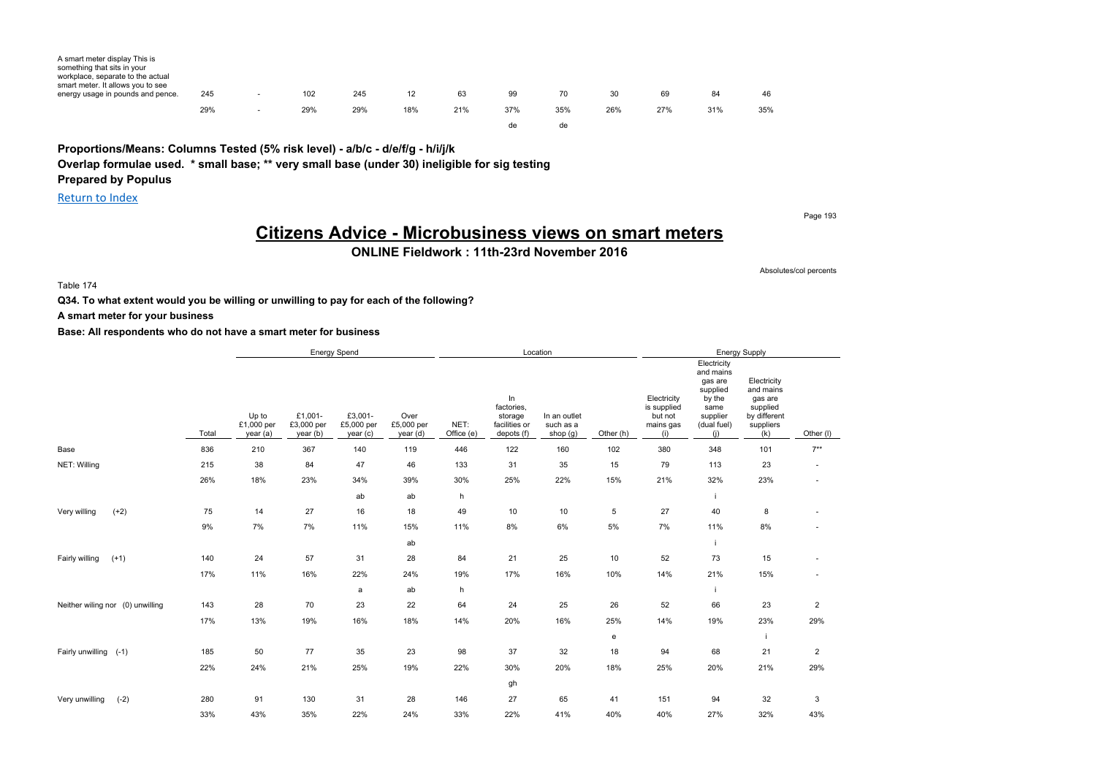| A smart meter display This is<br>something that sits in your<br>workplace, separate to the actual<br>smart meter. It allows you to see |     |        |     |     |     |     |     |     |     |     |     |     |
|----------------------------------------------------------------------------------------------------------------------------------------|-----|--------|-----|-----|-----|-----|-----|-----|-----|-----|-----|-----|
| energy usage in pounds and pence.                                                                                                      | 245 | . .    | 102 | 245 | 12  | 63  | 99  | 70  | 30  | 69  | 84  | 46  |
|                                                                                                                                        | 29% | $\sim$ | 29% | 29% | 18% | 21% | 37% | 35% | 26% | 27% | 31% | 35% |
|                                                                                                                                        |     |        |     |     |     |     | de  | de. |     |     |     |     |

**Proportions/Means: Columns Tested (5% risk level) - a/b/c - d/e/f/g - h/i/j/k Overlap formulae used. \* small base; \*\* very small base (under 30) ineligible for sig testing Prepared by Populus**

Return to Index

Page 193

Absolutes/col percents

## **Citizens Advice - Microbusiness views on smart meters**

**ONLINE Fieldwork : 11th-23rd November 2016**

Table 174

**Q34. To what extent would you be willing or unwilling to pay for each of the following?**

**A smart meter for your business**

|                                  |       |                                 |                                   | Energy Spend                      |                                |                    |                                                            | Location                              |           |                                                           |                                                                                                     | <b>Energy Supply</b>                                                                |                          |
|----------------------------------|-------|---------------------------------|-----------------------------------|-----------------------------------|--------------------------------|--------------------|------------------------------------------------------------|---------------------------------------|-----------|-----------------------------------------------------------|-----------------------------------------------------------------------------------------------------|-------------------------------------------------------------------------------------|--------------------------|
|                                  | Total | Up to<br>£1,000 per<br>year (a) | £1,001-<br>£3,000 per<br>year (b) | £3,001-<br>£5,000 per<br>year (c) | Over<br>£5,000 per<br>year (d) | NET:<br>Office (e) | In<br>factories,<br>storage<br>facilities or<br>depots (f) | In an outlet<br>such as a<br>shop (g) | Other (h) | Electricity<br>is supplied<br>but not<br>mains gas<br>(i) | Electricity<br>and mains<br>gas are<br>supplied<br>by the<br>same<br>supplier<br>(dual fuel)<br>(i) | Electricity<br>and mains<br>gas are<br>supplied<br>by different<br>suppliers<br>(k) | Other (I)                |
| Base                             | 836   | 210                             | 367                               | 140                               | 119                            | 446                | 122                                                        | 160                                   | 102       | 380                                                       | 348                                                                                                 | 101                                                                                 | $7***$                   |
| NET: Willing                     | 215   | 38                              | 84                                | 47                                | 46                             | 133                | 31                                                         | 35                                    | 15        | 79                                                        | 113                                                                                                 | 23                                                                                  | $\sim$                   |
|                                  | 26%   | 18%                             | 23%                               | 34%                               | 39%                            | 30%                | 25%                                                        | 22%                                   | 15%       | 21%                                                       | 32%                                                                                                 | 23%                                                                                 | $\sim$                   |
|                                  |       |                                 |                                   | ab                                | ab                             | h                  |                                                            |                                       |           |                                                           | j.                                                                                                  |                                                                                     |                          |
| $(+2)$<br>Very willing           | 75    | 14                              | 27                                | 16                                | 18                             | 49                 | 10                                                         | 10                                    | 5         | 27                                                        | 40                                                                                                  | 8                                                                                   |                          |
|                                  | 9%    | 7%                              | 7%                                | 11%                               | 15%                            | 11%                | 8%                                                         | 6%                                    | 5%        | 7%                                                        | 11%                                                                                                 | 8%                                                                                  |                          |
|                                  |       |                                 |                                   |                                   | ab                             |                    |                                                            |                                       |           |                                                           |                                                                                                     |                                                                                     |                          |
| Fairly willing<br>$(+1)$         | 140   | 24                              | 57                                | 31                                | 28                             | 84                 | 21                                                         | 25                                    | 10        | 52                                                        | 73                                                                                                  | 15                                                                                  | $\overline{\phantom{a}}$ |
|                                  | 17%   | 11%                             | 16%                               | 22%                               | 24%                            | 19%                | 17%                                                        | 16%                                   | 10%       | 14%                                                       | 21%                                                                                                 | 15%                                                                                 |                          |
|                                  |       |                                 |                                   | a                                 | ab                             | h                  |                                                            |                                       |           |                                                           |                                                                                                     |                                                                                     |                          |
| Neither wiling nor (0) unwilling | 143   | 28                              | 70                                | 23                                | 22                             | 64                 | 24                                                         | 25                                    | 26        | 52                                                        | 66                                                                                                  | 23                                                                                  | $\overline{2}$           |
|                                  | 17%   | 13%                             | 19%                               | 16%                               | 18%                            | 14%                | 20%                                                        | 16%                                   | 25%       | 14%                                                       | 19%                                                                                                 | 23%                                                                                 | 29%                      |
|                                  |       |                                 |                                   |                                   |                                |                    |                                                            |                                       | e         |                                                           |                                                                                                     |                                                                                     |                          |
| Fairly unwilling (-1)            | 185   | 50                              | 77                                | 35                                | 23                             | 98                 | 37                                                         | 32                                    | 18        | 94                                                        | 68                                                                                                  | 21                                                                                  | $\overline{2}$           |
|                                  | 22%   | 24%                             | 21%                               | 25%                               | 19%                            | 22%                | 30%                                                        | 20%                                   | 18%       | 25%                                                       | 20%                                                                                                 | 21%                                                                                 | 29%                      |
|                                  |       |                                 |                                   |                                   |                                |                    | gh                                                         |                                       |           |                                                           |                                                                                                     |                                                                                     |                          |
| Very unwilling<br>$(-2)$         | 280   | 91                              | 130                               | 31                                | 28                             | 146                | 27                                                         | 65                                    | 41        | 151                                                       | 94                                                                                                  | 32                                                                                  | 3                        |
|                                  | 33%   | 43%                             | 35%                               | 22%                               | 24%                            | 33%                | 22%                                                        | 41%                                   | 40%       | 40%                                                       | 27%                                                                                                 | 32%                                                                                 | 43%                      |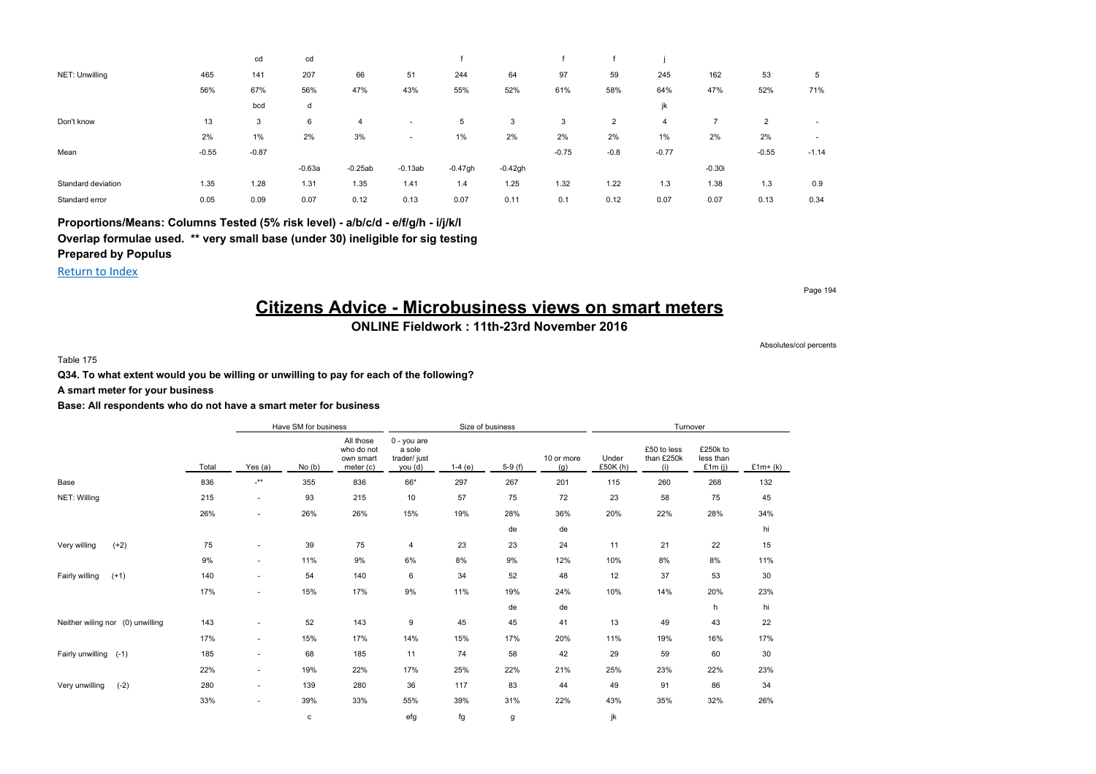|                    |         | cd      | cd       |           |                          |           |           |         |        |         |          |                |         |
|--------------------|---------|---------|----------|-----------|--------------------------|-----------|-----------|---------|--------|---------|----------|----------------|---------|
| NET: Unwilling     | 465     | 141     | 207      | 66        | 51                       | 244       | 64        | 97      | 59     | 245     | 162      | 53             | 5       |
|                    | 56%     | 67%     | 56%      | 47%       | 43%                      | 55%       | 52%       | 61%     | 58%    | 64%     | 47%      | 52%            | 71%     |
|                    |         | bcd     | d        |           |                          |           |           |         |        |         |          |                |         |
| Don't know         | 13      | 3       | 6        | 4         | $\overline{\phantom{a}}$ | 5         | 3         | 3       | 2      | 4       |          | $\overline{2}$ | ۰       |
|                    | 2%      | $1\%$   | 2%       | 3%        | ٠                        | 1%        | 2%        | 2%      | 2%     | 1%      | 2%       | 2%             | $\sim$  |
| Mean               | $-0.55$ | $-0.87$ |          |           |                          |           |           | $-0.75$ | $-0.8$ | $-0.77$ |          | $-0.55$        | $-1.14$ |
|                    |         |         | $-0.63a$ | $-0.25ab$ | $-0.13ab$                | $-0.47gh$ | $-0.42gh$ |         |        |         | $-0.30i$ |                |         |
| Standard deviation | 1.35    | 1.28    | 1.31     | 1.35      | 1.41                     | 1.4       | 1.25      | 1.32    | 1.22   | 1.3     | 1.38     | 1.3            | 0.9     |
| Standard error     | 0.05    | 0.09    | 0.07     | 0.12      | 0.13                     | 0.07      | 0.11      | 0.1     | 0.12   | 0.07    | 0.07     | 0.13           | 0.34    |

**Proportions/Means: Columns Tested (5% risk level) - a/b/c/d - e/f/g/h - i/j/k/l Overlap formulae used. \*\* very small base (under 30) ineligible for sig testing Prepared by Populus**

Return to Index

Page 194

## **Citizens Advice - Microbusiness views on smart meters**

### **ONLINE Fieldwork : 11th-23rd November 2016**

Absolutes/col percents

Table 175

#### **Q34. To what extent would you be willing or unwilling to pay for each of the following?**

#### **A smart meter for your business**

|                                  |       |                           | Have SM for business |                                                   |                                                  |          | Size of business |                   |                  | Turnover                         |                                 |           |
|----------------------------------|-------|---------------------------|----------------------|---------------------------------------------------|--------------------------------------------------|----------|------------------|-------------------|------------------|----------------------------------|---------------------------------|-----------|
|                                  | Total | Yes (a)                   | No(b)                | All those<br>who do not<br>own smart<br>meter (c) | 0 - you are<br>a sole<br>trader/ just<br>you (d) | $1-4(e)$ | $5-9(f)$         | 10 or more<br>(g) | Under<br>£50K(h) | £50 to less<br>than £250k<br>(i) | £250k to<br>less than<br>£1m(i) | $£1m+(k)$ |
| Base                             | 836   | $\mathbf{-}^{\star\star}$ | 355                  | 836                                               | 66*                                              | 297      | 267              | 201               | 115              | 260                              | 268                             | 132       |
| NET: Willing                     | 215   | $\sim$                    | 93                   | 215                                               | 10                                               | 57       | 75               | 72                | 23               | 58                               | 75                              | 45        |
|                                  | 26%   | $\sim$                    | 26%                  | 26%                                               | 15%                                              | 19%      | 28%              | 36%               | 20%              | 22%                              | 28%                             | 34%       |
|                                  |       |                           |                      |                                                   |                                                  |          | de               | de                |                  |                                  |                                 | hi        |
| $(+2)$<br>Very willing           | 75    | ۰.                        | 39                   | 75                                                | $\overline{4}$                                   | 23       | 23               | 24                | 11               | 21                               | 22                              | 15        |
|                                  | 9%    | $\sim$                    | 11%                  | 9%                                                | 6%                                               | 8%       | 9%               | 12%               | 10%              | 8%                               | 8%                              | 11%       |
| Fairly willing<br>$(+1)$         | 140   | $\sim$                    | 54                   | 140                                               | 6                                                | 34       | 52               | 48                | 12               | 37                               | 53                              | 30        |
|                                  | 17%   | $\sim$                    | 15%                  | 17%                                               | 9%                                               | 11%      | 19%              | 24%               | 10%              | 14%                              | 20%                             | 23%       |
|                                  |       |                           |                      |                                                   |                                                  |          | de               | de                |                  |                                  | h                               | hi        |
| Neither wiling nor (0) unwilling | 143   | ۰.                        | 52                   | 143                                               | 9                                                | 45       | 45               | 41                | 13               | 49                               | 43                              | 22        |
|                                  | 17%   | $\sim$                    | 15%                  | 17%                                               | 14%                                              | 15%      | 17%              | 20%               | 11%              | 19%                              | 16%                             | 17%       |
| Fairly unwilling (-1)            | 185   | ۰.                        | 68                   | 185                                               | 11                                               | 74       | 58               | 42                | 29               | 59                               | 60                              | 30        |
|                                  | 22%   | $\sim$                    | 19%                  | 22%                                               | 17%                                              | 25%      | 22%              | 21%               | 25%              | 23%                              | 22%                             | 23%       |
| Very unwilling<br>$(-2)$         | 280   | $\sim$                    | 139                  | 280                                               | 36                                               | 117      | 83               | 44                | 49               | 91                               | 86                              | 34        |
|                                  | 33%   | $\sim$                    | 39%                  | 33%                                               | 55%                                              | 39%      | 31%              | 22%               | 43%              | 35%                              | 32%                             | 26%       |
|                                  |       |                           | c                    |                                                   | efg                                              | fg       | g                |                   | jk               |                                  |                                 |           |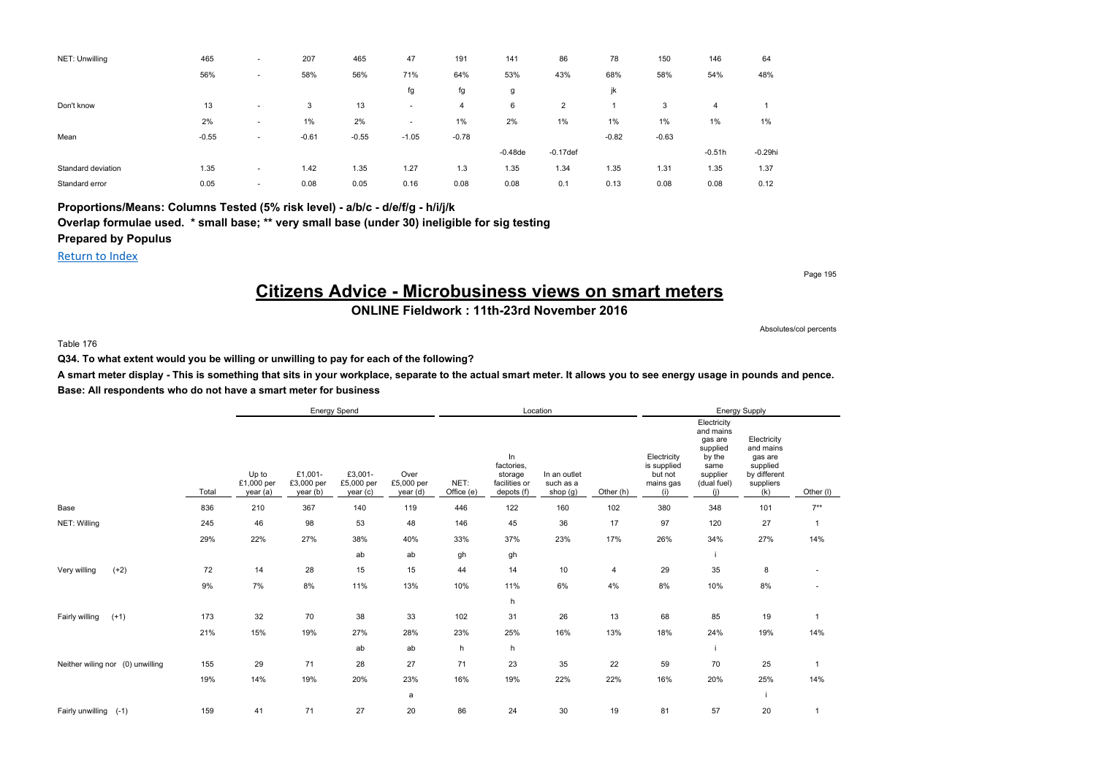| NET: Unwilling     | 465     | $\overline{\phantom{a}}$ | 207     | 465     | 47                       | 191     | 141       | 86             | 78      | 150     | 146      | 64         |
|--------------------|---------|--------------------------|---------|---------|--------------------------|---------|-----------|----------------|---------|---------|----------|------------|
|                    | 56%     | $\overline{\phantom{a}}$ | 58%     | 56%     | 71%                      | 64%     | 53%       | 43%            | 68%     | 58%     | 54%      | 48%        |
|                    |         |                          |         |         | fg                       | fg      | g         |                | jk      |         |          |            |
| Don't know         | 13      | $\overline{\phantom{a}}$ | 3       | 13      | . .                      | 4       | 6         | $\overline{2}$ |         | 3       | 4        |            |
|                    | 2%      | $\overline{\phantom{a}}$ | 1%      | 2%      | $\overline{\phantom{a}}$ | 1%      | 2%        | $1\%$          | 1%      | 1%      | $1\%$    | 1%         |
| Mean               | $-0.55$ | $\overline{\phantom{a}}$ | $-0.61$ | $-0.55$ | $-1.05$                  | $-0.78$ |           |                | $-0.82$ | $-0.63$ |          |            |
|                    |         |                          |         |         |                          |         | $-0.48de$ | $-0.17$ def    |         |         | $-0.51h$ | $-0.29$ hi |
| Standard deviation | 1.35    | $\overline{\phantom{a}}$ | 1.42    | 1.35    | 1.27                     | 1.3     | 1.35      | 1.34           | 1.35    | 1.31    | 1.35     | 1.37       |
| Standard error     | 0.05    | $\overline{\phantom{a}}$ | 0.08    | 0.05    | 0.16                     | 0.08    | 0.08      | 0.1            | 0.13    | 0.08    | 0.08     | 0.12       |

**Proportions/Means: Columns Tested (5% risk level) - a/b/c - d/e/f/g - h/i/j/k Overlap formulae used. \* small base; \*\* very small base (under 30) ineligible for sig testing Prepared by Populus**

#### Return to Index

## **Citizens Advice - Microbusiness views on smart meters**

**ONLINE Fieldwork : 11th-23rd November 2016**

Absolutes/col percents

Page 195

#### Table 176

**Q34. To what extent would you be willing or unwilling to pay for each of the following?**

**A smart meter display - This is something that sits in your workplace, separate to the actual smart meter. It allows you to see energy usage in pounds and pence. Base: All respondents who do not have a smart meter for business**

|                                  |       |                                 |                                   | Energy Spend                     |                                |                    |                                                            | Location                              |           |                                                           |                                                                                                     | Energy Supply                                                                       |                |
|----------------------------------|-------|---------------------------------|-----------------------------------|----------------------------------|--------------------------------|--------------------|------------------------------------------------------------|---------------------------------------|-----------|-----------------------------------------------------------|-----------------------------------------------------------------------------------------------------|-------------------------------------------------------------------------------------|----------------|
|                                  | Total | Up to<br>£1,000 per<br>year (a) | £1,001-<br>£3,000 per<br>year (b) | £3,001-<br>£5,000 per<br>year(c) | Over<br>£5,000 per<br>year (d) | NET:<br>Office (e) | In<br>factories,<br>storage<br>facilities or<br>depots (f) | In an outlet<br>such as a<br>shop (g) | Other (h) | Electricity<br>is supplied<br>but not<br>mains gas<br>(i) | Electricity<br>and mains<br>gas are<br>supplied<br>by the<br>same<br>supplier<br>(dual fuel)<br>(i) | Electricity<br>and mains<br>gas are<br>supplied<br>by different<br>suppliers<br>(k) | Other (I)      |
| Base                             | 836   | 210                             | 367                               | 140                              | 119                            | 446                | 122                                                        | 160                                   | 102       | 380                                                       | 348                                                                                                 | 101                                                                                 | $7***$         |
| NET: Willing                     | 245   | 46                              | 98                                | 53                               | 48                             | 146                | 45                                                         | 36                                    | 17        | 97                                                        | 120                                                                                                 | 27                                                                                  | $\mathbf{1}$   |
|                                  | 29%   | 22%                             | 27%                               | 38%                              | 40%                            | 33%                | 37%                                                        | 23%                                   | 17%       | 26%                                                       | 34%                                                                                                 | 27%                                                                                 | 14%            |
|                                  |       |                                 |                                   | ab                               | ab                             | gh                 | gh                                                         |                                       |           |                                                           |                                                                                                     |                                                                                     |                |
| $(+2)$<br>Very willing           | 72    | 14                              | 28                                | 15                               | 15                             | 44                 | 14                                                         | 10                                    | 4         | 29                                                        | 35                                                                                                  | 8                                                                                   |                |
|                                  | 9%    | 7%                              | 8%                                | 11%                              | 13%                            | 10%                | 11%                                                        | 6%                                    | 4%        | 8%                                                        | 10%                                                                                                 | 8%                                                                                  |                |
|                                  |       |                                 |                                   |                                  |                                |                    | h                                                          |                                       |           |                                                           |                                                                                                     |                                                                                     |                |
| $(+1)$<br>Fairly willing         | 173   | 32                              | 70                                | 38                               | 33                             | 102                | 31                                                         | 26                                    | 13        | 68                                                        | 85                                                                                                  | 19                                                                                  | $\mathbf{1}$   |
|                                  | 21%   | 15%                             | 19%                               | 27%                              | 28%                            | 23%                | 25%                                                        | 16%                                   | 13%       | 18%                                                       | 24%                                                                                                 | 19%                                                                                 | 14%            |
|                                  |       |                                 |                                   | ab                               | ab                             | h                  | h                                                          |                                       |           |                                                           |                                                                                                     |                                                                                     |                |
| Neither wiling nor (0) unwilling | 155   | 29                              | 71                                | 28                               | 27                             | 71                 | 23                                                         | 35                                    | 22        | 59                                                        | 70                                                                                                  | 25                                                                                  | $\mathbf{1}$   |
|                                  | 19%   | 14%                             | 19%                               | 20%                              | 23%                            | 16%                | 19%                                                        | 22%                                   | 22%       | 16%                                                       | 20%                                                                                                 | 25%                                                                                 | 14%            |
|                                  |       |                                 |                                   |                                  | a                              |                    |                                                            |                                       |           |                                                           |                                                                                                     |                                                                                     |                |
| Fairly unwilling (-1)            | 159   | 41                              | 71                                | 27                               | 20                             | 86                 | 24                                                         | 30                                    | 19        | 81                                                        | 57                                                                                                  | 20                                                                                  | $\overline{1}$ |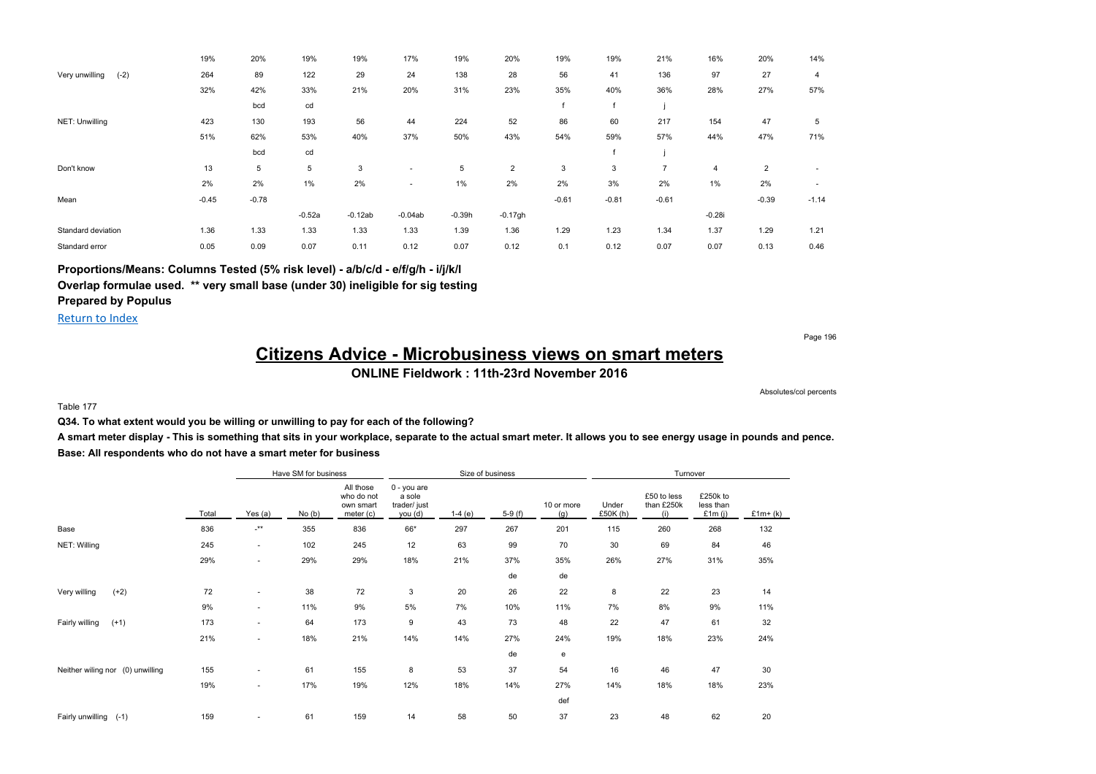|                          | 19%     | 20%     | 19%      | 19%       | 17%                      | 19%      | 20%            | 19%     | 19%     | 21%            | 16%      | 20%            | 14%     |
|--------------------------|---------|---------|----------|-----------|--------------------------|----------|----------------|---------|---------|----------------|----------|----------------|---------|
| Very unwilling<br>$(-2)$ | 264     | 89      | 122      | 29        | 24                       | 138      | 28             | 56      | 41      | 136            | 97       | 27             | 4       |
|                          | 32%     | 42%     | 33%      | 21%       | 20%                      | 31%      | 23%            | 35%     | 40%     | 36%            | 28%      | 27%            | 57%     |
|                          |         | bcd     | cd       |           |                          |          |                |         |         |                |          |                |         |
| NET: Unwilling           | 423     | 130     | 193      | 56        | 44                       | 224      | 52             | 86      | 60      | 217            | 154      | 47             | 5       |
|                          | 51%     | 62%     | 53%      | 40%       | 37%                      | 50%      | 43%            | 54%     | 59%     | 57%            | 44%      | 47%            | 71%     |
|                          |         | bcd     | cd       |           |                          |          |                |         |         |                |          |                |         |
| Don't know               | 13      | 5       | 5        | 3         | $\overline{\phantom{a}}$ | 5        | $\overline{2}$ | 3       | 3       | $\overline{7}$ | 4        | $\overline{2}$ |         |
|                          | 2%      | 2%      | $1\%$    | 2%        | ٠                        | 1%       | 2%             | 2%      | 3%      | 2%             | $1\%$    | 2%             |         |
| Mean                     | $-0.45$ | $-0.78$ |          |           |                          |          |                | $-0.61$ | $-0.81$ | $-0.61$        |          | $-0.39$        | $-1.14$ |
|                          |         |         | $-0.52a$ | $-0.12ab$ | $-0.04ab$                | $-0.39h$ | $-0.17gh$      |         |         |                | $-0.28i$ |                |         |
| Standard deviation       | 1.36    | 1.33    | 1.33     | 1.33      | 1.33                     | 1.39     | 1.36           | 1.29    | 1.23    | 1.34           | 1.37     | 1.29           | 1.21    |
| Standard error           | 0.05    | 0.09    | 0.07     | 0.11      | 0.12                     | 0.07     | 0.12           | 0.1     | 0.12    | 0.07           | 0.07     | 0.13           | 0.46    |

**Proportions/Means: Columns Tested (5% risk level) - a/b/c/d - e/f/g/h - i/j/k/l**

**Overlap formulae used. \*\* very small base (under 30) ineligible for sig testing**

**Prepared by Populus** Return to Index

Page 196

# **Citizens Advice - Microbusiness views on smart meters**

### **ONLINE Fieldwork : 11th-23rd November 2016**

Absolutes/col percents

#### Table 177

**Q34. To what extent would you be willing or unwilling to pay for each of the following?**

**A smart meter display - This is something that sits in your workplace, separate to the actual smart meter. It allows you to see energy usage in pounds and pence. Base: All respondents who do not have a smart meter for business**

|                                  |       |         | Have SM for business |                                                   |                                                  | Size of business |          |                   |                  | Turnover                         |                                  |           |
|----------------------------------|-------|---------|----------------------|---------------------------------------------------|--------------------------------------------------|------------------|----------|-------------------|------------------|----------------------------------|----------------------------------|-----------|
|                                  | Total | Yes (a) | No(b)                | All those<br>who do not<br>own smart<br>meter (c) | 0 - you are<br>a sole<br>trader/ just<br>you (d) | $1-4(e)$         | $5-9(f)$ | 10 or more<br>(g) | Under<br>£50K(h) | £50 to less<br>than £250k<br>(i) | £250k to<br>less than<br>£1m (i) | $£1m+(k)$ |
| Base                             | 836   | $-***$  | 355                  | 836                                               | 66*                                              | 297              | 267      | 201               | 115              | 260                              | 268                              | 132       |
| NET: Willing                     | 245   | ۰.      | 102                  | 245                                               | 12                                               | 63               | 99       | 70                | 30               | 69                               | 84                               | 46        |
|                                  | 29%   | ۰.      | 29%                  | 29%                                               | 18%                                              | 21%              | 37%      | 35%               | 26%              | 27%                              | 31%                              | 35%       |
|                                  |       |         |                      |                                                   |                                                  |                  | de       | de                |                  |                                  |                                  |           |
| $(+2)$<br>Very willing           | 72    | ٠       | 38                   | 72                                                | 3                                                | 20               | 26       | 22                | 8                | 22                               | 23                               | 14        |
|                                  | 9%    | ٠       | 11%                  | 9%                                                | 5%                                               | 7%               | 10%      | 11%               | 7%               | 8%                               | 9%                               | 11%       |
| Fairly willing<br>$(+1)$         | 173   | ٠       | 64                   | 173                                               | 9                                                | 43               | 73       | 48                | 22               | 47                               | 61                               | 32        |
|                                  | 21%   | ٠       | 18%                  | 21%                                               | 14%                                              | 14%              | 27%      | 24%               | 19%              | 18%                              | 23%                              | 24%       |
|                                  |       |         |                      |                                                   |                                                  |                  | de       | e                 |                  |                                  |                                  |           |
| Neither wiling nor (0) unwilling | 155   | ٠       | 61                   | 155                                               | 8                                                | 53               | 37       | 54                | 16               | 46                               | 47                               | 30        |
|                                  | 19%   | ٠       | 17%                  | 19%                                               | 12%                                              | 18%              | 14%      | 27%               | 14%              | 18%                              | 18%                              | 23%       |
|                                  |       |         |                      |                                                   |                                                  |                  |          | def               |                  |                                  |                                  |           |
| Fairly unwilling (-1)            | 159   | ٠       | 61                   | 159                                               | 14                                               | 58               | 50       | 37                | 23               | 48                               | 62                               | 20        |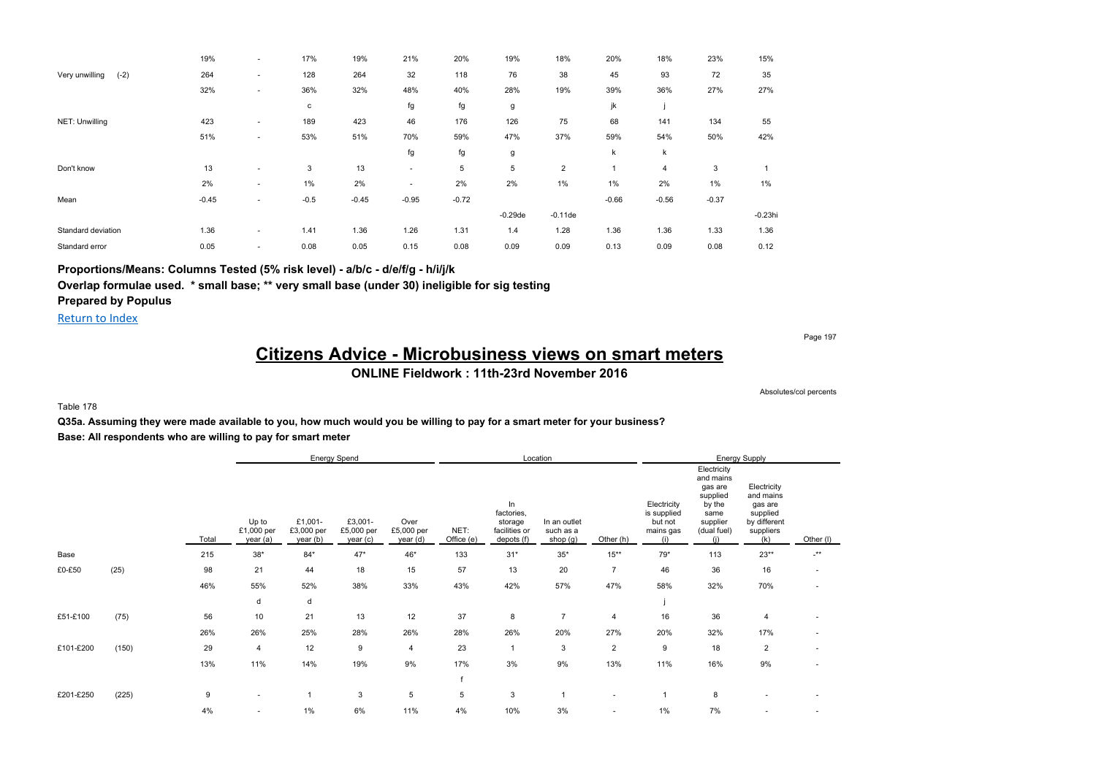|                          | 19%     | $\overline{\phantom{a}}$ | 17%    | 19%     | 21%     | 20%     | 19%        | 18%            | 20%     | 18%     | 23%     | 15%        |
|--------------------------|---------|--------------------------|--------|---------|---------|---------|------------|----------------|---------|---------|---------|------------|
| Very unwilling<br>$(-2)$ | 264     | ٠                        | 128    | 264     | 32      | 118     | 76         | 38             | 45      | 93      | 72      | 35         |
|                          | 32%     | $\sim$                   | 36%    | 32%     | 48%     | 40%     | 28%        | 19%            | 39%     | 36%     | 27%     | 27%        |
|                          |         |                          | с      |         | fg      | fg      | g          |                | jk      |         |         |            |
| NET: Unwilling           | 423     | $\overline{\phantom{a}}$ | 189    | 423     | 46      | 176     | 126        | 75             | 68      | 141     | 134     | 55         |
|                          | 51%     | $\overline{\phantom{a}}$ | 53%    | 51%     | 70%     | 59%     | 47%        | 37%            | 59%     | 54%     | 50%     | 42%        |
|                          |         |                          |        |         | fg      | fg      | g          |                | k       | k       |         |            |
| Don't know               | 13      | $\overline{\phantom{a}}$ | 3      | 13      | ۰.      | 5       | 5          | $\overline{2}$ |         | 4       | 3       |            |
|                          | 2%      | $\sim$                   | $1\%$  | 2%      |         | 2%      | 2%         | 1%             | 1%      | 2%      | 1%      | $1\%$      |
| Mean                     | $-0.45$ |                          | $-0.5$ | $-0.45$ | $-0.95$ | $-0.72$ |            |                | $-0.66$ | $-0.56$ | $-0.37$ |            |
|                          |         |                          |        |         |         |         | $-0.29$ de | $-0.11$ de     |         |         |         | $-0.23$ hi |
| Standard deviation       | 1.36    | $\sim$                   | 1.41   | 1.36    | 1.26    | 1.31    | 1.4        | 1.28           | 1.36    | 1.36    | 1.33    | 1.36       |
| Standard error           | 0.05    | $\sim$                   | 0.08   | 0.05    | 0.15    | 0.08    | 0.09       | 0.09           | 0.13    | 0.09    | 0.08    | 0.12       |

**Proportions/Means: Columns Tested (5% risk level) - a/b/c - d/e/f/g - h/i/j/k**

**Overlap formulae used. \* small base; \*\* very small base (under 30) ineligible for sig testing**

**Prepared by Populus**

Return to Index

Page 197

# **Citizens Advice - Microbusiness views on smart meters**

### **ONLINE Fieldwork : 11th-23rd November 2016**

Absolutes/col percents

#### Table 178

**Q35a. Assuming they were made available to you, how much would you be willing to pay for a smart meter for your business? Base: All respondents who are willing to pay for smart meter**

|           |       |       |                                 |                                   | Energy Spend                     |                                |                    |                                                            | Location                              |                          |                                                           |                                                                                                     | Energy Supply                                                                       |                      |
|-----------|-------|-------|---------------------------------|-----------------------------------|----------------------------------|--------------------------------|--------------------|------------------------------------------------------------|---------------------------------------|--------------------------|-----------------------------------------------------------|-----------------------------------------------------------------------------------------------------|-------------------------------------------------------------------------------------|----------------------|
|           |       | Total | Up to<br>£1,000 per<br>year (a) | £1,001-<br>£3,000 per<br>year (b) | £3,001-<br>£5,000 per<br>year(c) | Over<br>£5,000 per<br>year (d) | NET:<br>Office (e) | In<br>factories,<br>storage<br>facilities or<br>depots (f) | In an outlet<br>such as a<br>shop (g) | Other (h)                | Electricity<br>is supplied<br>but not<br>mains gas<br>(i) | Electricity<br>and mains<br>gas are<br>supplied<br>by the<br>same<br>supplier<br>(dual fuel)<br>(i) | Electricity<br>and mains<br>gas are<br>supplied<br>by different<br>suppliers<br>(k) | Other (I)            |
| Base      |       | 215   | $38*$                           | $84*$                             | $47*$                            | 46*                            | 133                | $31*$                                                      | $35^{\ast}$                           | $15***$                  | $79*$                                                     | 113                                                                                                 | $23**$                                                                              | $\cdot^{\star\star}$ |
| £0-£50    | (25)  | 98    | 21                              | 44                                | 18                               | 15                             | 57                 | 13                                                         | 20                                    | $\overline{7}$           | 46                                                        | 36                                                                                                  | 16                                                                                  | $\overline{a}$       |
|           |       | 46%   | 55%                             | 52%                               | 38%                              | 33%                            | 43%                | 42%                                                        | 57%                                   | 47%                      | 58%                                                       | 32%                                                                                                 | 70%                                                                                 |                      |
|           |       |       | d                               | d                                 |                                  |                                |                    |                                                            |                                       |                          |                                                           |                                                                                                     |                                                                                     |                      |
| £51-£100  | (75)  | 56    | 10                              | 21                                | 13                               | 12                             | 37                 | 8                                                          | $\overline{7}$                        | $\overline{4}$           | 16                                                        | 36                                                                                                  | 4                                                                                   |                      |
|           |       | 26%   | 26%                             | 25%                               | 28%                              | 26%                            | 28%                | 26%                                                        | 20%                                   | 27%                      | 20%                                                       | 32%                                                                                                 | 17%                                                                                 |                      |
| £101-£200 | (150) | 29    | $\overline{4}$                  | 12                                | 9                                | $\overline{4}$                 | 23                 | $\overline{1}$                                             | 3                                     | $\overline{2}$           | 9                                                         | 18                                                                                                  | $\overline{2}$                                                                      |                      |
|           |       | 13%   | 11%                             | 14%                               | 19%                              | 9%                             | 17%                | 3%                                                         | 9%                                    | 13%                      | 11%                                                       | 16%                                                                                                 | 9%                                                                                  |                      |
|           |       |       |                                 |                                   |                                  |                                | $\mathsf{f}$       |                                                            |                                       |                          |                                                           |                                                                                                     |                                                                                     |                      |
| £201-£250 | (225) | 9     | ٠                               | $\overline{1}$                    | 3                                | 5                              | 5                  | 3                                                          |                                       | ٠                        |                                                           | 8                                                                                                   |                                                                                     |                      |
|           |       | 4%    | ٠                               | $1\%$                             | 6%                               | 11%                            | 4%                 | 10%                                                        | 3%                                    | $\overline{\phantom{a}}$ | 1%                                                        | 7%                                                                                                  |                                                                                     |                      |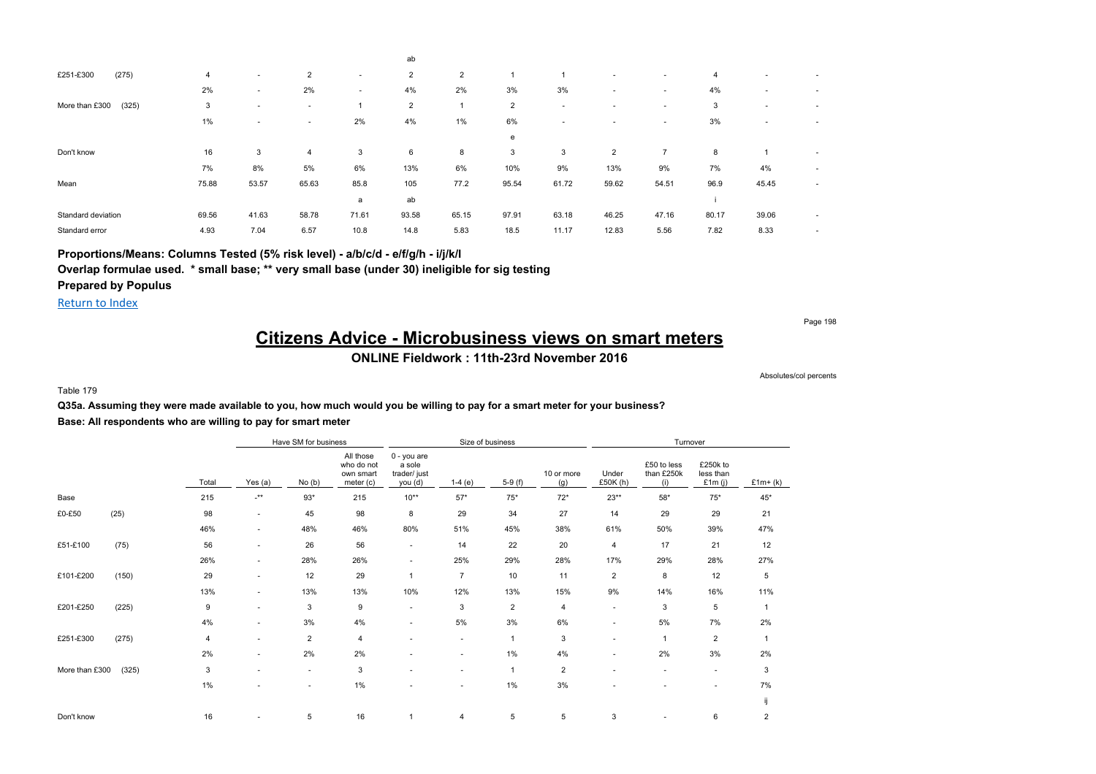|                         |       |                          |                          |                          | ab             |       |                |       |                          |                          |                |                          |   |
|-------------------------|-------|--------------------------|--------------------------|--------------------------|----------------|-------|----------------|-------|--------------------------|--------------------------|----------------|--------------------------|---|
| (275)<br>£251-£300      | 4     | $\overline{\phantom{a}}$ | $\overline{2}$           | $\overline{\phantom{a}}$ | $\overline{2}$ | 2     |                |       |                          |                          | $\overline{4}$ | $\overline{\phantom{a}}$ |   |
|                         | 2%    | ۰                        | 2%                       | ۰                        | 4%             | 2%    | 3%             | 3%    | $\overline{\phantom{a}}$ | $\overline{\phantom{a}}$ | 4%             | $\overline{\phantom{a}}$ | ۰ |
| More than £300<br>(325) | 3     | $\overline{\phantom{a}}$ | $\overline{\phantom{a}}$ |                          | 2              |       | $\overline{2}$ |       | $\overline{\phantom{a}}$ | $\overline{\phantom{a}}$ | 3              | $\overline{\phantom{a}}$ |   |
|                         | $1\%$ | ٠                        | ۰                        | 2%                       | 4%             | 1%    | 6%             |       | ٠                        | $\overline{\phantom{a}}$ | 3%             | $\overline{\phantom{a}}$ |   |
|                         |       |                          |                          |                          |                |       | e              |       |                          |                          |                |                          |   |
| Don't know              | 16    | 3                        | $\overline{4}$           | 3                        | 6              | 8     | 3              | 3     | $\overline{2}$           | $\overline{ }$           | 8              |                          | ٠ |
|                         | 7%    | 8%                       | 5%                       | 6%                       | 13%            | 6%    | 10%            | 9%    | 13%                      | 9%                       | 7%             | 4%                       | ٠ |
| Mean                    | 75.88 | 53.57                    | 65.63                    | 85.8                     | 105            | 77.2  | 95.54          | 61.72 | 59.62                    | 54.51                    | 96.9           | 45.45                    | ٠ |
|                         |       |                          |                          | a                        | ab             |       |                |       |                          |                          |                |                          |   |
| Standard deviation      | 69.56 | 41.63                    | 58.78                    | 71.61                    | 93.58          | 65.15 | 97.91          | 63.18 | 46.25                    | 47.16                    | 80.17          | 39.06                    | ٠ |
| Standard error          | 4.93  | 7.04                     | 6.57                     | 10.8                     | 14.8           | 5.83  | 18.5           | 11.17 | 12.83                    | 5.56                     | 7.82           | 8.33                     | ٠ |

**Proportions/Means: Columns Tested (5% risk level) - a/b/c/d - e/f/g/h - i/j/k/l**

**Overlap formulae used. \* small base; \*\* very small base (under 30) ineligible for sig testing**

**Prepared by Populus**

Return to Index

Page 198

### **Citizens Advice - Microbusiness views on smart meters ONLINE Fieldwork : 11th-23rd November 2016**

Absolutes/col percents

Table 179

### **Q35a. Assuming they were made available to you, how much would you be willing to pay for a smart meter for your business? Base: All respondents who are willing to pay for smart meter**

|                |       |                |                      | Have SM for business |                                                   |                                                  | Size of business         |                |                   |                          | Turnover                         |                                    |                |
|----------------|-------|----------------|----------------------|----------------------|---------------------------------------------------|--------------------------------------------------|--------------------------|----------------|-------------------|--------------------------|----------------------------------|------------------------------------|----------------|
|                |       | Total          | Yes (a)              | No(b)                | All those<br>who do not<br>own smart<br>meter (c) | 0 - you are<br>a sole<br>trader/ just<br>you (d) | $1-4(e)$                 | $5-9(f)$       | 10 or more<br>(g) | Under<br>£50K (h)        | £50 to less<br>than £250k<br>(i) | £250k to<br>less than<br>£1 $m(j)$ | $£1m+(k)$      |
| Base           |       | 215            | $\cdot^{\star\star}$ | $93*$                | 215                                               | $10**$                                           | $57*$                    | $75*$          | $72*$             | $23**$                   | $58^{\ast}$                      | $75*$                              | $45*$          |
| £0-£50         | (25)  | 98             | $\sim$               | 45                   | 98                                                | 8                                                | 29                       | 34             | 27                | 14                       | 29                               | 29                                 | 21             |
|                |       | 46%            | $\sim$               | 48%                  | 46%                                               | 80%                                              | 51%                      | 45%            | 38%               | 61%                      | 50%                              | 39%                                | 47%            |
| £51-£100       | (75)  | 56             | $\sim$               | 26                   | 56                                                | $\sim$                                           | 14                       | 22             | 20                | $\overline{4}$           | 17                               | 21                                 | 12             |
|                |       | 26%            | $\sim$               | 28%                  | 26%                                               | ٠                                                | 25%                      | 29%            | 28%               | 17%                      | 29%                              | 28%                                | 27%            |
| £101-£200      | (150) | 29             | $\sim$               | 12                   | 29                                                | $\mathbf{1}$                                     | $\overline{7}$           | 10             | 11                | $\overline{2}$           | 8                                | 12                                 | 5              |
|                |       | 13%            | $\sim$               | 13%                  | 13%                                               | 10%                                              | 12%                      | 13%            | 15%               | 9%                       | 14%                              | 16%                                | 11%            |
| £201-£250      | (225) | 9              | $\sim$               | 3                    | 9                                                 | $\sim$                                           | 3                        | $\overline{2}$ | 4                 | $\overline{\phantom{a}}$ | 3                                | 5                                  | 1              |
|                |       | 4%             | $\sim$               | 3%                   | 4%                                                | ۰                                                | 5%                       | 3%             | 6%                | $\overline{\phantom{a}}$ | 5%                               | 7%                                 | 2%             |
| £251-£300      | (275) | $\overline{4}$ | $\sim$               | $\overline{c}$       | 4                                                 | ٠                                                | ٠                        | $\overline{1}$ | 3                 | $\overline{\phantom{a}}$ | $\overline{1}$                   | $\overline{2}$                     | $\mathbf{1}$   |
|                |       | 2%             | ٠                    | 2%                   | 2%                                                | ٠                                                | ٠                        | $1\%$          | 4%                | $\overline{\phantom{a}}$ | 2%                               | 3%                                 | 2%             |
| More than £300 | (325) | 3              | $\sim$               | ٠                    | 3                                                 | ٠                                                | $\sim$                   | $\overline{1}$ | $\overline{2}$    | $\sim$                   | $\overline{\phantom{a}}$         | $\overline{\phantom{a}}$           | 3              |
|                |       | $1\%$          |                      | ٠                    | 1%                                                | ٠                                                | $\overline{\phantom{a}}$ | $1\%$          | 3%                | ٠                        |                                  | ٠                                  | 7%             |
|                |       |                |                      |                      |                                                   |                                                  |                          |                |                   |                          |                                  |                                    | ij             |
| Don't know     |       | 16             |                      | 5                    | 16                                                | -1                                               | 4                        | 5              | 5                 | 3                        |                                  | 6                                  | $\overline{2}$ |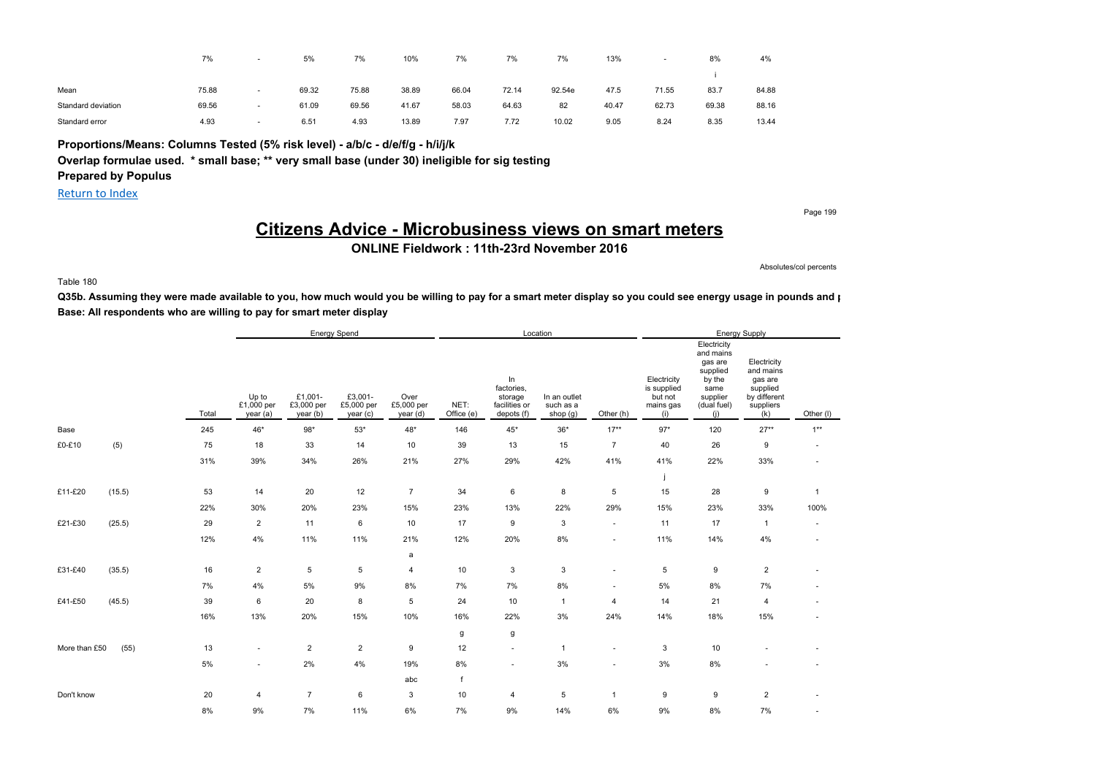|                    | 7%    | . .                      | 5%    | 7%    | 10%   | 7%    | 7%    | 7%     | 13%   |       | 8%    | 4%    |
|--------------------|-------|--------------------------|-------|-------|-------|-------|-------|--------|-------|-------|-------|-------|
|                    |       |                          |       |       |       |       |       |        |       |       |       |       |
| Mean               | 75.88 | $\overline{\phantom{a}}$ | 69.32 | 75.88 | 38.89 | 66.04 | 72.14 | 92.54e | 47.5  | 71.55 | 83.7  | 84.88 |
| Standard deviation | 69.56 | $\,$                     | 61.09 | 69.56 | 41.67 | 58.03 | 64.63 | 82     | 40.47 | 62.73 | 69.38 | 88.16 |
| Standard error     | 4.93  | $\overline{\phantom{a}}$ | 6.51  | 4.93  | 13.89 | 7.97  | 7.72  | 10.02  | 9.05  | 8.24  | 8.35  | 13.44 |

**Proportions/Means: Columns Tested (5% risk level) - a/b/c - d/e/f/g - h/i/j/k Overlap formulae used. \* small base; \*\* very small base (under 30) ineligible for sig testing Prepared by Populus**

Return to Index

Page 199

## **Citizens Advice - Microbusiness views on smart meters**

**ONLINE Fieldwork : 11th-23rd November 2016**

Absolutes/col percents

#### Table 180

Q35b. Assuming they were made available to you, how much would you be willing to pay for a smart meter display so you could see energy usage in pounds and p **Base: All respondents who are willing to pay for smart meter display**

|               |        |       |                                 |                                  | <b>Energy Spend</b>              |                                |                    |                                                            | Location                                |                |                                                           |                                                                                                     | <b>Energy Supply</b>                                                                |                          |
|---------------|--------|-------|---------------------------------|----------------------------------|----------------------------------|--------------------------------|--------------------|------------------------------------------------------------|-----------------------------------------|----------------|-----------------------------------------------------------|-----------------------------------------------------------------------------------------------------|-------------------------------------------------------------------------------------|--------------------------|
|               |        | Total | Up to<br>£1,000 per<br>year (a) | £1,001-<br>£3,000 per<br>year(b) | £3,001-<br>£5,000 per<br>year(c) | Over<br>£5,000 per<br>year (d) | NET:<br>Office (e) | In<br>factories,<br>storage<br>facilities or<br>depots (f) | In an outlet<br>such as a<br>shop $(g)$ | Other (h)      | Electricity<br>is supplied<br>but not<br>mains gas<br>(i) | Electricity<br>and mains<br>gas are<br>supplied<br>by the<br>same<br>supplier<br>(dual fuel)<br>(i) | Electricity<br>and mains<br>gas are<br>supplied<br>by different<br>suppliers<br>(k) | Other (I)                |
| Base          |        | 245   | 46*                             | $98*$                            | $53*$                            | $48^{\star}$                   | 146                | 45*                                                        | $36*$                                   | $17***$        | $97*$                                                     | 120                                                                                                 | $27**$                                                                              | $1***$                   |
| £0-£10        | (5)    | 75    | 18                              | 33                               | 14                               | 10                             | 39                 | 13                                                         | 15                                      | $\overline{7}$ | 40                                                        | 26                                                                                                  | $\boldsymbol{9}$                                                                    | $\sim$                   |
|               |        | 31%   | 39%                             | 34%                              | 26%                              | 21%                            | 27%                | 29%                                                        | 42%                                     | 41%            | 41%                                                       | 22%                                                                                                 | 33%                                                                                 | ×.                       |
|               |        |       |                                 |                                  |                                  |                                |                    |                                                            |                                         |                |                                                           |                                                                                                     |                                                                                     |                          |
| £11-£20       | (15.5) | 53    | 14                              | 20                               | 12                               | $\overline{7}$                 | 34                 | 6                                                          | 8                                       | 5              | 15                                                        | 28                                                                                                  | 9                                                                                   | $\overline{1}$           |
|               |        | 22%   | 30%                             | 20%                              | 23%                              | 15%                            | 23%                | 13%                                                        | 22%                                     | 29%            | 15%                                                       | 23%                                                                                                 | 33%                                                                                 | 100%                     |
| £21-£30       | (25.5) | 29    | $\overline{2}$                  | 11                               | 6                                | 10                             | 17                 | 9                                                          | $\mathsf 3$                             | $\sim$         | 11                                                        | 17                                                                                                  | $\mathbf{1}$                                                                        | $\overline{\phantom{a}}$ |
|               |        | 12%   | 4%                              | 11%                              | 11%                              | 21%                            | 12%                | 20%                                                        | 8%                                      | $\sim$         | 11%                                                       | 14%                                                                                                 | 4%                                                                                  | $\sim$                   |
|               |        |       |                                 |                                  |                                  | a                              |                    |                                                            |                                         |                |                                                           |                                                                                                     |                                                                                     |                          |
| £31-£40       | (35.5) | 16    | $\overline{2}$                  | 5                                | 5                                | 4                              | 10                 | 3                                                          | 3                                       | $\sim$         | 5                                                         | 9                                                                                                   | $\sqrt{2}$                                                                          | $\sim$                   |
|               |        | 7%    | 4%                              | $5\%$                            | $9\%$                            | $8\%$                          | $7\%$              | 7%                                                         | 8%                                      | $\mathbf{r}$   | $5\%$                                                     | 8%                                                                                                  | 7%                                                                                  | $\sim$                   |
| £41-£50       | (45.5) | 39    | 6                               | 20                               | 8                                | 5                              | 24                 | 10                                                         | $\mathbf{1}$                            | $\overline{4}$ | 14                                                        | 21                                                                                                  | 4                                                                                   | $\overline{\phantom{a}}$ |
|               |        | 16%   | 13%                             | 20%                              | 15%                              | 10%                            | 16%                | 22%                                                        | 3%                                      | 24%            | 14%                                                       | 18%                                                                                                 | 15%                                                                                 | ٠                        |
|               |        |       |                                 |                                  |                                  |                                | g                  | g                                                          |                                         |                |                                                           |                                                                                                     |                                                                                     |                          |
| More than £50 | (55)   | 13    | ٠                               | $\overline{2}$                   | $\overline{2}$                   | 9                              | 12                 | $\overline{\phantom{a}}$                                   | $\mathbf{1}$                            | $\blacksquare$ | 3                                                         | 10                                                                                                  |                                                                                     |                          |
|               |        | 5%    | ٠                               | 2%                               | 4%                               | 19%                            | 8%                 | $\overline{\phantom{a}}$                                   | 3%                                      | $\sim$         | 3%                                                        | 8%                                                                                                  |                                                                                     | ×.                       |
|               |        |       |                                 |                                  |                                  | abc                            | $\mathbf f$        |                                                            |                                         |                |                                                           |                                                                                                     |                                                                                     |                          |
| Don't know    |        | 20    | $\overline{4}$                  | $\overline{7}$                   | 6                                | 3                              | 10                 | 4                                                          | $\,$ 5 $\,$                             | $\mathbf{1}$   | 9                                                         | 9                                                                                                   | $\sqrt{2}$                                                                          | ٠                        |
|               |        | 8%    | 9%                              | 7%                               | 11%                              | 6%                             | 7%                 | 9%                                                         | 14%                                     | 6%             | 9%                                                        | 8%                                                                                                  | 7%                                                                                  | $\sim$                   |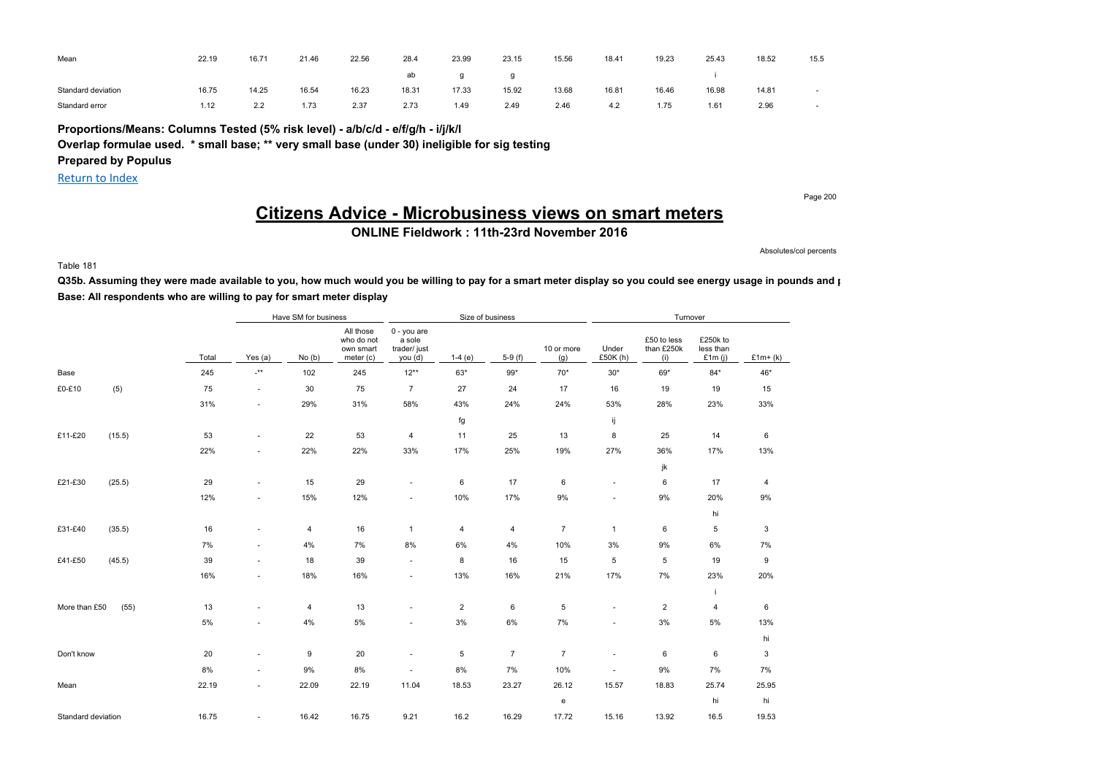| Mean               | 22.19 | 16.71        | 21.46 | 22.56 | 28.4  | 23.99 | 23.15 | 15.56 | 18.41 | 19.23 | 25.43 | 18.52 | 15.5 |
|--------------------|-------|--------------|-------|-------|-------|-------|-------|-------|-------|-------|-------|-------|------|
|                    |       |              |       |       | ab    |       |       |       |       |       |       |       |      |
| Standard deviation | 16.75 | 14.25        | 16.54 | 16.23 | 18.31 | 17.33 | 15.92 | 13.68 | 16.81 | 16.46 | 16.98 | 14.81 |      |
| Standard error     | 1.12  | っっ<br>$\sim$ | 1.73  | 2.37  | 2.73  | 1.49  | 2.49  | 2.46  | 4.2   | 1.75  | 1.61  | 2.96  |      |

**Proportions/Means: Columns Tested (5% risk level) - a/b/c/d - e/f/g/h - i/j/k/l**

**Overlap formulae used. \* small base; \*\* very small base (under 30) ineligible for sig testing**

**Prepared by Populus**

Return to Index

Page 200

## **Citizens Advice - Microbusiness views on smart meters**

**ONLINE Fieldwork : 11th-23rd November 2016**

Absolutes/col percents

Table 181

Q35b. Assuming they were made available to you, how much would you be willing to pay for a smart meter display so you could see energy usage in pounds and p **Base: All respondents who are willing to pay for smart meter display**

|                    |        |       |                           | Have SM for business |                                                     |                                                  | Size of business |                |                   |                   | Turnover                         |                                    |           |
|--------------------|--------|-------|---------------------------|----------------------|-----------------------------------------------------|--------------------------------------------------|------------------|----------------|-------------------|-------------------|----------------------------------|------------------------------------|-----------|
|                    |        | Total | Yes $(a)$                 | No(b)                | All those<br>who do not<br>own smart<br>meter $(c)$ | 0 - you are<br>a sole<br>trader/ just<br>you (d) | $1-4(e)$         | $5-9(f)$       | 10 or more<br>(g) | Under<br>£50K (h) | £50 to less<br>than £250k<br>(i) | £250k to<br>less than<br>£1 $m(i)$ | $£1m+(k)$ |
| Base               |        | 245   | $\mathbf{I}^{\star\star}$ | 102                  | 245                                                 | $12**$                                           | 63*              | $99*$          | $70*$             | $30*$             | 69*                              | $84*$                              | 46*       |
| £0-£10             | (5)    | 75    | $\sim$                    | 30                   | 75                                                  | $\overline{7}$                                   | 27               | 24             | 17                | 16                | 19                               | 19                                 | 15        |
|                    |        | 31%   | $\sim$                    | 29%                  | 31%                                                 | 58%                                              | 43%              | 24%            | 24%               | 53%               | 28%                              | 23%                                | 33%       |
|                    |        |       |                           |                      |                                                     |                                                  | fg               |                |                   | ij                |                                  |                                    |           |
| £11-£20            | (15.5) | 53    | $\sim$                    | 22                   | 53                                                  | $\overline{4}$                                   | 11               | 25             | 13                | 8                 | 25                               | 14                                 | 6         |
|                    |        | 22%   | $\sim$                    | 22%                  | 22%                                                 | 33%                                              | 17%              | 25%            | 19%               | 27%               | 36%                              | 17%                                | 13%       |
|                    |        |       |                           |                      |                                                     |                                                  |                  |                |                   |                   | jk                               |                                    |           |
| £21-£30            | (25.5) | 29    | $\sim$                    | 15                   | 29                                                  | $\sim$                                           | 6                | 17             | 6                 | $\sim$            | 6                                | 17                                 | 4         |
|                    |        | 12%   | ÷.                        | 15%                  | 12%                                                 | $\sim$                                           | 10%              | 17%            | $9\%$             | $\sim$            | 9%                               | 20%                                | 9%        |
|                    |        |       |                           |                      |                                                     |                                                  |                  |                |                   |                   |                                  | hi                                 |           |
| £31-£40            | (35.5) | 16    | $\sim$                    | 4                    | 16                                                  | $\mathbf{1}$                                     | $\overline{4}$   | 4              | $\overline{7}$    | $\mathbf{1}$      | 6                                | 5                                  | 3         |
|                    |        | 7%    | $\overline{\phantom{a}}$  | 4%                   | 7%                                                  | 8%                                               | 6%               | 4%             | 10%               | 3%                | 9%                               | 6%                                 | 7%        |
| £41-£50            | (45.5) | 39    | $\sim$                    | 18                   | 39                                                  | $\sim$                                           | 8                | 16             | 15                | 5                 | 5                                | 19                                 | 9         |
|                    |        | 16%   | $\overline{\phantom{a}}$  | 18%                  | 16%                                                 | $\sim$                                           | 13%              | 16%            | 21%               | 17%               | 7%                               | 23%                                | 20%       |
|                    |        |       |                           |                      |                                                     |                                                  |                  |                |                   |                   |                                  | i                                  |           |
| More than £50      | (55)   | 13    | $\sim$                    | 4                    | 13                                                  | $\sim$                                           | $\overline{2}$   | 6              | 5                 | $\sim$            | $\overline{2}$                   | 4                                  | 6         |
|                    |        | 5%    | $\sim$                    | $4\%$                | $5\%$                                               | $\sim$                                           | 3%               | 6%             | 7%                | $\sim$            | 3%                               | 5%                                 | 13%       |
|                    |        |       |                           |                      |                                                     |                                                  |                  |                |                   |                   |                                  |                                    | hi        |
| Don't know         |        | 20    | $\sim$                    | 9                    | 20                                                  | $\sim$                                           | 5                | $\overline{7}$ | $\overline{7}$    | $\sim$            | 6                                | 6                                  | 3         |
|                    |        | 8%    | $\sim$                    | $9\%$                | $8\%$                                               |                                                  | 8%               | 7%             | 10%               | $\sim$            | 9%                               | 7%                                 | 7%        |
| Mean               |        | 22.19 | $\sim$                    | 22.09                | 22.19                                               | 11.04                                            | 18.53            | 23.27          | 26.12             | 15.57             | 18.83                            | 25.74                              | 25.95     |
|                    |        |       |                           |                      |                                                     |                                                  |                  |                | e                 |                   |                                  | hi                                 | hi        |
| Standard deviation |        | 16.75 | $\sim$                    | 16.42                | 16.75                                               | 9.21                                             | 16.2             | 16.29          | 17.72             | 15.16             | 13.92                            | 16.5                               | 19.53     |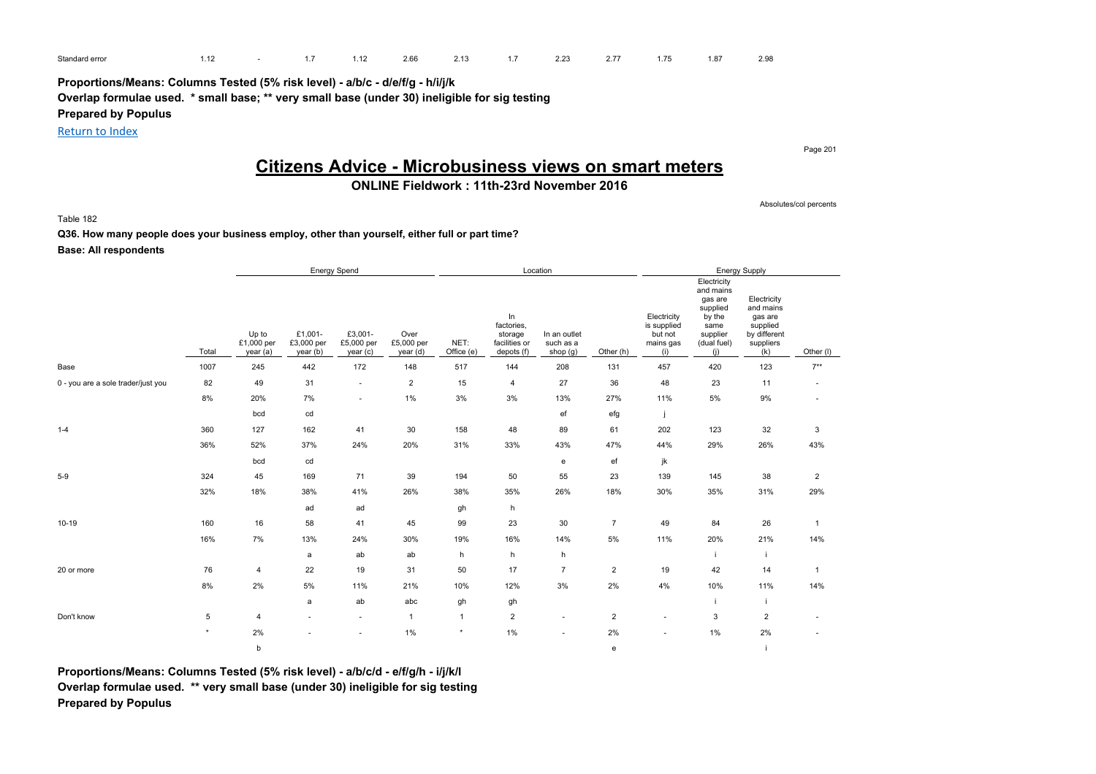| Standard error |  | .12 | $\sim$ $\sim$<br>2.66 | 0.41<br>Z. 13 | 2.23 | $\sim$ $\rightarrow$ | $4 - 7$<br>.15 | .07 | 2.98 |
|----------------|--|-----|-----------------------|---------------|------|----------------------|----------------|-----|------|
|                |  |     |                       |               |      |                      |                |     |      |

**Proportions/Means: Columns Tested (5% risk level) - a/b/c - d/e/f/g - h/i/j/k Overlap formulae used. \* small base; \*\* very small base (under 30) ineligible for sig testing**

**Prepared by Populus**

Return to Index

Page 201

Absolutes/col percents

## **Citizens Advice - Microbusiness views on smart meters**

## **ONLINE Fieldwork : 11th-23rd November 2016**

Table 182

**Q36. How many people does your business employ, other than yourself, either full or part time?**

**Base: All respondents**

|                                    |         |                                 |                                   | <b>Energy Spend</b>               |                                |                    |                                                            | Location                                |                |                                                           |                                                                                                     | <b>Energy Supply</b>                                                                |                |
|------------------------------------|---------|---------------------------------|-----------------------------------|-----------------------------------|--------------------------------|--------------------|------------------------------------------------------------|-----------------------------------------|----------------|-----------------------------------------------------------|-----------------------------------------------------------------------------------------------------|-------------------------------------------------------------------------------------|----------------|
|                                    | Total   | Up to<br>£1,000 per<br>year (a) | £1.001-<br>£3,000 per<br>year (b) | £3,001-<br>£5,000 per<br>year (c) | Over<br>£5,000 per<br>year (d) | NET:<br>Office (e) | In<br>factories.<br>storage<br>facilities or<br>depots (f) | In an outlet<br>such as a<br>shop $(g)$ | Other (h)      | Electricity<br>is supplied<br>but not<br>mains gas<br>(i) | Electricity<br>and mains<br>gas are<br>supplied<br>by the<br>same<br>supplier<br>(dual fuel)<br>(i) | Electricity<br>and mains<br>gas are<br>supplied<br>by different<br>suppliers<br>(k) | Other (I)      |
| Base                               | 1007    | 245                             | 442                               | 172                               | 148                            | 517                | 144                                                        | 208                                     | 131            | 457                                                       | 420                                                                                                 | 123                                                                                 | $7**$          |
| 0 - you are a sole trader/just you | 82      | 49                              | 31                                | ٠                                 | $\overline{2}$                 | 15                 | 4                                                          | 27                                      | 36             | 48                                                        | 23                                                                                                  | 11                                                                                  | $\sim$         |
|                                    | 8%      | 20%                             | 7%                                | ٠                                 | 1%                             | 3%                 | 3%                                                         | 13%                                     | 27%            | 11%                                                       | 5%                                                                                                  | 9%                                                                                  |                |
|                                    |         | bcd                             | cd                                |                                   |                                |                    |                                                            | ef                                      | efg            |                                                           |                                                                                                     |                                                                                     |                |
| $1 - 4$                            | 360     | 127                             | 162                               | 41                                | 30                             | 158                | 48                                                         | 89                                      | 61             | 202                                                       | 123                                                                                                 | 32                                                                                  | 3              |
|                                    | 36%     | 52%                             | 37%                               | 24%                               | 20%                            | 31%                | 33%                                                        | 43%                                     | 47%            | 44%                                                       | 29%                                                                                                 | 26%                                                                                 | 43%            |
|                                    |         | bcd                             | cd                                |                                   |                                |                    |                                                            | e                                       | ef             | jk                                                        |                                                                                                     |                                                                                     |                |
| $5-9$                              | 324     | 45                              | 169                               | 71                                | 39                             | 194                | 50                                                         | 55                                      | 23             | 139                                                       | 145                                                                                                 | 38                                                                                  | $\overline{2}$ |
|                                    | 32%     | 18%                             | 38%                               | 41%                               | 26%                            | 38%                | 35%                                                        | 26%                                     | 18%            | 30%                                                       | 35%                                                                                                 | 31%                                                                                 | 29%            |
|                                    |         |                                 | ad                                | ad                                |                                | gh                 | h                                                          |                                         |                |                                                           |                                                                                                     |                                                                                     |                |
| $10-19$                            | 160     | 16                              | 58                                | 41                                | 45                             | 99                 | 23                                                         | 30                                      | $\overline{7}$ | 49                                                        | 84                                                                                                  | 26                                                                                  | $\overline{1}$ |
|                                    | 16%     | 7%                              | 13%                               | 24%                               | 30%                            | 19%                | 16%                                                        | 14%                                     | 5%             | 11%                                                       | 20%                                                                                                 | 21%                                                                                 | 14%            |
|                                    |         |                                 | a                                 | ab                                | ab                             | h                  | h                                                          | h                                       |                |                                                           | j.                                                                                                  | $\mathbf{i}$                                                                        |                |
| 20 or more                         | 76      | $\overline{4}$                  | 22                                | 19                                | 31                             | 50                 | 17                                                         | $\overline{7}$                          | $\overline{2}$ | 19                                                        | 42                                                                                                  | 14                                                                                  | $\overline{1}$ |
|                                    | 8%      | 2%                              | 5%                                | 11%                               | 21%                            | 10%                | 12%                                                        | 3%                                      | 2%             | 4%                                                        | 10%                                                                                                 | 11%                                                                                 | 14%            |
|                                    |         |                                 | a                                 | ab                                | abc                            | gh                 | gh                                                         |                                         |                |                                                           | j                                                                                                   | j.                                                                                  |                |
| Don't know                         | 5       | 4                               |                                   | ٠                                 | $\overline{1}$                 | $\mathbf{1}$       | $\overline{2}$                                             | ٠                                       | $\overline{2}$ |                                                           | 3                                                                                                   | $\overline{2}$                                                                      |                |
|                                    | $\star$ | 2%                              |                                   |                                   | 1%                             | $\star$            | 1%                                                         | ٠                                       | 2%             | $\sim$                                                    | 1%                                                                                                  | 2%                                                                                  |                |
|                                    |         | b                               |                                   |                                   |                                |                    |                                                            |                                         | e              |                                                           |                                                                                                     |                                                                                     |                |

**Proportions/Means: Columns Tested (5% risk level) - a/b/c/d - e/f/g/h - i/j/k/l Overlap formulae used. \*\* very small base (under 30) ineligible for sig testing Prepared by Populus**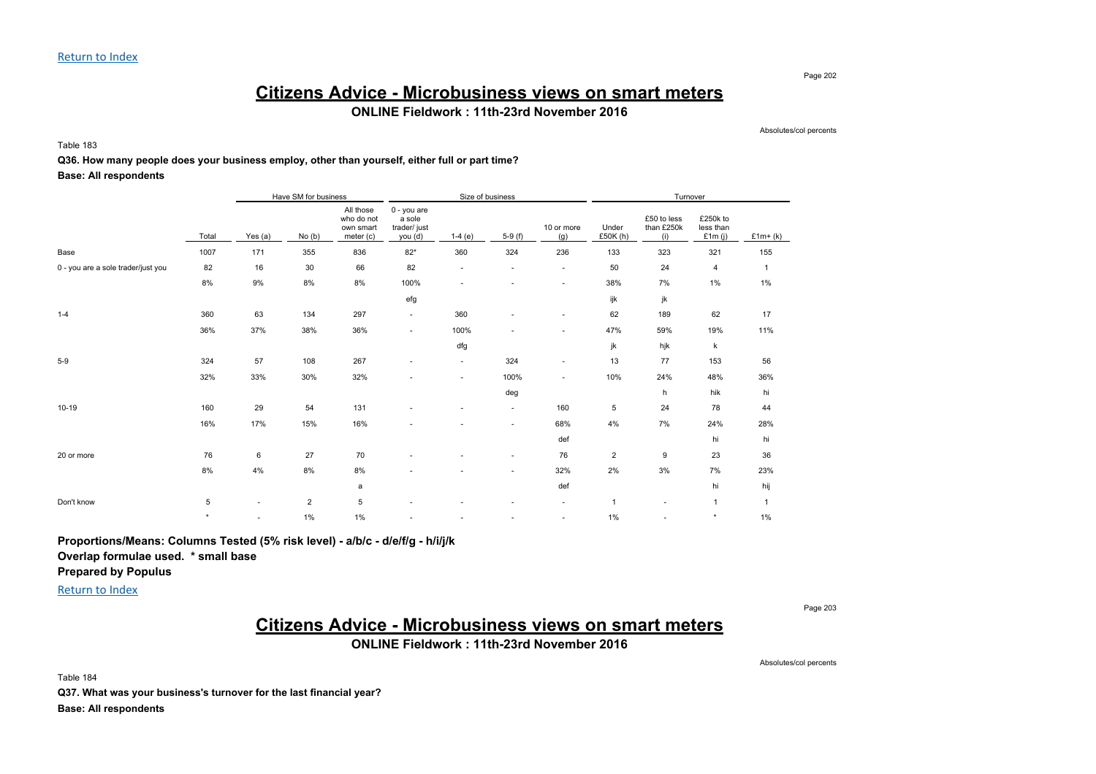#### Page 202

## **Citizens Advice - Microbusiness views on smart meters**

### **ONLINE Fieldwork : 11th-23rd November 2016**

Absolutes/col percents

Table 183

#### **Q36. How many people does your business employ, other than yourself, either full or part time?**

#### **Base: All respondents**

|                                    |         |           | Have SM for business |                                                   |                                                 |                          | Size of business         |                          |                   | Turnover                         |                                    |              |
|------------------------------------|---------|-----------|----------------------|---------------------------------------------------|-------------------------------------------------|--------------------------|--------------------------|--------------------------|-------------------|----------------------------------|------------------------------------|--------------|
|                                    | Total   | Yes $(a)$ | No(b)                | All those<br>who do not<br>own smart<br>meter (c) | 0 - you are<br>a sole<br>trader/just<br>you (d) | $1-4(e)$                 | $5-9(f)$                 | 10 or more<br>(g)        | Under<br>£50K (h) | £50 to less<br>than £250k<br>(i) | £250k to<br>less than<br>£1 $m(i)$ | £1 $m+(k)$   |
| Base                               | 1007    | 171       | 355                  | 836                                               | $82*$                                           | 360                      | 324                      | 236                      | 133               | 323                              | 321                                | 155          |
| 0 - you are a sole trader/just you | 82      | 16        | 30                   | 66                                                | 82                                              | $\sim$                   | $\sim$                   | $\overline{\phantom{a}}$ | 50                | 24                               | $\overline{4}$                     | $\mathbf{1}$ |
|                                    | $8\%$   | 9%        | 8%                   | 8%                                                | 100%                                            | ٠                        | $\overline{\phantom{a}}$ | ٠                        | 38%               | 7%                               | $1\%$                              | $1\%$        |
|                                    |         |           |                      |                                                   | efg                                             |                          |                          |                          | ijk               | jk                               |                                    |              |
| $1 - 4$                            | 360     | 63        | 134                  | 297                                               | ٠                                               | 360                      |                          |                          | 62                | 189                              | 62                                 | 17           |
|                                    | 36%     | 37%       | 38%                  | 36%                                               | ٠                                               | 100%                     |                          | ٠                        | 47%               | 59%                              | 19%                                | 11%          |
|                                    |         |           |                      |                                                   |                                                 | dfg                      |                          |                          | jk                | hjk                              | $\mathsf k$                        |              |
| $5 - 9$                            | 324     | 57        | 108                  | 267                                               |                                                 | $\sim$                   | 324                      | ٠                        | 13                | 77                               | 153                                | 56           |
|                                    | 32%     | 33%       | 30%                  | 32%                                               |                                                 | ×                        | 100%                     | ٠                        | 10%               | 24%                              | 48%                                | 36%          |
|                                    |         |           |                      |                                                   |                                                 |                          | deg                      |                          |                   | h                                | hik                                | hi           |
| $10-19$                            | 160     | 29        | 54                   | 131                                               |                                                 |                          | $\sim$                   | 160                      | 5                 | 24                               | 78                                 | 44           |
|                                    | 16%     | 17%       | 15%                  | 16%                                               |                                                 | ٠                        | ۰.                       | 68%                      | 4%                | 7%                               | 24%                                | 28%          |
|                                    |         |           |                      |                                                   |                                                 |                          |                          | def                      |                   |                                  | hi                                 | hi           |
| 20 or more                         | 76      | 6         | 27                   | 70                                                |                                                 |                          | $\sim$                   | 76                       | $\overline{2}$    | 9                                | 23                                 | 36           |
|                                    | 8%      | 4%        | 8%                   | 8%                                                |                                                 |                          | ۰.                       | 32%                      | 2%                | 3%                               | 7%                                 | 23%          |
|                                    |         |           |                      | a                                                 |                                                 |                          |                          | def                      |                   |                                  | hi                                 | hij          |
| Don't know                         | 5       | $\sim$    | $\overline{2}$       | 5                                                 |                                                 | ۰                        |                          | $\sim$                   | $\mathbf{1}$      |                                  | $\mathbf{1}$                       | $\mathbf{1}$ |
|                                    | $\star$ | $\sim$    | 1%                   | 1%                                                |                                                 | $\overline{\phantom{a}}$ |                          | $\overline{\phantom{a}}$ | 1%                |                                  | $\star$                            | 1%           |

**Proportions/Means: Columns Tested (5% risk level) - a/b/c - d/e/f/g - h/i/j/k**

**Overlap formulae used. \* small base**

**Prepared by Populus**

Return to Index

Page 203

Absolutes/col percents

## **Citizens Advice - Microbusiness views on smart meters**

**ONLINE Fieldwork : 11th-23rd November 2016**

Table 184 **Q37. What was your business's turnover for the last financial year? Base: All respondents**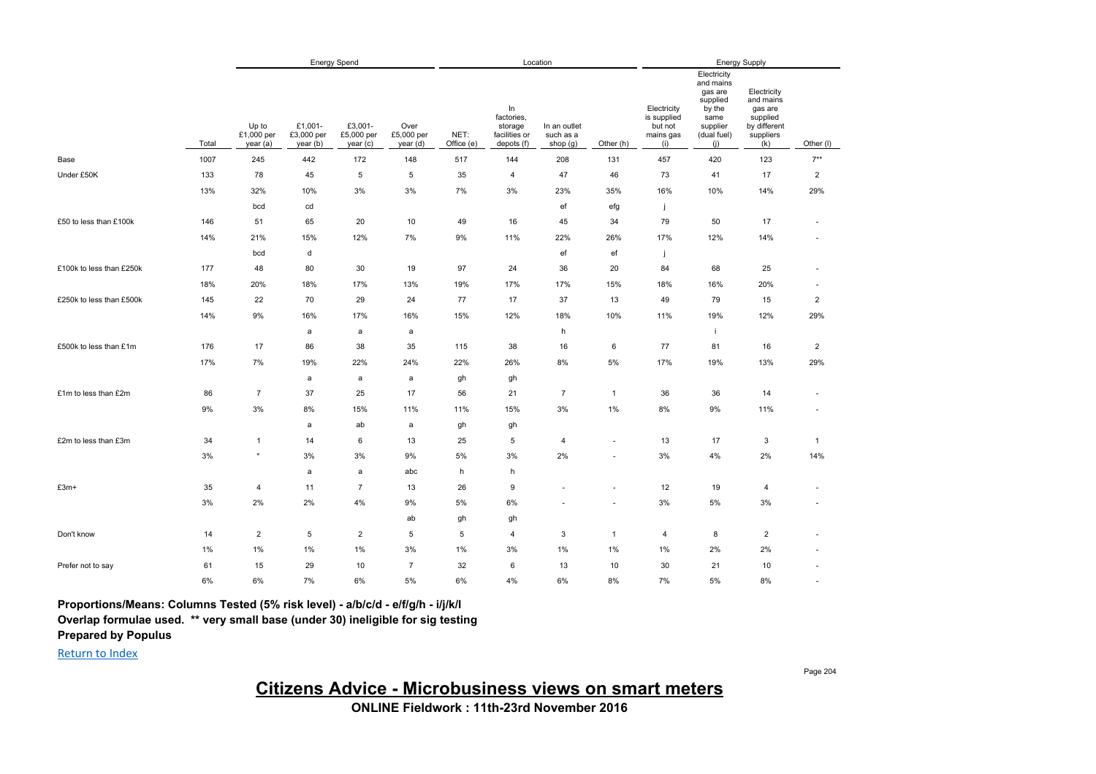|                          |       |                                 |                                   | <b>Energy Spend</b>              |                                |                    |                                                            | Location                              |                          |                                                           |                                                                                                     | Energy Supply                                                                       |                          |
|--------------------------|-------|---------------------------------|-----------------------------------|----------------------------------|--------------------------------|--------------------|------------------------------------------------------------|---------------------------------------|--------------------------|-----------------------------------------------------------|-----------------------------------------------------------------------------------------------------|-------------------------------------------------------------------------------------|--------------------------|
|                          | Total | Up to<br>£1,000 per<br>year (a) | £1,001-<br>£3,000 per<br>year (b) | £3,001-<br>£5,000 per<br>year(c) | Over<br>£5,000 per<br>year (d) | NET:<br>Office (e) | In<br>factories,<br>storage<br>facilities or<br>depots (f) | In an outlet<br>such as a<br>shop (g) | Other (h)                | Electricity<br>is supplied<br>but not<br>mains gas<br>(i) | Electricity<br>and mains<br>gas are<br>supplied<br>by the<br>same<br>supplier<br>(dual fuel)<br>(i) | Electricity<br>and mains<br>gas are<br>supplied<br>by different<br>suppliers<br>(k) | Other (I)                |
| Base                     | 1007  | 245                             | 442                               | 172                              | 148                            | 517                | 144                                                        | 208                                   | 131                      | 457                                                       | 420                                                                                                 | 123                                                                                 | $7^{**}$                 |
| Under £50K               | 133   | 78                              | 45                                | 5                                | 5                              | 35                 | $\overline{4}$                                             | 47                                    | 46                       | 73                                                        | 41                                                                                                  | 17                                                                                  | $\overline{c}$           |
|                          | 13%   | 32%                             | 10%                               | 3%                               | 3%                             | 7%                 | 3%                                                         | 23%                                   | 35%                      | 16%                                                       | 10%                                                                                                 | 14%                                                                                 | 29%                      |
|                          |       | bcd                             | cd                                |                                  |                                |                    |                                                            | ef                                    | efg                      | j.                                                        |                                                                                                     |                                                                                     |                          |
| £50 to less than £100k   | 146   | 51                              | 65                                | 20                               | 10                             | 49                 | 16                                                         | 45                                    | 34                       | 79                                                        | 50                                                                                                  | 17                                                                                  | $\overline{\phantom{a}}$ |
|                          | 14%   | 21%                             | 15%                               | 12%                              | 7%                             | 9%                 | 11%                                                        | 22%                                   | 26%                      | 17%                                                       | 12%                                                                                                 | 14%                                                                                 |                          |
|                          |       | bcd                             | d                                 |                                  |                                |                    |                                                            | ef                                    | ef                       | Ť                                                         |                                                                                                     |                                                                                     |                          |
| £100k to less than £250k | 177   | 48                              | 80                                | 30                               | 19                             | 97                 | 24                                                         | 36                                    | 20                       | 84                                                        | 68                                                                                                  | 25                                                                                  | $\sim$                   |
|                          | 18%   | 20%                             | 18%                               | 17%                              | 13%                            | 19%                | 17%                                                        | 17%                                   | 15%                      | 18%                                                       | 16%                                                                                                 | 20%                                                                                 | $\sim$                   |
| £250k to less than £500k | 145   | 22                              | 70                                | 29                               | 24                             | 77                 | 17                                                         | 37                                    | 13                       | 49                                                        | 79                                                                                                  | 15                                                                                  | $\overline{\mathbf{c}}$  |
|                          | 14%   | 9%                              | 16%                               | 17%                              | 16%                            | 15%                | 12%                                                        | 18%                                   | 10%                      | 11%                                                       | 19%                                                                                                 | 12%                                                                                 | 29%                      |
|                          |       |                                 | $\mathsf{a}$                      | a                                | a                              |                    |                                                            | h                                     |                          |                                                           | j.                                                                                                  |                                                                                     |                          |
| £500k to less than £1m   | 176   | 17                              | 86                                | 38                               | 35                             | 115                | 38                                                         | 16                                    | 6                        | 77                                                        | 81                                                                                                  | 16                                                                                  | $\mathbf 2$              |
|                          | 17%   | 7%                              | 19%                               | 22%                              | 24%                            | 22%                | 26%                                                        | 8%                                    | 5%                       | 17%                                                       | 19%                                                                                                 | 13%                                                                                 | 29%                      |
|                          |       |                                 | $\mathsf{a}$                      | a                                | a                              | gh                 | gh                                                         |                                       |                          |                                                           |                                                                                                     |                                                                                     |                          |
| £1m to less than £2m     | 86    | $\overline{7}$                  | 37                                | 25                               | 17                             | 56                 | 21                                                         | $\overline{7}$                        | $\mathbf{1}$             | 36                                                        | 36                                                                                                  | 14                                                                                  |                          |
|                          | 9%    | 3%                              | 8%                                | 15%                              | 11%                            | 11%                | 15%                                                        | 3%                                    | 1%                       | 8%                                                        | 9%                                                                                                  | 11%                                                                                 | $\sim$                   |
|                          |       |                                 | a                                 | ab                               | a                              | gh                 | gh                                                         |                                       |                          |                                                           |                                                                                                     |                                                                                     |                          |
| £2m to less than £3m     | 34    | $\mathbf{1}$                    | 14                                | 6                                | 13                             | 25                 | $\,$ 5 $\,$                                                | 4                                     | $\overline{\phantom{a}}$ | 13                                                        | 17                                                                                                  | $\mathbf{3}$                                                                        | $\mathbf{1}$             |
|                          | 3%    | $\star$                         | 3%                                | 3%                               | 9%                             | 5%                 | 3%                                                         | 2%                                    |                          | 3%                                                        | 4%                                                                                                  | 2%                                                                                  | 14%                      |
|                          |       |                                 | $\mathsf{a}$                      | $\mathsf{a}$                     | abc                            | h                  | h                                                          |                                       |                          |                                                           |                                                                                                     |                                                                                     |                          |
| £3m+                     | 35    | $\overline{4}$                  | 11                                | $\overline{7}$                   | 13                             | 26                 | 9                                                          |                                       |                          | 12                                                        | 19                                                                                                  | $\overline{4}$                                                                      | $\overline{\phantom{a}}$ |
|                          | 3%    | 2%                              | 2%                                | 4%                               | 9%                             | 5%                 | 6%                                                         |                                       |                          | 3%                                                        | 5%                                                                                                  | 3%                                                                                  |                          |
|                          |       |                                 |                                   |                                  | ab                             | gh                 | gh                                                         |                                       |                          |                                                           |                                                                                                     |                                                                                     |                          |
| Don't know               | 14    | $\sqrt{2}$                      | 5                                 | $\overline{2}$                   | 5                              | 5                  | $\overline{4}$                                             | 3                                     | $\mathbf{1}$             | 4                                                         | 8                                                                                                   | $\overline{2}$                                                                      |                          |
|                          | 1%    | 1%                              | 1%                                | $1\%$                            | 3%                             | 1%                 | 3%                                                         | $1\%$                                 | 1%                       | 1%                                                        | 2%                                                                                                  | 2%                                                                                  |                          |
| Prefer not to say        | 61    | 15                              | 29                                | 10                               | $\overline{7}$                 | 32                 | 6                                                          | 13                                    | 10                       | 30                                                        | 21                                                                                                  | 10                                                                                  |                          |
|                          | 6%    | 6%                              | 7%                                | 6%                               | 5%                             | 6%                 | 4%                                                         | 6%                                    | 8%                       | 7%                                                        | 5%                                                                                                  | 8%                                                                                  | $\sim$                   |

**Proportions/Means: Columns Tested (5% risk level) - a/b/c/d - e/f/g/h - i/j/k/l Overlap formulae used. \*\* very small base (under 30) ineligible for sig testing**

**Prepared by Populus**

Return to Index

Page 204

**Citizens Advice - Microbusiness views on smart meters**

**ONLINE Fieldwork : 11th-23rd November 2016**